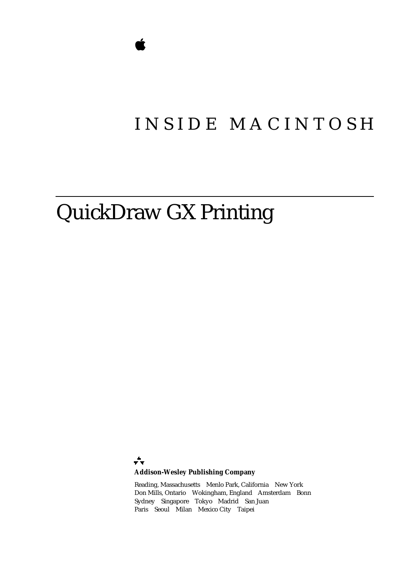# INSIDE MACINTOSH

# QuickDraw GX Printing

÷ **Addison-Wesley Publishing Company**

Reading, Massachusetts Menlo Park, California New York Don Mills, Ontario Wokingham, England Amsterdam Bonn Sydney Singapore Tokyo Madrid San Juan Paris Seoul Milan Mexico City Taipei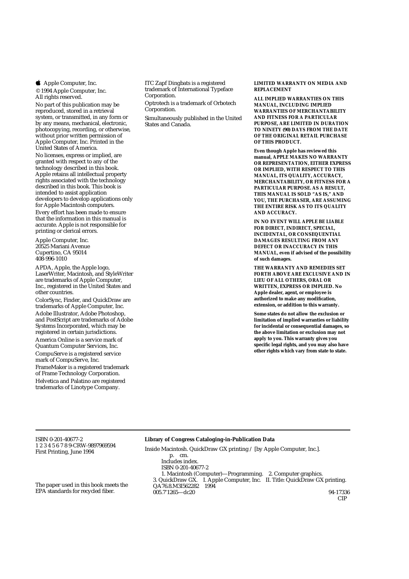**4** Apple Computer, Inc.

© 1994 Apple Computer, Inc. All rights reserved.

No part of this publication may be reproduced, stored in a retrieval system, or transmitted, in any form or by any means, mechanical, electronic, photocopying, recording, or otherwise, without prior written permission of Apple Computer, Inc. Printed in the United States of America. No licenses, express or implied, are granted with respect to any of the technology described in this book. Apple retains all intellectual property rights associated with the technology described in this book. This book is intended to assist application developers to develop applications only for Apple Macintosh computers.

Every effort has been made to ensure that the information in this manual is accurate. Apple is not responsible for printing or clerical errors.

Apple Computer, Inc. 20525 Mariani Avenue Cupertino, CA 95014 408-996-1010

APDA, Apple, the Apple logo, LaserWriter, Macintosh, and StyleWriter are trademarks of Apple Computer, Inc., registered in the United States and other countries.

ColorSync, Finder, and QuickDraw are trademarks of Apple Computer, Inc. Adobe Illustrator, Adobe Photoshop, and PostScript are trademarks of Adobe Systems Incorporated, which may be registered in certain jurisdictions.

America Online is a service mark of Quantum Computer Services, Inc. CompuServe is a registered service

mark of CompuServe, Inc. FrameMaker is a registered trademark of Frame Technology Corporation. Helvetica and Palatino are registered trademarks of Linotype Company.

ITC Zapf Dingbats is a registered trademark of International Typeface Corporation.

Optrotech is a trademark of Orbotech Corporation.

Simultaneously published in the United States and Canada.

**LIMITED WARRANTY ON MEDIA AND REPLACEMENT**

**ALL IMPLIED WARRANTIES ON THIS MANUAL, INCLUDING IMPLIED WARRANTIES OF MERCHANTABILITY AND FITNESS FOR A PARTICULAR PURPOSE, ARE LIMITED IN DURATION TO NINETY (90) DAYS FROM THE DATE OF THE ORIGINAL RETAIL PURCHASE OF THIS PRODUCT.**

**Even though Apple has reviewed this manual, APPLE MAKES NO WARRANTY OR REPRESENTATION, EITHER EXPRESS OR IMPLIED, WITH RESPECT TO THIS MANUAL, ITS QUALITY, ACCURACY, MERCHANTABILITY, OR FITNESS FOR A PARTICULAR PURPOSE. AS A RESULT, THIS MANUAL IS SOLD "AS IS," AND YOU, THE PURCHASER, ARE ASSUMING THE ENTIRE RISK AS TO ITS QUALITY AND ACCURACY.**

**IN NO EVENT WILL APPLE BE LIABLE FOR DIRECT, INDIRECT, SPECIAL, INCIDENTAL, OR CONSEQUENTIAL DAMAGES RESULTING FROM ANY DEFECT OR INACCURACY IN THIS MANUAL, even if advised of the possibility of such damages.**

**THE WARRANTY AND REMEDIES SET FORTH ABOVE ARE EXCLUSIVE AND IN LIEU OF ALL OTHERS, ORAL OR WRITTEN, EXPRESS OR IMPLIED. No Apple dealer, agent, or employee is authorized to make any modification, extension, or addition to this warranty.**

**Some states do not allow the exclusion or limitation of implied warranties or liability for incidental or consequential damages, so the above limitation or exclusion may not apply to you. This warranty gives you specific legal rights, and you may also have other rights which vary from state to state.**

ISBN 0-201-40677-2 1 2 3 4 5 6 7 8 9-CRW-9897969594 First Printing, June 1994

#### **Library of Congress Cataloging-in-Publication Data**

Inside Macintosh. QuickDraw GX printing / [by Apple Computer, Inc.]. p. cm. Includes index. ISBN 0-201-40677-2 1. Macintosh (Computer)—Programming. 2. Computer graphics. 3. QuickDraw GX. I. Apple Computer, Inc. II. Title: QuickDraw GX printing. QA76.8.M3I562282 1994 005.7'1265—dc20 94-17336 CIP

The paper used in this book meets the EPA standards for recycled fiber.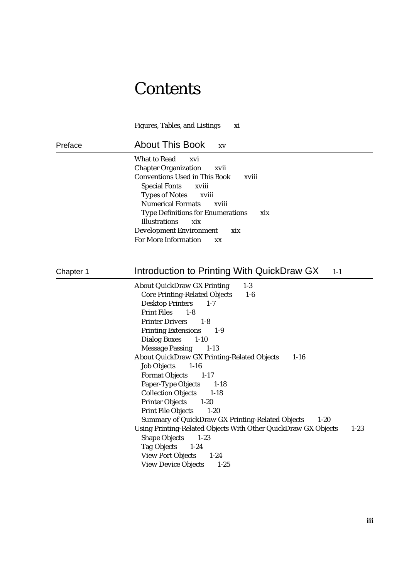# **Contents**

Figures, Tables, and Listings xi Preface About This Book xv What to Read xvi Chapter Organization xvii Conventions Used in This Book xviii Special Fonts xviii Types of Notes xviii Numerical Formats xviii Type Definitions for Enumerations xix Illustrations xix Development Environment xix For More Information xx Chapter 1 **Introduction to Printing With QuickDraw GX** 1-1 About QuickDraw GX Printing 1-3 Core Printing-Related Objects 1-6 Desktop Printers 1-7 Print Files 1-8 Printer Drivers 1-8 Printing Extensions 1-9 Dialog Boxes 1-10 Message Passing 1-13 About QuickDraw GX Printing-Related Objects 1-16 Job Objects 1-16 Format Objects 1-17 Paper-Type Objects 1-18 Collection Objects 1-18 Printer Objects 1-20 Print File Objects 1-20 Summary of QuickDraw GX Printing-Related Objects 1-20 Using Printing-Related Objects With Other QuickDraw GX Objects 1-23 Shape Objects 1-23 Tag Objects 1-24 View Port Objects 1-24 View Device Objects 1-25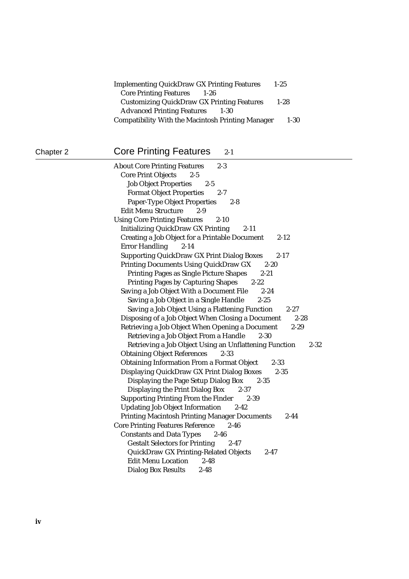| <b>Implementing QuickDraw GX Printing Features</b><br>$1 - 2.5$ |          |
|-----------------------------------------------------------------|----------|
| <b>Core Printing Features</b><br>$1 - 26$                       |          |
| <b>Customizing QuickDraw GX Printing Features</b>               | $1 - 28$ |
| <b>Advanced Printing Features</b><br>$1 - 30$                   |          |
| <b>Compatibility With the Macintosh Printing Manager</b>        | $1 - 30$ |

## Chapter 2 Core Printing Features 2-1

| <b>About Core Printing Features</b><br>$2 - 3$                     |
|--------------------------------------------------------------------|
| <b>Core Print Objects</b><br>$2 - 5$                               |
| <b>Job Object Properties</b><br>$2 - 5$                            |
| <b>Format Object Properties</b><br>$2 - 7$                         |
| <b>Paper-Type Object Properties</b><br>$2 - 8$                     |
| <b>Edit Menu Structure</b><br>$2 - 9$                              |
| <b>Using Core Printing Features</b><br>$2 - 10$                    |
| <b>Initializing QuickDraw GX Printing</b><br>$2 - 11$              |
| <b>Creating a Job Object for a Printable Document</b><br>$2 - 12$  |
| <b>Error Handling</b><br>$2 - 14$                                  |
| <b>Supporting QuickDraw GX Print Dialog Boxes</b><br>$2 - 17$      |
| <b>Printing Documents Using QuickDraw GX</b><br>$2 - 20$           |
| <b>Printing Pages as Single Picture Shapes</b><br>$2 - 21$         |
| <b>Printing Pages by Capturing Shapes</b><br>$2 - 22$              |
| Saving a Job Object With a Document File<br>$2 - 24$               |
| Saving a Job Object in a Single Handle<br>$2 - 25$                 |
| Saving a Job Object Using a Flattening Function<br>$2 - 27$        |
| Disposing of a Job Object When Closing a Document<br>$2 - 28$      |
| Retrieving a Job Object When Opening a Document<br>$2 - 29$        |
| Retrieving a Job Object From a Handle<br>$2 - 30$                  |
| Retrieving a Job Object Using an Unflattening Function<br>$2 - 32$ |
| <b>Obtaining Object References</b><br>$2 - 33$                     |
| <b>Obtaining Information From a Format Object</b><br>$2 - 33$      |
| Displaying QuickDraw GX Print Dialog Boxes<br>$2 - 35$             |
| Displaying the Page Setup Dialog Box<br>$2 - 35$                   |
| Displaying the Print Dialog Box<br>$2 - 37$                        |
| <b>Supporting Printing From the Finder</b><br>$2 - 39$             |
| <b>Updating Job Object Information</b><br>$2 - 42$                 |
| <b>Printing Macintosh Printing Manager Documents</b><br>$2 - 44$   |
| <b>Core Printing Features Reference</b><br>$2 - 46$                |
| <b>Constants and Data Types</b><br>$2 - 46$                        |
| <b>Gestalt Selectors for Printing</b><br>$2 - 47$                  |
| <b>QuickDraw GX Printing-Related Objects</b><br>$2 - 47$           |
| <b>Edit Menu Location</b><br>$2 - 48$                              |
| <b>Dialog Box Results</b><br>$2 - 48$                              |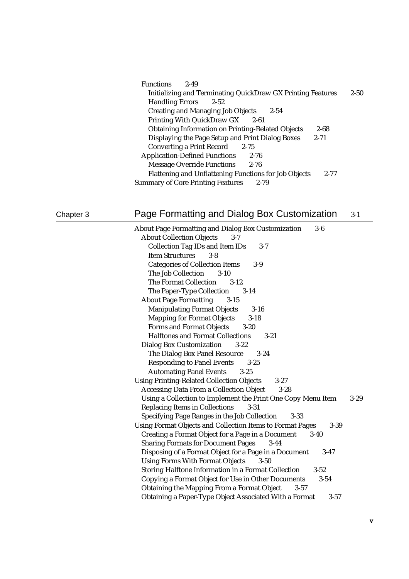| <b>Functions</b><br>$2 - 49$                                       |          |          |
|--------------------------------------------------------------------|----------|----------|
| <b>Initializing and Terminating QuickDraw GX Printing Features</b> |          | $2 - 50$ |
| <b>Handling Errors</b><br>$2 - 52$                                 |          |          |
| <b>Creating and Managing Job Objects</b><br>$2 - 54$               |          |          |
| Printing With QuickDraw GX<br>2-61                                 |          |          |
| <b>Obtaining Information on Printing-Related Objects</b>           | $2 - 68$ |          |
| Displaying the Page Setup and Print Dialog Boxes                   | $2 - 71$ |          |
| <b>Converting a Print Record</b><br>$2 - 75$                       |          |          |
| <b>Application-Defined Functions</b><br>$2 - 76$                   |          |          |
| <b>Message Override Functions</b><br>$2 - 76$                      |          |          |
| <b>Flattening and Unflattening Functions for Job Objects</b>       | $2 - 77$ |          |
| <b>Summary of Core Printing Features</b><br>2-79                   |          |          |

### Chapter 3 Page Formatting and Dialog Box Customization 3-1

About Page Formatting and Dialog Box Customization 3-6 About Collection Objects 3-7 Collection Tag IDs and Item IDs 3-7 Item Structures 3-8 Categories of Collection Items 3-9 The Job Collection 3-10 The Format Collection 3-12 The Paper-Type Collection 3-14 About Page Formatting 3-15 Manipulating Format Objects 3-16 Mapping for Format Objects 3-18 Forms and Format Objects 3-20 Halftones and Format Collections 3-21 Dialog Box Customization 3-22 The Dialog Box Panel Resource 3-24 Responding to Panel Events 3-25 Automating Panel Events 3-25 Using Printing-Related Collection Objects 3-27 Accessing Data From a Collection Object 3-28 Using a Collection to Implement the Print One Copy Menu Item 3-29 Replacing Items in Collections 3-31 Specifying Page Ranges in the Job Collection 3-33 Using Format Objects and Collection Items to Format Pages 3-39 Creating a Format Object for a Page in a Document 3-40 Sharing Formats for Document Pages 3-44 Disposing of a Format Object for a Page in a Document 3-47 Using Forms With Format Objects 3-50 Storing Halftone Information in a Format Collection 3-52 Copying a Format Object for Use in Other Documents 3-54 Obtaining the Mapping From a Format Object 3-57 Obtaining a Paper-Type Object Associated With a Format 3-57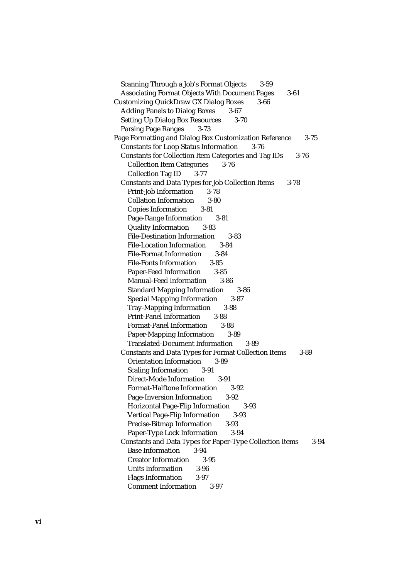Scanning Through a Job's Format Objects 3-59 Associating Format Objects With Document Pages 3-61 Customizing QuickDraw GX Dialog Boxes 3-66 Adding Panels to Dialog Boxes 3-67 Setting Up Dialog Box Resources 3-70 Parsing Page Ranges 3-73 Page Formatting and Dialog Box Customization Reference 3-75 Constants for Loop Status Information 3-76 Constants for Collection Item Categories and Tag IDs 3-76 Collection Item Categories 3-76 Collection Tag ID 3-77 Constants and Data Types for Job Collection Items 3-78 Print-Job Information 3-78 Collation Information 3-80 Copies Information 3-81 Page-Range Information 3-81 Quality Information 3-83 File-Destination Information 3-83 File-Location Information 3-84 File-Format Information 3-84 File-Fonts Information 3-85 Paper-Feed Information 3-85 Manual-Feed Information 3-86 Standard Mapping Information 3-86 Special Mapping Information 3-87 Tray-Mapping Information 3-88 Print-Panel Information 3-88 Format-Panel Information 3-88 Paper-Mapping Information 3-89 Translated-Document Information 3-89 Constants and Data Types for Format Collection Items 3-89 Orientation Information 3-89 Scaling Information 3-91 Direct-Mode Information 3-91 Format-Halftone Information 3-92 Page-Inversion Information 3-92 Horizontal Page-Flip Information 3-93 Vertical Page-Flip Information 3-93 Precise-Bitmap Information 3-93 Paper-Type Lock Information 3-94 Constants and Data Types for Paper-Type Collection Items 3-94 Base Information 3-94 Creator Information 3-95 Units Information 3-96 Flags Information 3-97 Comment Information 3-97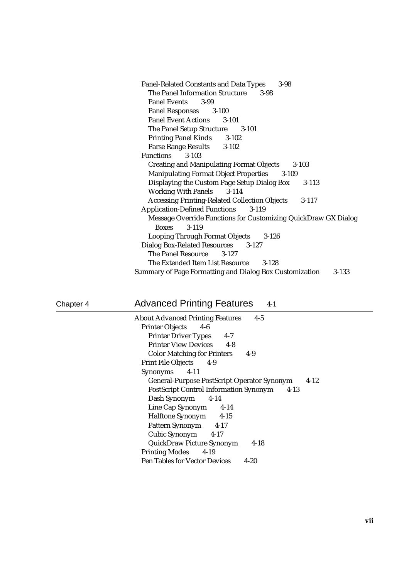| <b>Panel-Related Constants and Data Types</b><br>$3 - 98$        |
|------------------------------------------------------------------|
| The Panel Information Structure<br>$3-98$                        |
| <b>Panel Events</b><br>3-99                                      |
| Panel Responses 3-100                                            |
| <b>Panel Event Actions</b> 3-101                                 |
| The Panel Setup Structure 3-101                                  |
| <b>Printing Panel Kinds</b> 3-102                                |
| Parse Range Results 3-102                                        |
| <b>Functions</b><br>$3 - 103$                                    |
| <b>Creating and Manipulating Format Objects</b><br>$3 - 103$     |
| <b>Manipulating Format Object Properties</b> 3-109               |
| Displaying the Custom Page Setup Dialog Box<br>3-113             |
| <b>Working With Panels</b> 3-114                                 |
| <b>Accessing Printing-Related Collection Objects</b><br>$3-117$  |
| <b>Application-Defined Functions</b><br>$3 - 119$                |
| Message Override Functions for Customizing QuickDraw GX Dialog   |
| $3 - 119$<br><b>Boxes</b>                                        |
| <b>Looping Through Format Objects</b><br>$3 - 126$               |
| Dialog Box-Related Resources 3-127                               |
| The Panel Resource 3-127                                         |
| The Extended Item List Resource 3-128                            |
| Summary of Page Formatting and Dialog Box Customization<br>3-133 |

Chapter 4 Advanced Printing Features 4-1

| <b>About Advanced Printing Features</b><br>$4 - 5$        |  |
|-----------------------------------------------------------|--|
| Printer Objects 4-6                                       |  |
| <b>Printer Driver Types</b><br>$4 - 7$                    |  |
| <b>Printer View Devices</b> 4-8                           |  |
| <b>Color Matching for Printers</b><br>$4-9$               |  |
| Print File Objects 4-9                                    |  |
| Synonyms 4-11                                             |  |
| General-Purpose PostScript Operator Synonym<br>$4 - 12$   |  |
| <b>PostScript Control Information Synonym</b><br>$4 - 13$ |  |
| Dash Synonym<br>$4-14$                                    |  |
| Line Cap Synonym 4-14                                     |  |
| Halftone Synonym 4-15                                     |  |
| Pattern Synonym 4-17                                      |  |
| Cubic Synonym 4-17                                        |  |
|                                                           |  |
| <b>QuickDraw Picture Synonym</b><br>$4-18$                |  |
| Printing Modes 4-19                                       |  |
| <b>Pen Tables for Vector Devices</b><br>$4 - 20$          |  |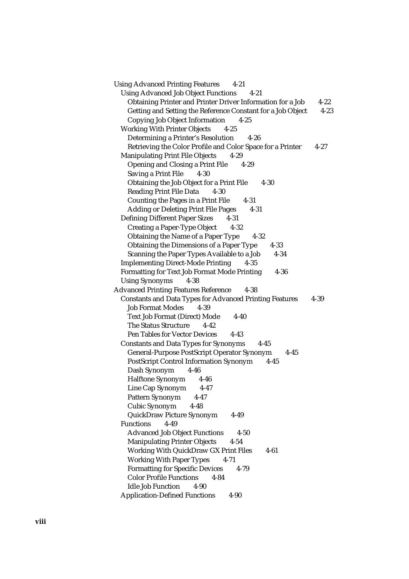Using Advanced Printing Features 4-21 Using Advanced Job Object Functions 4-21 Obtaining Printer and Printer Driver Information for a Job 4-22 Getting and Setting the Reference Constant for a Job Object 4-23 Copying Job Object Information 4-25 Working With Printer Objects 4-25 Determining a Printer's Resolution 4-26 Retrieving the Color Profile and Color Space for a Printer 4-27 Manipulating Print File Objects 4-29 Opening and Closing a Print File 4-29 Saving a Print File 4-30 Obtaining the Job Object for a Print File 4-30 Reading Print File Data 4-30 Counting the Pages in a Print File 4-31 Adding or Deleting Print File Pages 4-31 Defining Different Paper Sizes 4-31 Creating a Paper-Type Object 4-32 Obtaining the Name of a Paper Type 4-32 Obtaining the Dimensions of a Paper Type 4-33 Scanning the Paper Types Available to a Job 4-34 Implementing Direct-Mode Printing 4-35 Formatting for Text Job Format Mode Printing 4-36 Using Synonyms 4-38 Advanced Printing Features Reference 4-38 Constants and Data Types for Advanced Printing Features 4-39 Job Format Modes 4-39 Text Job Format (Direct) Mode 4-40 The Status Structure 4-42 Pen Tables for Vector Devices 4-43 Constants and Data Types for Synonyms 4-45 General-Purpose PostScript Operator Synonym 4-45 PostScript Control Information Synonym 4-45 Dash Synonym 4-46 Halftone Synonym 4-46 Line Cap Synonym 4-47 Pattern Synonym 4-47 Cubic Synonym 4-48 QuickDraw Picture Synonym 4-49 Functions 4-49 Advanced Job Object Functions 4-50 Manipulating Printer Objects 4-54 Working With QuickDraw GX Print Files 4-61 Working With Paper Types 4-71 Formatting for Specific Devices 4-79 Color Profile Functions 4-84 Idle Job Function 4-90 Application-Defined Functions 4-90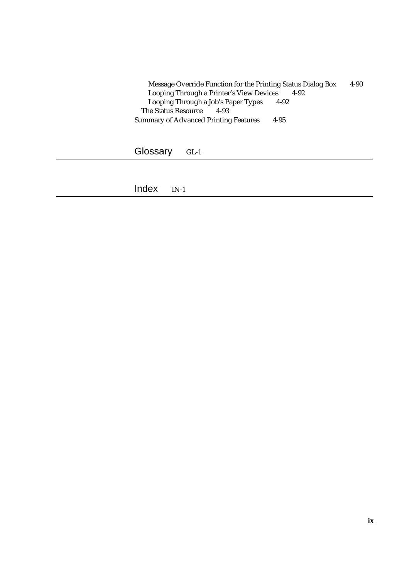Message Override Function for the Printing Status Dialog Box 4-90 Looping Through a Printer's View Devices 4-92 Looping Through a Job's Paper Types 4-92 The Status Resource 4-93 Summary of Advanced Printing Features 4-95

Glossary GL-1

Index IN-1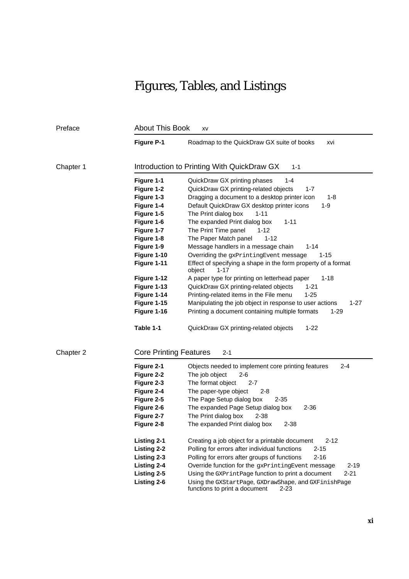# Figures, Tables, and Listings

| Preface   | <b>About This Book</b><br>XV  |                                                                                                   |
|-----------|-------------------------------|---------------------------------------------------------------------------------------------------|
|           | <b>Figure P-1</b>             | Roadmap to the QuickDraw GX suite of books<br>xvi                                                 |
| Chapter 1 |                               | Introduction to Printing With QuickDraw GX<br>$1 - 1$                                             |
|           | Figure 1-1                    | QuickDraw GX printing phases<br>1-4                                                               |
|           | Figure 1-2                    | QuickDraw GX printing-related objects<br>$1 - 7$                                                  |
|           | Figure 1-3                    | Dragging a document to a desktop printer icon<br>1-8                                              |
|           | Figure 1-4                    | Default QuickDraw GX desktop printer icons<br>$1 - 9$                                             |
|           | Figure 1-5                    | The Print dialog box<br>$1 - 11$                                                                  |
|           | Figure 1-6                    | The expanded Print dialog box<br>$1 - 11$                                                         |
|           | Figure 1-7                    | The Print Time panel<br>1-12                                                                      |
|           | Figure 1-8                    | The Paper Match panel<br>$1 - 12$                                                                 |
|           | Figure 1-9                    | Message handlers in a message chain<br>$1 - 14$                                                   |
|           | Figure 1-10                   | Overriding the gxPrintingEvent message<br>$1 - 15$                                                |
|           | Figure 1-11                   | Effect of specifying a shape in the form property of a format<br>object<br>1-17                   |
|           | Figure 1-12                   | A paper type for printing on letterhead paper<br>$1 - 18$                                         |
|           | Figure 1-13                   | QuickDraw GX printing-related objects<br>$1 - 21$                                                 |
|           | Figure 1-14                   | Printing-related items in the File menu<br>$1 - 25$                                               |
|           | Figure 1-15                   | Manipulating the job object in response to user actions<br>1-27                                   |
|           | Figure 1-16                   | Printing a document containing multiple formats<br>1-29                                           |
|           | Table 1-1                     | QuickDraw GX printing-related objects<br>$1 - 22$                                                 |
| Chapter 2 | <b>Core Printing Features</b> | $2 - 1$                                                                                           |
|           | Figure 2-1                    | Objects needed to implement core printing features<br>2-4                                         |
|           | Figure 2-2                    | The job object<br>2-6                                                                             |
|           | Figure 2-3                    | The format object<br>2-7                                                                          |
|           | Figure 2-4                    | The paper-type object<br>$2 - 8$                                                                  |
|           | Figure 2-5                    | The Page Setup dialog box<br>2-35                                                                 |
|           | Figure 2-6                    | The expanded Page Setup dialog box<br>$2 - 36$                                                    |
|           | Figure 2-7                    | The Print dialog box<br>2-38                                                                      |
|           | Figure 2-8                    | The expanded Print dialog box<br>$2 - 38$                                                         |
|           | <b>Listing 2-1</b>            | Creating a job object for a printable document<br>$2 - 12$                                        |
|           | <b>Listing 2-2</b>            | $2 - 15$<br>Polling for errors after individual functions                                         |
|           | <b>Listing 2-3</b>            | Polling for errors after groups of functions<br>$2 - 16$                                          |
|           | <b>Listing 2-4</b>            | Override function for the gxPrintingEvent message<br>$2 - 19$                                     |
|           | Listing 2-5                   | Using the GXPrintPage function to print a document<br>$2 - 21$                                    |
|           | <b>Listing 2-6</b>            | Using the GXStartPage, GXDrawShape, and GXFinishPage<br>functions to print a document<br>$2 - 23$ |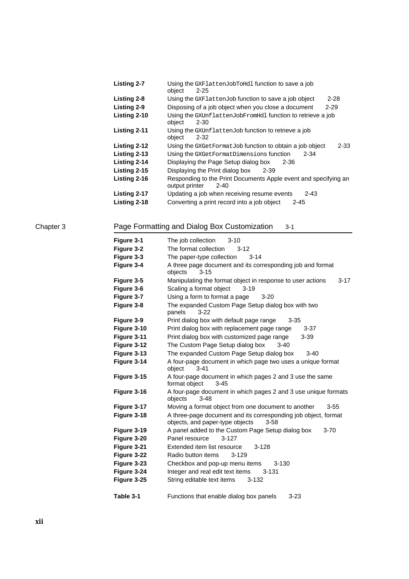| <b>Listing 2-7</b> | Using the GXF1attenJobToHd1 function to save a job<br>object<br>$2 - 25$                      |
|--------------------|-----------------------------------------------------------------------------------------------|
| Listing 2-8        | Using the GXFlattenJob function to save a job object<br>$2 - 28$                              |
| Listing 2-9        | Disposing of a job object when you close a document<br>$2 - 29$                               |
| Listing 2-10       | Using the GXUnflattenJobFromHdl function to retrieve a job<br>object<br>$2 - 30$              |
| Listing 2-11       | Using the GXUnflattenJob function to retrieve a job<br>object<br>2-32                         |
| Listing 2-12       | $2 - 33$<br>Using the GXGetFormatJob function to obtain a job object                          |
| Listing 2-13       | Using the GXGetFormatDimensions function<br>$2 - 34$                                          |
| Listing 2-14       | Displaying the Page Setup dialog box<br>2-36                                                  |
| Listing 2-15       | Displaying the Print dialog box<br>2-39                                                       |
| Listing 2-16       | Responding to the Print Documents Apple event and specifying an<br>output printer<br>$2 - 40$ |
| Listing 2-17       | Updating a job when receiving resume events<br>$2 - 43$                                       |
| Listing 2-18       | Converting a print record into a job object<br>2-45                                           |

### Chapter 3 Page Formatting and Dialog Box Customization 3-1

| Figure 3-1  | The job collection<br>$3 - 10$                                                                                |
|-------------|---------------------------------------------------------------------------------------------------------------|
|             | The format collection<br>$3 - 12$                                                                             |
| Figure 3-2  |                                                                                                               |
| Figure 3-3  | The paper-type collection<br>$3 - 14$                                                                         |
| Figure 3-4  | A three page document and its corresponding job and format<br>objects<br>$3 - 15$                             |
| Figure 3-5  | Manipulating the format object in response to user actions<br>$3 - 17$                                        |
| Figure 3-6  | Scaling a format object<br>$3 - 19$                                                                           |
| Figure 3-7  | Using a form to format a page<br>$3-20$                                                                       |
| Figure 3-8  | The expanded Custom Page Setup dialog box with two<br>panels<br>$3-22$                                        |
| Figure 3-9  | Print dialog box with default page range<br>$3 - 35$                                                          |
| Figure 3-10 | Print dialog box with replacement page range<br>$3 - 37$                                                      |
| Figure 3-11 | Print dialog box with customized page range<br>$3 - 39$                                                       |
| Figure 3-12 | The Custom Page Setup dialog box<br>$3-40$                                                                    |
| Figure 3-13 | The expanded Custom Page Setup dialog box<br>$3 - 40$                                                         |
| Figure 3-14 | A four-page document in which page two uses a unique format<br>object<br>$3 - 41$                             |
| Figure 3-15 | A four-page document in which pages 2 and 3 use the same<br>format object<br>$3 - 45$                         |
| Figure 3-16 | A four-page document in which pages 2 and 3 use unique formats<br>objects<br>$3 - 48$                         |
| Figure 3-17 | Moving a format object from one document to another<br>$3 - 55$                                               |
| Figure 3-18 | A three-page document and its corresponding job object, format<br>objects, and paper-type objects<br>$3 - 58$ |
| Figure 3-19 | A panel added to the Custom Page Setup dialog box<br>$3 - 70$                                                 |
| Figure 3-20 | Panel resource<br>$3-127$                                                                                     |
| Figure 3-21 | Extended item list resource<br>$3 - 128$                                                                      |
| Figure 3-22 | Radio button items<br>$3 - 129$                                                                               |
| Figure 3-23 | Checkbox and pop-up menu items<br>$3 - 130$                                                                   |
| Figure 3-24 | Integer and real edit text items<br>$3 - 131$                                                                 |
| Figure 3-25 | String editable text items<br>$3 - 132$                                                                       |
| Table 3-1   | Functions that enable dialog box panels<br>$3 - 23$                                                           |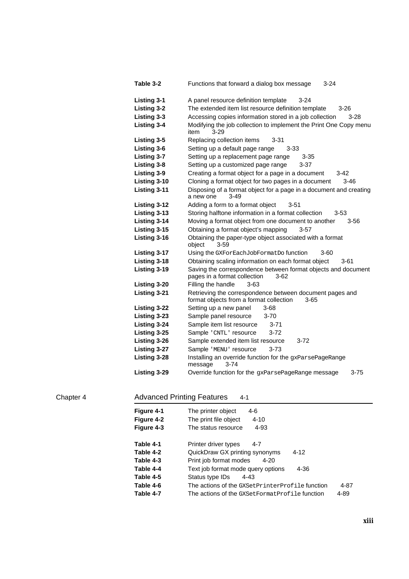| Table 3-2          | Functions that forward a dialog box message<br>$3 - 24$                                                     |
|--------------------|-------------------------------------------------------------------------------------------------------------|
| <b>Listing 3-1</b> | A panel resource definition template<br>$3 - 24$                                                            |
| <b>Listing 3-2</b> | The extended item list resource definition template<br>$3 - 26$                                             |
| Listing 3-3        | Accessing copies information stored in a job collection<br>$3 - 28$                                         |
| <b>Listing 3-4</b> | Modifying the job collection to implement the Print One Copy menu<br>item<br>$3-29$                         |
| Listing 3-5        | Replacing collection items<br>$3 - 31$                                                                      |
| Listing 3-6        | Setting up a default page range<br>3-33                                                                     |
| Listing 3-7        | Setting up a replacement page range<br>$3 - 35$                                                             |
| Listing 3-8        | Setting up a customized page range<br>3-37                                                                  |
| <b>Listing 3-9</b> | Creating a format object for a page in a document<br>$3-42$                                                 |
| Listing 3-10       | Cloning a format object for two pages in a document<br>$3 - 46$                                             |
| Listing 3-11       | Disposing of a format object for a page in a document and creating<br>a new one<br>3-49                     |
| Listing 3-12       | Adding a form to a format object<br>3-51                                                                    |
| Listing 3-13       | Storing halftone information in a format collection<br>3-53                                                 |
| Listing 3-14       | Moving a format object from one document to another<br>$3 - 56$                                             |
| Listing 3-15       | Obtaining a format object's mapping<br>$3-57$                                                               |
| Listing 3-16       | Obtaining the paper-type object associated with a format<br>object<br>$3 - 59$                              |
| Listing 3-17       | Using the GXForEachJobFormatDo function<br>$3 - 60$                                                         |
| Listing 3-18       | Obtaining scaling information on each format object<br>$3 - 61$                                             |
| Listing 3-19       | Saving the correspondence between format objects and document<br>pages in a format collection<br>$3-62$     |
| Listing 3-20       | Filling the handle<br>$3-63$                                                                                |
| Listing 3-21       | Retrieving the correspondence between document pages and<br>format objects from a format collection<br>3-65 |
| Listing 3-22       | Setting up a new panel<br>$3 - 68$                                                                          |
| Listing 3-23       | Sample panel resource<br>$3 - 70$                                                                           |
| Listing 3-24       | Sample item list resource<br>$3 - 71$                                                                       |
| Listing 3-25       | Sample 'CNTL' resource<br>3-72                                                                              |
| Listing 3-26       | Sample extended item list resource<br>$3 - 72$                                                              |
| Listing 3-27       | $3 - 73$<br>Sample 'MENU' resource                                                                          |
| Listing 3-28       | Installing an override function for the gxParsePageRange<br>message<br>$3 - 74$                             |
| Listing 3-29       | Override function for the gxParsePageRange message<br>3-75                                                  |

### Chapter 4 **Advanced Printing Features** 4-1

| Figure 4-1<br><b>Figure 4-2</b><br>Figure 4-3    | The printer object<br>4-6<br>The print file object<br>$4 - 10$<br>$4 - 93$<br>The status resource                                                         |
|--------------------------------------------------|-----------------------------------------------------------------------------------------------------------------------------------------------------------|
| Table 4-1<br>Table 4-2<br>Table 4-3<br>Table 4-4 | Printer driver types<br>4-7<br>QuickDraw GX printing synonyms<br>$4 - 12$<br>Print job format modes<br>4-20<br>Text job format mode query options<br>4-36 |
| Table 4-5<br>Table 4-6<br>Table 4-7              | Status type IDs<br>4-43<br>The actions of the GXSetPrinterProfile function<br>4-87<br>The actions of the GXSetFormatProfile function<br>4-89              |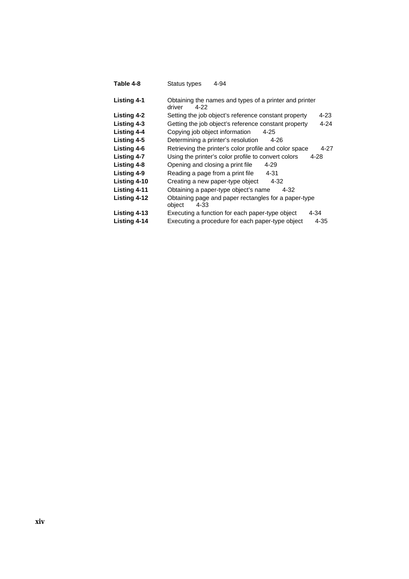| Table 4-8          | 4-94<br>Status types                                                       |
|--------------------|----------------------------------------------------------------------------|
| Listing 4-1        | Obtaining the names and types of a printer and printer<br>driver<br>4-22   |
| <b>Listing 4-2</b> | Setting the job object's reference constant property<br>4-23               |
| Listing 4-3        | Getting the job object's reference constant property<br>$4 - 24$           |
| <b>Listing 4-4</b> | Copying job object information<br>4-25                                     |
| Listing 4-5        | Determining a printer's resolution<br>4-26                                 |
| <b>Listing 4-6</b> | Retrieving the printer's color profile and color space<br>4-27             |
| <b>Listing 4-7</b> | Using the printer's color profile to convert colors<br>4-28                |
| Listing 4-8        | Opening and closing a print file<br>4-29                                   |
| Listing 4-9        | $4 - 31$<br>Reading a page from a print file                               |
| Listing 4-10       | Creating a new paper-type object<br>$4 - 32$                               |
| Listing 4-11       | Obtaining a paper-type object's name<br>4-32                               |
| Listing 4-12       | Obtaining page and paper rectangles for a paper-type<br>object<br>$4 - 33$ |
| Listing 4-13       | Executing a function for each paper-type object<br>4-34                    |
| Listing 4-14       | Executing a procedure for each paper-type object<br>4-35                   |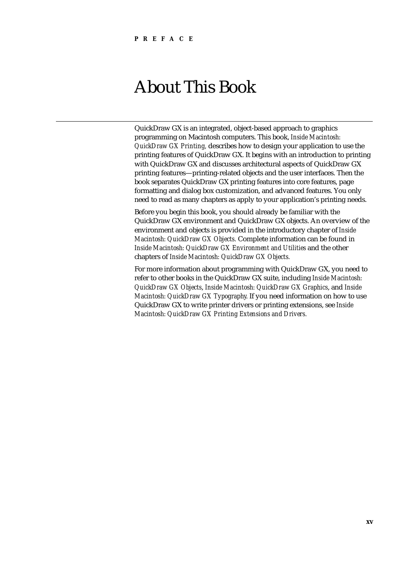# About This Book

QuickDraw GX is an integrated, object-based approach to graphics programming on Macintosh computers. This book, *Inside Macintosh: QuickDraw GX Printing,* describes how to design your application to use the printing features of QuickDraw GX. It begins with an introduction to printing with QuickDraw GX and discusses architectural aspects of QuickDraw GX printing features—printing-related objects and the user interfaces. Then the book separates QuickDraw GX printing features into core features, page formatting and dialog box customization, and advanced features. You only need to read as many chapters as apply to your application's printing needs.

Before you begin this book, you should already be familiar with the QuickDraw GX environment and QuickDraw GX objects. An overview of the environment and objects is provided in the introductory chapter of *Inside Macintosh: QuickDraw GX Objects.* Complete information can be found in *Inside Macintosh: QuickDraw GX Environment and Utilities* and the other chapters of *Inside Macintosh: QuickDraw GX Objects.*

For more information about programming with QuickDraw GX, you need to refer to other books in the QuickDraw GX suite, including *Inside Macintosh: QuickDraw GX Objects*, *Inside Macintosh: QuickDraw GX Graphics*, and *Inside Macintosh: QuickDraw GX Typography*. If you need information on how to use QuickDraw GX to write printer drivers or printing extensions, see *Inside Macintosh: QuickDraw GX Printing Extensions and Drivers.*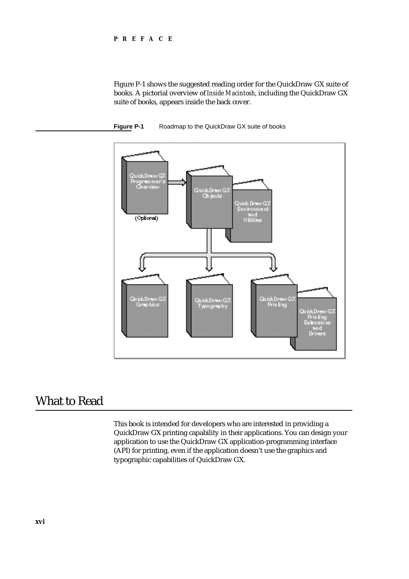#### **PREFACE**

Figure P-1 shows the suggested reading order for the QuickDraw GX suite of books. A pictorial overview of *Inside Macintosh*, including the QuickDraw GX suite of books, appears inside the back cover.





### What to Read

This book is intended for developers who are interested in providing a QuickDraw GX printing capability in their applications. You can design your application to use the QuickDraw GX application-programming interface (API) for printing, even if the application doesn't use the graphics and typographic capabilities of QuickDraw GX.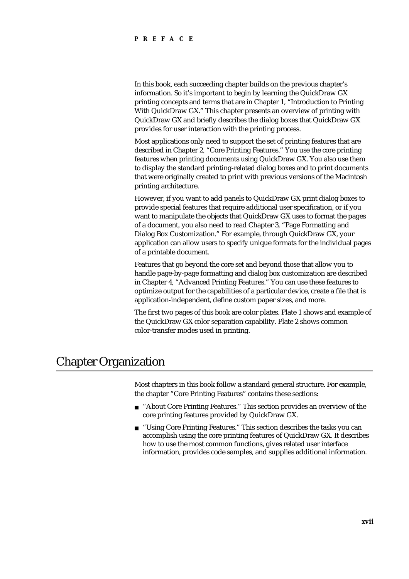#### **PREFACE**

In this book, each succeeding chapter builds on the previous chapter's information. So it's important to begin by learning the QuickDraw GX printing concepts and terms that are in Chapter 1, "Introduction to Printing With QuickDraw GX." This chapter presents an overview of printing with QuickDraw GX and briefly describes the dialog boxes that QuickDraw GX provides for user interaction with the printing process.

Most applications only need to support the set of printing features that are described in Chapter 2, "Core Printing Features." You use the core printing features when printing documents using QuickDraw GX. You also use them to display the standard printing-related dialog boxes and to print documents that were originally created to print with previous versions of the Macintosh printing architecture.

However, if you want to add panels to QuickDraw GX print dialog boxes to provide special features that require additional user specification, or if you want to manipulate the objects that QuickDraw GX uses to format the pages of a document, you also need to read Chapter 3, "Page Formatting and Dialog Box Customization." For example, through QuickDraw GX, your application can allow users to specify unique formats for the individual pages of a printable document.

Features that go beyond the core set and beyond those that allow you to handle page-by-page formatting and dialog box customization are described in Chapter 4, "Advanced Printing Features." You can use these features to optimize output for the capabilities of a particular device, create a file that is application-independent, define custom paper sizes, and more.

The first two pages of this book are color plates. Plate 1 shows and example of the QuickDraw GX color separation capability. Plate 2 shows common color-transfer modes used in printing.

### Chapter Organization

Most chapters in this book follow a standard general structure. For example, the chapter "Core Printing Features" contains these sections:

- "About Core Printing Features." This section provides an overview of the  $\overline{p}$ core printing features provided by QuickDraw GX.
- n "Using Core Printing Features." This section describes the tasks you can accomplish using the core printing features of QuickDraw GX. It describes how to use the most common functions, gives related user interface information, provides code samples, and supplies additional information.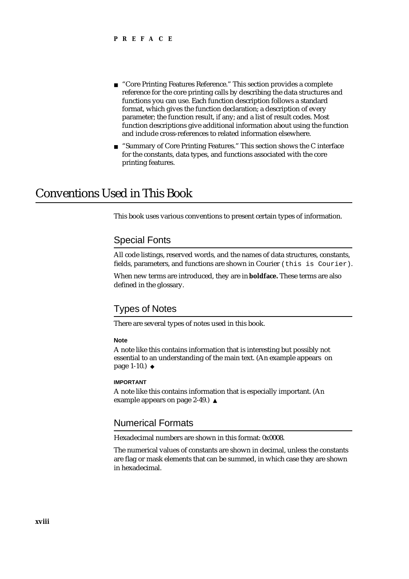- "Core Printing Features Reference." This section provides a complete n. reference for the core printing calls by describing the data structures and functions you can use. Each function description follows a standard format, which gives the function declaration; a description of every parameter; the function result, if any; and a list of result codes. Most function descriptions give additional information about using the function and include cross-references to related information elsewhere.
- "Summary of Core Printing Features." This section shows the C interface  $n$ for the constants, data types, and functions associated with the core printing features.

### Conventions Used in This Book

This book uses various conventions to present certain types of information.

### Special Fonts

All code listings, reserved words, and the names of data structures, constants, fields, parameters, and functions are shown in Courier (this is Courier).

When new terms are introduced, they are in **boldface.** These terms are also defined in the glossary.

#### Types of Notes

There are several types of notes used in this book.

#### **Note**

A note like this contains information that is interesting but possibly not essential to an understanding of the main text. (An example appears on page 1-10.)

#### **IMPORTANT**

A note like this contains information that is especially important. (An example appears on page 2-49.) s

### Numerical Formats

Hexadecimal numbers are shown in this format: 0x0008.

The numerical values of constants are shown in decimal, unless the constants are flag or mask elements that can be summed, in which case they are shown in hexadecimal.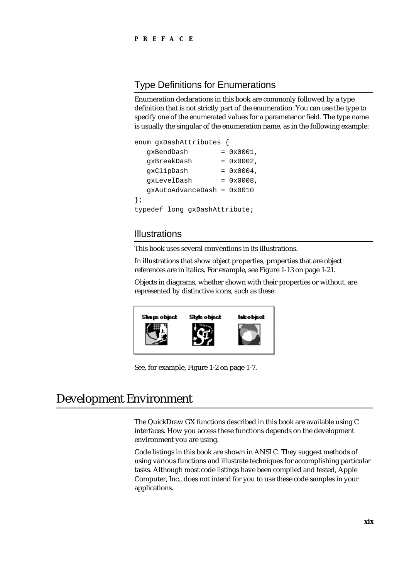### Type Definitions for Enumerations

Enumeration declarations in this book are commonly followed by a type definition that is not strictly part of the enumeration. You can use the type to specify one of the enumerated values for a parameter or field. The type name is usually the singular of the enumeration name, as in the following example:

```
enum gxDashAttributes {
  gxBendDash = 0x0001,
  qxBreakDash = 0x0002,gxClipDash = 0x0004,
  qxLevelDash = 0x0008,
  gxAutoAdvanceDash = 0x0010
};
typedef long gxDashAttribute;
```
### **Illustrations**

This book uses several conventions in its illustrations.

In illustrations that show object properties, properties that are object references are in italics. For example, see Figure 1-13 on page 1-21.

Objects in diagrams, whether shown with their properties or without, are represented by distinctive icons, such as these:



See, for example, Figure 1-2 on page 1-7.

### Development Environment

The QuickDraw GX functions described in this book are available using C interfaces. How you access these functions depends on the development environment you are using.

Code listings in this book are shown in ANSI C. They suggest methods of using various functions and illustrate techniques for accomplishing particular tasks. Although most code listings have been compiled and tested, Apple Computer, Inc., does not intend for you to use these code samples in your applications.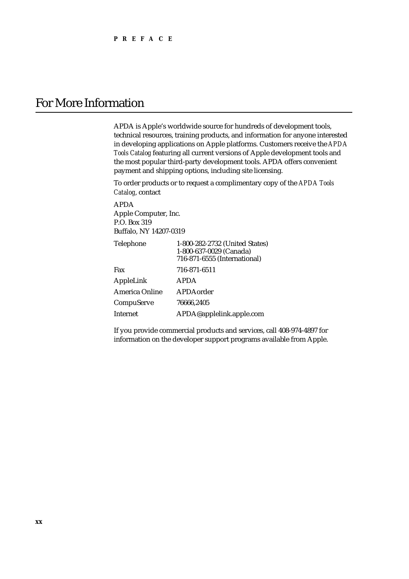### For More Information

APDA is Apple's worldwide source for hundreds of development tools, technical resources, training products, and information for anyone interested in developing applications on Apple platforms. Customers receive the *APDA Tools Catalog* featuring all current versions of Apple development tools and the most popular third-party development tools. APDA offers convenient payment and shipping options, including site licensing.

To order products or to request a complimentary copy of the *APDA Tools Catalog*, contact

APDA Apple Computer, Inc. P.O. Box 319 Buffalo, NY 14207-0319

| Telephone      | 1-800-282-2732 (United States)<br>1-800-637-0029 (Canada)<br>716-871-6555 (International) |
|----------------|-------------------------------------------------------------------------------------------|
| Fax            | 716-871-6511                                                                              |
| AppleLink      | <b>APDA</b>                                                                               |
| America Online | APDAorder                                                                                 |
| CompuServe     | 76666.2405                                                                                |
| Internet       | APDA@applelink.apple.com                                                                  |

If you provide commercial products and services, call 408-974-4897 for information on the developer support programs available from Apple.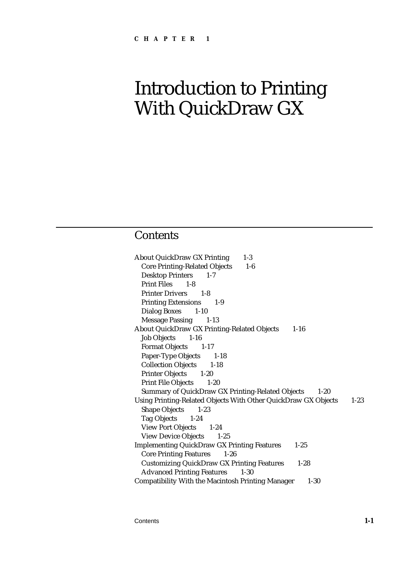### **Contents**

About QuickDraw GX Printing 1-3 Core Printing-Related Objects 1-6 Desktop Printers 1-7 Print Files 1-8 Printer Drivers 1-8 Printing Extensions 1-9 Dialog Boxes 1-10 Message Passing 1-13 About QuickDraw GX Printing-Related Objects 1-16 Job Objects 1-16 Format Objects 1-17 Paper-Type Objects 1-18 Collection Objects 1-18 Printer Objects 1-20 Print File Objects 1-20 Summary of QuickDraw GX Printing-Related Objects 1-20 Using Printing-Related Objects With Other QuickDraw GX Objects 1-23 Shape Objects 1-23 Tag Objects 1-24 View Port Objects 1-24 View Device Objects 1-25 Implementing QuickDraw GX Printing Features 1-25 Core Printing Features 1-26 Customizing QuickDraw GX Printing Features 1-28 Advanced Printing Features 1-30 Compatibility With the Macintosh Printing Manager 1-30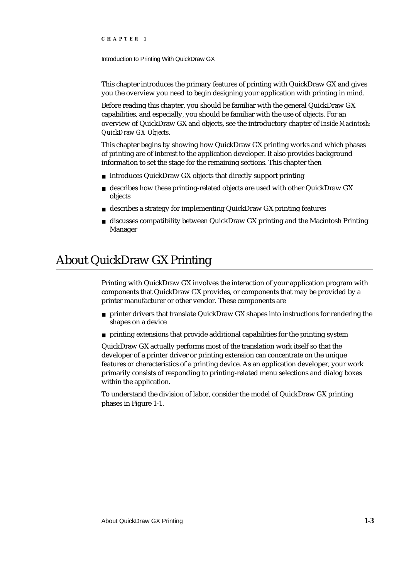Introduction to Printing With QuickDraw GX

This chapter introduces the primary features of printing with QuickDraw GX and gives you the overview you need to begin designing your application with printing in mind.

Before reading this chapter, you should be familiar with the general QuickDraw GX capabilities, and especially, you should be familiar with the use of objects. For an overview of QuickDraw GX and objects, see the introductory chapter of *Inside Macintosh: QuickDraw GX Objects.*

This chapter begins by showing how QuickDraw GX printing works and which phases of printing are of interest to the application developer. It also provides background information to set the stage for the remaining sections. This chapter then

- n introduces QuickDraw GX objects that directly support printing
- describes how these printing-related objects are used with other QuickDraw GX objects
- n describes a strategy for implementing QuickDraw GX printing features
- $n$  discusses compatibility between QuickDraw GX printing and the Macintosh Printing Manager

## About QuickDraw GX Printing

Printing with QuickDraw GX involves the interaction of your application program with components that QuickDraw GX provides, or components that may be provided by a printer manufacturer or other vendor. These components are

- $n$  printer drivers that translate QuickDraw GX shapes into instructions for rendering the shapes on a device
- n printing extensions that provide additional capabilities for the printing system

QuickDraw GX actually performs most of the translation work itself so that the developer of a printer driver or printing extension can concentrate on the unique features or characteristics of a printing device. As an application developer, your work primarily consists of responding to printing-related menu selections and dialog boxes within the application.

To understand the division of labor, consider the model of QuickDraw GX printing phases in Figure 1-1.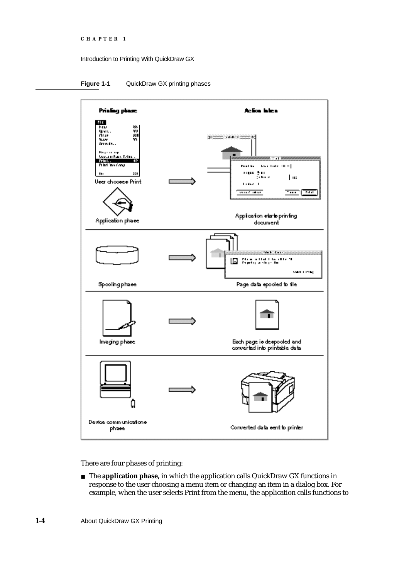```
CHAPTER 1
```
**Figure 1-1** QuickDraw GX printing phases



There are four phases of printing:

The **application phase,** in which the application calls QuickDraw GX functions in response to the user choosing a menu item or changing an item in a dialog box. For example, when the user selects Print from the menu, the application calls functions to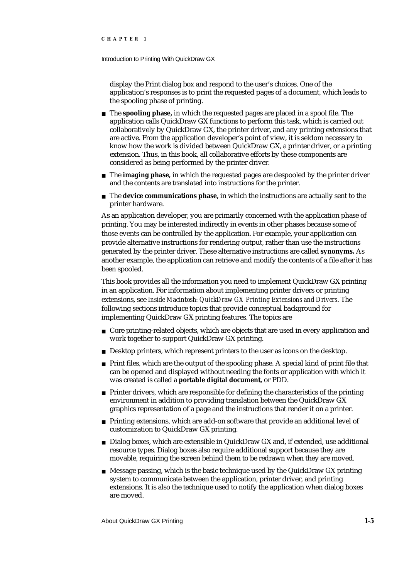#### Introduction to Printing With QuickDraw GX

display the Print dialog box and respond to the user's choices. One of the application's responses is to print the requested pages of a document, which leads to the spooling phase of printing.

- The **spooling phase,** in which the requested pages are placed in a spool file. The application calls QuickDraw GX functions to perform this task, which is carried out collaboratively by QuickDraw GX, the printer driver, and any printing extensions that are active. From the application developer's point of view, it is seldom necessary to know how the work is divided between QuickDraw GX, a printer driver, or a printing extension. Thus, in this book, all collaborative efforts by these components are considered as being performed by the printer driver.
- n The **imaging phase**, in which the requested pages are despooled by the printer driver and the contents are translated into instructions for the printer.
- The **device communications phase,** in which the instructions are actually sent to the printer hardware.

As an application developer, you are primarily concerned with the application phase of printing. You may be interested indirectly in events in other phases because some of those events can be controlled by the application. For example, your application can provide alternative instructions for rendering output, rather than use the instructions generated by the printer driver. These alternative instructions are called **synonyms.** As another example, the application can retrieve and modify the contents of a file after it has been spooled.

This book provides all the information you need to implement QuickDraw GX printing in an application. For information about implementing printer drivers or printing extensions, see *Inside Macintosh: QuickDraw GX Printing Extensions and Drivers*. The following sections introduce topics that provide conceptual background for implementing QuickDraw GX printing features. The topics are

- n Core printing-related objects, which are objects that are used in every application and work together to support QuickDraw GX printing.
- n Desktop printers, which represent printers to the user as icons on the desktop.
- $n$  Print files, which are the output of the spooling phase. A special kind of print file that can be opened and displayed without needing the fonts or application with which it was created is called a **portable digital document,** or PDD.
- $n$  Printer drivers, which are responsible for defining the characteristics of the printing environment in addition to providing translation between the QuickDraw GX graphics representation of a page and the instructions that render it on a printer.
- Printing extensions, which are add-on software that provide an additional level of customization to QuickDraw GX printing.
- Dialog boxes, which are extensible in QuickDraw GX and, if extended, use additional resource types. Dialog boxes also require additional support because they are movable, requiring the screen behind them to be redrawn when they are moved.
- $n$  Message passing, which is the basic technique used by the QuickDraw GX printing system to communicate between the application, printer driver, and printing extensions. It is also the technique used to notify the application when dialog boxes are moved.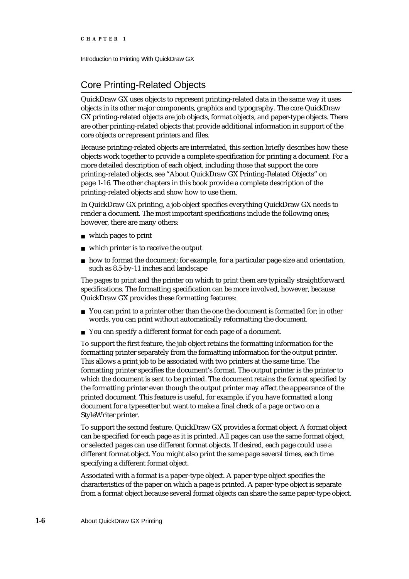### Core Printing-Related Objects

QuickDraw GX uses objects to represent printing-related data in the same way it uses objects in its other major components, graphics and typography. The core QuickDraw GX printing-related objects are job objects, format objects, and paper-type objects. There are other printing-related objects that provide additional information in support of the core objects or represent printers and files.

Because printing-related objects are interrelated, this section briefly describes how these objects work together to provide a complete specification for printing a document. For a more detailed description of each object, including those that support the core printing-related objects, see "About QuickDraw GX Printing-Related Objects" on page 1-16. The other chapters in this book provide a complete description of the printing-related objects and show how to use them.

In QuickDraw GX printing, a job object specifies everything QuickDraw GX needs to render a document. The most important specifications include the following ones; however, there are many others:

- which pages to print
- which printer is to receive the output
- $h$  how to format the document; for example, for a particular page size and orientation, such as 8.5-by-11 inches and landscape

The pages to print and the printer on which to print them are typically straightforward specifications. The formatting specification can be more involved, however, because QuickDraw GX provides these formatting features:

- $n$  You can print to a printer other than the one the document is formatted for; in other words, you can print without automatically reformatting the document.
- n You can specify a different format for each page of a document.

To support the first feature, the job object retains the formatting information for the formatting printer separately from the formatting information for the output printer. This allows a print job to be associated with two printers at the same time. The formatting printer specifies the document's format. The output printer is the printer to which the document is sent to be printed. The document retains the format specified by the formatting printer even though the output printer may affect the appearance of the printed document. This feature is useful, for example, if you have formatted a long document for a typesetter but want to make a final check of a page or two on a StyleWriter printer.

To support the second feature, QuickDraw GX provides a format object. A format object can be specified for each page as it is printed. All pages can use the same format object, or selected pages can use different format objects. If desired, each page could use a different format object. You might also print the same page several times, each time specifying a different format object.

Associated with a format is a paper-type object. A paper-type object specifies the characteristics of the paper on which a page is printed. A paper-type object is separate from a format object because several format objects can share the same paper-type object.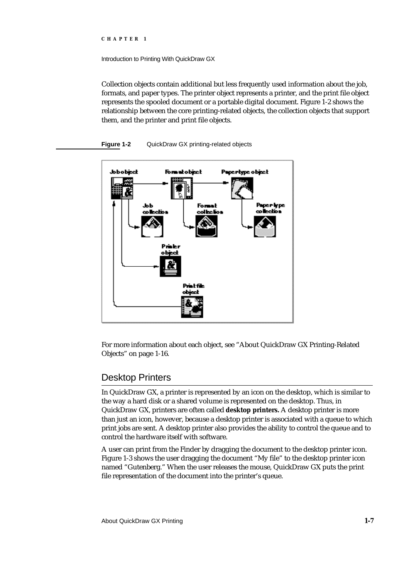Introduction to Printing With QuickDraw GX

Collection objects contain additional but less frequently used information about the job, formats, and paper types. The printer object represents a printer, and the print file object represents the spooled document or a portable digital document. Figure 1-2 shows the relationship between the core printing-related objects, the collection objects that support them, and the printer and print file objects.

**Figure 1-2** QuickDraw GX printing-related objects



For more information about each object, see "About QuickDraw GX Printing-Related Objects" on page 1-16.

### Desktop Printers

In QuickDraw GX, a printer is represented by an icon on the desktop, which is similar to the way a hard disk or a shared volume is represented on the desktop. Thus, in QuickDraw GX, printers are often called **desktop printers.** A desktop printer is more than just an icon, however, because a desktop printer is associated with a queue to which print jobs are sent. A desktop printer also provides the ability to control the queue and to control the hardware itself with software.

A user can print from the Finder by dragging the document to the desktop printer icon. Figure 1-3 shows the user dragging the document "My file" to the desktop printer icon named "Gutenberg." When the user releases the mouse, QuickDraw GX puts the print file representation of the document into the printer's queue.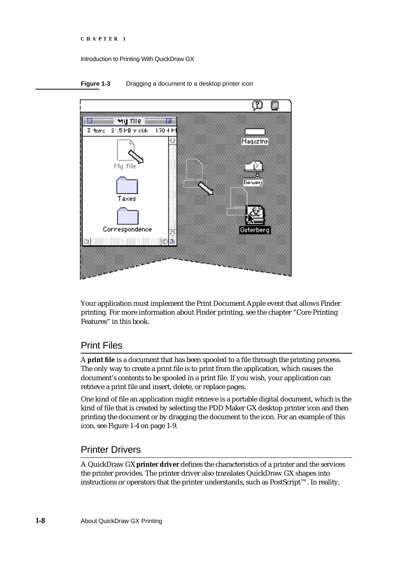```
CHAPTER 1
```


**Figure 1-3** Dragging a document to a desktop printer icon

Your application must implement the Print Document Apple event that allows Finder printing. For more information about Finder printing, see the chapter "Core Printing Features" in this book.

### Print Files

A **print file** is a document that has been spooled to a file through the printing process. The only way to create a print file is to print from the application, which causes the document's contents to be spooled in a print file. If you wish, your application can retrieve a print file and insert, delete, or replace pages.

One kind of file an application might retrieve is a portable digital document, which is the kind of file that is created by selecting the PDD Maker GX desktop printer icon and then printing the document or by dragging the document to the icon. For an example of this icon, see Figure 1-4 on page 1-9.

### Printer Drivers

A QuickDraw GX **printer driver** defines the characteristics of a printer and the services the printer provides. The printer driver also translates QuickDraw GX shapes into instructions or operators that the printer understands, such as PostScript™. In reality,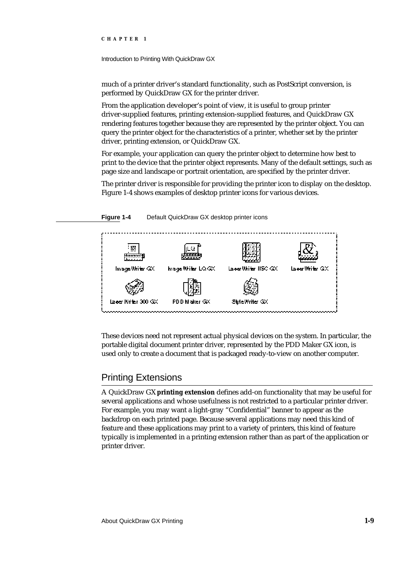Introduction to Printing With QuickDraw GX

much of a printer driver's standard functionality, such as PostScript conversion, is performed by QuickDraw GX for the printer driver.

From the application developer's point of view, it is useful to group printer driver-supplied features, printing extension-supplied features, and QuickDraw GX rendering features together because they are represented by the printer object. You can query the printer object for the characteristics of a printer, whether set by the printer driver, printing extension, or QuickDraw GX.

For example, your application can query the printer object to determine how best to print to the device that the printer object represents. Many of the default settings, such as page size and landscape or portrait orientation, are specified by the printer driver.

The printer driver is responsible for providing the printer icon to display on the desktop. Figure 1-4 shows examples of desktop printer icons for various devices.

Image Writer GX Inage Write: LQ GX Laes Write: IISC GX Laeer Writer 300 GX PDD Maker GX StyleWriter GX

**Figure 1-4** Default QuickDraw GX desktop printer icons

These devices need not represent actual physical devices on the system. In particular, the portable digital document printer driver, represented by the PDD Maker GX icon, is used only to create a document that is packaged ready-to-view on another computer.

### Printing Extensions

A QuickDraw GX **printing extension** defines add-on functionality that may be useful for several applications and whose usefulness is not restricted to a particular printer driver. For example, you may want a light-gray "Confidential" banner to appear as the backdrop on each printed page. Because several applications may need this kind of feature and these applications may print to a variety of printers, this kind of feature typically is implemented in a printing extension rather than as part of the application or printer driver.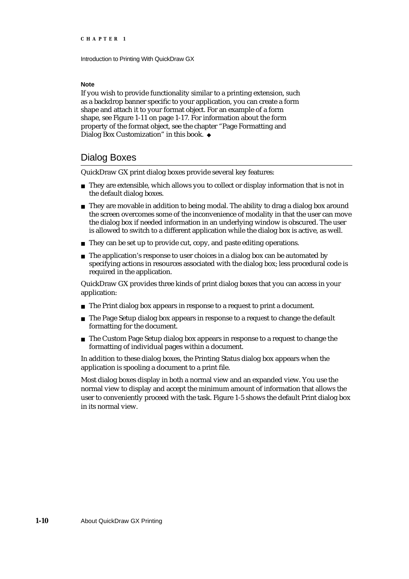#### **Note**

If you wish to provide functionality similar to a printing extension, such as a backdrop banner specific to your application, you can create a form shape and attach it to your format object. For an example of a form shape, see Figure 1-11 on page 1-17. For information about the form property of the format object, see the chapter "Page Formatting and Dialog Box Customization" in this book. u

### Dialog Boxes

QuickDraw GX print dialog boxes provide several key features:

- $n$  They are extensible, which allows you to collect or display information that is not in the default dialog boxes.
- $n$  They are movable in addition to being modal. The ability to drag a dialog box around the screen overcomes some of the inconvenience of modality in that the user can move the dialog box if needed information in an underlying window is obscured. The user is allowed to switch to a different application while the dialog box is active, as well.
- n They can be set up to provide cut, copy, and paste editing operations.
- n The application's response to user choices in a dialog box can be automated by specifying actions in resources associated with the dialog box; less procedural code is required in the application.

QuickDraw GX provides three kinds of print dialog boxes that you can access in your application:

- n The Print dialog box appears in response to a request to print a document.
- n The Page Setup dialog box appears in response to a request to change the default formatting for the document.
- n The Custom Page Setup dialog box appears in response to a request to change the formatting of individual pages within a document.

In addition to these dialog boxes, the Printing Status dialog box appears when the application is spooling a document to a print file.

Most dialog boxes display in both a normal view and an expanded view. You use the normal view to display and accept the minimum amount of information that allows the user to conveniently proceed with the task. Figure 1-5 shows the default Print dialog box in its normal view.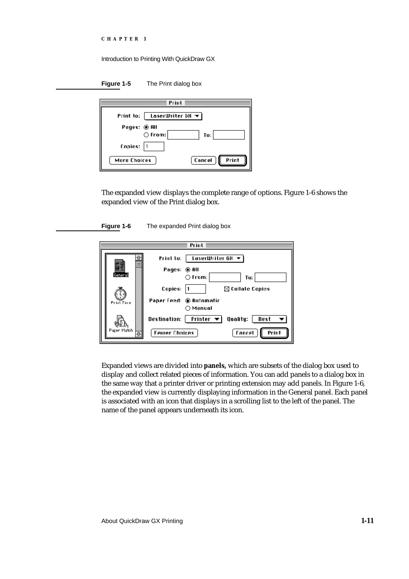|  | <b>CHAPTER</b> |  |  |  |  |  |  |
|--|----------------|--|--|--|--|--|--|
|--|----------------|--|--|--|--|--|--|

**Figure 1-5** The Print dialog box

| Print                                           |                 |  |  |  |
|-------------------------------------------------|-----------------|--|--|--|
| Print to:   LoserWriter 68 $\blacktriangledown$ |                 |  |  |  |
| Pages: © All<br>$\bigcirc$ From:                | To:             |  |  |  |
| Copies:                                         |                 |  |  |  |
| More Choices                                    | Cancel<br>Print |  |  |  |

The expanded view displays the complete range of options. Figure 1-6 shows the expanded view of the Print dialog box.





Expanded views are divided into **panels,** which are subsets of the dialog box used to display and collect related pieces of information. You can add panels to a dialog box in the same way that a printer driver or printing extension may add panels. In Figure 1-6, the expanded view is currently displaying information in the General panel. Each panel is associated with an icon that displays in a scrolling list to the left of the panel. The name of the panel appears underneath its icon.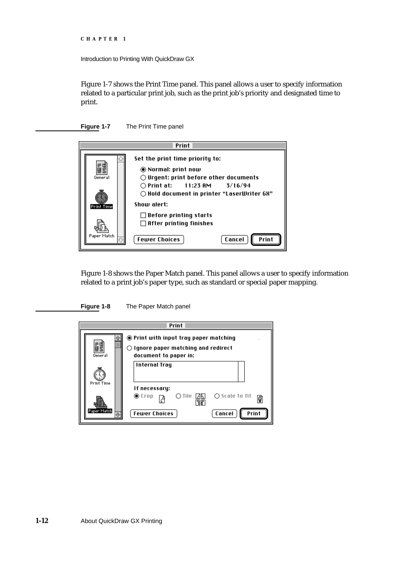```
CHAPTER 1
```
Figure 1-7 shows the Print Time panel. This panel allows a user to specify information related to a particular print job, such as the print job's priority and designated time to print.

**Figure 1-7** The Print Time panel



Figure 1-8 shows the Paper Match panel. This panel allows a user to specify information related to a print job's paper type, such as standard or special paper mapping.

**Figure 1-8** The Paper Match panel

| Print             |                                                                                                                  |  |  |  |  |  |  |
|-------------------|------------------------------------------------------------------------------------------------------------------|--|--|--|--|--|--|
| General           | ◉ Print with input tray paper matching<br>$\bigcirc$ ignore paper matching and redirect<br>document to paper in: |  |  |  |  |  |  |
| <b>Print Time</b> | <b>Internal Tray</b><br>If necessary:                                                                            |  |  |  |  |  |  |
| Paper Match       | $\bigcirc$ Scale to fit<br>$\circledcirc$ Crop<br>O Tile - सिप्त<br>٦<br><b>Fewer Choices</b><br>Print<br>Cancel |  |  |  |  |  |  |
|                   |                                                                                                                  |  |  |  |  |  |  |

**1-12** About QuickDraw GX Printing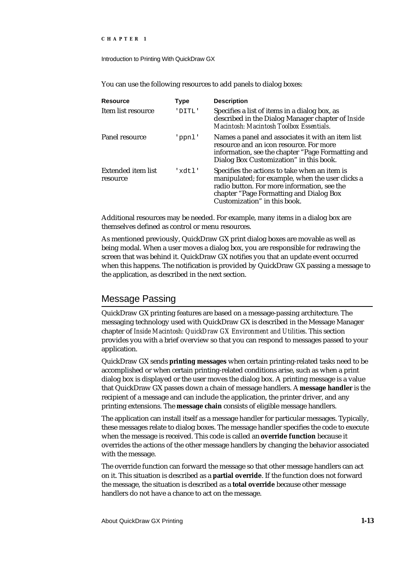Introduction to Printing With QuickDraw GX

You can use the following resources to add panels to dialog boxes:

| <b>Resource</b>                       | Type   | <b>Description</b>                                                                                                                                                                                                          |
|---------------------------------------|--------|-----------------------------------------------------------------------------------------------------------------------------------------------------------------------------------------------------------------------------|
| Item list resource                    | 'DITL' | Specifies a list of items in a dialog box, as<br>described in the Dialog Manager chapter of Inside<br>Macintosh: Macintosh Toolbox Essentials.                                                                              |
| Panel resource                        | 'ppnl' | Names a panel and associates it with an item list<br>resource and an icon resource. For more<br>information, see the chapter "Page Formatting and<br>Dialog Box Customization" in this book.                                |
| <b>Extended item list</b><br>resource | 'xdtl' | Specifies the actions to take when an item is<br>manipulated; for example, when the user clicks a<br>radio button. For more information, see the<br>chapter "Page Formatting and Dialog Box<br>Customization" in this book. |

Additional resources may be needed. For example, many items in a dialog box are themselves defined as control or menu resources.

As mentioned previously, QuickDraw GX print dialog boxes are movable as well as being modal. When a user moves a dialog box, you are responsible for redrawing the screen that was behind it. QuickDraw GX notifies you that an update event occurred when this happens. The notification is provided by QuickDraw GX passing a message to the application, as described in the next section.

### Message Passing

QuickDraw GX printing features are based on a message-passing architecture. The messaging technology used with QuickDraw GX is described in the Message Manager chapter of *Inside Macintosh: QuickDraw GX Environment and Utilities*. This section provides you with a brief overview so that you can respond to messages passed to your application.

QuickDraw GX sends **printing messages** when certain printing-related tasks need to be accomplished or when certain printing-related conditions arise, such as when a print dialog box is displayed or the user moves the dialog box. A printing message is a value that QuickDraw GX passes down a chain of message handlers. A **message handler** is the recipient of a message and can include the application, the printer driver, and any printing extensions. The **message chain** consists of eligible message handlers.

The application can install itself as a message handler for particular messages. Typically, these messages relate to dialog boxes. The message handler specifies the code to execute when the message is received. This code is called an **override function** because it overrides the actions of the other message handlers by changing the behavior associated with the message.

The override function can forward the message so that other message handlers can act on it. This situation is described as a **partial override**. If the function does not forward the message, the situation is described as a **total override** because other message handlers do not have a chance to act on the message.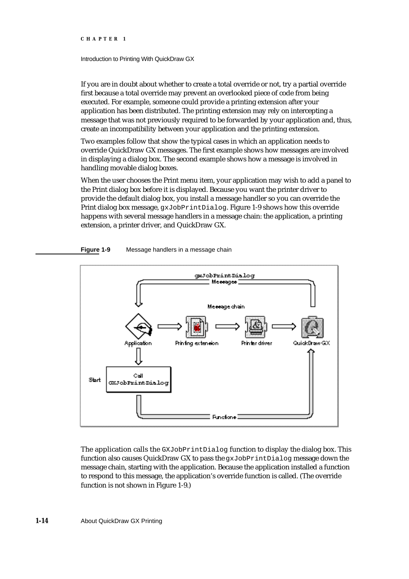#### Introduction to Printing With QuickDraw GX

If you are in doubt about whether to create a total override or not, try a partial override first because a total override may prevent an overlooked piece of code from being executed. For example, someone could provide a printing extension after your application has been distributed. The printing extension may rely on intercepting a message that was not previously required to be forwarded by your application and, thus, create an incompatibility between your application and the printing extension.

Two examples follow that show the typical cases in which an application needs to override QuickDraw GX messages. The first example shows how messages are involved in displaying a dialog box. The second example shows how a message is involved in handling movable dialog boxes.

When the user chooses the Print menu item, your application may wish to add a panel to the Print dialog box before it is displayed. Because you want the printer driver to provide the default dialog box, you install a message handler so you can override the Print dialog box message, gxJobPrintDialog. Figure 1-9 shows how this override happens with several message handlers in a message chain: the application, a printing extension, a printer driver, and QuickDraw GX.





The application calls the  $GXJobPrintDialoq$  function to display the dialog box. This function also causes QuickDraw GX to pass the gxJobPrintDialog message down the message chain, starting with the application. Because the application installed a function to respond to this message, the application's override function is called. (The override function is not shown in Figure 1-9.)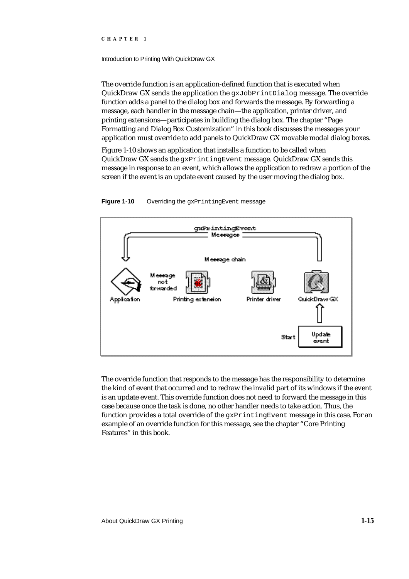#### Introduction to Printing With QuickDraw GX

The override function is an application-defined function that is executed when QuickDraw GX sends the application the gxJobPrintDialog message. The override function adds a panel to the dialog box and forwards the message. By forwarding a message, each handler in the message chain—the application, printer driver, and printing extensions—participates in building the dialog box. The chapter "Page Formatting and Dialog Box Customization" in this book discusses the messages your application must override to add panels to QuickDraw GX movable modal dialog boxes.

Figure 1-10 shows an application that installs a function to be called when QuickDraw GX sends the gxPrintingEvent message. QuickDraw GX sends this message in response to an event, which allows the application to redraw a portion of the screen if the event is an update event caused by the user moving the dialog box.



**Figure 1-10** Overriding the gxPrintingEvent message

The override function that responds to the message has the responsibility to determine the kind of event that occurred and to redraw the invalid part of its windows if the event is an update event. This override function does not need to forward the message in this case because once the task is done, no other handler needs to take action. Thus, the function provides a total override of the gxPrintingEvent message in this case. For an example of an override function for this message, see the chapter "Core Printing Features" in this book.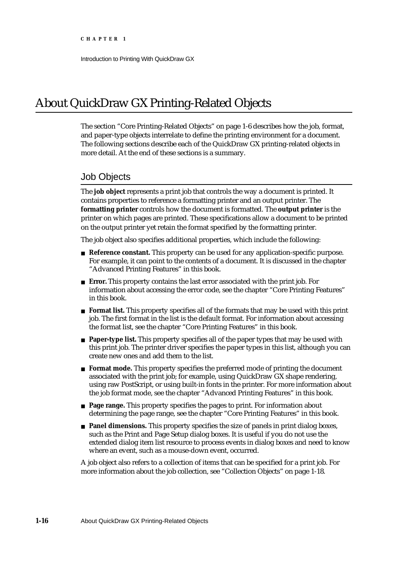### About QuickDraw GX Printing-Related Objects

The section "Core Printing-Related Objects" on page 1-6 describes how the job, format, and paper-type objects interrelate to define the printing environment for a document. The following sections describe each of the QuickDraw GX printing-related objects in more detail. At the end of these sections is a summary.

### Job Objects

The **job object** represents a print job that controls the way a document is printed. It contains properties to reference a formatting printer and an output printer. The **formatting printer** controls how the document is formatted. The **output printer** is the printer on which pages are printed. These specifications allow a document to be printed on the output printer yet retain the format specified by the formatting printer.

The job object also specifies additional properties, which include the following:

- **Reference constant.** This property can be used for any application-specific purpose. For example, it can point to the contents of a document. It is discussed in the chapter "Advanced Printing Features" in this book.
- **Error.** This property contains the last error associated with the print job. For information about accessing the error code, see the chapter "Core Printing Features" in this book.
- **Format list.** This property specifies all of the formats that may be used with this print job. The first format in the list is the default format. For information about accessing the format list, see the chapter "Core Printing Features" in this book.
- **Paper-type list.** This property specifies all of the paper types that may be used with this print job. The printer driver specifies the paper types in this list, although you can create new ones and add them to the list.
- **Format mode.** This property specifies the preferred mode of printing the document associated with the print job; for example, using QuickDraw GX shape rendering, using raw PostScript, or using built-in fonts in the printer. For more information about the job format mode, see the chapter "Advanced Printing Features" in this book.
- **Page range.** This property specifies the pages to print. For information about determining the page range, see the chapter "Core Printing Features" in this book.
- **Panel dimensions.** This property specifies the size of panels in print dialog boxes, such as the Print and Page Setup dialog boxes. It is useful if you do not use the extended dialog item list resource to process events in dialog boxes and need to know where an event, such as a mouse-down event, occurred.

A job object also refers to a collection of items that can be specified for a print job. For more information about the job collection, see "Collection Objects" on page 1-18.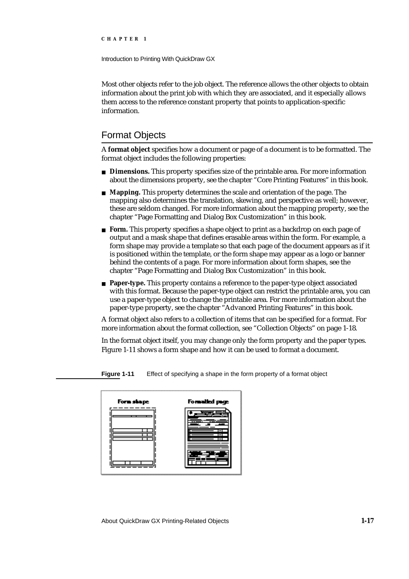Introduction to Printing With QuickDraw GX

Most other objects refer to the job object. The reference allows the other objects to obtain information about the print job with which they are associated, and it especially allows them access to the reference constant property that points to application-specific information.

# Format Objects

A **format object** specifies how a document or page of a document is to be formatted. The format object includes the following properties:

- **Dimensions.** This property specifies size of the printable area. For more information about the dimensions property, see the chapter "Core Printing Features" in this book.
- **Mapping.** This property determines the scale and orientation of the page. The mapping also determines the translation, skewing, and perspective as well; however, these are seldom changed. For more information about the mapping property, see the chapter "Page Formatting and Dialog Box Customization" in this book.
- **Form.** This property specifies a shape object to print as a backdrop on each page of output and a mask shape that defines erasable areas within the form. For example, a form shape may provide a template so that each page of the document appears as if it is positioned within the template, or the form shape may appear as a logo or banner behind the contents of a page. For more information about form shapes, see the chapter "Page Formatting and Dialog Box Customization" in this book.
- **Paper-type.** This property contains a reference to the paper-type object associated with this format. Because the paper-type object can restrict the printable area, you can use a paper-type object to change the printable area. For more information about the paper-type property, see the chapter "Advanced Printing Features" in this book.

A format object also refers to a collection of items that can be specified for a format. For more information about the format collection, see "Collection Objects" on page 1-18.

In the format object itself, you may change only the form property and the paper types. Figure 1-11 shows a form shape and how it can be used to format a document.

Forwalled p Form shape

**Figure 1-11** Effect of specifying a shape in the form property of a format object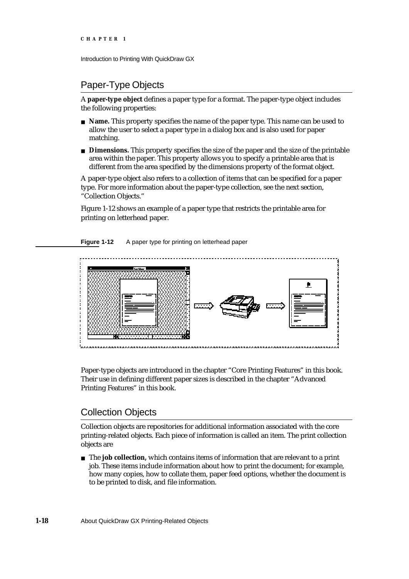```
CHAPTER 1
```
# Paper-Type Objects

A **paper-type object** defines a paper type for a format. The paper-type object includes the following properties:

- **Name.** This property specifies the name of the paper type. This name can be used to allow the user to select a paper type in a dialog box and is also used for paper matching.
- **Dimensions.** This property specifies the size of the paper and the size of the printable area within the paper. This property allows you to specify a printable area that is different from the area specified by the dimensions property of the format object.

A paper-type object also refers to a collection of items that can be specified for a paper type. For more information about the paper-type collection, see the next section, "Collection Objects."

Figure 1-12 shows an example of a paper type that restricts the printable area for printing on letterhead paper.

**Figure 1-12** A paper type for printing on letterhead paper



Paper-type objects are introduced in the chapter "Core Printing Features" in this book. Their use in defining different paper sizes is described in the chapter "Advanced Printing Features" in this book.

# Collection Objects

Collection objects are repositories for additional information associated with the core printing-related objects. Each piece of information is called an item. The print collection objects are

The **job collection,** which contains items of information that are relevant to a print job. These items include information about how to print the document; for example, how many copies, how to collate them, paper feed options, whether the document is to be printed to disk, and file information.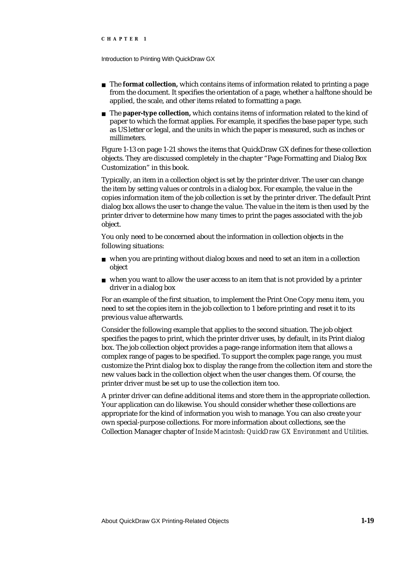Introduction to Printing With QuickDraw GX

- n The **format collection**, which contains items of information related to printing a page from the document. It specifies the orientation of a page, whether a halftone should be applied, the scale, and other items related to formatting a page.
- The **paper-type collection,** which contains items of information related to the kind of paper to which the format applies. For example, it specifies the base paper type, such as US letter or legal, and the units in which the paper is measured, such as inches or millimeters.

Figure 1-13 on page 1-21 shows the items that QuickDraw GX defines for these collection objects. They are discussed completely in the chapter "Page Formatting and Dialog Box Customization" in this book.

Typically, an item in a collection object is set by the printer driver. The user can change the item by setting values or controls in a dialog box. For example, the value in the copies information item of the job collection is set by the printer driver. The default Print dialog box allows the user to change the value. The value in the item is then used by the printer driver to determine how many times to print the pages associated with the job object.

You only need to be concerned about the information in collection objects in the following situations:

- when you are printing without dialog boxes and need to set an item in a collection object
- $n$  when you want to allow the user access to an item that is not provided by a printer driver in a dialog box

For an example of the first situation, to implement the Print One Copy menu item, you need to set the copies item in the job collection to 1 before printing and reset it to its previous value afterwards.

Consider the following example that applies to the second situation. The job object specifies the pages to print, which the printer driver uses, by default, in its Print dialog box. The job collection object provides a page-range information item that allows a complex range of pages to be specified. To support the complex page range, you must customize the Print dialog box to display the range from the collection item and store the new values back in the collection object when the user changes them. Of course, the printer driver must be set up to use the collection item too.

A printer driver can define additional items and store them in the appropriate collection. Your application can do likewise. You should consider whether these collections are appropriate for the kind of information you wish to manage. You can also create your own special-purpose collections. For more information about collections, see the Collection Manager chapter of *Inside Macintosh: QuickDraw GX Environment and Utilities*.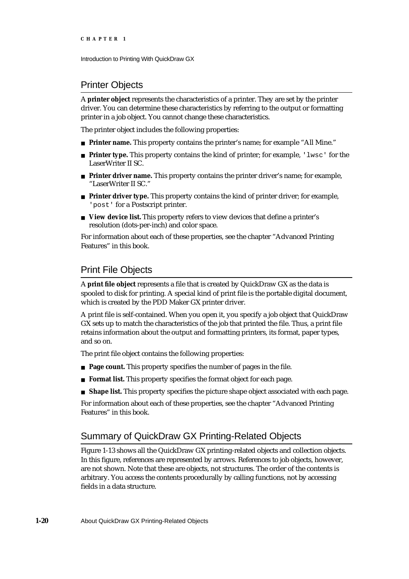# Printer Objects

A **printer object** represents the characteristics of a printer. They are set by the printer driver. You can determine these characteristics by referring to the output or formatting printer in a job object. You cannot change these characteristics.

The printer object includes the following properties:

- **Printer name.** This property contains the printer's name; for example "All Mine."
- **Printer type.** This property contains the kind of printer; for example, 'lwsc' for the LaserWriter II SC.
- **Printer driver name.** This property contains the printer driver's name; for example, "LaserWriter II SC."
- **Printer driver type.** This property contains the kind of printer driver; for example, 'post' for a Postscript printer.
- **View device list.** This property refers to view devices that define a printer's resolution (dots-per-inch) and color space.

For information about each of these properties, see the chapter "Advanced Printing Features" in this book.

# Print File Objects

A **print file object** represents a file that is created by QuickDraw GX as the data is spooled to disk for printing. A special kind of print file is the portable digital document, which is created by the PDD Maker GX printer driver.

A print file is self-contained. When you open it, you specify a job object that QuickDraw GX sets up to match the characteristics of the job that printed the file. Thus, a print file retains information about the output and formatting printers, its format, paper types, and so on.

The print file object contains the following properties:

- **Page count.** This property specifies the number of pages in the file.
- **Format list.** This property specifies the format object for each page.  $n$
- **Shape list.** This property specifies the picture shape object associated with each page.

For information about each of these properties, see the chapter "Advanced Printing Features" in this book.

# Summary of QuickDraw GX Printing-Related Objects

Figure 1-13 shows all the QuickDraw GX printing-related objects and collection objects. In this figure, references are represented by arrows. References to job objects, however, are not shown. Note that these are objects, not structures. The order of the contents is arbitrary. You access the contents procedurally by calling functions, not by accessing fields in a data structure.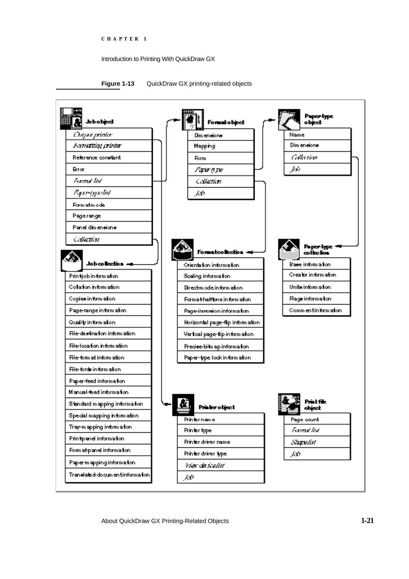## Introduction to Printing With QuickDraw GX



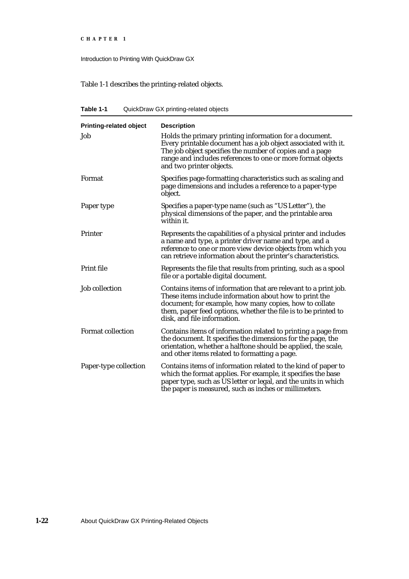```
CHAPTER 1
```
Table 1-1 describes the printing-related objects.

**Table 1-1** QuickDraw GX printing-related objects

| <b>Printing-related object</b> | <b>Description</b>                                                                                                                                                                                                                                                                   |
|--------------------------------|--------------------------------------------------------------------------------------------------------------------------------------------------------------------------------------------------------------------------------------------------------------------------------------|
| Job                            | Holds the primary printing information for a document.<br>Every printable document has a job object associated with it.<br>The job object specifies the number of copies and a page<br>range and includes references to one or more format objects<br>and two printer objects.       |
| Format                         | Specifies page-formatting characteristics such as scaling and<br>page dimensions and includes a reference to a paper-type<br>object.                                                                                                                                                 |
| Paper type                     | Specifies a paper-type name (such as "US Letter"), the<br>physical dimensions of the paper, and the printable area<br>within it.                                                                                                                                                     |
| Printer                        | Represents the capabilities of a physical printer and includes<br>a name and type, a printer driver name and type, and a<br>reference to one or more view device objects from which you<br>can retrieve information about the printer's characteristics.                             |
| Print file                     | Represents the file that results from printing, such as a spool<br>file or a portable digital document.                                                                                                                                                                              |
| <b>Job collection</b>          | Contains items of information that are relevant to a print job.<br>These items include information about how to print the<br>document; for example, how many copies, how to collate<br>them, paper feed options, whether the file is to be printed to<br>disk, and file information. |
| <b>Format collection</b>       | Contains items of information related to printing a page from<br>the document. It specifies the dimensions for the page, the<br>orientation, whether a halftone should be applied, the scale,<br>and other items related to formatting a page.                                       |
| Paper-type collection          | Contains items of information related to the kind of paper to<br>which the format applies. For example, it specifies the base<br>paper type, such as US letter or legal, and the units in which<br>the paper is measured, such as inches or millimeters.                             |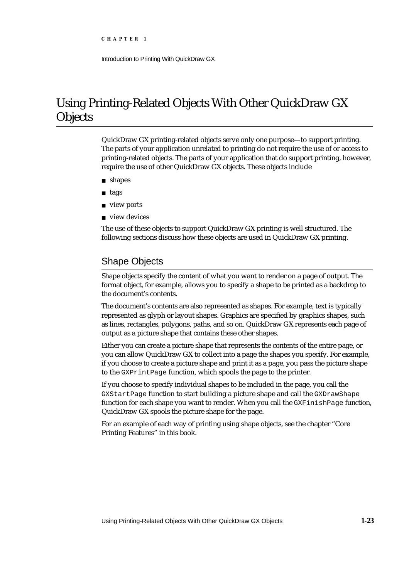# Using Printing-Related Objects With Other QuickDraw GX **Objects**

QuickDraw GX printing-related objects serve only one purpose—to support printing. The parts of your application unrelated to printing do not require the use of or access to printing-related objects. The parts of your application that do support printing, however, require the use of other QuickDraw GX objects. These objects include

- shapes
- tags  $\overline{a}$
- n **view ports**
- n view devices

The use of these objects to support QuickDraw GX printing is well structured. The following sections discuss how these objects are used in QuickDraw GX printing.

# Shape Objects

Shape objects specify the content of what you want to render on a page of output. The format object, for example, allows you to specify a shape to be printed as a backdrop to the document's contents.

The document's contents are also represented as shapes. For example, text is typically represented as glyph or layout shapes. Graphics are specified by graphics shapes, such as lines, rectangles, polygons, paths, and so on. QuickDraw GX represents each page of output as a picture shape that contains these other shapes.

Either you can create a picture shape that represents the contents of the entire page, or you can allow QuickDraw GX to collect into a page the shapes you specify. For example, if you choose to create a picture shape and print it as a page, you pass the picture shape to the GXPrintPage function, which spools the page to the printer.

If you choose to specify individual shapes to be included in the page, you call the GXStartPage function to start building a picture shape and call the GXDrawShape function for each shape you want to render. When you call the GXFinishPage function, QuickDraw GX spools the picture shape for the page.

For an example of each way of printing using shape objects, see the chapter "Core Printing Features" in this book.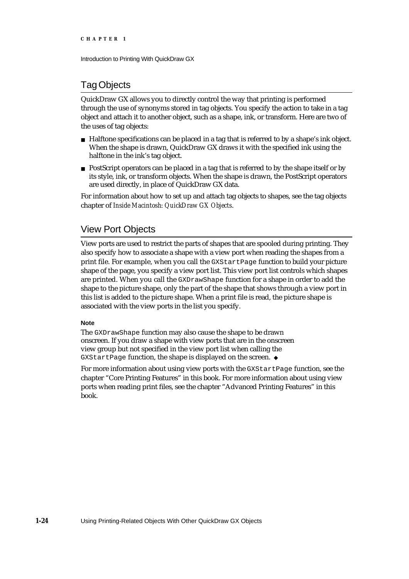```
CHAPTER 1
```
# Tag Objects

QuickDraw GX allows you to directly control the way that printing is performed through the use of synonyms stored in tag objects. You specify the action to take in a tag object and attach it to another object, such as a shape, ink, or transform. Here are two of the uses of tag objects:

- $n$  Halftone specifications can be placed in a tag that is referred to by a shape's ink object. When the shape is drawn, QuickDraw GX draws it with the specified ink using the halftone in the ink's tag object.
- $n$  PostScript operators can be placed in a tag that is referred to by the shape itself or by its style, ink, or transform objects. When the shape is drawn, the PostScript operators are used directly, in place of QuickDraw GX data.

For information about how to set up and attach tag objects to shapes, see the tag objects chapter of *Inside Macintosh: QuickDraw GX Objects*.

# View Port Objects

View ports are used to restrict the parts of shapes that are spooled during printing. They also specify how to associate a shape with a view port when reading the shapes from a print file. For example, when you call the GXStartPage function to build your picture shape of the page, you specify a view port list. This view port list controls which shapes are printed. When you call the GXDrawShape function for a shape in order to add the shape to the picture shape, only the part of the shape that shows through a view port in this list is added to the picture shape. When a print file is read, the picture shape is associated with the view ports in the list you specify.

# **Note**

The GXDrawShape function may also cause the shape to be drawn onscreen. If you draw a shape with view ports that are in the onscreen view group but not specified in the view port list when calling the GXStartPage function, the shape is displayed on the screen. u

For more information about using view ports with the GXStartPage function, see the chapter "Core Printing Features" in this book. For more information about using view ports when reading print files, see the chapter "Advanced Printing Features" in this book.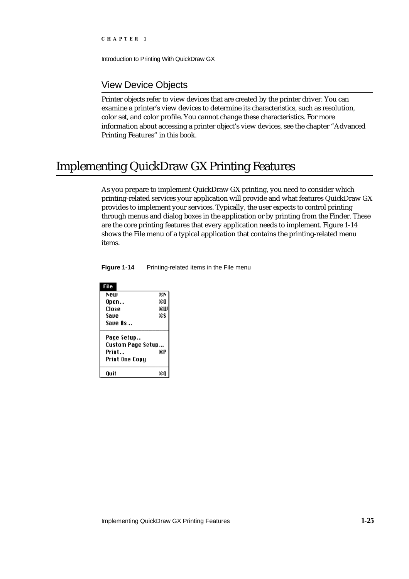Introduction to Printing With QuickDraw GX

# View Device Objects

Printer objects refer to view devices that are created by the printer driver. You can examine a printer's view devices to determine its characteristics, such as resolution, color set, and color profile. You cannot change these characteristics. For more information about accessing a printer object's view devices, see the chapter "Advanced Printing Features" in this book.

# Implementing QuickDraw GX Printing Features

As you prepare to implement QuickDraw GX printing, you need to consider which printing-related services your application will provide and what features QuickDraw GX provides to implement your services. Typically, the user expects to control printing through menus and dialog boxes in the application or by printing from the Finder. These are the core printing features that every application needs to implement. Figure 1-14 shows the File menu of a typical application that contains the printing-related menu items.

| File              |    |  |  |  |
|-------------------|----|--|--|--|
| Ւеш               | ЖN |  |  |  |
| Open              | жO |  |  |  |
| Close             | жW |  |  |  |
| Save              | жs |  |  |  |
| Saue As           |    |  |  |  |
| Page Setup        |    |  |  |  |
| Custom Page Setup |    |  |  |  |
| Print             | жP |  |  |  |
| Print One Copy    |    |  |  |  |
| Ouit              | жR |  |  |  |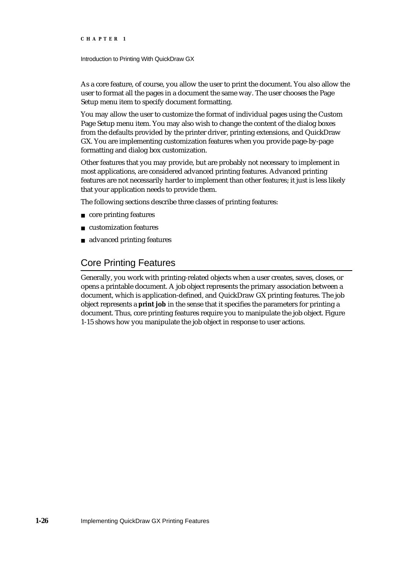Introduction to Printing With QuickDraw GX

As a core feature, of course, you allow the user to print the document. You also allow the user to format all the pages in a document the same way. The user chooses the Page Setup menu item to specify document formatting.

You may allow the user to customize the format of individual pages using the Custom Page Setup menu item. You may also wish to change the content of the dialog boxes from the defaults provided by the printer driver, printing extensions, and QuickDraw GX. You are implementing customization features when you provide page-by-page formatting and dialog box customization.

Other features that you may provide, but are probably not necessary to implement in most applications, are considered advanced printing features. Advanced printing features are not necessarily harder to implement than other features; it just is less likely that your application needs to provide them.

The following sections describe three classes of printing features:

- n core printing features
- customization features
- advanced printing features

# Core Printing Features

Generally, you work with printing-related objects when a user creates, saves, closes, or opens a printable document. A job object represents the primary association between a document, which is application-defined, and QuickDraw GX printing features. The job object represents a **print job** in the sense that it specifies the parameters for printing a document. Thus, core printing features require you to manipulate the job object. Figure 1-15 shows how you manipulate the job object in response to user actions.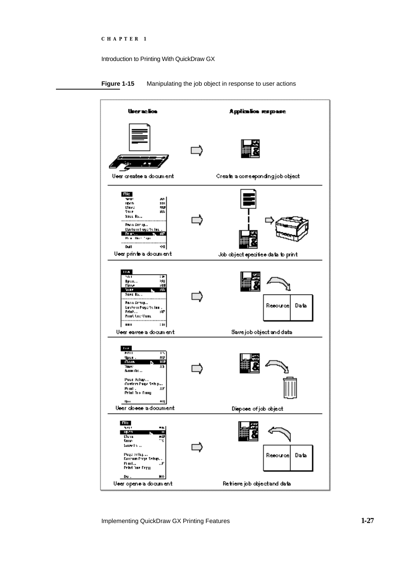



Implementing QuickDraw GX Printing Features **1-27**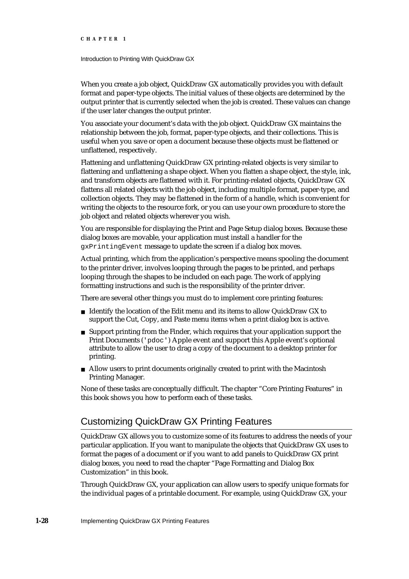Introduction to Printing With QuickDraw GX

When you create a job object, QuickDraw GX automatically provides you with default format and paper-type objects. The initial values of these objects are determined by the output printer that is currently selected when the job is created. These values can change if the user later changes the output printer.

You associate your document's data with the job object. QuickDraw GX maintains the relationship between the job, format, paper-type objects, and their collections. This is useful when you save or open a document because these objects must be flattened or unflattened, respectively.

Flattening and unflattening QuickDraw GX printing-related objects is very similar to flattening and unflattening a shape object. When you flatten a shape object, the style, ink, and transform objects are flattened with it. For printing-related objects, QuickDraw GX flattens all related objects with the job object, including multiple format, paper-type, and collection objects. They may be flattened in the form of a handle, which is convenient for writing the objects to the resource fork, or you can use your own procedure to store the job object and related objects wherever you wish.

You are responsible for displaying the Print and Page Setup dialog boxes. Because these dialog boxes are movable, your application must install a handler for the gxPrintingEvent message to update the screen if a dialog box moves.

Actual printing, which from the application's perspective means spooling the document to the printer driver, involves looping through the pages to be printed, and perhaps looping through the shapes to be included on each page. The work of applying formatting instructions and such is the responsibility of the printer driver.

There are several other things you must do to implement core printing features:

- Identify the location of the Edit menu and its items to allow QuickDraw GX to support the Cut, Copy, and Paste menu items when a print dialog box is active.
- $n$  Support printing from the Finder, which requires that your application support the Print Documents ('pdoc') Apple event and support this Apple event's optional attribute to allow the user to drag a copy of the document to a desktop printer for printing.
- Allow users to print documents originally created to print with the Macintosh Printing Manager.

None of these tasks are conceptually difficult. The chapter "Core Printing Features" in this book shows you how to perform each of these tasks.

# Customizing QuickDraw GX Printing Features

QuickDraw GX allows you to customize some of its features to address the needs of your particular application. If you want to manipulate the objects that QuickDraw GX uses to format the pages of a document or if you want to add panels to QuickDraw GX print dialog boxes, you need to read the chapter "Page Formatting and Dialog Box Customization" in this book.

Through QuickDraw GX, your application can allow users to specify unique formats for the individual pages of a printable document. For example, using QuickDraw GX, your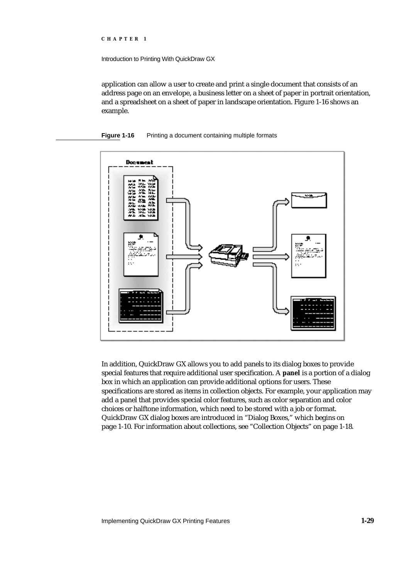```
CHAPTER 1
```
application can allow a user to create and print a single document that consists of an address page on an envelope, a business letter on a sheet of paper in portrait orientation, and a spreadsheet on a sheet of paper in landscape orientation. Figure 1-16 shows an example.





In addition, QuickDraw GX allows you to add panels to its dialog boxes to provide special features that require additional user specification. A **panel** is a portion of a dialog box in which an application can provide additional options for users. These specifications are stored as items in collection objects. For example, your application may add a panel that provides special color features, such as color separation and color choices or halftone information, which need to be stored with a job or format. QuickDraw GX dialog boxes are introduced in "Dialog Boxes," which begins on page 1-10. For information about collections, see "Collection Objects" on page 1-18.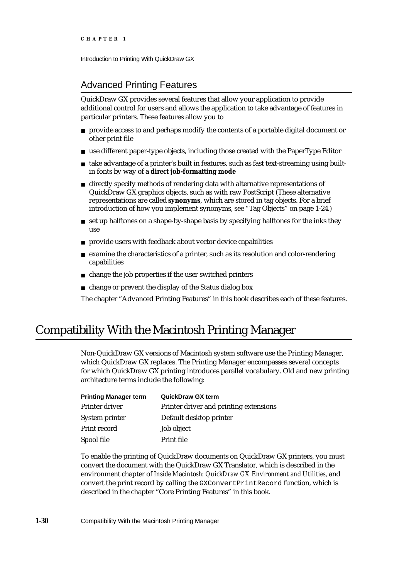# Advanced Printing Features

QuickDraw GX provides several features that allow your application to provide additional control for users and allows the application to take advantage of features in particular printers. These features allow you to

- provide access to and perhaps modify the contents of a portable digital document or other print file
- $n$  use different paper-type objects, including those created with the PaperType Editor
- take advantage of a printer's built in features, such as fast text-streaming using builtin fonts by way of a **direct job-formatting mode**
- n directly specify methods of rendering data with alternative representations of QuickDraw GX graphics objects, such as with raw PostScript (These alternative representations are called **synonyms**, which are stored in tag objects. For a brief introduction of how you implement synonyms, see "Tag Objects" on page 1-24.)
- $n$  set up halftones on a shape-by-shape basis by specifying halftones for the inks they use
- provide users with feedback about vector device capabilities
- examine the characteristics of a printer, such as its resolution and color-rendering capabilities
- $n$  change the job properties if the user switched printers
- change or prevent the display of the Status dialog box

The chapter "Advanced Printing Features" in this book describes each of these features.

# Compatibility With the Macintosh Printing Manager

Non-QuickDraw GX versions of Macintosh system software use the Printing Manager, which QuickDraw GX replaces. The Printing Manager encompasses several concepts for which QuickDraw GX printing introduces parallel vocabulary. Old and new printing architecture terms include the following:

| <b>Printing Manager term</b> | <b>QuickDraw GX term</b>               |
|------------------------------|----------------------------------------|
| Printer driver               | Printer driver and printing extensions |
| System printer               | Default desktop printer                |
| Print record                 | Job object                             |
| Spool file                   | Print file                             |

To enable the printing of QuickDraw documents on QuickDraw GX printers, you must convert the document with the QuickDraw GX Translator, which is described in the environment chapter of *Inside Macintosh: QuickDraw GX Environment and Utilities*, and convert the print record by calling the GXConvertPrintRecord function, which is described in the chapter "Core Printing Features" in this book.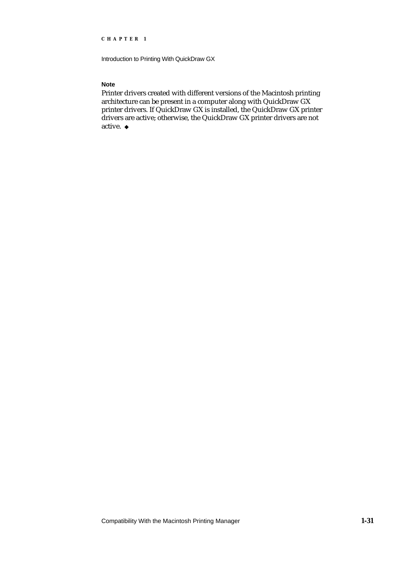Introduction to Printing With QuickDraw GX

# **Note**

Printer drivers created with different versions of the Macintosh printing architecture can be present in a computer along with QuickDraw GX printer drivers. If QuickDraw GX is installed, the QuickDraw GX printer drivers are active; otherwise, the QuickDraw GX printer drivers are not active. u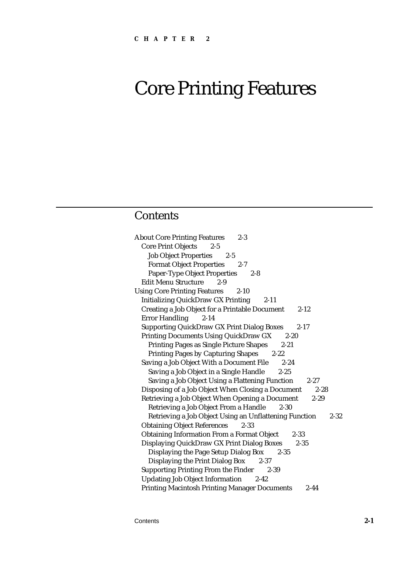# **Contents**

| <b>About Core Printing Features</b><br>$2 - 3$                     |
|--------------------------------------------------------------------|
| <b>Core Print Objects</b><br>$2 - 5$                               |
| <b>Job Object Properties</b><br>$2 - 5$                            |
| <b>Format Object Properties</b><br>$2 - 7$                         |
| <b>Paper-Type Object Properties</b><br>$2 - 8$                     |
| <b>Edit Menu Structure</b><br>$2 - 9$                              |
| <b>Using Core Printing Features</b><br>$2 - 10$                    |
| <b>Initializing QuickDraw GX Printing</b><br>$2-11$                |
| <b>Creating a Job Object for a Printable Document</b><br>$2 - 12$  |
| <b>Error Handling</b><br>$2 - 14$                                  |
| <b>Supporting QuickDraw GX Print Dialog Boxes</b><br>$2 - 17$      |
| <b>Printing Documents Using QuickDraw GX</b><br>$2 - 20$           |
| <b>Printing Pages as Single Picture Shapes</b><br>$2 - 21$         |
| <b>Printing Pages by Capturing Shapes</b><br>$2 - 22$              |
| Saving a Job Object With a Document File<br>$2 - 24$               |
| Saving a Job Object in a Single Handle<br>$2 - 25$                 |
| Saving a Job Object Using a Flattening Function<br>$2 - 27$        |
| Disposing of a Job Object When Closing a Document<br>$2 - 28$      |
| Retrieving a Job Object When Opening a Document<br>$2 - 29$        |
| Retrieving a Job Object From a Handle<br>$2 - 30$                  |
| Retrieving a Job Object Using an Unflattening Function<br>$2 - 32$ |
| <b>Obtaining Object References</b><br>$2 - 33$                     |
| <b>Obtaining Information From a Format Object</b><br>$2 - 33$      |
| Displaying QuickDraw GX Print Dialog Boxes<br>$2 - 35$             |
| Displaying the Page Setup Dialog Box<br>$2 - 35$                   |
| <b>Displaying the Print Dialog Box</b><br>$2 - 37$                 |
| <b>Supporting Printing From the Finder</b><br>$2 - 39$             |
| <b>Updating Job Object Information</b><br>$2 - 42$                 |
| <b>Printing Macintosh Printing Manager Documents</b><br>$2 - 44$   |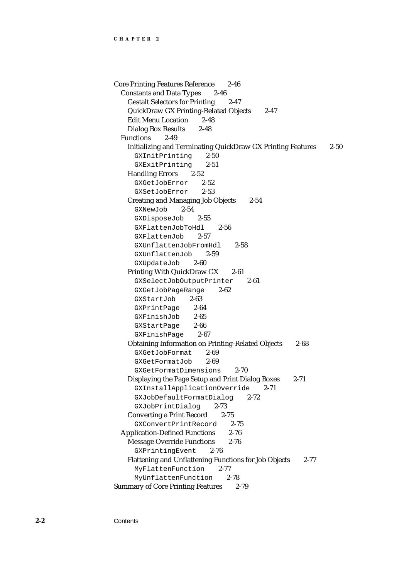Core Printing Features Reference 2-46 Constants and Data Types 2-46 Gestalt Selectors for Printing 2-47 QuickDraw GX Printing-Related Objects 2-47 Edit Menu Location 2-48 Dialog Box Results 2-48 Functions 2-49 Initializing and Terminating QuickDraw GX Printing Features 2-50 GXInitPrinting 2-50 GXExitPrinting 2-51 Handling Errors 2-52 GXGetJobError 2-52 GXSetJobError 2-53 Creating and Managing Job Objects 2-54 GXNewJob 2-54 GXDisposeJob 2-55 GXFlattenJobToHdl 2-56 GXFlattenJob 2-57 GXUnflattenJobFromHdl 2-58 GXUnflattenJob 2-59 GXUpdateJob 2-60 Printing With QuickDraw GX 2-61 GXSelectJobOutputPrinter 2-61 GXGetJobPageRange 2-62 GXStartJob 2-63 GXPrintPage 2-64 GXFinishJob 2-65 GXStartPage 2-66 GXFinishPage 2-67 Obtaining Information on Printing-Related Objects 2-68 GXGetJobFormat 2-69 GXGetFormatJob 2-69 GXGetFormatDimensions 2-70 Displaying the Page Setup and Print Dialog Boxes 2-71 GXInstallApplicationOverride 2-71 GXJobDefaultFormatDialog 2-72 GXJobPrintDialog 2-73 Converting a Print Record 2-75 GXConvertPrintRecord 2-75 Application-Defined Functions 2-76 Message Override Functions 2-76 GXPrintingEvent 2-76 Flattening and Unflattening Functions for Job Objects 2-77 MyFlattenFunction 2-77 MyUnflattenFunction 2-78 Summary of Core Printing Features 2-79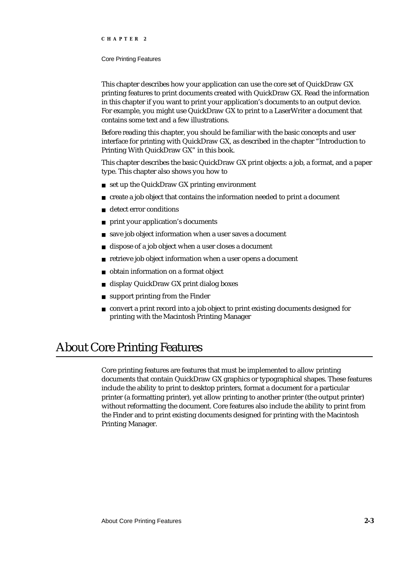## Core Printing Features

This chapter describes how your application can use the core set of QuickDraw GX printing features to print documents created with QuickDraw GX. Read the information in this chapter if you want to print your application's documents to an output device. For example, you might use QuickDraw GX to print to a LaserWriter a document that contains some text and a few illustrations.

Before reading this chapter, you should be familiar with the basic concepts and user interface for printing with QuickDraw GX, as described in the chapter "Introduction to Printing With QuickDraw GX" in this book.

This chapter describes the basic QuickDraw GX print objects: a job, a format, and a paper type. This chapter also shows you how to

- n set up the QuickDraw GX printing environment
- create a job object that contains the information needed to print a document
- detect error conditions  $\overline{D}$
- print your application's documents  $\overline{p}$
- save job object information when a user saves a document  $\overline{D}$
- dispose of a job object when a user closes a document  $\overline{p}$
- retrieve job object information when a user opens a document  $\overline{p}$
- obtain information on a format object  $\overline{p}$
- display QuickDraw GX print dialog boxes  $\overline{p}$
- support printing from the Finder  $\overline{p}$
- convert a print record into a job object to print existing documents designed for  $\overline{a}$ printing with the Macintosh Printing Manager

# About Core Printing Features

Core printing features are features that must be implemented to allow printing documents that contain QuickDraw GX graphics or typographical shapes. These features include the ability to print to desktop printers, format a document for a particular printer (a formatting printer), yet allow printing to another printer (the output printer) without reformatting the document. Core features also include the ability to print from the Finder and to print existing documents designed for printing with the Macintosh Printing Manager.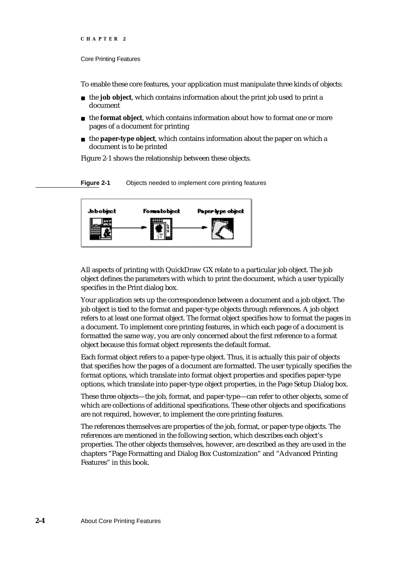#### Core Printing Features

To enable these core features, your application must manipulate three kinds of objects:

- the **job object**, which contains information about the print job used to print a document
- the **format object**, which contains information about how to format one or more pages of a document for printing
- the **paper-type object**, which contains information about the paper on which a document is to be printed

Figure 2-1 shows the relationship between these objects.

**Figure 2-1** Objects needed to implement core printing features



All aspects of printing with QuickDraw GX relate to a particular job object. The job object defines the parameters with which to print the document, which a user typically specifies in the Print dialog box.

Your application sets up the correspondence between a document and a job object. The job object is tied to the format and paper-type objects through references. A job object refers to at least one format object. The format object specifies how to format the pages in a document. To implement core printing features, in which each page of a document is formatted the same way, you are only concerned about the first reference to a format object because this format object represents the default format.

Each format object refers to a paper-type object. Thus, it is actually this pair of objects that specifies how the pages of a document are formatted. The user typically specifies the format options, which translate into format object properties and specifies paper-type options, which translate into paper-type object properties, in the Page Setup Dialog box.

These three objects—the job, format, and paper-type—can refer to other objects, some of which are collections of additional specifications. These other objects and specifications are not required, however, to implement the core printing features.

The references themselves are properties of the job, format, or paper-type objects. The references are mentioned in the following section, which describes each object's properties. The other objects themselves, however, are described as they are used in the chapters "Page Formatting and Dialog Box Customization" and "Advanced Printing Features" in this book.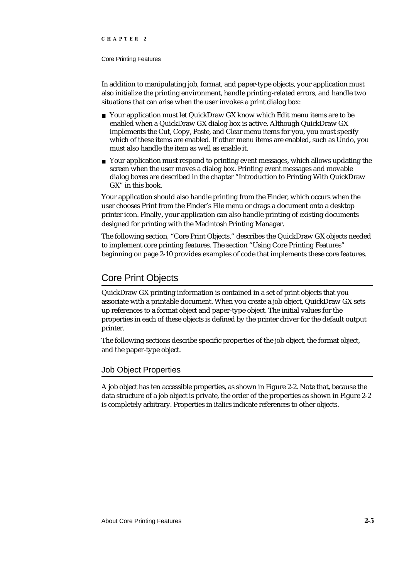## Core Printing Features

In addition to manipulating job, format, and paper-type objects, your application must also initialize the printing environment, handle printing-related errors, and handle two situations that can arise when the user invokes a print dialog box:

- n Your application must let QuickDraw GX know which Edit menu items are to be enabled when a QuickDraw GX dialog box is active. Although QuickDraw GX implements the Cut, Copy, Paste, and Clear menu items for you, you must specify which of these items are enabled. If other menu items are enabled, such as Undo, you must also handle the item as well as enable it.
- $n$  Your application must respond to printing event messages, which allows updating the screen when the user moves a dialog box. Printing event messages and movable dialog boxes are described in the chapter "Introduction to Printing With QuickDraw GX" in this book.

Your application should also handle printing from the Finder, which occurs when the user chooses Print from the Finder's File menu or drags a document onto a desktop printer icon. Finally, your application can also handle printing of existing documents designed for printing with the Macintosh Printing Manager.

The following section, "Core Print Objects," describes the QuickDraw GX objects needed to implement core printing features. The section "Using Core Printing Features" beginning on page 2-10 provides examples of code that implements these core features.

# Core Print Objects

QuickDraw GX printing information is contained in a set of print objects that you associate with a printable document. When you create a job object, QuickDraw GX sets up references to a format object and paper-type object. The initial values for the properties in each of these objects is defined by the printer driver for the default output printer.

The following sections describe specific properties of the job object, the format object, and the paper-type object.

# Job Object Properties

A job object has ten accessible properties, as shown in Figure 2-2. Note that, because the data structure of a job object is private, the order of the properties as shown in Figure 2-2 is completely arbitrary. Properties in italics indicate references to other objects.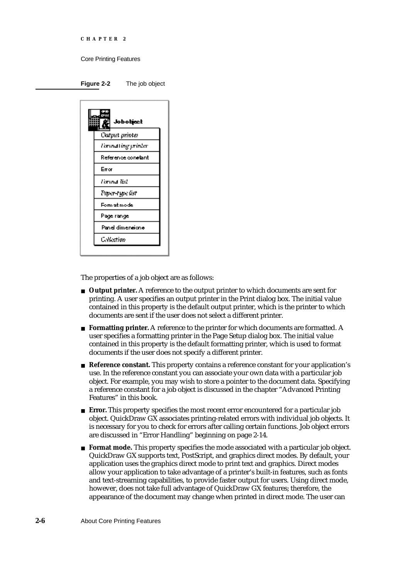```
CHAPTER 2
```




The properties of a job object are as follows:

- **Output printer.** A reference to the output printer to which documents are sent for printing. A user specifies an output printer in the Print dialog box. The initial value contained in this property is the default output printer, which is the printer to which documents are sent if the user does not select a different printer.
- **Formatting printer.** A reference to the printer for which documents are formatted. A user specifies a formatting printer in the Page Setup dialog box. The initial value contained in this property is the default formatting printer, which is used to format documents if the user does not specify a different printer.
- **Reference constant.** This property contains a reference constant for your application's use. In the reference constant you can associate your own data with a particular job object. For example, you may wish to store a pointer to the document data. Specifying a reference constant for a job object is discussed in the chapter "Advanced Printing Features" in this book.
- **Error.** This property specifies the most recent error encountered for a particular job object. QuickDraw GX associates printing-related errors with individual job objects. It is necessary for you to check for errors after calling certain functions. Job object errors are discussed in "Error Handling" beginning on page 2-14.
- **Format mode.** This property specifies the mode associated with a particular job object. QuickDraw GX supports text, PostScript, and graphics direct modes. By default, your application uses the graphics direct mode to print text and graphics. Direct modes allow your application to take advantage of a printer's built-in features, such as fonts and text-streaming capabilities, to provide faster output for users. Using direct mode, however, does not take full advantage of QuickDraw GX features; therefore, the appearance of the document may change when printed in direct mode. The user can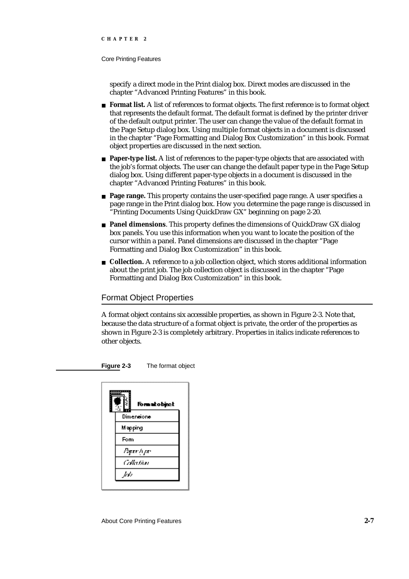## Core Printing Features

specify a direct mode in the Print dialog box. Direct modes are discussed in the chapter "Advanced Printing Features" in this book.

- **Format list.** A list of references to format objects. The first reference is to format object that represents the default format. The default format is defined by the printer driver of the default output printer. The user can change the value of the default format in the Page Setup dialog box. Using multiple format objects in a document is discussed in the chapter "Page Formatting and Dialog Box Customization" in this book. Format object properties are discussed in the next section.
- **Paper-type list.** A list of references to the paper-type objects that are associated with the job's format objects. The user can change the default paper type in the Page Setup dialog box. Using different paper-type objects in a document is discussed in the chapter "Advanced Printing Features" in this book.
- **Page range.** This property contains the user-specified page range. A user specifies a page range in the Print dialog box. How you determine the page range is discussed in "Printing Documents Using QuickDraw GX" beginning on page 2-20.
- **Panel dimensions**. This property defines the dimensions of QuickDraw GX dialog box panels. You use this information when you want to locate the position of the cursor within a panel. Panel dimensions are discussed in the chapter "Page Formatting and Dialog Box Customization" in this book.
- **Collection.** A reference to a job collection object, which stores additional information about the print job. The job collection object is discussed in the chapter "Page Formatting and Dialog Box Customization" in this book.

# Format Object Properties

A format object contains six accessible properties, as shown in Figure 2-3. Note that, because the data structure of a format object is private, the order of the properties as shown in Figure 2-3 is completely arbitrary. Properties in italics indicate references to other objects.

**Figure 2-3** The format object

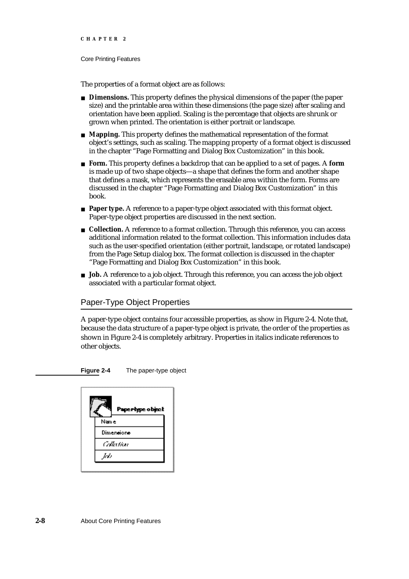### Core Printing Features

The properties of a format object are as follows:

- **Dimensions.** This property defines the physical dimensions of the paper (the paper size) and the printable area within these dimensions (the page size) after scaling and orientation have been applied. Scaling is the percentage that objects are shrunk or grown when printed. The orientation is either portrait or landscape.
- **Mapping.** This property defines the mathematical representation of the format object's settings, such as scaling. The mapping property of a format object is discussed in the chapter "Page Formatting and Dialog Box Customization" in this book.
- **Form.** This property defines a backdrop that can be applied to a set of pages. A **form** is made up of two shape objects—a shape that defines the form and another shape that defines a mask, which represents the erasable area within the form. Forms are discussed in the chapter "Page Formatting and Dialog Box Customization" in this book.
- **Paper type.** A reference to a paper-type object associated with this format object. Paper-type object properties are discussed in the next section.
- **Collection.** A reference to a format collection. Through this reference, you can access additional information related to the format collection. This information includes data such as the user-specified orientation (either portrait, landscape, or rotated landscape) from the Page Setup dialog box. The format collection is discussed in the chapter "Page Formatting and Dialog Box Customization" in this book.
- **Job.** A reference to a job object. Through this reference, you can access the job object associated with a particular format object.

# Paper-Type Object Properties

A paper-type object contains four accessible properties, as show in Figure 2-4. Note that, because the data structure of a paper-type object is private, the order of the properties as shown in Figure 2-4 is completely arbitrary. Properties in italics indicate references to other objects.

**Figure 2-4** The paper-type object

| Paperbype object |  |  |
|------------------|--|--|
| Name.            |  |  |
| Dimensione       |  |  |
| Ottation         |  |  |
| W                |  |  |
|                  |  |  |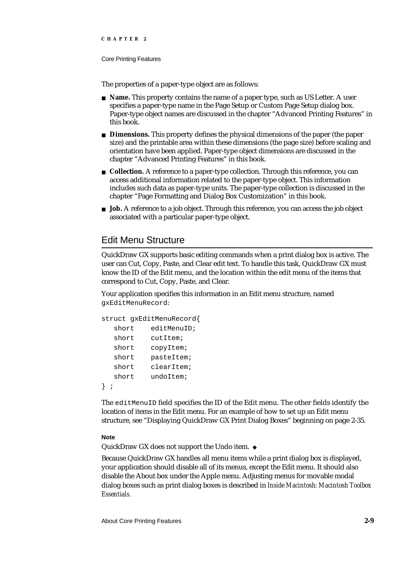## Core Printing Features

The properties of a paper-type object are as follows:

- **Name.** This property contains the name of a paper type, such as US Letter. A user specifies a paper-type name in the Page Setup or Custom Page Setup dialog box. Paper-type object names are discussed in the chapter "Advanced Printing Features" in this book.
- **Dimensions.** This property defines the physical dimensions of the paper (the paper size) and the printable area within these dimensions (the page size) before scaling and orientation have been applied. Paper-type object dimensions are discussed in the chapter "Advanced Printing Features" in this book.
- **Collection.** A reference to a paper-type collection. Through this reference, you can access additional information related to the paper-type object. This information includes such data as paper-type units. The paper-type collection is discussed in the chapter "Page Formatting and Dialog Box Customization" in this book.
- **Job.** A reference to a job object. Through this reference, you can access the job object associated with a particular paper-type object.

# Edit Menu Structure

QuickDraw GX supports basic editing commands when a print dialog box is active. The user can Cut, Copy, Paste, and Clear edit text. To handle this task, QuickDraw GX must know the ID of the Edit menu, and the location within the edit menu of the items that correspond to Cut, Copy, Paste, and Clear.

Your application specifies this information in an Edit menu structure, named gxEditMenuRecord:

```
struct gxEditMenuRecord{
  short editMenuID;
  short cutItem;
  short copyItem;
  short pasteItem;
  short clearItem;
  short undoItem;
} ;
```
The editMenuID field specifies the ID of the Edit menu. The other fields identify the location of items in the Edit menu. For an example of how to set up an Edit menu structure, see "Displaying QuickDraw GX Print Dialog Boxes" beginning on page 2-35.

## **Note**

QuickDraw GX does not support the Undo item.

Because QuickDraw GX handles all menu items while a print dialog box is displayed, your application should disable all of its menus, except the Edit menu. It should also disable the About box under the Apple menu. Adjusting menus for movable modal dialog boxes such as print dialog boxes is described in *Inside Macintosh: Macintosh Toolbox Essentials.*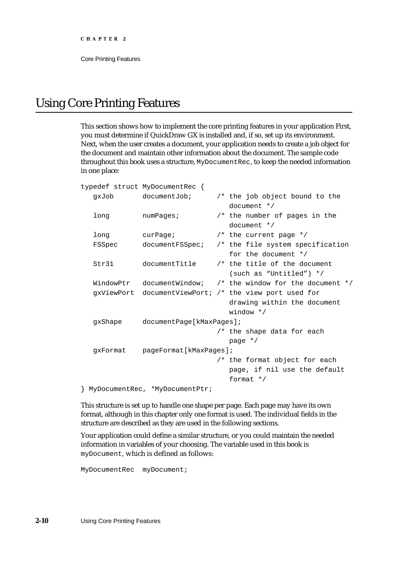# Using Core Printing Features

This section shows how to implement the core printing features in your application First, you must determine if QuickDraw GX is installed and, if so, set up its environment. Next, when the user creates a document, your application needs to create a job object for the document and maintain other information about the document. The sample code throughout this book uses a structure, MyDocumentRec, to keep the needed information in one place:

|          | typedef struct MyDocumentRec { |  |                                                             |
|----------|--------------------------------|--|-------------------------------------------------------------|
| doUxp    | documentJob;                   |  | /* the job object bound to the                              |
|          |                                |  | document $*/$                                               |
| long     | numPages                       |  | /* the number of pages in the                               |
|          |                                |  | document $*/$                                               |
| long     | curve                          |  | /* the current page $*/$                                    |
| FSSpec   | documentFSSpec;                |  | /* the file system specification                            |
|          |                                |  | for the document */                                         |
| Str31    | documentTitle                  |  | /* the title of the document                                |
|          |                                |  | (such as "Untitled") */                                     |
|          |                                |  | WindowPtr documentWindow; /* the window for the document */ |
|          |                                |  | gxViewPort documentViewPort; /* the view port used for      |
|          |                                |  | drawing within the document                                 |
|          |                                |  | window $*/$                                                 |
| qxShape  | documentPage[kMaxPage];        |  |                                                             |
|          |                                |  | /* the shape data for each                                  |
|          |                                |  | page $*/$                                                   |
| qxFormat | pageFormat[kMaxPages];         |  |                                                             |
|          |                                |  | /* the format object for each                               |
|          |                                |  | page, if nil use the default                                |
|          |                                |  | format $*/$                                                 |
|          | MyDocumentRec, *MyDocumentPtr; |  |                                                             |

This structure is set up to handle one shape per page. Each page may have its own format, although in this chapter only one format is used. The individual fields in the structure are described as they are used in the following sections.

Your application could define a similar structure, or you could maintain the needed information in variables of your choosing. The variable used in this book is myDocument, which is defined as follows:

MyDocumentRec myDocument;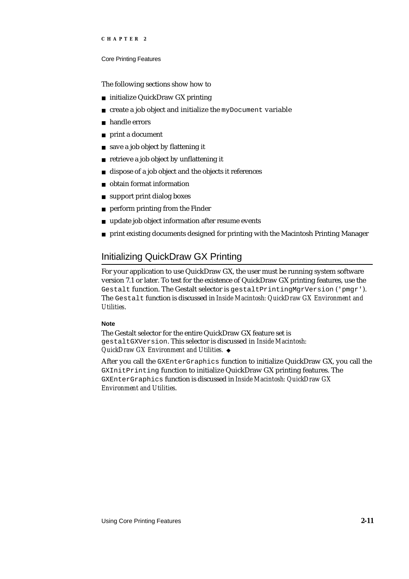## Core Printing Features

The following sections show how to

- initialize QuickDraw GX printing
- create a job object and initialize the myDocument variable  $\mathsf{n}$
- handle errors  $\overline{a}$
- print a document  $\overline{p}$
- save a job object by flattening it  $\overline{p}$
- retrieve a job object by unflattening it  $\overline{p}$
- dispose of a job object and the objects it references  $\overline{p}$
- obtain format information  $\overline{p}$
- support print dialog boxes  $\overline{a}$
- perform printing from the Finder  $\mathbf{r}$
- update job object information after resume events  $\overline{a}$
- print existing documents designed for printing with the Macintosh Printing Manager  $\overline{a}$

# Initializing QuickDraw GX Printing

For your application to use QuickDraw GX, the user must be running system software version 7.1 or later. To test for the existence of QuickDraw GX printing features, use the Gestalt function. The Gestalt selector is gestalt PrintingMgrVersion ('pmgr'). The Gestalt function is discussed in *Inside Macintosh: QuickDraw GX Environment and Utilities*.

## **Note**

The Gestalt selector for the entire QuickDraw GX feature set is gestaltGXVersion. This selector is discussed in *Inside Macintosh: QuickDraw GX Environment and Utilities.*

After you call the GXEnterGraphics function to initialize QuickDraw GX, you call the GXInitPrinting function to initialize QuickDraw GX printing features. The GXEnterGraphics function is discussed in *Inside Macintosh: QuickDraw GX Environment and Utilities*.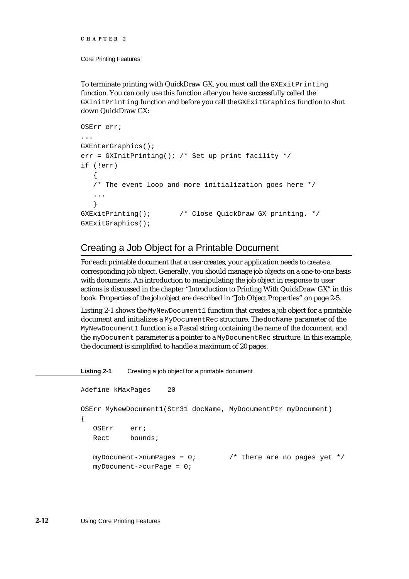```
CHAPTER 2
```
To terminate printing with QuickDraw GX, you must call the GXExitPrinting function. You can only use this function after you have successfully called the GXInitPrinting function and before you call the GXExitGraphics function to shut down QuickDraw GX:

```
OSErr err;
...
GXEnterGraphics();
err = GXInitPrinting(); /* Set up print facility */if (!err)
   {
   /* The event loop and more initialization goes here */
   ... 
   }
GXExitPrinting(); /* Close QuickDraw GX printing. */
GXExitGraphics();
```
# Creating a Job Object for a Printable Document

For each printable document that a user creates, your application needs to create a corresponding job object. Generally, you should manage job objects on a one-to-one basis with documents. An introduction to manipulating the job object in response to user actions is discussed in the chapter "Introduction to Printing With QuickDraw GX" in this book. Properties of the job object are described in "Job Object Properties" on page 2-5.

Listing 2-1 shows the MyNewDocument1 function that creates a job object for a printable document and initializes a MyDocumentRec structure. The docName parameter of the MyNewDocument1 function is a Pascal string containing the name of the document, and the myDocument parameter is a pointer to a MyDocumentRec structure. In this example, the document is simplified to handle a maximum of 20 pages.

**Listing 2-1** Creating a job object for a printable document

```
#define kMaxPages 20
OSErr MyNewDocument1(Str31 docName, MyDocumentPtr myDocument)
{
   OSErr err;
   Rect bounds;
  myDocument->numPages = 0; \frac{\pi}{100} /* there are no pages yet */
  myDocument->curPage = 0;
```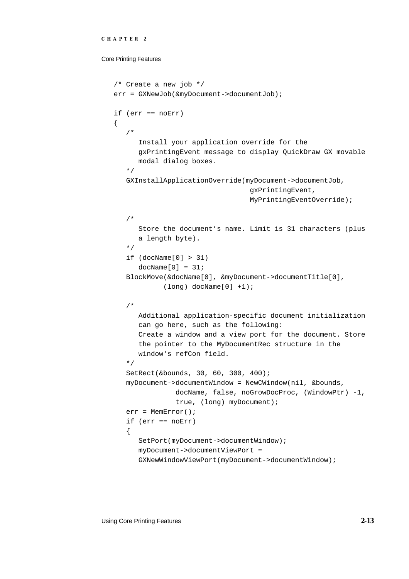### Core Printing Features

```
/* Create a new job */
err = GXNewJob(&myDocument->documentJob);
if (err == noErr)
{
   /* 
      Install your application override for the
     gxPrintingEvent message to display QuickDraw GX movable
      modal dialog boxes.
   */
  GXInstallApplicationOverride(myDocument->documentJob, 
                                 gxPrintingEvent,
                                  MyPrintingEventOverride);
   /*
     Store the document's name. Limit is 31 characters (plus
      a length byte).
   */
   if (docName[0] > 31)docName[0] = 31;BlockMove(&docName[0], &myDocument->documentTitle[0], 
            (long) docName[0] +1);
   /*
     Additional application-specific document initialization
      can go here, such as the following:
      Create a window and a view port for the document. Store
      the pointer to the MyDocumentRec structure in the
      window's refCon field.
   */
  SetRect(&bounds, 30, 60, 300, 400);
  myDocument->documentWindow = NewCWindow(nil, &bounds, 
               docName, false, noGrowDocProc, (WindowPtr) -1,
               true, (long) myDocument);
  err = MemError();
  if (err == noErr)
   {
      SetPort(myDocument->documentWindow);
      myDocument->documentViewPort = 
      GXNewWindowViewPort(myDocument->documentWindow);
```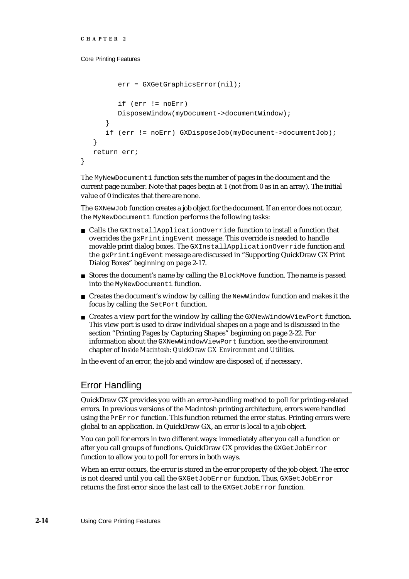## Core Printing Features

```
err = GXGetGraphicsError(nil);
         if (err != noErr)
         DisposeWindow(myDocument->documentWindow);
      }
      if (err != noErr) GXDisposeJob(myDocument->documentJob);
   }
  return err;
}
```
The MyNewDocument1 function sets the number of pages in the document and the current page number. Note that pages begin at 1 (not from 0 as in an array). The initial value of 0 indicates that there are none.

The GXNewJob function creates a job object for the document. If an error does not occur, the MyNewDocument1 function performs the following tasks:

- Calls the GXInstallApplicationOverride function to install a function that overrides the gxPrintingEvent message. This override is needed to handle movable print dialog boxes. The GXInstallApplicationOverride function and the gxPrintingEvent message are discussed in "Supporting QuickDraw GX Print Dialog Boxes" beginning on page 2-17.
- $n$  Stores the document's name by calling the BlockMove function. The name is passed into the MyNewDocument1 function.
- $n$  Creates the document's window by calling the NewWindow function and makes it the focus by calling the SetPort function.
- $n$  Creates a view port for the window by calling the GXNewWindowViewPort function. This view port is used to draw individual shapes on a page and is discussed in the section "Printing Pages by Capturing Shapes" beginning on page 2-22. For information about the GXNewWindowViewPort function, see the environment chapter of *Inside Macintosh: QuickDraw GX Environment and Utilities*.

In the event of an error, the job and window are disposed of, if necessary.

# Error Handling

QuickDraw GX provides you with an error-handling method to poll for printing-related errors. In previous versions of the Macintosh printing architecture, errors were handled using the PrError function. This function returned the error status. Printing errors were global to an application. In QuickDraw GX, an error is local to a job object.

You can poll for errors in two different ways: immediately after you call a function or after you call groups of functions. QuickDraw GX provides the GXGetJobError function to allow you to poll for errors in both ways.

When an error occurs, the error is stored in the error property of the job object. The error is not cleared until you call the GXGetJobError function. Thus, GXGetJobError returns the first error since the last call to the GXGetJobError function.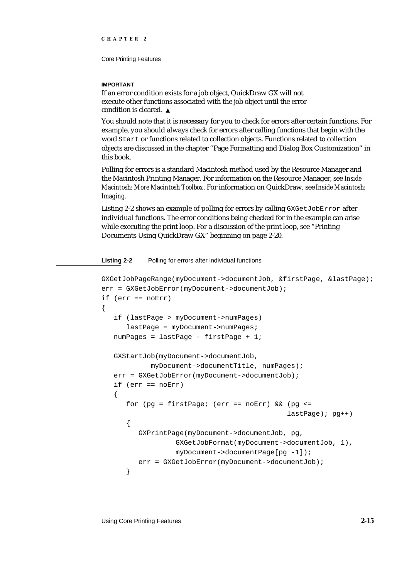## **IMPORTANT**

If an error condition exists for a job object, QuickDraw GX will not execute other functions associated with the job object until the error condition is cleared.

You should note that it is necessary for you to check for errors after certain functions. For example, you should always check for errors after calling functions that begin with the word Start or functions related to collection objects. Functions related to collection objects are discussed in the chapter "Page Formatting and Dialog Box Customization" in this book.

Polling for errors is a standard Macintosh method used by the Resource Manager and the Macintosh Printing Manager. For information on the Resource Manager, see *Inside Macintosh: More Macintosh Toolbox*. For information on QuickDraw, see *Inside Macintosh: Imaging*.

Listing 2-2 shows an example of polling for errors by calling GXGetJobError after individual functions. The error conditions being checked for in the example can arise while executing the print loop. For a discussion of the print loop, see "Printing Documents Using QuickDraw GX" beginning on page 2-20.

**Listing 2-2** Polling for errors after individual functions

```
GXGetJobPageRange(myDocument->documentJob, &firstPage, &lastPage);
err = GXGetJobError(myDocument->documentJob);
if (err == noErr)
{
   if (lastPage > myDocument->numPages)
      lastPage = myDocument->numPages;
   numPages = lastPage - firstPage + 1;
   GXStartJob(myDocument->documentJob, 
            myDocument->documentTitle, numPages);
   err = GXGetJobError(myDocument->documentJob);
   if (err == noErr)
   {
      for (pg = firstPage; (err == noErr) && (pg <=
                                              lastPage); pg++)
      {
         GXPrintPage(myDocument->documentJob, pg,
                  GXGetJobFormat(myDocument->documentJob, 1),
                  myDocument->documentPage[pg -1]);
         err = GXGetJobError(myDocument->documentJob);
      }
```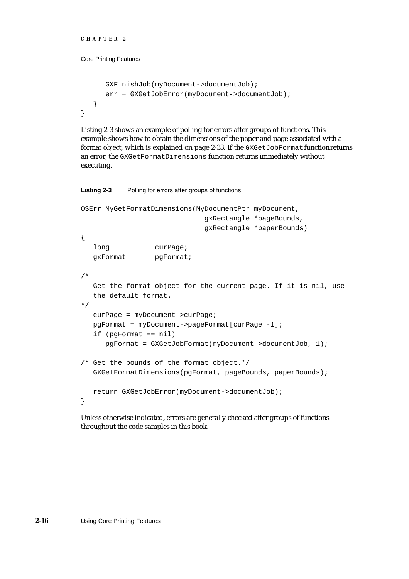```
CHAPTER 2
```

```
GXFinishJob(myDocument->documentJob);
      err = GXGetJobError(myDocument->documentJob);
  }
}
```
Listing 2-3 shows an example of polling for errors after groups of functions. This example shows how to obtain the dimensions of the paper and page associated with a format object, which is explained on page 2-33. If the GXGetJobFormat function returns an error, the GXGetFormatDimensions function returns immediately without executing.

**Listing 2-3** Polling for errors after groups of functions

```
OSErr MyGetFormatDimensions(MyDocumentPtr myDocument,
                             gxRectangle *pageBounds, 
                             gxRectangle *paperBounds)
{
  long curPaqe;
  gxFormat pgFormat;
/*
  Get the format object for the current page. If it is nil, use 
  the default format.
*/
  curPage = myDocument->curPage;
  pgFormat = myDocument->pageFormat[curPage -1];
  if (pgFormat == nil)
     pgFormat = GXGetJobFormat(myDocument->documentJob, 1);
/* Get the bounds of the format object.*/
  GXGetFormatDimensions(pgFormat, pageBounds, paperBounds);
  return GXGetJobError(myDocument->documentJob);
}
```
Unless otherwise indicated, errors are generally checked after groups of functions throughout the code samples in this book.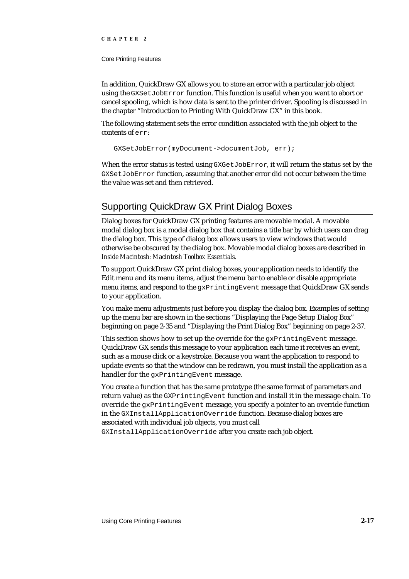#### Core Printing Features

In addition, QuickDraw GX allows you to store an error with a particular job object using the GXSetJobError function. This function is useful when you want to abort or cancel spooling, which is how data is sent to the printer driver. Spooling is discussed in the chapter "Introduction to Printing With QuickDraw GX" in this book.

The following statement sets the error condition associated with the job object to the contents of err:

```
GXSetJobError(myDocument->documentJob, err);
```
When the error status is tested using GXGetJobError, it will return the status set by the GXSetJobError function, assuming that another error did not occur between the time the value was set and then retrieved.

# Supporting QuickDraw GX Print Dialog Boxes

Dialog boxes for QuickDraw GX printing features are movable modal. A movable modal dialog box is a modal dialog box that contains a title bar by which users can drag the dialog box. This type of dialog box allows users to view windows that would otherwise be obscured by the dialog box. Movable modal dialog boxes are described in *Inside Macintosh: Macintosh Toolbox Essentials.*

To support QuickDraw GX print dialog boxes, your application needs to identify the Edit menu and its menu items, adjust the menu bar to enable or disable appropriate menu items, and respond to the gxPrintingEvent message that QuickDraw GX sends to your application.

You make menu adjustments just before you display the dialog box. Examples of setting up the menu bar are shown in the sections "Displaying the Page Setup Dialog Box" beginning on page 2-35 and "Displaying the Print Dialog Box" beginning on page 2-37.

This section shows how to set up the override for the gxPrintingEvent message. QuickDraw GX sends this message to your application each time it receives an event, such as a mouse click or a keystroke. Because you want the application to respond to update events so that the window can be redrawn, you must install the application as a handler for the gxPrintingEvent message.

You create a function that has the same prototype (the same format of parameters and return value) as the GXPrintingEvent function and install it in the message chain. To override the gxPrintingEvent message, you specify a pointer to an override function in the GXInstallApplicationOverride function. Because dialog boxes are associated with individual job objects, you must call

GXInstallApplicationOverride after you create each job object.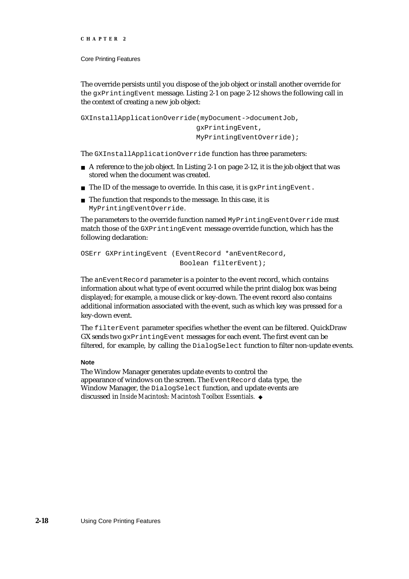```
CHAPTER 2
```
The override persists until you dispose of the job object or install another override for the gxPrintingEvent message. Listing 2-1 on page 2-12 shows the following call in the context of creating a new job object:

```
GXInstallApplicationOverride(myDocument->documentJob,
                              gxPrintingEvent,
                              MyPrintingEventOverride);
```
The GXInstallApplicationOverride function has three parameters:

- $A$  a reference to the job object. In Listing 2-1 on page 2-12, it is the job object that was stored when the document was created.
- n The ID of the message to override. In this case, it is  $qxPrintingEvent$ .
- n The function that responds to the message. In this case, it is MyPrintingEventOverride.

The parameters to the override function named MyPrintingEventOverride must match those of the GXPrintingEvent message override function, which has the following declaration:

```
OSErr GXPrintingEvent (EventRecord *anEventRecord,
                        Boolean filterEvent);
```
The anEventRecord parameter is a pointer to the event record, which contains information about what type of event occurred while the print dialog box was being displayed; for example, a mouse click or key-down. The event record also contains additional information associated with the event, such as which key was pressed for a key-down event.

The filterEvent parameter specifies whether the event can be filtered. QuickDraw GX sends two  $qxPrintingEvent$  messages for each event. The first event can be filtered, for example, by calling the DialogSelect function to filter non-update events.

## **Note**

The Window Manager generates update events to control the appearance of windows on the screen. The EventRecord data type, the Window Manager, the DialogSelect function, and update events are discussed in *Inside Macintosh: Macintosh Toolbox Essentials.*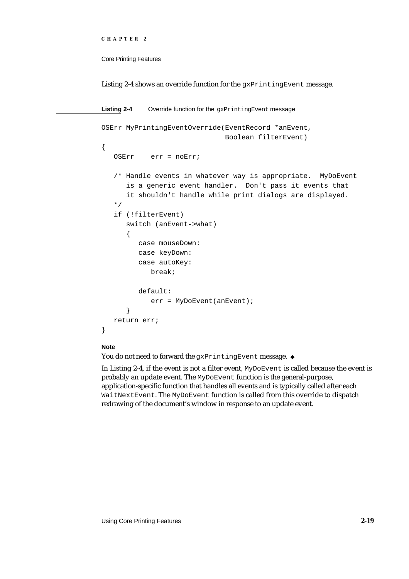```
CHAPTER 2
```
Listing 2-4 shows an override function for the  $gxPrintingEvent$  message.

Listing 2-4 Override function for the gxPrintingEvent message OSErr MyPrintingEventOverride(EventRecord \*anEvent, Boolean filterEvent) { OSErr err = noErr; /\* Handle events in whatever way is appropriate. MyDoEvent is a generic event handler. Don't pass it events that it shouldn't handle while print dialogs are displayed. \*/ if (!filterEvent) switch (anEvent->what) { case mouseDown: case keyDown: case autoKey: break; default: err = MyDoEvent(anEvent); } return err; }

## **Note**

You do not need to forward the gxPrintingEvent message. u

In Listing 2-4, if the event is not a filter event, MyDoEvent is called because the event is probably an update event. The MyDoEvent function is the general-purpose, application-specific function that handles all events and is typically called after each WaitNextEvent. The MyDoEvent function is called from this override to dispatch redrawing of the document's window in response to an update event.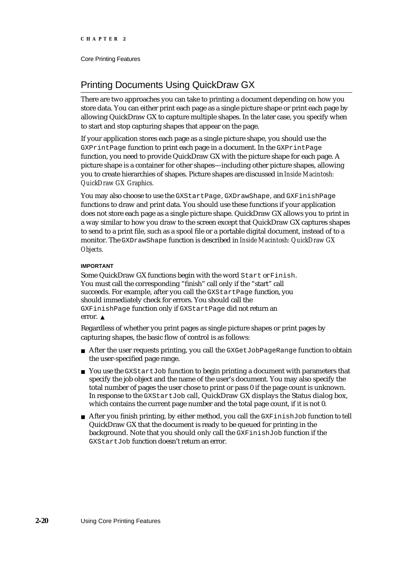# Printing Documents Using QuickDraw GX

There are two approaches you can take to printing a document depending on how you store data. You can either print each page as a single picture shape or print each page by allowing QuickDraw GX to capture multiple shapes. In the later case, you specify when to start and stop capturing shapes that appear on the page.

If your application stores each page as a single picture shape, you should use the GXPrintPage function to print each page in a document. In the GXPrintPage function, you need to provide QuickDraw GX with the picture shape for each page. A picture shape is a container for other shapes—including other picture shapes, allowing you to create hierarchies of shapes. Picture shapes are discussed in *Inside Macintosh: QuickDraw GX Graphics.*

You may also choose to use the GXStartPage, GXDrawShape, and GXFinishPage functions to draw and print data. You should use these functions if your application does not store each page as a single picture shape. QuickDraw GX allows you to print in a way similar to how you draw to the screen except that QuickDraw GX captures shapes to send to a print file, such as a spool file or a portable digital document, instead of to a monitor. The GXDrawShape function is described in *Inside Macintosh: QuickDraw GX Objects.*

## **IMPORTANT**

Some QuickDraw GX functions begin with the word Start or Finish. You must call the corresponding "finish" call only if the "start" call succeeds. For example, after you call the GXStartPage function, you should immediately check for errors. You should call the GXFinishPage function only if GXStartPage did not return an error.

Regardless of whether you print pages as single picture shapes or print pages by capturing shapes, the basic flow of control is as follows:

- $n$  After the user requests printing, you call the GXGetJobPageRange function to obtain the user-specified page range.
- n You use the GXStartJob function to begin printing a document with parameters that specify the job object and the name of the user's document. You may also specify the total number of pages the user chose to print or pass 0 if the page count is unknown. In response to the GXStartJob call, QuickDraw GX displays the Status dialog box, which contains the current page number and the total page count, if it is not 0.
- $n$  After you finish printing, by either method, you call the  $GXF$  inishJob function to tell QuickDraw GX that the document is ready to be queued for printing in the background. Note that you should only call the GXFinishJob function if the GXStartJob function doesn't return an error.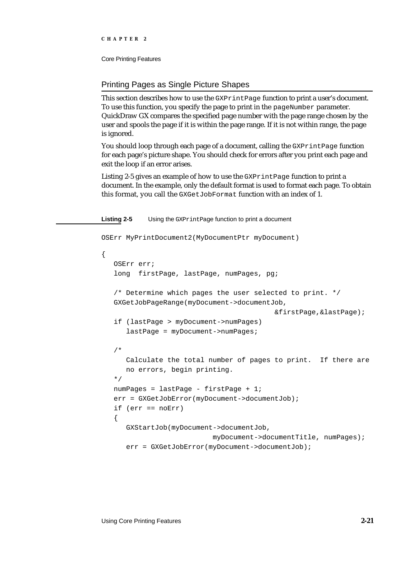### Printing Pages as Single Picture Shapes

This section describes how to use the GXPrintPage function to print a user's document. To use this function, you specify the page to print in the pageNumber parameter. QuickDraw GX compares the specified page number with the page range chosen by the user and spools the page if it is within the page range. If it is not within range, the page is ignored.

You should loop through each page of a document, calling the GXPrintPage function for each page's picture shape. You should check for errors after you print each page and exit the loop if an error arises.

Listing 2-5 gives an example of how to use the GXPrintPage function to print a document. In the example, only the default format is used to format each page. To obtain this format, you call the GXGetJobFormat function with an index of 1.

**Listing 2-5** Using the GXPrintPage function to print a document

OSErr MyPrintDocument2(MyDocumentPtr myDocument)

```
{
  OSErr err;
  long firstPage, lastPage, numPages, pg;
  /* Determine which pages the user selected to print. */ 
  GXGetJobPageRange(myDocument->documentJob,
                                          &firstPage,&lastPage);
  if (lastPage > myDocument->numPages)
      lastPage = myDocument->numPages;
  /*
     Calculate the total number of pages to print. If there are
     no errors, begin printing.
  */
  numPages = lastPage - firstPage + 1;
  err = GXGetJobError(myDocument->documentJob);
  if (err == noErr)
   {
     GXStartJob(myDocument->documentJob,
                           myDocument->documentTitle, numPages);
     err = GXGetJobError(myDocument->documentJob);
```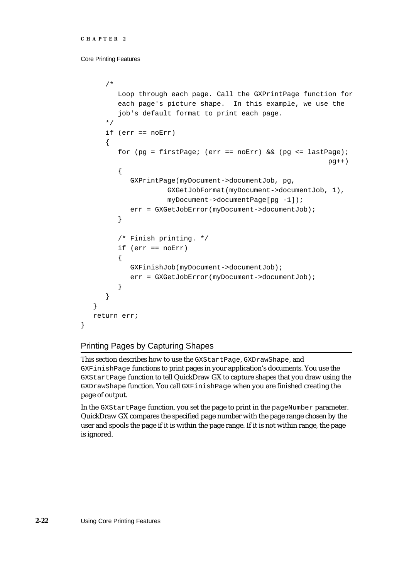```
CHAPTER 2
```

```
/*
      Loop through each page. Call the GXPrintPage function for
      each page's picture shape. In this example, we use the
      job's default format to print each page.
   */
   if (err == noErr)
   {
      for (pg = firstPage; (err == noErr) && (pg <= lastPage);
                                                          pq++){
         GXPrintPage(myDocument->documentJob, pg,
                  GXGetJobFormat(myDocument->documentJob, 1),
                  myDocument->documentPage[pg -1]);
         err = GXGetJobError(myDocument->documentJob);
      }
      /* Finish printing. */
      if (err == noErr)
      {
         GXFinishJob(myDocument->documentJob);
         err = GXGetJobError(myDocument->documentJob);
      }
   }
}
return err;
```
# Printing Pages by Capturing Shapes

This section describes how to use the GXStartPage, GXDrawShape, and GXFinishPage functions to print pages in your application's documents. You use the GXStartPage function to tell QuickDraw GX to capture shapes that you draw using the GXDrawShape function. You call GXFinishPage when you are finished creating the page of output.

In the GXStartPage function, you set the page to print in the pageNumber parameter. QuickDraw GX compares the specified page number with the page range chosen by the user and spools the page if it is within the page range. If it is not within range, the page is ignored.

}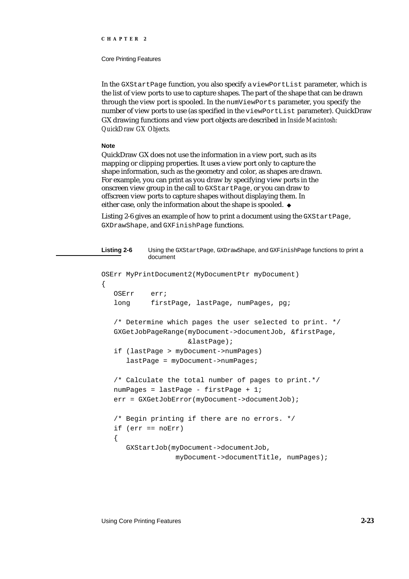#### Core Printing Features

In the GXStartPage function, you also specify a viewPortList parameter, which is the list of view ports to use to capture shapes. The part of the shape that can be drawn through the view port is spooled. In the numViewPorts parameter, you specify the number of view ports to use (as specified in the viewPortList parameter). QuickDraw GX drawing functions and view port objects are described in *Inside Macintosh: QuickDraw GX Objects.*

### **Note**

QuickDraw GX does not use the information in a view port, such as its mapping or clipping properties. It uses a view port only to capture the shape information, such as the geometry and color, as shapes are drawn. For example, you can print as you draw by specifying view ports in the onscreen view group in the call to GXStartPage, or you can draw to offscreen view ports to capture shapes without displaying them. In either case, only the information about the shape is spooled.

Listing 2-6 gives an example of how to print a document using the GXStartPage, GXDrawShape, and GXFinishPage functions.

```
Listing 2-6 Using the GXStartPage, GXDrawShape, and GXFinishPage functions to print a 
           document
OSErr MyPrintDocument2(MyDocumentPtr myDocument)
{
   OSErr err;
   long firstPage, lastPage, numPages, pg;
   /* Determine which pages the user selected to print. */
   GXGetJobPageRange(myDocument->documentJob, &firstPage, 
                     &lastPage);
   if (lastPage > myDocument->numPages)
      lastPage = myDocument->numPages;
   /* Calculate the total number of pages to print.*/
   numPages = lastPage - firstPage + 1;
   err = GXGetJobError(myDocument->documentJob);
   /* Begin printing if there are no errors. */
   if (err == noErr)
   {
      GXStartJob(myDocument->documentJob, 
                  myDocument->documentTitle, numPages);
```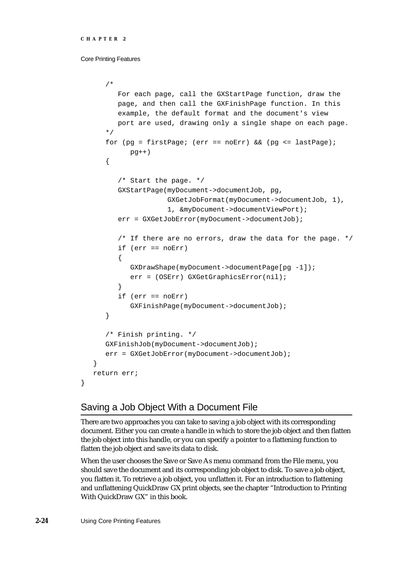```
/*
      For each page, call the GXStartPage function, draw the
      page, and then call the GXFinishPage function. In this
      example, the default format and the document's view
      port are used, drawing only a single shape on each page.
   */
   for (pg = firstPage; (err == noErr) && (pg <= lastPage); 
         pg++){
      /* Start the page. */
      GXStartPage(myDocument->documentJob, pg, 
                  GXGetJobFormat(myDocument->documentJob, 1),
                  1, &myDocument->documentViewPort);
      err = GXGetJobError(myDocument->documentJob);
      /* If there are no errors, draw the data for the page. */
      if (err == noErr)
      {
         GXDrawShape(myDocument->documentPage[pg -1]);
         err = (OSErr) GXGetGraphicsError(nil);
      }
      if (err == noErr)
         GXFinishPage(myDocument->documentJob);
   }
   /* Finish printing. */
   GXFinishJob(myDocument->documentJob);
   err = GXGetJobError(myDocument->documentJob);
}
return err;
```
# Saving a Job Object With a Document File

There are two approaches you can take to saving a job object with its corresponding document. Either you can create a handle in which to store the job object and then flatten the job object into this handle, or you can specify a pointer to a flattening function to flatten the job object and save its data to disk.

When the user chooses the Save or Save As menu command from the File menu, you should save the document and its corresponding job object to disk. To save a job object, you flatten it. To retrieve a job object, you unflatten it. For an introduction to flattening and unflattening QuickDraw GX print objects, see the chapter "Introduction to Printing With QuickDraw GX" in this book.

}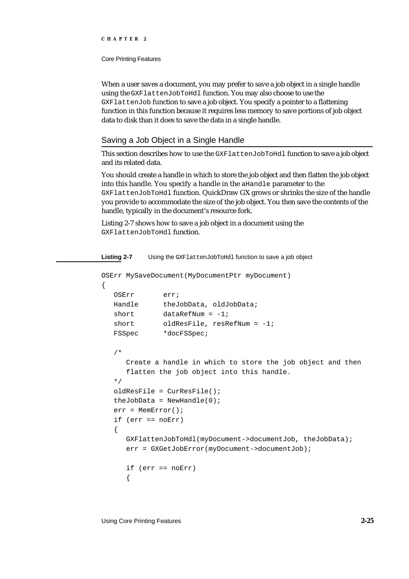Core Printing Features

When a user saves a document, you may prefer to save a job object in a single handle using the GXFlattenJobToHdl function. You may also choose to use the GXFlattenJob function to save a job object. You specify a pointer to a flattening function in this function because it requires less memory to save portions of job object data to disk than it does to save the data in a single handle.

## Saving a Job Object in a Single Handle

This section describes how to use the GXFlattenJobToHdl function to save a job object and its related data.

You should create a handle in which to store the job object and then flatten the job object into this handle. You specify a handle in the aHandle parameter to the GXFlattenJobToHdl function. QuickDraw GX grows or shrinks the size of the handle you provide to accommodate the size of the job object. You then save the contents of the handle, typically in the document's resource fork.

Listing 2-7 shows how to save a job object in a document using the GXFlattenJobToHdl function.

**Listing 2-7** Using the GXFlattenJobToHdl function to save a job object

```
OSErr MySaveDocument(MyDocumentPtr myDocument)
{
  OSErr err;
  Handle theJobData, oldJobData;
  short dataRefNum = -1;
  short oldResFile, resRefNum = -1;
  FSSpec *docFSSpec;
   /* 
     Create a handle in which to store the job object and then 
     flatten the job object into this handle.
   */
  oldResFile = CurResFile();
  theJobData = NewHandle(0);err = MemError();
  if (err == noErr)
   {
     GXFlattenJobToHdl(myDocument->documentJob, theJobData);
     err = GXGetJobError(myDocument->documentJob);
     if (err == noErr)
     {
```
Using Core Printing Features **2-25**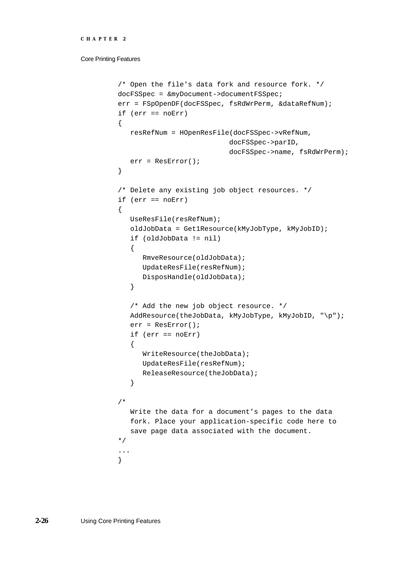```
CHAPTER 2
```

```
/* Open the file's data fork and resource fork. */
docFSSpec = &myDocument->documentFSSpec;
err = FSpOpenDF(docFSSpec, fsRdWrPerm, &dataRefNum);
if (err == noErr)
{
   resRefNum = HOpenResFile(docFSSpec->vRefNum, 
                           docFSSpec->parID,
                           docFSSpec->name, fsRdWrPerm);
   err = ResError();
}
/* Delete any existing job object resources. */
if (err == noErr)
{
   UseResFile(resRefNum);
   oldJobData = Get1Resource(kMyJobType, kMyJobID);
   if (oldJobData != nil)
   {
      RmveResource(oldJobData);
      UpdateResFile(resRefNum);
      DisposHandle(oldJobData);
   }
   /* Add the new job object resource. */
   AddResource(theJobData, kMyJobType, kMyJobID, "\p");
   err = ResError();
   if (err == noErr)
   {
      WriteResource(theJobData);
      UpdateResFile(resRefNum);
      ReleaseResource(theJobData);
   }
/* 
   Write the data for a document's pages to the data
   fork. Place your application-specific code here to
   save page data associated with the document.
*/
...
}
```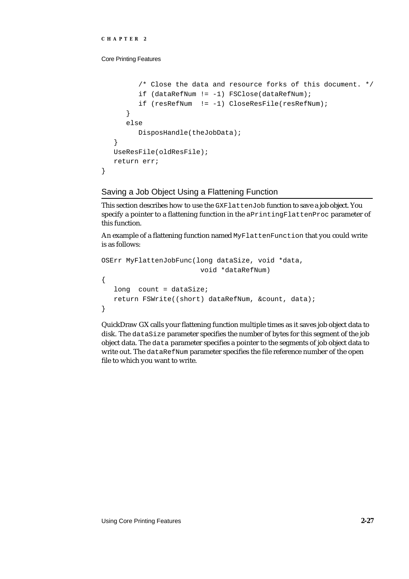}

Core Printing Features

```
/* Close the data and resource forks of this document. */
      if (dataRefNum != -1) FSClose(dataRefNum);
      if (resRefNum != -1) CloseResFile(resRefNum);
   }
  else
     DisposHandle(theJobData);
}
UseResFile(oldResFile);
return err;
```
## Saving a Job Object Using a Flattening Function

This section describes how to use the GXFlattenJob function to save a job object. You specify a pointer to a flattening function in the aPrintingFlattenProc parameter of this function.

An example of a flattening function named MyFlattenFunction that you could write is as follows:

```
OSErr MyFlattenJobFunc(long dataSize, void *data, 
                        void *dataRefNum)
{
  long count = dataSize;
   return FSWrite((short) dataRefNum, &count, data);
}
```
QuickDraw GX calls your flattening function multiple times as it saves job object data to disk. The dataSize parameter specifies the number of bytes for this segment of the job object data. The data parameter specifies a pointer to the segments of job object data to write out. The dataRefNum parameter specifies the file reference number of the open file to which you want to write.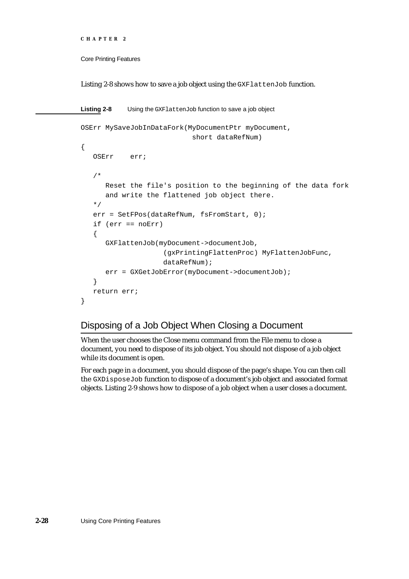```
CHAPTER 2
```
Listing 2-8 shows how to save a job object using the GXFlattenJob function.

```
Listing 2-8 Using the GXFlattenJob function to save a job object
OSErr MySaveJobInDataFork(MyDocumentPtr myDocument,
                            short dataRefNum)
{
   OSErr err;
   /*
      Reset the file's position to the beginning of the data fork 
      and write the flattened job object there.
   */
   err = SetFPos(dataRefNum, fsFromStart, 0);
   if (err == noErr)
   {
      GXFlattenJob(myDocument->documentJob,
                      (gxPrintingFlattenProc) MyFlattenJobFunc,
                      dataRefNum);
      err = GXGetJobError(myDocument->documentJob);
   }
   return err;
}
```
# Disposing of a Job Object When Closing a Document

When the user chooses the Close menu command from the File menu to close a document, you need to dispose of its job object. You should not dispose of a job object while its document is open.

For each page in a document, you should dispose of the page's shape. You can then call the GXDisposeJob function to dispose of a document's job object and associated format objects. Listing 2-9 shows how to dispose of a job object when a user closes a document.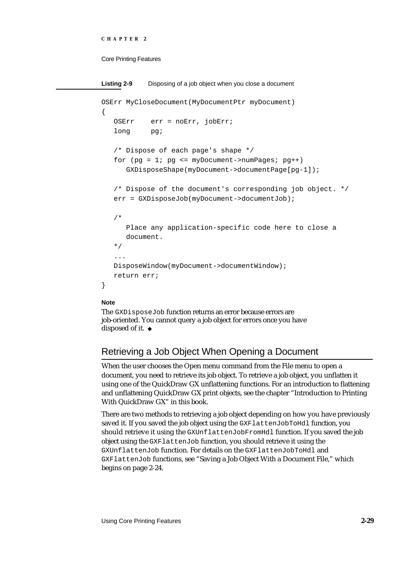```
CHAPTER 2
```

```
Listing 2-9 Disposing of a job object when you close a document
OSErr MyCloseDocument(MyDocumentPtr myDocument)
{
   OSErr err = noErr, jobErr;
   long pg;
   /* Dispose of each page's shape */
   for (pg = 1; pg \le myDocument->numpages; pg++)GXDisposeShape(myDocument->documentPage[pg-1]);
   /* Dispose of the document's corresponding job object. */
   err = GXDisposeJob(myDocument->documentJob);
   /*
      Place any application-specific code here to close a 
      document.
   */
   ...
   DisposeWindow(myDocument->documentWindow);
   return err;
}
```
### **Note**

The GXDisposeJob function returns an error because errors are job-oriented. You cannot query a job object for errors once you have disposed of it. u

# Retrieving a Job Object When Opening a Document

When the user chooses the Open menu command from the File menu to open a document, you need to retrieve its job object. To retrieve a job object, you unflatten it using one of the QuickDraw GX unflattening functions. For an introduction to flattening and unflattening QuickDraw GX print objects, see the chapter "Introduction to Printing With QuickDraw GX" in this book.

There are two methods to retrieving a job object depending on how you have previously saved it. If you saved the job object using the GXFlattenJobToHdl function, you should retrieve it using the GXUnflattenJobFromHdl function. If you saved the job object using the GXFlattenJob function, you should retrieve it using the GXUnflattenJob function. For details on the GXFlattenJobToHdl and GXFlattenJob functions, see "Saving a Job Object With a Document File," which begins on page 2-24.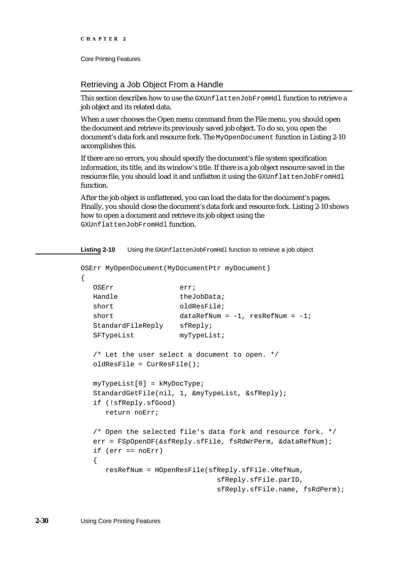## Retrieving a Job Object From a Handle

This section describes how to use the GXUnflattenJobFromHdl function to retrieve a job object and its related data.

When a user chooses the Open menu command from the File menu, you should open the document and retrieve its previously saved job object. To do so, you open the document's data fork and resource fork. The MyOpenDocument function in Listing 2-10 accomplishes this.

If there are no errors, you should specify the document's file system specification information, its title, and its window's title. If there is a job object resource saved in the resource file, you should load it and unflatten it using the GXUnflattenJobFromHdl function.

After the job object is unflattened, you can load the data for the document's pages. Finally, you should close the document's data fork and resource fork. Listing 2-10 shows how to open a document and retrieve its job object using the GXUnflattenJobFromHdl function.

Listing 2-10 Using the GXUnflattenJobFromHdl function to retrieve a job object

```
OSErr MyOpenDocument(MyDocumentPtr myDocument)
{
  OSErr err;
  Handle theJobData;
  short oldResFile;
  short dataRefNum = -1, resRefNum = -1;
  StandardFileReply sfReply;
  SFTypeList myTypeList;
  /* Let the user select a document to open. */
  oldResFile = CurResFile();
  myTypeList[0] = kMyDocType;
  StandardGetFile(nil, 1, &myTypeList, &sfReply);
  if (!sfReply.sfGood)
     return noErr;
  /* Open the selected file's data fork and resource fork. */
  err = FSpOpenDF(&sfReply.sfFile, fsRdWrPerm, &dataRefNum);
  if (err == noErr)
  {
     resRefNum = HOpenResFile(sfReply.sfFile.vRefNum, 
                              sfReply.sfFile.parID,
                              sfReply.sfFile.name, fsRdPerm);
```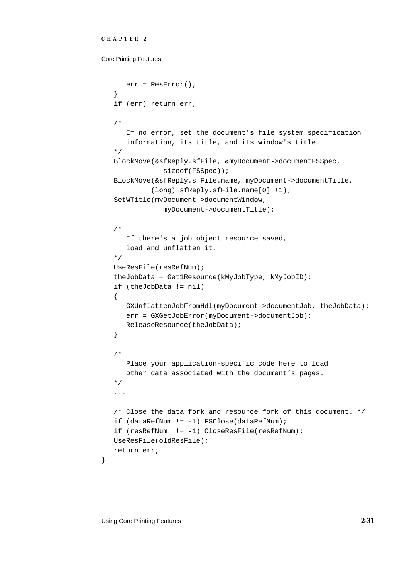Core Printing Features

```
err = ResError();
}
if (err) return err;
/* 
   If no error, set the document's file system specification
   information, its title, and its window's title.
*/
BlockMove(&sfReply.sfFile, &myDocument->documentFSSpec, 
            sizeof(FSSpec));
BlockMove(&sfReply.sfFile.name, myDocument->documentTitle,
         (long) sfReply.sfFile.name[0] +1);
SetWTitle(myDocument->documentWindow, 
            myDocument->documentTitle);
/* 
   If there's a job object resource saved, 
   load and unflatten it.
*/
UseResFile(resRefNum);
theJobData = Get1Resource(kMyJobType, kMyJobID);
if (theJobData != nil)
{
   GXUnflattenJobFromHdl(myDocument->documentJob, theJobData);
   err = GXGetJobError(myDocument->documentJob);
  ReleaseResource(theJobData);
}
/* 
   Place your application-specific code here to load 
   other data associated with the document's pages.
*/
...
/* Close the data fork and resource fork of this document. */
if (dataRefNum != -1) FSClose(dataRefNum);
if (resRefNum != -1) CloseResFile(resRefNum);
UseResFile(oldResFile);
return err;
```
}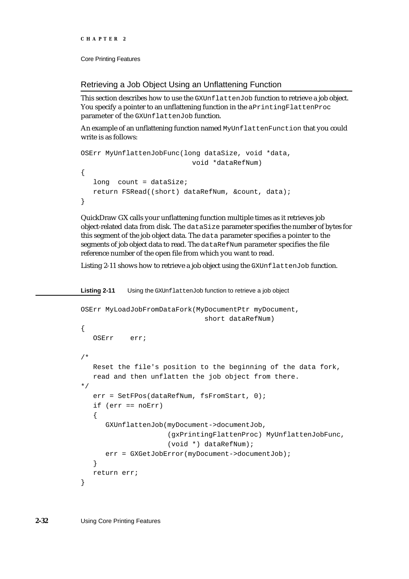```
CHAPTER 2
```
Retrieving a Job Object Using an Unflattening Function

This section describes how to use the GXUnflattenJob function to retrieve a job object. You specify a pointer to an unflattening function in the aPrintingFlattenProc parameter of the GXUnflattenJob function.

An example of an unflattening function named MyUnflattenFunction that you could write is as follows:

```
OSErr MyUnflattenJobFunc(long dataSize, void *data,
                           void *dataRefNum)
{
   long count = dataSize;
  return FSRead((short) dataRefNum, &count, data);
}
```
QuickDraw GX calls your unflattening function multiple times as it retrieves job object-related data from disk. The dataSize parameter specifies the number of bytes for this segment of the job object data. The data parameter specifies a pointer to the segments of job object data to read. The dataRefNum parameter specifies the file reference number of the open file from which you want to read.

Listing 2-11 shows how to retrieve a job object using the GXUnflattenJob function.

```
Listing 2-11 Using the GXUnflattenJob function to retrieve a job object
OSErr MyLoadJobFromDataFork(MyDocumentPtr myDocument,
                                short dataRefNum)
{
   OSErr err;
/* 
   Reset the file's position to the beginning of the data fork, 
   read and then unflatten the job object from there.
*/
   err = SetFPos(dataRefNum, fsFromStart, 0);
   if (err == noErr)
   {
      GXUnflattenJob(myDocument->documentJob,
                       (gxPrintingFlattenProc) MyUnflattenJobFunc,
                       (void *) dataRefNum);
      err = GXGetJobError(myDocument->documentJob);
   }
   return err;
}
```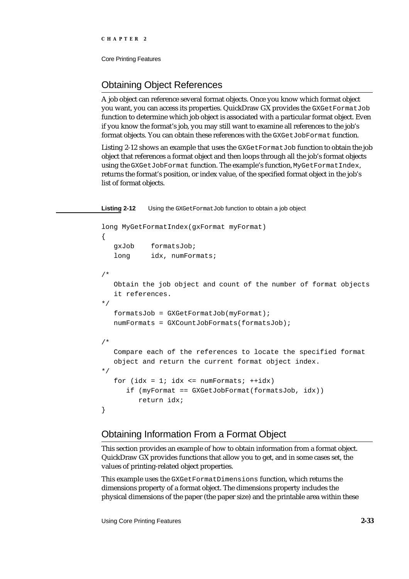# Obtaining Object References

A job object can reference several format objects. Once you know which format object you want, you can access its properties. QuickDraw GX provides the GXGetFormatJob function to determine which job object is associated with a particular format object. Even if you know the format's job, you may still want to examine all references to the job's format objects. You can obtain these references with the GXGetJobFormat function.

Listing 2-12 shows an example that uses the GXGetFormatJob function to obtain the job object that references a format object and then loops through all the job's format objects using the GXGetJobFormat function. The example's function, MyGetFormatIndex, returns the format's position, or index value, of the specified format object in the job's list of format objects.

**Listing 2-12** Using the GXGetFormatJob function to obtain a job object

```
long MyGetFormatIndex(gxFormat myFormat)
{
   gxJob formatsJob;
   long idx, numFormats;
/* 
   Obtain the job object and count of the number of format objects 
   it references.
*/
   formatsJob = GXGetFormatJob(myFormat);
   numFormats = GXCountJobFormats(formatsJob);
/* 
   Compare each of the references to locate the specified format 
   object and return the current format object index.
*/
   for idx = 1; idx \leq numFormats; ++idx)if (myFormat == GXGetJobFormat(formatsJob, idx))
         return idx;
}
```
# Obtaining Information From a Format Object

This section provides an example of how to obtain information from a format object. QuickDraw GX provides functions that allow you to get, and in some cases set, the values of printing-related object properties.

This example uses the GXGetFormatDimensions function, which returns the dimensions property of a format object. The dimensions property includes the physical dimensions of the paper (the paper size) and the printable area within these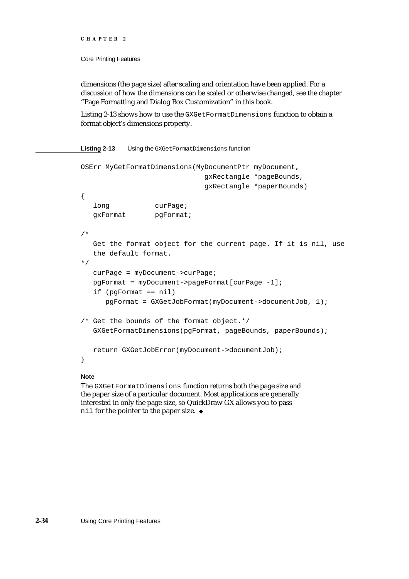#### Core Printing Features

dimensions (the page size) after scaling and orientation have been applied. For a discussion of how the dimensions can be scaled or otherwise changed, see the chapter "Page Formatting and Dialog Box Customization" in this book.

Listing 2-13 shows how to use the GXGetFormatDimensions function to obtain a format object's dimensions property.

### **Listing 2-13** Using the GXGetFormatDimensions function

```
OSErr MyGetFormatDimensions(MyDocumentPtr myDocument,
                             gxRectangle *pageBounds, 
                             gxRectangle *paperBounds)
{
  long curPage;
  gxFormat pgFormat;
/*
  Get the format object for the current page. If it is nil, use 
  the default format.
*/
  curPage = myDocument->curPage;
  pgFormat = myDocument->pageFormat[curPage -1];
  if (pgFormat == nil)
     pgFormat = GXGetJobFormat(myDocument->documentJob, 1);
/* Get the bounds of the format object.*/
  GXGetFormatDimensions(pgFormat, pageBounds, paperBounds);
  return GXGetJobError(myDocument->documentJob);
}
```
### **Note**

The GXGetFormatDimensions function returns both the page size and the paper size of a particular document. Most applications are generally interested in only the page size, so QuickDraw GX allows you to pass nil for the pointer to the paper size.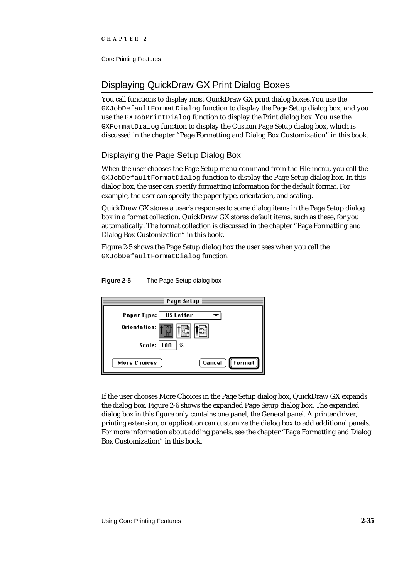# Displaying QuickDraw GX Print Dialog Boxes

You call functions to display most QuickDraw GX print dialog boxes.You use the GXJobDefaultFormatDialog function to display the Page Setup dialog box, and you use the GXJobPrintDialog function to display the Print dialog box. You use the GXFormatDialog function to display the Custom Page Setup dialog box, which is discussed in the chapter "Page Formatting and Dialog Box Customization" in this book.

## Displaying the Page Setup Dialog Box

When the user chooses the Page Setup menu command from the File menu, you call the GXJobDefaultFormatDialog function to display the Page Setup dialog box. In this dialog box, the user can specify formatting information for the default format. For example, the user can specify the paper type, orientation, and scaling.

QuickDraw GX stores a user's responses to some dialog items in the Page Setup dialog box in a format collection. QuickDraw GX stores default items, such as these, for you automatically. The format collection is discussed in the chapter "Page Formatting and Dialog Box Customization" in this book.

Figure 2-5 shows the Page Setup dialog box the user sees when you call the GXJobDefaultFormatDialog function.

Page Setup ≣ Paper Type: **US Letter** ┳∣ Orientation: **Scale: 100**  $\frac{\gamma}{R}$ More Choices Cancel Format

If the user chooses More Choices in the Page Setup dialog box, QuickDraw GX expands the dialog box. Figure 2-6 shows the expanded Page Setup dialog box. The expanded dialog box in this figure only contains one panel, the General panel. A printer driver, printing extension, or application can customize the dialog box to add additional panels. For more information about adding panels, see the chapter "Page Formatting and Dialog Box Customization" in this book.

**Figure 2-5** The Page Setup dialog box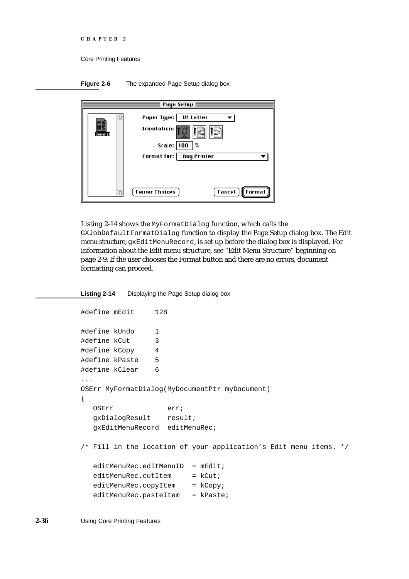```
CHAPTER 2
```




Listing 2-14 shows the MyFormatDialog function, which calls the GXJobDefaultFormatDialog function to display the Page Setup dialog box. The Edit menu structure, gxEditMenuRecord, is set up before the dialog box is displayed. For information about the Edit menu structure, see "Edit Menu Structure" beginning on page 2-9. If the user chooses the Format button and there are no errors, document formatting can proceed.

### **Listing 2-14** Displaying the Page Setup dialog box

```
#define mEdit 128
#define kUndo 1
#define kCut 3
#define kCopy 4
#define kPaste 5
#define kClear 6
...
OSErr MyFormatDialog(MyDocumentPtr myDocument)
{
  OSErr err;
  gxDialogResult result;
  gxEditMenuRecord editMenuRec;
/* Fill in the location of your application's Edit menu items. */
  editMember.edu:editMenuID = mEdit;
  editMenuRec.cutItem = kCut;editMenuRec.copyItem = kCopy;editMenuRec.pasteItem = kPaste;
```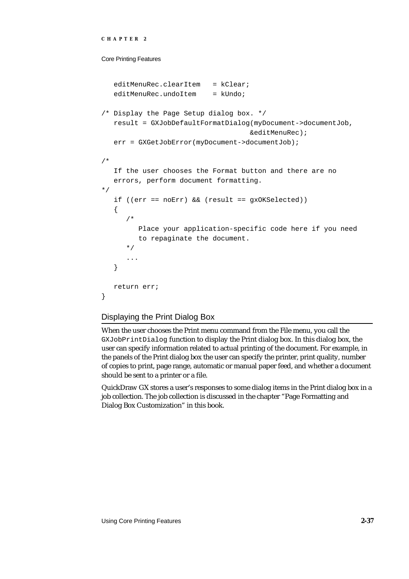```
CHAPTER 2
```

```
editMenuRec.clearItem = kClear;
   editMenuRec.undoItem = kUndo;
/* Display the Page Setup dialog box. */
   result = GXJobDefaultFormatDialog(myDocument->documentJob, 
                                     &editMenuRec);
   err = GXGetJobError(myDocument->documentJob);
/* 
   If the user chooses the Format button and there are no 
   errors, perform document formatting.
*/
   if ((err == noErr) && (result == gxOKSelected))
   {
      /* 
         Place your application-specific code here if you need
         to repaginate the document.
      */
      ...
   }
   return err;
}
```
# Displaying the Print Dialog Box

When the user chooses the Print menu command from the File menu, you call the GXJobPrintDialog function to display the Print dialog box. In this dialog box, the user can specify information related to actual printing of the document. For example, in the panels of the Print dialog box the user can specify the printer, print quality, number of copies to print, page range, automatic or manual paper feed, and whether a document should be sent to a printer or a file.

QuickDraw GX stores a user's responses to some dialog items in the Print dialog box in a job collection. The job collection is discussed in the chapter "Page Formatting and Dialog Box Customization" in this book.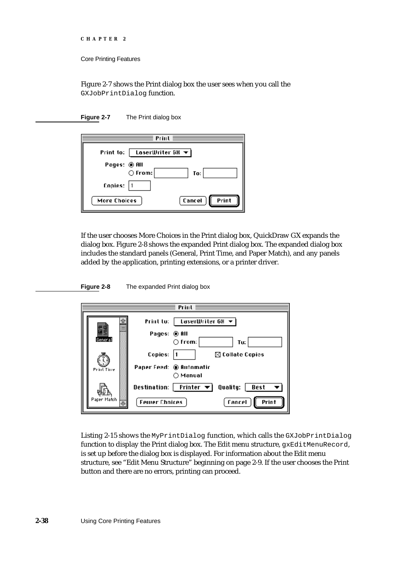```
CHAPTER 2
```
Figure 2-7 shows the Print dialog box the user sees when you call the GXJobPrintDialog function.

**Figure 2-7** The Print dialog box

| Print                                           |                 |
|-------------------------------------------------|-----------------|
| Print to:   LoserWriter 68 $\blacktriangledown$ |                 |
| Pages: © All<br>$\bigcirc$ From:                | To:             |
| Copies:                                         |                 |
| More Choices                                    | Print<br>Cancel |

If the user chooses More Choices in the Print dialog box, QuickDraw GX expands the dialog box. Figure 2-8 shows the expanded Print dialog box. The expanded dialog box includes the standard panels (General, Print Time, and Paper Match), and any panels added by the application, printing extensions, or a printer driver.

**Figure 2-8** The expanded Print dialog box

| Print       |                                                                   |  |
|-------------|-------------------------------------------------------------------|--|
|             | Print to: $\parallel$ taserWriter GH $\blacktriangledown$         |  |
| General     | Pages: ◉ All<br>$\bigcirc$ From:<br>Tv:                           |  |
|             | Copies:<br>$\boxtimes$ Collate Copies                             |  |
| Print Tine  | Paper Feed: ® Automatic<br>∩ Manual                               |  |
|             | Destination:   Printer $\blacktriangledown$  <br>Quality:<br>Best |  |
| Paper Match | Print<br>fancel<br><b>Fewer Chnices</b>                           |  |

Listing 2-15 shows the MyPrintDialog function, which calls the GXJobPrintDialog function to display the Print dialog box. The Edit menu structure, gxEditMenuRecord, is set up before the dialog box is displayed. For information about the Edit menu structure, see "Edit Menu Structure" beginning on page 2-9. If the user chooses the Print button and there are no errors, printing can proceed.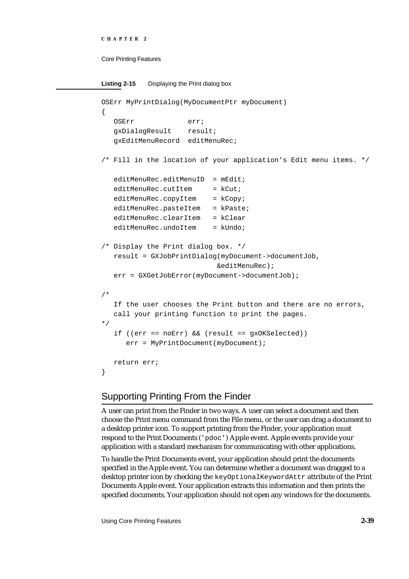```
CHAPTER 2
Core Printing Features
Listing 2-15 Displaying the Print dialog box 
OSErr MyPrintDialog(MyDocumentPtr myDocument)
{
   OSErr err;
   gxDialogResult result;
   gxEditMenuRecord editMenuRec;
/* Fill in the location of your application's Edit menu items. */
   editMember.edu:editMenuID = mEdit;editMenuRec.cutItem = kCut;editMenuRec.copyItem = kCopy;
   editMenuRec.pasteItem = kPaste;
   editMenuRec.clearItem = kClear
   editMenuRec.undoItem = kUndo;
/* Display the Print dialog box. */
   result = GXJobPrintDialog(myDocument->documentJob,
                             &editMenuRec);
   err = GXGetJobError(myDocument->documentJob);
/* 
   If the user chooses the Print button and there are no errors, 
   call your printing function to print the pages.
*/
   if ((err == noErr) && (result == gxOKSelected))
      err = MyPrintDocument(myDocument);
   return err;
}
```
# Supporting Printing From the Finder

A user can print from the Finder in two ways. A user can select a document and then choose the Print menu command from the File menu, or the user can drag a document to a desktop printer icon. To support printing from the Finder, your application must respond to the Print Documents ('pdoc') Apple event. Apple events provide your application with a standard mechanism for communicating with other applications.

To handle the Print Documents event, your application should print the documents specified in the Apple event. You can determine whether a document was dragged to a desktop printer icon by checking the keyOptionalKeywordAttr attribute of the Print Documents Apple event. Your application extracts this information and then prints the specified documents. Your application should not open any windows for the documents.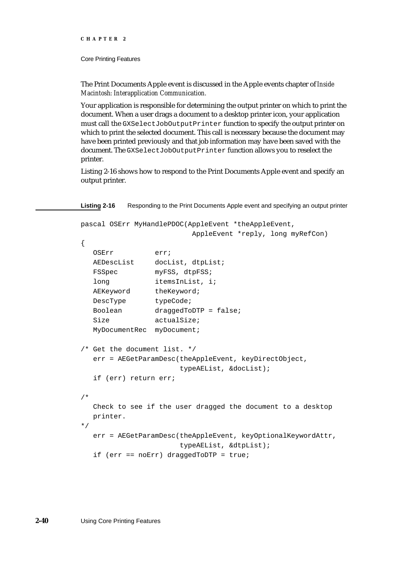Core Printing Features

The Print Documents Apple event is discussed in the Apple events chapter of *Inside Macintosh: Interapplication Communication.*

Your application is responsible for determining the output printer on which to print the document. When a user drags a document to a desktop printer icon, your application must call the GXSelectJobOutputPrinter function to specify the output printer on which to print the selected document. This call is necessary because the document may have been printed previously and that job information may have been saved with the document. The GXSelectJobOutputPrinter function allows you to reselect the printer.

Listing 2-16 shows how to respond to the Print Documents Apple event and specify an output printer.

Listing 2-16 Responding to the Print Documents Apple event and specifying an output printer

```
pascal OSErr MyHandlePDOC(AppleEvent *theAppleEvent, 
                         AppleEvent *reply, long myRefCon)
{
  OSErr err;
  AEDescList docList, dtpList;
  FSSpec myFSS, dtpFSS;
  long itemsInList, i;
  AEKeyword theKeyword;
  DescType typeCode;
  Boolean draggedToDTP = false;
  Size actualSize;
  MyDocumentRec myDocument;
/* Get the document list. */
  err = AEGetParamDesc(theAppleEvent, keyDirectObject, 
                      typeAEList, &docList);
  if (err) return err;
/* 
  Check to see if the user dragged the document to a desktop 
  printer.
*/
  err = AEGetParamDesc(theAppleEvent, keyOptionalKeywordAttr, 
                      typeAEList, &dtpList);
  if (err == noErr) draggedToDTP = true;
```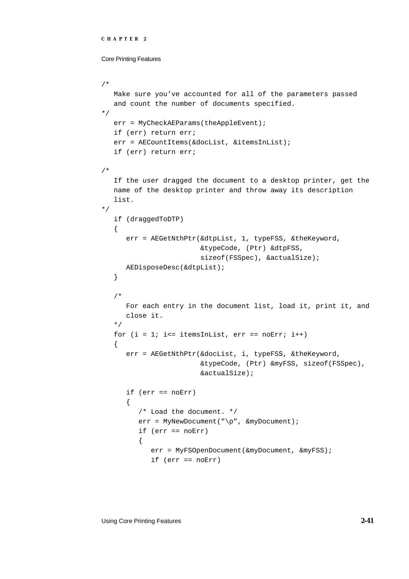```
CHAPTER 2
```

```
/* 
  Make sure you've accounted for all of the parameters passed 
   and count the number of documents specified.
*/
  err = MyCheckAEParams(theAppleEvent);
  if (err) return err;
   err = AECountItems(&docList, &itemsInList);
   if (err) return err;
/* 
   If the user dragged the document to a desktop printer, get the 
  name of the desktop printer and throw away its description 
  list.
*/
  if (draggedToDTP)
   {
      err = AEGetNthPtr(&dtpList, 1, typeFSS, &theKeyword, 
                        &typeCode, (Ptr) &dtpFSS, 
                        sizeof(FSSpec), &actualSize);
      AEDisposeDesc(&dtpList);
   }
   /* 
      For each entry in the document list, load it, print it, and 
     close it.
  */
  for (i = 1; i<= itemsInList, err == noErr; i++){
      err = AEGetNthPtr(&docList, i, typeFSS, &theKeyword, 
                        &typeCode, (Ptr) &myFSS, sizeof(FSSpec), 
                        &actualSize);
      if (err == noErr)
      {
         /* Load the document. */
         err = MyNewDocument("\p", &myDocument);
         if (err == noErr)
         {
            err = MyFSOpenDocument(&myDocument, &myFSS);
            if (err == noErr)
```
Using Core Printing Features **2-41**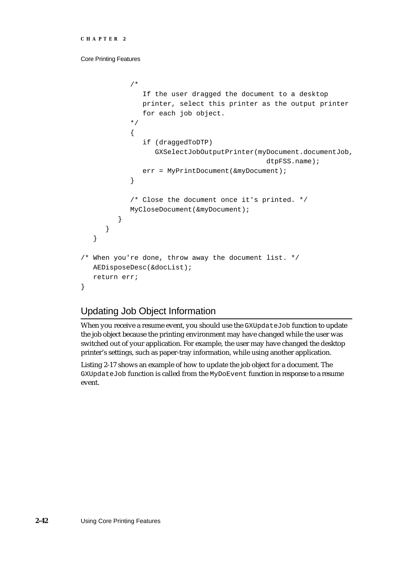```
/*
               If the user dragged the document to a desktop
               printer, select this printer as the output printer
               for each job object.
            */
            {
               if (draggedToDTP)
                  GXSelectJobOutputPrinter(myDocument.documentJob, 
                                              dtpFSS.name);
               err = MyPrintDocument(&myDocument);
            }
            /* Close the document once it's printed. */
            MyCloseDocument(&myDocument);
         }
      }
   }
/* When you're done, throw away the document list. */
  AEDisposeDesc(&docList);
  return err;
```
# Updating Job Object Information

When you receive a resume event, you should use the GXUpdateJob function to update the job object because the printing environment may have changed while the user was switched out of your application. For example, the user may have changed the desktop printer's settings, such as paper-tray information, while using another application.

Listing 2-17 shows an example of how to update the job object for a document. The GXUpdateJob function is called from the MyDoEvent function in response to a resume event.

}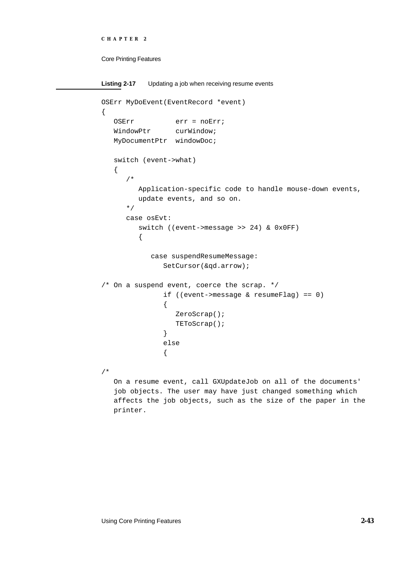```
CHAPTER 2
```

```
Listing 2-17 Updating a job when receiving resume events
OSErr MyDoEvent(EventRecord *event)
{
   OSErr err = noErr;
   WindowPtr curWindow;
   MyDocumentPtr windowDoc;
   switch (event->what)
   {
      /*
         Application-specific code to handle mouse-down events,
         update events, and so on.
      */
      case osEvt:
         switch ((event->message >> 24) & 0x0FF)
         {
            case suspendResumeMessage:
               SetCursor(&qd.arrow);
/* On a suspend event, coerce the scrap. */if ((event->message & resumeFlag) == 0)
               {
                  ZeroScrap();
                  TEToScrap();
               }
               else
               {
/* 
   On a resume event, call GXUpdateJob on all of the documents'
```
job objects. The user may have just changed something which affects the job objects, such as the size of the paper in the printer.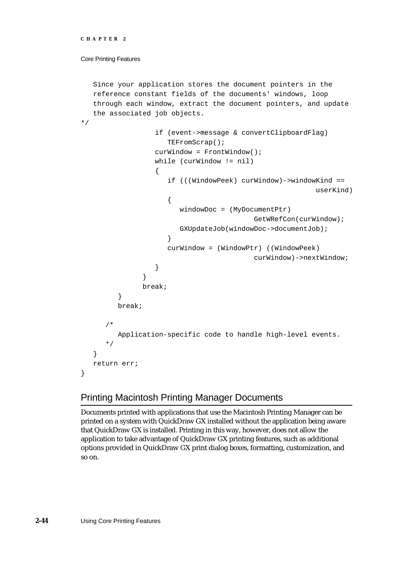### Core Printing Features

```
Since your application stores the document pointers in the 
   reference constant fields of the documents' windows, loop 
   through each window, extract the document pointers, and update 
   the associated job objects.
*/
                  if (event->message & convertClipboardFlag)
                     TEFromScrap();
                  curWindow = FrontWindow();
                  while (curWindow != nil)
                   {
                      if (((WindowPeek) curWindow)->windowKind == 
                                                           userKind)
                      {
                        windowDoc = (MyDocumentPtr) 
                                            GetWRefCon(curWindow);
                        GXUpdateJob(windowDoc->documentJob);
                      }
                     curWindow = (WindowPtr) ((WindowPeek) 
                                           curWindow)->nextWindow;
                  }
               }
               break;
         }
         break;
      /*
         Application-specific code to handle high-level events.
      */
   }
   return err;
}
```
# Printing Macintosh Printing Manager Documents

Documents printed with applications that use the Macintosh Printing Manager can be printed on a system with QuickDraw GX installed without the application being aware that QuickDraw GX is installed. Printing in this way, however, does not allow the application to take advantage of QuickDraw GX printing features, such as additional options provided in QuickDraw GX print dialog boxes, formatting, customization, and so on.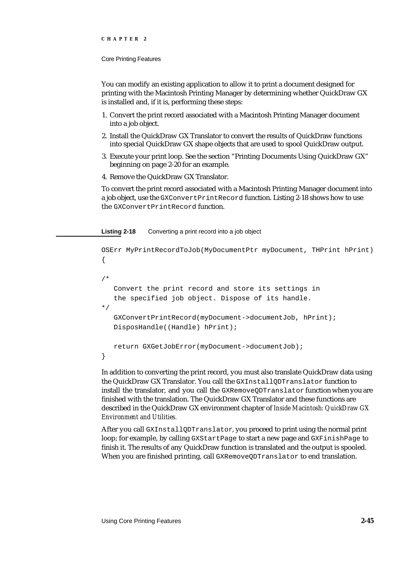#### Core Printing Features

You can modify an existing application to allow it to print a document designed for printing with the Macintosh Printing Manager by determining whether QuickDraw GX is installed and, if it is, performing these steps:

- 1. Convert the print record associated with a Macintosh Printing Manager document into a job object.
- 2. Install the QuickDraw GX Translator to convert the results of QuickDraw functions into special QuickDraw GX shape objects that are used to spool QuickDraw output.
- 3. Execute your print loop. See the section "Printing Documents Using QuickDraw GX" beginning on page 2-20 for an example.
- 4. Remove the QuickDraw GX Translator.

To convert the print record associated with a Macintosh Printing Manager document into a job object, use the GXConvertPrintRecord function. Listing 2-18 shows how to use the GXConvertPrintRecord function.

### **Listing 2-18** Converting a print record into a job object

```
OSErr MyPrintRecordToJob(MyDocumentPtr myDocument, THPrint hPrint)
{
/* 
   Convert the print record and store its settings in
   the specified job object. Dispose of its handle.
*/
   GXConvertPrintRecord(myDocument->documentJob, hPrint);
   DisposHandle((Handle) hPrint);
   return GXGetJobError(myDocument->documentJob);
}
```
In addition to converting the print record, you must also translate QuickDraw data using the QuickDraw GX Translator. You call the GXInstallQDTranslator function to install the translator, and you call the GXRemoveQDTranslator function when you are finished with the translation. The QuickDraw GX Translator and these functions are described in the QuickDraw GX environment chapter of *Inside Macintosh: QuickDraw GX Environment and Utilities.*

After you call GXInstallQDTranslator, you proceed to print using the normal print loop; for example, by calling GXStartPage to start a new page and GXFinishPage to finish it. The results of any QuickDraw function is translated and the output is spooled. When you are finished printing, call GXRemoveQDTranslator to end translation.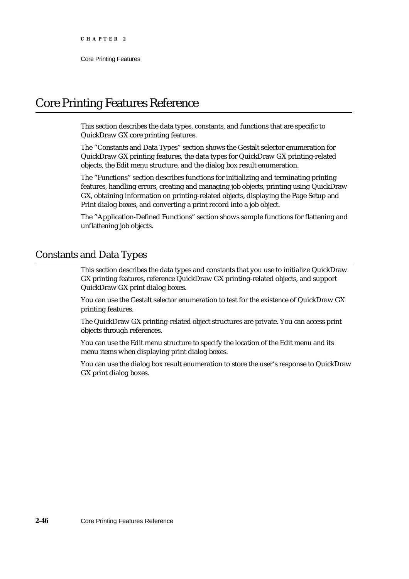# Core Printing Features Reference

This section describes the data types, constants, and functions that are specific to QuickDraw GX core printing features.

The "Constants and Data Types" section shows the Gestalt selector enumeration for QuickDraw GX printing features, the data types for QuickDraw GX printing-related objects, the Edit menu structure, and the dialog box result enumeration.

The "Functions" section describes functions for initializing and terminating printing features, handling errors, creating and managing job objects, printing using QuickDraw GX, obtaining information on printing-related objects, displaying the Page Setup and Print dialog boxes, and converting a print record into a job object.

The "Application-Defined Functions" section shows sample functions for flattening and unflattening job objects.

# Constants and Data Types

This section describes the data types and constants that you use to initialize QuickDraw GX printing features, reference QuickDraw GX printing-related objects, and support QuickDraw GX print dialog boxes.

You can use the Gestalt selector enumeration to test for the existence of QuickDraw GX printing features.

The QuickDraw GX printing-related object structures are private. You can access print objects through references.

You can use the Edit menu structure to specify the location of the Edit menu and its menu items when displaying print dialog boxes.

You can use the dialog box result enumeration to store the user's response to QuickDraw GX print dialog boxes.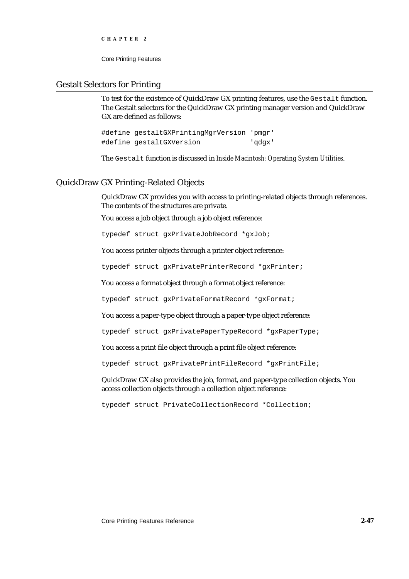Core Printing Features

## Gestalt Selectors for Printing

To test for the existence of QuickDraw GX printing features, use the Gestalt function. The Gestalt selectors for the QuickDraw GX printing manager version and QuickDraw GX are defined as follows:

#define gestaltGXPrintingMgrVersion 'pmgr' #define gestaltGXVersion 'qdgx'

The Gestalt function is discussed in *Inside Macintosh: Operating System Utilities*.

## QuickDraw GX Printing-Related Objects

QuickDraw GX provides you with access to printing-related objects through references. The contents of the structures are private.

You access a job object through a job object reference:

typedef struct gxPrivateJobRecord \*gxJob;

You access printer objects through a printer object reference:

typedef struct gxPrivatePrinterRecord \*gxPrinter;

You access a format object through a format object reference:

typedef struct gxPrivateFormatRecord \*gxFormat;

You access a paper-type object through a paper-type object reference:

typedef struct gxPrivatePaperTypeRecord \*gxPaperType;

You access a print file object through a print file object reference:

typedef struct gxPrivatePrintFileRecord \*gxPrintFile;

QuickDraw GX also provides the job, format, and paper-type collection objects. You access collection objects through a collection object reference:

typedef struct PrivateCollectionRecord \*Collection;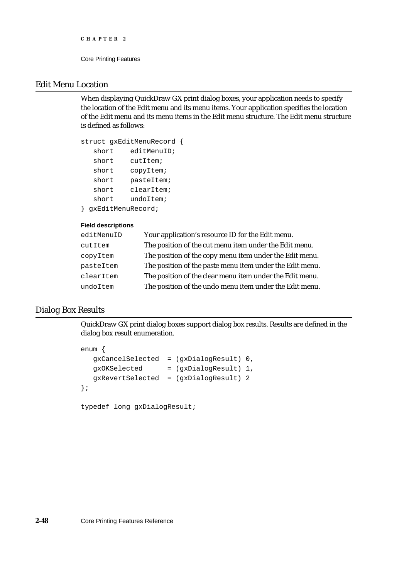```
CHAPTER 2
```
# Edit Menu Location

When displaying QuickDraw GX print dialog boxes, your application needs to specify the location of the Edit menu and its menu items. Your application specifies the location of the Edit menu and its menu items in the Edit menu structure. The Edit menu structure is defined as follows:

```
struct gxEditMenuRecord {
  short editMenuID;
  short cutItem;
  short copyItem;
  short pasteItem;
  short clearItem;
  short undoItem;
} gxEditMenuRecord;
```
### **Field descriptions**

| editMenuID | Your application's resource ID for the Edit menu.        |
|------------|----------------------------------------------------------|
| cutItem    | The position of the cut menu item under the Edit menu.   |
| copyItem   | The position of the copy menu item under the Edit menu.  |
| pasteItem  | The position of the paste menu item under the Edit menu. |
| clearItem  | The position of the clear menu item under the Edit menu. |
| undoItem   | The position of the undo menu item under the Edit menu.  |

# Dialog Box Results

QuickDraw GX print dialog boxes support dialog box results. Results are defined in the dialog box result enumeration.

```
enum {
  gxCancelSelected = (gxDialogResult) 0,
  gxOKSelected = (gxDialogResult) 1,
  gxRevertSelected = (gxDialogResult) 2
};
```

```
typedef long gxDialogResult;
```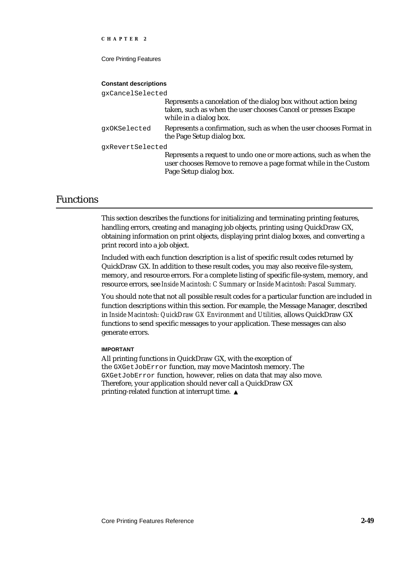Core Printing Features

#### **Constant descriptions**

| qxCancelSelected |                                                                                                                                                                 |  |  |
|------------------|-----------------------------------------------------------------------------------------------------------------------------------------------------------------|--|--|
|                  | Represents a cancelation of the dialog box without action being<br>taken, such as when the user chooses Cancel or presses Escape<br>while in a dialog box.      |  |  |
| qxOKSelected     | Represents a confirmation, such as when the user chooses Format in<br>the Page Setup dialog box.                                                                |  |  |
| qxRevertSelected |                                                                                                                                                                 |  |  |
|                  | Represents a request to undo one or more actions, such as when the<br>user chooses Remove to remove a page format while in the Custom<br>Page Setup dialog box. |  |  |

# Functions

This section describes the functions for initializing and terminating printing features, handling errors, creating and managing job objects, printing using QuickDraw GX, obtaining information on print objects, displaying print dialog boxes, and converting a print record into a job object.

Included with each function description is a list of specific result codes returned by QuickDraw GX. In addition to these result codes, you may also receive file-system, memory, and resource errors. For a complete listing of specific file-system, memory, and resource errors, see *Inside Macintosh: C Summary* or *Inside Macintosh: Pascal Summary*.

You should note that not all possible result codes for a particular function are included in function descriptions within this section. For example, the Message Manager, described in *Inside Macintosh: QuickDraw GX Environment and Utilities,* allows QuickDraw GX functions to send specific messages to your application. These messages can also generate errors.

### **IMPORTANT**

All printing functions in QuickDraw GX, with the exception of the GXGetJobError function, may move Macintosh memory. The GXGetJobError function, however, relies on data that may also move. Therefore, your application should never call a QuickDraw GX printing-related function at interrupt time.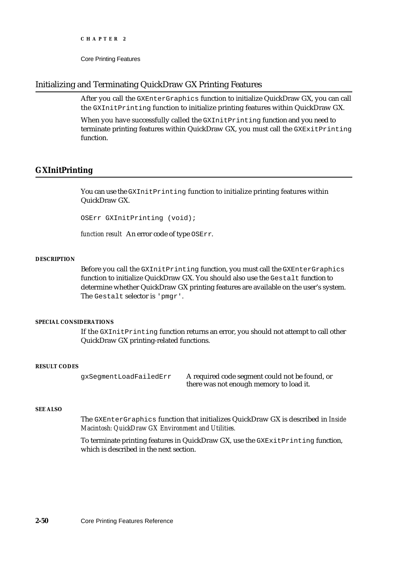Core Printing Features

# Initializing and Terminating QuickDraw GX Printing Features

After you call the GXEnterGraphics function to initialize QuickDraw GX, you can call the GXInitPrinting function to initialize printing features within QuickDraw GX.

When you have successfully called the GXInitPrinting function and you need to terminate printing features within QuickDraw GX, you must call the  $GX$ ExitPrinting function.

## **GXInitPrinting**

You can use the GXInitPrinting function to initialize printing features within QuickDraw GX.

OSErr GXInitPrinting (void);

*function result* An error code of type OSErr.

### **DESCRIPTION**

Before you call the GXInitPrinting function, you must call the GXEnterGraphics function to initialize QuickDraw GX. You should also use the Gestalt function to determine whether QuickDraw GX printing features are available on the user's system. The Gestalt selector is 'pmgr'.

### **SPECIAL CONSIDERATIONS**

If the GXInitPrinting function returns an error, you should not attempt to call other QuickDraw GX printing-related functions.

#### **RESULT CODES**

gxSegmentLoadFailedErr A required code segment could not be found, or there was not enough memory to load it.

### **SEE ALSO**

The GXEnterGraphics function that initializes QuickDraw GX is described in *Inside Macintosh: QuickDraw GX Environment and Utilities.*

To terminate printing features in QuickDraw GX, use the GXExitPrinting function, which is described in the next section.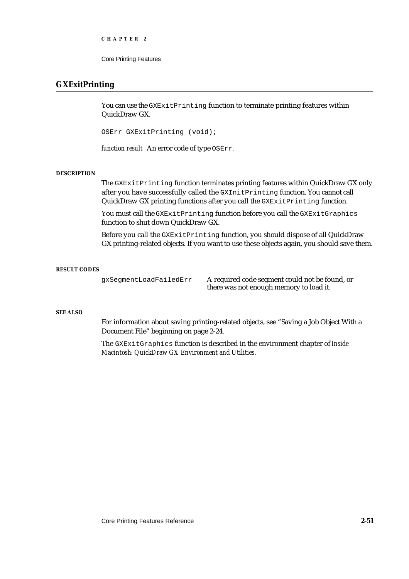Core Printing Features

## **GXExitPrinting**

You can use the GXExitPrinting function to terminate printing features within QuickDraw GX.

OSErr GXExitPrinting (void);

*function result* An error code of type OSErr.

#### **DESCRIPTION**

The GXExitPrinting function terminates printing features within QuickDraw GX only after you have successfully called the GXInitPrinting function. You cannot call QuickDraw GX printing functions after you call the GXExitPrinting function.

You must call the GXExitPrinting function before you call the GXExitGraphics function to shut down QuickDraw GX.

Before you call the GXExitPrinting function, you should dispose of all QuickDraw GX printing-related objects. If you want to use these objects again, you should save them.

#### **RESULT CODES**

gxSegmentLoadFailedErr A required code segment could not be found, or there was not enough memory to load it.

#### **SEE ALSO**

For information about saving printing-related objects, see "Saving a Job Object With a Document File" beginning on page 2-24.

The GXExitGraphics function is described in the environment chapter of *Inside Macintosh: QuickDraw GX Environment and Utilities.*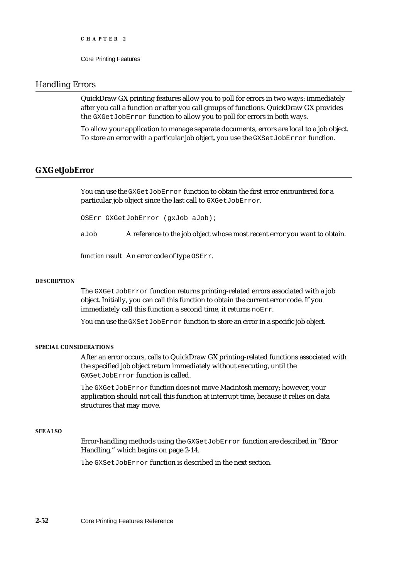## Handling Errors

QuickDraw GX printing features allow you to poll for errors in two ways: immediately after you call a function or after you call groups of functions. QuickDraw GX provides the GXGetJobError function to allow you to poll for errors in both ways.

To allow your application to manage separate documents, errors are local to a job object. To store an error with a particular job object, you use the GXSetJobError function.

## **GXGetJobError**

You can use the GXGetJobError function to obtain the first error encountered for a particular job object since the last call to GXGetJobError.

OSErr GXGetJobError (gxJob aJob);

aJob A reference to the job object whose most recent error you want to obtain.

*function result* An error code of type OSErr.

#### **DESCRIPTION**

The GXGetJobError function returns printing-related errors associated with a job object. Initially, you can call this function to obtain the current error code. If you immediately call this function a second time, it returns noErr.

You can use the GXSetJobError function to store an error in a specific job object.

### **SPECIAL CONSIDERATIONS**

After an error occurs, calls to QuickDraw GX printing-related functions associated with the specified job object return immediately without executing, until the GXGetJobError function is called.

The GXGetJobError function does *not* move Macintosh memory; however, your application should not call this function at interrupt time, because it relies on data structures that may move.

### **SEE ALSO**

Error-handling methods using the GXGetJobError function are described in "Error Handling," which begins on page 2-14.

The GXSetJobError function is described in the next section.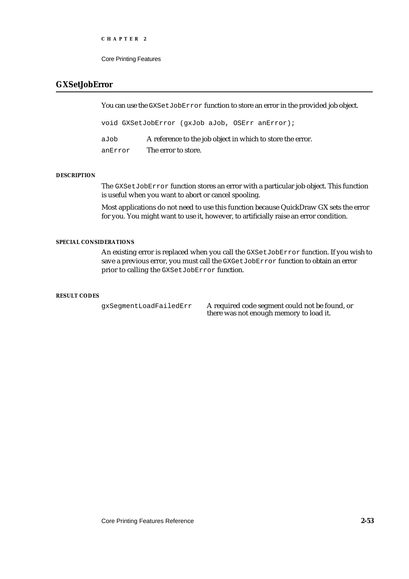Core Printing Features

# **GXSetJobError**

You can use the GXSetJobError function to store an error in the provided job object.

void GXSetJobError (gxJob aJob, OSErr anError);

aJob A reference to the job object in which to store the error. anError The error to store.

### **DESCRIPTION**

The GXSetJobError function stores an error with a particular job object. This function is useful when you want to abort or cancel spooling.

Most applications do not need to use this function because QuickDraw GX sets the error for you. You might want to use it, however, to artificially raise an error condition.

### **SPECIAL CONSIDERATIONS**

An existing error is replaced when you call the GXSetJobError function. If you wish to save a previous error, you must call the GXGetJobError function to obtain an error prior to calling the GXSetJobError function.

### **RESULT CODES**

gxSegmentLoadFailedErr A required code segment could not be found, or there was not enough memory to load it.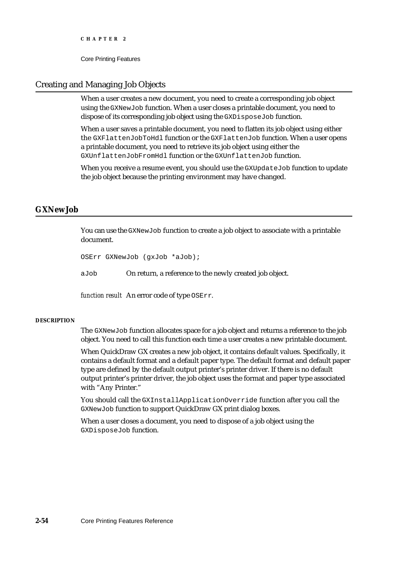## Creating and Managing Job Objects

When a user creates a new document, you need to create a corresponding job object using the GXNewJob function. When a user closes a printable document, you need to dispose of its corresponding job object using the GXDisposeJob function.

When a user saves a printable document, you need to flatten its job object using either the GXFlattenJobToHdl function or the GXFlattenJob function. When a user opens a printable document, you need to retrieve its job object using either the GXUnflattenJobFromHdl function or the GXUnflattenJob function.

When you receive a resume event, you should use the GXUpdateJob function to update the job object because the printing environment may have changed.

## **GXNewJob**

You can use the GXNewJob function to create a job object to associate with a printable document.

OSErr GXNewJob (gxJob \*aJob);

aJob On return, a reference to the newly created job object.

*function result* An error code of type OSErr.

### **DESCRIPTION**

The GXNewJob function allocates space for a job object and returns a reference to the job object. You need to call this function each time a user creates a new printable document.

When QuickDraw GX creates a new job object, it contains default values. Specifically, it contains a default format and a default paper type. The default format and default paper type are defined by the default output printer's printer driver. If there is no default output printer's printer driver, the job object uses the format and paper type associated with "Any Printer."

You should call the GXInstallApplicationOverride function after you call the GXNewJob function to support QuickDraw GX print dialog boxes.

When a user closes a document, you need to dispose of a job object using the GXDisposeJob function.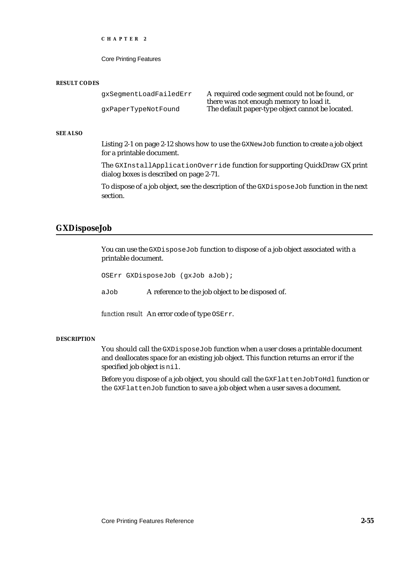Core Printing Features

#### **RESULT CODES**

| qxSeqmentLoadFailedErr | A required code segment could not be found, or   |
|------------------------|--------------------------------------------------|
|                        | there was not enough memory to load it.          |
| qxPaperTypeNotFound    | The default paper-type object cannot be located. |

### **SEE ALSO**

Listing 2-1 on page 2-12 shows how to use the GXNewJob function to create a job object for a printable document.

The GXInstallApplicationOverride function for supporting QuickDraw GX print dialog boxes is described on page 2-71.

To dispose of a job object, see the description of the GXDisposeJob function in the next section.

### **GXDisposeJob**

You can use the GXDisposeJob function to dispose of a job object associated with a printable document.

OSErr GXDisposeJob (gxJob aJob);

aJob A reference to the job object to be disposed of.

*function result* An error code of type OSErr.

#### **DESCRIPTION**

You should call the GXDisposeJob function when a user closes a printable document and deallocates space for an existing job object. This function returns an error if the specified job object is  $nil.$ 

Before you dispose of a job object, you should call the GXFlattenJobToHdl function or the GXFlattenJob function to save a job object when a user saves a document.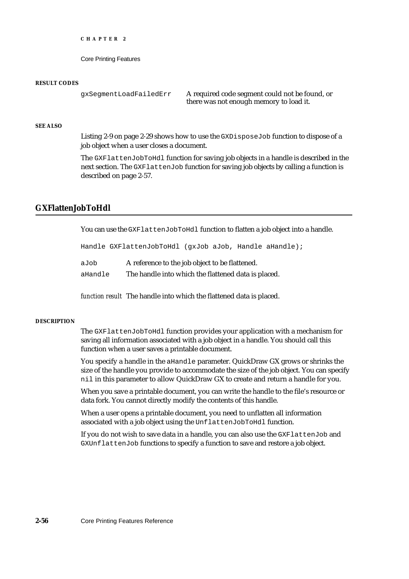Core Printing Features

#### **RESULT CODES**

gxSegmentLoadFailedErr A required code segment could not be found, or there was not enough memory to load it.

### **SEE ALSO**

Listing 2-9 on page 2-29 shows how to use the GXDisposeJob function to dispose of a job object when a user closes a document.

The GXFlattenJobToHdl function for saving job objects in a handle is described in the next section. The GXFlattenJob function for saving job objects by calling a function is described on page 2-57.

# **GXFlattenJobToHdl**

You can use the GXFlattenJobToHdl function to flatten a job object into a handle.

Handle GXFlattenJobToHdl (gxJob aJob, Handle aHandle);

| aJob | A reference to the job object to be flattened. |
|------|------------------------------------------------|
|      |                                                |

aHandle The handle into which the flattened data is placed.

*function result* The handle into which the flattened data is placed.

### **DESCRIPTION**

The GXFlattenJobToHdl function provides your application with a mechanism for saving all information associated with a job object in a handle. You should call this function when a user saves a printable document.

You specify a handle in the aHandle parameter. QuickDraw GX grows or shrinks the size of the handle you provide to accommodate the size of the job object. You can specify nil in this parameter to allow QuickDraw GX to create and return a handle for you.

When you save a printable document, you can write the handle to the file's resource or data fork. You cannot directly modify the contents of this handle.

When a user opens a printable document, you need to unflatten all information associated with a job object using the UnflattenJobToHdl function.

If you do not wish to save data in a handle, you can also use the GXFlattenJob and GXUnflattenJob functions to specify a function to save and restore a job object.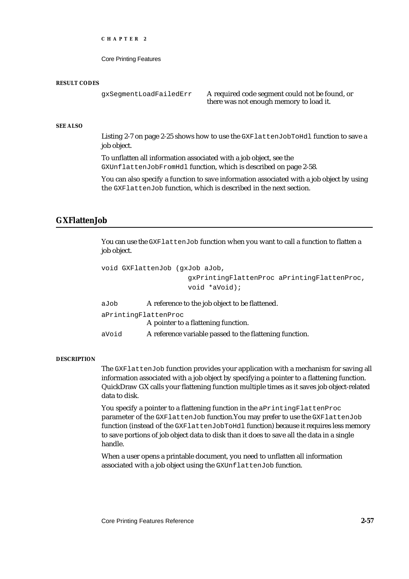Core Printing Features

#### **RESULT CODES**

gxSegmentLoadFailedErr A required code segment could not be found, or there was not enough memory to load it.

#### **SEE ALSO**

Listing 2-7 on page 2-25 shows how to use the GXFlattenJobToHdl function to save a job object.

To unflatten all information associated with a job object, see the GXUnflattenJobFromHdl function, which is described on page 2-58.

You can also specify a function to save information associated with a job object by using the GXFlattenJob function, which is described in the next section.

# **GXFlattenJob**

You can use the GXFlattenJob function when you want to call a function to flatten a job object.

```
void GXFlattenJob (gxJob aJob, 
                      gxPrintingFlattenProc aPrintingFlattenProc, 
                     void *aVoid);
```
aJob A reference to the job object to be flattened.

aPrintingFlattenProc

A pointer to a flattening function.

aVoid A reference variable passed to the flattening function.

#### **DESCRIPTION**

The GXFlattenJob function provides your application with a mechanism for saving all information associated with a job object by specifying a pointer to a flattening function. QuickDraw GX calls your flattening function multiple times as it saves job object-related data to disk.

You specify a pointer to a flattening function in the aPrintingFlattenProc parameter of the GXFlattenJob function.You may prefer to use the GXFlattenJob function (instead of the GXFlattenJobToHdl function) because it requires less memory to save portions of job object data to disk than it does to save all the data in a single handle.

When a user opens a printable document, you need to unflatten all information associated with a job object using the GXUnflattenJob function.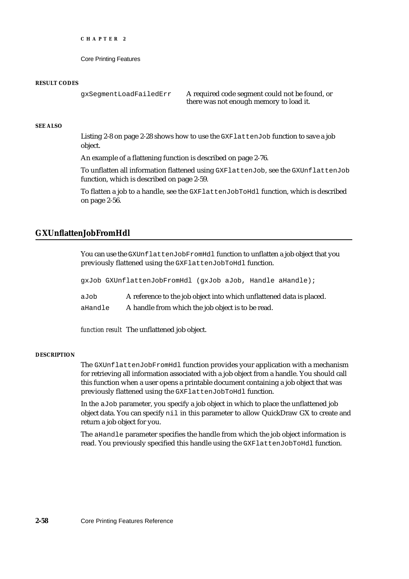```
CHAPTER 2
```
#### **RESULT CODES**

gxSegmentLoadFailedErr A required code segment could not be found, or there was not enough memory to load it.

#### **SEE ALSO**

Listing 2-8 on page 2-28 shows how to use the GXFlattenJob function to save a job object.

An example of a flattening function is described on page 2-76.

To unflatten all information flattened using GXFlattenJob, see the GXUnflattenJob function, which is described on page 2-59.

To flatten a job to a handle, see the GXFlattenJobToHdl function, which is described on page 2-56.

# **GXUnflattenJobFromHdl**

You can use the GXUnflattenJobFromHdl function to unflatten a job object that you previously flattened using the GXFlattenJobToHdl function.

gxJob GXUnflattenJobFromHdl (gxJob aJob, Handle aHandle);

aJob A reference to the job object into which unflattened data is placed.

aHandle A handle from which the job object is to be read.

*function result* The unflattened job object.

#### **DESCRIPTION**

The GXUnflattenJobFromHdl function provides your application with a mechanism for retrieving all information associated with a job object from a handle. You should call this function when a user opens a printable document containing a job object that was previously flattened using the GXFlattenJobToHdl function.

In the aJob parameter, you specify a job object in which to place the unflattened job object data. You can specify nil in this parameter to allow QuickDraw GX to create and return a job object for you.

The aHandle parameter specifies the handle from which the job object information is read. You previously specified this handle using the GXFlattenJobToHdl function.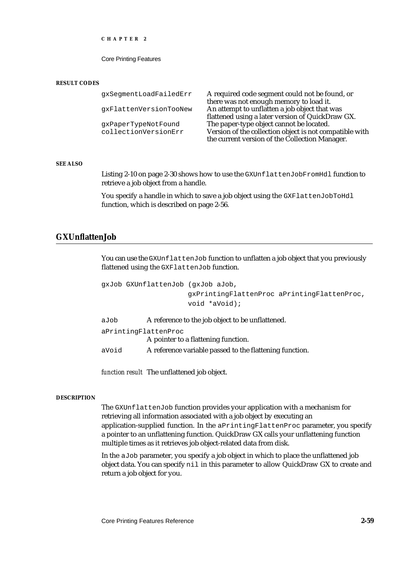Core Printing Features

#### **RESULT CODES**

| qxSeqmentLoadFailedErr | A required code segment could not be found, or          |
|------------------------|---------------------------------------------------------|
|                        | there was not enough memory to load it.                 |
| qxFlattenVersionTooNew | An attempt to unflatten a job object that was           |
|                        | flattened using a later version of QuickDraw GX.        |
| qxPaperTypeNotFound    | The paper-type object cannot be located.                |
| collectionVersionErr   | Version of the collection object is not compatible with |
|                        | the current version of the Collection Manager.          |

#### **SEE ALSO**

Listing 2-10 on page 2-30 shows how to use the GXUnflattenJobFromHdl function to retrieve a job object from a handle.

You specify a handle in which to save a job object using the GXFlattenJobToHdl function, which is described on page 2-56.

# **GXUnflattenJob**

You can use the GXUnflattenJob function to unflatten a job object that you previously flattened using the GXFlattenJob function.

```
gxJob GXUnflattenJob (gxJob aJob,
                      gxPrintingFlattenProc aPrintingFlattenProc,
                      void *aVoid);
 Job A reference to the job object to be unflattened
```

| auob                 | A reference to the job object to be unflattened.        |  |  |
|----------------------|---------------------------------------------------------|--|--|
| aPrintingFlattenProc |                                                         |  |  |
|                      | A pointer to a flattening function.                     |  |  |
| aVoid                | A reference variable passed to the flattening function. |  |  |

*function result* The unflattened job object.

#### **DESCRIPTION**

The GXUnflattenJob function provides your application with a mechanism for retrieving all information associated with a job object by executing an application-supplied function. In the aPrintingFlattenProc parameter, you specify a pointer to an unflattening function. QuickDraw GX calls your unflattening function multiple times as it retrieves job object-related data from disk.

In the aJob parameter, you specify a job object in which to place the unflattened job object data. You can specify nil in this parameter to allow QuickDraw GX to create and return a job object for you.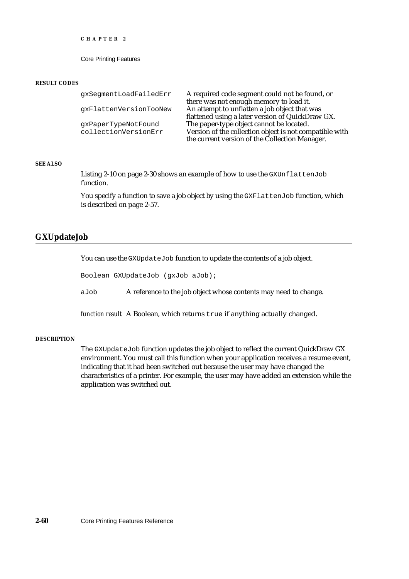Core Printing Features

#### **RESULT CODES**

| gxSegmentLoadFailedErr | A required code segment could not be found, or          |
|------------------------|---------------------------------------------------------|
|                        | there was not enough memory to load it.                 |
| qxFlattenVersionTooNew | An attempt to unflatten a job object that was           |
|                        | flattened using a later version of QuickDraw GX.        |
| qxPaperTypeNotFound    | The paper-type object cannot be located.                |
| collectionVersionErr   | Version of the collection object is not compatible with |
|                        | the current version of the Collection Manager.          |

## **SEE ALSO**

Listing 2-10 on page 2-30 shows an example of how to use the GXUnflattenJob function.

You specify a function to save a job object by using the GXFlattenJob function, which is described on page 2-57.

# **GXUpdateJob**

You can use the GXUpdateJob function to update the contents of a job object.

Boolean GXUpdateJob (gxJob aJob);

aJob A reference to the job object whose contents may need to change.

*function result* A Boolean, which returns true if anything actually changed.

#### **DESCRIPTION**

The GXUpdateJob function updates the job object to reflect the current QuickDraw GX environment. You must call this function when your application receives a resume event, indicating that it had been switched out because the user may have changed the characteristics of a printer. For example, the user may have added an extension while the application was switched out.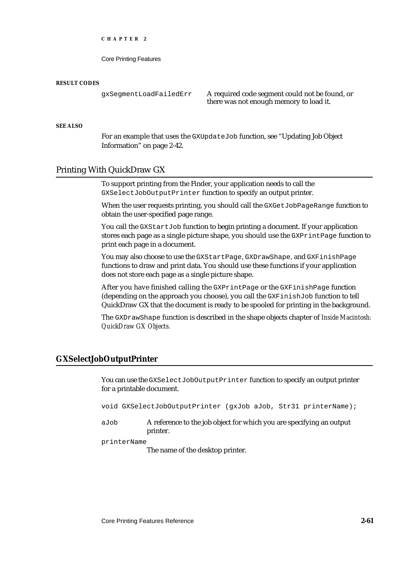Core Printing Features

#### **RESULT CODES**

gxSegmentLoadFailedErr A required code segment could not be found, or there was not enough memory to load it.

#### **SEE ALSO**

For an example that uses the GXUpdateJob function, see "Updating Job Object Information" on page 2-42.

# Printing With QuickDraw GX

To support printing from the Finder, your application needs to call the GXSelectJobOutputPrinter function to specify an output printer.

When the user requests printing, you should call the GXGetJobPageRange function to obtain the user-specified page range.

You call the GXStartJob function to begin printing a document. If your application stores each page as a single picture shape, you should use the GXPrintPage function to print each page in a document.

You may also choose to use the GXStartPage, GXDrawShape, and GXFinishPage functions to draw and print data. You should use these functions if your application does not store each page as a single picture shape.

After you have finished calling the GXPrintPage or the GXFinishPage function (depending on the approach you choose), you call the GXFinishJob function to tell QuickDraw GX that the document is ready to be spooled for printing in the background.

The GXDrawShape function is described in the shape objects chapter of *Inside Macintosh: QuickDraw GX Objects.*

# **GXSelectJobOutputPrinter**

You can use the GXSelectJobOutputPrinter function to specify an output printer for a printable document.

void GXSelectJobOutputPrinter (gxJob aJob, Str31 printerName);

aJob A reference to the job object for which you are specifying an output printer.

#### printerName

The name of the desktop printer.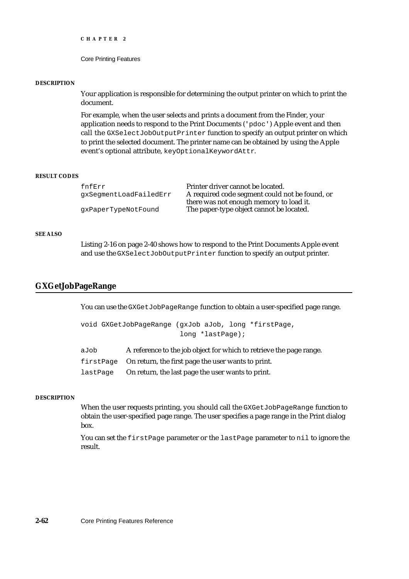```
CHAPTER 2
```
#### **DESCRIPTION**

Your application is responsible for determining the output printer on which to print the document.

For example, when the user selects and prints a document from the Finder, your application needs to respond to the Print Documents ('pdoc') Apple event and then call the GXSelectJobOutputPrinter function to specify an output printer on which to print the selected document. The printer name can be obtained by using the Apple event's optional attribute, keyOptionalKeywordAttr.

#### **RESULT CODES**

| Printer driver cannot be located.              |
|------------------------------------------------|
| A required code segment could not be found, or |
| there was not enough memory to load it.        |
| The paper-type object cannot be located.       |
|                                                |

#### **SEE ALSO**

Listing 2-16 on page 2-40 shows how to respond to the Print Documents Apple event and use the GXSelectJobOutputPrinter function to specify an output printer.

# **GXGetJobPageRange**

You can use the GXGetJobPageRange function to obtain a user-specified page range.

```
void GXGetJobPageRange (gxJob aJob, long *firstPage, 
                        long *lastPage);
```
aJob A reference to the job object for which to retrieve the page range. firstPage On return, the first page the user wants to print.

lastPage On return, the last page the user wants to print.

## **DESCRIPTION**

When the user requests printing, you should call the GXGetJobPageRange function to obtain the user-specified page range. The user specifies a page range in the Print dialog box.

You can set the first Page parameter or the last Page parameter to nil to ignore the result.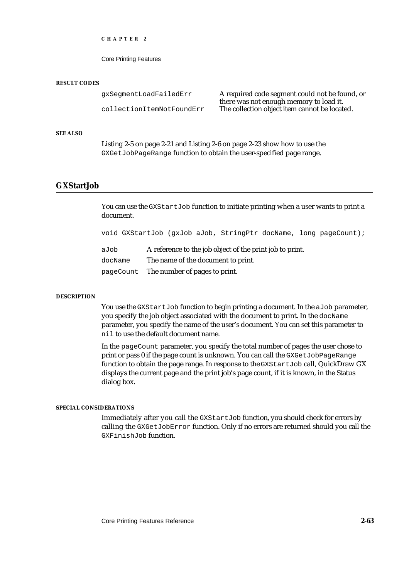Core Printing Features

#### **RESULT CODES**

gxSegmentLoadFailedErr A required code segment could not be found, or there was not enough memory to load it. collectionItemNotFoundErr The collection object item cannot be located.

## **SEE ALSO**

Listing 2-5 on page 2-21 and Listing 2-6 on page 2-23 show how to use the GXGetJobPageRange function to obtain the user-specified page range.

# **GXStartJob**

You can use the GXStartJob function to initiate printing when a user wants to print a document.

void GXStartJob (gxJob aJob, StringPtr docName, long pageCount);

aJob A reference to the job object of the print job to print. docName The name of the document to print. pageCount The number of pages to print.

#### **DESCRIPTION**

You use the GXStartJob function to begin printing a document. In the aJob parameter, you specify the job object associated with the document to print. In the docName parameter, you specify the name of the user's document. You can set this parameter to nil to use the default document name.

In the pageCount parameter, you specify the total number of pages the user chose to print or pass 0 if the page count is unknown. You can call the GXGetJobPageRange function to obtain the page range. In response to the GXStartJob call, QuickDraw GX displays the current page and the print job's page count, if it is known, in the Status dialog box.

#### **SPECIAL CONSIDERATIONS**

Immediately after you call the GXStartJob function, you should check for errors by calling the GXGetJobError function. Only if no errors are returned should you call the GXFinishJob function.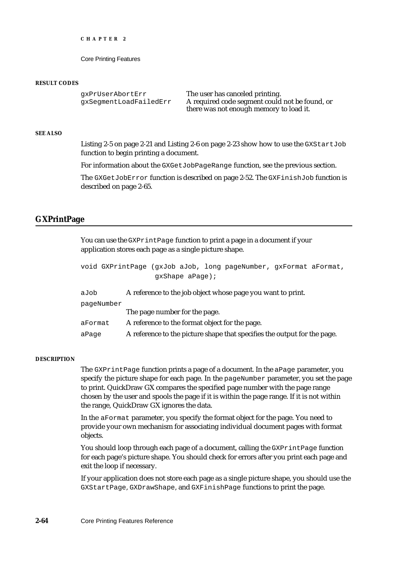```
CHAPTER 2
```
#### **RESULT CODES**

gxPrUserAbortErr The user has canceled printing. gxSegmentLoadFailedErr A required code segment could not be found, or there was not enough memory to load it.

#### **SEE ALSO**

Listing 2-5 on page 2-21 and Listing 2-6 on page 2-23 show how to use the GXStartJob function to begin printing a document.

For information about the GXGetJobPageRange function, see the previous section.

The GXGetJobError function is described on page 2-52. The GXFinishJob function is described on page 2-65.

#### **GXPrintPage**

You can use the GXPrintPage function to print a page in a document if your application stores each page as a single picture shape.

|                                                                     | void GXPrintPage (gxJob aJob, long pageNumber, gxFormat aFormat,         |  |  |
|---------------------------------------------------------------------|--------------------------------------------------------------------------|--|--|
|                                                                     | $qxShape$ aPage);                                                        |  |  |
| A reference to the job object whose page you want to print.<br>aJob |                                                                          |  |  |
| paqeNumber                                                          |                                                                          |  |  |
|                                                                     | The page number for the page.                                            |  |  |
| aFormat                                                             | A reference to the format object for the page.                           |  |  |
| aPage                                                               | A reference to the picture shape that specifies the output for the page. |  |  |

#### **DESCRIPTION**

The GXPrintPage function prints a page of a document. In the aPage parameter, you specify the picture shape for each page. In the pageNumber parameter, you set the page to print. QuickDraw GX compares the specified page number with the page range chosen by the user and spools the page if it is within the page range. If it is not within the range, QuickDraw GX ignores the data.

In the aFormat parameter, you specify the format object for the page. You need to provide your own mechanism for associating individual document pages with format objects.

You should loop through each page of a document, calling the GXPrintPage function for each page's picture shape. You should check for errors after you print each page and exit the loop if necessary.

If your application does not store each page as a single picture shape, you should use the GXStartPage, GXDrawShape, and GXFinishPage functions to print the page.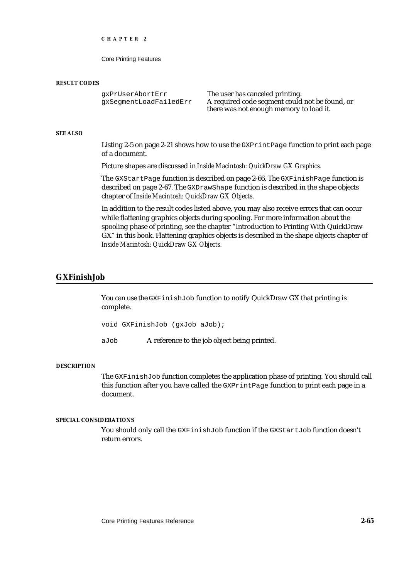Core Printing Features

#### **RESULT CODES**

gxPrUserAbortErr The user has canceled printing.

gxSegmentLoadFailedErr A required code segment could not be found, or there was not enough memory to load it.

#### **SEE ALSO**

Listing 2-5 on page 2-21 shows how to use the GXPrintPage function to print each page of a document.

Picture shapes are discussed in *Inside Macintosh: QuickDraw GX Graphics.*

The GXStartPage function is described on page 2-66. The GXFinishPage function is described on page 2-67. The GXDrawShape function is described in the shape objects chapter of *Inside Macintosh: QuickDraw GX Objects.*

In addition to the result codes listed above, you may also receive errors that can occur while flattening graphics objects during spooling. For more information about the spooling phase of printing, see the chapter "Introduction to Printing With QuickDraw GX" in this book. Flattening graphics objects is described in the shape objects chapter of *Inside Macintosh: QuickDraw GX Objects.*

# **GXFinishJob**

You can use the GXFinishJob function to notify QuickDraw GX that printing is complete.

void GXFinishJob (gxJob aJob);

aJob A reference to the job object being printed.

#### **DESCRIPTION**

The GXFinishJob function completes the application phase of printing. You should call this function after you have called the GXPrintPage function to print each page in a document.

#### **SPECIAL CONSIDERATIONS**

You should only call the GXFinishJob function if the GXStartJob function doesn't return errors.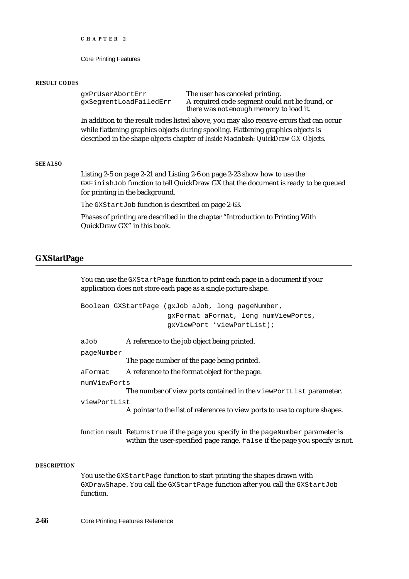Core Printing Features

#### **RESULT CODES**

gxPrUserAbortErr The user has canceled printing. gxSegmentLoadFailedErr A required code segment could not be found, or there was not enough memory to load it.

In addition to the result codes listed above, you may also receive errors that can occur while flattening graphics objects during spooling. Flattening graphics objects is described in the shape objects chapter of *Inside Macintosh: QuickDraw GX Objects.*

# **SEE ALSO**

Listing 2-5 on page 2-21 and Listing 2-6 on page 2-23 show how to use the GXFinishJob function to tell QuickDraw GX that the document is ready to be queued for printing in the background.

The GXStartJob function is described on page 2-63.

Phases of printing are described in the chapter "Introduction to Printing With QuickDraw GX" in this book.

# **GXStartPage**

You can use the GXStartPage function to print each page in a document if your application does not store each page as a single picture shape.

|              | Boolean GXStartPage (gxJob aJob, long pageNumber,                           |  |  |
|--------------|-----------------------------------------------------------------------------|--|--|
|              | qxFormat aFormat, long numViewPorts,                                        |  |  |
|              | qxViewPort *viewPortList);                                                  |  |  |
| aJob         | A reference to the job object being printed.                                |  |  |
| pageNumber   |                                                                             |  |  |
|              | The page number of the page being printed.                                  |  |  |
| aFormat      | A reference to the format object for the page.                              |  |  |
| numViewPorts |                                                                             |  |  |
|              | The number of view ports contained in the viewPortList parameter.           |  |  |
| viewPortList |                                                                             |  |  |
|              | A pointer to the list of references to view ports to use to capture shapes. |  |  |

*function result* Returns true if the page you specify in the pageNumber parameter is within the user-specified page range, false if the page you specify is not.

#### **DESCRIPTION**

You use the GXStartPage function to start printing the shapes drawn with GXDrawShape. You call the GXStartPage function after you call the GXStartJob function.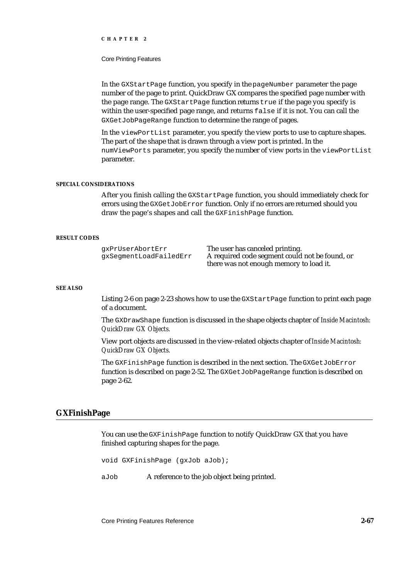#### Core Printing Features

In the GXStartPage function, you specify in the pageNumber parameter the page number of the page to print. QuickDraw GX compares the specified page number with the page range. The GXStartPage function returns true if the page you specify is within the user-specified page range, and returns false if it is not. You can call the GXGetJobPageRange function to determine the range of pages.

In the viewPortList parameter, you specify the view ports to use to capture shapes. The part of the shape that is drawn through a view port is printed. In the numViewPorts parameter, you specify the number of view ports in the viewPortList parameter.

#### **SPECIAL CONSIDERATIONS**

After you finish calling the GXStartPage function, you should immediately check for errors using the GXGetJobError function. Only if no errors are returned should you draw the page's shapes and call the GXFinishPage function.

#### **RESULT CODES**

gxPrUserAbortErr The user has canceled printing. gxSegmentLoadFailedErr A required code segment could not be found, or there was not enough memory to load it.

#### **SEE ALSO**

Listing 2-6 on page 2-23 shows how to use the GXStartPage function to print each page of a document.

The GXDrawShape function is discussed in the shape objects chapter of *Inside Macintosh: QuickDraw GX Objects.*

View port objects are discussed in the view-related objects chapter of *Inside Macintosh: QuickDraw GX Objects.*

The GXFinishPage function is described in the next section. The GXGetJobError function is described on page 2-52. The GXGetJobPageRange function is described on page 2-62.

# **GXFinishPage**

You can use the GXFinishPage function to notify QuickDraw GX that you have finished capturing shapes for the page.

void GXFinishPage (gxJob aJob);

aJob A reference to the job object being printed.

Core Printing Features Reference **2-67**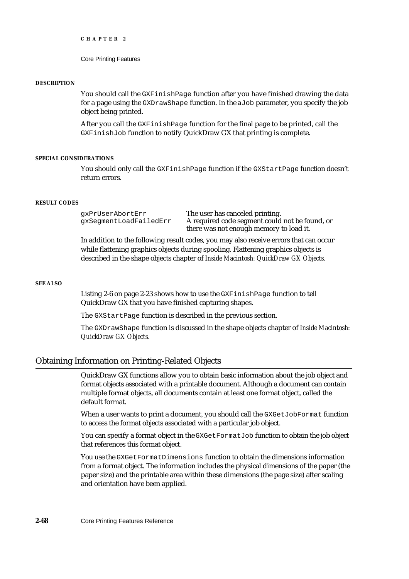```
CHAPTER 2
```
#### **DESCRIPTION**

You should call the GXFinishPage function after you have finished drawing the data for a page using the GXDrawShape function. In the aJob parameter, you specify the job object being printed.

After you call the GXFinishPage function for the final page to be printed, call the GXFinishJob function to notify QuickDraw GX that printing is complete.

#### **SPECIAL CONSIDERATIONS**

You should only call the GXFinishPage function if the GXStartPage function doesn't return errors.

#### **RESULT CODES**

gxPrUserAbortErr The user has canceled printing. gxSegmentLoadFailedErr A required code segment could not be found, or there was not enough memory to load it.

In addition to the following result codes, you may also receive errors that can occur while flattening graphics objects during spooling. Flattening graphics objects is described in the shape objects chapter of *Inside Macintosh: QuickDraw GX Objects.*

#### **SEE ALSO**

Listing 2-6 on page 2-23 shows how to use the GXFinishPage function to tell QuickDraw GX that you have finished capturing shapes.

The GXStartPage function is described in the previous section.

The GXDrawShape function is discussed in the shape objects chapter of *Inside Macintosh: QuickDraw GX Objects.*

# Obtaining Information on Printing-Related Objects

QuickDraw GX functions allow you to obtain basic information about the job object and format objects associated with a printable document. Although a document can contain multiple format objects, all documents contain at least one format object, called the default format.

When a user wants to print a document, you should call the GXGetJobFormat function to access the format objects associated with a particular job object.

You can specify a format object in the GXGetFormatJob function to obtain the job object that references this format object.

You use the GXGetFormatDimensions function to obtain the dimensions information from a format object. The information includes the physical dimensions of the paper (the paper size) and the printable area within these dimensions (the page size) after scaling and orientation have been applied.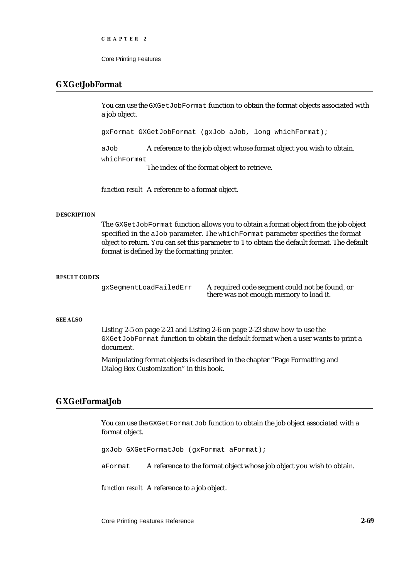Core Printing Features

# **GXGetJobFormat**

You can use the GXGetJobFormat function to obtain the format objects associated with a job object.

gxFormat GXGetJobFormat (gxJob aJob, long whichFormat);

aJob A reference to the job object whose format object you wish to obtain. whichFormat

The index of the format object to retrieve.

*function result* A reference to a format object.

#### **DESCRIPTION**

The GXGetJobFormat function allows you to obtain a format object from the job object specified in the aJob parameter. The whichFormat parameter specifies the format object to return. You can set this parameter to 1 to obtain the default format. The default format is defined by the formatting printer.

#### **RESULT CODES**

gxSegmentLoadFailedErr A required code segment could not be found, or there was not enough memory to load it.

# **SEE ALSO**

Listing 2-5 on page 2-21 and Listing 2-6 on page 2-23 show how to use the GXGetJobFormat function to obtain the default format when a user wants to print a document.

Manipulating format objects is described in the chapter "Page Formatting and Dialog Box Customization" in this book.

# **GXGetFormatJob**

You can use the GXGetFormatJob function to obtain the job object associated with a format object.

gxJob GXGetFormatJob (gxFormat aFormat);

aFormat A reference to the format object whose job object you wish to obtain.

*function result* A reference to a job object.

Core Printing Features Reference **2-69**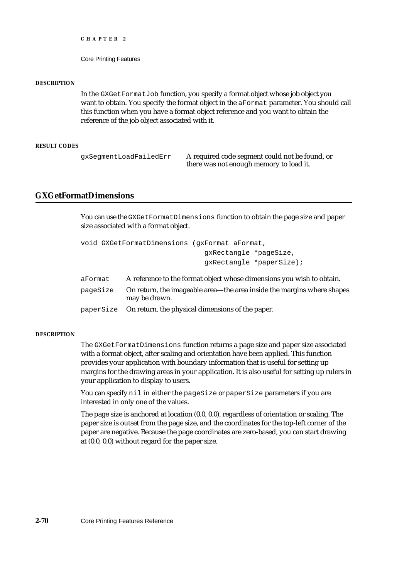Core Printing Features

#### **DESCRIPTION**

In the GXGetFormatJob function, you specify a format object whose job object you want to obtain. You specify the format object in the aFormat parameter. You should call this function when you have a format object reference and you want to obtain the reference of the job object associated with it.

#### **RESULT CODES**

gxSegmentLoadFailedErr A required code segment could not be found, or there was not enough memory to load it.

# **GXGetFormatDimensions**

You can use the GXGetFormatDimensions function to obtain the page size and paper size associated with a format object.

```
void GXGetFormatDimensions (gxFormat aFormat, 
                               gxRectangle *pageSize,
                               gxRectangle *paperSize);
```
- aFormat A reference to the format object whose dimensions you wish to obtain.
- pageSize On return, the imageable area—the area inside the margins where shapes may be drawn.

paperSize On return, the physical dimensions of the paper.

#### **DESCRIPTION**

The GXGetFormatDimensions function returns a page size and paper size associated with a format object, after scaling and orientation have been applied. This function provides your application with boundary information that is useful for setting up margins for the drawing areas in your application. It is also useful for setting up rulers in your application to display to users.

You can specify nil in either the pageSize or paperSize parameters if you are interested in only one of the values.

The page size is anchored at location (0.0, 0.0), regardless of orientation or scaling. The paper size is outset from the page size, and the coordinates for the top-left corner of the paper are negative. Because the page coordinates are zero-based, you can start drawing at (0.0, 0.0) without regard for the paper size.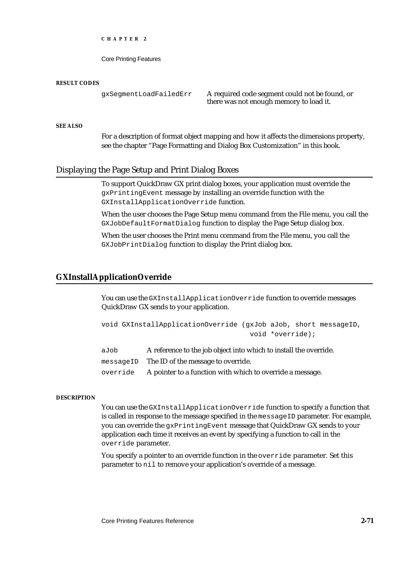Core Printing Features

#### **RESULT CODES**

gxSegmentLoadFailedErr A required code segment could not be found, or there was not enough memory to load it.

#### **SEE ALSO**

For a description of format object mapping and how it affects the dimensions property, see the chapter "Page Formatting and Dialog Box Customization" in this book.

# Displaying the Page Setup and Print Dialog Boxes

To support QuickDraw GX print dialog boxes, your application must override the gxPrintingEvent message by installing an override function with the GXInstallApplicationOverride function.

When the user chooses the Page Setup menu command from the File menu, you call the GXJobDefaultFormatDialog function to display the Page Setup dialog box.

When the user chooses the Print menu command from the File menu, you call the GXJobPrintDialog function to display the Print dialog box.

# **GXInstallApplicationOverride**

You can use the GXInstallApplicationOverride function to override messages QuickDraw GX sends to your application.

```
void GXInstallApplicationOverride (gxJob aJob, short messageID,
                                    void *override);
```
aJob A reference to the job object into which to install the override.

messageID The ID of the message to override.

override A pointer to a function with which to override a message.

#### **DESCRIPTION**

You can use the GXInstallApplicationOverride function to specify a function that is called in response to the message specified in the messageID parameter. For example, you can override the gxPrintingEvent message that QuickDraw GX sends to your application each time it receives an event by specifying a function to call in the override parameter.

You specify a pointer to an override function in the override parameter. Set this parameter to nil to remove your application's override of a message.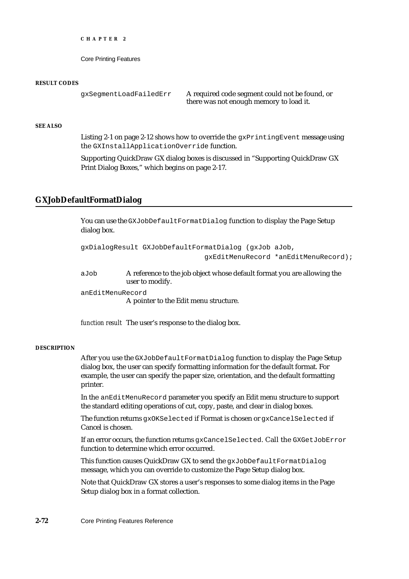Core Printing Features

#### **RESULT CODES**

gxSegmentLoadFailedErr A required code segment could not be found, or there was not enough memory to load it.

#### **SEE ALSO**

Listing 2-1 on page 2-12 shows how to override the  $gx$ PrintingEvent message using the GXInstallApplicationOverride function.

Supporting QuickDraw GX dialog boxes is discussed in "Supporting QuickDraw GX Print Dialog Boxes," which begins on page 2-17.

# **GXJobDefaultFormatDialog**

You can use the GXJobDefaultFormatDialog function to display the Page Setup dialog box.

```
gxDialogResult GXJobDefaultFormatDialog (gxJob aJob,
                              gxEditMenuRecord *anEditMenuRecord);
```
aJob A reference to the job object whose default format you are allowing the user to modify.

anEditMenuRecord

A pointer to the Edit menu structure.

*function result* The user's response to the dialog box.

#### **DESCRIPTION**

After you use the GXJobDefaultFormatDialog function to display the Page Setup dialog box, the user can specify formatting information for the default format. For example, the user can specify the paper size, orientation, and the default formatting printer.

In the anEditMenuRecord parameter you specify an Edit menu structure to support the standard editing operations of cut, copy, paste, and clear in dialog boxes.

The function returns gxOKSelected if Format is chosen or gxCancelSelected if Cancel is chosen.

If an error occurs, the function returns gxCancelSelected. Call the GXGetJobError function to determine which error occurred.

This function causes QuickDraw GX to send the gxJobDefaultFormatDialog message, which you can override to customize the Page Setup dialog box.

Note that QuickDraw GX stores a user's responses to some dialog items in the Page Setup dialog box in a format collection.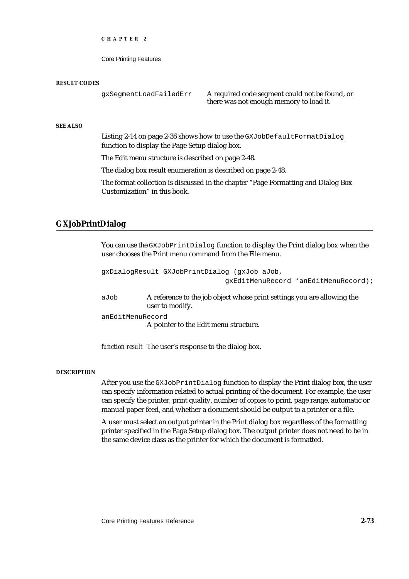Core Printing Features

#### **RESULT CODES**

gxSegmentLoadFailedErr A required code segment could not be found, or there was not enough memory to load it.

#### **SEE ALSO**

Listing 2-14 on page 2-36 shows how to use the GXJobDefaultFormatDialog function to display the Page Setup dialog box.

The Edit menu structure is described on page 2-48.

The dialog box result enumeration is described on page 2-48.

The format collection is discussed in the chapter "Page Formatting and Dialog Box Customization" in this book.

# **GXJobPrintDialog**

You can use the GXJobPrintDialog function to display the Print dialog box when the user chooses the Print menu command from the File menu.

gxDialogResult GXJobPrintDialog (gxJob aJob, gxEditMenuRecord \*anEditMenuRecord); aJob A reference to the job object whose print settings you are allowing the user to modify. anEditMenuRecord A pointer to the Edit menu structure.

*function result* The user's response to the dialog box.

#### **DESCRIPTION**

After you use the GXJobPrintDialog function to display the Print dialog box, the user can specify information related to actual printing of the document. For example, the user can specify the printer, print quality, number of copies to print, page range, automatic or manual paper feed, and whether a document should be output to a printer or a file.

A user must select an output printer in the Print dialog box regardless of the formatting printer specified in the Page Setup dialog box. The output printer does not need to be in the same device class as the printer for which the document is formatted.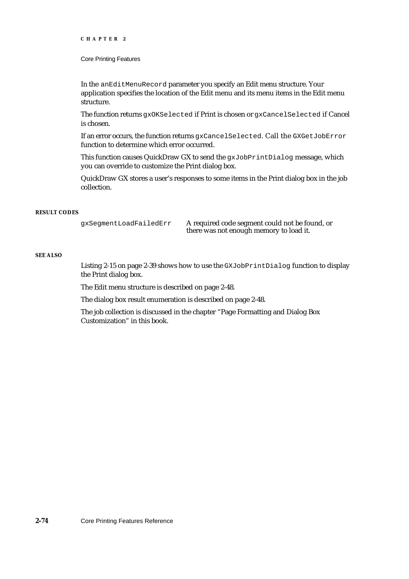#### Core Printing Features

In the anEditMenuRecord parameter you specify an Edit menu structure. Your application specifies the location of the Edit menu and its menu items in the Edit menu structure.

The function returns gxOKSelected if Print is chosen or gxCancelSelected if Cancel is chosen.

If an error occurs, the function returns gxCancelSelected. Call the GXGetJobError function to determine which error occurred.

This function causes QuickDraw GX to send the gxJobPrintDialog message, which you can override to customize the Print dialog box.

QuickDraw GX stores a user's responses to some items in the Print dialog box in the job collection.

#### **RESULT CODES**

gxSegmentLoadFailedErr A required code segment could not be found, or there was not enough memory to load it.

#### **SEE ALSO**

Listing 2-15 on page 2-39 shows how to use the GXJobPrintDialog function to display the Print dialog box.

The Edit menu structure is described on page 2-48.

The dialog box result enumeration is described on page 2-48.

The job collection is discussed in the chapter "Page Formatting and Dialog Box Customization" in this book.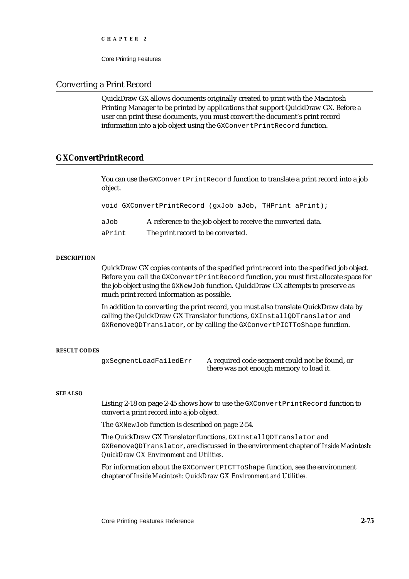Core Printing Features

# Converting a Print Record

QuickDraw GX allows documents originally created to print with the Macintosh Printing Manager to be printed by applications that support QuickDraw GX. Before a user can print these documents, you must convert the document's print record information into a job object using the GXConvertPrintRecord function.

# **GXConvertPrintRecord**

You can use the GXConvertPrintRecord function to translate a print record into a job object.

void GXConvertPrintRecord (gxJob aJob, THPrint aPrint);

| aJob   | A reference to the job object to receive the converted data. |
|--------|--------------------------------------------------------------|
| aPrint | The print record to be converted.                            |

#### **DESCRIPTION**

QuickDraw GX copies contents of the specified print record into the specified job object. Before you call the GXConvertPrintRecord function, you must first allocate space for the job object using the GXNewJob function. QuickDraw GX attempts to preserve as much print record information as possible.

In addition to converting the print record, you must also translate QuickDraw data by calling the QuickDraw GX Translator functions, GXInstallQDTranslator and GXRemoveQDTranslator, or by calling the GXConvertPICTToShape function.

#### **RESULT CODES**

gxSegmentLoadFailedErr A required code segment could not be found, or there was not enough memory to load it.

#### **SEE ALSO**

Listing 2-18 on page 2-45 shows how to use the GXConvertPrintRecord function to convert a print record into a job object.

The GXNewJob function is described on page 2-54.

The QuickDraw GX Translator functions, GXInstallQDTranslator and GXRemoveQDTranslator, are discussed in the environment chapter of *Inside Macintosh: QuickDraw GX Environment and Utilities.*

For information about the GXConvertPICTToShape function, see the environment chapter of *Inside Macintosh: QuickDraw GX Environment and Utilities.*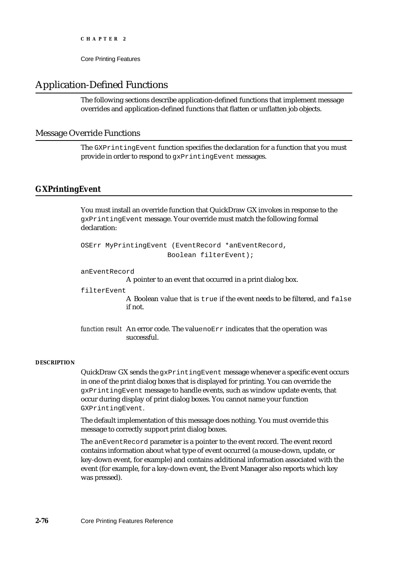Core Printing Features

# Application-Defined Functions

The following sections describe application-defined functions that implement message overrides and application-defined functions that flatten or unflatten job objects.

# Message Override Functions

The GXPrintingEvent function specifies the declaration for a function that you must provide in order to respond to gxPrintingEvent messages.

# **GXPrintingEvent**

You must install an override function that QuickDraw GX invokes in response to the gxPrintingEvent message. Your override must match the following formal declaration:

```
OSErr MyPrintingEvent (EventRecord *anEventRecord,
                     Boolean filterEvent);
```
anEventRecord

A pointer to an event that occurred in a print dialog box.

filterEvent

A Boolean value that is true if the event needs to be filtered, and false if not.

*function result* An error code. The value noErr indicates that the operation was successful.

#### **DESCRIPTION**

QuickDraw GX sends the gxPrintingEvent message whenever a specific event occurs in one of the print dialog boxes that is displayed for printing. You can override the gxPrintingEvent message to handle events, such as window update events, that occur during display of print dialog boxes. You cannot name your function GXPrintingEvent.

The default implementation of this message does nothing. You must override this message to correctly support print dialog boxes.

The anEventRecord parameter is a pointer to the event record. The event record contains information about what type of event occurred (a mouse-down, update, or key-down event, for example) and contains additional information associated with the event (for example, for a key-down event, the Event Manager also reports which key was pressed).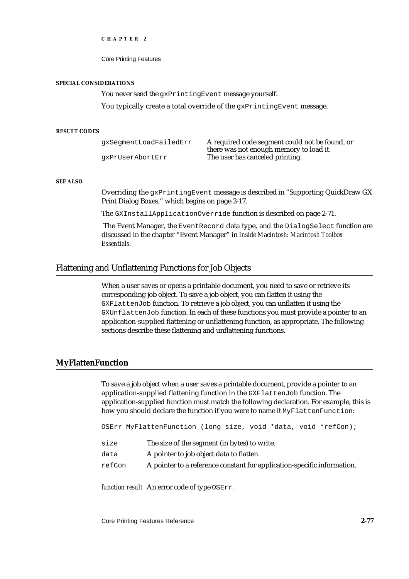Core Printing Features

#### **SPECIAL CONSIDERATIONS**

You never send the gxPrintingEvent message yourself.

You typically create a total override of the gxPrintingEvent message.

#### **RESULT CODES**

| qxSeqmentLoadFailedErr | A required code segment could not be found, or |
|------------------------|------------------------------------------------|
|                        | there was not enough memory to load it.        |
| qxPrUserAbortErr       | The user has canceled printing.                |

#### **SEE ALSO**

Overriding the gxPrintingEvent message is described in "Supporting QuickDraw GX Print Dialog Boxes," which begins on page 2-17.

The GXInstallApplicationOverride function is described on page 2-71.

The Event Manager, the EventRecord data type, and the DialogSelect function are discussed in the chapter "Event Manager" in *Inside Macintosh: Macintosh Toolbox Essentials.*

# Flattening and Unflattening Functions for Job Objects

When a user saves or opens a printable document, you need to save or retrieve its corresponding job object. To save a job object, you can flatten it using the GXFlattenJob function. To retrieve a job object, you can unflatten it using the GXUnflattenJob function. In each of these functions you must provide a pointer to an application-supplied flattening or unflattening function, as appropriate. The following sections describe these flattening and unflattening functions.

#### **MyFlattenFunction**

To save a job object when a user saves a printable document, provide a pointer to an application-supplied flattening function in the GXFlattenJob function. The application-supplied function must match the following declaration. For example, this is how you should declare the function if you were to name it MyFlattenFunction:

OSErr MyFlattenFunction (long size, void \*data, void \*refCon);

- size The size of the segment (in bytes) to write.
- data A pointer to job object data to flatten.
- refCon A pointer to a reference constant for application-specific information.

*function result* An error code of type OSErr.

Core Printing Features Reference **2-77**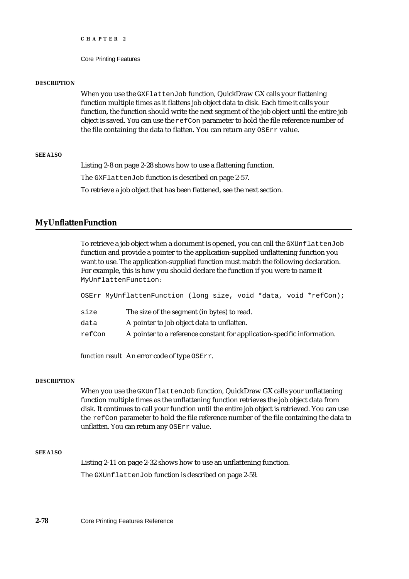Core Printing Features

#### **DESCRIPTION**

When you use the GXFlattenJob function, QuickDraw GX calls your flattening function multiple times as it flattens job object data to disk. Each time it calls your function, the function should write the next segment of the job object until the entire job object is saved. You can use the refCon parameter to hold the file reference number of the file containing the data to flatten. You can return any OSErr value.

## **SEE ALSO**

Listing 2-8 on page 2-28 shows how to use a flattening function.

The GXFlattenJob function is described on page 2-57.

To retrieve a job object that has been flattened, see the next section.

# **MyUnflattenFunction**

To retrieve a job object when a document is opened, you can call the GXUnflattenJob function and provide a pointer to the application-supplied unflattening function you want to use. The application-supplied function must match the following declaration. For example, this is how you should declare the function if you were to name it MyUnflattenFunction:

OSErr MyUnflattenFunction (long size, void \*data, void \*refCon);

- size The size of the segment (in bytes) to read.
- data A pointer to job object data to unflatten.
- refCon A pointer to a reference constant for application-specific information.

*function result* An error code of type OSErr.

#### **DESCRIPTION**

When you use the GXUnflattenJob function, QuickDraw GX calls your unflattening function multiple times as the unflattening function retrieves the job object data from disk. It continues to call your function until the entire job object is retrieved. You can use the refCon parameter to hold the file reference number of the file containing the data to unflatten. You can return any OSErr value.

#### **SEE ALSO**

Listing 2-11 on page 2-32 shows how to use an unflattening function. The GXUnflattenJob function is described on page 2-59.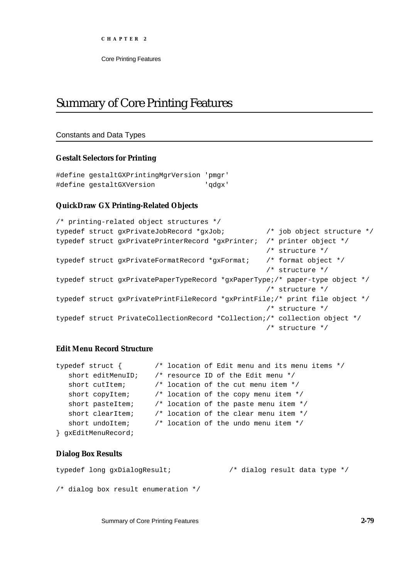# Summary of Core Printing Features

# Constants and Data Types

# **Gestalt Selectors for Printing**

```
#define gestaltGXPrintingMgrVersion 'pmgr'
#define gestaltGXVersion 'qdgx'
```
# **QuickDraw GX Printing-Related Objects**

```
/* printing-related object structures */
typedef struct gxPrivateJobRecord *gxJob; /* job object structure */
typedef struct gxPrivatePrinterRecord *gxPrinter; /* printer object */
                                                  /* structure */
typedef struct gxPrivateFormatRecord *gxFormat; /* format object */
                                                  /* structure */
typedef struct gxPrivatePaperTypeRecord *gxPaperType;/* paper-type object */
                                                  /* structure */
typedef struct gxPrivatePrintFileRecord *gxPrintFile;/* print file object */
                                                  /* structure */
typedef struct PrivateCollectionRecord *Collection;/* collection object */
                                                  /* structure */
```
# **Edit Menu Record Structure**

```
typedef struct { /* location of Edit menu and its menu items */
   short editMenuID; /* resource ID of the Edit menu */
   short cutItem; \frac{1}{10} /* location of the cut menu item */
   short copyItem; \frac{1}{2} /* location of the copy menu item */
  short pasteItem; /* location of the paste menu item */
   short clearItem; /* location of the clear menu item */
   short undoItem; \frac{1}{2} /* location of the undo menu item */
} gxEditMenuRecord;
```
# **Dialog Box Results**

```
typedef long gxDialogResult; /* dialog result data type */
/* dialog box result enumeration */
```
Summary of Core Printing Features **2-79**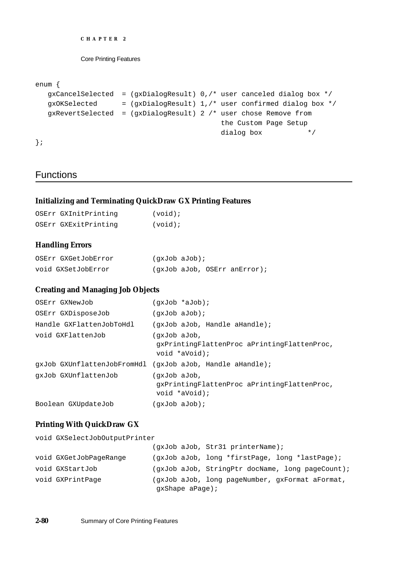```
CHAPTER 2
```

```
enum {
  gxCancelSelected = (gxDialogResult) 0,/* user canceled dialog box */ 
  gxOKSelected = (gxDialogResult) 1,/* user confirmed dialog box */
  gxRevertSelected = (gxDialogResult) 2 /* user chose Remove from 
                                          the Custom Page Setup
                                          dialog box */
};
```
# **Functions**

# **Initializing and Terminating QuickDraw GX Printing Features**

| OSErr GXInitPrinting | $(void)$ ; |
|----------------------|------------|
| OSErr GXExitPrinting | (void);    |

# **Handling Errors**

| OSErr GXGetJobError | (qxJob aJob);                |
|---------------------|------------------------------|
| void GXSetJobError  | (qxJob aJob, OSErr anError); |

# **Creating and Managing Job Objects**

| OSErr GXNewJob           | $(qxJob *aJob);$                                                             |
|--------------------------|------------------------------------------------------------------------------|
| OSErr GXDisposeJob       | $(gxJob$ aJob);                                                              |
| Handle GXFlattenJobToHdl | $(\text{qxJob } \text{aJob}, \text{Handle } \text{aHandle})$                 |
| void GXFlattenJob        | (qxJob aJob,<br>qxPrintingFlattenProc aPrintingFlattenProc,<br>void *aVoid); |
|                          | qxJob GXUnflattenJobFromHdl (qxJob aJob, Handle aHandle);                    |
| qxJob GXUnflattenJob     | (qxJob aJob,<br>qxPrintingFlattenProc aPrintingFlattenProc,<br>void *aVoid); |
| Boolean GXUpdateJob      | (qxJob aJob);                                                                |

# **Printing With QuickDraw GX**

| void GXSelectJobOutputPrinter |                   |                                                  |
|-------------------------------|-------------------|--------------------------------------------------|
|                               |                   | (qxJob aJob, Str31 printerName);                 |
| void GXGetJobPaqeRanqe        |                   | (gxJob aJob, long *firstPage, long *lastPage);   |
| void GXStartJob               |                   | (gxJob aJob, StringPtr docName, long pageCount); |
| void GXPrintPage              |                   | (gxJob aJob, long pageNumber, gxFormat aFormat,  |
|                               | $qxShape$ aPage); |                                                  |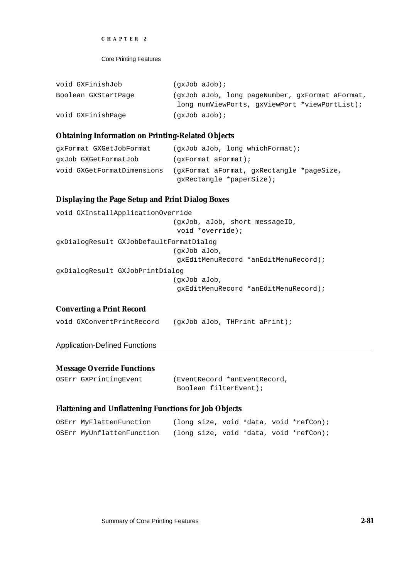```
CHAPTER 2
```

| void GXFinishJob    | (qxJob aJob);                                                                                    |
|---------------------|--------------------------------------------------------------------------------------------------|
| Boolean GXStartPage | (gxJob aJob, long pageNumber, gxFormat aFormat,<br>long numViewPorts, gxViewPort *viewPortList); |
| void GXFinishPage   | (qxJob aJob);                                                                                    |

# **Obtaining Information on Printing-Related Objects**

| qxFormat GXGetJobFormat    | $(qxJob$ aJob, long which Format);        |
|----------------------------|-------------------------------------------|
| qxJob GXGetFormatJob       |                                           |
| void GXGetFormatDimensions | (gxFormat aFormat, gxRectangle *pageSize, |
|                            | qxRectangle *paperSize);                  |

# **Displaying the Page Setup and Print Dialog Boxes**

```
void GXInstallApplicationOverride 
                             (gxJob, aJob, short messageID, 
                              void *override);
gxDialogResult GXJobDefaultFormatDialog 
                             (gxJob aJob, 
                              gxEditMenuRecord *anEditMenuRecord);
gxDialogResult GXJobPrintDialog
                             (gxJob aJob, 
                              gxEditMenuRecord *anEditMenuRecord);
```
# **Converting a Print Record**

|  | void GXConvertPrintRecord |  |  |  | (gxJob aJob, THPrint aPrint); |
|--|---------------------------|--|--|--|-------------------------------|
|--|---------------------------|--|--|--|-------------------------------|

# Application-Defined Functions

# **Message Override Functions**

| OSErr GXPrintingEvent | (EventRecord *anEventRecord, |
|-----------------------|------------------------------|
|                       | Boolean filterEvent);        |

# **Flattening and Unflattening Functions for Job Objects**

| OSErr MyFlattenFunction   |  |  | (long size, void *data, void *refCon); |
|---------------------------|--|--|----------------------------------------|
| OSErr MyUnflattenFunction |  |  | (long size, void *data, void *refCon); |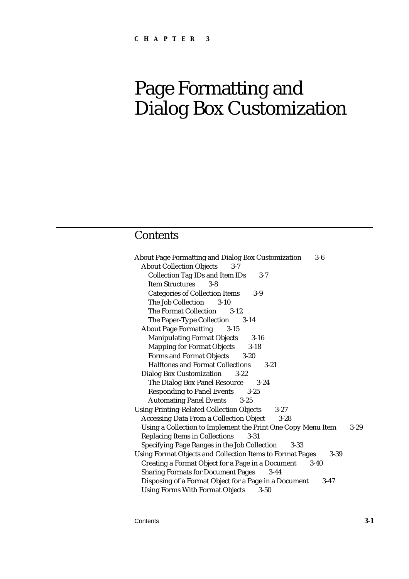# Page Formatting and Dialog Box Customization

# **Contents**

| <b>About Page Formatting and Dialog Box Customization</b><br>3-6             |          |
|------------------------------------------------------------------------------|----------|
| <b>About Collection Objects</b><br>$3 - 7$                                   |          |
| <b>Collection Tag IDs and Item IDs</b><br>$3 - 7$                            |          |
| <b>Item Structures</b><br>$3 - 8$                                            |          |
| <b>Categories of Collection Items</b><br>$3-9$                               |          |
| The Job Collection<br>$3 - 10$                                               |          |
| The Format Collection 3-12                                                   |          |
| The Paper-Type Collection 3-14                                               |          |
| <b>About Page Formatting</b><br>$3 - 15$                                     |          |
| <b>Manipulating Format Objects</b><br>$3 - 16$                               |          |
| <b>Mapping for Format Objects</b><br>$3 - 18$                                |          |
| Forms and Format Objects 3-20                                                |          |
| <b>Halftones and Format Collections</b><br>$3 - 21$                          |          |
| <b>Dialog Box Customization</b><br>$3 - 22$                                  |          |
| The Dialog Box Panel Resource<br>$3 - 24$                                    |          |
| <b>Responding to Panel Events</b><br>$3 - 25$                                |          |
| <b>Automating Panel Events</b><br>$3 - 25$                                   |          |
| <b>Using Printing-Related Collection Objects</b><br>$3 - 27$                 |          |
| <b>Accessing Data From a Collection Object</b><br>$3 - 28$                   |          |
| Using a Collection to Implement the Print One Copy Menu Item                 | $3 - 29$ |
| <b>Replacing Items in Collections</b><br>$3 - 31$                            |          |
| Specifying Page Ranges in the Job Collection 3-33                            |          |
| <b>Using Format Objects and Collection Items to Format Pages</b><br>$3 - 39$ |          |
| Creating a Format Object for a Page in a Document<br>$3-40$                  |          |
| <b>Sharing Formats for Document Pages</b><br>$3-44$                          |          |
| Disposing of a Format Object for a Page in a Document<br>$3-47$              |          |
| <b>Using Forms With Format Objects</b><br>$3 - 50$                           |          |

Contents **3-1**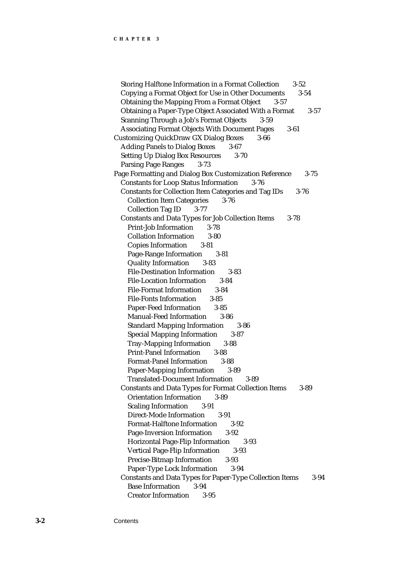Storing Halftone Information in a Format Collection 3-52 Copying a Format Object for Use in Other Documents 3-54 Obtaining the Mapping From a Format Object 3-57 Obtaining a Paper-Type Object Associated With a Format 3-57 Scanning Through a Job's Format Objects 3-59 Associating Format Objects With Document Pages 3-61 Customizing QuickDraw GX Dialog Boxes 3-66 Adding Panels to Dialog Boxes 3-67 Setting Up Dialog Box Resources 3-70 Parsing Page Ranges 3-73 Page Formatting and Dialog Box Customization Reference 3-75 Constants for Loop Status Information 3-76 Constants for Collection Item Categories and Tag IDs 3-76 Collection Item Categories 3-76 Collection Tag ID 3-77 Constants and Data Types for Job Collection Items 3-78 Print-Job Information 3-78 Collation Information 3-80 Copies Information 3-81 Page-Range Information 3-81 Quality Information 3-83 File-Destination Information 3-83 File-Location Information 3-84 File-Format Information 3-84 File-Fonts Information 3-85 Paper-Feed Information 3-85 Manual-Feed Information 3-86 Standard Mapping Information 3-86 Special Mapping Information 3-87 Tray-Mapping Information 3-88 Print-Panel Information 3-88 Format-Panel Information 3-88 Paper-Mapping Information 3-89 Translated-Document Information 3-89 Constants and Data Types for Format Collection Items 3-89 Orientation Information 3-89 Scaling Information 3-91 Direct-Mode Information 3-91 Format-Halftone Information 3-92 Page-Inversion Information 3-92 Horizontal Page-Flip Information 3-93 Vertical Page-Flip Information 3-93 Precise-Bitmap Information 3-93 Paper-Type Lock Information 3-94 Constants and Data Types for Paper-Type Collection Items 3-94 Base Information 3-94 Creator Information 3-95

**3-2** Contents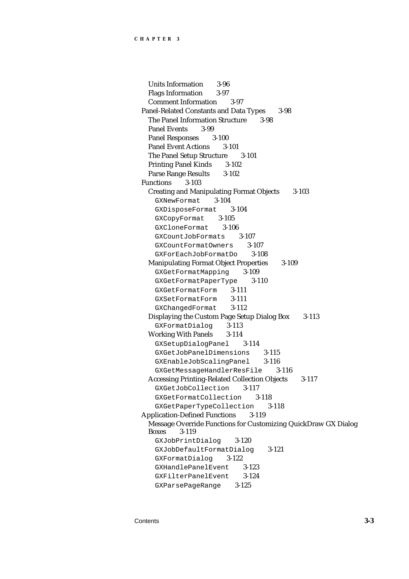Units Information 3-96 Flags Information 3-97 Comment Information 3-97 Panel-Related Constants and Data Types 3-98 The Panel Information Structure 3-98 Panel Events 3-99 Panel Responses 3-100 Panel Event Actions 3-101 The Panel Setup Structure 3-101 Printing Panel Kinds 3-102 Parse Range Results 3-102 Functions 3-103 Creating and Manipulating Format Objects 3-103 GXNewFormat 3-104 GXDisposeFormat 3-104 GXCopyFormat 3-105 GXCloneFormat 3-106 GXCountJobFormats 3-107 GXCountFormatOwners 3-107 GXForEachJobFormatDo 3-108 Manipulating Format Object Properties 3-109 GXGetFormatMapping 3-109 GXGetFormatPaperType 3-110 GXGetFormatForm 3-111 GXSetFormatForm 3-111 GXChangedFormat 3-112 Displaying the Custom Page Setup Dialog Box 3-113 GXFormatDialog 3-113 Working With Panels 3-114 GXSetupDialogPanel 3-114 GXGetJobPanelDimensions 3-115 GXEnableJobScalingPanel 3-116 GXGetMessageHandlerResFile 3-116 Accessing Printing-Related Collection Objects 3-117 GXGetJobCollection 3-117 GXGetFormatCollection 3-118 GXGetPaperTypeCollection 3-118 Application-Defined Functions 3-119 Message Override Functions for Customizing QuickDraw GX Dialog Boxes 3-119 GXJobPrintDialog 3-120 GXJobDefaultFormatDialog 3-121 GXFormatDialog 3-122 GXHandlePanelEvent 3-123 GXFilterPanelEvent 3-124 GXParsePageRange 3-125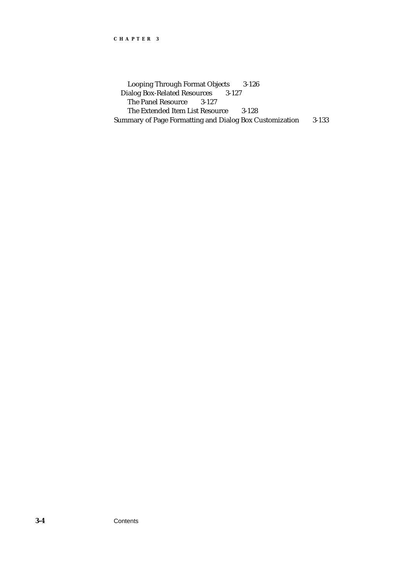Looping Through Format Objects 3-126 Dialog Box-Related Resources 3-127 The Panel Resource 3-127 The Extended Item List Resource 3-128 Summary of Page Formatting and Dialog Box Customization 3-133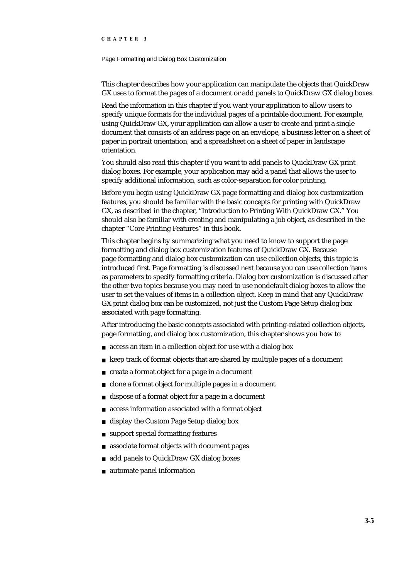#### Page Formatting and Dialog Box Customization

This chapter describes how your application can manipulate the objects that QuickDraw GX uses to format the pages of a document or add panels to QuickDraw GX dialog boxes.

Read the information in this chapter if you want your application to allow users to specify unique formats for the individual pages of a printable document. For example, using QuickDraw GX, your application can allow a user to create and print a single document that consists of an address page on an envelope, a business letter on a sheet of paper in portrait orientation, and a spreadsheet on a sheet of paper in landscape orientation.

You should also read this chapter if you want to add panels to QuickDraw GX print dialog boxes. For example, your application may add a panel that allows the user to specify additional information, such as color-separation for color printing.

Before you begin using QuickDraw GX page formatting and dialog box customization features, you should be familiar with the basic concepts for printing with QuickDraw GX, as described in the chapter, "Introduction to Printing With QuickDraw GX." You should also be familiar with creating and manipulating a job object, as described in the chapter "Core Printing Features" in this book.

This chapter begins by summarizing what you need to know to support the page formatting and dialog box customization features of QuickDraw GX. Because page formatting and dialog box customization can use collection objects, this topic is introduced first. Page formatting is discussed next because you can use collection items as parameters to specify formatting criteria. Dialog box customization is discussed after the other two topics because you may need to use nondefault dialog boxes to allow the user to set the values of items in a collection object. Keep in mind that any QuickDraw GX print dialog box can be customized, not just the Custom Page Setup dialog box associated with page formatting.

After introducing the basic concepts associated with printing-related collection objects, page formatting, and dialog box customization, this chapter shows you how to

- access an item in a collection object for use with a dialog box  $\overline{p}$
- keep track of format objects that are shared by multiple pages of a document n.
- create a format object for a page in a document  $\overline{p}$
- clone a format object for multiple pages in a document  $\mathsf{n}$
- dispose of a format object for a page in a document  $\overline{p}$
- access information associated with a format object  $\overline{p}$
- display the Custom Page Setup dialog box  $\overline{p}$
- support special formatting features  $\overline{p}$
- associate format objects with document pages  $\overline{p}$
- add panels to QuickDraw GX dialog boxes  $\overline{p}$
- automate panel information $\overline{p}$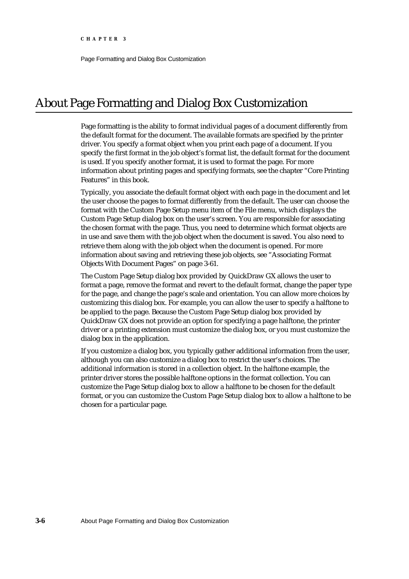Page Formatting and Dialog Box Customization

# About Page Formatting and Dialog Box Customization

Page formatting is the ability to format individual pages of a document differently from the default format for the document. The available formats are specified by the printer driver. You specify a format object when you print each page of a document. If you specify the first format in the job object's format list, the default format for the document is used. If you specify another format, it is used to format the page. For more information about printing pages and specifying formats, see the chapter "Core Printing Features" in this book.

Typically, you associate the default format object with each page in the document and let the user choose the pages to format differently from the default. The user can choose the format with the Custom Page Setup menu item of the File menu, which displays the Custom Page Setup dialog box on the user's screen. You are responsible for associating the chosen format with the page. Thus, you need to determine which format objects are in use and save them with the job object when the document is saved. You also need to retrieve them along with the job object when the document is opened. For more information about saving and retrieving these job objects, see "Associating Format Objects With Document Pages" on page 3-61.

The Custom Page Setup dialog box provided by QuickDraw GX allows the user to format a page, remove the format and revert to the default format, change the paper type for the page, and change the page's scale and orientation. You can allow more choices by customizing this dialog box. For example, you can allow the user to specify a halftone to be applied to the page. Because the Custom Page Setup dialog box provided by QuickDraw GX does not provide an option for specifying a page halftone, the printer driver or a printing extension must customize the dialog box, or you must customize the dialog box in the application.

If you customize a dialog box, you typically gather additional information from the user, although you can also customize a dialog box to restrict the user's choices. The additional information is stored in a collection object. In the halftone example, the printer driver stores the possible halftone options in the format collection. You can customize the Page Setup dialog box to allow a halftone to be chosen for the default format, or you can customize the Custom Page Setup dialog box to allow a halftone to be chosen for a particular page.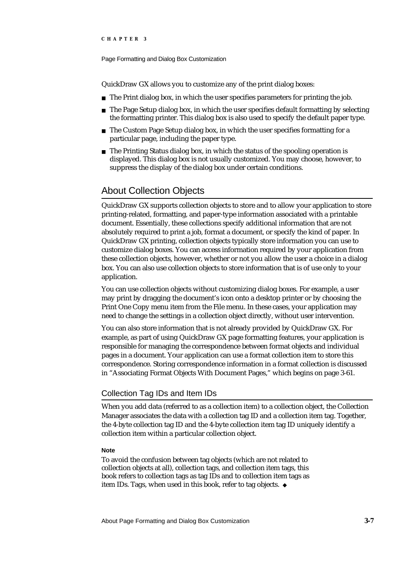#### Page Formatting and Dialog Box Customization

QuickDraw GX allows you to customize any of the print dialog boxes:

- n The Print dialog box, in which the user specifies parameters for printing the job.
- $n$  The Page Setup dialog box, in which the user specifies default formatting by selecting the formatting printer. This dialog box is also used to specify the default paper type.
- n The Custom Page Setup dialog box, in which the user specifies formatting for a particular page, including the paper type.
- $n$  The Printing Status dialog box, in which the status of the spooling operation is displayed. This dialog box is not usually customized. You may choose, however, to suppress the display of the dialog box under certain conditions.

# About Collection Objects

QuickDraw GX supports collection objects to store and to allow your application to store printing-related, formatting, and paper-type information associated with a printable document. Essentially, these collections specify additional information that are not absolutely required to print a job, format a document, or specify the kind of paper. In QuickDraw GX printing, collection objects typically store information you can use to customize dialog boxes. You can access information required by your application from these collection objects, however, whether or not you allow the user a choice in a dialog box. You can also use collection objects to store information that is of use only to your application.

You can use collection objects without customizing dialog boxes. For example, a user may print by dragging the document's icon onto a desktop printer or by choosing the Print One Copy menu item from the File menu. In these cases, your application may need to change the settings in a collection object directly, without user intervention.

You can also store information that is not already provided by QuickDraw GX. For example, as part of using QuickDraw GX page formatting features, your application is responsible for managing the correspondence between format objects and individual pages in a document. Your application can use a format collection item to store this correspondence. Storing correspondence information in a format collection is discussed in "Associating Format Objects With Document Pages," which begins on page 3-61.

# Collection Tag IDs and Item IDs

When you add data (referred to as a collection item) to a collection object, the Collection Manager associates the data with a collection tag ID and a collection item tag. Together, the 4-byte collection tag ID and the 4-byte collection item tag ID uniquely identify a collection item within a particular collection object.

#### **Note**

To avoid the confusion between tag objects (which are not related to collection objects at all), collection tags, and collection item tags, this book refers to collection tags as tag IDs and to collection item tags as item IDs. Tags, when used in this book, refer to tag objects.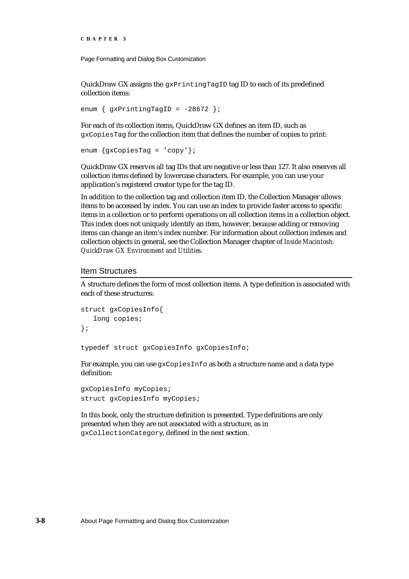Page Formatting and Dialog Box Customization

QuickDraw GX assigns the  $g_{XPT}$ intingTagID tag ID to each of its predefined collection items:

enum  $\{$  gxPrintingTagID = -28672 };

For each of its collection items, QuickDraw GX defines an item ID, such as gxCopiesTag for the collection item that defines the number of copies to print:

```
enum {gxCopiesTag = 'copy'};
```
QuickDraw GX reserves all tag IDs that are negative or less than 127. It also reserves all collection items defined by lowercase characters. For example, you can use your application's registered creator type for the tag ID.

In addition to the collection tag and collection item ID, the Collection Manager allows items to be accessed by index. You can use an index to provide faster access to specific items in a collection or to perform operations on all collection items in a collection object. This index does not uniquely identify an item, however, because adding or removing items can change an item's index number. For information about collection indexes and collection objects in general, see the Collection Manager chapter of *Inside Macintosh: QuickDraw GX Environment and Utilities*.

#### Item Structures

A structure defines the form of most collection items. A type definition is associated with each of these structures:

```
struct gxCopiesInfo{
   long copies;
};
```
typedef struct gxCopiesInfo gxCopiesInfo;

For example, you can use gxCopiesInfo as both a structure name and a data type definition:

```
gxCopiesInfo myCopies;
struct gxCopiesInfo myCopies;
```
In this book, only the structure definition is presented. Type definitions are only presented when they are not associated with a structure, as in gxCollectionCategory, defined in the next section.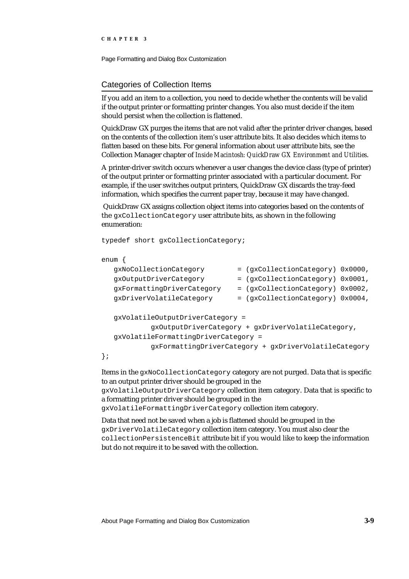Page Formatting and Dialog Box Customization

# Categories of Collection Items

If you add an item to a collection, you need to decide whether the contents will be valid if the output printer or formatting printer changes. You also must decide if the item should persist when the collection is flattened.

QuickDraw GX purges the items that are not valid after the printer driver changes, based on the contents of the collection item's user attribute bits. It also decides which items to flatten based on these bits. For general information about user attribute bits, see the Collection Manager chapter of *Inside Macintosh: QuickDraw GX Environment and Utilities*.

A printer-driver switch occurs whenever a user changes the device class (type of printer) of the output printer or formatting printer associated with a particular document. For example, if the user switches output printers, QuickDraw GX discards the tray-feed information, which specifies the current paper tray, because it may have changed.

 QuickDraw GX assigns collection object items into categories based on the contents of the gxCollectionCategory user attribute bits, as shown in the following enumeration:

```
typedef short gxCollectionCategory;
```
#### enum {

| qxNoCollectionCategory                                |  | = (gxCollectionCategory) 0x0000, |  |  |  |  |  |  |  |
|-------------------------------------------------------|--|----------------------------------|--|--|--|--|--|--|--|
| gxOutputDriverCategory                                |  | = (gxCollectionCategory) 0x0001, |  |  |  |  |  |  |  |
| gxFormattingDriverCategory                            |  | = (gxCollectionCategory) 0x0002, |  |  |  |  |  |  |  |
| gxDriverVolatileCategory                              |  | = (gxCollectionCategory) 0x0004, |  |  |  |  |  |  |  |
|                                                       |  |                                  |  |  |  |  |  |  |  |
| gxVolatileOutputDriverCategory =                      |  |                                  |  |  |  |  |  |  |  |
| gxOutputDriverCategory + gxDriverVolatileCategory,    |  |                                  |  |  |  |  |  |  |  |
| gxVolatileFormattingDriverCategory =                  |  |                                  |  |  |  |  |  |  |  |
| qxFormattingDriverCategory + qxDriverVolatileCategory |  |                                  |  |  |  |  |  |  |  |
|                                                       |  |                                  |  |  |  |  |  |  |  |

Items in the gxNoCollectionCategory category are not purged. Data that is specific to an output printer driver should be grouped in the

gxVolatileOutputDriverCategory collection item category. Data that is specific to a formatting printer driver should be grouped in the

gxVolatileFormattingDriverCategory collection item category.

Data that need not be saved when a job is flattened should be grouped in the gxDriverVolatileCategory collection item category. You must also clear the collectionPersistenceBit attribute bit if you would like to keep the information but do not require it to be saved with the collection.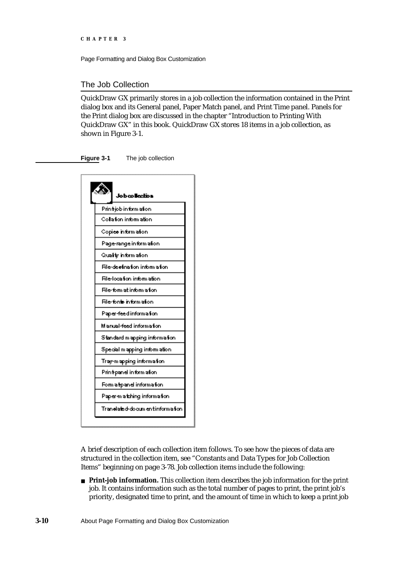Page Formatting and Dialog Box Customization

# The Job Collection

QuickDraw GX primarily stores in a job collection the information contained in the Print dialog box and its General panel, Paper Match panel, and Print Time panel. Panels for the Print dialog box are discussed in the chapter "Introduction to Printing With QuickDraw GX" in this book. QuickDraw GX stores 18 items in a job collection, as shown in Figure 3-1.

**Figure 3-1** The job collection



A brief description of each collection item follows. To see how the pieces of data are structured in the collection item, see "Constants and Data Types for Job Collection Items" beginning on page 3-78. Job collection items include the following:

**Print-job information.** This collection item describes the job information for the print job. It contains information such as the total number of pages to print, the print job's priority, designated time to print, and the amount of time in which to keep a print job

**3-10** About Page Formatting and Dialog Box Customization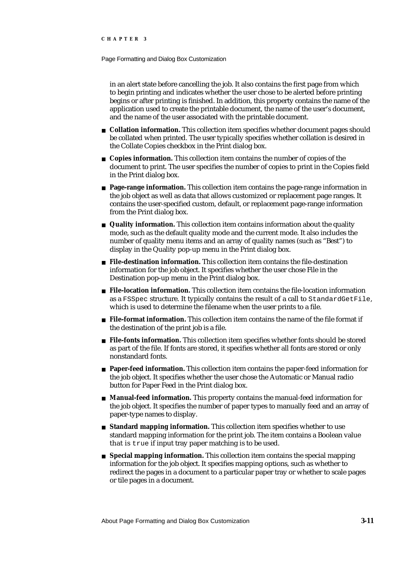#### Page Formatting and Dialog Box Customization

in an alert state before cancelling the job. It also contains the first page from which to begin printing and indicates whether the user chose to be alerted before printing begins or after printing is finished. In addition, this property contains the name of the application used to create the printable document, the name of the user's document, and the name of the user associated with the printable document.

- **Collation information.** This collection item specifies whether document pages should be collated when printed. The user typically specifies whether collation is desired in the Collate Copies checkbox in the Print dialog box.
- **Copies information.** This collection item contains the number of copies of the document to print. The user specifies the number of copies to print in the Copies field in the Print dialog box.
- **Page-range information.** This collection item contains the page-range information in the job object as well as data that allows customized or replacement page ranges. It contains the user-specified custom, default, or replacement page-range information from the Print dialog box.
- **Quality information.** This collection item contains information about the quality mode, such as the default quality mode and the current mode. It also includes the number of quality menu items and an array of quality names (such as "Best") to display in the Quality pop-up menu in the Print dialog box.
- **File-destination information.** This collection item contains the file-destination information for the job object. It specifies whether the user chose File in the Destination pop-up menu in the Print dialog box.
- **File-location information.** This collection item contains the file-location information as a FSSpec structure. It typically contains the result of a call to StandardGetFile, which is used to determine the filename when the user prints to a file.
- **File-format information.** This collection item contains the name of the file format if the destination of the print job is a file.
- **File-fonts information.** This collection item specifies whether fonts should be stored as part of the file. If fonts are stored, it specifies whether all fonts are stored or only nonstandard fonts.
- **Paper-feed information.** This collection item contains the paper-feed information for the job object. It specifies whether the user chose the Automatic or Manual radio button for Paper Feed in the Print dialog box.
- **Manual-feed information.** This property contains the manual-feed information for the job object. It specifies the number of paper types to manually feed and an array of paper-type names to display.
- **Standard mapping information.** This collection item specifies whether to use standard mapping information for the print job. The item contains a Boolean value that is true if input tray paper matching is to be used.
- **Special mapping information.** This collection item contains the special mapping information for the job object. It specifies mapping options, such as whether to redirect the pages in a document to a particular paper tray or whether to scale pages or tile pages in a document.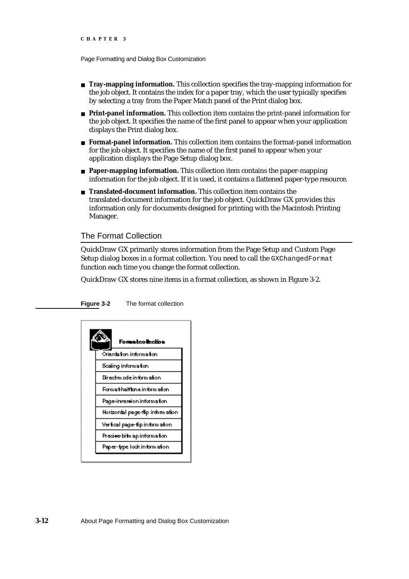- **Tray-mapping information.** This collection specifies the tray-mapping information for the job object. It contains the index for a paper tray, which the user typically specifies by selecting a tray from the Paper Match panel of the Print dialog box.
- **Print-panel information.** This collection item contains the print-panel information for the job object. It specifies the name of the first panel to appear when your application displays the Print dialog box.
- **Format-panel information.** This collection item contains the format-panel information for the job object. It specifies the name of the first panel to appear when your application displays the Page Setup dialog box.
- **Paper-mapping information.** This collection item contains the paper-mapping information for the job object. If it is used, it contains a flattened paper-type resource.
- **Translated-document information.** This collection item contains the translated-document information for the job object. QuickDraw GX provides this information only for documents designed for printing with the Macintosh Printing Manager.

### The Format Collection

QuickDraw GX primarily stores information from the Page Setup and Custom Page Setup dialog boxes in a format collection. You need to call the GXChangedFormat function each time you change the format collection.

QuickDraw GX stores nine items in a format collection, as shown in Figure 3-2.

#### **Figure 3-2** The format collection

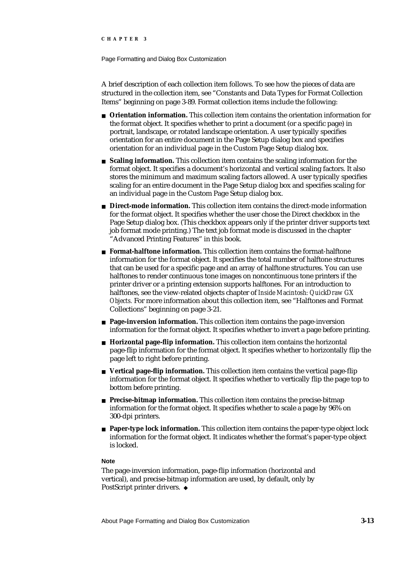#### Page Formatting and Dialog Box Customization

A brief description of each collection item follows. To see how the pieces of data are structured in the collection item, see "Constants and Data Types for Format Collection Items" beginning on page 3-89. Format collection items include the following:

- **Orientation information.** This collection item contains the orientation information for the format object. It specifies whether to print a document (or a specific page) in portrait, landscape, or rotated landscape orientation. A user typically specifies orientation for an entire document in the Page Setup dialog box and specifies orientation for an individual page in the Custom Page Setup dialog box.
- **Scaling information.** This collection item contains the scaling information for the format object. It specifies a document's horizontal and vertical scaling factors. It also stores the minimum and maximum scaling factors allowed. A user typically specifies scaling for an entire document in the Page Setup dialog box and specifies scaling for an individual page in the Custom Page Setup dialog box.
- **Direct-mode information.** This collection item contains the direct-mode information for the format object. It specifies whether the user chose the Direct checkbox in the Page Setup dialog box. (This checkbox appears only if the printer driver supports text job format mode printing.) The text job format mode is discussed in the chapter "Advanced Printing Features" in this book.
- **Format-halftone information.** This collection item contains the format-halftone information for the format object. It specifies the total number of halftone structures that can be used for a specific page and an array of halftone structures. You can use halftones to render continuous tone images on noncontinuous tone printers if the printer driver or a printing extension supports halftones. For an introduction to halftones, see the view-related objects chapter of *Inside Macintosh: QuickDraw GX Objects.* For more information about this collection item, see "Halftones and Format Collections" beginning on page 3-21.
- **Page-inversion information.** This collection item contains the page-inversion information for the format object. It specifies whether to invert a page before printing.
- **Horizontal page-flip information.** This collection item contains the horizontal page-flip information for the format object. It specifies whether to horizontally flip the page left to right before printing.
- **Vertical page-flip information.** This collection item contains the vertical page-flip information for the format object. It specifies whether to vertically flip the page top to bottom before printing.
- **Precise-bitmap information.** This collection item contains the precise-bitmap information for the format object. It specifies whether to scale a page by 96% on 300-dpi printers.
- **Paper-type lock information.** This collection item contains the paper-type object lock information for the format object. It indicates whether the format's paper-type object is locked.

#### **Note**

The page-inversion information, page-flip information (horizontal and vertical), and precise-bitmap information are used, by default, only by PostScript printer drivers. u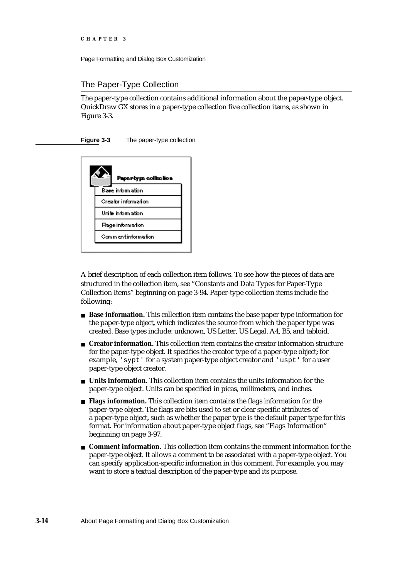## The Paper-Type Collection

The paper-type collection contains additional information about the paper-type object. QuickDraw GX stores in a paper-type collection five collection items, as shown in Figure 3-3.

### **Figure 3-3** The paper-type collection



A brief description of each collection item follows. To see how the pieces of data are structured in the collection item, see "Constants and Data Types for Paper-Type Collection Items" beginning on page 3-94. Paper-type collection items include the following:

- **Base information.** This collection item contains the base paper type information for the paper-type object, which indicates the source from which the paper type was created. Base types include: unknown, US Letter, US Legal, A4, B5, and tabloid.
- **Creator information.** This collection item contains the creator information structure for the paper-type object. It specifies the creator type of a paper-type object; for example, 'sypt' for a system paper-type object creator and 'uspt' for a user paper-type object creator.
- **Units information.** This collection item contains the units information for the paper-type object. Units can be specified in picas, millimeters, and inches.
- **Flags information.** This collection item contains the flags information for the paper-type object. The flags are bits used to set or clear specific attributes of a paper-type object, such as whether the paper type is the default paper type for this format. For information about paper-type object flags, see "Flags Information" beginning on page 3-97.
- **Comment information.** This collection item contains the comment information for the paper-type object. It allows a comment to be associated with a paper-type object. You can specify application-specific information in this comment. For example, you may want to store a textual description of the paper-type and its purpose.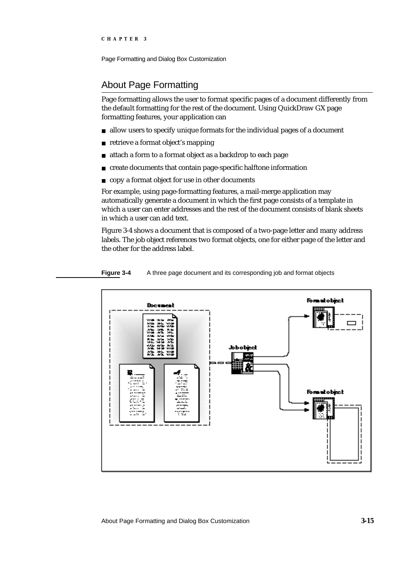## About Page Formatting

Page formatting allows the user to format specific pages of a document differently from the default formatting for the rest of the document. Using QuickDraw GX page formatting features, your application can

- allow users to specify unique formats for the individual pages of a document
- retrieve a format object's mapping
- attach a form to a format object as a backdrop to each page  $\overline{a}$
- create documents that contain page-specific halftone information  $\overline{a}$
- copy a format object for use in other documents

For example, using page-formatting features, a mail-merge application may automatically generate a document in which the first page consists of a template in which a user can enter addresses and the rest of the document consists of blank sheets in which a user can add text.

Figure 3-4 shows a document that is composed of a two-page letter and many address labels. The job object references two format objects, one for either page of the letter and the other for the address label.



#### **Figure 3-4** A three page document and its corresponding job and format objects

About Page Formatting and Dialog Box Customization **3-15**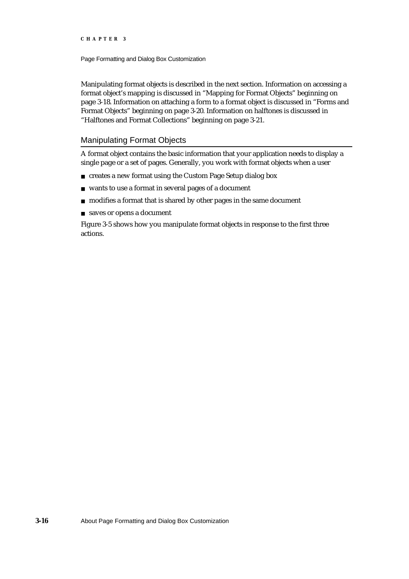Page Formatting and Dialog Box Customization

Manipulating format objects is described in the next section. Information on accessing a format object's mapping is discussed in "Mapping for Format Objects" beginning on page 3-18. Information on attaching a form to a format object is discussed in "Forms and Format Objects" beginning on page 3-20. Information on halftones is discussed in "Halftones and Format Collections" beginning on page 3-21.

## Manipulating Format Objects

A format object contains the basic information that your application needs to display a single page or a set of pages. Generally, you work with format objects when a user

- creates a new format using the Custom Page Setup dialog box
- wants to use a format in several pages of a document
- n modifies a format that is shared by other pages in the same document
- saves or opens a document

Figure 3-5 shows how you manipulate format objects in response to the first three actions.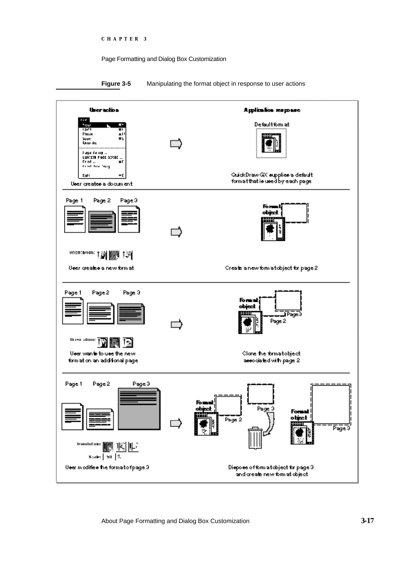### **Figure 3-5** Manipulating the format object in response to user actions



About Page Formatting and Dialog Box Customization **3-17**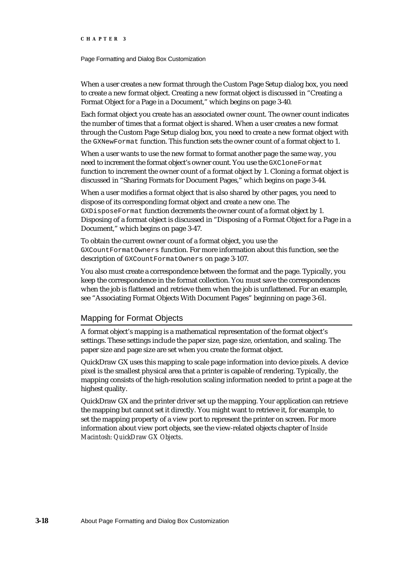Page Formatting and Dialog Box Customization

When a user creates a new format through the Custom Page Setup dialog box, you need to create a new format object. Creating a new format object is discussed in "Creating a Format Object for a Page in a Document," which begins on page 3-40.

Each format object you create has an associated owner count. The owner count indicates the number of times that a format object is shared. When a user creates a new format through the Custom Page Setup dialog box, you need to create a new format object with the GXNewFormat function. This function sets the owner count of a format object to 1.

When a user wants to use the new format to format another page the same way, you need to increment the format object's owner count. You use the GXCloneFormat function to increment the owner count of a format object by 1. Cloning a format object is discussed in "Sharing Formats for Document Pages," which begins on page 3-44.

When a user modifies a format object that is also shared by other pages, you need to dispose of its corresponding format object and create a new one. The GXDisposeFormat function decrements the owner count of a format object by 1. Disposing of a format object is discussed in "Disposing of a Format Object for a Page in a Document," which begins on page 3-47.

To obtain the current owner count of a format object, you use the GXCountFormatOwners function. For more information about this function, see the description of GXCountFormatOwners on page 3-107.

You also must create a correspondence between the format and the page. Typically, you keep the correspondence in the format collection. You must save the correspondences when the job is flattened and retrieve them when the job is unflattened. For an example, see "Associating Format Objects With Document Pages" beginning on page 3-61.

### Mapping for Format Objects

A format object's mapping is a mathematical representation of the format object's settings. These settings include the paper size, page size, orientation, and scaling. The paper size and page size are set when you create the format object.

QuickDraw GX uses this mapping to scale page information into device pixels. A device pixel is the smallest physical area that a printer is capable of rendering. Typically, the mapping consists of the high-resolution scaling information needed to print a page at the highest quality.

QuickDraw GX and the printer driver set up the mapping. Your application can retrieve the mapping but cannot set it directly. You might want to retrieve it, for example, to set the mapping property of a view port to represent the printer on screen. For more information about view port objects, see the view-related objects chapter of *Inside Macintosh: QuickDraw GX Objects*.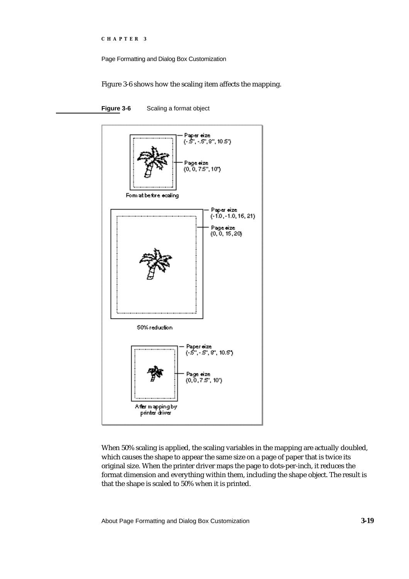```
CHAPTER 3
```
Figure 3-6 shows how the scaling item affects the mapping.



Figure 3-6 Scaling a format object

When 50% scaling is applied, the scaling variables in the mapping are actually doubled, which causes the shape to appear the same size on a page of paper that is twice its original size. When the printer driver maps the page to dots-per-inch, it reduces the format dimension and everything within them, including the shape object. The result is that the shape is scaled to 50% when it is printed.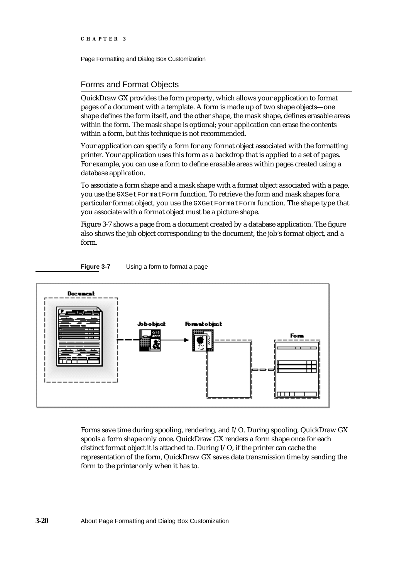Page Formatting and Dialog Box Customization

## Forms and Format Objects

QuickDraw GX provides the form property, which allows your application to format pages of a document with a template. A form is made up of two shape objects—one shape defines the form itself, and the other shape, the mask shape, defines erasable areas within the form. The mask shape is optional; your application can erase the contents within a form, but this technique is not recommended.

Your application can specify a form for any format object associated with the formatting printer. Your application uses this form as a backdrop that is applied to a set of pages. For example, you can use a form to define erasable areas within pages created using a database application.

To associate a form shape and a mask shape with a format object associated with a page, you use the GXSetFormatForm function. To retrieve the form and mask shapes for a particular format object, you use the GXGetFormatForm function. The shape type that you associate with a format object must be a picture shape.

Figure 3-7 shows a page from a document created by a database application. The figure also shows the job object corresponding to the document, the job's format object, and a form.



**Figure 3-7** Using a form to format a page

Forms save time during spooling, rendering, and I/O. During spooling, QuickDraw GX spools a form shape only once. QuickDraw GX renders a form shape once for each distinct format object it is attached to. During I/O, if the printer can cache the representation of the form, QuickDraw GX saves data transmission time by sending the form to the printer only when it has to.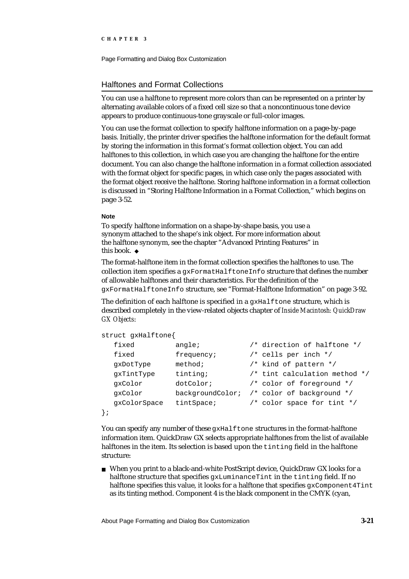Page Formatting and Dialog Box Customization

### Halftones and Format Collections

You can use a halftone to represent more colors than can be represented on a printer by alternating available colors of a fixed cell size so that a noncontinuous tone device appears to produce continuous-tone grayscale or full-color images.

You can use the format collection to specify halftone information on a page-by-page basis. Initially, the printer driver specifies the halftone information for the default format by storing the information in this format's format collection object. You can add halftones to this collection, in which case you are changing the halftone for the entire document. You can also change the halftone information in a format collection associated with the format object for specific pages, in which case only the pages associated with the format object receive the halftone. Storing halftone information in a format collection is discussed in "Storing Halftone Information in a Format Collection," which begins on page 3-52.

#### **Note**

To specify halftone information on a shape-by-shape basis, you use a synonym attached to the shape's ink object. For more information about the halftone synonym, see the chapter "Advanced Printing Features" in this book. u

The format-halftone item in the format collection specifies the halftones to use. The collection item specifies a gxFormatHalftoneInfo structure that defines the number of allowable halftones and their characteristics. For the definition of the gxFormatHalftoneInfo structure, see "Format-Halftone Information" on page 3-92.

The definition of each halftone is specified in a gxHalftone structure, which is described completely in the view-related objects chapter of *Inside Macintosh: QuickDraw GX Objects*:

```
struct gxHalftone{
  fixed angle; /* direction of halftone */
  fixed frequency; /* cells per inch */gxDotType method; /* kind of pattern */
  gxTintType tinting; /* tint calculation method */
  gxColor dotColor; /* color of foreground */
  gxColor backgroundColor; /* color of background */
  gxColorSpace tintSpace; /* color space for tint */
};
```
You can specify any number of these gxHalftone structures in the format-halftone information item. QuickDraw GX selects appropriate halftones from the list of available halftones in the item. Its selection is based upon the tinting field in the halftone structure:

When you print to a black-and-white PostScript device, QuickDraw GX looks for a halftone structure that specifies gxLuminanceTint in the tinting field. If no halftone specifies this value, it looks for a halftone that specifies  $gxCompponent4Tint$ as its tinting method. Component 4 is the black component in the CMYK (cyan,

About Page Formatting and Dialog Box Customization **3-21**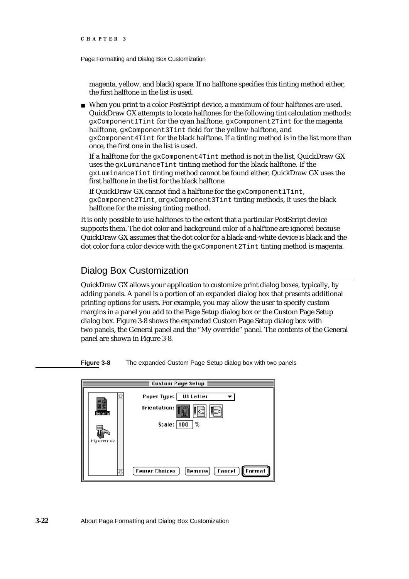Page Formatting and Dialog Box Customization

magenta, yellow, and black) space. If no halftone specifies this tinting method either, the first halftone in the list is used.

When you print to a color PostScript device, a maximum of four halftones are used. QuickDraw GX attempts to locate halftones for the following tint calculation methods: gxComponent1Tint for the cyan halftone, gxComponent2Tint for the magenta halftone, gxComponent3Tint field for the yellow halftone, and gxComponent4Tint for the black halftone. If a tinting method is in the list more than once, the first one in the list is used.

If a halftone for the gxComponent4Tint method is not in the list, QuickDraw GX uses the gxLuminanceTint tinting method for the black halftone. If the gxLuminanceTint tinting method cannot be found either, QuickDraw GX uses the first halftone in the list for the black halftone.

If QuickDraw GX cannot find a halftone for the gxComponent1Tint, gxComponent2Tint, or gxComponent3Tint tinting methods, it uses the black halftone for the missing tinting method.

It is only possible to use halftones to the extent that a particular PostScript device supports them. The dot color and background color of a halftone are ignored because QuickDraw GX assumes that the dot color for a black-and-white device is black and the dot color for a color device with the gxComponent2Tint tinting method is magenta.

## Dialog Box Customization

QuickDraw GX allows your application to customize print dialog boxes, typically, by adding panels. A panel is a portion of an expanded dialog box that presents additional printing options for users. For example, you may allow the user to specify custom margins in a panel you add to the Page Setup dialog box or the Custom Page Setup dialog box. Figure 3-8 shows the expanded Custom Page Setup dialog box with two panels, the General panel and the "My override" panel. The contents of the General panel are shown in Figure 3-8.

**Figure 3-8** The expanded Custom Page Setup dialog box with two panels

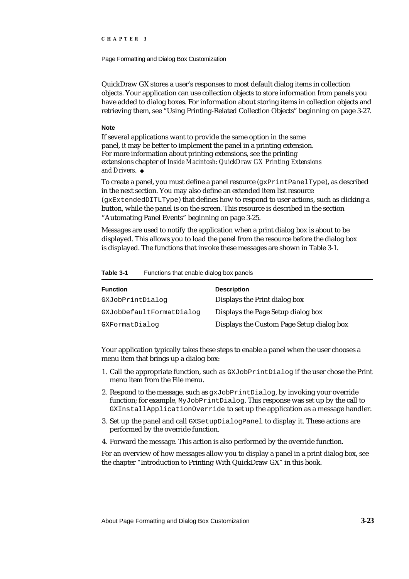Page Formatting and Dialog Box Customization

QuickDraw GX stores a user's responses to most default dialog items in collection objects. Your application can use collection objects to store information from panels you have added to dialog boxes. For information about storing items in collection objects and retrieving them, see "Using Printing-Related Collection Objects" beginning on page 3-27.

#### **Note**

If several applications want to provide the same option in the same panel, it may be better to implement the panel in a printing extension. For more information about printing extensions, see the printing extensions chapter of *Inside Macintosh: QuickDraw GX Printing Extensions and Drivers*.

To create a panel, you must define a panel resource (gxPrintPanelType), as described in the next section. You may also define an extended item list resource (gxExtendedDITLType) that defines how to respond to user actions, such as clicking a button, while the panel is on the screen. This resource is described in the section "Automating Panel Events" beginning on page 3-25.

Messages are used to notify the application when a print dialog box is about to be displayed. This allows you to load the panel from the resource before the dialog box is displayed. The functions that invoke these messages are shown in Table 3-1.

| <b>Function</b>          | <b>Description</b>                        |
|--------------------------|-------------------------------------------|
| GXJobPrintDialog         | Displays the Print dialog box             |
| GXJobDefaultFormatDialog | Displays the Page Setup dialog box        |
| GXFormatDialog           | Displays the Custom Page Setup dialog box |

**Table 3-1** Functions that enable dialog box panels

Your application typically takes these steps to enable a panel when the user chooses a menu item that brings up a dialog box:

- 1. Call the appropriate function, such as GXJobPrintDialog if the user chose the Print menu item from the File menu.
- 2. Respond to the message, such as gxJobPrintDialog, by invoking your override function; for example, MyJobPrintDialog. This response was set up by the call to GXInstallApplicationOverride to set up the application as a message handler.
- 3. Set up the panel and call GXSetupDialogPanel to display it. These actions are performed by the override function.
- 4. Forward the message. This action is also performed by the override function.

For an overview of how messages allow you to display a panel in a print dialog box, see the chapter "Introduction to Printing With QuickDraw GX" in this book.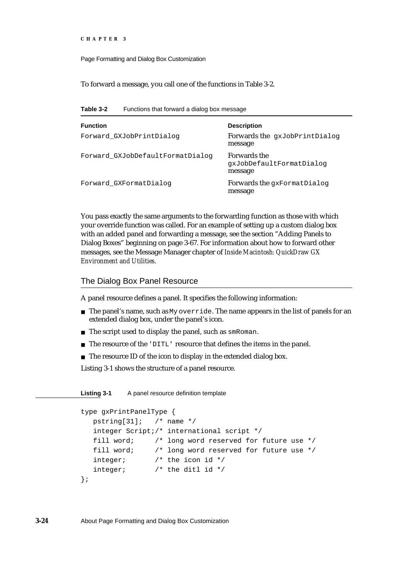```
CHAPTER 3
```
To forward a message, you call one of the functions in Table 3-2.

**Table 3-2** Functions that forward a dialog box message

| <b>Function</b><br>Forward GXJobPrintDialog | <b>Description</b><br>Forwards the gxJobPrintDialog<br>message |
|---------------------------------------------|----------------------------------------------------------------|
| Forward GXJobDefaultFormatDialog            | <b>Forwards the</b><br>qxJobDefaultFormatDialoq<br>message     |
| Forward_GXFormatDialog                      | Forwards the qxFormatDialoq<br>message                         |

You pass exactly the same arguments to the forwarding function as those with which your override function was called. For an example of setting up a custom dialog box with an added panel and forwarding a message, see the section "Adding Panels to Dialog Boxes" beginning on page 3-67. For information about how to forward other messages, see the Message Manager chapter of *Inside Macintosh: QuickDraw GX Environment and Utilities*.

### The Dialog Box Panel Resource

A panel resource defines a panel. It specifies the following information:

- n The panel's name, such as My override. The name appears in the list of panels for an extended dialog box, under the panel's icon.
- n The script used to display the panel, such as smRoman.
- The resource of the 'DITL' resource that defines the items in the panel.
- n The resource ID of the icon to display in the extended dialog box.

Listing 3-1 shows the structure of a panel resource.

Listing 3-1 A panel resource definition template

```
type gxPrintPanelType {
  pstring[31]; /* name */
  integer Script;/* international script */
  fill word; /* long word reserved for future use */
  fill word; /* long word reserved for future use */
  integer; /* the icon id */
  integer; /* the ditl id */};
```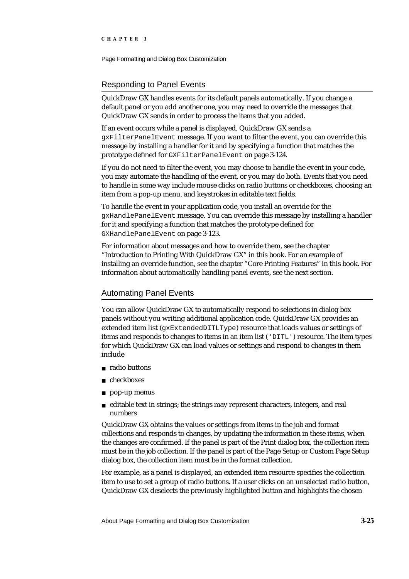Page Formatting and Dialog Box Customization

### Responding to Panel Events

QuickDraw GX handles events for its default panels automatically. If you change a default panel or you add another one, you may need to override the messages that QuickDraw GX sends in order to process the items that you added.

If an event occurs while a panel is displayed, QuickDraw GX sends a gxFilterPanelEvent message. If you want to filter the event, you can override this message by installing a handler for it and by specifying a function that matches the prototype defined for GXFilterPanelEvent on page 3-124.

If you do not need to filter the event, you may choose to handle the event in your code, you may automate the handling of the event, or you may do both. Events that you need to handle in some way include mouse clicks on radio buttons or checkboxes, choosing an item from a pop-up menu, and keystrokes in editable text fields.

To handle the event in your application code, you install an override for the gxHandlePanelEvent message. You can override this message by installing a handler for it and specifying a function that matches the prototype defined for GXHandlePanelEvent on page 3-123.

For information about messages and how to override them, see the chapter "Introduction to Printing With QuickDraw GX" in this book. For an example of installing an override function, see the chapter "Core Printing Features" in this book. For information about automatically handling panel events, see the next section.

### Automating Panel Events

You can allow QuickDraw GX to automatically respond to selections in dialog box panels without you writing additional application code. QuickDraw GX provides an extended item list ( $qxExtendedDITLType$ ) resource that loads values or settings of items and responds to changes to items in an item list ('DITL') resource. The item types for which QuickDraw GX can load values or settings and respond to changes in them include

- n radio buttons
- checkboxes
- pop-up menus  $\overline{\phantom{a}}$
- $n$  editable text in strings; the strings may represent characters, integers, and real numbers

QuickDraw GX obtains the values or settings from items in the job and format collections and responds to changes, by updating the information in these items, when the changes are confirmed. If the panel is part of the Print dialog box, the collection item must be in the job collection. If the panel is part of the Page Setup or Custom Page Setup dialog box, the collection item must be in the format collection.

For example, as a panel is displayed, an extended item resource specifies the collection item to use to set a group of radio buttons. If a user clicks on an unselected radio button, QuickDraw GX deselects the previously highlighted button and highlights the chosen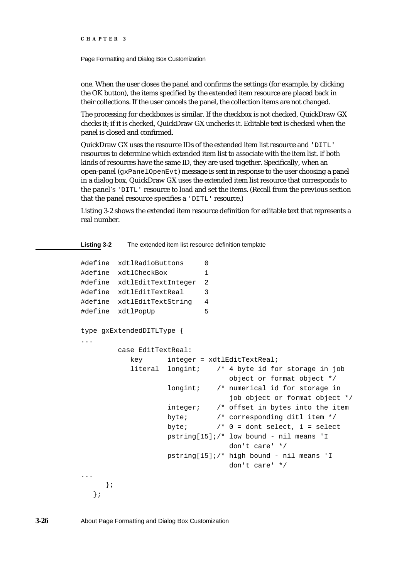Page Formatting and Dialog Box Customization

one. When the user closes the panel and confirms the settings (for example, by clicking the OK button), the items specified by the extended item resource are placed back in their collections. If the user cancels the panel, the collection items are not changed.

The processing for checkboxes is similar. If the checkbox is not checked, QuickDraw GX checks it; if it is checked, QuickDraw GX unchecks it. Editable text is checked when the panel is closed and confirmed.

QuickDraw GX uses the resource IDs of the extended item list resource and 'DITL' resources to determine which extended item list to associate with the item list. If both kinds of resources have the same ID, they are used together. Specifically, when an open-panel ( $\alpha$ PanelOpenEvt) message is sent in response to the user choosing a panel in a dialog box, QuickDraw GX uses the extended item list resource that corresponds to the panel's 'DITL' resource to load and set the items. (Recall from the previous section that the panel resource specifies a 'DITL' resource.)

Listing 3-2 shows the extended item resource definition for editable text that represents a real number.

**Listing 3-2** The extended item list resource definition template

```
#define xdtlRadioButtons 0
#define xdtlCheckBox 1
#define xdtlEditTextInteger 2
#define xdtlEditTextReal 3
#define xdtlEditTextString 4
#define xdtlPopUp 5
type gxExtendedDITLType {
...
        case EditTextReal:
           key integer = xdtlEditTextReal;
           literal longint; /* 4 byte id for storage in job 
                                 object or format object */
                   longint; /* numerical id for storage in 
                                 job object or format object */
                   integer; /* offset in bytes into the item
                   byte; /* corresponding ditl item */
                   byte; /* 0 = dont select, 1 = select
                   pstring[15];/* low bound - nil means 'I 
                                 don't care' */
                   pstring[15];/* high bound - nil means 'I 
                                 don't care' */
...
     };
  };
```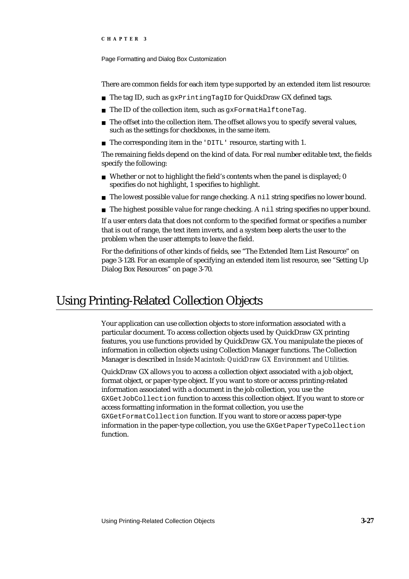Page Formatting and Dialog Box Customization

There are common fields for each item type supported by an extended item list resource:

- n The tag ID, such as gxPrintingTagID for QuickDraw GX defined tags.
- n The ID of the collection item, such as gxFormatHalftoneTag.
- $n$  The offset into the collection item. The offset allows you to specify several values, such as the settings for checkboxes, in the same item.
- n The corresponding item in the 'DITL' resource, starting with 1.

The remaining fields depend on the kind of data. For real number editable text, the fields specify the following:

- n Whether or not to highlight the field's contents when the panel is displayed; 0 specifies do not highlight, 1 specifies to highlight.
- $n$  The lowest possible value for range checking. A nil string specifies no lower bound.
- $n$  The highest possible value for range checking. A  $n \in \mathbb{N}$  is tring specifies no upper bound.

If a user enters data that does not conform to the specified format or specifies a number that is out of range, the text item inverts, and a system beep alerts the user to the problem when the user attempts to leave the field.

For the definitions of other kinds of fields, see "The Extended Item List Resource" on page 3-128. For an example of specifying an extended item list resource, see "Setting Up Dialog Box Resources" on page 3-70.

## Using Printing-Related Collection Objects

Your application can use collection objects to store information associated with a particular document. To access collection objects used by QuickDraw GX printing features, you use functions provided by QuickDraw GX. You manipulate the pieces of information in collection objects using Collection Manager functions. The Collection Manager is described in *Inside Macintosh: QuickDraw GX Environment and Utilities.*

QuickDraw GX allows you to access a collection object associated with a job object, format object, or paper-type object. If you want to store or access printing-related information associated with a document in the job collection, you use the GXGetJobCollection function to access this collection object. If you want to store or access formatting information in the format collection, you use the GXGetFormatCollection function. If you want to store or access paper-type information in the paper-type collection, you use the GXGetPaperTypeCollection function.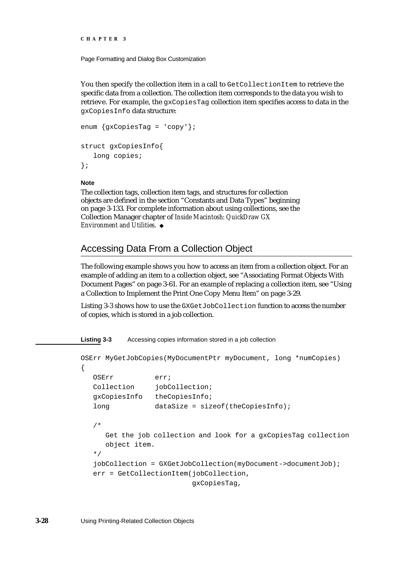Page Formatting and Dialog Box Customization

You then specify the collection item in a call to GetCollectionItem to retrieve the specific data from a collection. The collection item corresponds to the data you wish to retrieve. For example, the gxCopiesTag collection item specifies access to data in the gxCopiesInfo data structure:

```
enum {gxCopiesTag = 'copy'};
struct gxCopiesInfo{
   long copies;
};
```
#### **Note**

The collection tags, collection item tags, and structures for collection objects are defined in the section "Constants and Data Types" beginning on page 3-133. For complete information about using collections, see the Collection Manager chapter of *Inside Macintosh: QuickDraw GX Environment and Utilities*.

## Accessing Data From a Collection Object

The following example shows you how to access an item from a collection object. For an example of adding an item to a collection object, see "Associating Format Objects With Document Pages" on page 3-61. For an example of replacing a collection item, see "Using a Collection to Implement the Print One Copy Menu Item" on page 3-29.

Listing 3-3 shows how to use the GXGetJobCollection function to access the number of copies, which is stored in a job collection.

**Listing 3-3** Accessing copies information stored in a job collection

```
OSErr MyGetJobCopies(MyDocumentPtr myDocument, long *numCopies)
{
  OSErr err;
  Collection jobCollection;
  gxCopiesInfo theCopiesInfo;
  long dataSize = sizeof(theCopiesInfo);
   /* 
     Get the job collection and look for a gxCopiesTag collection 
     object item.
  */
   jobCollection = GXGetJobCollection(myDocument->documentJob);
  err = GetCollectionItem(jobCollection,
                          gxCopiesTag,
```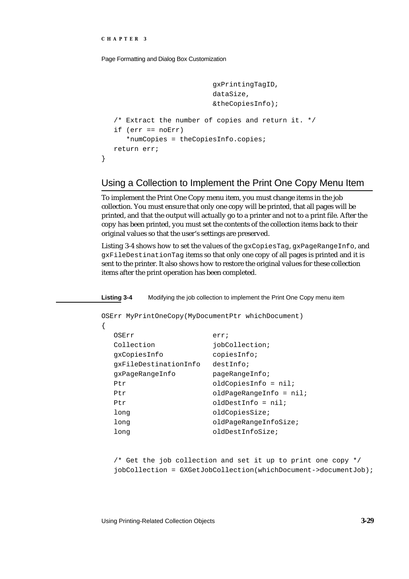}

{

Page Formatting and Dialog Box Customization

```
gxPrintingTagID,
                        dataSize,
                        &theCopiesInfo);
/* Extract the number of copies and return it. */
if (err == noErr)
   *numCopies = theCopiesInfo.copies;
return err;
```
## Using a Collection to Implement the Print One Copy Menu Item

To implement the Print One Copy menu item, you must change items in the job collection. You must ensure that only one copy will be printed, that all pages will be printed, and that the output will actually go to a printer and not to a print file. After the copy has been printed, you must set the contents of the collection items back to their original values so that the user's settings are preserved.

Listing 3-4 shows how to set the values of the gxCopiesTag, gxPageRangeInfo, and gxFileDestinationTag items so that only one copy of all pages is printed and it is sent to the printer. It also shows how to restore the original values for these collection items after the print operation has been completed.

**Listing 3-4** Modifying the job collection to implement the Print One Copy menu item

```
OSErr MyPrintOneCopy(MyDocumentPtr whichDocument)
```

```
OSErr err;
Collection jobCollection;
gxCopiesInfo copiesInfo;
gxFileDestinationInfo destInfo;
gxPageRangeInfo pageRangeInfo;
Ptr oldCopiesInfo = nil;Ptr oldPageRangeInfo = nil;Ptr oldDestInfo = nil;
long cldCopiesSize;
long demonstrated oldPageRangeInfoSize;
long destinfoSize;
```
/\* Get the job collection and set it up to print one copy \*/ jobCollection = GXGetJobCollection(whichDocument->documentJob);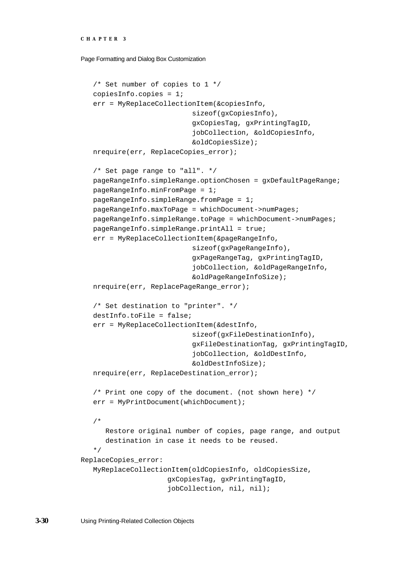Page Formatting and Dialog Box Customization

```
/* Set number of copies to 1 */
   copiesInfo.copies = 1;
   err = MyReplaceCollectionItem(&copiesInfo,
                           sizeof(gxCopiesInfo),
                           gxCopiesTag, gxPrintingTagID,
                           jobCollection, &oldCopiesInfo,
                           &oldCopiesSize);
   nrequire(err, ReplaceCopies_error);
   /* Set page range to "all". */
   pageRangeInfo.simpleRange.optionChosen = gxDefaultPageRange;
   pageRangeInfo.minFromPage = 1;
   pageRangeInfo.simpleRange.fromPage = 1;
   pageRangeInfo.maxToPage = whichDocument->numPages;
   pageRangeInfo.simpleRange.toPage = whichDocument->numPages;
   pageRangeInfo.simpleRange.printAll = true;
   err = MyReplaceCollectionItem(&pageRangeInfo,
                           sizeof(gxPageRangeInfo),
                           gxPageRangeTag, gxPrintingTagID,
                           jobCollection, &oldPageRangeInfo,
                           &oldPageRangeInfoSize);
   nrequire(err, ReplacePageRange_error);
   /* Set destination to "printer". */
   destInfo.toFile = false;
   err = MyReplaceCollectionItem(&destInfo,
                           sizeof(gxFileDestinationInfo),
                           gxFileDestinationTag, gxPrintingTagID,
                           jobCollection, &oldDestInfo,
                           &oldDestInfoSize);
   nrequire(err, ReplaceDestination_error);
   /* Print one copy of the document. (not shown here) */
   err = MyPrintDocument(whichDocument);
   /*
      Restore original number of copies, page range, and output
      destination in case it needs to be reused. 
   */
ReplaceCopies_error:
   MyReplaceCollectionItem(oldCopiesInfo, oldCopiesSize,
                      gxCopiesTag, gxPrintingTagID,
                     jobCollection, nil, nil);
```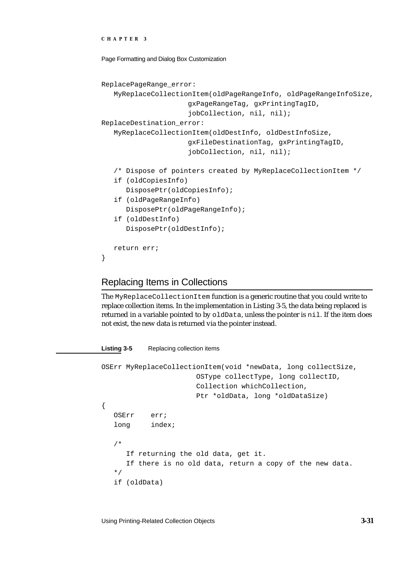```
CHAPTER 3
```

```
ReplacePageRange_error:
   MyReplaceCollectionItem(oldPageRangeInfo, oldPageRangeInfoSize,
                     gxPageRangeTag, gxPrintingTagID,
                     jobCollection, nil, nil);
ReplaceDestination_error:
  MyReplaceCollectionItem(oldDestInfo, oldDestInfoSize,
                     gxFileDestinationTag, gxPrintingTagID,
                     jobCollection, nil, nil);
   /* Dispose of pointers created by MyReplaceCollectionItem */
   if (oldCopiesInfo)
      DisposePtr(oldCopiesInfo);
   if (oldPageRangeInfo)
      DisposePtr(oldPageRangeInfo);
   if (oldDestInfo)
      DisposePtr(oldDestInfo);
  return err;
}
```
## Replacing Items in Collections

The MyReplaceCollectionItem function is a generic routine that you could write to replace collection items. In the implementation in Listing 3-5, the data being replaced is returned in a variable pointed to by oldData, unless the pointer is nil. If the item does not exist, the new data is returned via the pointer instead.

#### Listing 3-5 Replacing collection items

```
OSErr MyReplaceCollectionItem(void *newData, long collectSize,
                        OSType collectType, long collectID,
                        Collection whichCollection,
                        Ptr *oldData, long *oldDataSize)
{
   OSErr err;
   long index;
   /*
     If returning the old data, get it.
     If there is no old data, return a copy of the new data.
   */
   if (oldData)
```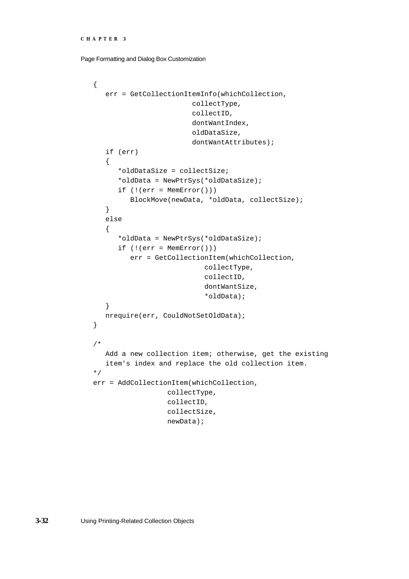```
CHAPTER 3
```

```
{
   err = GetCollectionItemInfo(whichCollection,
                        collectType,
                        collectID,
                        dontWantIndex,
                        oldDataSize,
                        dontWantAttributes);
   if (err)
   {
      *oldDataSize = collectSize;
      *oldData = NewPtrSys(*oldDataSize);
      if (!(err = MemError()))
         BlockMove(newData, *oldData, collectSize);
   }
   else
   {
      *oldData = NewPtrSys(*oldDataSize);
      if (!(err = MemError())err = GetCollectionItem(whichCollection,
                           collectType,
                            collectID,
                            dontWantSize,
                            *oldData);
   }
  nrequire(err, CouldNotSetOldData);
}
/* 
   Add a new collection item; otherwise, get the existing
   item's index and replace the old collection item.
*/
err = AddCollectionItem(whichCollection,
                  collectType,
                  collectID,
                  collectSize,
                  newData);
```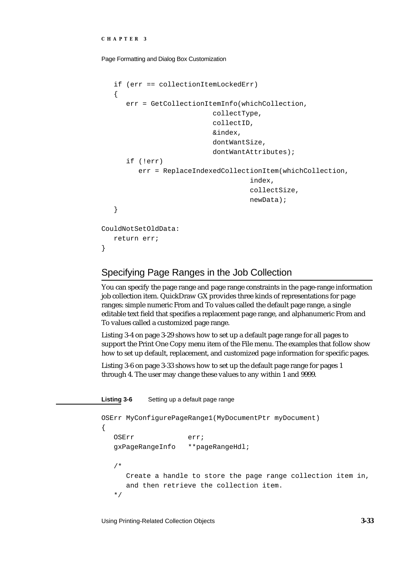}

Page Formatting and Dialog Box Customization

```
if (err == collectionItemLockedErr)
   {
      err = GetCollectionItemInfo(whichCollection,
                            collectType,
                            collectID,
                            &index,
                            dontWantSize,
                            dontWantAttributes);
      if (!err)
         err = ReplaceIndexedCollectionItem(whichCollection,
                                       index,
                                       collectSize,
                                       newData);
   }
CouldNotSetOldData:
   return err;
```
## Specifying Page Ranges in the Job Collection

You can specify the page range and page range constraints in the page-range information job collection item. QuickDraw GX provides three kinds of representations for page ranges: simple numeric From and To values called the default page range, a single editable text field that specifies a replacement page range, and alphanumeric From and To values called a customized page range.

Listing 3-4 on page 3-29 shows how to set up a default page range for all pages to support the Print One Copy menu item of the File menu. The examples that follow show how to set up default, replacement, and customized page information for specific pages.

Listing 3-6 on page 3-33 shows how to set up the default page range for pages 1 through 4. The user may change these values to any within 1 and 9999.

**Listing 3-6** Setting up a default page range

```
OSErr MyConfigurePageRange1(MyDocumentPtr myDocument)
{
  OSErr err;
  gxPageRangeInfo **pageRangeHdl;
   /*
     Create a handle to store the page range collection item in,
     and then retrieve the collection item.
   */
```
Using Printing-Related Collection Objects **3-33**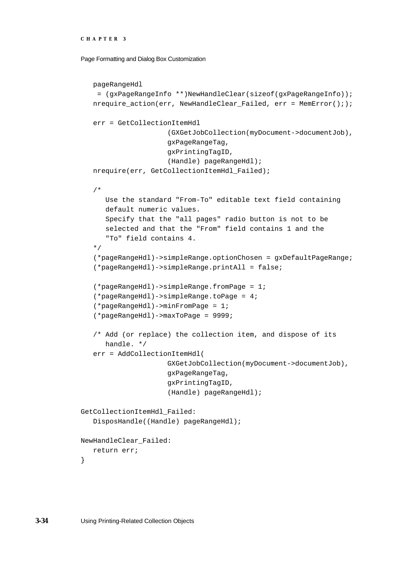Page Formatting and Dialog Box Customization

```
pageRangeHdl
     = (gxPageRangeInfo **)NewHandleClear(sizeof(gxPageRangeInfo));
   nrequire action(err, NewHandleClear Failed, err = MemError(););
   err = GetCollectionItemHdl
                     (GXGetJobCollection(myDocument->documentJob),
                     gxPageRangeTag,
                     gxPrintingTagID,
                     (Handle) pageRangeHdl);
   nrequire(err, GetCollectionItemHdl_Failed);
   /*
      Use the standard "From-To" editable text field containing 
      default numeric values.
      Specify that the "all pages" radio button is not to be
      selected and that the "From" field contains 1 and the
      "To" field contains 4.
   */
   (*pageRangeHdl)->simpleRange.optionChosen = gxDefaultPageRange;
   (*pageRangeHdl)->simpleRange.printAll = false;
   (*pageRangeHdl)->simpleRange.fromPage = 1;
   (*pageRangeHdl)->simpleRange.toPage = 4;
   (*pageRangeHdl)->minFromPage = 1;
   (*pageRangeHdl)->maxToPage = 9999;
   /* Add (or replace) the collection item, and dispose of its
      handle. */
   err = AddCollectionItemHdl(
                     GXGetJobCollection(myDocument->documentJob),
                     gxPageRangeTag,
                     gxPrintingTagID,
                     (Handle) pageRangeHdl);
GetCollectionItemHdl_Failed:
   DisposHandle((Handle) pageRangeHdl);
NewHandleClear_Failed:
   return err;
```
}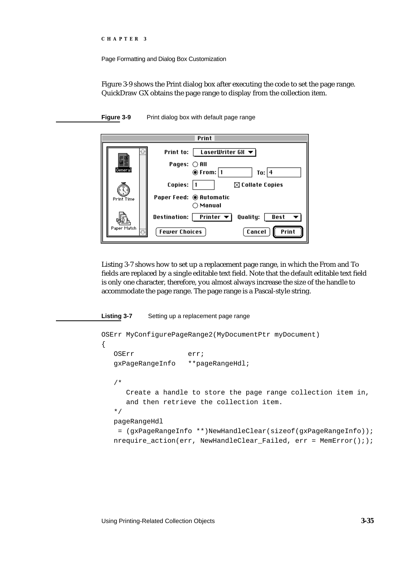Page Formatting and Dialog Box Customization

Figure 3-9 shows the Print dialog box after executing the code to set the page range. QuickDraw GX obtains the page range to display from the collection item.



**Figure 3-9** Print dialog box with default page range

Listing 3-7 shows how to set up a replacement page range, in which the From and To fields are replaced by a single editable text field. Note that the default editable text field is only one character, therefore, you almost always increase the size of the handle to accommodate the page range. The page range is a Pascal-style string.

#### **Listing 3-7** Setting up a replacement page range

```
OSErr MyConfigurePageRange2(MyDocumentPtr myDocument)
{
  OSErr err;
  gxPageRangeInfo **pageRangeHdl;
   /*
     Create a handle to store the page range collection item in,
     and then retrieve the collection item.
  */
  pageRangeHdl
    = (gxPageRangeInfo **)NewHandleClear(sizeof(gxPageRangeInfo));
  nrequire_action(err, NewHandleClear_Failed, err = MemError(););
```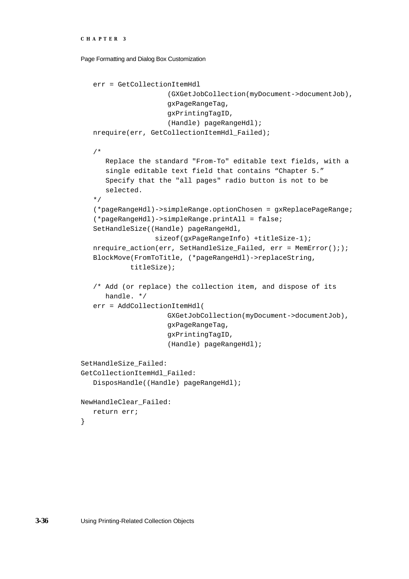```
CHAPTER 3
```

```
err = GetCollectionItemHdl
                     (GXGetJobCollection(myDocument->documentJob),
                     gxPageRangeTag,
                     gxPrintingTagID,
                     (Handle) pageRangeHdl);
   nrequire(err, GetCollectionItemHdl_Failed);
   /*
      Replace the standard "From-To" editable text fields, with a
      single editable text field that contains "Chapter 5."
      Specify that the "all pages" radio button is not to be
      selected.
   */
   (*pageRangeHdl)->simpleRange.optionChosen = gxReplacePageRange;
   (*pageRangeHdl)->simpleRange.printAll = false;
   SetHandleSize((Handle) pageRangeHdl, 
                  sizeof(gxPageRangeInfo) +titleSize-1);
   nrequire action(err, SetHandleSize Failed, err = MemError(););
   BlockMove(FromToTitle, (*pageRangeHdl)->replaceString,
            titleSize);
   /* Add (or replace) the collection item, and dispose of its
      handle. */
   err = AddCollectionItemHdl(
                     GXGetJobCollection(myDocument->documentJob),
                     gxPageRangeTag,
                     gxPrintingTagID,
                     (Handle) pageRangeHdl);
SetHandleSize_Failed:
GetCollectionItemHdl_Failed:
   DisposHandle((Handle) pageRangeHdl);
NewHandleClear_Failed:
   return err;
```
}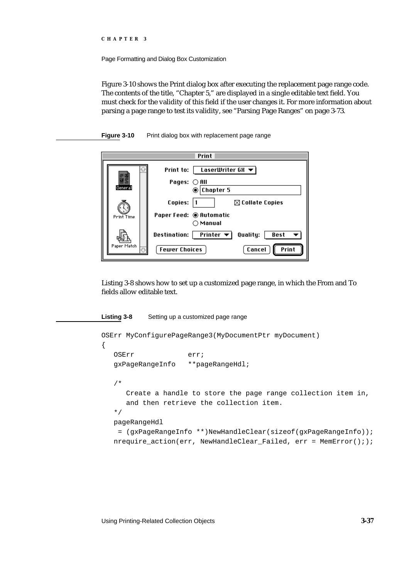```
CHAPTER 3
```
Figure 3-10 shows the Print dialog box after executing the replacement page range code. The contents of the title, "Chapter 5," are displayed in a single editable text field. You must check for the validity of this field if the user changes it. For more information about parsing a page range to test its validity, see "Parsing Page Ranges" on page 3-73.



| Print             |                                                                                                             |
|-------------------|-------------------------------------------------------------------------------------------------------------|
| General           | $\vert$ LaserWriter GX $\blacktriangledown$ $\vert$<br>Print to:<br>Pages: ○All<br><b>Chapter 5</b><br>⊙    |
| <b>Print Time</b> | Copies:<br>$\boxtimes$ Collate Copies<br>Paper Feed: © Automatic<br>$\cap$ Manual                           |
| Paper Match       | Printer $\blacktriangledown$<br>Destination:<br>Quality:<br>Best<br>Print<br><b>Fewer Choices</b><br>Cancel |

Listing 3-8 shows how to set up a customized page range, in which the From and To fields allow editable text.

## **Listing 3-8** Setting up a customized page range OSErr MyConfigurePageRange3(MyDocumentPtr myDocument) { OSErr err; gxPageRangeInfo \*\*pageRangeHdl; /\* Create a handle to store the page range collection item in, and then retrieve the collection item. \*/ pageRangeHdl = (gxPageRangeInfo \*\*)NewHandleClear(sizeof(gxPageRangeInfo)); nrequire action(err, NewHandleClear Failed, err = MemError(););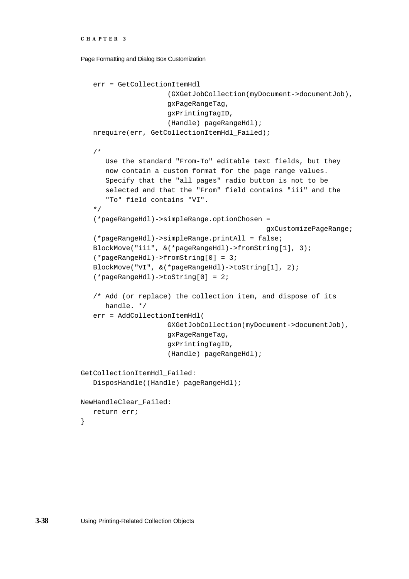```
CHAPTER 3
```

```
err = GetCollectionItemHdl
                     (GXGetJobCollection(myDocument->documentJob),
                     gxPageRangeTag,
                     gxPrintingTagID,
                     (Handle) pageRangeHdl);
   nrequire(err, GetCollectionItemHdl_Failed);
   /*
      Use the standard "From-To" editable text fields, but they 
      now contain a custom format for the page range values.
      Specify that the "all pages" radio button is not to be
      selected and that the "From" field contains "iii" and the
      "To" field contains "VI".
   */
   (*pageRangeHdl)->simpleRange.optionChosen =
                                              gxCustomizePageRange;
   (*pageRangeHdl)->simpleRange.printAll = false;
   BlockMove("iii", &(*pageRangeHdl)->fromString[1], 3);
   (*pageRangeHdl)->fromString[0] = 3;
   BlockMove("VI", &(*pageRangeHdl)->toString[1], 2);
   (*pageRangeHdl)->toString[0] = 2;
   /* Add (or replace) the collection item, and dispose of its
      handle. */
   err = AddCollectionItemHdl(
                     GXGetJobCollection(myDocument->documentJob),
                     gxPageRangeTag,
                     gxPrintingTagID,
                     (Handle) pageRangeHdl);
GetCollectionItemHdl_Failed:
   DisposHandle((Handle) pageRangeHdl);
NewHandleClear_Failed:
   return err;
```
}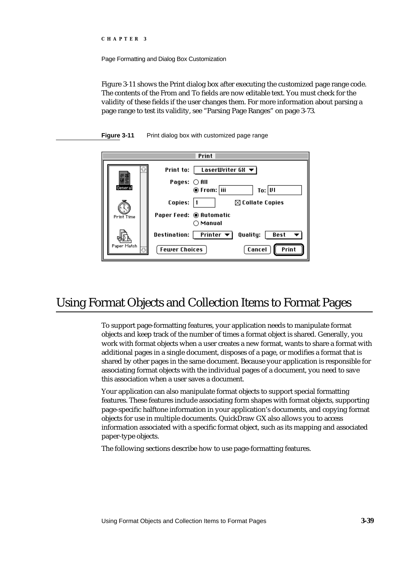Figure 3-11 shows the Print dialog box after executing the customized page range code. The contents of the From and To fields are now editable text. You must check for the validity of these fields if the user changes them. For more information about parsing a page range to test its validity, see "Parsing Page Ranges" on page 3-73.



| Print             |                                                                                                                    |
|-------------------|--------------------------------------------------------------------------------------------------------------------|
| General           | LaserWriter GX $\blacktriangledown$<br>Print to:<br>Pages: ○ All<br>To: UI<br>◉ From:   iii                        |
| <b>Print Time</b> | Copies:<br>$\boxtimes$ Collate Copies<br>Paper Feed: © Automatic<br>$\bigcirc$ Manual                              |
| Paper Match       | Printer $\blacktriangledown$<br>Quality:<br><b>Destination:</b><br>Best<br>Print<br><b>Fewer Choices</b><br>Cancel |

# Using Format Objects and Collection Items to Format Pages

To support page-formatting features, your application needs to manipulate format objects and keep track of the number of times a format object is shared. Generally, you work with format objects when a user creates a new format, wants to share a format with additional pages in a single document, disposes of a page, or modifies a format that is shared by other pages in the same document. Because your application is responsible for associating format objects with the individual pages of a document, you need to save this association when a user saves a document.

Your application can also manipulate format objects to support special formatting features. These features include associating form shapes with format objects, supporting page-specific halftone information in your application's documents, and copying format objects for use in multiple documents. QuickDraw GX also allows you to access information associated with a specific format object, such as its mapping and associated paper-type objects.

The following sections describe how to use page-formatting features.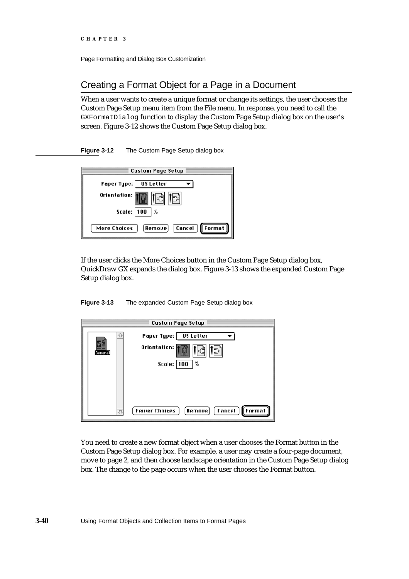# Creating a Format Object for a Page in a Document

When a user wants to create a unique format or change its settings, the user chooses the Custom Page Setup menu item from the File menu. In response, you need to call the GXFormatDialog function to display the Custom Page Setup dialog box on the user's screen. Figure 3-12 shows the Custom Page Setup dialog box.

**Figure 3-12** The Custom Page Setup dialog box

| Custom Page Setup                                  |  |
|----------------------------------------------------|--|
| Paper Type: US Letter                              |  |
| Orientation:                                       |  |
| Scale: 100<br>℅                                    |  |
| [Format]<br>  Cancel  <br>[Remove]<br>More Choices |  |

If the user clicks the More Choices button in the Custom Page Setup dialog box, QuickDraw GX expands the dialog box. Figure 3-13 shows the expanded Custom Page Setup dialog box.

**Figure 3-13** The expanded Custom Page Setup dialog box

| Custom Page Setup |                                                                          |
|-------------------|--------------------------------------------------------------------------|
| General           | Paper Type:  <br>US Letter<br>Orientation:<br>'과<br> %<br>Scale: $ 100 $ |
|                   | <b>fancel</b><br>[Format]<br><b>Fewer Chnices</b><br><b>Remaue</b>       |

You need to create a new format object when a user chooses the Format button in the Custom Page Setup dialog box. For example, a user may create a four-page document, move to page 2, and then choose landscape orientation in the Custom Page Setup dialog box. The change to the page occurs when the user chooses the Format button.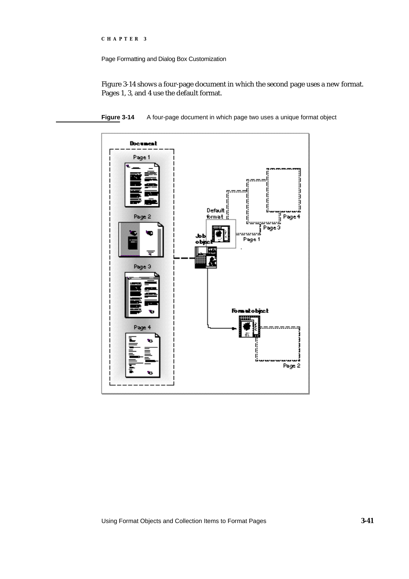Page Formatting and Dialog Box Customization

Figure 3-14 shows a four-page document in which the second page uses a new format. Pages 1, 3, and 4 use the default format.

**Figure 3-14** A four-page document in which page two uses a unique format object



Using Format Objects and Collection Items to Format Pages **3-41**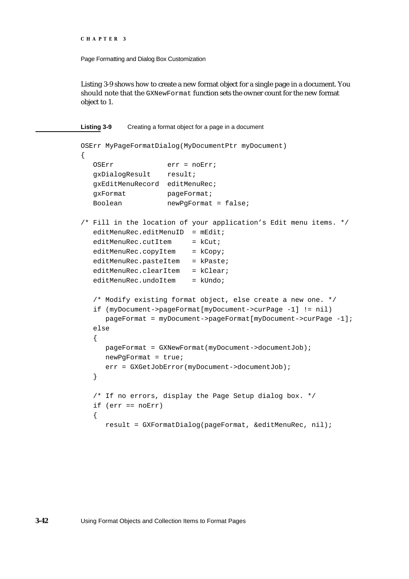```
CHAPTER 3
```
Listing 3-9 shows how to create a new format object for a single page in a document. You should note that the GXNewFormat function sets the owner count for the new format object to 1.

```
Listing 3-9 Creating a format object for a page in a document
OSErr MyPageFormatDialog(MyDocumentPtr myDocument)
{
  OSErr err = noErr;
  gxDialogResult result;
  gxEditMenuRecord editMenuRec;
  gxFormat pageFormat;
  Boolean newPgFormat = false;
/* Fill in the location of your application's Edit menu items. */
   editMenuRec.edu: editMenuID = mEdit;editMenuRec.cutItem = kCut;editMenuRec.copyItem = kCopyieditMenuRec.pasteItem = kPaste;
   editMenuRec.clearItem = kClear;
   editMenuRec.undoltem = klIndo;/* Modify existing format object, else create a new one. */
   if (myDocument->pageFormat[myDocument->curPage -1] != nil)
     pageFormat = myDocument->pageFormat[myDocument->curPage -1];
   else
   {
     pageFormat = GXNewFormat(myDocument->documentJob);
     newPgFormat = true;
     err = GXGetJobError(myDocument->documentJob);
   }
   /* If no errors, display the Page Setup dialog box. */
   if (err == noErr)
   {
      result = GXFormatDialog(pageFormat, &editMenuRec, nil);
```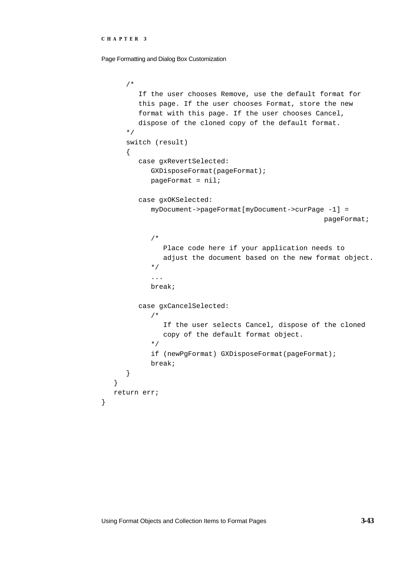Page Formatting and Dialog Box Customization

```
/* 
         If the user chooses Remove, use the default format for
         this page. If the user chooses Format, store the new
         format with this page. If the user chooses Cancel,
         dispose of the cloned copy of the default format.
      */
      switch (result)
      {
         case gxRevertSelected:
            GXDisposeFormat(pageFormat);
            pageFormat = nil;
         case gxOKSelected:
            myDocument->pageFormat[myDocument->curPage -1] = 
                                                       pageFormat;
            /* 
               Place code here if your application needs to 
               adjust the document based on the new format object.
            */
            ...
            break;
         case gxCancelSelected:
            /* 
               If the user selects Cancel, dispose of the cloned
               copy of the default format object.
            */
            if (newPgFormat) GXDisposeFormat(pageFormat);
            break;
      }
   }
  return err;
}
```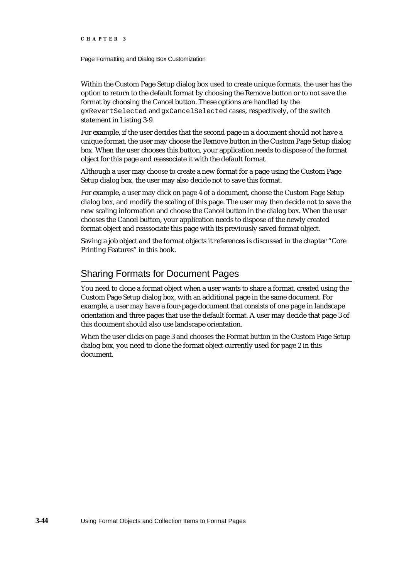Page Formatting and Dialog Box Customization

Within the Custom Page Setup dialog box used to create unique formats, the user has the option to return to the default format by choosing the Remove button or to not save the format by choosing the Cancel button. These options are handled by the gxRevertSelected and gxCancelSelected cases, respectively, of the switch statement in Listing 3-9.

For example, if the user decides that the second page in a document should not have a unique format, the user may choose the Remove button in the Custom Page Setup dialog box. When the user chooses this button, your application needs to dispose of the format object for this page and reassociate it with the default format.

Although a user may choose to create a new format for a page using the Custom Page Setup dialog box, the user may also decide not to save this format.

For example, a user may click on page 4 of a document, choose the Custom Page Setup dialog box, and modify the scaling of this page. The user may then decide not to save the new scaling information and choose the Cancel button in the dialog box. When the user chooses the Cancel button, your application needs to dispose of the newly created format object and reassociate this page with its previously saved format object.

Saving a job object and the format objects it references is discussed in the chapter "Core Printing Features" in this book.

## Sharing Formats for Document Pages

You need to clone a format object when a user wants to share a format, created using the Custom Page Setup dialog box, with an additional page in the same document. For example, a user may have a four-page document that consists of one page in landscape orientation and three pages that use the default format. A user may decide that page 3 of this document should also use landscape orientation.

When the user clicks on page 3 and chooses the Format button in the Custom Page Setup dialog box, you need to clone the format object currently used for page 2 in this document.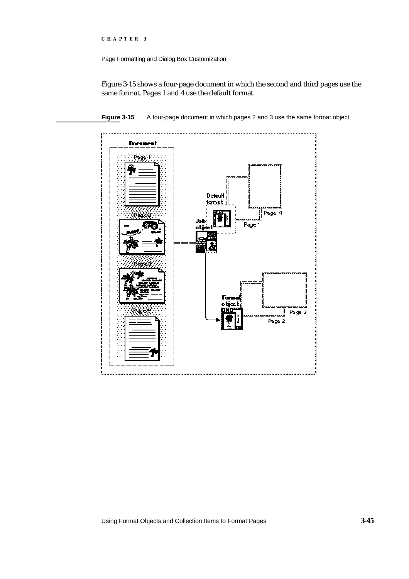Page Formatting and Dialog Box Customization

Figure 3-15 shows a four-page document in which the second and third pages use the same format. Pages 1 and 4 use the default format.



**Figure 3-15** A four-page document in which pages 2 and 3 use the same format object

Using Format Objects and Collection Items to Format Pages **3-45**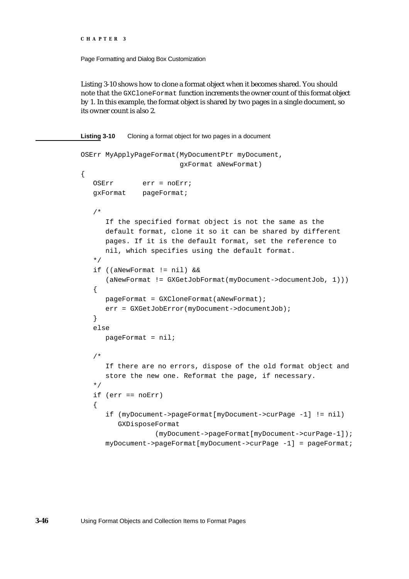{

Page Formatting and Dialog Box Customization

Listing 3-10 shows how to clone a format object when it becomes shared. You should note that the GXCloneFormat function increments the owner count of this format object by 1. In this example, the format object is shared by two pages in a single document, so its owner count is also 2.

**Listing 3-10** Cloning a format object for two pages in a document

```
OSErr MyApplyPageFormat(MyDocumentPtr myDocument,
                        gxFormat aNewFormat)
   OSErr err = noErr;
   gxFormat pageFormat;
   /* 
      If the specified format object is not the same as the
      default format, clone it so it can be shared by different
     pages. If it is the default format, set the reference to
     nil, which specifies using the default format.
   */
   if ((aNewFormat != nil) && 
      (aNewFormat != GXGetJobFormat(myDocument->documentJob, 1)))
   {
     pageFormat = GXCloneFormat(aNewFormat);
     err = GXGetJobError(myDocument->documentJob);
   }
   else
     pageFormat = nil;/* 
      If there are no errors, dispose of the old format object and 
      store the new one. Reformat the page, if necessary.
   */
   if (err == noErr)
   {
      if (myDocument->pageFormat[myDocument->curPage -1] != nil)
         GXDisposeFormat
                  (myDocument->pageFormat[myDocument->curPage-1]);
      myDocument->pageFormat[myDocument->curPage -1] = pageFormat;
```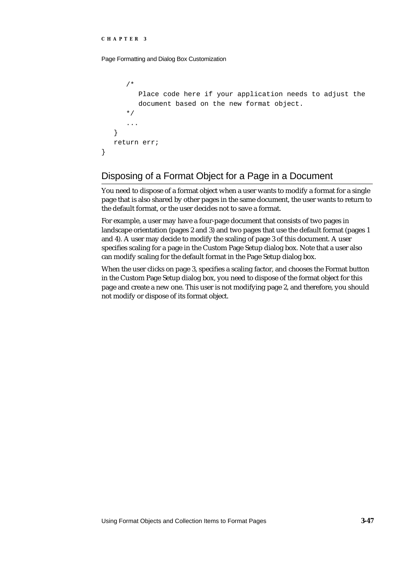}

Page Formatting and Dialog Box Customization

```
/* 
      Place code here if your application needs to adjust the 
      document based on the new format object.
   */
   ...
}
return err;
```
# Disposing of a Format Object for a Page in a Document

You need to dispose of a format object when a user wants to modify a format for a single page that is also shared by other pages in the same document, the user wants to return to the default format, or the user decides not to save a format.

For example, a user may have a four-page document that consists of two pages in landscape orientation (pages 2 and 3) and two pages that use the default format (pages 1 and 4). A user may decide to modify the scaling of page 3 of this document. A user specifies scaling for a page in the Custom Page Setup dialog box. Note that a user also can modify scaling for the default format in the Page Setup dialog box.

When the user clicks on page 3, specifies a scaling factor, and chooses the Format button in the Custom Page Setup dialog box, you need to dispose of the format object for this page and create a new one. This user is not modifying page 2, and therefore, you should not modify or dispose of its format object.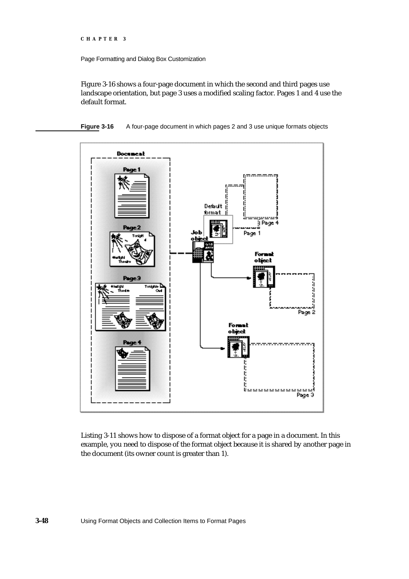Page Formatting and Dialog Box Customization

Figure 3-16 shows a four-page document in which the second and third pages use landscape orientation, but page 3 uses a modified scaling factor. Pages 1 and 4 use the default format.

**Figure 3-16** A four-page document in which pages 2 and 3 use unique formats objects



Listing 3-11 shows how to dispose of a format object for a page in a document. In this example, you need to dispose of the format object because it is shared by another page in the document (its owner count is greater than 1).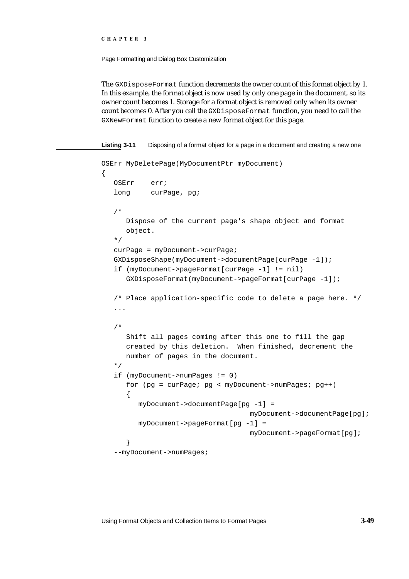Page Formatting and Dialog Box Customization

The GXDisposeFormat function decrements the owner count of this format object by 1. In this example, the format object is now used by only one page in the document, so its owner count becomes 1. Storage for a format object is removed only when its owner count becomes 0. After you call the GXDisposeFormat function, you need to call the GXNewFormat function to create a new format object for this page.

```
Listing 3-11 Disposing of a format object for a page in a document and creating a new one
OSErr MyDeletePage(MyDocumentPtr myDocument)
{
   OSErr err;
   long curPage, pg;
   /* 
      Dispose of the current page's shape object and format
      object. 
   */
   curPage = myDocument->curPage;
   GXDisposeShape(myDocument->documentPage[curPage -1]);
   if (myDocument->pageFormat[curPage -1] != nil)
      GXDisposeFormat(myDocument->pageFormat[curPage -1]);
   /* Place application-specific code to delete a page here. */
   ...
   /*
      Shift all pages coming after this one to fill the gap
      created by this deletion. When finished, decrement the
      number of pages in the document.
   */
   if (myDocument->numPages != 0)
      for (pg = curPage; pg < myDocument->numPages; pg++)
      {
         myDocument->documentPage[pg -1] = 
                                     myDocument->documentPage[pg];
         myDocument->pageFormat[pg -1] = 
                                     myDocument->pageFormat[pg];
      }
   --myDocument->numPages;
```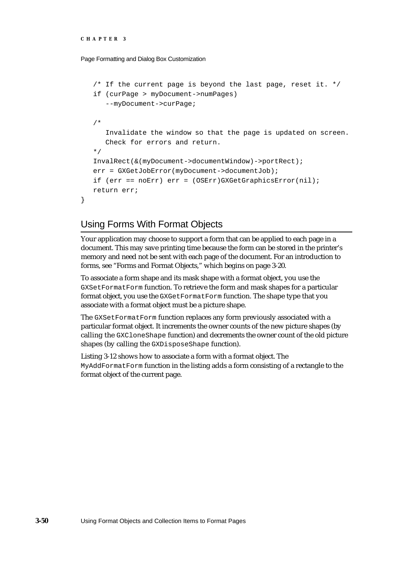}

Page Formatting and Dialog Box Customization

```
/* If the current page is beyond the last page, reset it. */if (curPage > myDocument->numPages)
   --myDocument->curPage;
/* 
   Invalidate the window so that the page is updated on screen. 
   Check for errors and return.
*/
InvalRect(&(myDocument->documentWindow)->portRect);
err = GXGetJobError(myDocument->documentJob);
if (err == noErr) err = (OSErr)GXGetGraphicsError(nil);
return err;
```
### Using Forms With Format Objects

Your application may choose to support a form that can be applied to each page in a document. This may save printing time because the form can be stored in the printer's memory and need not be sent with each page of the document. For an introduction to forms, see "Forms and Format Objects," which begins on page 3-20.

To associate a form shape and its mask shape with a format object, you use the GXSetFormatForm function. To retrieve the form and mask shapes for a particular format object, you use the GXGetFormatForm function. The shape type that you associate with a format object must be a picture shape.

The GXSetFormatForm function replaces any form previously associated with a particular format object. It increments the owner counts of the new picture shapes (by calling the GXCloneShape function) and decrements the owner count of the old picture shapes (by calling the GXDisposeShape function).

Listing 3-12 shows how to associate a form with a format object. The MyAddFormatForm function in the listing adds a form consisting of a rectangle to the format object of the current page.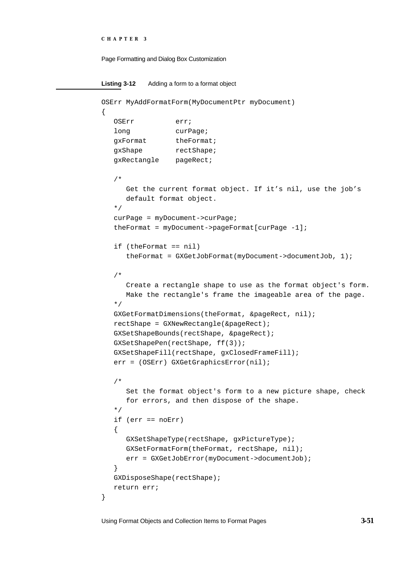```
CHAPTER 3
```

```
Listing 3-12 Adding a form to a format object
OSErr MyAddFormatForm(MyDocumentPtr myDocument)
{
   OSErr erri
   long curPage;
  gxFormat theFormat;
   gxShape rectShape;
   gxRectangle pageRect;
   /* 
     Get the current format object. If it's nil, use the job's
     default format object. 
   */
   curPage = myDocument->curPage;
   theFormat = myDocument->pageFormat[curPage -1];
   if (theFormat == nil)
     theFormat = GXGetJobFormat(myDocument->documentJob, 1);
   /* 
     Create a rectangle shape to use as the format object's form. 
     Make the rectangle's frame the imageable area of the page.
   */
   GXGetFormatDimensions(theFormat, &pageRect, nil);
   rectShape = GXNewRectangle(&pageRect);
   GXSetShapeBounds(rectShape, &pageRect);
   GXSetShapePen(rectShape, ff(3));
   GXSetShapeFill(rectShape, gxClosedFrameFill);
   err = (OSErr) GXGetGraphicsError(nil);
   /* 
     Set the format object's form to a new picture shape, check
     for errors, and then dispose of the shape.
   */
  if (err == noErr)
   {
     GXSetShapeType(rectShape, gxPictureType);
     GXSetFormatForm(theFormat, rectShape, nil);
      err = GXGetJobError(myDocument->documentJob);
   }
   GXDisposeShape(rectShape);
   return err;
}
```
Using Format Objects and Collection Items to Format Pages **3-51**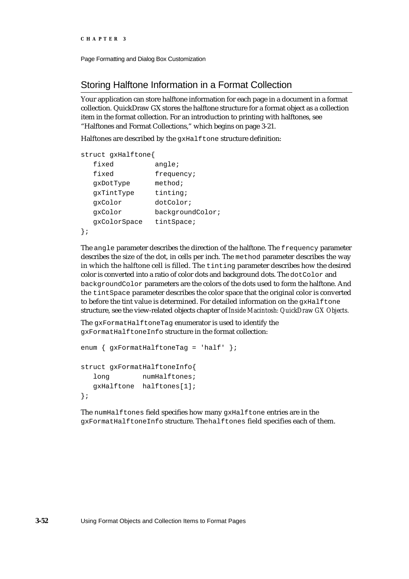```
CHAPTER 3
```
# Storing Halftone Information in a Format Collection

Your application can store halftone information for each page in a document in a format collection. QuickDraw GX stores the halftone structure for a format object as a collection item in the format collection. For an introduction to printing with halftones, see "Halftones and Format Collections," which begins on page 3-21.

Halftones are described by the gxHalftone structure definition:

| struct gxHalftone{ |                  |
|--------------------|------------------|
| fixed              | angle:           |
| fixed              | frequency;       |
| qxDotType          | method;          |
| qxTintType         | tinting;         |
| qxColor            | dotColor;        |
| qxColor            | backgroundColor; |
| qxColorSpace       | tintSpace;       |
|                    |                  |

The angle parameter describes the direction of the halftone. The frequency parameter describes the size of the dot, in cells per inch. The method parameter describes the way in which the halftone cell is filled. The tinting parameter describes how the desired color is converted into a ratio of color dots and background dots. The dotColor and backgroundColor parameters are the colors of the dots used to form the halftone. And the tintSpace parameter describes the color space that the original color is converted to before the tint value is determined. For detailed information on the gxHalftone structure, see the view-related objects chapter of *Inside Macintosh: QuickDraw GX Objects.*

The gxFormatHalftoneTag enumerator is used to identify the gxFormatHalftoneInfo structure in the format collection:

```
enum { gxFormatHalftoneTag = 'half' };
struct gxFormatHalftoneInfo{
  long numHalftones;
  gxHalftone halftones[1]; 
};
```
The numHalftones field specifies how many gxHalftone entries are in the gxFormatHalftoneInfo structure. The halftones field specifies each of them.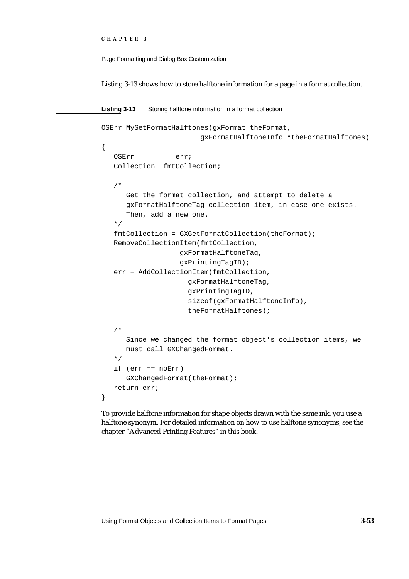```
CHAPTER 3
```
Listing 3-13 shows how to store halftone information for a page in a format collection.

```
Listing 3-13 Storing halftone information in a format collection
OSErr MySetFormatHalftones(gxFormat theFormat,
                         gxFormatHalftoneInfo *theFormatHalftones)
{
   OSErr err;
   Collection fmtCollection;
   /*
      Get the format collection, and attempt to delete a
      gxFormatHalftoneTag collection item, in case one exists.
      Then, add a new one.
   */
   fmtCollection = GXGetFormatCollection(theFormat);
   RemoveCollectionItem(fmtCollection,
                    gxFormatHalftoneTag,
                    gxPrintingTagID);
   err = AddCollectionItem(fmtCollection,
                     gxFormatHalftoneTag,
                     gxPrintingTagID,
                      sizeof(gxFormatHalftoneInfo),
                      theFormatHalftones);
   /*
      Since we changed the format object's collection items, we
      must call GXChangedFormat.
   */
   if (err == noErr)
      GXChangedFormat(theFormat);
   return err;
}
```
To provide halftone information for shape objects drawn with the same ink, you use a halftone synonym. For detailed information on how to use halftone synonyms, see the chapter "Advanced Printing Features" in this book.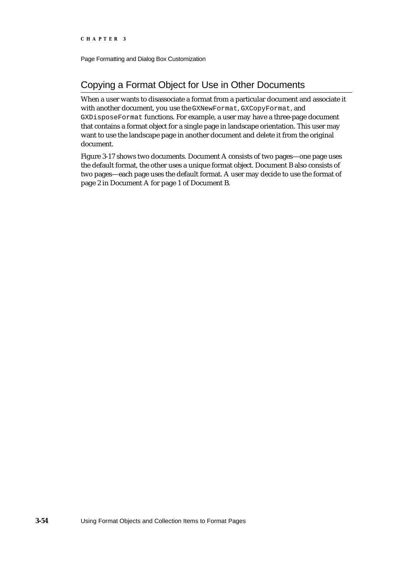# Copying a Format Object for Use in Other Documents

When a user wants to disassociate a format from a particular document and associate it with another document, you use the GXNewFormat, GXCopyFormat, and GXDisposeFormat functions. For example, a user may have a three-page document that contains a format object for a single page in landscape orientation. This user may want to use the landscape page in another document and delete it from the original document.

Figure 3-17 shows two documents. Document A consists of two pages—one page uses the default format, the other uses a unique format object. Document B also consists of two pages—each page uses the default format. A user may decide to use the format of page 2 in Document A for page 1 of Document B.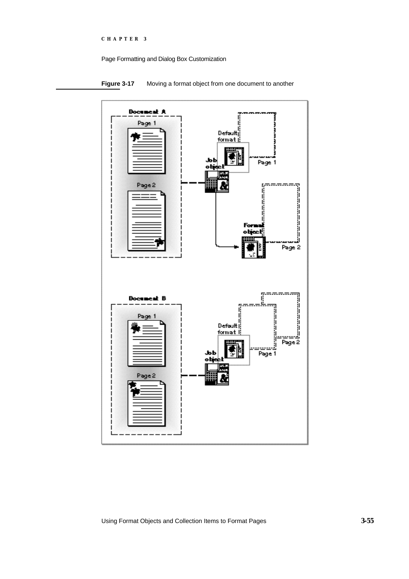

**Figure 3-17** Moving a format object from one document to another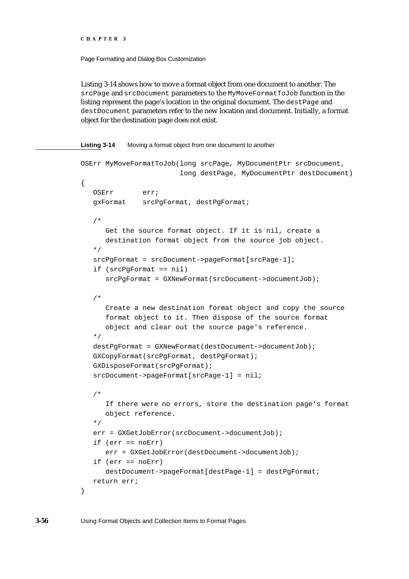Page Formatting and Dialog Box Customization

Listing 3-14 shows how to move a format object from one document to another. The srcPage and srcDocument parameters to the MyMoveFormatToJob function in the listing represent the page's location in the original document. The dest Page and destDocument parameters refer to the new location and document. Initially, a format object for the destination page does not exist.

**Listing 3-14** Moving a format object from one document to another

```
OSErr MyMoveFormatToJob(long srcPage, MyDocumentPtr srcDocument,
                        long destPage, MyDocumentPtr destDocument)
{
   OSErr err;
   gxFormat srcPgFormat, destPgFormat;
   /* 
      Get the source format object. If it is nil, create a
      destination format object from the source job object.
   */
   srcPgFormat = srcDocument->pageFormat[srcPage-1];
   if (srcPgFormat == nil)
      srcPgFormat = GXNewFormat(srcDocument->documentJob);
   /* 
      Create a new destination format object and copy the source 
      format object to it. Then dispose of the source format 
      object and clear out the source page's reference.
   */
   destPgFormat = GXNewFormat(destDocument->documentJob);
   GXCopyFormat(srcPgFormat, destPgFormat);
   GXDisposeFormat(srcPgFormat);
   srcDocument->pageFormat[srcPage-1] = nil;
   /* 
      If there were no errors, store the destination page's format 
      object reference.
   */
   err = GXGetJobError(srcDocument->documentJob);
   if (err == noErr)
      err = GXGetJobError(destDocument->documentJob);
   if (err == noErr)
      destDocument->pageFormat[destPage-1] = destPgFormat;
   return err;
}
```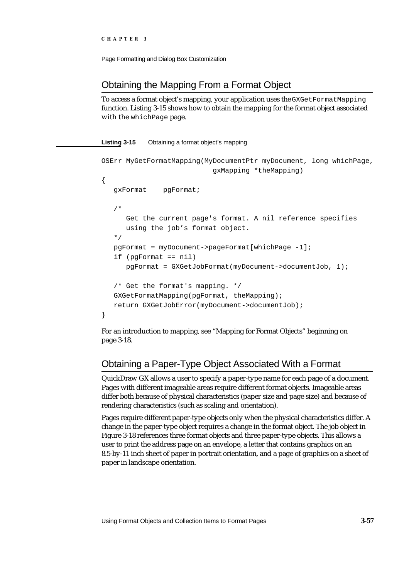## Obtaining the Mapping From a Format Object

To access a format object's mapping, your application uses the GXGetFormatMapping function. Listing 3-15 shows how to obtain the mapping for the format object associated with the whichPage page.

### **Listing 3-15** Obtaining a format object's mapping

```
OSErr MyGetFormatMapping(MyDocumentPtr myDocument, long whichPage,
                           gxMapping *theMapping)
{
   gxFormat pgFormat;
   /* 
      Get the current page's format. A nil reference specifies
      using the job's format object.
   */
   pgFormat = myDocument->pageFormat[whichPage -1];
   if (pgFormat == nil)
      pgFormat = GXGetJobFormat(myDocument->documentJob, 1);
   /* Get the format's mapping. */
   GXGetFormatMapping(pgFormat, theMapping);
   return GXGetJobError(myDocument->documentJob);
}
```
For an introduction to mapping, see "Mapping for Format Objects" beginning on page 3-18.

# Obtaining a Paper-Type Object Associated With a Format

QuickDraw GX allows a user to specify a paper-type name for each page of a document. Pages with different imageable areas require different format objects. Imageable areas differ both because of physical characteristics (paper size and page size) and because of rendering characteristics (such as scaling and orientation).

Pages require different paper-type objects only when the physical characteristics differ. A change in the paper-type object requires a change in the format object. The job object in Figure 3-18 references three format objects and three paper-type objects. This allows a user to print the address page on an envelope, a letter that contains graphics on an 8.5-by-11 inch sheet of paper in portrait orientation, and a page of graphics on a sheet of paper in landscape orientation.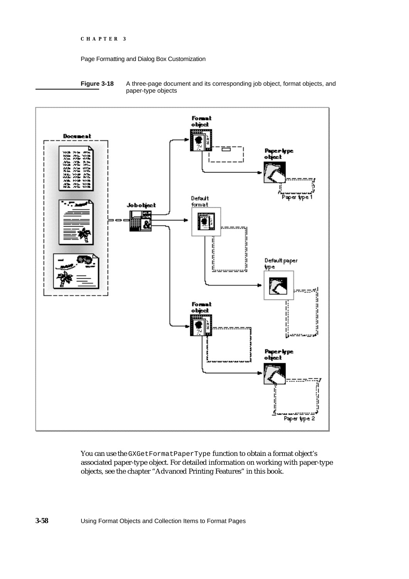

**Figure 3-18** A three-page document and its corresponding job object, format objects, and paper-type objects



You can use the GXGetFormatPaperType function to obtain a format object's associated paper-type object. For detailed information on working with paper-type objects, see the chapter "Advanced Printing Features" in this book.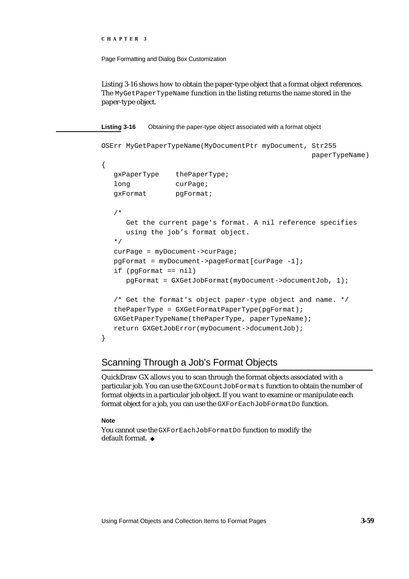```
CHAPTER 3
```
Listing 3-16 shows how to obtain the paper-type object that a format object references. The MyGetPaperTypeName function in the listing returns the name stored in the paper-type object.

**Listing 3-16** Obtaining the paper-type object associated with a format object

```
OSErr MyGetPaperTypeName(MyDocumentPtr myDocument, Str255
                                                  paperTypeName)
{
  gxPaperType thePaperType;
  long curPage;
  gxFormat pgFormat;
   /* 
     Get the current page's format. A nil reference specifies
     using the job's format object.
   */
  curPage = myDocument->curPage;
  pgFormat = myDocument->pageFormat[curPage -1];
  if (pgFormat == nil)
     pgFormat = GXGetJobFormat(myDocument->documentJob, 1);
  /* Get the format's object paper-type object and name. */
  thePaperType = GXGetFormatPaperType(pgFormat);
  GXGetPaperTypeName(thePaperType, paperTypeName);
  return GXGetJobError(myDocument->documentJob);
}
```
### Scanning Through a Job's Format Objects

QuickDraw GX allows you to scan through the format objects associated with a particular job. You can use the GXCountJobFormats function to obtain the number of format objects in a particular job object. If you want to examine or manipulate each format object for a job, you can use the GXForEachJobFormatDo function.

### **Note**

You cannot use the GXForEachJobFormatDo function to modify the default format.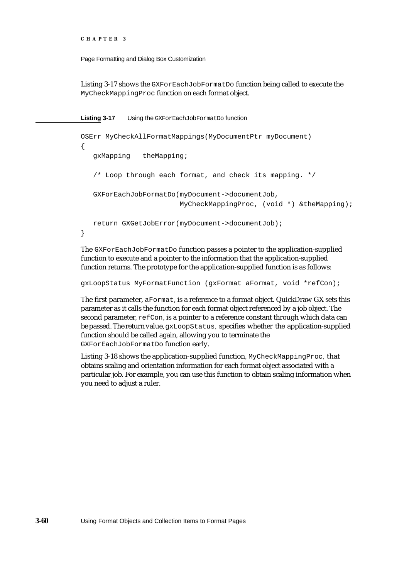```
CHAPTER 3
```
Listing 3-17 shows the GXForEachJobFormatDo function being called to execute the MyCheckMappingProc function on each format object.

**Listing 3-17** Using the GXForEachJobFormatDo function

```
OSErr MyCheckAllFormatMappings(MyDocumentPtr myDocument)
{
   gxMapping theMapping;
   /* Loop through each format, and check its mapping. */
   GXForEachJobFormatDo(myDocument->documentJob, 
                        MyCheckMappingProc, (void *) &theMapping);
   return GXGetJobError(myDocument->documentJob);
}
```
The GXForEachJobFormatDo function passes a pointer to the application-supplied function to execute and a pointer to the information that the application-supplied function returns. The prototype for the application-supplied function is as follows:

```
gxLoopStatus MyFormatFunction (gxFormat aFormat, void *refCon);
```
The first parameter, aFormat, is a reference to a format object. QuickDraw GX sets this parameter as it calls the function for each format object referenced by a job object. The second parameter, refCon, is a pointer to a reference constant through which data can be passed. The return value, gxLoopStatus, specifies whether the application-supplied function should be called again, allowing you to terminate the GXForEachJobFormatDo function early.

Listing 3-18 shows the application-supplied function, MyCheckMappingProc, that obtains scaling and orientation information for each format object associated with a particular job. For example, you can use this function to obtain scaling information when you need to adjust a ruler.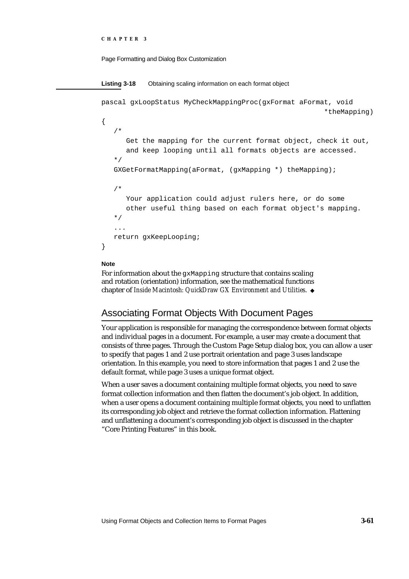```
CHAPTER 3
```

```
Listing 3-18 Obtaining scaling information on each format object
pascal gxLoopStatus MyCheckMappingProc(gxFormat aFormat, void 
                                                          *theMapping)
{
   /* 
      Get the mapping for the current format object, check it out, 
      and keep looping until all formats objects are accessed. 
   */
   GXGetFormatMapping(aFormat, (gxMapping *) theMapping);
   /*
      Your application could adjust rulers here, or do some
      other useful thing based on each format object's mapping.
   */
   ...
   return gxKeepLooping;
}
```
#### **Note**

For information about the gxMapping structure that contains scaling and rotation (orientation) information, see the mathematical functions chapter of *Inside Macintosh: QuickDraw GX Environment and Utilities*.

# Associating Format Objects With Document Pages

Your application is responsible for managing the correspondence between format objects and individual pages in a document. For example, a user may create a document that consists of three pages. Through the Custom Page Setup dialog box, you can allow a user to specify that pages 1 and 2 use portrait orientation and page 3 uses landscape orientation. In this example, you need to store information that pages 1 and 2 use the default format, while page 3 uses a unique format object.

When a user saves a document containing multiple format objects, you need to save format collection information and then flatten the document's job object. In addition, when a user opens a document containing multiple format objects, you need to unflatten its corresponding job object and retrieve the format collection information. Flattening and unflattening a document's corresponding job object is discussed in the chapter "Core Printing Features" in this book.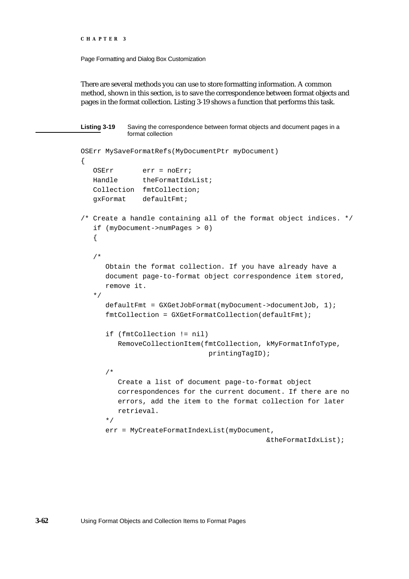Page Formatting and Dialog Box Customization

There are several methods you can use to store formatting information. A common method, shown in this section, is to save the correspondence between format objects and pages in the format collection. Listing 3-19 shows a function that performs this task.

```
Listing 3-19 Saving the correspondence between format objects and document pages in a 
           format collection
OSErr MySaveFormatRefs(MyDocumentPtr myDocument)
{
   OSErr err = noErr;
   Handle theFormatIdxList;
   Collection fmtCollection;
   gxFormat defaultFmt;
/* Create a handle containing all of the format object indices. */
   if (myDocument->numPages > 0)
   {
   /* 
      Obtain the format collection. If you have already have a
      document page-to-format object correspondence item stored, 
      remove it. 
   */
      defaultFmt = GXGetJobFormat(myDocument->documentJob, 1);
      fmtCollection = GXGetFormatCollection(defaultFmt);
      if (fmtCollection != nil)
         RemoveCollectionItem(fmtCollection, kMyFormatInfoType,
                                 printingTagID);
      /* 
         Create a list of document page-to-format object 
         correspondences for the current document. If there are no 
         errors, add the item to the format collection for later 
         retrieval. 
      */
      err = MyCreateFormatIndexList(myDocument, 
                                               &theFormatIdxList);
```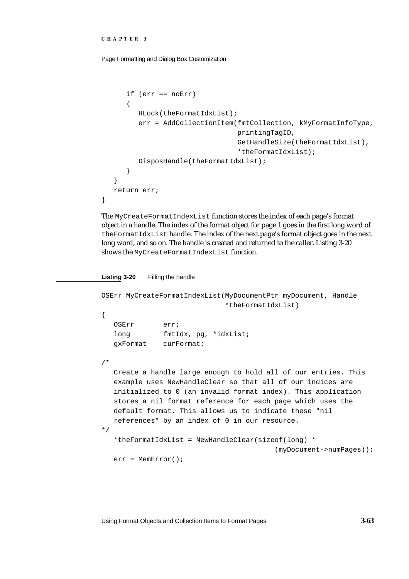```
CHAPTER 3
```
}

Page Formatting and Dialog Box Customization

```
if (err == noErr)
   {
      HLock(theFormatIdxList);
      err = AddCollectionItem(fmtCollection, kMyFormatInfoType,
                               printingTagID,
                               GetHandleSize(theFormatIdxList),
                               *theFormatIdxList);
      DisposHandle(theFormatIdxList);
   }
}
return err;
```
The MyCreateFormatIndexList function stores the index of each page's format object in a handle. The index of the format object for page 1 goes in the first long word of theFormatIdxList handle. The index of the next page's format object goes in the next long word, and so on. The handle is created and returned to the caller. Listing 3-20 shows the MyCreateFormatIndexList function.

**Listing 3-20** Filling the handle

```
OSErr MyCreateFormatIndexList(MyDocumentPtr myDocument, Handle
                              *theFormatIdxList)
{
   OSErr err;
   long fmtIdx, pg, *idxList;
  gxFormat curFormat;
/* 
   Create a handle large enough to hold all of our entries. This 
   example uses NewHandleClear so that all of our indices are 
   initialized to 0 (an invalid format index). This application 
   stores a nil format reference for each page which uses the 
   default format. This allows us to indicate these "nil 
   references" by an index of 0 in our resource.
*/
   *theFormatIdxList = NewHandleClear(sizeof(long) * 
                                          (myDocument->numPages));
   err = MemError();
```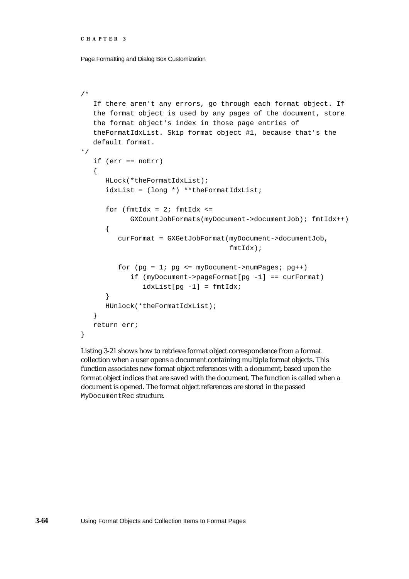```
CHAPTER 3
```

```
/* 
   If there aren't any errors, go through each format object. If 
   the format object is used by any pages of the document, store 
   the format object's index in those page entries of 
   theFormatIdxList. Skip format object #1, because that's the 
   default format. 
*/
   if (err == noErr)
   {
      HLock(*theFormatIdxList);
      idxList = (long *) **theFormatIdxList;
      for (fmtIdx = 2; fmtIdx <=
            GXCountJobFormats(myDocument->documentJob); fmtIdx++)
      {
         curFormat = GXGetJobFormat(myDocument->documentJob, 
                                     fmtIdx);
         for (pg = 1; pg \le myDocument->numpages; pg++)if (myDocument->pageFormat[pg -1] == curFormat)
               idxList[pg -1] = fmtIdx;}
      HUnlock(*theFormatIdxList);
   }
  return err;
}
```
Listing 3-21 shows how to retrieve format object correspondence from a format collection when a user opens a document containing multiple format objects. This function associates new format object references with a document, based upon the format object indices that are saved with the document. The function is called when a document is opened. The format object references are stored in the passed MyDocumentRec structure.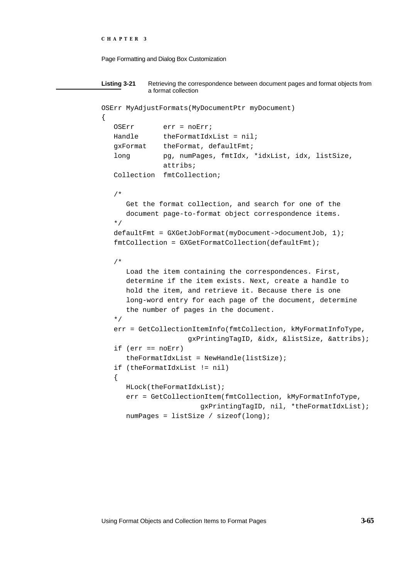```
CHAPTER 3
```

```
Listing 3-21 Retrieving the correspondence between document pages and format objects from 
           a format collection
OSErr MyAdjustFormats(MyDocumentPtr myDocument)
{
   OSErr err = noErr;
  Handle theFormatIdxList = nil;
   gxFormat theFormat, defaultFmt;
   long pg, numPages, fmtIdx, *idxList, idx, listSize,
               attribs;
   Collection fmtCollection;
   /* 
      Get the format collection, and search for one of the
      document page-to-format object correspondence items. 
   */
   defaultFmt = GXGetJobFormat(myDocument->documentJob, 1);
   fmtCollection = GXGetFormatCollection(defaultFmt);
   /* 
      Load the item containing the correspondences. First,
      determine if the item exists. Next, create a handle to
      hold the item, and retrieve it. Because there is one
      long-word entry for each page of the document, determine
      the number of pages in the document. 
   */
   err = GetCollectionItemInfo(fmtCollection, kMyFormatInfoType,
                     gxPrintingTagID, &idx, &listSize, &attribs);
  if (err == noErr)
      the FormatIdxList = NewHandle(listsize);
   if (theFormatIdxList != nil)
   {
      HLock(theFormatIdxList);
      err = GetCollectionItem(fmtCollection, kMyFormatInfoType,
                         gxPrintingTagID, nil, *theFormatIdxList);
      numPages = listSize / sizeof(long);
```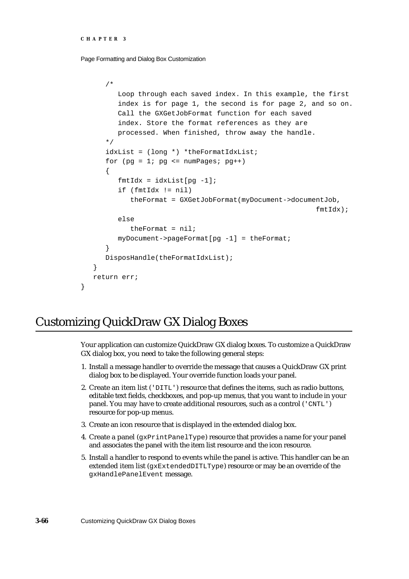```
CHAPTER 3
```

```
/* 
      Loop through each saved index. In this example, the first 
      index is for page 1, the second is for page 2, and so on.
      Call the GXGetJobFormat function for each saved
      index. Store the format references as they are
      processed. When finished, throw away the handle. 
   */
   idxList = (long *) *theFormatIdxList;
   for (pq = 1; pq \le mumPages; pq++){
      fmtIdx = idxList[pg -1];if (fmtIdx != nil)
         theFormat = GXGetJobFormat(myDocument->documentJob, 
                                                        fmtIdx);
      else
         theFormat = nil;
      myDocument->pageFormat[pg -1] = theFormat;
   }
   DisposHandle(theFormatIdxList);
}
return err;
```
# Customizing QuickDraw GX Dialog Boxes

}

Your application can customize QuickDraw GX dialog boxes. To customize a QuickDraw GX dialog box, you need to take the following general steps:

- 1. Install a message handler to override the message that causes a QuickDraw GX print dialog box to be displayed. Your override function loads your panel.
- 2. Create an item list ( $'$ DITL $'$ ) resource that defines the items, such as radio buttons, editable text fields, checkboxes, and pop-up menus, that you want to include in your panel. You may have to create additional resources, such as a control ('CNTL') resource for pop-up menus.
- 3. Create an icon resource that is displayed in the extended dialog box.
- 4. Create a panel (gxPrintPanelType) resource that provides a name for your panel and associates the panel with the item list resource and the icon resource.
- 5. Install a handler to respond to events while the panel is active. This handler can be an extended item list (gxExtendedDITLType) resource or may be an override of the gxHandlePanelEvent message.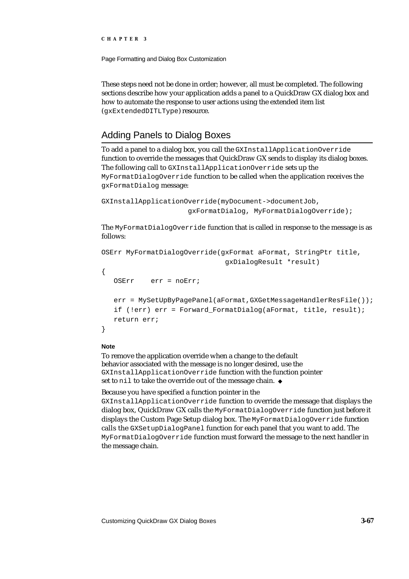Page Formatting and Dialog Box Customization

These steps need not be done in order; however, all must be completed. The following sections describe how your application adds a panel to a QuickDraw GX dialog box and how to automate the response to user actions using the extended item list (gxExtendedDITLType) resource.

## Adding Panels to Dialog Boxes

To add a panel to a dialog box, you call the GXInstallApplicationOverride function to override the messages that QuickDraw GX sends to display its dialog boxes. The following call to GXInstallApplicationOverride sets up the MyFormatDialogOverride function to be called when the application receives the gxFormatDialog message:

```
GXInstallApplicationOverride(myDocument->documentJob, 
                     gxFormatDialog, MyFormatDialogOverride);
```
The MyFormatDialogOverride function that is called in response to the message is as follows:

```
OSErr MyFormatDialogOverride(gxFormat aFormat, StringPtr title, 
                              gxDialogResult *result)
{
   OSErr err = noErr;
   err = MySetUpByPagePanel(aFormat,GXGetMessageHandlerResFile());
   if (!err) err = Forward_FormatDialog(aFormat, title, result);
   return err;
}
```
#### **Note**

To remove the application override when a change to the default behavior associated with the message is no longer desired, use the GXInstallApplicationOverride function with the function pointer set to nil to take the override out of the message chain. u

#### Because you have specified a function pointer in the

GXInstallApplicationOverride function to override the message that displays the dialog box, QuickDraw GX calls the MyFormatDialogOverride function just before it displays the Custom Page Setup dialog box. The MyFormatDialogOverride function calls the GXSetupDialogPanel function for each panel that you want to add. The MyFormatDialogOverride function must forward the message to the next handler in the message chain.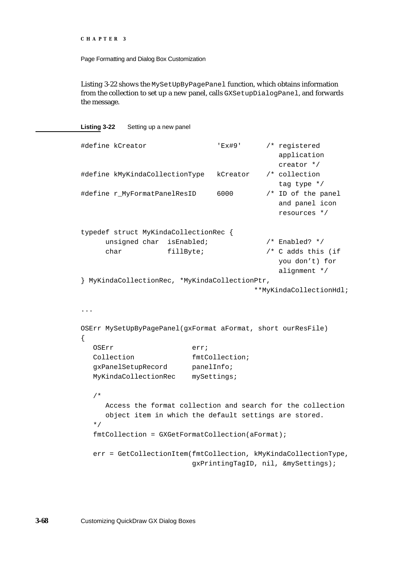```
CHAPTER 3
```
Listing 3-22 shows the MySetUpByPagePanel function, which obtains information from the collection to set up a new panel, calls GXSetupDialogPanel, and forwards the message.

**Listing 3-22** Setting up a new panel

```
#define kCreator 'Ex#9' /* registered 
                                            application 
                                            creator */
#define kMyKindaCollectionType kCreator /* collection 
                                            tag type */
#define r_MyFormatPanelResID 6000 /* ID of the panel 
                                            and panel icon 
                                            resources */
typedef struct MyKindaCollectionRec {
     unsigned char isEnabled; \frac{1}{2} /* Enabled? */
     char fillByte; \frac{1}{2} /* C adds this (if
                                            you don't) for 
                                            alignment */
} MyKindaCollectionRec, *MyKindaCollectionPtr, 
                                       **MyKindaCollectionHdl;
...
OSErr MySetUpByPagePanel(gxFormat aFormat, short ourResFile)
{
  OSErr err;
  Collection fmtCollection;
  gxPanelSetupRecord panelInfo;
  MyKindaCollectionRec mySettings;
  /* 
     Access the format collection and search for the collection 
     object item in which the default settings are stored.
  */
  fmtCollection = GXGetFormatCollection(aFormat);
  err = GetCollectionItem(fmtCollection, kMyKindaCollectionType,
                          gxPrintingTagID, nil, &mySettings);
```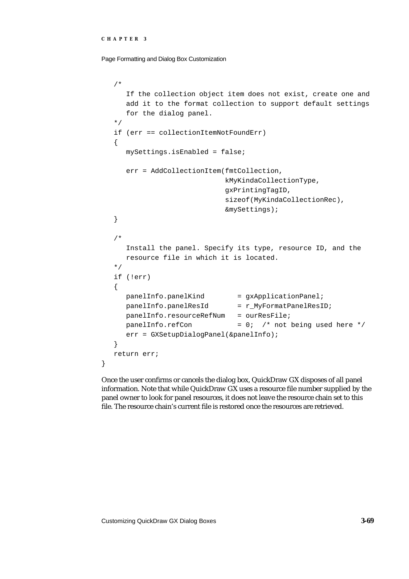Page Formatting and Dialog Box Customization

```
/* 
     If the collection object item does not exist, create one and 
     add it to the format collection to support default settings 
     for the dialog panel.
   */
   if (err == collectionItemNotFoundErr)
   {
     mySettings.isEnabled = false;
     err = AddCollectionItem(fmtCollection, 
                              kMyKindaCollectionType,
                              gxPrintingTagID,
                              sizeof(MyKindaCollectionRec),
                              &mySettings);
   }
   /* 
     Install the panel. Specify its type, resource ID, and the 
     resource file in which it is located.
   */
   if (!err)
   {
     panelInfo.panelKind = gxApplicationPanel;
     panelInfo.panelResId = r_MyFormatPanelResID;
     panelInfo.resourceRefNum = ourResFile;
     panelInfo.refCon = 0; /* not being used here */
     err = GXSetupDialogPanel(&panelInfo);
   }
  return err;
}
```
Once the user confirms or cancels the dialog box, QuickDraw GX disposes of all panel information. Note that while QuickDraw GX uses a resource file number supplied by the panel owner to look for panel resources, it does not leave the resource chain set to this file. The resource chain's current file is restored once the resources are retrieved.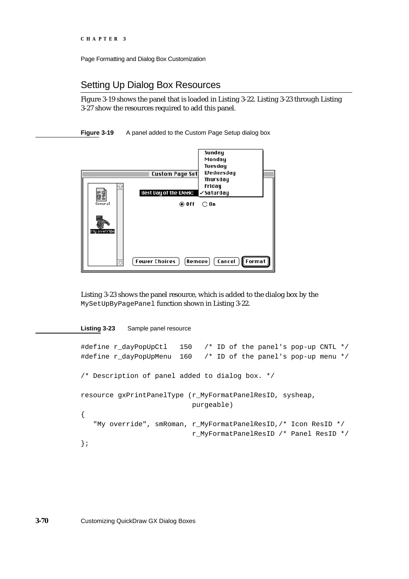### Setting Up Dialog Box Resources

Figure 3-19 shows the panel that is loaded in Listing 3-22. Listing 3-23 through Listing 3-27 show the resources required to add this panel.

**Figure 3-19** A panel added to the Custom Page Setup dialog box



Listing 3-23 shows the panel resource, which is added to the dialog box by the MySetUpByPagePanel function shown in Listing 3-22.

#### **Listing 3-23** Sample panel resource

```
#define r_dayPopUpCtl 150 /* ID of the panel's pop-up CNTL */
#define r_dayPopUpMenu 160 /* ID of the panel's pop-up menu */
/* Description of panel added to dialog box. */
resource gxPrintPanelType (r_MyFormatPanelResID, sysheap,
                          purgeable)
{
   "My override", smRoman, r_MyFormatPanelResID,/* Icon ResID */
                          r_MyFormatPanelResID /* Panel ResID */
};
```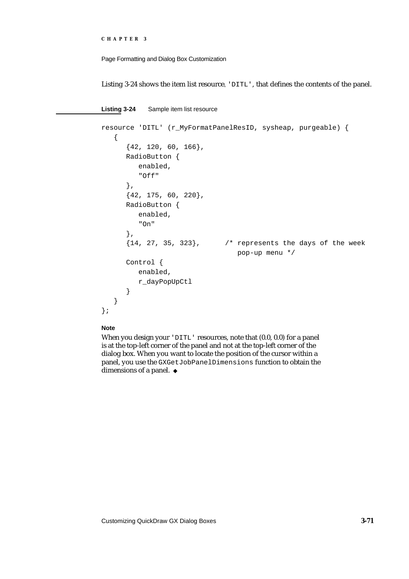```
CHAPTER 3
```
Listing 3-24 shows the item list resource, 'DITL', that defines the contents of the panel.

```
Listing 3-24 Sample item list resource
resource 'DITL' (r_MyFormatPanelResID, sysheap, purgeable) {
   {
      {42, 120, 60, 166}RadioButton {
         enabled,
         "Off"
      },
      {42, 175, 60, 220},
      RadioButton {
         enabled,
         "On"
      },
      {14, 27, 35, 323}, /* represents the days of the week 
                                  pop-up menu */
      Control {
         enabled,
         r_dayPopUpCtl
      }
   }
};
```
#### **Note**

When you design your 'DITL' resources, note that  $(0.0, 0.0)$  for a panel is at the top-left corner of the panel and not at the top-left corner of the dialog box. When you want to locate the position of the cursor within a panel, you use the GXGetJobPanelDimensions function to obtain the dimensions of a panel. u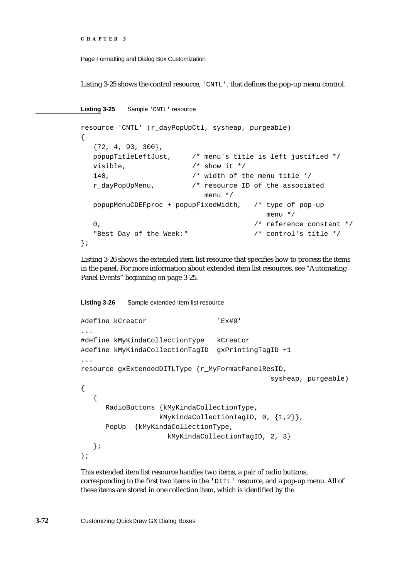Page Formatting and Dialog Box Customization

Listing 3-25 shows the control resource, 'CNTL', that defines the pop-up menu control.

Listing 3-25 Sample 'CNTL' resource

```
resource 'CNTL' (r_dayPopUpCtl, sysheap, purgeable)
{
  {72, 4, 93, 300},
  popupTitleLeftJust, /* menu's title is left justified */
  visible, / show it */140, /* width of the menu title */
  r_dayPopUpMenu, /* resource ID of the associated 
                         menu */
  popupMenuCDEFproc + popupFixedWidth, /* type of pop-up 
                                      menu */
  0. \sqrt{2} \sqrt{2} reference constant \sqrt[*]{2}"Best Day of the Week:" /* control's title */
};
```
Listing 3-26 shows the extended item list resource that specifies how to process the items in the panel. For more information about extended item list resources, see "Automating Panel Events" beginning on page 3-25.

```
Listing 3-26 Sample extended item list resource
#define kCreator 'Ex#9'
...
#define kMyKindaCollectionType kCreator
#define kMyKindaCollectionTagID gxPrintingTagID +1
...
resource gxExtendedDITLType (r_MyFormatPanelResID,
                                               sysheap, purgeable)
{
   {
      RadioButtons {kMyKindaCollectionType,
                    kMyKindaCollectionTagID, 0, {1,2}},
      PopUp {kMyKindaCollectionType, 
                     kMyKindaCollectionTagID, 2, 3}
   };
};
```
This extended item list resource handles two items, a pair of radio buttons, corresponding to the first two items in the 'DITL' resource, and a pop-up menu. All of these items are stored in one collection item, which is identified by the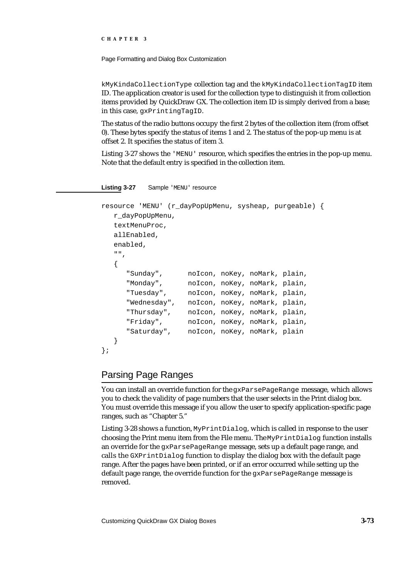Page Formatting and Dialog Box Customization

kMyKindaCollectionType collection tag and the kMyKindaCollectionTagID item ID. The application creator is used for the collection type to distinguish it from collection items provided by QuickDraw GX. The collection item ID is simply derived from a base; in this case, gxPrintingTagID.

The status of the radio buttons occupy the first 2 bytes of the collection item (from offset 0). These bytes specify the status of items 1 and 2. The status of the pop-up menu is at offset 2. It specifies the status of item 3.

Listing 3-27 shows the 'MENU' resource, which specifies the entries in the pop-up menu. Note that the default entry is specified in the collection item.

Listing 3-27 Sample 'MENU' resource

```
resource 'MENU' (r_dayPopUpMenu, sysheap, purgeable) {
   r_dayPopUpMenu,
   textMenuProc,
   allEnabled,
   enabled,
   ^{\mathrm{m}} , ^{\mathrm{m}} ,
   {
      "Sunday", noIcon, noKey, noMark, plain,
      "Monday", noIcon, noKey, noMark, plain,
      "Tuesday", noIcon, noKey, noMark, plain,
      "Wednesday", noIcon, noKey, noMark, plain,
      "Thursday", noIcon, noKey, noMark, plain,
      "Friday", noIcon, noKey, noMark, plain,
      "Saturday", noIcon, noKey, noMark, plain
   }
};
```
# Parsing Page Ranges

You can install an override function for the gxParsePageRange message, which allows you to check the validity of page numbers that the user selects in the Print dialog box. You must override this message if you allow the user to specify application-specific page ranges, such as "Chapter 5."

Listing 3-28 shows a function, MyPrintDialog, which is called in response to the user choosing the Print menu item from the File menu. The MyPrintDialog function installs an override for the gxParsePageRange message, sets up a default page range, and calls the GXPrintDialog function to display the dialog box with the default page range. After the pages have been printed, or if an error occurred while setting up the default page range, the override function for the gxParsePageRange message is removed.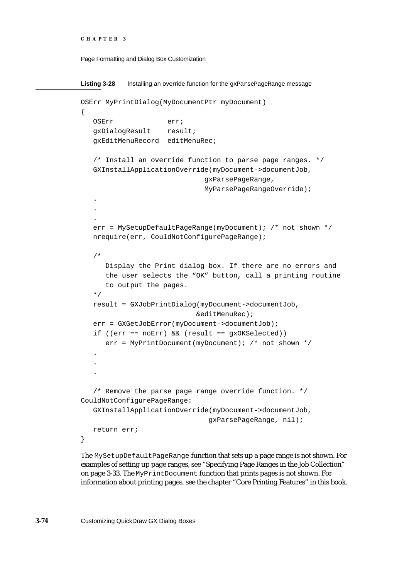```
CHAPTER 3
```

```
Listing 3-28 Installing an override function for the gxParsePageRange message
OSErr MyPrintDialog(MyDocumentPtr myDocument)
{
   OSErr err;
  gxDialogResult result;
   gxEditMenuRecord editMenuRec;
   /* Install an override function to parse page ranges. */
   GXInstallApplicationOverride(myDocument->documentJob,
                               gxParsePageRange,
                               MyParsePageRangeOverride);
   .
   .
   .
   err = MySetupDefaultPageRange(myDocument); /* not shown */
   nrequire(err, CouldNotConfigurePageRange);
   /*
      Display the Print dialog box. If there are no errors and
      the user selects the "OK" button, call a printing routine
      to output the pages.
   */
   result = GXJobPrintDialog(myDocument->documentJob,
                             &editMenuRec);
   err = GXGetJobError(myDocument->documentJob);
   if ((err == noErr) && (result == gxOKSelected))
      err = MyPrintDocument(myDocument); /* not shown */
   .
   .
   .
   /* Remove the parse page range override function. */
CouldNotConfigurePageRange:
   GXInstallApplicationOverride(myDocument->documentJob,
                                gxParsePageRange, nil);
   return err;
}
```
The MySetupDefaultPageRange function that sets up a page range is not shown. For examples of setting up page ranges, see "Specifying Page Ranges in the Job Collection" on page 3-33. The MyPrintDocument function that prints pages is not shown. For information about printing pages, see the chapter "Core Printing Features" in this book.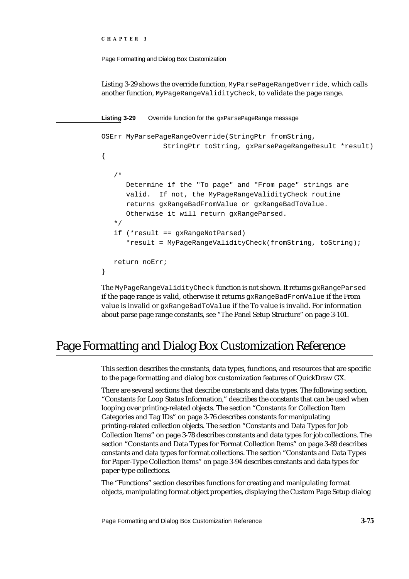```
CHAPTER 3
```
Listing 3-29 shows the override function, MyParsePageRangeOverride, which calls another function, MyPageRangeValidityCheck, to validate the page range.

Listing 3-29 Override function for the gxParsePageRange message

```
OSErr MyParsePageRangeOverride(StringPtr fromString, 
               StringPtr toString, gxParsePageRangeResult *result)
{
   /*
      Determine if the "To page" and "From page" strings are
      valid. If not, the MyPageRangeValidityCheck routine
      returns gxRangeBadFromValue or gxRangeBadToValue.
      Otherwise it will return gxRangeParsed.
   */
   if (*result == gxRangeNotParsed)
      *result = MyPageRangeValidityCheck(fromString, toString);
   return noErr;
}
```
The MyPageRangeValidityCheck function is not shown. It returns gxRangeParsed if the page range is valid, otherwise it returns gxRangeBadFromValue if the From value is invalid or gxRangeBadToValue if the To value is invalid. For information about parse page range constants, see "The Panel Setup Structure" on page 3-101.

# Page Formatting and Dialog Box Customization Reference

This section describes the constants, data types, functions, and resources that are specific to the page formatting and dialog box customization features of QuickDraw GX.

There are several sections that describe constants and data types. The following section, "Constants for Loop Status Information," describes the constants that can be used when looping over printing-related objects. The section "Constants for Collection Item Categories and Tag IDs" on page 3-76 describes constants for manipulating printing-related collection objects. The section "Constants and Data Types for Job Collection Items" on page 3-78 describes constants and data types for job collections. The section "Constants and Data Types for Format Collection Items" on page 3-89 describes constants and data types for format collections. The section "Constants and Data Types for Paper-Type Collection Items" on page 3-94 describes constants and data types for paper-type collections.

The "Functions" section describes functions for creating and manipulating format objects, manipulating format object properties, displaying the Custom Page Setup dialog

Page Formatting and Dialog Box Customization Reference **3-75**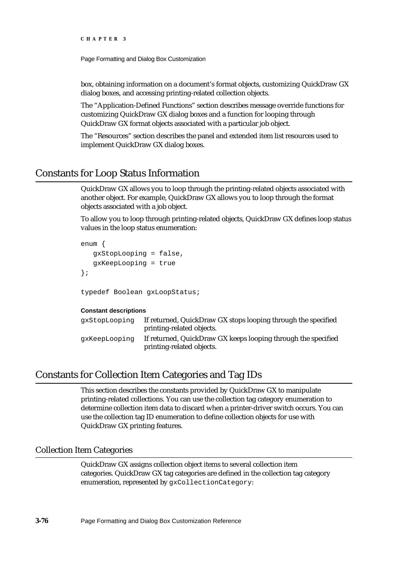Page Formatting and Dialog Box Customization

box, obtaining information on a document's format objects, customizing QuickDraw GX dialog boxes, and accessing printing-related collection objects.

The "Application-Defined Functions" section describes message override functions for customizing QuickDraw GX dialog boxes and a function for looping through QuickDraw GX format objects associated with a particular job object.

The "Resources" section describes the panel and extended item list resources used to implement QuickDraw GX dialog boxes.

# Constants for Loop Status Information

QuickDraw GX allows you to loop through the printing-related objects associated with another object. For example, QuickDraw GX allows you to loop through the format objects associated with a job object.

To allow you to loop through printing-related objects, QuickDraw GX defines loop status values in the loop status enumeration:

```
enum {
   gxStopLooping = false,
   gxKeepLooping = true
};
```
typedef Boolean gxLoopStatus;

#### **Constant descriptions**

| qxStopLooping | If returned, QuickDraw GX stops looping through the specified<br>printing-related objects. |
|---------------|--------------------------------------------------------------------------------------------|
| qxKeepLooping | If returned, QuickDraw GX keeps looping through the specified<br>printing-related objects. |

### Constants for Collection Item Categories and Tag IDs

This section describes the constants provided by QuickDraw GX to manipulate printing-related collections. You can use the collection tag category enumeration to determine collection item data to discard when a printer-driver switch occurs. You can use the collection tag ID enumeration to define collection objects for use with QuickDraw GX printing features.

### Collection Item Categories

QuickDraw GX assigns collection object items to several collection item categories. QuickDraw GX tag categories are defined in the collection tag category enumeration, represented by gxCollectionCategory:

**3-76** Page Formatting and Dialog Box Customization Reference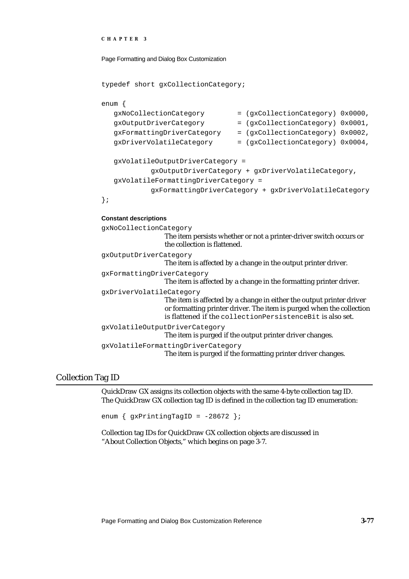```
CHAPTER 3
```

```
typedef short gxCollectionCategory;
```

```
enum {
  gxNoCollectionCategory = (gxCollectionCategory) 0x0000,
  gxOutputDriverCategory = (gxCollectionCategory) 0x0001,
  gxFormattingDriverCategory = (gxCollectionCategory) 0x0002,
  gxDriverVolatileCategory = (gxCollectionCategory) 0x0004,
  gxVolatileOutputDriverCategory = 
           gxOutputDriverCategory + gxDriverVolatileCategory,
  gxVolatileFormattingDriverCategory =
           gxFormattingDriverCategory + gxDriverVolatileCategory
};
```
#### **Constant descriptions**

```
gxNoCollectionCategory
                   The item persists whether or not a printer-driver switch occurs or 
                   the collection is flattened.
gxOutputDriverCategory
                   The item is affected by a change in the output printer driver.
gxFormattingDriverCategory
                   The item is affected by a change in the formatting printer driver.
gxDriverVolatileCategory
                   The item is affected by a change in either the output printer driver 
                   or formatting printer driver. The item is purged when the collection 
                   is flattened if the collectionPersistenceBit is also set.
gxVolatileOutputDriverCategory
                   The item is purged if the output printer driver changes.
gxVolatileFormattingDriverCategory
                   The item is purged if the formatting printer driver changes.
```
### Collection Tag ID

QuickDraw GX assigns its collection objects with the same 4-byte collection tag ID. The QuickDraw GX collection tag ID is defined in the collection tag ID enumeration:

```
enum \{ gxPrintingTagID = -28672 };
```
Collection tag IDs for QuickDraw GX collection objects are discussed in "About Collection Objects," which begins on page 3-7.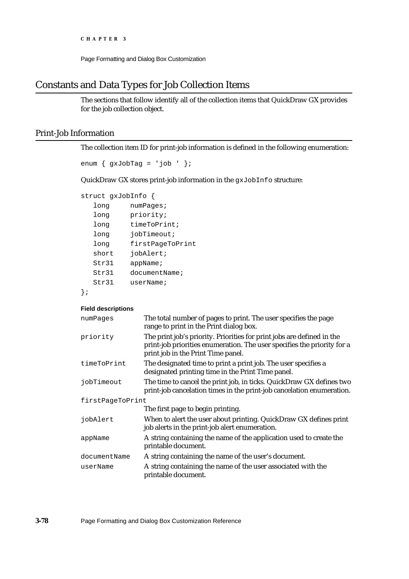Page Formatting and Dialog Box Customization

# Constants and Data Types for Job Collection Items

The sections that follow identify all of the collection items that QuickDraw GX provides for the job collection object.

### Print-Job Information

The collection item ID for print-job information is defined in the following enumeration:

```
enum \{gxJobTag = 'job ' };
```
QuickDraw GX stores print-job information in the gxJobInfo structure:

```
struct gxJobInfo {
```

| long  | numPaqes;        |
|-------|------------------|
| long  | priority;        |
| long  | timeToPrint;     |
| long  | iobTimeout;      |
| long  | firstPageToPrint |
| short | jobAlert;        |
| Str31 | appName;         |
| Str31 | documentName;    |
| Str31 | userName;        |
|       |                  |

```
};
```
#### **Field descriptions**

| numPages         | The total number of pages to print. The user specifies the page<br>range to print in the Print dialog box.                                                                              |
|------------------|-----------------------------------------------------------------------------------------------------------------------------------------------------------------------------------------|
| priority         | The print job's priority. Priorities for print jobs are defined in the<br>print-job priorities enumeration. The user specifies the priority for a<br>print job in the Print Time panel. |
| timeToPrint      | The designated time to print a print job. The user specifies a<br>designated printing time in the Print Time panel.                                                                     |
| jobTimeout       | The time to cancel the print job, in ticks. QuickDraw GX defines two<br>print-job cancelation times in the print-job cancelation enumeration.                                           |
| firstPageToPrint |                                                                                                                                                                                         |
|                  | The first page to begin printing.                                                                                                                                                       |
| jobAlert         | When to alert the user about printing. QuickDraw GX defines print<br>job alerts in the print-job alert enumeration.                                                                     |
| appName          | A string containing the name of the application used to create the<br>printable document.                                                                                               |
| documentName     | A string containing the name of the user's document.                                                                                                                                    |
| userName         | A string containing the name of the user associated with the<br>printable document.                                                                                                     |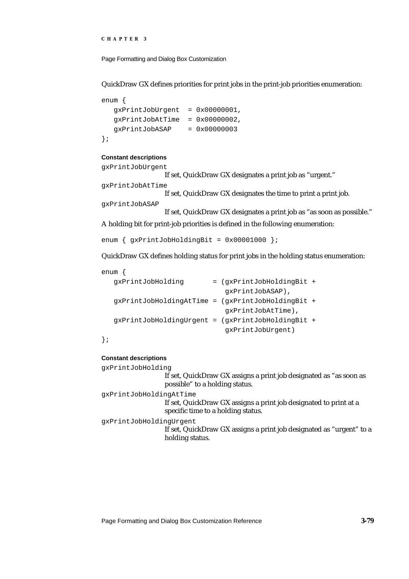```
CHAPTER 3
```
QuickDraw GX defines priorities for print jobs in the print-job priorities enumeration:

```
enum {
  qxPrintJobOrder = 0x0000001,gxPrintJobAtTime = 0x00000002,gxPrintJobASAP = 0x00000003
};
```
#### **Constant descriptions**

```
gxPrintJobUrgent
                   If set, QuickDraw GX designates a print job as "urgent."
gxPrintJobAtTime
                   If set, QuickDraw GX designates the time to print a print job.
gxPrintJobASAP
                   If set, QuickDraw GX designates a print job as "as soon as possible."
```
A holding bit for print-job priorities is defined in the following enumeration:

```
enum \{ gxPrintJobHoldingBit = 0x00001000 \};
```
QuickDraw GX defines holding status for print jobs in the holding status enumeration:

| enum |                                                   |                           |  |
|------|---------------------------------------------------|---------------------------|--|
|      | qxPrintJobHoldinq                                 | = (qxPrintJobHoldingBit + |  |
|      |                                                   | gxPrintJobASAP),          |  |
|      | gxPrintJobHoldingAtTime = (gxPrintJobHoldingBit + |                           |  |
|      |                                                   | gxPrintJobAtTime),        |  |
|      | qxPrintJobHoldinqUrqent = (qxPrintJobHoldinqBit + |                           |  |
|      |                                                   | qxPrintJobUrgent)         |  |
|      |                                                   |                           |  |

### };

#### **Constant descriptions**

| qxPrintJobHoldinq       |                                                                                                         |
|-------------------------|---------------------------------------------------------------------------------------------------------|
|                         | If set, QuickDraw GX assigns a print job designated as "as soon as<br>possible" to a holding status.    |
| qxPrintJobHoldinqAtTime |                                                                                                         |
|                         | If set, QuickDraw GX assigns a print job designated to print at a<br>specific time to a holding status. |
| qxPrintJobHoldinqUrqent | If set, QuickDraw GX assigns a print job designated as "urgent" to a<br>holding status.                 |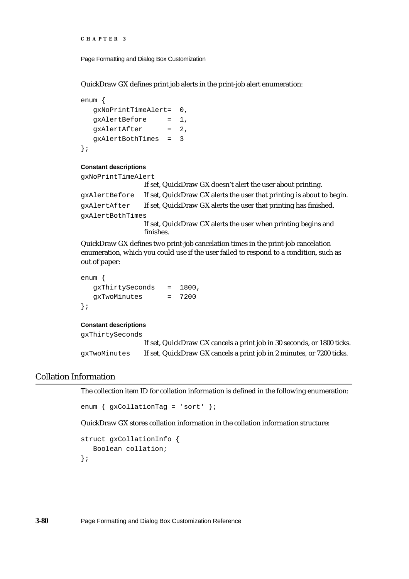```
CHAPTER 3
```
QuickDraw GX defines print job alerts in the print-job alert enumeration:

```
enum {
  gxNoPrintTimeAlert= 0,
  gxAlertBefore = 1,
  gxAlertAfter = 2,
  gxAlertBothTimes = 3
};
```
#### **Constant descriptions**

gxNoPrintTimeAlert

```
If set, QuickDraw GX doesn't alert the user about printing.
gxAlertBefore If set, QuickDraw GX alerts the user that printing is about to begin.
gxAlertAfter If set, QuickDraw GX alerts the user that printing has finished.
gxAlertBothTimes
                   If set, QuickDraw GX alerts the user when printing begins and 
                   finishes.
```
QuickDraw GX defines two print-job cancelation times in the print-job cancelation enumeration, which you could use if the user failed to respond to a condition, such as out of paper:

```
enum {
  gxThirtySeconds = 1800,
  gxTwoMinutes = 7200
};
```
#### **Constant descriptions**

gxThirtySeconds If set, QuickDraw GX cancels a print job in 30 seconds, or 1800 ticks. gxTwoMinutes If set, QuickDraw GX cancels a print job in 2 minutes, or 7200 ticks.

### Collation Information

The collection item ID for collation information is defined in the following enumeration:

```
enum { gxCollationTag = 'sort' };
```
QuickDraw GX stores collation information in the collation information structure:

```
struct gxCollationInfo {
  Boolean collation;
};
```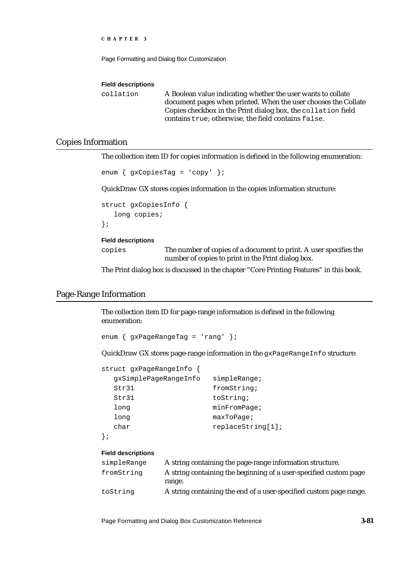```
CHAPTER 3
```
#### **Field descriptions**

collation A Boolean value indicating whether the user wants to collate document pages when printed. When the user chooses the Collate Copies checkbox in the Print dialog box, the collation field contains true; otherwise, the field contains false.

### Copies Information

The collection item ID for copies information is defined in the following enumeration:

```
enum { gxCopiesTag = 'copy' };
```
QuickDraw GX stores copies information in the copies information structure:

```
struct gxCopiesInfo {
   long copies;
};
```
#### **Field descriptions**

copies The number of copies of a document to print. A user specifies the number of copies to print in the Print dialog box.

The Print dialog box is discussed in the chapter "Core Printing Features" in this book.

### Page-Range Information

The collection item ID for page-range information is defined in the following enumeration:

enum { gxPageRangeTag = 'rang' };

QuickDraw GX stores page-range information in the gxPageRangeInfo structure:

```
struct gxPageRangeInfo {
 gxSimplePageRangeInfo simpleRange;
 Str31 fromString;
 Str31 toString;
 long minFromPage;
 long maxToPage;
 char replaceString[1];
};
```
#### **Field descriptions**

| simpleRange | A string containing the page-range information structure.          |
|-------------|--------------------------------------------------------------------|
| fromString  | A string containing the beginning of a user-specified custom page  |
|             | range.                                                             |
| toString    | A string containing the end of a user-specified custom page range. |

Page Formatting and Dialog Box Customization Reference **3-81**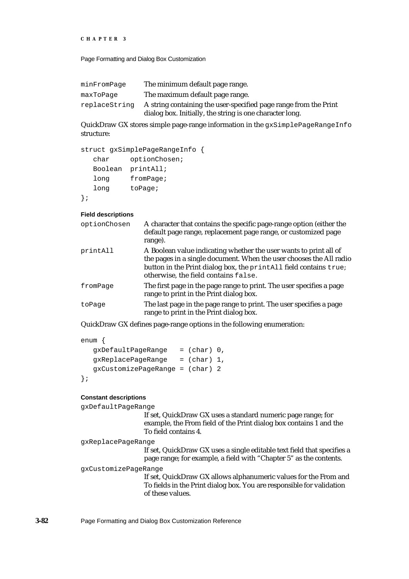```
CHAPTER 3
```

| The minimum default page range.                                                                                              |
|------------------------------------------------------------------------------------------------------------------------------|
| The maximum default page range.                                                                                              |
| A string containing the user-specified page range from the Print<br>dialog box. Initially, the string is one character long. |
|                                                                                                                              |

QuickDraw GX stores simple page-range information in the gxSimplePageRangeInfo structure:

```
struct gxSimplePageRangeInfo {
  char optionChosen;
  Boolean printAll;
  long fromPage;
  long toPage;
};
```
#### **Field descriptions**

| optionChosen | A character that contains the specific page-range option (either the<br>default page range, replacement page range, or customized page<br>range).                                                                                                     |
|--------------|-------------------------------------------------------------------------------------------------------------------------------------------------------------------------------------------------------------------------------------------------------|
| printAll     | A Boolean value indicating whether the user wants to print all of<br>the pages in a single document. When the user chooses the All radio<br>button in the Print dialog box, the printall field contains true;<br>otherwise, the field contains false. |
| fromPage     | The first page in the page range to print. The user specifies a page<br>range to print in the Print dialog box.                                                                                                                                       |
| toPage       | The last page in the page range to print. The user specifies a page<br>range to print in the Print dialog box.                                                                                                                                        |
|              |                                                                                                                                                                                                                                                       |

QuickDraw GX defines page-range options in the following enumeration:

```
enum {
```

```
gxDefaultPageRange = (char) 0,
  gxReplacePageRange = (char) 1,
  gxCustomizePageRange = (char) 2
};
```
#### **Constant descriptions**

gxDefaultPageRange

If set, QuickDraw GX uses a standard numeric page range; for example, the From field of the Print dialog box contains 1 and the To field contains 4.

```
gxReplacePageRange
```
If set, QuickDraw GX uses a single editable text field that specifies a page range; for example, a field with "Chapter 5" as the contents.

gxCustomizePageRange

If set, QuickDraw GX allows alphanumeric values for the From and To fields in the Print dialog box. You are responsible for validation of these values.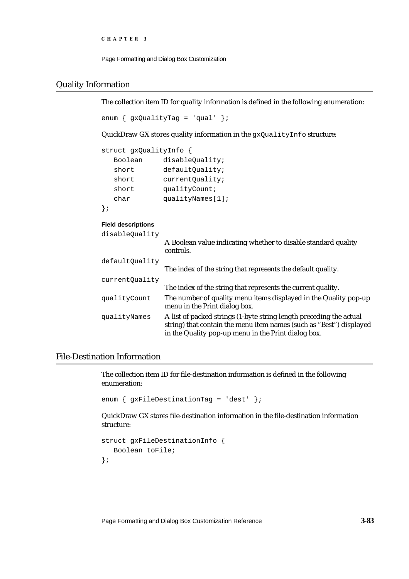```
CHAPTER 3
```
## Quality Information

The collection item ID for quality information is defined in the following enumeration:

```
enum \{ qxQualityTaq = 'qual' \};
```
QuickDraw GX stores quality information in the gxQualityInfo structure:

```
struct gxQualityInfo {
  Boolean disableQuality;
  short defaultQuality;
  short currentQuality;
  short qualityCount;
  char qualityNames[1];
```
};

### **Field descriptions**

| disableOuality | A Boolean value indicating whether to disable standard quality<br>controls.                                                                                                                       |
|----------------|---------------------------------------------------------------------------------------------------------------------------------------------------------------------------------------------------|
| defaultQuality | The index of the string that represents the default quality.                                                                                                                                      |
| currentQuality |                                                                                                                                                                                                   |
|                | The index of the string that represents the current quality.                                                                                                                                      |
| qualityCount   | The number of quality menu items displayed in the Quality pop-up<br>menu in the Print dialog box.                                                                                                 |
| qualityNames   | A list of packed strings (1-byte string length preceding the actual<br>string) that contain the menu item names (such as "Best") displayed<br>in the Quality pop-up menu in the Print dialog box. |

## File-Destination Information

The collection item ID for file-destination information is defined in the following enumeration:

```
enum { gxFileDestinationTag = 'dest' };
```
QuickDraw GX stores file-destination information in the file-destination information structure:

```
struct gxFileDestinationInfo {
   Boolean toFile;
};
```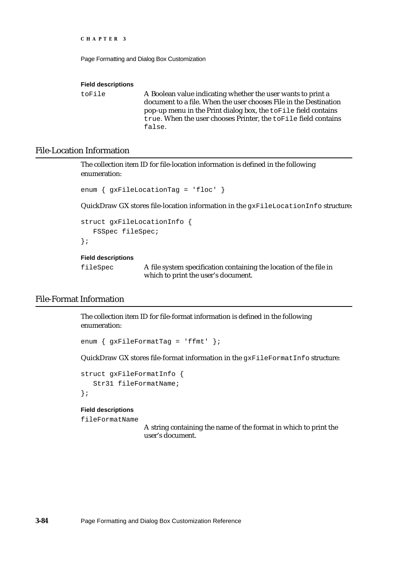```
CHAPTER 3
```
### **Field descriptions**

toFile A Boolean value indicating whether the user wants to print a document to a file. When the user chooses File in the Destination pop-up menu in the Print dialog box, the toFile field contains true. When the user chooses Printer, the toFile field contains false.

## File-Location Information

The collection item ID for file-location information is defined in the following enumeration:

```
enum { gxFileLocationTag = 'floc' }
```
QuickDraw GX stores file-location information in the gxFileLocationInfo structure:

```
struct gxFileLocationInfo {
   FSSpec fileSpec;
};
```
#### **Field descriptions**

fileSpec A file system specification containing the location of the file in which to print the user's document.

## File-Format Information

The collection item ID for file-format information is defined in the following enumeration:

enum { gxFileFormatTag = 'ffmt' };

QuickDraw GX stores file-format information in the gxFileFormatInfo structure:

```
struct gxFileFormatInfo {
   Str31 fileFormatName;
```
## };

## **Field descriptions**

fileFormatName

A string containing the name of the format in which to print the user's document.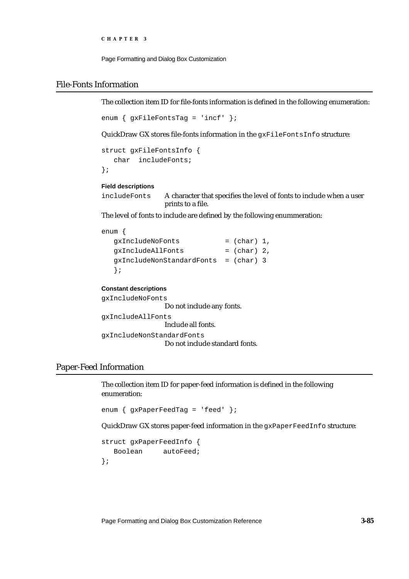```
CHAPTER 3
```
## File-Fonts Information

The collection item ID for file-fonts information is defined in the following enumeration:

```
enum \{ qxFileFontsTaq = 'incf' };
```
QuickDraw GX stores file-fonts information in the gxFileFontsInfo structure:

```
struct gxFileFontsInfo {
   char includeFonts;
};
```
### **Field descriptions**

```
includeFonts A character that specifies the level of fonts to include when a user 
                    prints to a file.
```
The level of fonts to include are defined by the following enummeration:

## enum {

```
qxIncludeNoFonts = (char) 1,gxIncludeAllFonts = (char) 2,
gxIncludeNonStandardFonts = (char) 3
};
```

```
Constant descriptions
```
gxIncludeNoFonts Do not include any fonts. gxIncludeAllFonts Include all fonts. gxIncludeNonStandardFonts Do not include standard fonts.

## Paper-Feed Information

The collection item ID for paper-feed information is defined in the following enumeration:

enum { gxPaperFeedTag = 'feed' };

QuickDraw GX stores paper-feed information in the gxPaperFeedInfo structure:

```
struct gxPaperFeedInfo {
  Boolean autoFeed;
};
```
Page Formatting and Dialog Box Customization Reference **3-85**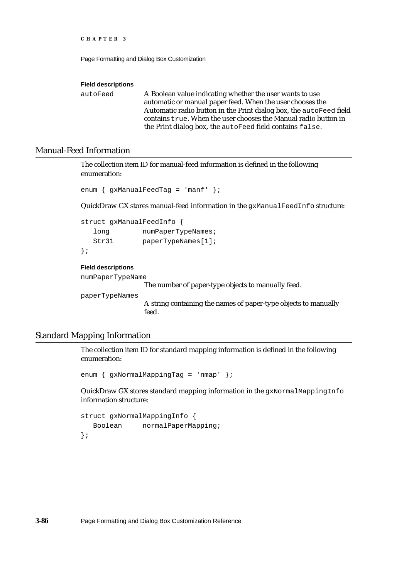```
CHAPTER 3
```
#### **Field descriptions**

autoFeed A Boolean value indicating whether the user wants to use automatic or manual paper feed. When the user chooses the Automatic radio button in the Print dialog box, the autoFeed field contains true. When the user chooses the Manual radio button in the Print dialog box, the autoFeed field contains false.

## Manual-Feed Information

The collection item ID for manual-feed information is defined in the following enumeration:

```
enum { gxManualFeedTag = 'manf' };
```
QuickDraw GX stores manual-feed information in the gxManualFeedInfo structure:

```
struct gxManualFeedInfo {
  long numPaperTypeNames;
  Str31 paperTypeNames[1];
};
```
### **Field descriptions**

numPaperTypeName

The number of paper-type objects to manually feed.

paperTypeNames

A string containing the names of paper-type objects to manually feed.

## Standard Mapping Information

The collection item ID for standard mapping information is defined in the following enumeration:

```
enum { gxNormalMappingTag = 'nmap' };
```
QuickDraw GX stores standard mapping information in the gxNormalMappingInfo information structure:

```
struct gxNormalMappingInfo {
  Boolean normalPaperMapping;
};
```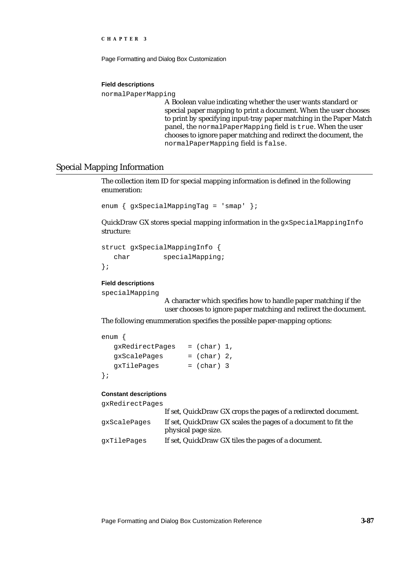Page Formatting and Dialog Box Customization

#### **Field descriptions**

normalPaperMapping

A Boolean value indicating whether the user wants standard or special paper mapping to print a document. When the user chooses to print by specifying input-tray paper matching in the Paper Match panel, the normalPaperMapping field is true. When the user chooses to ignore paper matching and redirect the document, the normalPaperMapping field is false.

## Special Mapping Information

The collection item ID for special mapping information is defined in the following enumeration:

```
enum { gxSpecialMappingTag = 'smap' };
```
QuickDraw GX stores special mapping information in the gxSpecialMappingInfo structure:

```
struct gxSpecialMappingInfo {
  char specialMapping;
};
```
### **Field descriptions**

```
specialMapping
```
A character which specifies how to handle paper matching if the user chooses to ignore paper matching and redirect the document.

The following enummeration specifies the possible paper-mapping options:

```
enum {
  gxRedirectPages = (char) 1,gxScalePages = (char) 2,qxTilePages = (char) 3
};
```
#### **Constant descriptions**

gxRedirectPages

|              | If set, QuickDraw GX crops the pages of a redirected document. |
|--------------|----------------------------------------------------------------|
| qxScalePaqes | If set, QuickDraw GX scales the pages of a document to fit the |
|              | physical page size.                                            |
| qxTilePaqes  | If set, QuickDraw GX tiles the pages of a document.            |
|              |                                                                |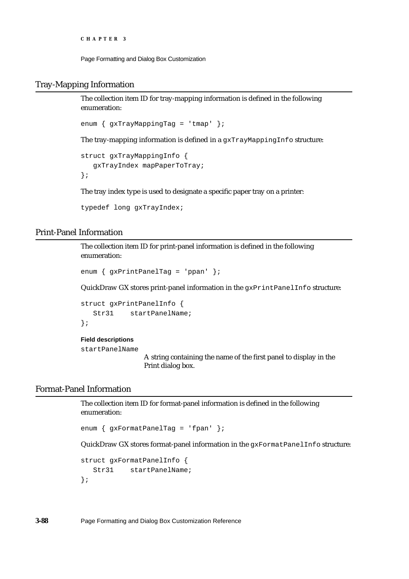Page Formatting and Dialog Box Customization

## Tray-Mapping Information

The collection item ID for tray-mapping information is defined in the following enumeration:

```
enum { gxTrayMappingTag = 'tmap' };
```
The tray-mapping information is defined in a gxTrayMappingInfo structure:

```
struct gxTrayMappingInfo {
   gxTrayIndex mapPaperToTray;
};
```
The tray index type is used to designate a specific paper tray on a printer:

```
typedef long gxTrayIndex;
```
## Print-Panel Information

The collection item ID for print-panel information is defined in the following enumeration:

```
enum { gxPrintPanelTag = 'ppan' };
```
QuickDraw GX stores print-panel information in the gxPrintPanelInfo structure:

```
struct gxPrintPanelInfo {
  Str31 startPanelName;
};
```
### **Field descriptions**

startPanelName

A string containing the name of the first panel to display in the Print dialog box.

## Format-Panel Information

The collection item ID for format-panel information is defined in the following enumeration:

```
enum { gxFormatPanelTag = 'fpan' };
```
QuickDraw GX stores format-panel information in the gxFormatPanelInfo structure:

```
struct gxFormatPanelInfo {
  Str31 startPanelName;
};
```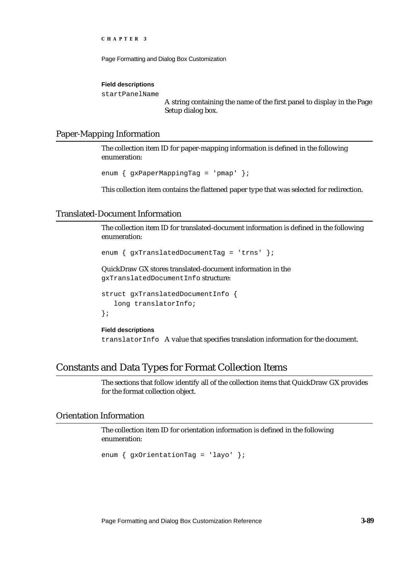Page Formatting and Dialog Box Customization

#### **Field descriptions**

startPanelName

A string containing the name of the first panel to display in the Page Setup dialog box.

## Paper-Mapping Information

The collection item ID for paper-mapping information is defined in the following enumeration:

```
enum { gxPaperMappingTag = 'pmap' };
```
This collection item contains the flattened paper type that was selected for redirection.

## Translated-Document Information

The collection item ID for translated-document information is defined in the following enumeration:

```
enum { gxTranslatedDocumentTag = 'trns' };
```
QuickDraw GX stores translated-document information in the gxTranslatedDocumentInfo structure:

```
struct gxTranslatedDocumentInfo {
   long translatorInfo;
};
```
**Field descriptions** translatorInfo A value that specifies translation information for the document.

# Constants and Data Types for Format Collection Items

The sections that follow identify all of the collection items that QuickDraw GX provides for the format collection object.

## Orientation Information

The collection item ID for orientation information is defined in the following enumeration:

```
enum { gxOrientationTag = 'layo' };
```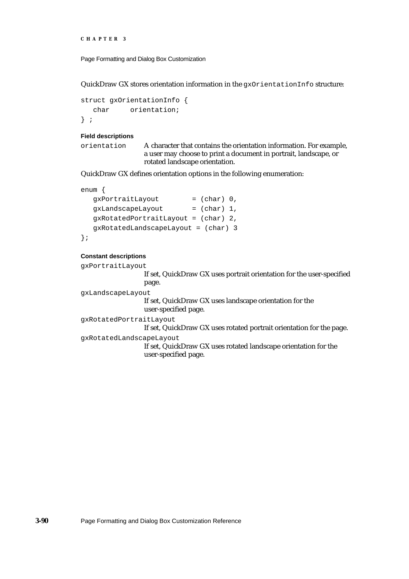```
CHAPTER 3
```
QuickDraw GX stores orientation information in the gxOrientationInfo structure:

```
struct gxOrientationInfo {
  char orientation;
} ;
```
### **Field descriptions**

orientation A character that contains the orientation information. For example, a user may choose to print a document in portrait, landscape, or rotated landscape orientation.

QuickDraw GX defines orientation options in the following enumeration:

```
enum {
  gxPortraitLayout = (char) 0,qxLandscapeLayout = (char) 1,
  gxRotatedPortraitLayout = (char) 2,
  gxRotatedLandscapeLayout = (char) 3
};
```
### **Constant descriptions**

```
gxPortraitLayout
```
If set, QuickDraw GX uses portrait orientation for the user-specified page.

gxLandscapeLayout

If set, QuickDraw GX uses landscape orientation for the user-specified page.

gxRotatedPortraitLayout

If set, QuickDraw GX uses rotated portrait orientation for the page.

gxRotatedLandscapeLayout

If set, QuickDraw GX uses rotated landscape orientation for the user-specified page.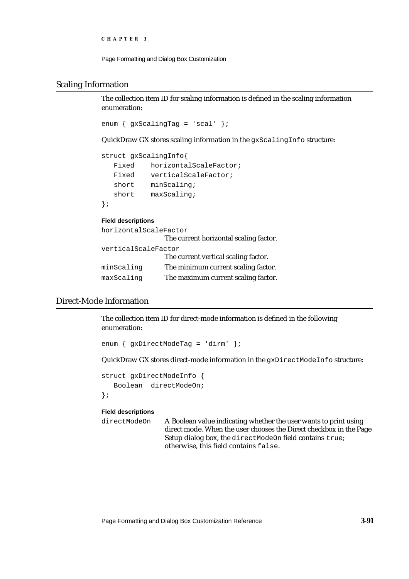```
CHAPTER 3
```
## Scaling Information

The collection item ID for scaling information is defined in the scaling information enumeration:

```
enum \{gxScalingTag = 'scal' \};
```
QuickDraw GX stores scaling information in the gxScalingInfo structure:

```
struct gxScalingInfo{
  Fixed horizontalScaleFactor;
  Fixed verticalScaleFactor;
  short minScaling;
  short maxScaling;
};
```
### **Field descriptions**

```
horizontalScaleFactor
                 The current horizontal scaling factor.
verticalScaleFactor
                 The current vertical scaling factor.
minScaling The minimum current scaling factor.
maxScaling The maximum current scaling factor.
```
# Direct-Mode Information

The collection item ID for direct-mode information is defined in the following enumeration:

enum { gxDirectModeTag = 'dirm' };

QuickDraw GX stores direct-mode information in the gxDirectModeInfo structure:

```
struct gxDirectModeInfo {
   Boolean directModeOn;
};
```
### **Field descriptions**

directModeOn A Boolean value indicating whether the user wants to print using direct mode. When the user chooses the Direct checkbox in the Page Setup dialog box, the directModeOn field contains true; otherwise, this field contains false.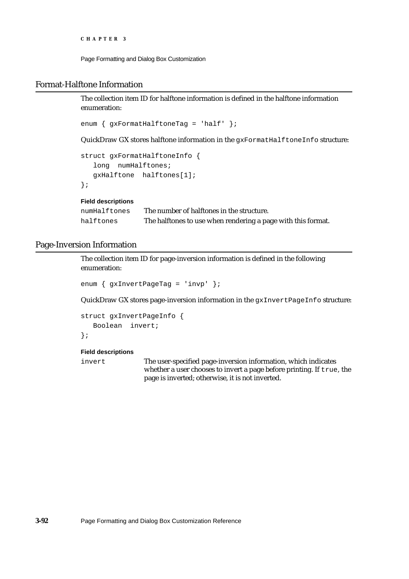Page Formatting and Dialog Box Customization

## Format-Halftone Information

The collection item ID for halftone information is defined in the halftone information enumeration:

enum { gxFormatHalftoneTag = 'half' };

QuickDraw GX stores halftone information in the gxFormatHalftoneInfo structure:

```
struct gxFormatHalftoneInfo {
   long numHalftones;
  gxHalftone halftones[1]; 
};
```
**Field descriptions**

```
numHalftones The number of halftones in the structure.
halftones The halftones to use when rendering a page with this format.
```
## Page-Inversion Information

The collection item ID for page-inversion information is defined in the following enumeration:

```
enum { gxInvertPageTag = 'invp' };
```
QuickDraw GX stores page-inversion information in the gxInvertPageInfo structure:

```
struct gxInvertPageInfo {
  Boolean invert;
};
```
### **Field descriptions**

invert The user-specified page-inversion information, which indicates whether a user chooses to invert a page before printing. If true, the page is inverted; otherwise, it is not inverted.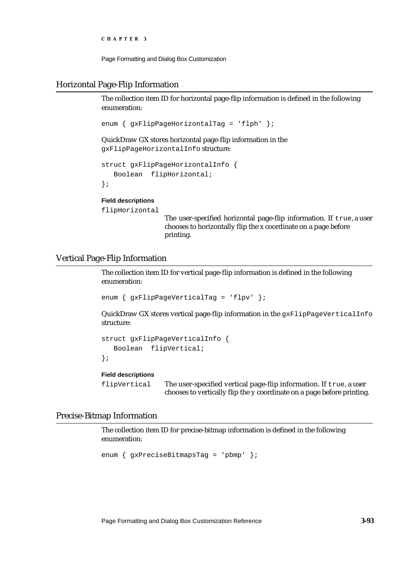Page Formatting and Dialog Box Customization

## Horizontal Page-Flip Information

The collection item ID for horizontal page-flip information is defined in the following enumeration:

```
enum { gxFlipPageHorizontalTag = 'flph' };
```
QuickDraw GX stores horizontal page-flip information in the gxFlipPageHorizontalInfo structure:

```
struct gxFlipPageHorizontalInfo {
   Boolean flipHorizontal;
};
```
## **Field descriptions**

flipHorizontal

The user-specified horizontal page-flip information. If true, a user chooses to horizontally flip the x coordinate on a page before printing.

## Vertical Page-Flip Information

The collection item ID for vertical page-flip information is defined in the following enumeration:

```
enum { gxFlipPageVerticalTag = 'flpv' };
```
QuickDraw GX stores vertical page-flip information in the gxFlipPageVerticalInfo structure:

```
struct gxFlipPageVerticalInfo {
   Boolean flipVertical;
};
```
## **Field descriptions**

flipVertical The user-specified vertical page-flip information. If true, a user chooses to vertically flip the y coordinate on a page before printing.

## Precise-Bitmap Information

The collection item ID for precise-bitmap information is defined in the following enumeration:

```
enum { gxPreciseBitmapsTag = 'pbmp' };
```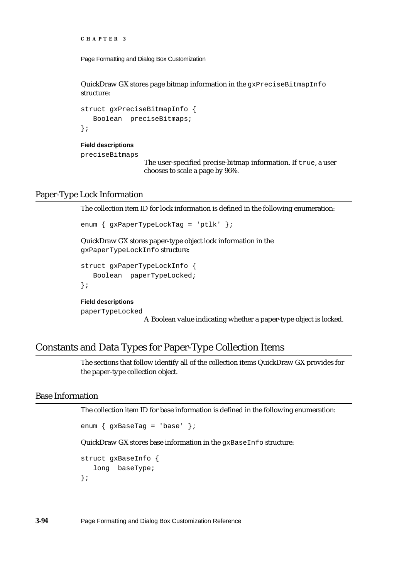```
CHAPTER 3
```
QuickDraw GX stores page bitmap information in the  $gxPreciseBitmapInfo$ structure:

```
struct gxPreciseBitmapInfo {
   Boolean preciseBitmaps;
};
```
### **Field descriptions**

preciseBitmaps

The user-specified precise-bitmap information. If true, a user chooses to scale a page by 96%.

## Paper-Type Lock Information

The collection item ID for lock information is defined in the following enumeration:

```
enum { gxPaperTypeLockTag = 'ptlk' };
```
QuickDraw GX stores paper-type object lock information in the gxPaperTypeLockInfo structure:

```
struct gxPaperTypeLockInfo {
   Boolean paperTypeLocked;
};
```
**Field descriptions**

paperTypeLocked

A Boolean value indicating whether a paper-type object is locked.

# Constants and Data Types for Paper-Type Collection Items

The sections that follow identify all of the collection items QuickDraw GX provides for the paper-type collection object.

## Base Information

The collection item ID for base information is defined in the following enumeration:

```
enum { gxBaseTag = 'base' };
```
QuickDraw GX stores base information in the gxBaseInfo structure:

```
struct gxBaseInfo {
  long baseType;
};
```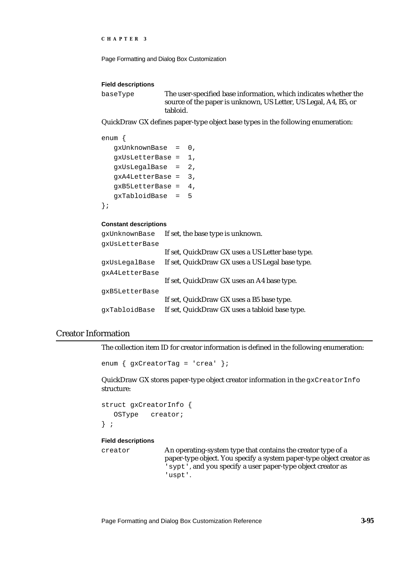```
CHAPTER 3
```
#### **Field descriptions**

baseType The user-specified base information, which indicates whether the source of the paper is unknown, US Letter, US Legal, A4, B5, or tabloid.

QuickDraw GX defines paper-type object base types in the following enumeration:

```
enum {
  gxUnknownBase = 0,
  gxUsLetterBase = 1,
  gxUsLegalBase = 2,
  gxA4LetterBase = 3,
  gxB5LetterBase = 4,
  gxTabloidBase = 5
};
```
### **Constant descriptions**

| qxUnknownBase  | If set, the base type is unknown.                |
|----------------|--------------------------------------------------|
| qxUsLetterBase |                                                  |
|                | If set, QuickDraw GX uses a US Letter base type. |
| qxUsLeqalBase  | If set, QuickDraw GX uses a US Legal base type.  |
| gxA4LetterBase |                                                  |
|                | If set, QuickDraw GX uses an A4 base type.       |
| gxB5LetterBase |                                                  |
|                | If set, QuickDraw GX uses a B5 base type.        |
| gxTabloidBase  | If set, QuickDraw GX uses a tabloid base type.   |

## Creator Information

The collection item ID for creator information is defined in the following enumeration:

```
enum { gxCreatorTag = 'crea' };
```
QuickDraw GX stores paper-type object creator information in the gxCreatorInfo structure:

```
struct gxCreatorInfo {
   OSType creator;
} ;
```
## **Field descriptions**

creator An operating-system type that contains the creator type of a paper-type object. You specify a system paper-type object creator as 'sypt', and you specify a user paper-type object creator as 'uspt'.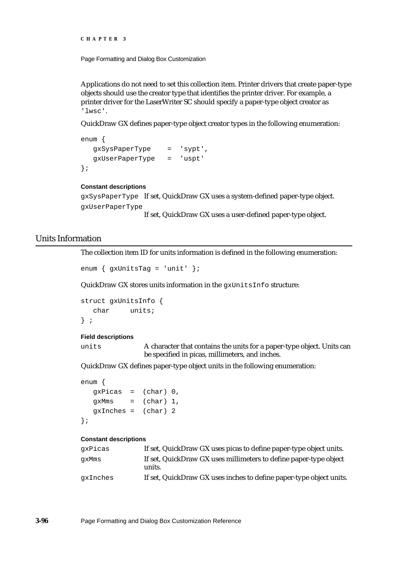Page Formatting and Dialog Box Customization

Applications do not need to set this collection item. Printer drivers that create paper-type objects should use the creator type that identifies the printer driver. For example, a printer driver for the LaserWriter SC should specify a paper-type object creator as 'lwsc'.

QuickDraw GX defines paper-type object creator types in the following enumeration:

```
enum {
  gxSysPaperType = 'sypt',
  gxUserPaperType = 'uspt'
};
```
#### **Constant descriptions**

gxSysPaperType If set, QuickDraw GX uses a system-defined paper-type object. gxUserPaperType

If set, QuickDraw GX uses a user-defined paper-type object.

## Units Information

The collection item ID for units information is defined in the following enumeration:

```
enum { gxUnitsTag = 'unit' };
```
QuickDraw GX stores units information in the gxUnitsInfo structure:

```
struct gxUnitsInfo {
  char units;
} ;
```
#### **Field descriptions**

units A character that contains the units for a paper-type object. Units can be specified in picas, millimeters, and inches.

QuickDraw GX defines paper-type object units in the following enumeration:

```
enum {
  qxPicas = (char) 0,qxMms = (char) 1,\alphaInches = (\text{char}) 2
};
```
#### **Constant descriptions**

| qxPicas  | If set, QuickDraw GX uses picas to define paper-type object units.          |
|----------|-----------------------------------------------------------------------------|
| qxMms    | If set, QuickDraw GX uses millimeters to define paper-type object<br>units. |
| gxInches | If set, QuickDraw GX uses inches to define paper-type object units.         |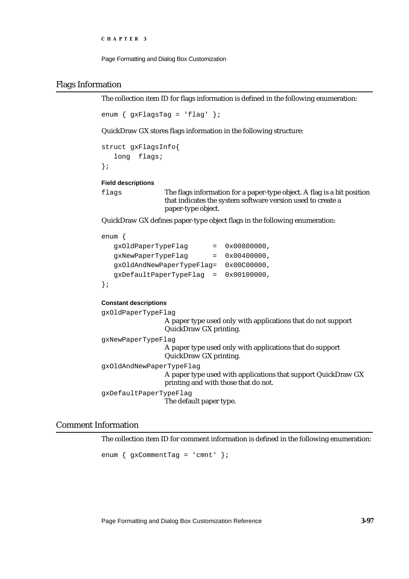```
CHAPTER 3
```
## Flags Information

The collection item ID for flags information is defined in the following enumeration:

enum { gxFlagsTag = 'flag' };

QuickDraw GX stores flags information in the following structure:

```
struct gxFlagsInfo{
   long flags;
};
```
**Field descriptions**

flags The flags information for a paper-type object. A flag is a bit position that indicates the system software version used to create a paper-type object.

QuickDraw GX defines paper-type object flags in the following enumeration:

```
enum {
  gxOldPaperTypeFlag = 0x00800000,
```

```
gxNewPaperTypeFlag = 0x00400000,
  gxOldAndNewPaperTypeFlag= 0x00C00000,
  gxDefaultPaperTypeFlag = 0x00100000,
};
```
### **Constant descriptions**

gxOldPaperTypeFlag

```
A paper type used only with applications that do not support 
                   QuickDraw GX printing.
gxNewPaperTypeFlag
                   A paper type used only with applications that do support 
                   QuickDraw GX printing.
gxOldAndNewPaperTypeFlag
                   A paper type used with applications that support QuickDraw GX 
                  printing and with those that do not.
gxDefaultPaperTypeFlag
                  The default paper type.
```
## Comment Information

The collection item ID for comment information is defined in the following enumeration:

enum { gxCommentTag = 'cmnt' };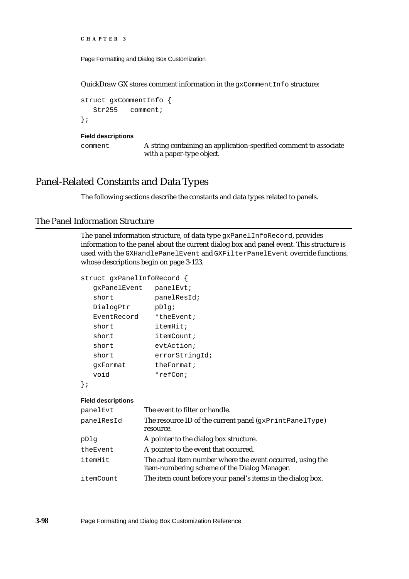Page Formatting and Dialog Box Customization

QuickDraw GX stores comment information in the gxCommentInfo structure:

```
struct gxCommentInfo {
  Str255 comment;
};
```
#### **Field descriptions**

comment A string containing an application-specified comment to associate with a paper-type object.

# Panel-Related Constants and Data Types

The following sections describe the constants and data types related to panels.

## The Panel Information Structure

The panel information structure, of data type gxPanelInfoRecord, provides information to the panel about the current dialog box and panel event. This structure is used with the GXHandlePanelEvent and GXFilterPanelEvent override functions, whose descriptions begin on page 3-123.

```
struct gxPanelInfoRecord {
```

| qxPanelEvent | panelEvt;      |
|--------------|----------------|
| short        | panelResId;    |
| DialogPtr    | pDlq;          |
| EventRecord  | *theEvent;     |
| short        | itemHit;       |
| short        | itemCount;     |
| short        | evtAction;     |
| short        | errorStringId; |
| qxFormat     | theFormat;     |
| hiov         | *refCon;       |
|              |                |

};

#### **Field descriptions**

| panelEvt   | The event to filter or handle.                                                                             |
|------------|------------------------------------------------------------------------------------------------------------|
| panelResId | The resource ID of the current panel (gxPrintPanelType)                                                    |
|            | resource.                                                                                                  |
| pDlq       | A pointer to the dialog box structure.                                                                     |
| theEvent   | A pointer to the event that occurred.                                                                      |
| itemHit    | The actual item number where the event occurred, using the<br>item-numbering scheme of the Dialog Manager. |
| itemCount  | The item count before your panel's items in the dialog box.                                                |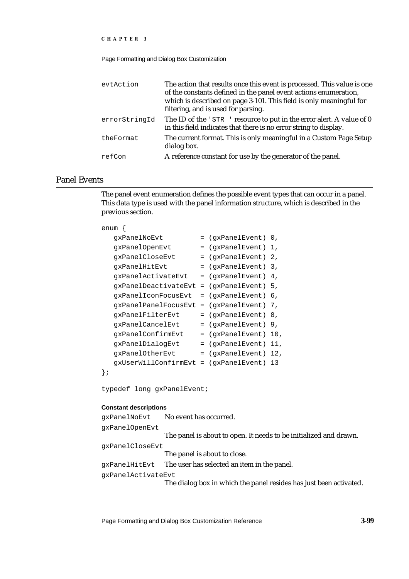Page Formatting and Dialog Box Customization

| evtAction     | The action that results once this event is processed. This value is one<br>of the constants defined in the panel event actions enumeration,<br>which is described on page 3-101. This field is only meaningful for<br>filtering, and is used for parsing. |
|---------------|-----------------------------------------------------------------------------------------------------------------------------------------------------------------------------------------------------------------------------------------------------------|
| errorStringId | The ID of the 'STR ' resource to put in the error alert. A value of 0<br>in this field indicates that there is no error string to display.                                                                                                                |
| theFormat     | The current format. This is only meaningful in a Custom Page Setup<br>dialog box.                                                                                                                                                                         |
| refCon        | A reference constant for use by the generator of the panel.                                                                                                                                                                                               |

## Panel Events

The panel event enumeration defines the possible event types that can occur in a panel. This data type is used with the panel information structure, which is described in the previous section.

### enum {

|    | qxPanelNoEvt         | $=$ | (qxPanelEvent) | 0.  |
|----|----------------------|-----|----------------|-----|
|    | gxPanelOpenEvt       | $=$ | (gxPanelEvent) | 1,  |
|    | qxPanelCloseEvt      | $=$ | (gxPanelEvent) | 2.  |
|    | qxPanelHitEvt        | $=$ | (gxPanelEvent) | 3.  |
|    | qxPanelActivateEvt   |     | (gxPanelEvent) | 4.  |
|    | qxPanelDeactivateEvt | $=$ | (qxPanelEvent) | 5.  |
|    | qxPanelIconFocusEvt  | $=$ | (qxPanelEvent) | 6.  |
|    | qxPanelPanelFocusEvt | $=$ | (qxPanelEvent) | 7,  |
|    | qxPanelFilterEvt     |     | (gxPanelEvent) | 8,  |
|    | qxPanelCancelEvt     | $=$ | (gxPanelEvent) | 9,  |
|    | qxPanelConfirmEvt    | $=$ | (gxPanelEvent) | 10, |
|    | qxPanelDialoqEvt     | $=$ | (qxPanelEvent) | 11, |
|    | qxPanelOtherEvt      | $=$ | (gxPanelEvent) | 12, |
|    | gxUserWillConfirmEvt | $=$ | (gxPanelEvent) | 13  |
| ł; |                      |     |                |     |
|    |                      |     |                |     |

typedef long gxPanelEvent;

### **Constant descriptions**

| qxPanelNoEvt       | No event has occurred.                                             |
|--------------------|--------------------------------------------------------------------|
| qxPanelOpenEvt     |                                                                    |
|                    | The panel is about to open. It needs to be initialized and drawn.  |
| qxPanelCloseEvt    |                                                                    |
|                    | The panel is about to close.                                       |
|                    | gxPanelHitEvt The user has selected an item in the panel.          |
| qxPanelActivateEvt |                                                                    |
|                    | The dialog box in which the panel resides has just been activated. |

Page Formatting and Dialog Box Customization Reference **3-99**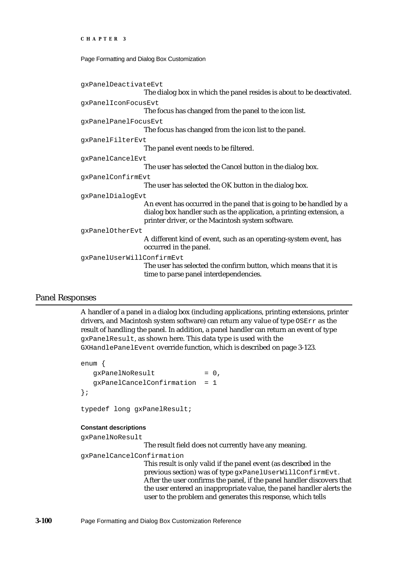Page Formatting and Dialog Box Customization

```
gxPanelDeactivateEvt
                   The dialog box in which the panel resides is about to be deactivated.
gxPanelIconFocusEvt
                   The focus has changed from the panel to the icon list.
gxPanelPanelFocusEvt
                   The focus has changed from the icon list to the panel.
gxPanelFilterEvt
                   The panel event needs to be filtered.
gxPanelCancelEvt
                   The user has selected the Cancel button in the dialog box.
gxPanelConfirmEvt
                   The user has selected the OK button in the dialog box.
gxPanelDialogEvt
                    An event has occurred in the panel that is going to be handled by a 
                   dialog box handler such as the application, a printing extension, a 
                    printer driver, or the Macintosh system software.
gxPanelOtherEvt
                   A different kind of event, such as an operating-system event, has 
                   occurred in the panel.
gxPanelUserWillConfirmEvt
                   The user has selected the confirm button, which means that it is 
                   time to parse panel interdependencies.
```
## Panel Responses

A handler of a panel in a dialog box (including applications, printing extensions, printer drivers, and Macintosh system software) can return any value of type OSErr as the result of handling the panel. In addition, a panel handler can return an event of type gxPanelResult, as shown here. This data type is used with the GXHandlePanelEvent override function, which is described on page 3-123.

```
enum {
  qxPanelNoResult = 0,gxPanelCancelConfirmation = 1
};
```
typedef long gxPanelResult;

### **Constant descriptions**

gxPanelNoResult

The result field does not currently have any meaning.

gxPanelCancelConfirmation

This result is only valid if the panel event (as described in the previous section) was of type gxPanelUserWillConfirmEvt. After the user confirms the panel, if the panel handler discovers that the user entered an inappropriate value, the panel handler alerts the user to the problem and generates this response, which tells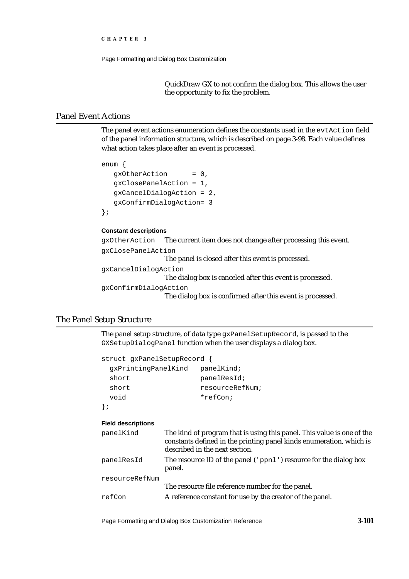```
CHAPTER 3
```
QuickDraw GX to not confirm the dialog box. This allows the user the opportunity to fix the problem.

## Panel Event Actions

The panel event actions enumeration defines the constants used in the evtAction field of the panel information structure, which is described on page 3-98. Each value defines what action takes place after an event is processed.

```
enum {
   gxOtherAction = 0,
   gxClosePanelAction = 1,
   gxCancelDialogAction = 2,
   gxConfirmDialogAction= 3
};
```
## **Constant descriptions**

```
gxOtherAction The current item does not change after processing this event.
gxClosePanelAction
                   The panel is closed after this event is processed.
gxCancelDialogAction
                   The dialog box is canceled after this event is processed.
gxConfirmDialogAction
                   The dialog box is confirmed after this event is processed.
```
## The Panel Setup Structure

The panel setup structure, of data type gxPanelSetupRecord, is passed to the GXSetupDialogPanel function when the user displays a dialog box.

```
struct gxPanelSetupRecord {
  gxPrintingPanelKind panelKind;
 short panelResId;
 short resourceRefNum;
  void *refCon;
};
```
### **Field descriptions**

| panelKind      | The kind of program that is using this panel. This value is one of the<br>constants defined in the printing panel kinds enumeration, which is<br>described in the next section. |
|----------------|---------------------------------------------------------------------------------------------------------------------------------------------------------------------------------|
| panelResId     | The resource ID of the panel ('ppn1') resource for the dialog box<br>panel.                                                                                                     |
| resourceRefNum | The resource file reference number for the panel.                                                                                                                               |
| refCon         | A reference constant for use by the creator of the panel.                                                                                                                       |

Page Formatting and Dialog Box Customization Reference **3-101**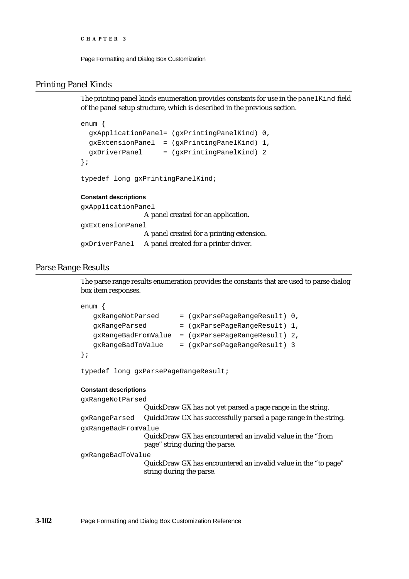Page Formatting and Dialog Box Customization

## Printing Panel Kinds

The printing panel kinds enumeration provides constants for use in the panelKind field of the panel setup structure, which is described in the previous section.

```
enum {
  gxApplicationPanel= (gxPrintingPanelKind) 0,
 qxExtensionPanel = (axPrintinqPanelKind) 1,qxDiriverPanel = (qxPrintinqPanelKind) 2};
typedef long gxPrintingPanelKind;
```
## **Constant descriptions**

```
gxApplicationPanel
                   A panel created for an application.
gxExtensionPanel
                   A panel created for a printing extension.
gxDriverPanel A panel created for a printer driver.
```
## Parse Range Results

The parse range results enumeration provides the constants that are used to parse dialog box item responses.

```
enum {
```

```
qxRangeNotParsed = (qxParsePageRangeRangeResult) 0,gxRangeParsed = (gxParsePageRangeResult) 1,
  gxRangeBadFromValue = (gxParsePageRangeResult) 2,
  gxRangeBadToValue = (gxParsePageRangeResult) 3
};
```
typedef long gxParsePageRangeResult;

### **Constant descriptions**

gxRangeNotParsed

```
QuickDraw GX has not yet parsed a page range in the string.
gxRangeParsed QuickDraw GX has successfully parsed a page range in the string.
gxRangeBadFromValue
                   QuickDraw GX has encountered an invalid value in the "from 
                   page" string during the parse.
gxRangeBadToValue
```
QuickDraw GX has encountered an invalid value in the "to page" string during the parse.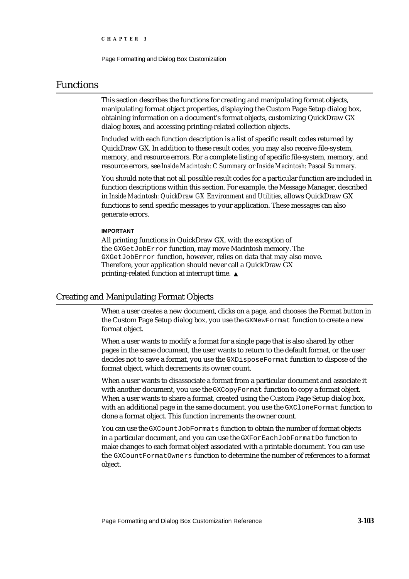Page Formatting and Dialog Box Customization

# Functions

This section describes the functions for creating and manipulating format objects, manipulating format object properties, displaying the Custom Page Setup dialog box, obtaining information on a document's format objects, customizing QuickDraw GX dialog boxes, and accessing printing-related collection objects.

Included with each function description is a list of specific result codes returned by QuickDraw GX. In addition to these result codes, you may also receive file-system, memory, and resource errors. For a complete listing of specific file-system, memory, and resource errors, see *Inside Macintosh: C Summary* or *Inside Macintosh: Pascal Summary*.

You should note that not all possible result codes for a particular function are included in function descriptions within this section. For example, the Message Manager, described in *Inside Macintosh: QuickDraw GX Environment and Utilities,* allows QuickDraw GX functions to send specific messages to your application. These messages can also generate errors.

### **IMPORTANT**

All printing functions in QuickDraw GX, with the exception of the GXGetJobError function, may move Macintosh memory. The GXGetJobError function, however, relies on data that may also move. Therefore, your application should never call a QuickDraw GX printing-related function at interrupt time.

## Creating and Manipulating Format Objects

When a user creates a new document, clicks on a page, and chooses the Format button in the Custom Page Setup dialog box, you use the GXNewFormat function to create a new format object.

When a user wants to modify a format for a single page that is also shared by other pages in the same document, the user wants to return to the default format, or the user decides not to save a format, you use the GXDisposeFormat function to dispose of the format object, which decrements its owner count.

When a user wants to disassociate a format from a particular document and associate it with another document, you use the GXCopyFormat function to copy a format object. When a user wants to share a format, created using the Custom Page Setup dialog box, with an additional page in the same document, you use the GXCloneFormat function to clone a format object. This function increments the owner count.

You can use the GXCountJobFormats function to obtain the number of format objects in a particular document, and you can use the GXForEachJobFormatDo function to make changes to each format object associated with a printable document. You can use the GXCountFormatOwners function to determine the number of references to a format object.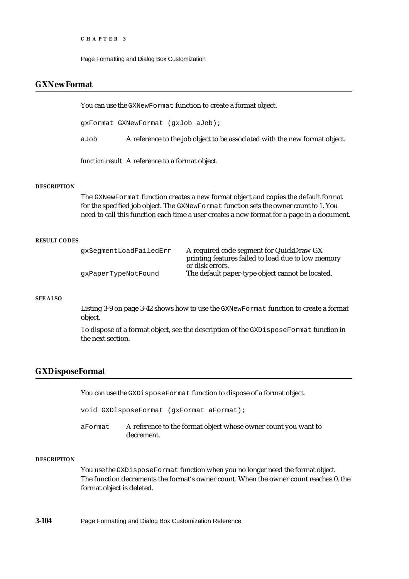Page Formatting and Dialog Box Customization

# **GXNewFormat**

You can use the GXNewFormat function to create a format object.

gxFormat GXNewFormat (gxJob aJob);

aJob A reference to the job object to be associated with the new format object.

*function result* A reference to a format object.

## **DESCRIPTION**

The GXNewFormat function creates a new format object and copies the default format for the specified job object. The GXNewFormat function sets the owner count to 1. You need to call this function each time a user creates a new format for a page in a document.

### **RESULT CODES**

| qxSeqmentLoadFailedErr | A required code segment for QuickDraw GX           |
|------------------------|----------------------------------------------------|
|                        | printing features failed to load due to low memory |
|                        | or disk errors.                                    |
| qxPaperTypeNotFound    | The default paper-type object cannot be located.   |

### **SEE ALSO**

Listing 3-9 on page 3-42 shows how to use the GXNewFormat function to create a format object.

To dispose of a format object, see the description of the GXDisposeFormat function in the next section.

## **GXDisposeFormat**

You can use the GXDisposeFormat function to dispose of a format object.

void GXDisposeFormat (gxFormat aFormat);

aFormat A reference to the format object whose owner count you want to decrement.

#### **DESCRIPTION**

You use the GXDisposeFormat function when you no longer need the format object. The function decrements the format's owner count. When the owner count reaches 0, the format object is deleted.

**3-104** Page Formatting and Dialog Box Customization Reference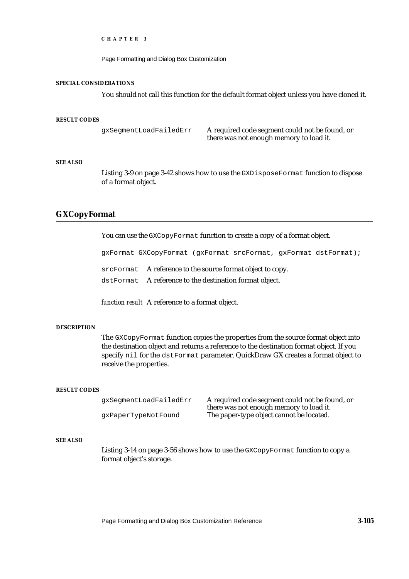Page Formatting and Dialog Box Customization

#### **SPECIAL CONSIDERATIONS**

You should *not* call this function for the default format object unless you have cloned it.

#### **RESULT CODES**

gxSegmentLoadFailedErr A required code segment could not be found, or there was not enough memory to load it.

### **SEE ALSO**

Listing 3-9 on page 3-42 shows how to use the GXDisposeFormat function to dispose of a format object.

## **GXCopyFormat**

You can use the GXCopyFormat function to create a copy of a format object.

gxFormat GXCopyFormat (gxFormat srcFormat, gxFormat dstFormat);

srcFormat A reference to the source format object to copy.

dstFormat A reference to the destination format object.

*function result* A reference to a format object.

### **DESCRIPTION**

The GXCopyFormat function copies the properties from the source format object into the destination object and returns a reference to the destination format object. If you specify nil for the dstFormat parameter, QuickDraw GX creates a format object to receive the properties.

#### **RESULT CODES**

gxSegmentLoadFailedErr A required code segment could not be found, or there was not enough memory to load it. gxPaperTypeNotFound The paper-type object cannot be located.

## **SEE ALSO**

Listing 3-14 on page 3-56 shows how to use the GXCopyFormat function to copy a format object's storage.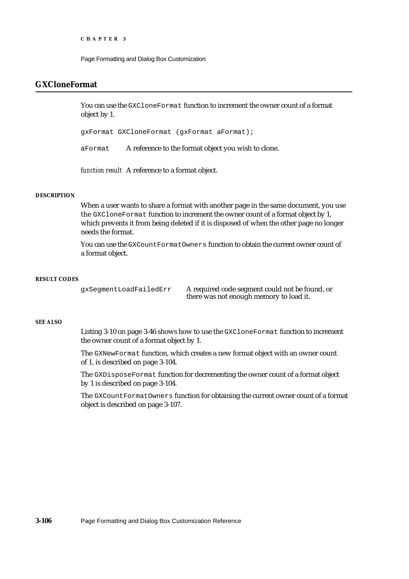Page Formatting and Dialog Box Customization

# **GXCloneFormat**

You can use the GXCloneFormat function to increment the owner count of a format object by 1.

gxFormat GXCloneFormat (gxFormat aFormat);

aFormat A reference to the format object you wish to clone.

*function result* A reference to a format object.

### **DESCRIPTION**

When a user wants to share a format with another page in the same document, you use the GXCloneFormat function to increment the owner count of a format object by 1, which prevents it from being deleted if it is disposed of when the other page no longer needs the format.

You can use the GXCountFormatOwners function to obtain the current owner count of a format object.

### **RESULT CODES**

gxSegmentLoadFailedErr A required code segment could not be found, or there was not enough memory to load it.

### **SEE ALSO**

Listing 3-10 on page 3-46 shows how to use the GXCloneFormat function to increment the owner count of a format object by 1.

The GXNewFormat function, which creates a new format object with an owner count of 1, is described on page 3-104.

The GXDisposeFormat function for decrementing the owner count of a format object by 1 is described on page 3-104.

The GXCountFormatOwners function for obtaining the current owner count of a format object is described on page 3-107.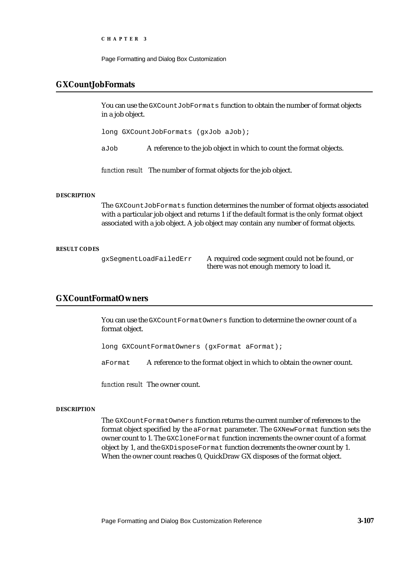Page Formatting and Dialog Box Customization

## **GXCountJobFormats**

You can use the GXCountJobFormats function to obtain the number of format objects in a job object.

long GXCountJobFormats (gxJob aJob);

aJob A reference to the job object in which to count the format objects.

*function result* The number of format objects for the job object.

### **DESCRIPTION**

The GXCountJobFormats function determines the number of format objects associated with a particular job object and returns 1 if the default format is the only format object associated with a job object. A job object may contain any number of format objects.

#### **RESULT CODES**

gxSegmentLoadFailedErr A required code segment could not be found, or there was not enough memory to load it.

# **GXCountFormatOwners**

You can use the GXCountFormatOwners function to determine the owner count of a format object.

long GXCountFormatOwners (gxFormat aFormat);

aFormat A reference to the format object in which to obtain the owner count.

*function result* The owner count.

### **DESCRIPTION**

The GXCountFormatOwners function returns the current number of references to the format object specified by the aFormat parameter. The GXNewFormat function sets the owner count to 1. The GXCloneFormat function increments the owner count of a format object by 1, and the GXDisposeFormat function decrements the owner count by 1. When the owner count reaches 0, QuickDraw GX disposes of the format object.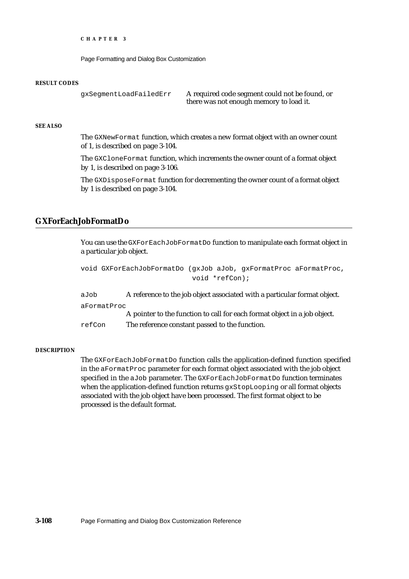Page Formatting and Dialog Box Customization

#### **RESULT CODES**

```
gxSegmentLoadFailedErr A required code segment could not be found, or
                              there was not enough memory to load it.
```
## **SEE ALSO**

The GXNewFormat function, which creates a new format object with an owner count of 1, is described on page 3-104.

The GXCloneFormat function, which increments the owner count of a format object by 1, is described on page 3-106.

The GXDisposeFormat function for decrementing the owner count of a format object by 1 is described on page 3-104.

## **GXForEachJobFormatDo**

You can use the GXForEachJobFormatDo function to manipulate each format object in a particular job object.

```
void GXForEachJobFormatDo (gxJob aJob, gxFormatProc aFormatProc,
                                void *refCon);
aJob A reference to the job object associated with a particular format object.
aFormatProc
             A pointer to the function to call for each format object in a job object.
refCon The reference constant passed to the function.
```
### **DESCRIPTION**

The GXForEachJobFormatDo function calls the application-defined function specified in the aFormatProc parameter for each format object associated with the job object specified in the aJob parameter. The GXForEachJobFormatDo function terminates when the application-defined function returns gxStopLooping or all format objects associated with the job object have been processed. The first format object to be processed is the default format.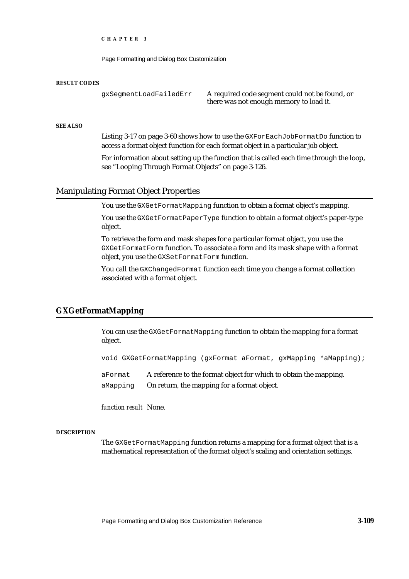Page Formatting and Dialog Box Customization

#### **RESULT CODES**

gxSegmentLoadFailedErr A required code segment could not be found, or there was not enough memory to load it.

## **SEE ALSO**

Listing 3-17 on page 3-60 shows how to use the GXForEachJobFormatDo function to access a format object function for each format object in a particular job object.

For information about setting up the function that is called each time through the loop, see "Looping Through Format Objects" on page 3-126.

## Manipulating Format Object Properties

You use the GXGetFormatMapping function to obtain a format object's mapping.

You use the GXGetFormatPaperType function to obtain a format object's paper-type object.

To retrieve the form and mask shapes for a particular format object, you use the GXGetFormatForm function. To associate a form and its mask shape with a format object, you use the GXSetFormatForm function.

You call the GXChangedFormat function each time you change a format collection associated with a format object.

## **GXGetFormatMapping**

You can use the GXGetFormatMapping function to obtain the mapping for a format object.

void GXGetFormatMapping (gxFormat aFormat, gxMapping \*aMapping);

aFormat A reference to the format object for which to obtain the mapping. aMapping On return, the mapping for a format object.

*function result* None.

### **DESCRIPTION**

The GXGetFormatMapping function returns a mapping for a format object that is a mathematical representation of the format object's scaling and orientation settings.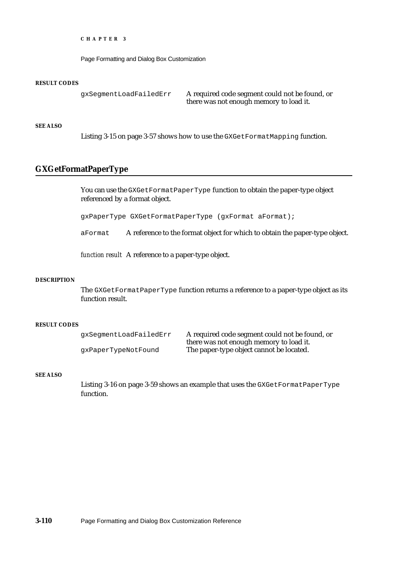Page Formatting and Dialog Box Customization

#### **RESULT CODES**

gxSegmentLoadFailedErr A required code segment could not be found, or

there was not enough memory to load it.

### **SEE ALSO**

Listing 3-15 on page 3-57 shows how to use the GXGetFormatMapping function.

## **GXGetFormatPaperType**

You can use the GXGetFormatPaperType function to obtain the paper-type object referenced by a format object.

gxPaperType GXGetFormatPaperType (gxFormat aFormat);

aFormat A reference to the format object for which to obtain the paper-type object.

*function result* A reference to a paper-type object.

#### **DESCRIPTION**

The GXGetFormatPaperType function returns a reference to a paper-type object as its function result.

### **RESULT CODES**

| gxSegmentLoadFailedErr | A required code segment could not be found, or |
|------------------------|------------------------------------------------|
|                        | there was not enough memory to load it.        |
| qxPaperTypeNotFound    | The paper-type object cannot be located.       |

### **SEE ALSO**

Listing 3-16 on page 3-59 shows an example that uses the GXGetFormatPaperType function.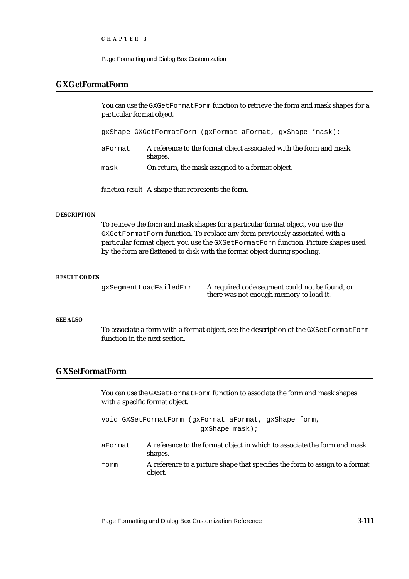Page Formatting and Dialog Box Customization

## **GXGetFormatForm**

You can use the GXGetFormatForm function to retrieve the form and mask shapes for a particular format object.

gxShape GXGetFormatForm (gxFormat aFormat, gxShape \*mask);

aFormat A reference to the format object associated with the form and mask shapes.

mask On return, the mask assigned to a format object.

*function result* A shape that represents the form.

### **DESCRIPTION**

To retrieve the form and mask shapes for a particular format object, you use the GXGetFormatForm function. To replace any form previously associated with a particular format object, you use the GXSetFormatForm function. Picture shapes used by the form are flattened to disk with the format object during spooling.

### **RESULT CODES**

gxSegmentLoadFailedErr A required code segment could not be found, or there was not enough memory to load it.

### **SEE ALSO**

To associate a form with a format object, see the description of the GXSetFormatForm function in the next section.

## **GXSetFormatForm**

You can use the GXSetFormatForm function to associate the form and mask shapes with a specific format object.

void GXSetFormatForm (gxFormat aFormat, gxShape form, gxShape mask);

- aFormat A reference to the format object in which to associate the form and mask shapes.
- form A reference to a picture shape that specifies the form to assign to a format object.

Page Formatting and Dialog Box Customization Reference **3-111**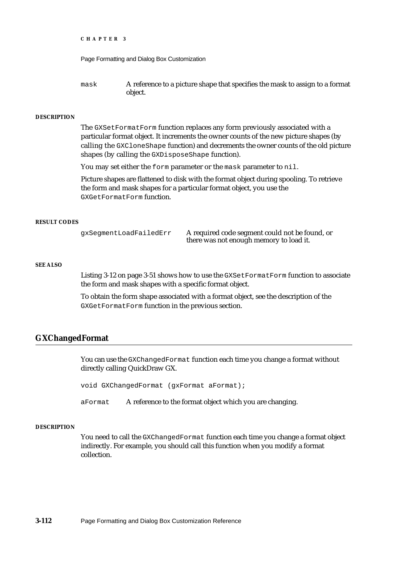```
CHAPTER 3
```

```
mask A reference to a picture shape that specifies the mask to assign to a format 
             object.
```
### **DESCRIPTION**

The GXSetFormatForm function replaces any form previously associated with a particular format object. It increments the owner counts of the new picture shapes (by calling the GXCloneShape function) and decrements the owner counts of the old picture shapes (by calling the GXDisposeShape function).

You may set either the form parameter or the mask parameter to nil.

Picture shapes are flattened to disk with the format object during spooling. To retrieve the form and mask shapes for a particular format object, you use the GXGetFormatForm function.

## **RESULT CODES**

gxSegmentLoadFailedErr A required code segment could not be found, or there was not enough memory to load it.

### **SEE ALSO**

Listing 3-12 on page 3-51 shows how to use the GXSetFormatForm function to associate the form and mask shapes with a specific format object.

To obtain the form shape associated with a format object, see the description of the GXGetFormatForm function in the previous section.

## **GXChangedFormat**

You can use the GXChangedFormat function each time you change a format without directly calling QuickDraw GX.

void GXChangedFormat (gxFormat aFormat);

aFormat A reference to the format object which you are changing.

### **DESCRIPTION**

You need to call the GXChangedFormat function each time you change a format object indirectly. For example, you should call this function when you modify a format collection.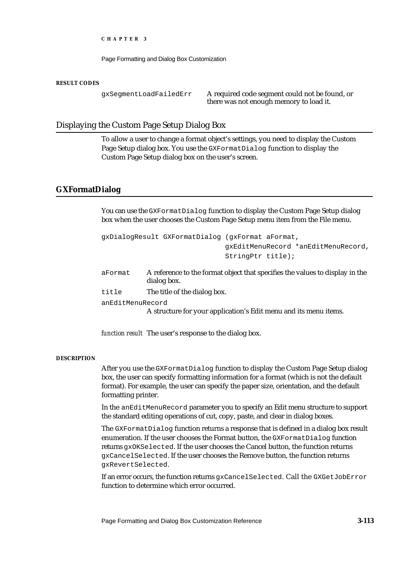Page Formatting and Dialog Box Customization

#### **RESULT CODES**

gxSegmentLoadFailedErr A required code segment could not be found, or there was not enough memory to load it.

## Displaying the Custom Page Setup Dialog Box

To allow a user to change a format object's settings, you need to display the Custom Page Setup dialog box. You use the GXFormatDialog function to display the Custom Page Setup dialog box on the user's screen.

## **GXFormatDialog**

You can use the GXFormatDialog function to display the Custom Page Setup dialog box when the user chooses the Custom Page Setup menu item from the File menu.

|                  | gxDialogResult GXFormatDialog (gxFormat aFormat,                                            |
|------------------|---------------------------------------------------------------------------------------------|
|                  | qxEditMenuRecord *anEditMenuRecord,                                                         |
|                  | StringPtr title);                                                                           |
| aFormat          | A reference to the format object that specifies the values to display in the<br>dialog box. |
| title            | The title of the dialog box.                                                                |
| anEditMenuRecord | A structure for your application's Edit menu and its menu items.                            |

*function result* The user's response to the dialog box.

### **DESCRIPTION**

After you use the GXFormatDialog function to display the Custom Page Setup dialog box, the user can specify formatting information for a format (which is not the default format). For example, the user can specify the paper size, orientation, and the default formatting printer.

In the anEditMenuRecord parameter you to specify an Edit menu structure to support the standard editing operations of cut, copy, paste, and clear in dialog boxes.

The GXFormatDialog function returns a response that is defined in a dialog box result enumeration. If the user chooses the Format button, the GXFormatDialog function returns gxOKSelected. If the user chooses the Cancel button, the function returns gxCancelSelected. If the user chooses the Remove button, the function returns gxRevertSelected.

If an error occurs, the function returns gxCancelSelected. Call the GXGetJobError function to determine which error occurred.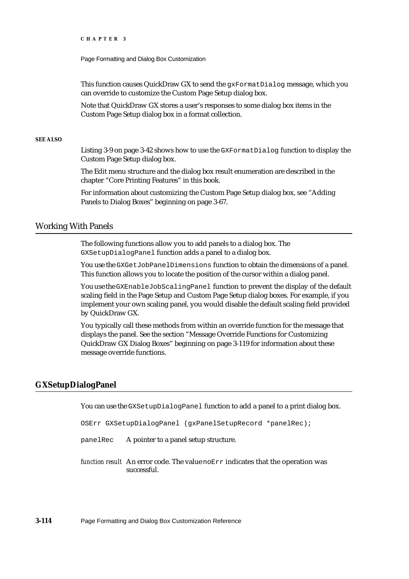Page Formatting and Dialog Box Customization

This function causes QuickDraw GX to send the  $g \times$ FormatDialog message, which you can override to customize the Custom Page Setup dialog box.

Note that QuickDraw GX stores a user's responses to some dialog box items in the Custom Page Setup dialog box in a format collection.

### **SEE ALSO**

Listing 3-9 on page 3-42 shows how to use the  $GXF$  and  $D$  function to display the Custom Page Setup dialog box.

The Edit menu structure and the dialog box result enumeration are described in the chapter "Core Printing Features" in this book.

For information about customizing the Custom Page Setup dialog box, see "Adding Panels to Dialog Boxes" beginning on page 3-67.

## Working With Panels

The following functions allow you to add panels to a dialog box. The GXSetupDialogPanel function adds a panel to a dialog box.

You use the GXGetJobPanelDimensions function to obtain the dimensions of a panel. This function allows you to locate the position of the cursor within a dialog panel.

You use the GXEnableJobScalingPanel function to prevent the display of the default scaling field in the Page Setup and Custom Page Setup dialog boxes. For example, if you implement your own scaling panel, you would disable the default scaling field provided by QuickDraw GX.

You typically call these methods from within an override function for the message that displays the panel. See the section "Message Override Functions for Customizing QuickDraw GX Dialog Boxes" beginning on page 3-119 for information about these message override functions.

## **GXSetupDialogPanel**

You can use the GXSetupDialogPanel function to add a panel to a print dialog box.

```
OSErr GXSetupDialogPanel (gxPanelSetupRecord *panelRec);
```
panelRec A pointer to a panel setup structure.

*function result* An error code. The value noErr indicates that the operation was successful.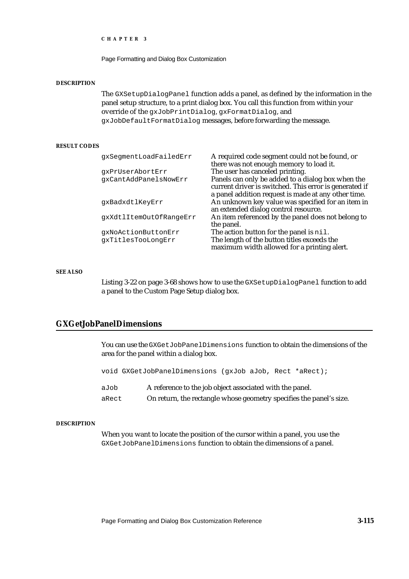Page Formatting and Dialog Box Customization

#### **DESCRIPTION**

The GXSetupDialogPanel function adds a panel, as defined by the information in the panel setup structure, to a print dialog box. You call this function from within your override of the gxJobPrintDialog, gxFormatDialog, and gxJobDefaultFormatDialog messages, before forwarding the message.

### **RESULT CODES**

| qxSeqmentLoadFailedErr  | A required code segment could not be found, or                                                              |
|-------------------------|-------------------------------------------------------------------------------------------------------------|
| qxPrUserAbortErr        | there was not enough memory to load it.<br>The user has canceled printing.                                  |
| qxCantAddPanelsNowErr   | Panels can only be added to a dialog box when the<br>current driver is switched. This error is generated if |
|                         | a panel addition request is made at any other time.                                                         |
| qxBadxdtlKeyErr         | An unknown key value was specified for an item in<br>an extended dialog control resource.                   |
| qxXdtlItemOutOfRanqeErr | An item referenced by the panel does not belong to                                                          |
| gxNoActionButtonErr     | the panel.<br>The action button for the panel is nil.                                                       |
| qxTitlesTooLonqErr      | The length of the button titles exceeds the<br>maximum width allowed for a printing alert.                  |

#### **SEE ALSO**

Listing 3-22 on page 3-68 shows how to use the GXSetupDialogPanel function to add a panel to the Custom Page Setup dialog box.

## **GXGetJobPanelDimensions**

You can use the GXGetJobPanelDimensions function to obtain the dimensions of the area for the panel within a dialog box.

|       | void GXGetJobPanelDimensions (qxJob aJob, Rect *aRect);             |
|-------|---------------------------------------------------------------------|
| aJob  | A reference to the job object associated with the panel.            |
| aRect | On return, the rectangle whose geometry specifies the panel's size. |

### **DESCRIPTION**

When you want to locate the position of the cursor within a panel, you use the GXGetJobPanelDimensions function to obtain the dimensions of a panel.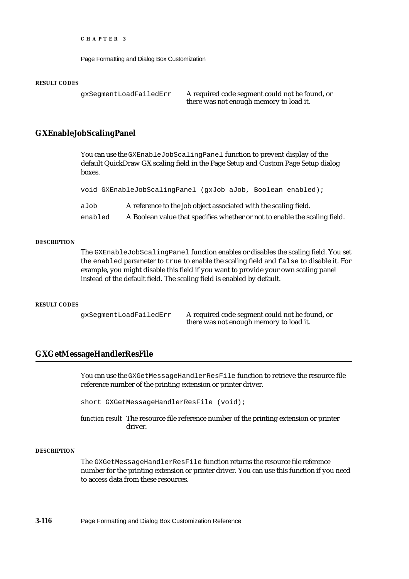Page Formatting and Dialog Box Customization

#### **RESULT CODES**

gxSegmentLoadFailedErr A required code segment could not be found, or there was not enough memory to load it.

## **GXEnableJobScalingPanel**

You can use the GXEnableJobScalingPanel function to prevent display of the default QuickDraw GX scaling field in the Page Setup and Custom Page Setup dialog boxes.

```
void GXEnableJobScalingPanel (gxJob aJob, Boolean enabled);
```

| aJob    | A reference to the job object associated with the scaling field.           |
|---------|----------------------------------------------------------------------------|
| enabled | A Boolean value that specifies whether or not to enable the scaling field. |

#### **DESCRIPTION**

The GXEnableJobScalingPanel function enables or disables the scaling field. You set the enabled parameter to true to enable the scaling field and false to disable it. For example, you might disable this field if you want to provide your own scaling panel instead of the default field. The scaling field is enabled by default.

#### **RESULT CODES**

gxSegmentLoadFailedErr A required code segment could not be found, or there was not enough memory to load it.

## **GXGetMessageHandlerResFile**

You can use the GXGetMessageHandlerResFile function to retrieve the resource file reference number of the printing extension or printer driver.

short GXGetMessageHandlerResFile (void);

*function result* The resource file reference number of the printing extension or printer driver.

#### **DESCRIPTION**

The GXGetMessageHandlerResFile function returns the resource file reference number for the printing extension or printer driver. You can use this function if you need to access data from these resources.

**3-116** Page Formatting and Dialog Box Customization Reference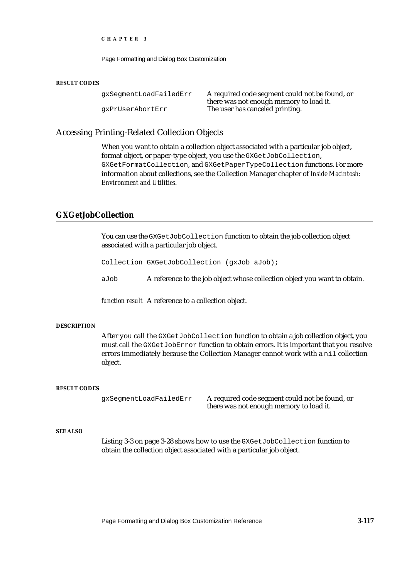Page Formatting and Dialog Box Customization

#### **RESULT CODES**

gxSegmentLoadFailedErr A required code segment could not be found, or there was not enough memory to load it. gxPrUserAbortErr The user has canceled printing.

## Accessing Printing-Related Collection Objects

When you want to obtain a collection object associated with a particular job object, format object, or paper-type object, you use the GXGetJobCollection, GXGetFormatCollection, and GXGetPaperTypeCollection functions. For more information about collections, see the Collection Manager chapter of *Inside Macintosh: Environment and Utilities*.

## **GXGetJobCollection**

You can use the GXGetJobCollection function to obtain the job collection object associated with a particular job object.

Collection GXGetJobCollection (gxJob aJob);

aJob A reference to the job object whose collection object you want to obtain.

*function result* A reference to a collection object.

#### **DESCRIPTION**

After you call the GXGetJobCollection function to obtain a job collection object, you must call the GXGetJobError function to obtain errors. It is important that you resolve errors immediately because the Collection Manager cannot work with a nil collection object.

### **RESULT CODES**

gxSegmentLoadFailedErr A required code segment could not be found, or there was not enough memory to load it.

### **SEE ALSO**

Listing 3-3 on page 3-28 shows how to use the GXGetJobCollection function to obtain the collection object associated with a particular job object.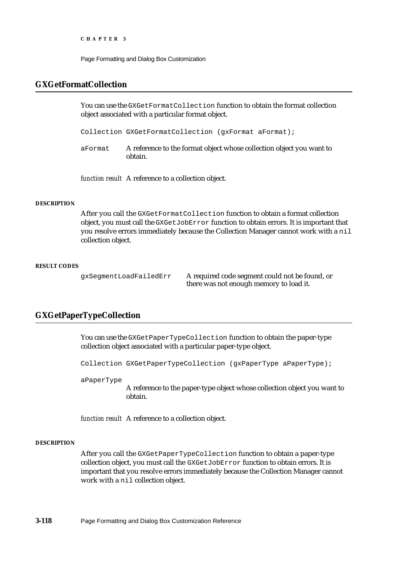Page Formatting and Dialog Box Customization

## **GXGetFormatCollection**

You can use the GXGetFormatCollection function to obtain the format collection object associated with a particular format object.

Collection GXGetFormatCollection (gxFormat aFormat);

aFormat A reference to the format object whose collection object you want to obtain.

*function result* A reference to a collection object.

### **DESCRIPTION**

After you call the GXGetFormatCollection function to obtain a format collection object, you must call the GXGetJobError function to obtain errors. It is important that you resolve errors immediately because the Collection Manager cannot work with a nil collection object.

#### **RESULT CODES**

gxSegmentLoadFailedErr A required code segment could not be found, or there was not enough memory to load it.

## **GXGetPaperTypeCollection**

You can use the GXGetPaperTypeCollection function to obtain the paper-type collection object associated with a particular paper-type object.

Collection GXGetPaperTypeCollection (gxPaperType aPaperType);

aPaperType

A reference to the paper-type object whose collection object you want to obtain.

*function result* A reference to a collection object.

### **DESCRIPTION**

After you call the GXGetPaperTypeCollection function to obtain a paper-type collection object, you must call the GXGetJobError function to obtain errors. It is important that you resolve errors immediately because the Collection Manager cannot work with a nil collection object.

**3-118** Page Formatting and Dialog Box Customization Reference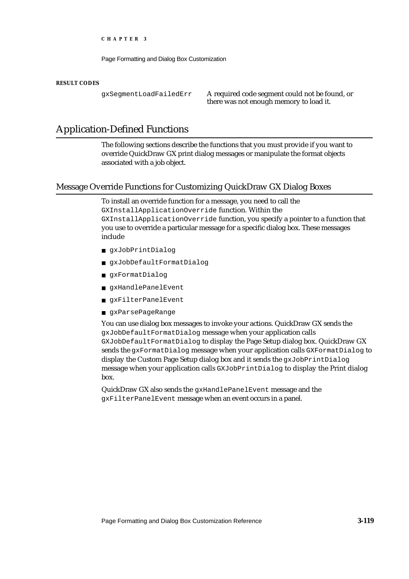Page Formatting and Dialog Box Customization

#### **RESULT CODES**

gxSegmentLoadFailedErr A required code segment could not be found, or there was not enough memory to load it.

## Application-Defined Functions

The following sections describe the functions that you must provide if you want to override QuickDraw GX print dialog messages or manipulate the format objects associated with a job object.

#### Message Override Functions for Customizing QuickDraw GX Dialog Boxes

To install an override function for a message, you need to call the GXInstallApplicationOverride function. Within the GXInstallApplicationOverride function, you specify a pointer to a function that you use to override a particular message for a specific dialog box. These messages include

- gxJobPrintDialog
- n gxJobDefaultFormatDialog
- gxFormatDialog
- n qxHandlePanelEvent
- gxFilterPanelEvent
- gxParsePageRange

You can use dialog box messages to invoke your actions. QuickDraw GX sends the gxJobDefaultFormatDialog message when your application calls GXJobDefaultFormatDialog to display the Page Setup dialog box. QuickDraw GX sends the gxFormatDialog message when your application calls GXFormatDialog to display the Custom Page Setup dialog box and it sends the gxJobPrintDialog message when your application calls GXJobPrintDialog to display the Print dialog box.

QuickDraw GX also sends the gxHandlePanelEvent message and the gxFilterPanelEvent message when an event occurs in a panel.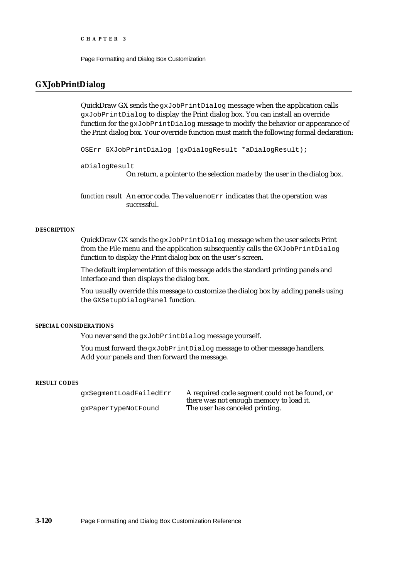Page Formatting and Dialog Box Customization

#### **GXJobPrintDialog**

QuickDraw GX sends the  $qxJobPrintDialog$  message when the application calls gxJobPrintDialog to display the Print dialog box. You can install an override function for the gxJobPrintDialog message to modify the behavior or appearance of the Print dialog box. Your override function must match the following formal declaration:

OSErr GXJobPrintDialog (gxDialogResult \*aDialogResult);

aDialogResult

On return, a pointer to the selection made by the user in the dialog box.

*function result* An error code. The value noErr indicates that the operation was successful.

#### **DESCRIPTION**

QuickDraw GX sends the gxJobPrintDialog message when the user selects Print from the File menu and the application subsequently calls the GXJobPrintDialog function to display the Print dialog box on the user's screen.

The default implementation of this message adds the standard printing panels and interface and then displays the dialog box.

You usually override this message to customize the dialog box by adding panels using the GXSetupDialogPanel function.

#### **SPECIAL CONSIDERATIONS**

You never send the gxJobPrintDialog message yourself.

You must forward the gxJobPrintDialog message to other message handlers. Add your panels and then forward the message.

#### **RESULT CODES**

gxSegmentLoadFailedErr A required code segment could not be found, or there was not enough memory to load it. gxPaperTypeNotFound The user has canceled printing.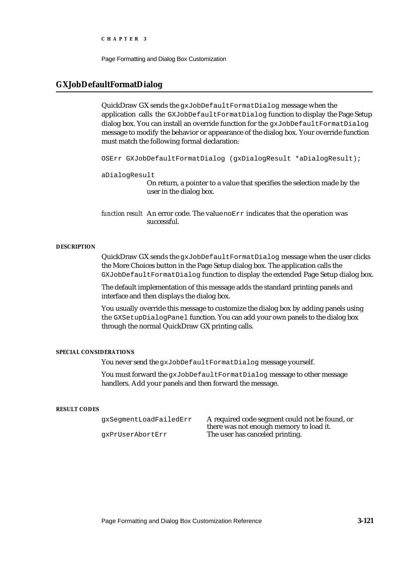Page Formatting and Dialog Box Customization

#### **GXJobDefaultFormatDialog**

QuickDraw GX sends the gxJobDefaultFormatDialog message when the application calls the GXJobDefaultFormatDialog function to display the Page Setup dialog box. You can install an override function for the gxJobDefaultFormatDialog message to modify the behavior or appearance of the dialog box. Your override function must match the following formal declaration:

OSErr GXJobDefaultFormatDialog (gxDialogResult \*aDialogResult);

aDialogResult

On return, a pointer to a value that specifies the selection made by the user in the dialog box.

*function result* An error code. The value noErr indicates that the operation was successful.

#### **DESCRIPTION**

QuickDraw GX sends the gxJobDefaultFormatDialog message when the user clicks the More Choices button in the Page Setup dialog box. The application calls the GXJobDefaultFormatDialog function to display the extended Page Setup dialog box.

The default implementation of this message adds the standard printing panels and interface and then displays the dialog box.

You usually override this message to customize the dialog box by adding panels using the GXSetupDialogPanel function. You can add your own panels to the dialog box through the normal QuickDraw GX printing calls.

#### **SPECIAL CONSIDERATIONS**

You never send the gxJobDefaultFormatDialog message yourself.

You must forward the gxJobDefaultFormatDialog message to other message handlers. Add your panels and then forward the message.

#### **RESULT CODES**

| gxSegmentLoadFailedErr | A required code            |
|------------------------|----------------------------|
|                        | there was not en           |
|                        | The control of the control |

segment could not be found, or ough memory to load it. gxPrUserAbortErr The user has canceled printing.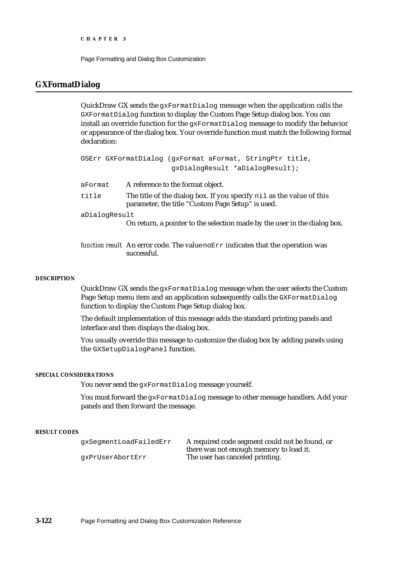Page Formatting and Dialog Box Customization

#### **GXFormatDialog**

QuickDraw GX sends the gxFormatDialog message when the application calls the GXFormatDialog function to display the Custom Page Setup dialog box. You can install an override function for the gxFormatDialog message to modify the behavior or appearance of the dialog box. Your override function must match the following formal declaration:

|               | OSErr GXFormatDialog (gxFormat aFormat, StringPtr title,                                                                  |
|---------------|---------------------------------------------------------------------------------------------------------------------------|
|               | qxDialoqResult *aDialoqResult);                                                                                           |
| aFormat       | A reference to the format object.                                                                                         |
| title         | The title of the dialog box. If you specify nil as the value of this<br>parameter, the title "Custom Page Setup" is used. |
| aDialogResult | On return, a pointer to the selection made by the user in the dialog box.                                                 |
|               |                                                                                                                           |

*function result* An error code. The value noErr indicates that the operation was successful.

#### **DESCRIPTION**

QuickDraw GX sends the gxFormatDialog message when the user selects the Custom Page Setup menu item and an application subsequently calls the GXFormatDialog function to display the Custom Page Setup dialog box.

The default implementation of this message adds the standard printing panels and interface and then displays the dialog box.

You usually override this message to customize the dialog box by adding panels using the GXSetupDialogPanel function.

#### **SPECIAL CONSIDERATIONS**

You never send the gxFormatDialog message yourself.

You must forward the gxFormatDialog message to other message handlers. Add your panels and then forward the message.

#### **RESULT CODES**

gxSegmentLoadFailedErr A required code segment could not be found, or there was not enough memory to load it. gxPrUserAbortErr The user has canceled printing.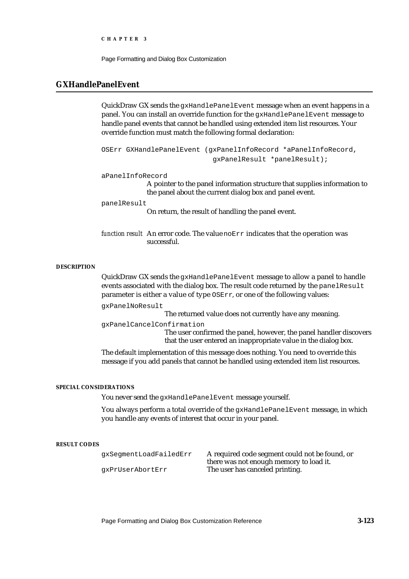Page Formatting and Dialog Box Customization

#### **GXHandlePanelEvent**

QuickDraw GX sends the gxHandlePanelEvent message when an event happens in a panel. You can install an override function for the gxHandlePanelEvent message to handle panel events that cannot be handled using extended item list resources. Your override function must match the following formal declaration:

```
OSErr GXHandlePanelEvent (gxPanelInfoRecord *aPanelInfoRecord,
                           gxPanelResult *panelResult);
```
aPanelInfoRecord

A pointer to the panel information structure that supplies information to the panel about the current dialog box and panel event.

panelResult

On return, the result of handling the panel event.

*function result* An error code. The value noErr indicates that the operation was successful.

#### **DESCRIPTION**

QuickDraw GX sends the gxHandlePanelEvent message to allow a panel to handle events associated with the dialog box. The result code returned by the panelResult parameter is either a value of type OSErr, or one of the following values:

gxPanelNoResult

The returned value does not currently have any meaning.

gxPanelCancelConfirmation

The user confirmed the panel, however, the panel handler discovers that the user entered an inappropriate value in the dialog box.

The default implementation of this message does nothing. You need to override this message if you add panels that cannot be handled using extended item list resources.

#### **SPECIAL CONSIDERATIONS**

You never send the gxHandlePanelEvent message yourself.

You always perform a total override of the gxHandlePanelEvent message, in which you handle any events of interest that occur in your panel.

#### **RESULT CODES**

gxSegmentLoadFailedErr A required code segment could not be found, or there was not enough memory to load it. gxPrUserAbortErr The user has canceled printing.

Page Formatting and Dialog Box Customization Reference **3-123**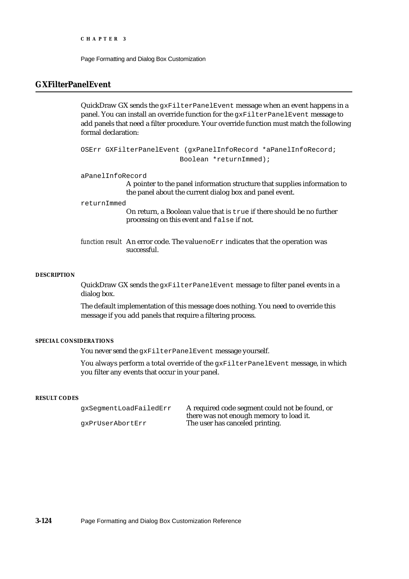Page Formatting and Dialog Box Customization

## **GXFilterPanelEvent**

QuickDraw GX sends the gxFilterPanelEvent message when an event happens in a panel. You can install an override function for the gxFilterPanelEvent message to add panels that need a filter procedure. Your override function must match the following formal declaration:

OSErr GXFilterPanelEvent (gxPanelInfoRecord \*aPanelInfoRecord; Boolean \*returnImmed);

aPanelInfoRecord

A pointer to the panel information structure that supplies information to the panel about the current dialog box and panel event.

returnImmed

On return, a Boolean value that is true if there should be no further processing on this event and false if not.

*function result* An error code. The value noErr indicates that the operation was successful.

#### **DESCRIPTION**

QuickDraw GX sends the gxFilterPanelEvent message to filter panel events in a dialog box.

The default implementation of this message does nothing. You need to override this message if you add panels that require a filtering process.

#### **SPECIAL CONSIDERATIONS**

You never send the gxFilterPanelEvent message yourself.

You always perform a total override of the gxFilterPanelEvent message, in which you filter any events that occur in your panel.

#### **RESULT CODES**

gxSegmentLoadFailedErr A required code segment could not be found, or there was not enough memory to load it. gxPrUserAbortErr The user has canceled printing.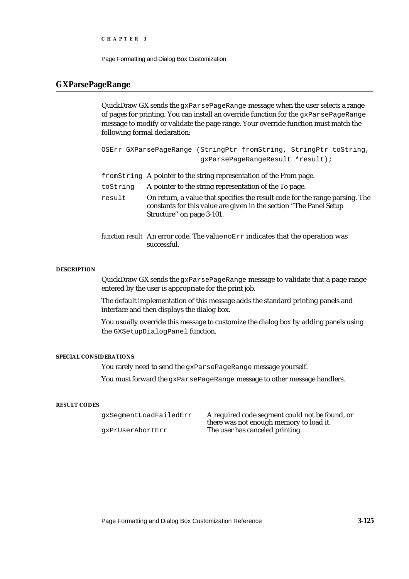Page Formatting and Dialog Box Customization

#### **GXParsePageRange**

QuickDraw GX sends the  $qxParsePageRange$  message when the user selects a range of pages for printing. You can install an override function for the gxParsePageRange message to modify or validate the page range. Your override function must match the following formal declaration:

| OSErr GXParsePageRange (StringPtr fromString, StringPtr toString, |                                  |  |
|-------------------------------------------------------------------|----------------------------------|--|
|                                                                   | qxParsePaqeRanqeResult *result); |  |

fromString A pointer to the string representation of the From page.

- toString A pointer to the string representation of the To page.
- result On return, a value that specifies the result code for the range parsing. The constants for this value are given in the section "The Panel Setup Structure" on page 3-101.
- *function result* An error code. The value noErr indicates that the operation was successful.

#### **DESCRIPTION**

QuickDraw GX sends the gxParsePageRange message to validate that a page range entered by the user is appropriate for the print job.

The default implementation of this message adds the standard printing panels and interface and then displays the dialog box.

You usually override this message to customize the dialog box by adding panels using the GXSetupDialogPanel function.

#### **SPECIAL CONSIDERATIONS**

You rarely need to send the gxParsePageRange message yourself.

You must forward the gxParsePageRange message to other message handlers.

#### **RESULT CODES**

| qxSeqmentLoadFailedErr | A required code segment could not be found, or |
|------------------------|------------------------------------------------|
|                        | there was not enough memory to load it.        |
| qxPrUserAbortErr       | The user has canceled printing.                |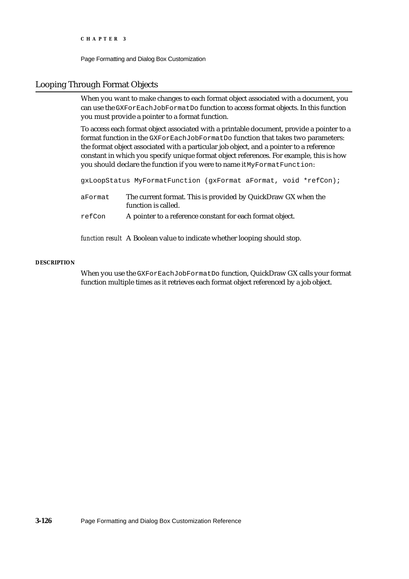Page Formatting and Dialog Box Customization

#### Looping Through Format Objects

When you want to make changes to each format object associated with a document, you can use the GXForEachJobFormatDo function to access format objects. In this function you must provide a pointer to a format function.

To access each format object associated with a printable document, provide a pointer to a format function in the GXForEachJobFormatDo function that takes two parameters: the format object associated with a particular job object, and a pointer to a reference constant in which you specify unique format object references. For example, this is how you should declare the function if you were to name it MyFormatFunction:

gxLoopStatus MyFormatFunction (gxFormat aFormat, void \*refCon);

- aFormat The current format. This is provided by QuickDraw GX when the function is called.
- refCon A pointer to a reference constant for each format object.

*function result* A Boolean value to indicate whether looping should stop.

#### **DESCRIPTION**

When you use the GXForEachJobFormatDo function, QuickDraw GX calls your format function multiple times as it retrieves each format object referenced by a job object.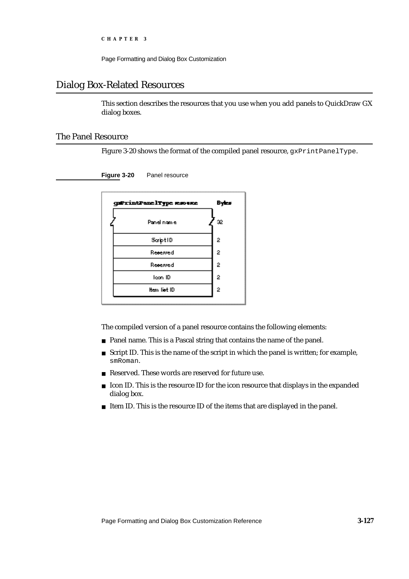Page Formatting and Dialog Box Customization

## Dialog Box-Related Resources

This section describes the resources that you use when you add panels to QuickDraw GX dialog boxes.

#### The Panel Resource

Figure 3-20 shows the format of the compiled panel resource, gxPrintPanelType.

**Figure 3-20** Panel resource

| guPrintPanelType resource | Byles          |
|---------------------------|----------------|
| Panel name                | æ              |
| Script ID                 | 2              |
| Reserved                  | $\overline{2}$ |
| Reserved                  | 2              |
| leon ID                   | 2              |
| ltem liet ID              | 2              |
|                           |                |

The compiled version of a panel resource contains the following elements:

- n Panel name. This is a Pascal string that contains the name of the panel.
- $n$  Script ID. This is the name of the script in which the panel is written; for example, smRoman.
- n Reserved. These words are reserved for future use.
- Icon ID. This is the resource ID for the icon resource that displays in the expanded  $\overline{\mathsf{n}}$ dialog box.
- n Item ID. This is the resource ID of the items that are displayed in the panel.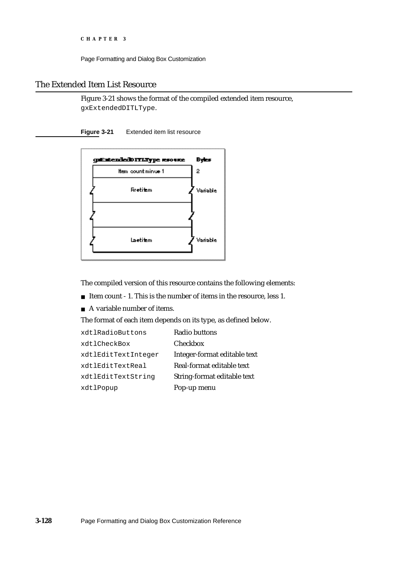Page Formatting and Dialog Box Customization

## The Extended Item List Resource

Figure 3-21 shows the format of the compiled extended item resource, gxExtendedDITLType.

**Figure 3-21** Extended item list resource



The compiled version of this resource contains the following elements:

- n Item count 1. This is the number of items in the resource, less 1.
- A variable number of items.

The format of each item depends on its type, as defined below.

| xdtlRadioButtons    | Radio buttons                |
|---------------------|------------------------------|
| xdtlCheckBox        | <b>Checkbox</b>              |
| xdtlEditTextInteger | Integer-format editable text |
| xdtlEditTextReal    | Real-format editable text    |
| xdtlEditTextString  | String-format editable text  |
| xdtlPopup           | Pop-up menu                  |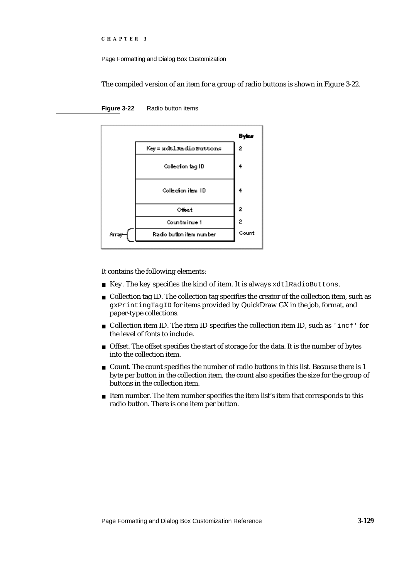Page Formatting and Dialog Box Customization

The compiled version of an item for a group of radio buttons is shown in Figure 3-22.



#### **Figure 3-22** Radio button items

It contains the following elements:

- n Key. The key specifies the kind of item. It is always xdtlRadioButtons.
- $n$  Collection tag ID. The collection tag specifies the creator of the collection item, such as gxPrintingTagID for items provided by QuickDraw GX in the job, format, and paper-type collections.
- $n$  Collection item ID. The item ID specifies the collection item ID, such as 'incf' for the level of fonts to include.
- $n$  Offset. The offset specifies the start of storage for the data. It is the number of bytes into the collection item.
- $n$  Count. The count specifies the number of radio buttons in this list. Because there is 1 byte per button in the collection item, the count also specifies the size for the group of buttons in the collection item.
- $n$  Item number. The item number specifies the item list's item that corresponds to this radio button. There is one item per button.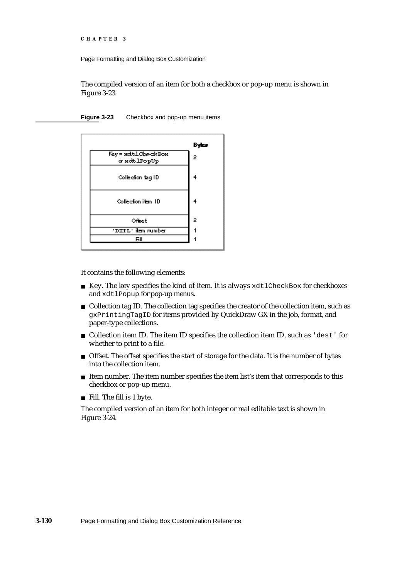Page Formatting and Dialog Box Customization

The compiled version of an item for both a checkbox or pop-up menu is shown in Figure 3-23.

**Figure 3-23** Checkbox and pop-up menu items



It contains the following elements:

- $h$  Key. The key specifies the kind of item. It is always  $xdt$  lCheckBox for checkboxes and xdtlPopup for pop-up menus.
- $n$  Collection tag ID. The collection tag specifies the creator of the collection item, such as gxPrintingTagID for items provided by QuickDraw GX in the job, format, and paper-type collections.
- Collection item ID. The item ID specifies the collection item ID, such as 'dest' for whether to print to a file.
- n Offset. The offset specifies the start of storage for the data. It is the number of bytes into the collection item.
- $n$  Item number. The item number specifies the item list's item that corresponds to this checkbox or pop-up menu.
- Fill. The fill is 1 byte.

The compiled version of an item for both integer or real editable text is shown in Figure 3-24.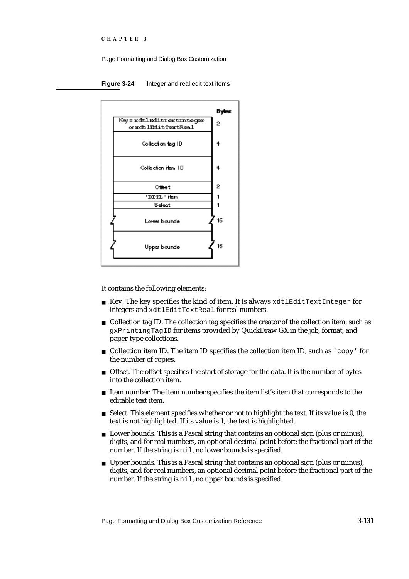Page Formatting and Dialog Box Customization

**Figure 3-24** Integer and real edit text items



It contains the following elements:

- n Key. The key specifies the kind of item. It is always xdtlEditTextInteger for integers and xdtlEditTextReal for real numbers.
- n Collection tag ID. The collection tag specifies the creator of the collection item, such as gxPrintingTagID for items provided by QuickDraw GX in the job, format, and paper-type collections.
- $n$  Collection item ID. The item ID specifies the collection item ID, such as 'copy' for the number of copies.
- n Offset. The offset specifies the start of storage for the data. It is the number of bytes into the collection item.
- $n$  Item number. The item number specifies the item list's item that corresponds to the editable text item.
- $n$  Select. This element specifies whether or not to highlight the text. If its value is 0, the text is not highlighted. If its value is 1, the text is highlighted.
- n Lower bounds. This is a Pascal string that contains an optional sign (plus or minus), digits, and for real numbers, an optional decimal point before the fractional part of the number. If the string is nil, no lower bounds is specified.
- n Upper bounds. This is a Pascal string that contains an optional sign (plus or minus), digits, and for real numbers, an optional decimal point before the fractional part of the number. If the string is nil, no upper bounds is specified.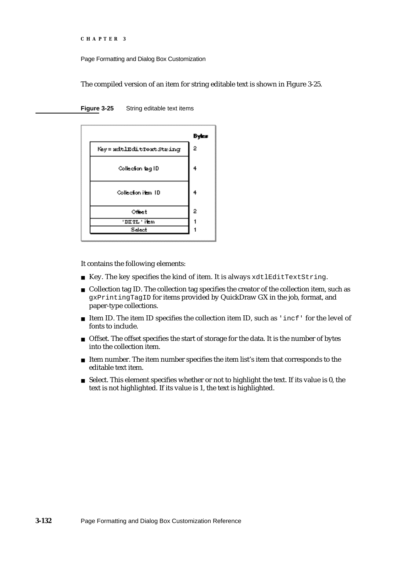```
CHAPTER 3
```
The compiled version of an item for string editable text is shown in Figure 3-25.

**Figure 3-25** String editable text items

|                          | Byes           |
|--------------------------|----------------|
| Key = wdtlEditTowtString | $\overline{2}$ |
| Collection tag ID        | 4              |
| Collection item TD       | 4              |
| Officet                  | 2              |
| 'DITL'item               |                |
| Select                   |                |

It contains the following elements:

- n Key. The key specifies the kind of item. It is always xdtlEditTextString.
- n Collection tag ID. The collection tag specifies the creator of the collection item, such as gxPrintingTagID for items provided by QuickDraw GX in the job, format, and paper-type collections.
- n Item ID. The item ID specifies the collection item ID, such as 'incf' for the level of fonts to include.
- n Offset. The offset specifies the start of storage for the data. It is the number of bytes into the collection item.
- Item number. The item number specifies the item list's item that corresponds to the editable text item.
- $n$  Select. This element specifies whether or not to highlight the text. If its value is 0, the text is not highlighted. If its value is 1, the text is highlighted.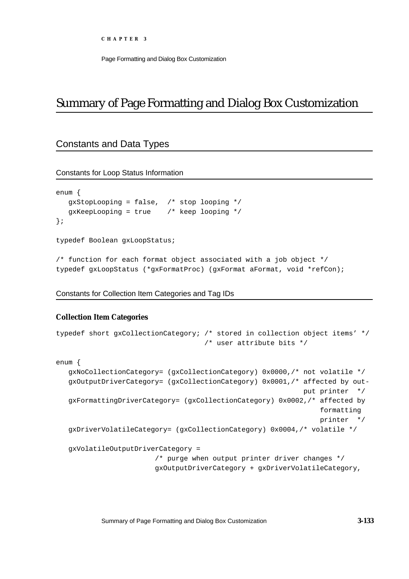# Summary of Page Formatting and Dialog Box Customization

## Constants and Data Types

Constants for Loop Status Information

```
enum {
  gxStopLooping = false, /* stop looping */
  gxKeepLooping = true /* keep looping */
};
```
typedef Boolean gxLoopStatus;

/\* function for each format object associated with a job object \*/ typedef gxLoopStatus (\*gxFormatProc) (gxFormat aFormat, void \*refCon);

#### Constants for Collection Item Categories and Tag IDs

#### **Collection Item Categories**

```
typedef short gxCollectionCategory; /* stored in collection object items' */
                                    /* user attribute bits */
enum {
   gxNoCollectionCategory= (gxCollectionCategory) 0x0000,/* not volatile */
   gxOutputDriverCategory= (gxCollectionCategory) 0x0001,/* affected by out-
                                                            put printer */
   gxFormattingDriverCategory= (gxCollectionCategory) 0x0002,/* affected by
                                                                 formatting
                                                                 printer */
   gxDriverVolatileCategory= (gxCollectionCategory) 0x0004,/* volatile */
   gxVolatileOutputDriverCategory = 
                        /* purge when output printer driver changes */ 
                        gxOutputDriverCategory + gxDriverVolatileCategory,
```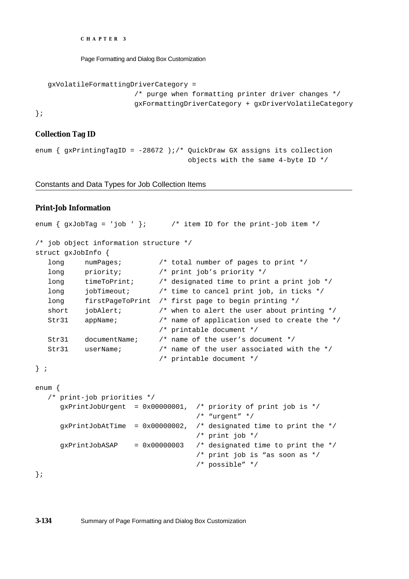Page Formatting and Dialog Box Customization

```
gxVolatileFormattingDriverCategory = 
                     /* purge when formatting printer driver changes */
                     gxFormattingDriverCategory + gxDriverVolatileCategory
```
};

#### **Collection Tag ID**

```
enum { gxPrintingTagID = -28672 );/* QuickDraw GX assigns its collection
                                      objects with the same 4-byte ID */
```
Constants and Data Types for Job Collection Items

## **Print-Job Information**

```
enum { gxJobTag = 'job ' }; /* item ID for the print-job item */
/* job object information structure */
struct gxJobInfo {
   long numPages; /* total number of pages to print */
   long priority; \frac{1}{2} \frac{1}{2} \frac{1}{2} \frac{1}{2} \frac{1}{2} \frac{1}{2} \frac{1}{2} \frac{1}{2} \frac{1}{2} \frac{1}{2} \frac{1}{2} \frac{1}{2} \frac{1}{2} \frac{1}{2} \frac{1}{2} \frac{1}{2} \frac{1}{2} \frac{1}{2} \frac{1}{2} \frac{1}{2} \frac{1}{2long timeToPrint; /* designated time to print a print job */
   long jobTimeout; \frac{1}{2} /* time to cancel print job, in ticks */
   long firstPageToPrint /* first page to begin printing */
   short jobAlert; \frac{1}{2} /* when to alert the user about printing */
   Str31 appName; /* name of application used to create the */
                                 /* printable document */
   Str31 documentName; /* name of the user's document */
   Str31 userName; /* name of the user associated with the */
                                  /* printable document */
} ;
enum {
   /* print-job priorities */
      gxPrintJobUrgent = 0x00000001, /* priority of print job is */
                                            /* "urgent" */
      qxPrintJobAtTime = 0x00000002, /* designated time to print the */
                                            /* print job */
      qxPrintJobASAP = 0x00000003 /* designated time to print the */
                                            /* print job is "as soon as */
```
/\* possible" \*/

};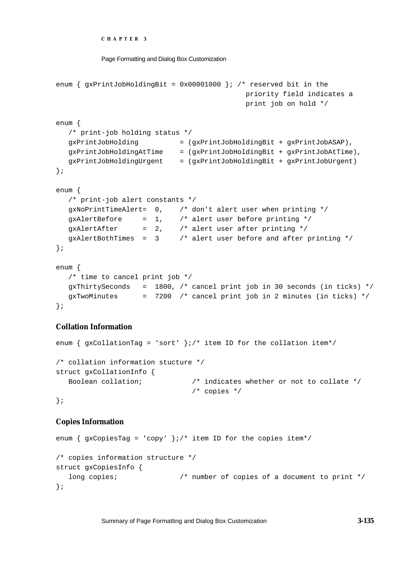```
CHAPTER 3
```

```
Page Formatting and Dialog Box Customization
```

```
enum { gxPrintJobHoldingBit = 0x0001000 }; /* reserved bit in the
                                             priority field indicates a
                                             print job on hold */
enum {
  /* print-job holding status */
  gxPrintJobHolding = (gxPrintJobHoldingBit + gxPrintJobASAP),
  gxPrintJobHoldingAtTime = (gxPrintJobHoldingBit + gxPrintJobAtTime),
  gxPrintJobHoldingUrgent = (gxPrintJobHoldingBit + gxPrintJobUrgent)
};
enum {
  /* print-job alert constants */
  gxNoPrintTimeAlert= 0, /* don't alert user when printing */
  gxAlertBefore = 1, \frac{1}{1} /* alert user before printing */
  gxAlertAfter = 2, \frac{1}{2} alert user after printing */
  gxAlertBothTimes = 3 /* alert user before and after printing */
};
enum {
  /* time to cancel print job */
  gxThirtySeconds = 1800, /* cancel print job in 30 seconds (in ticks) */gxTwoMinutes = 7200 /* cancel print job in 2 minutes (in ticks) */
};
```
## **Collation Information**

enum {  $gxCollisionTag = 'sort'$  };/\* item ID for the collation item\*/ /\* collation information stucture \*/ struct gxCollationInfo { Boolean collation; /\* indicates whether or not to collate \*/ /\* copies \*/ };

## **Copies Information**

```
enum { gxCopiesTag = 'copy' };/* item ID for the copies item*/
/* copies information structure */
struct gxCopiesInfo {
  long copies; \frac{1}{10} /* number of copies of a document to print */
};
```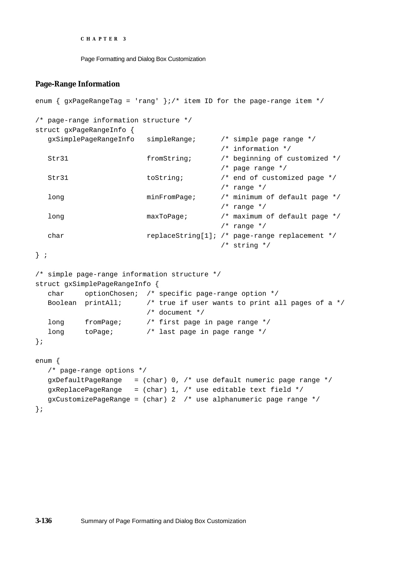Page Formatting and Dialog Box Customization

#### **Page-Range Information**

```
enum { gxPageRangeTag = 'rang' };/* item ID for the page-range item */
/* page-range information structure */
struct gxPageRangeInfo {
   gxSimplePageRangeInfo simpleRange; /* simple page range */
                                                       /* information */
   Str31 fromString; \frac{1}{2} /* beginning of customized */
                                                       /* page range */
   Str31 toString; \frac{1}{2} to \frac{1}{2} to \frac{1}{2} to \frac{1}{2} to \frac{1}{2} to \frac{1}{2} to \frac{1}{2} to \frac{1}{2} to \frac{1}{2} to \frac{1}{2} to \frac{1}{2} to \frac{1}{2} to \frac{1}{2} to \frac{1}{2} to \frac{1}{2} to \frac{1}{2} t
                                                       /* range */long minFromPage; /* minimum of default page */
                                                       /* range */long maxToPage; \frac{1}{2} maximum of default page */
                                                       /* range */char replaceString[1]; /* page-range replacement */
                                                       /* string */
} ;
/* simple page-range information structure */
struct gxSimplePageRangeInfo {
   char optionChosen; /* specific page-range option */
   Boolean printAll; \prime* true if user wants to print all pages of a */
                                 /* document */
   long fromPage; /* first page in page range */
   long toPage; \frac{1}{2} toPage; \frac{1}{2} toPage; \frac{1}{2} toPage; \frac{1}{2} toPage; \frac{1}{2} toPage; \frac{1}{2} toPage; \frac{1}{2} toPage; \frac{1}{2} toPage; \frac{1}{2} toPage; \frac{1}{2} toPage; \frac{1}{2} toPage; \frac{1}{2} t
};
enum {
   /* page-range options */
   gxDefaultPageRange = (char) 0, /* use default numeric page range */gxReplacePageRange = (char) 1, /* use editable text field */gxCustomerizePageRange = (char) 2 /* use alphanumeric page range */
};
```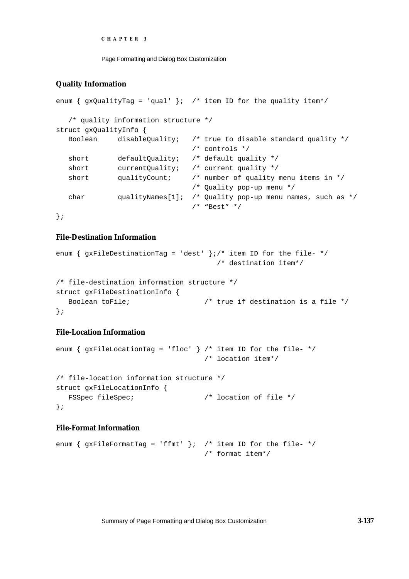```
CHAPTER 3
```
## **Quality Information**

```
enum { gxQualityTag = 'qual' }; /* item ID for the quality item*/
  /* quality information structure */
struct gxQualityInfo {
  Boolean disableQuality; /* true to disable standard quality */
                             /* controls */
  short defaultQuality; /* default quality */
  short currentQuality; /* current quality */
  short qualityCount; /* number of quality menu items in */
                              /* Quality pop-up menu */
  char qualityNames[1]; /* Quality pop-up menu names, such as */
                              /* "Best" */
```
};

## **File-Destination Information**

```
enum { gxFileDestinationTag = 'dest' \}i /* item ID for the file- */
                                      /* destination item*/
/* file-destination information structure */
struct gxFileDestinationInfo {
  Boolean toFile; \overline{a} /* true if destination is a file */
};
```
## **File-Location Information**

```
enum { gxFileLocationTag = 'floc' } /* item ID for the file- */
                                   /* location item*/
/* file-location information structure */
struct gxFileLocationInfo {
  FSSpec fileSpec; \frac{1}{2} /* location of file */
};
```
## **File-Format Information**

```
enum { gxFileFormatTag = 'ffmt' }; /* item ID for the file- */
                                  /* format item*/
```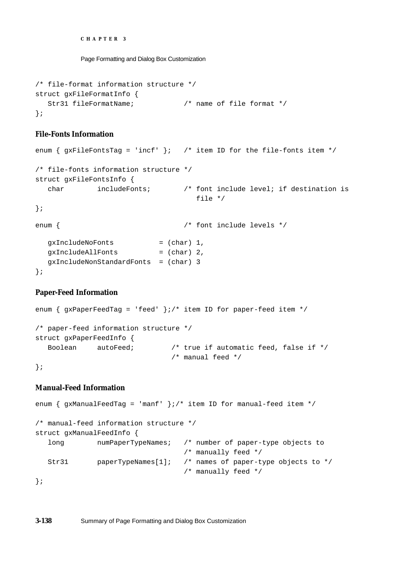Page Formatting and Dialog Box Customization

```
/* file-format information structure */
struct gxFileFormatInfo {
  Str31 fileFormatName; /* name of file format */
};
```
### **File-Fonts Information**

```
enum { gxFileFontsTag = 'incf' }; /* item ID for the file-fonts item */
/* file-fonts information structure */
struct gxFileFontsInfo {
  char includeFonts; /* font include level; if destination is
                                 file */
};
enum { /* font include levels */
  gxIncludeNoFonts = (char) 1,
  gxIncludeAllFonts = (char) 2, 
  gxIncludeNonStandardFonts = (char) 3
};
```
## **Paper-Feed Information**

```
enum { gxPaperFeedTag = 'feed' };/* item ID for paper-feed item */
/* paper-feed information structure */
struct gxPaperFeedInfo {
  Boolean autoFeed; /* true if automatic feed, false if */
                               /* manual feed */
```
## };

## **Manual-Feed Information**

```
enum { gxManualFeedTag = 'manf' \}/ item ID for manual-feed item *//* manual-feed information structure */
struct gxManualFeedInfo {
  long numPaperTypeNames; /* number of paper-type objects to 
                                  /* manually feed */
  Str31 paperTypeNames[1]; /* names of paper-type objects to */
                                  /* manually feed */
};
```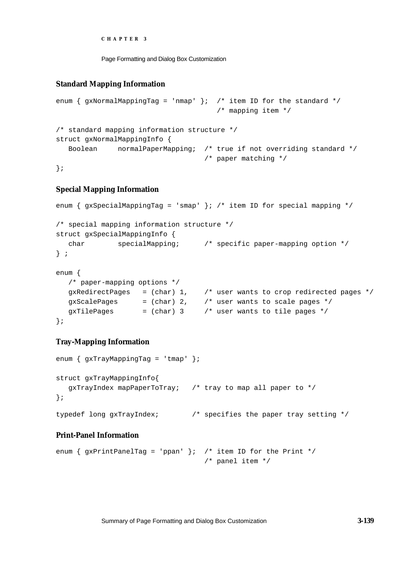```
CHAPTER 3
```
## **Standard Mapping Information**

```
enum { gxNormalMappingTag = 'nmap' }; /* item ID for the standard */
                                      /* mapping item */
/* standard mapping information structure */
struct gxNormalMappingInfo {
  Boolean normalPaperMapping; /* true if not overriding standard */
                                   /* paper matching */
```
};

## **Special Mapping Information**

```
enum { gxSpecialMappingTag = 'smap' }; /* item ID for special mapping */
/* special mapping information structure */
struct gxSpecialMappingInfo {
  char specialMapping; /* specific paper-mapping option */
} ;
enum {
  /* paper-mapping options */
  gxRedirectPages = (char) 1, /* user wants to crop redirected pages */
  gxScalePages = (char) 2, \quad /* user wants to scale pages */
  gxTilePages = (char) 3 /* user wants to tile pages */};
```
## **Tray-Mapping Information**

```
enum \{ qxTrayMappingTaq = 'tmap' };
struct gxTrayMappingInfo{
  gxTrayIndex mapPaperToTray; /* tray to map all paper to */
};
typedef long gxTrayIndex; /* specifies the paper tray setting */
```
## **Print-Panel Information**

```
enum { gxPrintPanelTag = 'ppan' }; /* item ID for the Print */
                                   /* panel item */
```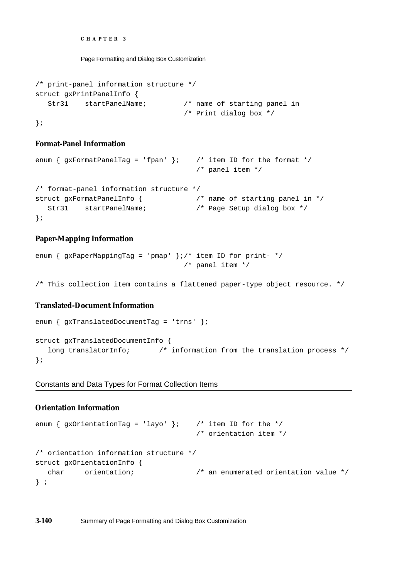Page Formatting and Dialog Box Customization

```
/* print-panel information structure */
struct gxPrintPanelInfo {
  Str31 startPanelName; /* name of starting panel in 
                                  /* Print dialog box */
};
```
#### **Format-Panel Information**

```
enum { gxFormatPanelTag = 'fpan' }; /* item ID for the format */
                                  /* panel item */
/* format-panel information structure */
struct gxFormatPanelInfo { /* name of starting panel in */
  Str31 startPanelName; /* Page Setup dialog box */
};
```
## **Paper-Mapping Information**

```
enum { gxPaperMappingTag = 'pmap' };/* item ID for print- */
                                    /* panel item */
```
/\* This collection item contains a flattened paper-type object resource. \*/

## **Translated-Document Information**

```
enum { gxTranslatedDocumentTag = 'trns' };
struct gxTranslatedDocumentInfo {
   long translatorInfo; \gamma information from the translation process */
};
```
#### Constants and Data Types for Format Collection Items

## **Orientation Information**

```
enum { gxOrientationTag = 'layo' }; /* item ID for the */
                                   /* orientation item */
/* orientation information structure */
struct gxOrientationInfo {
  char orientation; /* an enumerated orientation value */
} ;
```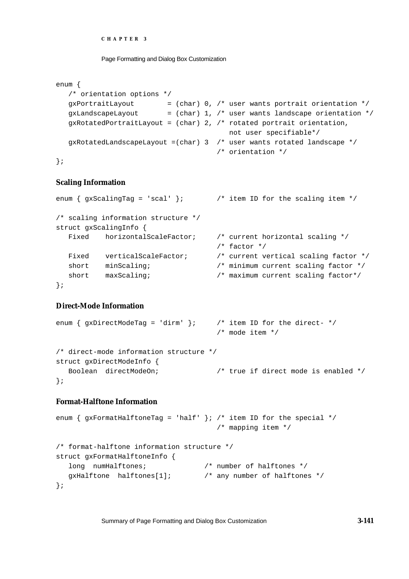```
CHAPTER 3
```

```
enum {
  /* orientation options */
  qxPortraitLayout = (char) 0, /* user wants portrait orientation * /gxLandscapeLayout = (char) 1, \prime* user wants landscape orientation */
  gxRotatedPortraitLayout = (char) 2, /* rotated portrait orientation,
                                        not user specifiable*/
  gxRotatedLandscapeLayout =(char) 3 /* user wants rotated landscape *//* orientation */
};
```
## **Scaling Information**

```
enum { qxScalingTag = 'scal' }; /* item ID for the scaling item *//* scaling information structure */
struct gxScalingInfo {
  Fixed horizontalScaleFactor; /* current horizontal scaling */
                                    /* factor */
  Fixed verticalScaleFactor; /* current vertical scaling factor */
  short minScaling; \overline{\hspace{1cm}} /* minimum current scaling factor */
  short maxScaling; /* maximum current scaling factor*/
};
```
## **Direct-Mode Information**

```
enum { gxDirectModelTag = 'dirm' }; /* item ID for the direct- */
                                      /* mode item */
/* direct-mode information structure */
struct gxDirectModeInfo {
  Boolean directModeOn; \frac{1}{2} /* true if direct mode is enabled */
};
```
## **Format-Halftone Information**

```
enum { qxFormatHalftonerlag = 'half' }; /* item ID for the special */
                                     /* mapping item */
/* format-halftone information structure */
struct gxFormatHalftoneInfo {
  long numHalftones; \frac{1}{2} /* number of halftones */
  gxHalftone halftones[1]; /* any number of halftones */
};
```
Summary of Page Formatting and Dialog Box Customization **3-141**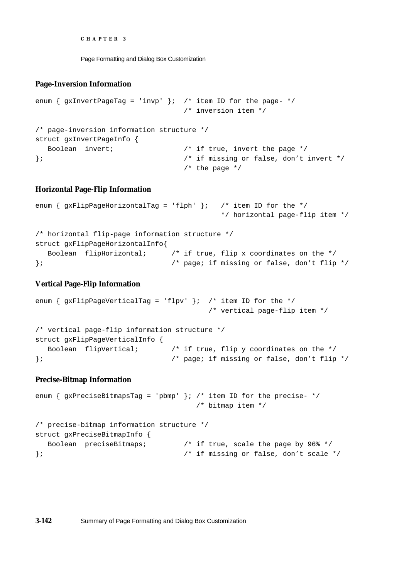Page Formatting and Dialog Box Customization

#### **Page-Inversion Information**

```
enum { gxInvertPageTag = 'invp' }; /* item ID for the page- */
                              /* inversion item */
/* page-inversion information structure */
struct gxInvertPageInfo {
  Boolean invert; /* if true, invert the page */
}; /* if missing or false, don't invert */
                              /* the page */
```
#### **Horizontal Page-Flip Information**

```
enum { gxFlipPageHorizontalfag = 'f1ph' }; /* item ID for the */
                                       */ horizontal page-flip item */
/* horizontal flip-page information structure */
struct gxFlipPageHorizontalInfo{
  Boolean flipHorizontal; /* if true, flip x coordinates on the */
}; /* page; if missing or false, don't flip */
```
#### **Vertical Page-Flip Information**

```
enum { gxFlipPageVerticalTag = 'flpv' }; /* item ID for the */
                                      /* vertical page-flip item */
/* vertical page-flip information structure */
struct gxFlipPageVerticalInfo {
  Boolean flipVertical; \frac{1}{2} /* if true, flip y coordinates on the */
}; /* page; if missing or false, don't flip */
```
#### **Precise-Bitmap Information**

```
enum { qxPreciseBitmapsTag = 'pbmp' }; /* item ID for the precise- */
                                 /* bitmap item */
/* precise-bitmap information structure */
struct gxPreciseBitmapInfo {
  Boolean preciseBitmaps; /* if true, scale the page by 96% */
}; /* if missing or false, don't scale */
```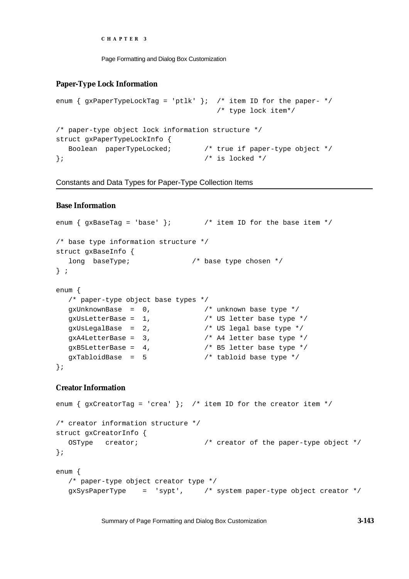```
CHAPTER 3
```
## **Paper-Type Lock Information**

```
enum { gxPaperTypeLockTag = 'ptlk' }; /* item ID for the paper- */
                                   /* type lock item*/
/* paper-type object lock information structure */
struct gxPaperTypeLockInfo {
  Boolean paperTypeLocked; /* true if paper-type object */
\}; \frac{1}{2} /* is locked */
```
Constants and Data Types for Paper-Type Collection Items

## **Base Information**

```
enum { qxBaseTag = 'base' }; /* item ID for the base item */
/* base type information structure */
struct gxBaseInfo {
  long baseType; \frac{1}{2} /* base type chosen */
} ;
enum {
  /* paper-type object base types */
  gxUnknownBase = 0, /* unknown base type */
  gxUsLetterBase = 1, /* US letter base type */
  gxUsLegalBase = 2, \frac{1}{2} /* US legal base type */
  gxA4LetterBase = 3, / * A4 letter base type *gxB5LetterBase = 4, \frac{1}{2} b5 letter base type */
  gxTabloidBase = 5 /* tabloid base type */
};
```
## **Creator Information**

```
enum { gxCreatorTag = 'crea' }; /* item ID for the creator item */
/* creator information structure */
struct gxCreatorInfo {
  OSType creator; /* creator of the paper-type object */
};
enum {
  /* paper-type object creator type */
  gxSysPaperType = 'sypt', /* system paper-type object creator */
```
Summary of Page Formatting and Dialog Box Customization **3-143**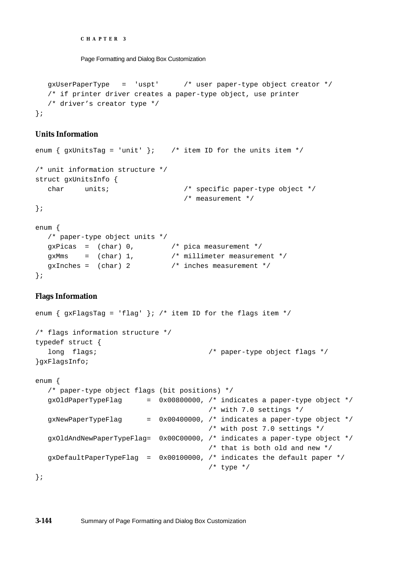Page Formatting and Dialog Box Customization

```
gxUserPaperType = 'uspt' /* user paper-type object creator */
  /* if printer driver creates a paper-type object, use printer 
  /* driver's creator type */
};
```
#### **Units Information**

```
enum { gxUnitsTag = 'unit' }; /* item ID for the units item */
/* unit information structure */
struct gxUnitsInfo {
  char units; /* specific paper-type object */
                               /* measurement */
};
enum {
  /* paper-type object units */
  gxPicas = (char) 0, /* pica measurement */
  gxMms = (char) 1, /* millimeter measurement */
  gxInches = (char) 2 /* inches measurement */
};
```
## **Flags Information**

```
enum { gxFlagsTag = 'flag' }; /* item ID for the flags item */
/* flags information structure */
typedef struct {
  long flags; /* paper-type object flags */
}gxFlagsInfo;
enum {
  /* paper-type object flags (bit positions) */
  gxOldPaperTypeFlag = 0x00800000, /* indicates a paper-type object */
                                       /* with 7.0 settings */
  gxNewPaperTypeFlag = 0x00400000, /* indicates a paper-type object *//* with post 7.0 settings */
  gxOldAndNewPaperTypeFlag= 0x00C00000, /* indicates a paper-type object */
                                       /* that is both old and new */qxDefaultPaperTypeFlag = 0x00100000, /* indicates the default paper *//* type */
```
};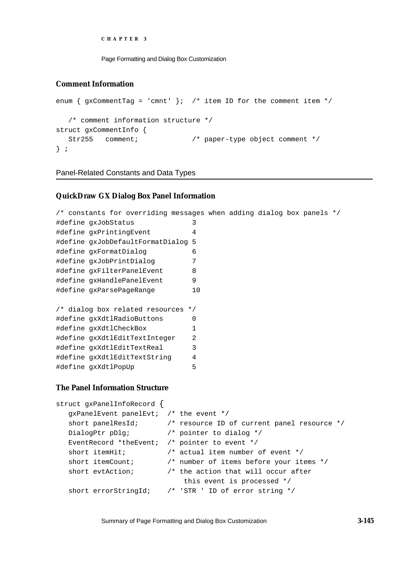```
CHAPTER 3
```
## **Comment Information**

```
enum { gxCommentTag = 'cmnt' }; /* item ID for the comment item */
  /* comment information structure */
struct gxCommentInfo {
  Str255 comment; /* paper-type object comment */
} ;
```
Panel-Related Constants and Data Types

## **QuickDraw GX Dialog Box Panel Information**

|                                        |  |  | /* constants for overriding messages when adding dialog box panels */ |                |  |  |  |
|----------------------------------------|--|--|-----------------------------------------------------------------------|----------------|--|--|--|
| #define qxJobStatus                    |  |  |                                                                       | 3              |  |  |  |
| #define gxPrintingEvent                |  |  |                                                                       | 4              |  |  |  |
|                                        |  |  | #define gxJobDefaultFormatDialog 5                                    |                |  |  |  |
| #define gxFormatDialog                 |  |  |                                                                       | 6              |  |  |  |
| #define gxJobPrintDialog               |  |  |                                                                       | 7              |  |  |  |
|                                        |  |  | #define gxFilterPanelEvent                                            | 8              |  |  |  |
|                                        |  |  | #define qxHandlePanelEvent                                            | 9              |  |  |  |
| #define gxParsePageRange               |  |  |                                                                       | 10             |  |  |  |
|                                        |  |  |                                                                       |                |  |  |  |
|                                        |  |  | /* dialog box related resources */                                    |                |  |  |  |
|                                        |  |  | #define gxXdtlRadioButtons                                            | $\Omega$       |  |  |  |
| #define gxXdtlCheckBox                 |  |  |                                                                       | 1              |  |  |  |
|                                        |  |  | #define gxXdtlEditTextInteger                                         | $\mathfrak{D}$ |  |  |  |
|                                        |  |  | #define gxXdtlEditTextReal                                            | $\mathcal{R}$  |  |  |  |
|                                        |  |  | #define gxXdtlEditTextString                                          | 4              |  |  |  |
| #define gxXdtlPopUp                    |  |  |                                                                       | 5              |  |  |  |
|                                        |  |  |                                                                       |                |  |  |  |
| <b>The Panel Information Structure</b> |  |  |                                                                       |                |  |  |  |
|                                        |  |  | struct gxPanelInfoRecord {                                            |                |  |  |  |
|                                        |  |  | $\alpha x$ PanelEvent panelEvt; /* the event */                       |                |  |  |  |

```
gxPanelEvent panelEvt; /* the event */
short panelResId; /* resource ID of current panel resource */
DialogPtr pDlg; /* pointer to dialog */
EventRecord *theEvent; /* pointer to event */
short itemHit; \frac{1}{x} actual item number of event \frac{x}{x}short itemCount; /* number of items before your items */
short evtAction; \frac{1}{1} /* the action that will occur after
                           this event is processed */
short errorStringId; /* 'STR ' ID of error string */
```
Summary of Page Formatting and Dialog Box Customization **3-145**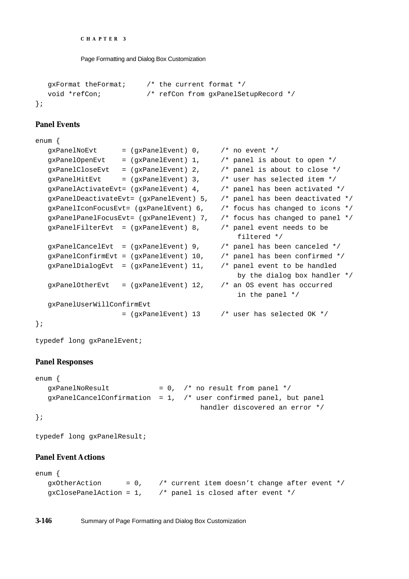```
CHAPTER 3
```

```
gxFormat theFormat; /* the current format */
  void *refCon; /* refCon from gxPanelSetupRecord */
};
```
## **Panel Events**

```
enum {
  gxPanelNoEvt = (gxPanelEvent) 0, /* no event */
  gxPanelOpenEvt = (gxPane1Event) 1, /* panel is about to open */
  gxPanelCloseEvt = (gxPanelEvent) 2, \prime* panel is about to close */
  qxPanellHitEvt = (qxPanelEvent) 3, /* user has selected item */qxPanelActivateEvt= (qxPanelEvent) 4, /* panel has been activated */qxPanelDeactiveateEvt= (qxPanelEvent) 5, /* panel has been deactivated */
  qxPane1IconFocusEvt= (qxPane1Event) 6, /* focus has changed to icons */
  qxPanelPanelFocusEvt= (qxPanelEvent) 7, /* focus has changed to panel */
  qxPanelFilterEvt = (qxPanelEvent) 8, /* panel event needs to be
                                               filtered */
  qxPanelCancelEvt = (qxPanelEvent) 9, /* panel has been canceled */
  qxPanelConfirmEvt = (qxPanelEvent) 10, /* panel has been confirmed */
  gxPanelDialogEvt = (gxPanelEvent) 11, \prime* panel event to be handled
                                               by the dialog box handler */
  qxPane1OtherEvt = (qxPane1Event) 12, /* an OS event has occurred
                                               in the panel */
  gxPanelUserWillConfirmEvt
                   = (gxPanelEvent) 13 /* user has selected OK */
};
```
typedef long gxPanelEvent;

## **Panel Responses**

```
enum {
  gxPanelNoResult = 0, /* no result from panel */
  gxPanelCancelConfirmation = 1, \prime* user confirmed panel, but panel
                                       handler discovered an error */
```
};

typedef long gxPanelResult;

## **Panel Event Actions**

```
enum {
  gxOtherAction = 0, \prime* current item doesn't change after event */
  qxClosePanelAction = 1, \frac{1}{2} /* panel is closed after event */
```
**3-146** Summary of Page Formatting and Dialog Box Customization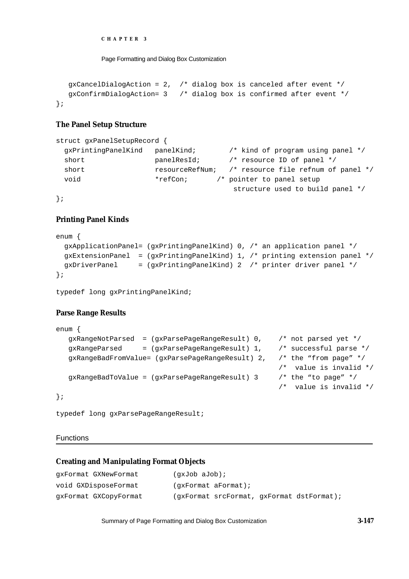```
CHAPTER 3
```

```
gxCancelDialogAction = 2, /* dialog box is canceled after event */
  gxConfirmDialogAction= 3 /* dialog box is confirmed after event */
};
```
## **The Panel Setup Structure**

```
struct gxPanelSetupRecord {
  gxPrintingPanelKind panelKind; /* kind of program using panel */
 short panelResId; \frac{1}{2} /* resource ID of panel */
 short resourceRefNum; /* resource file refnum of panel */
 void *_{\text{refCon}} /* pointer to panel setup
                                      structure used to build panel */
```
};

## **Printing Panel Kinds**

```
enum {
   gxApplicationPanel= (gxPrintingPanelKind) 0, /* an application panel */
   gxExtensionPanel = (gxPrintingPanelKind) 1, /* printing extension panel */
   gxDriverPanel = (gxPrintingPanelKind) 2 /* printer driver panel */
};
```

```
typedef long gxPrintingPanelKind;
```
## **Parse Range Results**

```
enum {
  gxRangeNotParsed = (gxParsePageRangeResult) 0, /* not parsed yet */
  gxRangeParsed = (gxParsePageRangeResult) 1, /* successful parse */
  gxRangeBadFromValue= (gxParsePageRangeResult) 2, /* the "from page" */
                                                   /* value is invalid */
  gxRangeBadToValue = (gxParsePageRangeResult) 3 /* the "to page" */
                                                   /* value is invalid */
};
```
typedef long gxParsePageRangeResult;

#### Functions

## **Creating and Manipulating Format Objects**

| qxFormat GXNewFormat  | (qxJob aJob);                             |
|-----------------------|-------------------------------------------|
| void GXDisposeFormat  | (qxFormat aFormat);                       |
| qxFormat GXCopyFormat | (gxFormat srcFormat, gxFormat dstFormat); |

Summary of Page Formatting and Dialog Box Customization **3-147**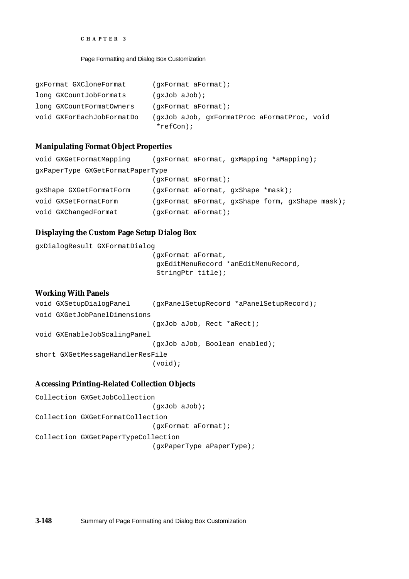#### Page Formatting and Dialog Box Customization

| qxFormat GXCloneFormat    | $(gx$ Format aFormat);                                      |
|---------------------------|-------------------------------------------------------------|
| long GXCountJobFormats    | $(gxJob$ aJob);                                             |
| long GXCountFormatOwners  | $(gx$ Format aFormat);                                      |
| void GXForEachJobFormatDo | (gxJob aJob, gxFormatProc aFormatProc, void<br>$*refCon)$ ; |

#### **Manipulating Format Object Properties**

```
void GXGetFormatMapping (gxFormat aFormat, gxMapping *aMapping);
gxPaperType GXGetFormatPaperType
                          (gxFormat aFormat);
gxShape GXGetFormatForm (gxFormat aFormat, gxShape *mask);
void GXSetFormatForm (gxFormat aFormat, gxShape form, gxShape mask);
void GXChangedFormat (gxFormat aFormat);
```
#### **Displaying the Custom Page Setup Dialog Box**

```
gxDialogResult GXFormatDialog
                             (gxFormat aFormat,
                              gxEditMenuRecord *anEditMenuRecord,
                              StringPtr title);
```
# **Working With Panels**

```
void GXSetupDialogPanel (gxPanelSetupRecord *aPanelSetupRecord);
void GXGetJobPanelDimensions
                            (gxJob aJob, Rect *aRect);
void GXEnableJobScalingPanel
                            (gxJob aJob, Boolean enabled);
short GXGetMessageHandlerResFile 
                            (void);
```
#### **Accessing Printing-Related Collection Objects**

```
Collection GXGetJobCollection
                             (gxJob aJob);
Collection GXGetFormatCollection
                            (gxFormat aFormat);
Collection GXGetPaperTypeCollection
                             (gxPaperType aPaperType);
```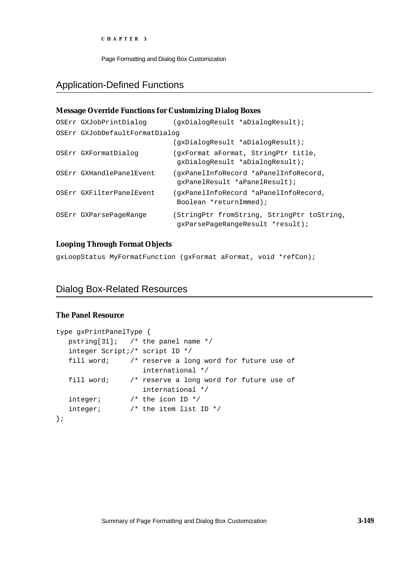Page Formatting and Dialog Box Customization

# Application-Defined Functions

## **Message Override Functions for Customizing Dialog Boxes** OSErr GXJobPrintDialog (gxDialogResult \*aDialogResult); OSErr GXJobDefaultFormatDialog (gxDialogResult \*aDialogResult); OSErr GXFormatDialog (gxFormat aFormat, StringPtr title, gxDialogResult \*aDialogResult); OSErr GXHandlePanelEvent (gxPanelInfoRecord \*aPanelInfoRecord, gxPanelResult \*aPanelResult); OSErr GXFilterPanelEvent (gxPanelInfoRecord \*aPanelInfoRecord, Boolean \*returnImmed); OSErr GXParsePageRange (StringPtr fromString, StringPtr toString, gxParsePageRangeResult \*result);

## **Looping Through Format Objects**

gxLoopStatus MyFormatFunction (gxFormat aFormat, void \*refCon);

# Dialog Box-Related Resources

## **The Panel Resource**

```
type gxPrintPanelType {
  pstring[31]; /* the panel name */
  integer Script;/* script ID */
  fill word; /* reserve a long word for future use of
                   international */
  fill word; /* reserve a long word for future use of
                   international */
  integer; /* the icon ID */integer; /* the item list ID */
};
```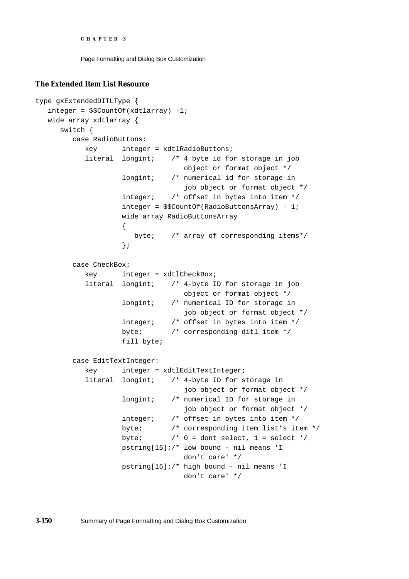Page Formatting and Dialog Box Customization

#### **The Extended Item List Resource**

```
type gxExtendedDITLType {
  integer = $$CountOf(xdtlarray) -1;
  wide array xdtlarray {
     switch {
        case RadioButtons:
           key integer = xdtlRadioButtons;
           literal longint; /* 4 byte id for storage in job 
                                  object or format object */
                    longint; /* numerical id for storage in 
                                  job object or format object */
                    integer; /* offset in bytes into item */
                    integer = $$CountOf(RadioButtonsArray) - 1;
                    wide array RadioButtonsArray
                    {
                      byte; /* array of corresponding items*/
                    };
        case CheckBox:
           key integer = xdtlCheckBox;
           literal longint; /* 4-byte ID for storage in job 
                                  object or format object */
                    longint; /* numerical ID for storage in 
                                  job object or format object */
                    integer; /* offset in bytes into item */
                    byte; /* corresponding ditl item */
                    fill byte;
        case EditTextInteger:
           key integer = xdtlEditTextInteger;
           literal longint; /* 4-byte ID for storage in 
                                  job object or format object */
                    longint; /* numerical ID for storage in
                                  job object or format object */
                    integer; /* offset in bytes into item */
                    byte; /* corresponding item list's item */
                    byte; /* 0 = dont select, 1 = select */pstring[15];/* low bound - nil means 'I 
                                  don't care' */
                    pstring[15];/* high bound - nil means 'I 
                                  don't care' */
```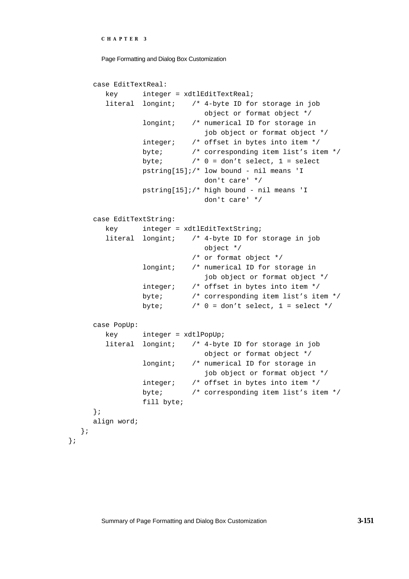```
CHAPTER 3
```

```
case EditTextReal:
     key integer = xdtlEditTextReal;
     literal longint; /* 4-byte ID for storage in job 
                            object or format object */
              longint; /* numerical ID for storage in 
                            job object or format object */
              integer; /* offset in bytes into item */
              byte; /* corresponding item list's item */
              byte; /* 0 = don't select, 1 = selectpstring[15];/* low bound - nil means 'I
                            don't care' */
              pstring[15];/* high bound - nil means 'I 
                            don't care' */
  case EditTextString:
     key integer = xdtlEditTextString;
     literal longint; /* 4-byte ID for storage in job 
                            object */
                         /* or format object */
              longint; /* numerical ID for storage in 
                            job object or format object */
              integer; /* offset in bytes into item */
              byte; /* corresponding item list's item */
              byte; /* 0 = don't select, 1 = select */case PopUp:
     key integer = xdtlPopUp;
     literal longint; /* 4-byte ID for storage in job 
                            object or format object */
              longint; /* numerical ID for storage in 
                            job object or format object */
              integer; /* offset in bytes into item */
              byte; /* corresponding item list's item */
              fill byte;
  };
  align word;
};
```
};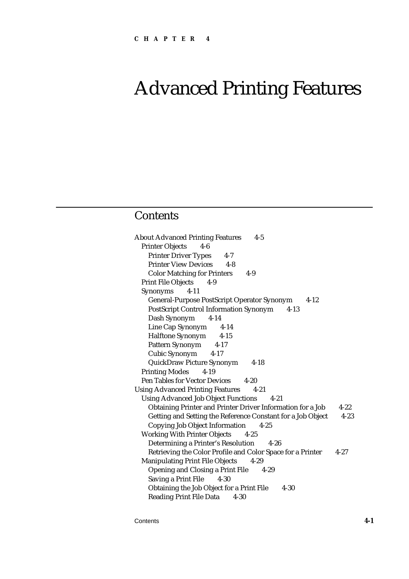# Advanced Printing Features

# **Contents**

About Advanced Printing Features 4-5 Printer Objects 4-6 Printer Driver Types 4-7 Printer View Devices 4-8 Color Matching for Printers 4-9 Print File Objects 4-9 Synonyms 4-11 General-Purpose PostScript Operator Synonym 4-12 PostScript Control Information Synonym 4-13 Dash Synonym 4-14 Line Cap Synonym 4-14 Halftone Synonym 4-15 Pattern Synonym 4-17 Cubic Synonym 4-17 QuickDraw Picture Synonym 4-18 Printing Modes 4-19 Pen Tables for Vector Devices 4-20 Using Advanced Printing Features 4-21 Using Advanced Job Object Functions 4-21 Obtaining Printer and Printer Driver Information for a Job 4-22 Getting and Setting the Reference Constant for a Job Object 4-23 Copying Job Object Information 4-25 Working With Printer Objects 4-25 Determining a Printer's Resolution 4-26 Retrieving the Color Profile and Color Space for a Printer 4-27 Manipulating Print File Objects 4-29 Opening and Closing a Print File 4-29 Saving a Print File 4-30 Obtaining the Job Object for a Print File 4-30 Reading Print File Data 4-30

Contents **4-1**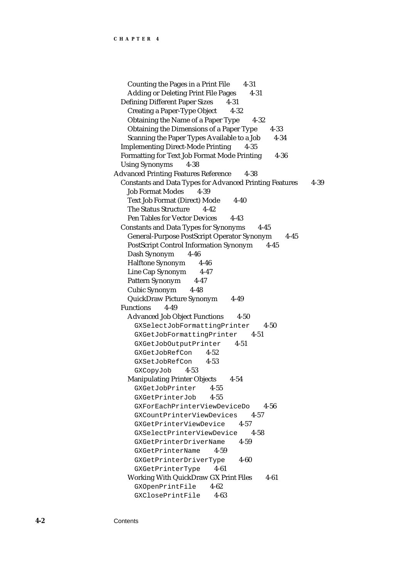Counting the Pages in a Print File 4-31 Adding or Deleting Print File Pages 4-31 Defining Different Paper Sizes 4-31 Creating a Paper-Type Object 4-32 Obtaining the Name of a Paper Type 4-32 Obtaining the Dimensions of a Paper Type 4-33 Scanning the Paper Types Available to a Job 4-34 Implementing Direct-Mode Printing 4-35 Formatting for Text Job Format Mode Printing 4-36 Using Synonyms 4-38 Advanced Printing Features Reference 4-38 Constants and Data Types for Advanced Printing Features 4-39 Job Format Modes 4-39 Text Job Format (Direct) Mode 4-40 The Status Structure 4-42 Pen Tables for Vector Devices 4-43 Constants and Data Types for Synonyms 4-45 General-Purpose PostScript Operator Synonym 4-45 PostScript Control Information Synonym 4-45 Dash Synonym 4-46 Halftone Synonym 4-46 Line Cap Synonym 4-47 Pattern Synonym 4-47 Cubic Synonym 4-48 QuickDraw Picture Synonym 4-49 Functions 4-49 Advanced Job Object Functions 4-50 GXSelectJobFormattingPrinter 4-50 GXGetJobFormattingPrinter 4-51 GXGetJobOutputPrinter 4-51 GXGetJobRefCon 4-52 GXSetJobRefCon 4-53 GXCopyJob 4-53 Manipulating Printer Objects 4-54 GXGetJobPrinter 4-55 GXGetPrinterJob 4-55 GXForEachPrinterViewDeviceDo 4-56 GXCountPrinterViewDevices 4-57 GXGetPrinterViewDevice 4-57 GXSelectPrinterViewDevice 4-58 GXGetPrinterDriverName 4-59 GXGetPrinterName 4-59 GXGetPrinterDriverType 4-60 GXGetPrinterType 4-61 Working With QuickDraw GX Print Files 4-61 GXOpenPrintFile 4-62 GXClosePrintFile 4-63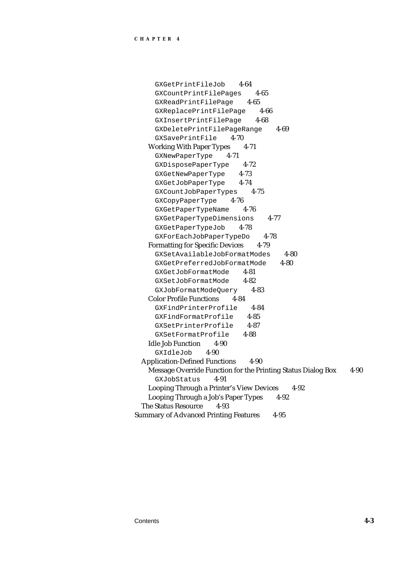GXGetPrintFileJob 4-64 GXCountPrintFilePages 4-65 GXReadPrintFilePage 4-65 GXReplacePrintFilePage 4-66 GXInsertPrintFilePage 4-68 GXDeletePrintFilePageRange 4-69 GXSavePrintFile 4-70 Working With Paper Types 4-71 GXNewPaperType 4-71 GXDisposePaperType 4-72 GXGetNewPaperType 4-73 GXGetJobPaperType 4-74 GXCountJobPaperTypes 4-75 GXCopyPaperType 4-76 GXGetPaperTypeName 4-76 GXGetPaperTypeDimensions 4-77 GXGetPaperTypeJob 4-78 GXForEachJobPaperTypeDo 4-78 Formatting for Specific Devices 4-79 GXSetAvailableJobFormatModes 4-80 GXGetPreferredJobFormatMode 4-80 GXGetJobFormatMode 4-81 GXSetJobFormatMode 4-82 GXJobFormatModeQuery 4-83 Color Profile Functions 4-84 GXFindPrinterProfile 4-84 GXFindFormatProfile 4-85 GXSetPrinterProfile 4-87 GXSetFormatProfile 4-88 Idle Job Function 4-90 GXIdleJob 4-90 Application-Defined Functions 4-90 Message Override Function for the Printing Status Dialog Box 4-90 GXJobStatus 4-91 Looping Through a Printer's View Devices 4-92 Looping Through a Job's Paper Types 4-92 The Status Resource 4-93 Summary of Advanced Printing Features 4-95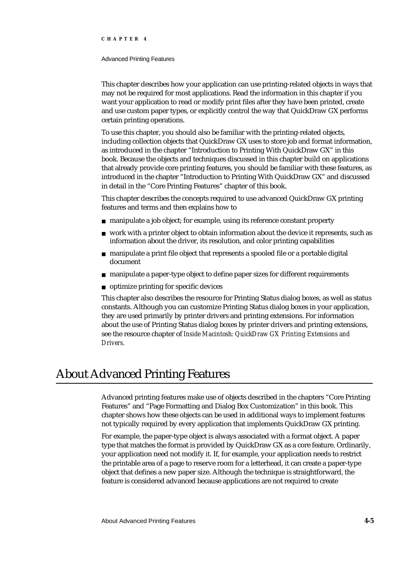#### Advanced Printing Features

This chapter describes how your application can use printing-related objects in ways that may not be required for most applications. Read the information in this chapter if you want your application to read or modify print files after they have been printed, create and use custom paper types, or explicitly control the way that QuickDraw GX performs certain printing operations.

To use this chapter, you should also be familiar with the printing-related objects, including collection objects that QuickDraw GX uses to store job and format information, as introduced in the chapter "Introduction to Printing With QuickDraw GX" in this book. Because the objects and techniques discussed in this chapter build on applications that already provide core printing features, you should be familiar with these features, as introduced in the chapter "Introduction to Printing With QuickDraw GX" and discussed in detail in the "Core Printing Features" chapter of this book.

This chapter describes the concepts required to use advanced QuickDraw GX printing features and terms and then explains how to

- n manipulate a job object; for example, using its reference constant property
- work with a printer object to obtain information about the device it represents, such as  $\overline{p}$ information about the driver, its resolution, and color printing capabilities
- manipulate a print file object that represents a spooled file or a portable digital document
- n manipulate a paper-type object to define paper sizes for different requirements
- optimize printing for specific devices

This chapter also describes the resource for Printing Status dialog boxes, as well as status constants. Although you can customize Printing Status dialog boxes in your application, they are used primarily by printer drivers and printing extensions. For information about the use of Printing Status dialog boxes by printer drivers and printing extensions, see the resource chapter of *Inside Macintosh: QuickDraw GX Printing Extensions and Drivers*.

# About Advanced Printing Features

Advanced printing features make use of objects described in the chapters "Core Printing Features" and "Page Formatting and Dialog Box Customization" in this book. This chapter shows how these objects can be used in additional ways to implement features not typically required by every application that implements QuickDraw GX printing.

For example, the paper-type object is always associated with a format object. A paper type that matches the format is provided by QuickDraw GX as a core feature. Ordinarily, your application need not modify it. If, for example, your application needs to restrict the printable area of a page to reserve room for a letterhead, it can create a paper-type object that defines a new paper size. Although the technique is straightforward, the feature is considered advanced because applications are not required to create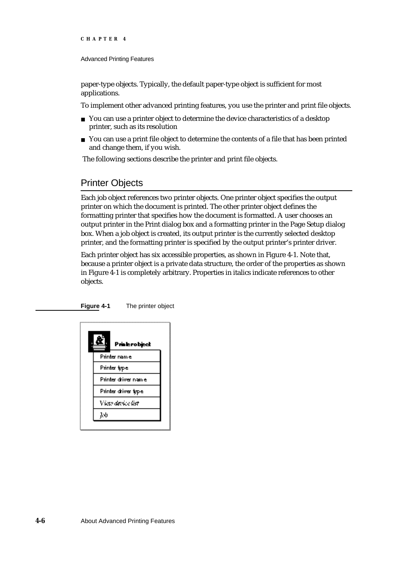#### Advanced Printing Features

paper-type objects. Typically, the default paper-type object is sufficient for most applications.

To implement other advanced printing features, you use the printer and print file objects.

- n You can use a printer object to determine the device characteristics of a desktop printer, such as its resolution
- n You can use a print file object to determine the contents of a file that has been printed and change them, if you wish.

The following sections describe the printer and print file objects.

# Printer Objects

Each job object references two printer objects. One printer object specifies the output printer on which the document is printed. The other printer object defines the formatting printer that specifies how the document is formatted. A user chooses an output printer in the Print dialog box and a formatting printer in the Page Setup dialog box. When a job object is created, its output printer is the currently selected desktop printer, and the formatting printer is specified by the output printer's printer driver.

Each printer object has six accessible properties, as shown in Figure 4-1. Note that, because a printer object is a private data structure, the order of the properties as shown in Figure 4-1 is completely arbitrary. Properties in italics indicate references to other objects.

**Figure 4-1** The printer object

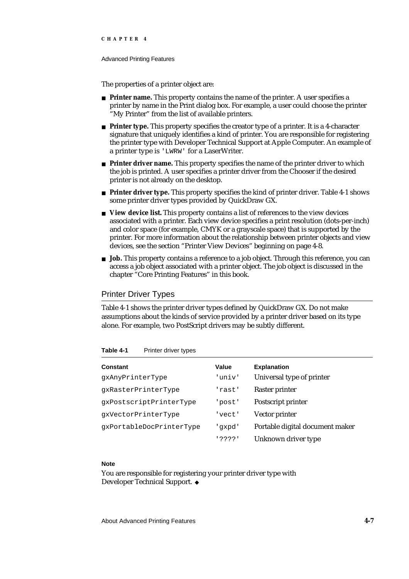#### Advanced Printing Features

The properties of a printer object are:

- **Printer name.** This property contains the name of the printer. A user specifies a printer by name in the Print dialog box. For example, a user could choose the printer "My Printer" from the list of available printers.
- **Printer type.** This property specifies the creator type of a printer. It is a 4-character signature that uniquely identifies a kind of printer. You are responsible for registering the printer type with Developer Technical Support at Apple Computer. An example of a printer type is 'LWRW' for a LaserWriter.
- **Printer driver name.** This property specifies the name of the printer driver to which the job is printed. A user specifies a printer driver from the Chooser if the desired printer is not already on the desktop.
- **Printer driver type.** This property specifies the kind of printer driver. Table 4-1 shows some printer driver types provided by QuickDraw GX.
- **View device list.** This property contains a list of references to the view devices associated with a printer. Each view device specifies a print resolution (dots-per-inch) and color space (for example, CMYK or a grayscale space) that is supported by the printer. For more information about the relationship between printer objects and view devices, see the section "Printer View Devices" beginning on page 4-8.
- **Job.** This property contains a reference to a job object. Through this reference, you can access a job object associated with a printer object. The job object is discussed in the chapter "Core Printing Features" in this book.

## Printer Driver Types

Table 4-1 shows the printer driver types defined by QuickDraw GX. Do not make assumptions about the kinds of service provided by a printer driver based on its type alone. For example, two PostScript drivers may be subtly different.

| <b>Constant</b>          | Value  | <b>Explanation</b>              |
|--------------------------|--------|---------------------------------|
| qxAnyPrinterType         | 'univ' | Universal type of printer       |
| qxRasterPrinterType      | 'rast' | Raster printer                  |
| qxPostscriptPrinterType  | 'post' | Postscript printer              |
| qxVectorPrinterType      | 'vect' | Vector printer                  |
| gxPortableDocPrinterType | qxpd'  | Portable digital document maker |
|                          | י????י | Unknown driver type             |

## Table 4-1 Printer driver types

### **Note**

You are responsible for registering your printer driver type with Developer Technical Support.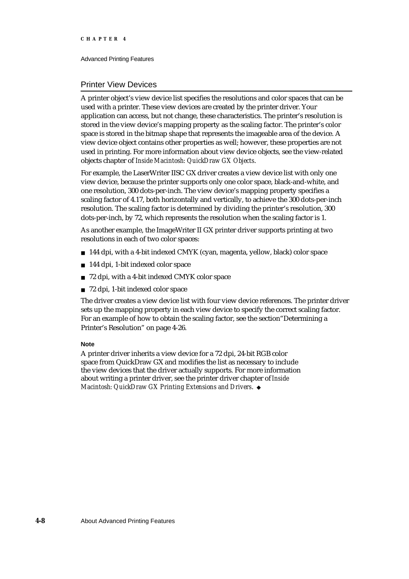Advanced Printing Features

## Printer View Devices

A printer object's view device list specifies the resolutions and color spaces that can be used with a printer. These view devices are created by the printer driver. Your application can access, but not change, these characteristics. The printer's resolution is stored in the view device's mapping property as the scaling factor. The printer's color space is stored in the bitmap shape that represents the imageable area of the device. A view device object contains other properties as well; however, these properties are not used in printing. For more information about view device objects, see the view-related objects chapter of *Inside Macintosh: QuickDraw GX Objects*.

For example, the LaserWriter IISC GX driver creates a view device list with only one view device, because the printer supports only one color space, black-and-white, and one resolution, 300 dots-per-inch. The view device's mapping property specifies a scaling factor of 4.17, both horizontally and vertically, to achieve the 300 dots-per-inch resolution. The scaling factor is determined by dividing the printer's resolution, 300 dots-per-inch, by 72, which represents the resolution when the scaling factor is 1.

As another example, the ImageWriter II GX printer driver supports printing at two resolutions in each of two color spaces:

- 144 dpi, with a 4-bit indexed CMYK (cyan, magenta, yellow, black) color space
- n 144 dpi, 1-bit indexed color space
- n 72 dpi, with a 4-bit indexed CMYK color space
- 72 dpi, 1-bit indexed color space

The driver creates a view device list with four view device references. The printer driver sets up the mapping property in each view device to specify the correct scaling factor. For an example of how to obtain the scaling factor, see the section"Determining a Printer's Resolution" on page 4-26.

### **Note**

A printer driver inherits a view device for a 72 dpi, 24-bit RGB color space from QuickDraw GX and modifies the list as necessary to include the view devices that the driver actually supports. For more information about writing a printer driver, see the printer driver chapter of *Inside Macintosh: QuickDraw GX Printing Extensions and Drivers*.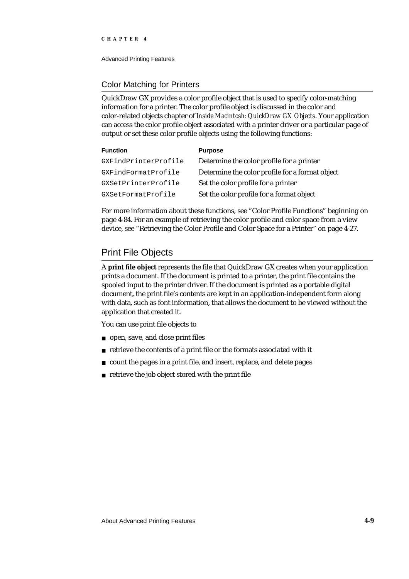Advanced Printing Features

## Color Matching for Printers

QuickDraw GX provides a color profile object that is used to specify color-matching information for a printer. The color profile object is discussed in the color and color-related objects chapter of *Inside Macintosh: QuickDraw GX Objects*. Your application can access the color profile object associated with a printer driver or a particular page of output or set these color profile objects using the following functions:

| <b>Function</b>      | <b>Purpose</b>                                  |
|----------------------|-------------------------------------------------|
| GXFindPrinterProfile | Determine the color profile for a printer       |
| GXFindFormatProfile  | Determine the color profile for a format object |
| GXSetPrinterProfile  | Set the color profile for a printer             |
| GXSetFormatProfile   | Set the color profile for a format object       |

For more information about these functions, see "Color Profile Functions" beginning on page 4-84. For an example of retrieving the color profile and color space from a view device, see "Retrieving the Color Profile and Color Space for a Printer" on page 4-27.

# Print File Objects

A **print file object** represents the file that QuickDraw GX creates when your application prints a document. If the document is printed to a printer, the print file contains the spooled input to the printer driver. If the document is printed as a portable digital document, the print file's contents are kept in an application-independent form along with data, such as font information, that allows the document to be viewed without the application that created it.

You can use print file objects to

- open, save, and close print files
- retrieve the contents of a print file or the formats associated with it
- count the pages in a print file, and insert, replace, and delete pages  $\overline{p}$
- retrieve the job object stored with the print file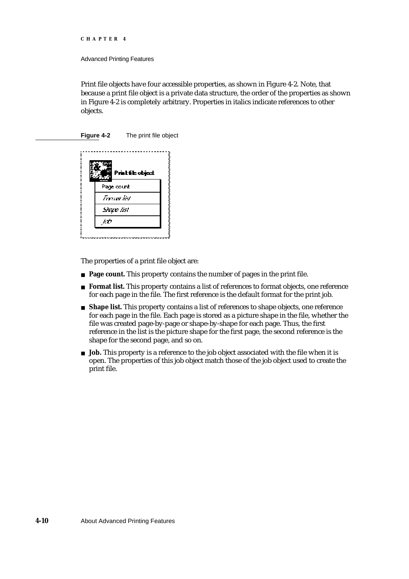```
CHAPTER 4
```
Print file objects have four accessible properties, as shown in Figure 4-2. Note, that because a print file object is a private data structure, the order of the properties as shown in Figure 4-2 is completely arbitrary. Properties in italics indicate references to other objects.

**Figure 4-2** The print file object



The properties of a print file object are:

- **Page count.** This property contains the number of pages in the print file.
- **Format list.** This property contains a list of references to format objects, one reference for each page in the file. The first reference is the default format for the print job.
- **Shape list.** This property contains a list of references to shape objects, one reference for each page in the file. Each page is stored as a picture shape in the file, whether the file was created page-by-page or shape-by-shape for each page. Thus, the first reference in the list is the picture shape for the first page, the second reference is the shape for the second page, and so on.
- **Job.** This property is a reference to the job object associated with the file when it is open. The properties of this job object match those of the job object used to create the print file.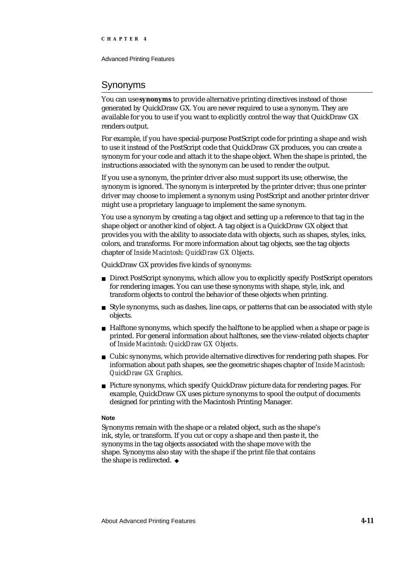# Synonyms

You can use **synonyms** to provide alternative printing directives instead of those generated by QuickDraw GX. You are never required to use a synonym. They are available for you to use if you want to explicitly control the way that QuickDraw GX renders output.

For example, if you have special-purpose PostScript code for printing a shape and wish to use it instead of the PostScript code that QuickDraw GX produces, you can create a synonym for your code and attach it to the shape object. When the shape is printed, the instructions associated with the synonym can be used to render the output.

If you use a synonym, the printer driver also must support its use; otherwise, the synonym is ignored. The synonym is interpreted by the printer driver; thus one printer driver may choose to implement a synonym using PostScript and another printer driver might use a proprietary language to implement the same synonym.

You use a synonym by creating a tag object and setting up a reference to that tag in the shape object or another kind of object. A tag object is a QuickDraw GX object that provides you with the ability to associate data with objects, such as shapes, styles, inks, colors, and transforms. For more information about tag objects, see the tag objects chapter of *Inside Macintosh: QuickDraw GX Objects*.

QuickDraw GX provides five kinds of synonyms:

- n Direct PostScript synonyms, which allow you to explicitly specify PostScript operators for rendering images. You can use these synonyms with shape, style, ink, and transform objects to control the behavior of these objects when printing.
- $n$  Style synonyms, such as dashes, line caps, or patterns that can be associated with style objects.
- $n$  Halftone synonyms, which specify the halftone to be applied when a shape or page is printed. For general information about halftones, see the view-related objects chapter of *Inside Macintosh: QuickDraw GX Objects*.
- Cubic synonyms, which provide alternative directives for rendering path shapes. For information about path shapes, see the geometric shapes chapter of *Inside Macintosh: QuickDraw GX Graphics*.
- Picture synonyms, which specify QuickDraw picture data for rendering pages. For example, QuickDraw GX uses picture synonyms to spool the output of documents designed for printing with the Macintosh Printing Manager.

## **Note**

Synonyms remain with the shape or a related object, such as the shape's ink, style, or transform. If you cut or copy a shape and then paste it, the synonyms in the tag objects associated with the shape move with the shape. Synonyms also stay with the shape if the print file that contains the shape is redirected.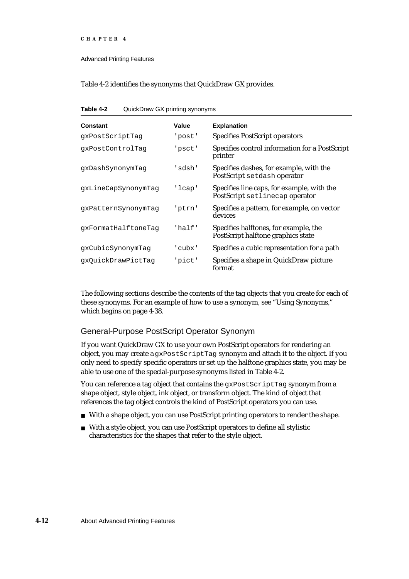Advanced Printing Features

Table 4-2 identifies the synonyms that QuickDraw GX provides.

| Table 4-2 | QuickDraw GX printing synonyms |  |  |  |
|-----------|--------------------------------|--|--|--|
|-----------|--------------------------------|--|--|--|

| Constant            | Value    | <b>Explanation</b>                                                           |
|---------------------|----------|------------------------------------------------------------------------------|
| qxPostScriptTaq     | 'post'   | <b>Specifies PostScript operators</b>                                        |
| qxPostControlTaq    | 'psct'   | Specifies control information for a PostScript<br>printer                    |
| qxDashSynonymTaq    | 'sdsh'   | Specifies dashes, for example, with the<br>PostScript setdash operator       |
| qxLineCapSynonymTaq | 'lcap'   | Specifies line caps, for example, with the<br>PostScript setlinecap operator |
| qxPatternSynonymTaq | 'ptrn'   | Specifies a pattern, for example, on vector<br>devices                       |
| qxFormatHalftoneTaq | 'half'   | Specifies halftones, for example, the<br>PostScript halftone graphics state  |
| qxCubicSynonymTaq   | ' cubx ' | Specifies a cubic representation for a path                                  |
| qxQuickDrawPictTaq  | 'pict'   | Specifies a shape in QuickDraw picture<br>format                             |

The following sections describe the contents of the tag objects that you create for each of these synonyms. For an example of how to use a synonym, see "Using Synonyms," which begins on page 4-38.

## General-Purpose PostScript Operator Synonym

If you want QuickDraw GX to use your own PostScript operators for rendering an object, you may create a gxPostScriptTag synonym and attach it to the object. If you only need to specify specific operators or set up the halftone graphics state, you may be able to use one of the special-purpose synonyms listed in Table 4-2.

You can reference a tag object that contains the gxPostScriptTag synonym from a shape object, style object, ink object, or transform object. The kind of object that references the tag object controls the kind of PostScript operators you can use.

- With a shape object, you can use PostScript printing operators to render the shape.
- With a style object, you can use PostScript operators to define all stylistic characteristics for the shapes that refer to the style object.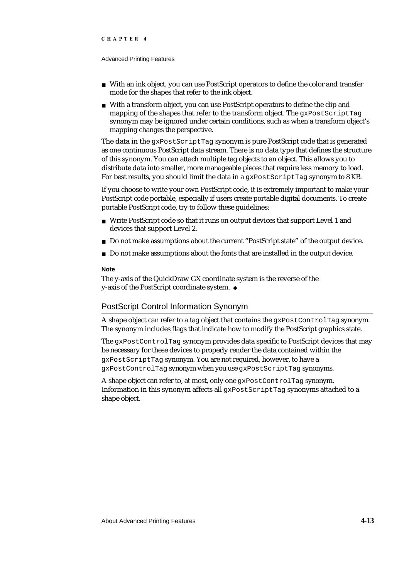#### Advanced Printing Features

- With an ink object, you can use PostScript operators to define the color and transfer mode for the shapes that refer to the ink object.
- n With a transform object, you can use PostScript operators to define the clip and mapping of the shapes that refer to the transform object. The gxPostScriptTag synonym may be ignored under certain conditions, such as when a transform object's mapping changes the perspective.

The data in the gxPostScriptTag synonym is pure PostScript code that is generated as one continuous PostScript data stream. There is no data type that defines the structure of this synonym. You can attach multiple tag objects to an object. This allows you to distribute data into smaller, more manageable pieces that require less memory to load. For best results, you should limit the data in a gxPostScriptTag synonym to 8 KB.

If you choose to write your own PostScript code, it is extremely important to make your PostScript code portable, especially if users create portable digital documents. To create portable PostScript code, try to follow these guidelines:

- n Write PostScript code so that it runs on output devices that support Level 1 and devices that support Level 2.
- Do not make assumptions about the current "PostScript state" of the output device.
- Do not make assumptions about the fonts that are installed in the output device.  $\overline{p}$

#### **Note**

The y-axis of the QuickDraw GX coordinate system is the reverse of the y-axis of the PostScript coordinate system.

## PostScript Control Information Synonym

A shape object can refer to a tag object that contains the gxPostControlTag synonym. The synonym includes flags that indicate how to modify the PostScript graphics state.

The gxPostControlTag synonym provides data specific to PostScript devices that may be necessary for these devices to properly render the data contained within the gxPostScriptTag synonym. You are not required, however, to have a gxPostControlTag synonym when you use gxPostScriptTag synonyms.

A shape object can refer to, at most, only one gxPostControlTag synonym. Information in this synonym affects all gxPostScriptTag synonyms attached to a shape object.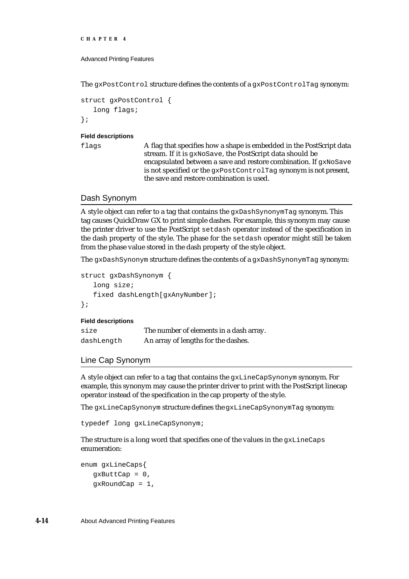```
CHAPTER 4
```
The gxPostControl structure defines the contents of a gxPostControlTag synonym:

```
struct gxPostControl {
   long flags;
};
```
### **Field descriptions**

flags A flag that specifies how a shape is embedded in the PostScript data stream. If it is gxNoSave, the PostScript data should be encapsulated between a save and restore combination. If gxNoSave is not specified or the gxPostControlTag synonym is not present, the save and restore combination is used.

## Dash Synonym

A style object can refer to a tag that contains the gxDashSynonymTag synonym. This tag causes QuickDraw GX to print simple dashes. For example, this synonym may cause the printer driver to use the PostScript setdash operator instead of the specification in the dash property of the style. The phase for the setdash operator might still be taken from the phase value stored in the dash property of the style object.

The gxDashSynonym structure defines the contents of a gxDashSynonymTag synonym:

```
struct gxDashSynonym {
   long size;
   fixed dashLength[gxAnyNumber];
};
```
## **Field descriptions**

| size       | The number of elements in a dash array. |
|------------|-----------------------------------------|
| dashLength | An array of lengths for the dashes.     |

Line Cap Synonym

A style object can refer to a tag that contains the gxLineCapSynonym synonym. For example, this synonym may cause the printer driver to print with the PostScript linecap operator instead of the specification in the cap property of the style.

The gxLineCapSynonym structure defines the gxLineCapSynonymTag synonym:

typedef long gxLineCapSynonym;

The structure is a long word that specifies one of the values in the gxLineCaps enumeration:

```
enum gxLineCaps{
  gxButtCap = 0,gxRoundCap = 1,
```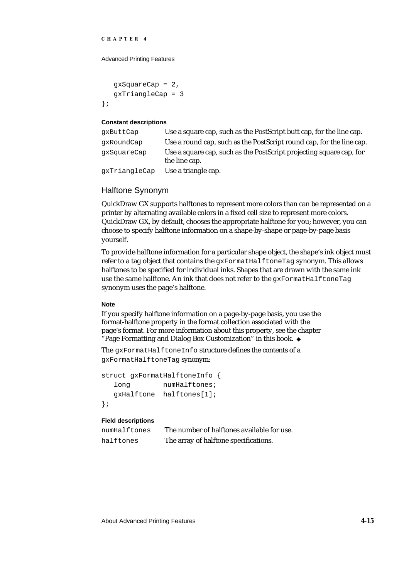Advanced Printing Features

```
gxSquareCap = 2,
   gxTriangleCap = 3
};
```
### **Constant descriptions**

| qxButtCap     | Use a square cap, such as the PostScript butt cap, for the line cap.                 |
|---------------|--------------------------------------------------------------------------------------|
| qxRoundCap    | Use a round cap, such as the PostScript round cap, for the line cap.                 |
| qxSquareCap   | Use a square cap, such as the PostScript projecting square cap, for<br>the line cap. |
| gxTriangleCap | Use a triangle cap.                                                                  |

## Halftone Synonym

QuickDraw GX supports halftones to represent more colors than can be represented on a printer by alternating available colors in a fixed cell size to represent more colors. QuickDraw GX, by default, chooses the appropriate halftone for you; however, you can choose to specify halftone information on a shape-by-shape or page-by-page basis yourself.

To provide halftone information for a particular shape object, the shape's ink object must refer to a tag object that contains the gxFormatHalftoneTag synonym. This allows halftones to be specified for individual inks. Shapes that are drawn with the same ink use the same halftone. An ink that does not refer to the gxFormatHalftoneTag synonym uses the page's halftone.

## **Note**

If you specify halftone information on a page-by-page basis, you use the format-halftone property in the format collection associated with the page's format. For more information about this property, see the chapter "Page Formatting and Dialog Box Customization" in this book.

The gxFormatHalftoneInfo structure defines the contents of a gxFormatHalftoneTag synonym:

```
struct gxFormatHalftoneInfo {
  long numHalftones;
  gxHalftone halftones[1];
};
```
## **Field descriptions**

| numHalftones | The number of halftones available for use. |
|--------------|--------------------------------------------|
| halftones    | The array of halftone specifications.      |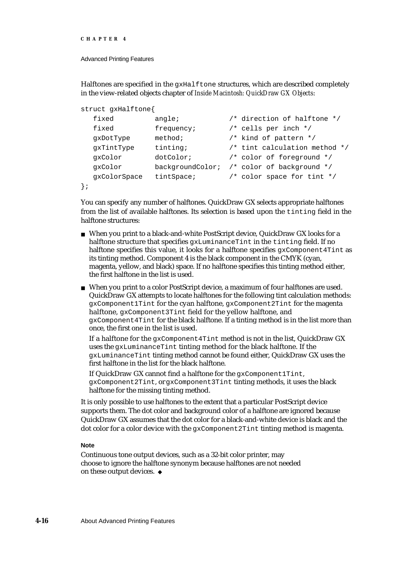```
CHAPTER 4
```
Halftones are specified in the gxHalftone structures, which are described completely in the view-related objects chapter of *Inside Macintosh: QuickDraw GX Objects*:

```
struct gxHalftone{
  fixed angle; /* direction of halftone */
  fixed frequency; /* cells per inch */gxDotType method; /* kind of pattern */
  gxTintType tinting; /* tint calculation method */
  gxColor dotColor; /* color of foreground */
  gxColor backgroundColor; /* color of background */
  gxColorSpace tintSpace; /* color space for tint */
};
```
You can specify any number of halftones. QuickDraw GX selects appropriate halftones from the list of available halftones. Its selection is based upon the tinting field in the halftone structures:

- When you print to a black-and-white PostScript device, QuickDraw GX looks for a halftone structure that specifies  $\alpha x$ LuminanceTint in the tinting field. If no halftone specifies this value, it looks for a halftone specifies  $qxComponent4Tint$  as its tinting method. Component 4 is the black component in the CMYK (cyan, magenta, yellow, and black) space. If no halftone specifies this tinting method either, the first halftone in the list is used.
- When you print to a color PostScript device, a maximum of four halftones are used. QuickDraw GX attempts to locate halftones for the following tint calculation methods: gxComponent1Tint for the cyan halftone, gxComponent2Tint for the magenta halftone, gxComponent3Tint field for the yellow halftone, and gxComponent4Tint for the black halftone. If a tinting method is in the list more than once, the first one in the list is used.

If a halftone for the gxComponent4Tint method is not in the list, QuickDraw GX uses the gxLuminanceTint tinting method for the black halftone. If the gxLuminanceTint tinting method cannot be found either, QuickDraw GX uses the first halftone in the list for the black halftone.

If QuickDraw GX cannot find a halftone for the gxComponent1Tint, gxComponent2Tint, or gxComponent3Tint tinting methods, it uses the black halftone for the missing tinting method.

It is only possible to use halftones to the extent that a particular PostScript device supports them. The dot color and background color of a halftone are ignored because QuickDraw GX assumes that the dot color for a black-and-white device is black and the dot color for a color device with the gxComponent2Tint tinting method is magenta.

## **Note**

Continuous tone output devices, such as a 32-bit color printer, may choose to ignore the halftone synonym because halftones are not needed on these output devices.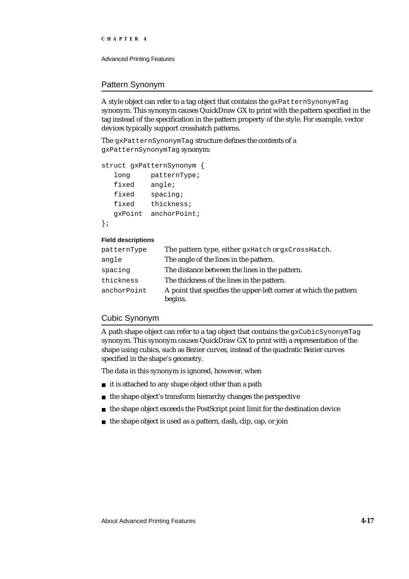Advanced Printing Features

## Pattern Synonym

A style object can refer to a tag object that contains the gxPatternSynonymTag synonym. This synonym causes QuickDraw GX to print with the pattern specified in the tag instead of the specification in the pattern property of the style. For example, vector devices typically support crosshatch patterns.

The gxPatternSynonymTag structure defines the contents of a gxPatternSynonymTag synonym:

```
struct gxPatternSynonym {
```

```
long patternType;
  fixed angle;
  fixed spacing;
  fixed thickness;
  gxPoint anchorPoint;
};
```
## **Field descriptions**

| patternType | The pattern type, either gxHatch or gxCrossHatch.                            |
|-------------|------------------------------------------------------------------------------|
| angle       | The angle of the lines in the pattern.                                       |
| spacing     | The distance between the lines in the pattern.                               |
| thickness   | The thickness of the lines in the pattern.                                   |
| anchorPoint | A point that specifies the upper-left corner at which the pattern<br>begins. |

## Cubic Synonym

A path shape object can refer to a tag object that contains the  $gxCubicSymonymTag$ synonym. This synonym causes QuickDraw GX to print with a representation of the shape using cubics, such as Bezier curves, instead of the quadratic Bezier curves specified in the shape's geometry.

The data in this synonym is ignored, however, when

- n it is attached to any shape object other than a path
- n the shape object's transform hierarchy changes the perspective
- the shape object exceeds the PostScript point limit for the destination device  $\overline{a}$
- n the shape object is used as a pattern, dash, clip, cap, or join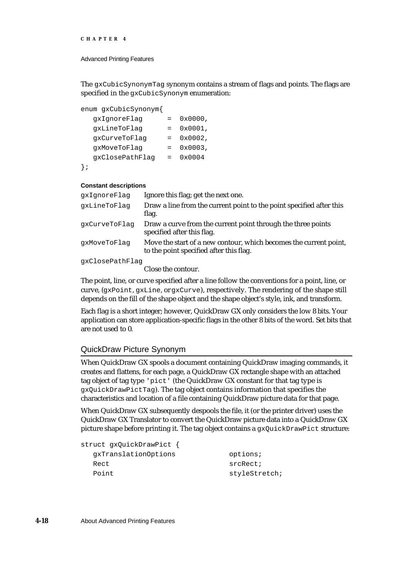```
CHAPTER 4
```
The gxCubicSynonymTag synonym contains a stream of flags and points. The flags are specified in the gxCubicSynonym enumeration:

```
enum gxCubicSynonym{
```

| qxIqnoreFlaq    | 0x0000, |
|-----------------|---------|
| qxLineToFlaq    | 0x0001, |
| qxCurveToFlaq   | 0x0002, |
| qxMoveToFlaq    | 0x0003, |
| gxClosePathFlag | 0x0004  |
|                 |         |

};

## **Constant descriptions**

| qxIqnoreFlaq    | Ignore this flag; get the next one.                                                                          |
|-----------------|--------------------------------------------------------------------------------------------------------------|
| qxLineToFlaq    | Draw a line from the current point to the point specified after this<br>flag.                                |
| gxCurveToFlag   | Draw a curve from the current point through the three points<br>specified after this flag.                   |
| qxMoveToFlaq    | Move the start of a new contour, which becomes the current point,<br>to the point specified after this flag. |
| gxClosePathFlag |                                                                                                              |

Close the contour.

The point, line, or curve specified after a line follow the conventions for a point, line, or curve, (gxPoint, gxLine, or gxCurve), respectively. The rendering of the shape still depends on the fill of the shape object and the shape object's style, ink, and transform.

Each flag is a short integer; however, QuickDraw GX only considers the low 8 bits. Your application can store application-specific flags in the other 8 bits of the word. Set bits that are not used to 0.

## QuickDraw Picture Synonym

When QuickDraw GX spools a document containing QuickDraw imaging commands, it creates and flattens, for each page, a QuickDraw GX rectangle shape with an attached tag object of tag type 'pict' (the QuickDraw GX constant for that tag type is gxQuickDrawPictTag). The tag object contains information that specifies the characteristics and location of a file containing QuickDraw picture data for that page.

When QuickDraw GX subsequently despools the file, it (or the printer driver) uses the QuickDraw GX Translator to convert the QuickDraw picture data into a QuickDraw GX picture shape before printing it. The tag object contains a gxQuickDrawPict structure:

```
struct gxQuickDrawPict {
 gxTranslationOptions options;
 Rect srcRect;
 Point styleStretch;
```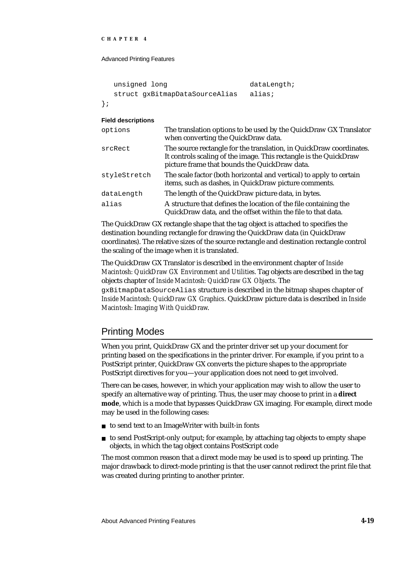Advanced Printing Features

```
unsigned long dataLength;
  struct gxBitmapDataSourceAlias alias;
};
```
## **Field descriptions**

| options      | The translation options to be used by the QuickDraw GX Translator<br>when converting the QuickDraw data.                                                                                  |
|--------------|-------------------------------------------------------------------------------------------------------------------------------------------------------------------------------------------|
| srcRect      | The source rectangle for the translation, in QuickDraw coordinates.<br>It controls scaling of the image. This rectangle is the QuickDraw<br>picture frame that bounds the QuickDraw data. |
| styleStretch | The scale factor (both horizontal and vertical) to apply to certain<br>items, such as dashes, in QuickDraw picture comments.                                                              |
| dataLength   | The length of the QuickDraw picture data, in bytes.                                                                                                                                       |
| alias        | A structure that defines the location of the file containing the<br>QuickDraw data, and the offset within the file to that data.                                                          |

The QuickDraw GX rectangle shape that the tag object is attached to specifies the destination bounding rectangle for drawing the QuickDraw data (in QuickDraw coordinates). The relative sizes of the source rectangle and destination rectangle control the scaling of the image when it is translated.

The QuickDraw GX Translator is described in the environment chapter of *Inside Macintosh: QuickDraw GX Environment and Utilities*. Tag objects are described in the tag objects chapter of *Inside Macintosh: QuickDraw GX Objects*. The gxBitmapDataSourceAlias structure is described in the bitmap shapes chapter of *Inside Macintosh: QuickDraw GX Graphics*. QuickDraw picture data is described in *Inside Macintosh: Imaging With QuickDraw*.

# Printing Modes

When you print, QuickDraw GX and the printer driver set up your document for printing based on the specifications in the printer driver. For example, if you print to a PostScript printer, QuickDraw GX converts the picture shapes to the appropriate PostScript directives for you—your application does not need to get involved.

There can be cases, however, in which your application may wish to allow the user to specify an alternative way of printing. Thus, the user may choose to print in a **direct mode**, which is a mode that bypasses QuickDraw GX imaging. For example, direct mode may be used in the following cases:

- to send text to an ImageWriter with built-in fonts
- to send PostScript-only output; for example, by attaching tag objects to empty shape objects, in which the tag object contains PostScript code

The most common reason that a direct mode may be used is to speed up printing. The major drawback to direct-mode printing is that the user cannot redirect the print file that was created during printing to another printer.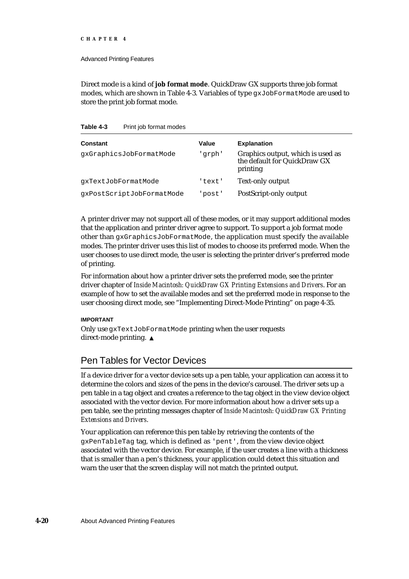Advanced Printing Features

Direct mode is a kind of **job format mode**. QuickDraw GX supports three job format modes, which are shown in Table 4-3. Variables of type gxJobFormatMode are used to store the print job format mode.

Table 4-3 Print job format modes

| Constant                  | Value  | <b>Explanation</b>                                                            |
|---------------------------|--------|-------------------------------------------------------------------------------|
| gxGraphicsJobFormatMode   | 'qrph' | Graphics output, which is used as<br>the default for QuickDraw GX<br>printing |
| qxTextJobFormatMode       | 'text' | <b>Text-only output</b>                                                       |
| gxPostScriptJobFormatMode | 'post' | PostScript-only output                                                        |

A printer driver may not support all of these modes, or it may support additional modes that the application and printer driver agree to support. To support a job format mode other than gxGraphicsJobFormatMode, the application must specify the available modes. The printer driver uses this list of modes to choose its preferred mode. When the user chooses to use direct mode, the user is selecting the printer driver's preferred mode of printing.

For information about how a printer driver sets the preferred mode, see the printer driver chapter of *Inside Macintosh: QuickDraw GX Printing Extensions and Drivers*. For an example of how to set the available modes and set the preferred mode in response to the user choosing direct mode, see "Implementing Direct-Mode Printing" on page 4-35.

## **IMPORTANT**

Only use gxTextJobFormatMode printing when the user requests direct-mode printing.

# Pen Tables for Vector Devices

If a device driver for a vector device sets up a pen table, your application can access it to determine the colors and sizes of the pens in the device's carousel. The driver sets up a pen table in a tag object and creates a reference to the tag object in the view device object associated with the vector device. For more information about how a driver sets up a pen table, see the printing messages chapter of *Inside Macintosh: QuickDraw GX Printing Extensions and Drivers*.

Your application can reference this pen table by retrieving the contents of the gxPenTableTag tag, which is defined as 'pent', from the view device object associated with the vector device. For example, if the user creates a line with a thickness that is smaller than a pen's thickness, your application could detect this situation and warn the user that the screen display will not match the printed output.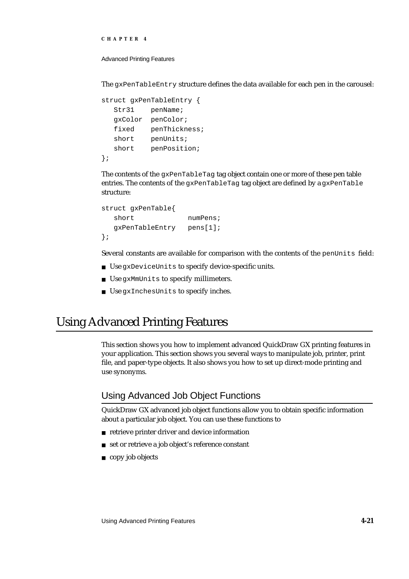```
CHAPTER 4
```
The gxPenTableEntry structure defines the data available for each pen in the carousel:

```
struct gxPenTableEntry {
  Str31 penName;
  gxColor penColor;
  fixed penThickness;
  short penUnits;
  short penPosition;
};
```
The contents of the gxPenTableTag tag object contain one or more of these pen table entries. The contents of the gxPenTableTag tag object are defined by a gxPenTable structure:

```
struct gxPenTable{
  short numPens;
  gxPenTableEntry pens[1];
};
```
Several constants are available for comparison with the contents of the penUnits field:

- Use gxDeviceUnits to specify device-specific units.
- Use gxMmUnits to specify millimeters.
- Use gxInchesUnits to specify inches.

# Using Advanced Printing Features

This section shows you how to implement advanced QuickDraw GX printing features in your application. This section shows you several ways to manipulate job, printer, print file, and paper-type objects. It also shows you how to set up direct-mode printing and use synonyms.

# Using Advanced Job Object Functions

QuickDraw GX advanced job object functions allow you to obtain specific information about a particular job object. You can use these functions to

- retrieve printer driver and device information
- n set or retrieve a job object's reference constant
- copy job objects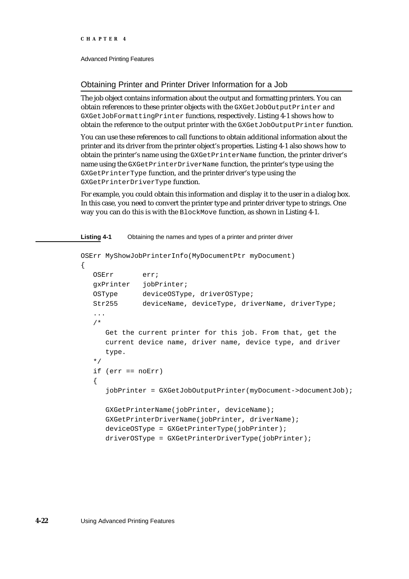## Obtaining Printer and Printer Driver Information for a Job

The job object contains information about the output and formatting printers. You can obtain references to these printer objects with the GXGetJobOutputPrinter and GXGetJobFormattingPrinter functions, respectively. Listing 4-1 shows how to obtain the reference to the output printer with the GXGetJobOutputPrinter function.

You can use these references to call functions to obtain additional information about the printer and its driver from the printer object's properties. Listing 4-1 also shows how to obtain the printer's name using the GXGetPrinterName function, the printer driver's name using the GXGetPrinterDriverName function, the printer's type using the GXGetPrinterType function, and the printer driver's type using the GXGetPrinterDriverType function.

For example, you could obtain this information and display it to the user in a dialog box. In this case, you need to convert the printer type and printer driver type to strings. One way you can do this is with the BlockMove function, as shown in Listing 4-1.

#### **Listing 4-1** Obtaining the names and types of a printer and printer driver

```
OSErr MyShowJobPrinterInfo(MyDocumentPtr myDocument)
{
  OSErr err;
  gxPrinter jobPrinter;
  OSType deviceOSType, driverOSType;
  Str255 deviceName, deviceType, driverName, driverType;
   ...
   /* 
     Get the current printer for this job. From that, get the 
     current device name, driver name, device type, and driver 
     type. 
  */
  if (err == noErr)
   {
     jobPrinter = GXGetJobOutputPrinter(myDocument->documentJob);
     GXGetPrinterName(jobPrinter, deviceName);
     GXGetPrinterDriverName(jobPrinter, driverName);
     deviceOSType = GXGetPrinterType(jobPrinter);
     driverOSType = GXGetPrinterDriverType(jobPrinter);
```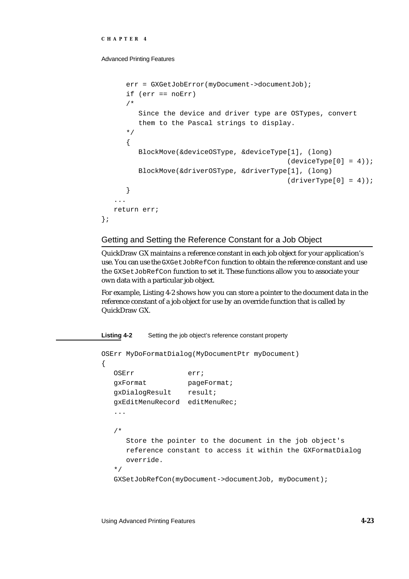Advanced Printing Features

```
err = GXGetJobError(myDocument->documentJob);
      if (err == noErr)
      /* 
         Since the device and driver type are OSTypes, convert
         them to the Pascal strings to display.
      */
      {
         BlockMove(&deviceOSType, &deviceType[1], (long) 
                                               (deviceType[0] = 4));BlockMove(&driverOSType, &driverType[1], (long) 
                                               (driverType[0] = 4);
      }
   ...
   return err;
};
```
## Getting and Setting the Reference Constant for a Job Object

QuickDraw GX maintains a reference constant in each job object for your application's use. You can use the GXGetJobRefCon function to obtain the reference constant and use the GXSetJobRefCon function to set it. These functions allow you to associate your own data with a particular job object.

For example, Listing 4-2 shows how you can store a pointer to the document data in the reference constant of a job object for use by an override function that is called by QuickDraw GX.

#### **Listing 4-2** Setting the job object's reference constant property

```
OSErr MyDoFormatDialog(MyDocumentPtr myDocument)
{
  OSErr err;
  gxFormat pageFormat;
  gxDialogResult result;
  gxEditMenuRecord editMenuRec;
   ...
   /* 
     Store the pointer to the document in the job object's 
     reference constant to access it within the GXFormatDialog 
     override.
   */
  GXSetJobRefCon(myDocument->documentJob, myDocument);
```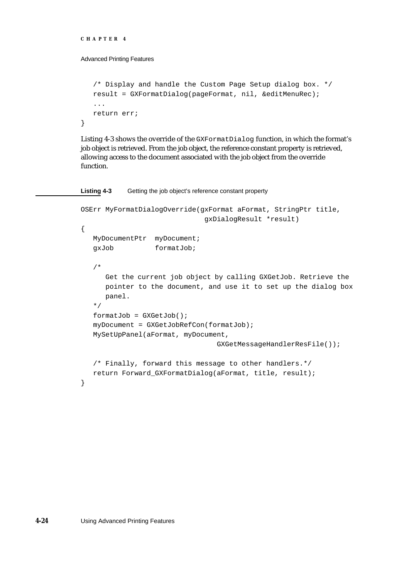```
CHAPTER 4
```
}

Advanced Printing Features

```
/* Display and handle the Custom Page Setup dialog box. */
result = GXFormatDialog(pageFormat, nil, &editMenuRec);
...
return err;
```
Listing 4-3 shows the override of the GXFormatDialog function, in which the format's job object is retrieved. From the job object, the reference constant property is retrieved, allowing access to the document associated with the job object from the override function.

**Listing 4-3** Getting the job object's reference constant property

```
OSErr MyFormatDialogOverride(gxFormat aFormat, StringPtr title, 
                              gxDialogResult *result)
{
  MyDocumentPtr myDocument;
  gxJob formatJob;
   /* 
     Get the current job object by calling GXGetJob. Retrieve the 
     pointer to the document, and use it to set up the dialog box
     panel.
   */
   formatJob = GXGetJob();
   myDocument = GXGetJobRefCon(formatJob);
  MySetUpPanel(aFormat, myDocument,
                                 GXGetMessageHandlerResFile());
   /* Finally, forward this message to other handlers.*/
  return Forward_GXFormatDialog(aFormat, title, result);
}
```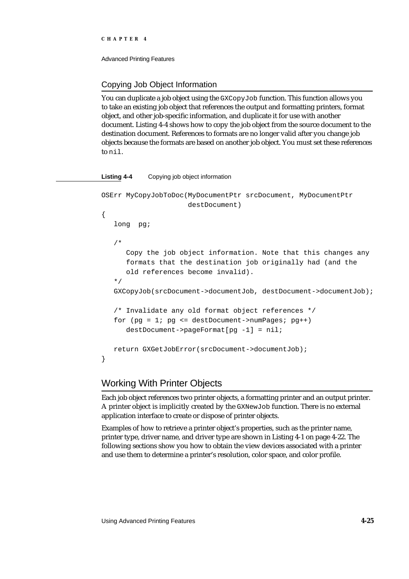Advanced Printing Features

## Copying Job Object Information

You can duplicate a job object using the GXCopyJob function. This function allows you to take an existing job object that references the output and formatting printers, format object, and other job-specific information, and duplicate it for use with another document. Listing 4-4 shows how to copy the job object from the source document to the destination document. References to formats are no longer valid after you change job objects because the formats are based on another job object. You must set these references to nil.

## **Listing 4-4** Copying job object information

```
OSErr MyCopyJobToDoc(MyDocumentPtr srcDocument, MyDocumentPtr
                     destDocument)
{
  long pg;
   /* 
      Copy the job object information. Note that this changes any
      formats that the destination job originally had (and the
      old references become invalid). 
   */
   GXCopyJob(srcDocument->documentJob, destDocument->documentJob);
   /* Invalidate any old format object references */
  for (pg = 1; pg <= destDocument->numPages; pg++)
      destDocument->pageFormat[pg -1] = nil;
   return GXGetJobError(srcDocument->documentJob);
}
```
# Working With Printer Objects

Each job object references two printer objects, a formatting printer and an output printer. A printer object is implicitly created by the GXNewJob function. There is no external application interface to create or dispose of printer objects.

Examples of how to retrieve a printer object's properties, such as the printer name, printer type, driver name, and driver type are shown in Listing 4-1 on page 4-22. The following sections show you how to obtain the view devices associated with a printer and use them to determine a printer's resolution, color space, and color profile.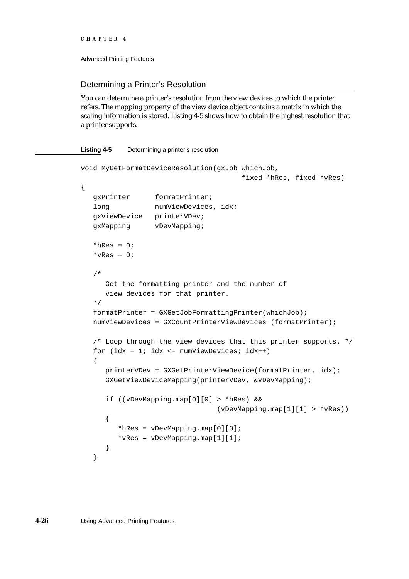```
CHAPTER 4
```
## Determining a Printer's Resolution

You can determine a printer's resolution from the view devices to which the printer refers. The mapping property of the view device object contains a matrix in which the scaling information is stored. Listing 4-5 shows how to obtain the highest resolution that a printer supports.

## **Listing 4-5** Determining a printer's resolution

```
void MyGetFormatDeviceResolution(gxJob whichJob, 
                                       fixed *hRes, fixed *vRes)
{
  gxPrinter formatPrinter;
   long numViewDevices, idx;
  gxViewDevice printerVDev;
  gxMapping vDevMapping;
   *hRes = 0;*_{VRes} = 0;/*
     Get the formatting printer and the number of
      view devices for that printer.
   */
   formatPrinter = GXGetJobFormattingPrinter(whichJob);
   numViewDevices = GXCountPrinterViewDevices (formatPrinter);
   /* Loop through the view devices that this printer supports. */
   for (idx = 1; idx \leq numViewDevices; idx++)
   {
     printerVDev = GXGetPrinterViewDevice(formatPrinter, idx);
     GXGetViewDeviceMapping(printerVDev, &vDevMapping);
      if ((vDevMapping.map[0][0] > *hRes) &&
                                 (vDevMapping.map[1][1] > *vRes))
      {
         *hRes = vDevMapping.png[0][0];*vRes = vDevMapping.map[1][1];
      }
   }
```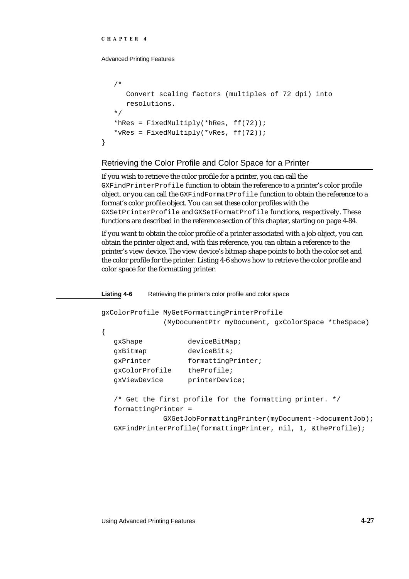}

Advanced Printing Features

```
/*
  Convert scaling factors (multiples of 72 dpi) into
  resolutions.
*/
*hRes = FixedMultiply(*hRes, ff(72));
*vRes = FixedMultiply(*vRes, ff(72));
```
## Retrieving the Color Profile and Color Space for a Printer

If you wish to retrieve the color profile for a printer, you can call the GXFindPrinterProfile function to obtain the reference to a printer's color profile object, or you can call the GXFindFormatProfile function to obtain the reference to a format's color profile object. You can set these color profiles with the GXSetPrinterProfile and GXSetFormatProfile functions, respectively. These functions are described in the reference section of this chapter, starting on page 4-84.

If you want to obtain the color profile of a printer associated with a job object, you can obtain the printer object and, with this reference, you can obtain a reference to the printer's view device. The view device's bitmap shape points to both the color set and the color profile for the printer. Listing 4-6 shows how to retrieve the color profile and color space for the formatting printer.

```
Listing 4-6 Retrieving the printer's color profile and color space
gxColorProfile MyGetFormattingPrinterProfile
              (MyDocumentPtr myDocument, gxColorSpace *theSpace)
{
  gxShape deviceBitMap;
  gxBitmap deviceBits;
  gxPrinter formattingPrinter;
  gxColorProfile theProfile;
  gxViewDevice printerDevice;
  /* Get the first profile for the formatting printer. */
  formattingPrinter =
              GXGetJobFormattingPrinter(myDocument->documentJob);
  GXFindPrinterProfile(formattingPrinter, nil, 1, &theProfile);
```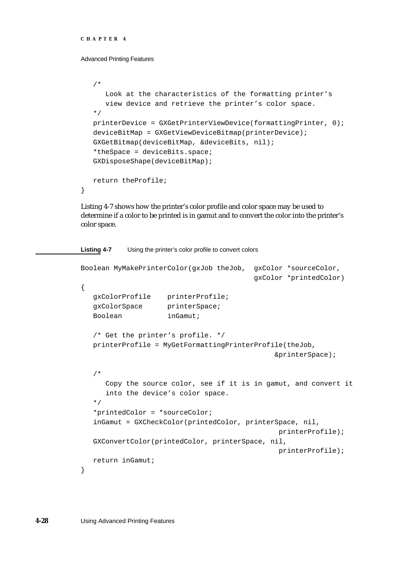```
CHAPTER 4
```
}

Advanced Printing Features

```
/*
  Look at the characteristics of the formatting printer's
   view device and retrieve the printer's color space.
*/
printerDevice = GXGetPrinterViewDevice(formattingPrinter, 0);
deviceBitMap = GXGetViewDeviceBitmap(printerDevice);
GXGetBitmap(deviceBitMap, &deviceBits, nil);
*theSpace = deviceBits.space;
GXDisposeShape(deviceBitMap);
return theProfile;
```
Listing 4-7 shows how the printer's color profile and color space may be used to determine if a color to be printed is in gamut and to convert the color into the printer's color space.

**Listing 4-7** Using the printer's color profile to convert colors

```
Boolean MyMakePrinterColor(gxJob theJob, gxColor *sourceColor,
                                         gxColor *printedColor)
{
  gxColorProfile printerProfile;
  qxColorSpace printerSpace;
  Boolean inGamut;
  /* Get the printer's profile. */
  printerProfile = MyGetFormattingPrinterProfile(theJob,
                                               &printerSpace);
   /*
     Copy the source color, see if it is in gamut, and convert it
     into the device's color space.
  */
  *printedColor = *sourceColor;
  inGamut = GXCheckColor(printedColor, printerSpace, nil,
                                               printerProfile);
  GXConvertColor(printedColor, printerSpace, nil,
                                               printerProfile);
  return inGamut;
}
```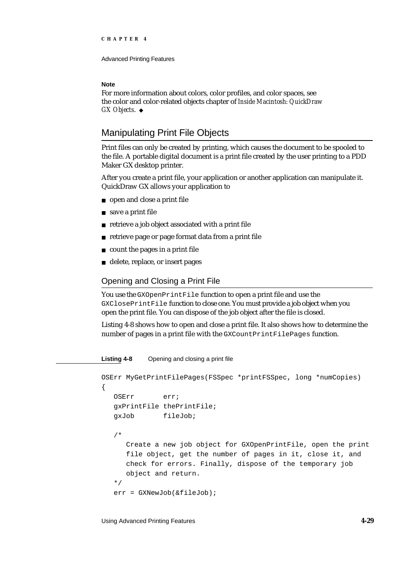Advanced Printing Features

#### **Note**

For more information about colors, color profiles, and color spaces, see the color and color-related objects chapter of *Inside Macintosh: QuickDraw GX Objects*.

# Manipulating Print File Objects

Print files can only be created by printing, which causes the document to be spooled to the file. A portable digital document is a print file created by the user printing to a PDD Maker GX desktop printer.

After you create a print file, your application or another application can manipulate it. QuickDraw GX allows your application to

- n open and close a print file
- save a print file
- retrieve a job object associated with a print file
- retrieve page or page format data from a print file
- count the pages in a print file
- delete, replace, or insert pages  $\overline{p}$

## Opening and Closing a Print File

You use the GXOpenPrintFile function to open a print file and use the GXClosePrintFile function to close one. You must provide a job object when you open the print file. You can dispose of the job object after the file is closed.

Listing 4-8 shows how to open and close a print file. It also shows how to determine the number of pages in a print file with the GXCountPrintFilePages function.

**Listing 4-8** Opening and closing a print file

```
OSErr MyGetPrintFilePages(FSSpec *printFSSpec, long *numCopies)
{
   OSErr err;
   gxPrintFile thePrintFile;
   gxJob fileJob;
   /* 
     Create a new job object for GXOpenPrintFile, open the print 
     file object, get the number of pages in it, close it, and 
     check for errors. Finally, dispose of the temporary job 
      object and return. 
   */
   err = GXNewJob(&fileJob);
```
Using Advanced Printing Features **4-29**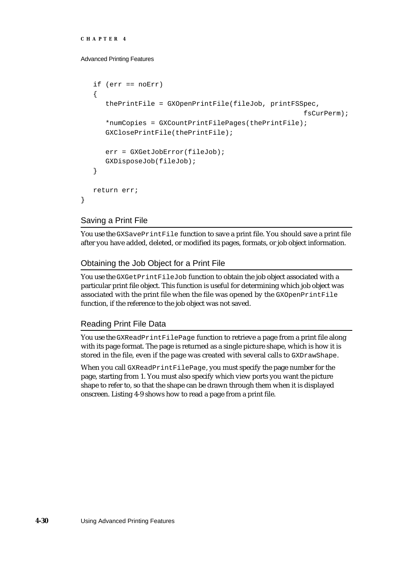```
CHAPTER 4
```

```
if (err == noErr)
{
   thePrintFile = GXOpenPrintFile(fileJob, printFSSpec, 
                                                     fsCurPerm);
   *numCopies = GXCountPrintFilePages(thePrintFile);
   GXClosePrintFile(thePrintFile);
   err = GXGetJobError(fileJob);
   GXDisposeJob(fileJob);
}
return err;
```
## Saving a Print File

}

You use the GXSavePrintFile function to save a print file. You should save a print file after you have added, deleted, or modified its pages, formats, or job object information.

## Obtaining the Job Object for a Print File

You use the GXGetPrintFileJob function to obtain the job object associated with a particular print file object. This function is useful for determining which job object was associated with the print file when the file was opened by the GXOpenPrintFile function, if the reference to the job object was not saved.

## Reading Print File Data

You use the GXReadPrintFilePage function to retrieve a page from a print file along with its page format. The page is returned as a single picture shape, which is how it is stored in the file, even if the page was created with several calls to GXDrawShape.

When you call GXReadPrintFilePage, you must specify the page number for the page, starting from 1. You must also specify which view ports you want the picture shape to refer to, so that the shape can be drawn through them when it is displayed onscreen. Listing 4-9 shows how to read a page from a print file.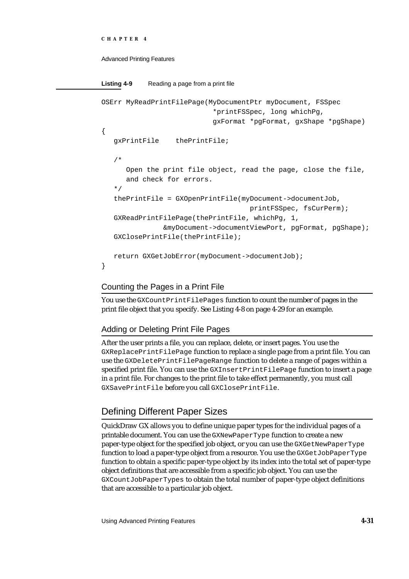```
CHAPTER 4
```

```
Listing 4-9 Reading a page from a print file
OSErr MyReadPrintFilePage(MyDocumentPtr myDocument, FSSpec
                            *printFSSpec, long whichPg, 
                            gxFormat *pgFormat, gxShape *pgShape)
{
   gxPrintFile thePrintFile;
   /* 
      Open the print file object, read the page, close the file,
      and check for errors.
   */
   thePrintFile = GXOpenPrintFile(myDocument->documentJob, 
                                     printFSSpec, fsCurPerm);
   GXReadPrintFilePage(thePrintFile, whichPg, 1, 
               &myDocument->documentViewPort, pgFormat, pgShape);
   GXClosePrintFile(thePrintFile);
   return GXGetJobError(myDocument->documentJob);
}
```
# Counting the Pages in a Print File

You use the GXCountPrintFilePages function to count the number of pages in the print file object that you specify. See Listing 4-8 on page 4-29 for an example.

# Adding or Deleting Print File Pages

After the user prints a file, you can replace, delete, or insert pages. You use the GXReplacePrintFilePage function to replace a single page from a print file. You can use the GXDeletePrintFilePageRange function to delete a range of pages within a specified print file. You can use the GXInsertPrintFilePage function to insert a page in a print file. For changes to the print file to take effect permanently, you must call GXSavePrintFile before you call GXClosePrintFile.

# Defining Different Paper Sizes

QuickDraw GX allows you to define unique paper types for the individual pages of a printable document. You can use the GXNewPaperType function to create a new paper-type object for the specified job object, or you can use the GXGetNewPaperType function to load a paper-type object from a resource. You use the GXGetJobPaperType function to obtain a specific paper-type object by its index into the total set of paper-type object definitions that are accessible from a specific job object. You can use the GXCountJobPaperTypes to obtain the total number of paper-type object definitions that are accessible to a particular job object.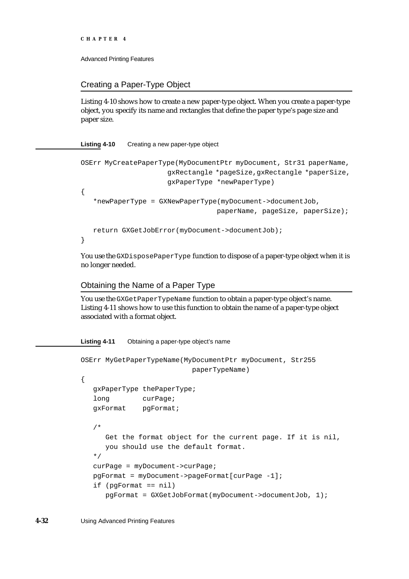```
CHAPTER 4
```
}

Advanced Printing Features

## Creating a Paper-Type Object

Listing 4-10 shows how to create a new paper-type object. When you create a paper-type object, you specify its name and rectangles that define the paper type's page size and paper size.

**Listing 4-10** Creating a new paper-type object

```
OSErr MyCreatePaperType(MyDocumentPtr myDocument, Str31 paperName, 
                     gxRectangle *pageSize,gxRectangle *paperSize, 
                     gxPaperType *newPaperType)
{
   *newPaperType = GXNewPaperType(myDocument->documentJob,
                                 paperName, pageSize, paperSize);
  return GXGetJobError(myDocument->documentJob);
```
You use the GXDisposePaperType function to dispose of a paper-type object when it is no longer needed.

# Obtaining the Name of a Paper Type

You use the GXGetPaperTypeName function to obtain a paper-type object's name. Listing 4-11 shows how to use this function to obtain the name of a paper-type object associated with a format object.

```
Listing 4-11 Obtaining a paper-type object's name
```

```
OSErr MyGetPaperTypeName(MyDocumentPtr myDocument, Str255
                          paperTypeName)
{
   gxPaperType thePaperType;
   long curPage;
   gxFormat pgFormat;
   /* 
     Get the format object for the current page. If it is nil,
     you should use the default format.
   */
   curPage = myDocument->curPage;
   pgFormat = myDocument->pageFormat[curPage -1];
   if (pgFormat == nil)
      pgFormat = GXGetJobFormat(myDocument->documentJob, 1);
```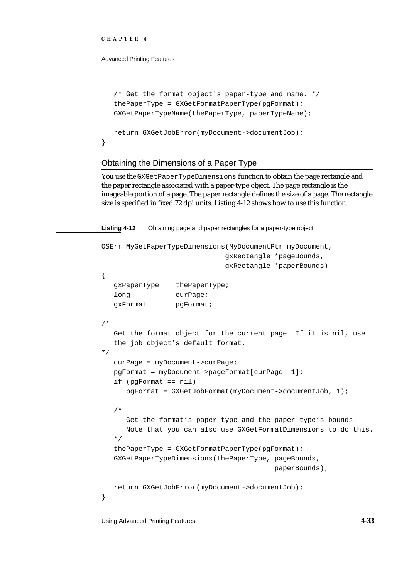}

Advanced Printing Features

```
/* Get the format object's paper-type and name. */
thePaperType = GXGetFormatPaperType(pgFormat);
GXGetPaperTypeName(thePaperType, paperTypeName);
return GXGetJobError(myDocument->documentJob);
```
## Obtaining the Dimensions of a Paper Type

You use the GXGet Paper TypeDimensions function to obtain the page rectangle and the paper rectangle associated with a paper-type object. The page rectangle is the imageable portion of a page. The paper rectangle defines the size of a page. The rectangle size is specified in fixed 72 dpi units. Listing 4-12 shows how to use this function.

**Listing 4-12** Obtaining page and paper rectangles for a paper-type object OSErr MyGetPaperTypeDimensions(MyDocumentPtr myDocument, gxRectangle \*pageBounds, gxRectangle \*paperBounds) { gxPaperType thePaperType; long curPage; gxFormat pgFormat; /\* Get the format object for the current page. If it is nil, use the job object's default format. \*/ curPage = myDocument->curPage; pgFormat = myDocument->pageFormat[curPage -1]; if (pgFormat == nil) pgFormat = GXGetJobFormat(myDocument->documentJob, 1); /\* Get the format's paper type and the paper type's bounds. Note that you can also use GXGetFormatDimensions to do this. \*/  $the PaperType = GXGetFormatPaperType(pgFormat);$ GXGetPaperTypeDimensions(thePaperType, pageBounds, paperBounds); return GXGetJobError(myDocument->documentJob); }

Using Advanced Printing Features **4-33**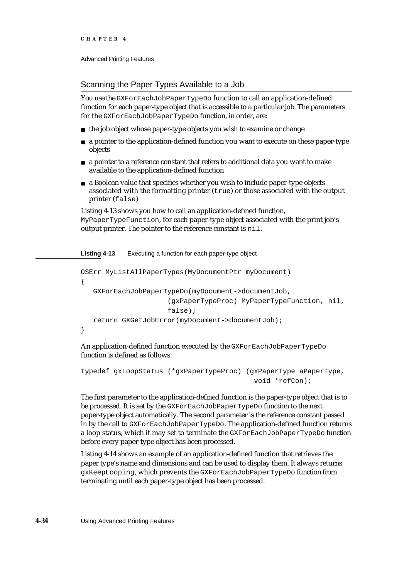## Scanning the Paper Types Available to a Job

You use the GXForEachJobPaperTypeDo function to call an application-defined function for each paper-type object that is accessible to a particular job. The parameters for the GXForEachJobPaperTypeDo function, in order, are:

- n the job object whose paper-type objects you wish to examine or change
- $n \in \mathbb{R}$  a pointer to the application-defined function you want to execute on these paper-type objects
- $n \alpha$  a pointer to a reference constant that refers to additional data you want to make available to the application-defined function
- a Boolean value that specifies whether you wish to include paper-type objects associated with the formatting printer (true) or those associated with the output printer (false)

Listing 4-13 shows you how to call an application-defined function, MyPaperTypeFunction, for each paper-type object associated with the print job's output printer. The pointer to the reference constant is nil.

**Listing 4-13** Executing a function for each paper-type object

```
OSErr MyListAllPaperTypes(MyDocumentPtr myDocument)
{
   GXForEachJobPaperTypeDo(myDocument->documentJob, 
                      (gxPaperTypeProc) MyPaperTypeFunction, nil, 
                      false);
   return GXGetJobError(myDocument->documentJob);
}
```
An application-defined function executed by the GXForEachJobPaperTypeDo function is defined as follows:

```
typedef gxLoopStatus (*gxPaperTypeProc) (gxPaperType aPaperType,
                                          void *refCon);
```
The first parameter to the application-defined function is the paper-type object that is to be processed. It is set by the GXForEachJobPaperTypeDo function to the next paper-type object automatically. The second parameter is the reference constant passed in by the call to GXForEachJobPaperTypeDo. The application-defined function returns a loop status, which it may set to terminate the GXForEachJobPaperTypeDo function before every paper-type object has been processed.

Listing 4-14 shows an example of an application-defined function that retrieves the paper type's name and dimensions and can be used to display them. It always returns gxKeepLooping, which prevents the GXForEachJobPaperTypeDo function from terminating until each paper-type object has been processed.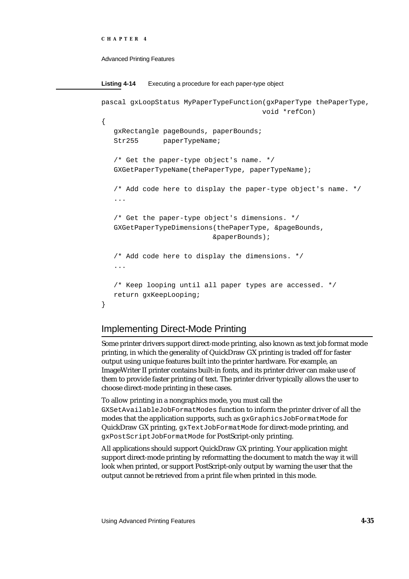```
CHAPTER 4
```

```
Listing 4-14 Executing a procedure for each paper-type object
pascal gxLoopStatus MyPaperTypeFunction(gxPaperType thePaperType,
                                        void *refCon)
{
   gxRectangle pageBounds, paperBounds;
   Str255 paperTypeName;
   /* Get the paper-type object's name. */
   GXGetPaperTypeName(thePaperType, paperTypeName);
   /* Add code here to display the paper-type object's name. */
   ...
   /* Get the paper-type object's dimensions. */
   GXGetPaperTypeDimensions(thePaperType, &pageBounds, 
                            &paperBounds);
   /* Add code here to display the dimensions. */
   ...
   /* Keep looping until all paper types are accessed. */
   return gxKeepLooping;
}
```
# Implementing Direct-Mode Printing

Some printer drivers support direct-mode printing, also known as text job format mode printing, in which the generality of QuickDraw GX printing is traded off for faster output using unique features built into the printer hardware. For example, an ImageWriter II printer contains built-in fonts, and its printer driver can make use of them to provide faster printing of text. The printer driver typically allows the user to choose direct-mode printing in these cases.

To allow printing in a nongraphics mode, you must call the GXSetAvailableJobFormatModes function to inform the printer driver of all the modes that the application supports, such as gxGraphicsJobFormatMode for QuickDraw GX printing, gxTextJobFormatMode for direct-mode printing, and gxPostScriptJobFormatMode for PostScript-only printing.

All applications should support QuickDraw GX printing. Your application might support direct-mode printing by reformatting the document to match the way it will look when printed, or support PostScript-only output by warning the user that the output cannot be retrieved from a print file when printed in this mode.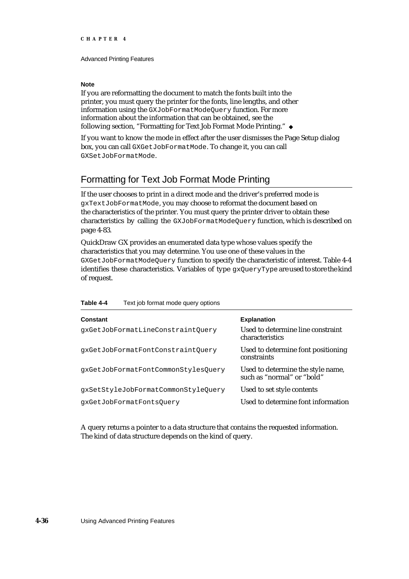### **Note**

If you are reformatting the document to match the fonts built into the printer, you must query the printer for the fonts, line lengths, and other information using the GXJobFormatModeQuery function. For more information about the information that can be obtained, see the following section, "Formatting for Text Job Format Mode Printing."

If you want to know the mode in effect after the user dismisses the Page Setup dialog box, you can call GXGetJobFormatMode. To change it, you can call GXSetJobFormatMode.

# Formatting for Text Job Format Mode Printing

If the user chooses to print in a direct mode and the driver's preferred mode is gxTextJobFormatMode, you may choose to reformat the document based on the characteristics of the printer. You must query the printer driver to obtain these characteristics by calling the GXJobFormatModeQuery function, which is described on page 4-83.

QuickDraw GX provides an enumerated data type whose values specify the characteristics that you may determine. You use one of these values in the GXGetJobFormatModeQuery function to specify the characteristic of interest. Table 4-4 identifies these characteristics. Variables of type gxQueryType are used to store the kind of request.

| Constant                            | <b>Explanation</b>                                              |
|-------------------------------------|-----------------------------------------------------------------|
| qxGetJobFormatLineConstraintOuery   | Used to determine line constraint<br><b>characteristics</b>     |
| qxGetJobFormatFontConstraintQuery   | Used to determine font positioning<br>constraints               |
| qxGetJobFormatFontCommonStylesOuery | Used to determine the style name,<br>such as "normal" or "bold" |
| qxSetStyleJobFormatCommonStyleOuery | Used to set style contents                                      |
| qxGetJobFormatFontsOuery            | Used to determine font information                              |

### **Table 4-4** Text job format mode query options

A query returns a pointer to a data structure that contains the requested information. The kind of data structure depends on the kind of query.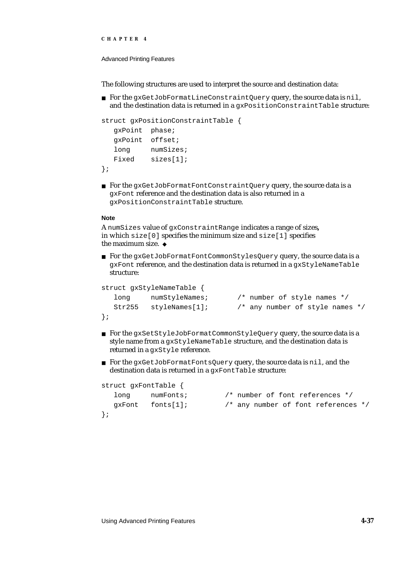```
CHAPTER 4
```
The following structures are used to interpret the source and destination data:

n For the gxGetJobFormatLineConstraintQuery query, the source data is nil, and the destination data is returned in a qxPositionConstraintTable structure:

```
struct gxPositionConstraintTable {
  gxPoint phase;
  gxPoint offset;
  long numSizes;
  Fixed sizes[1];
};
```
n For the gxGetJobFormatFontConstraintQuery query, the source data is a gxFont reference and the destination data is also returned in a gxPositionConstraintTable structure.

### **Note**

};

A numSizes value of gxConstraintRange indicates a range of sizes**,**  in which  $size[0]$  specifies the minimum size and  $size[1]$  specifies the maximum size.

n For the gxGetJobFormatFontCommonStylesQuery query, the source data is a gxFont reference, and the destination data is returned in a gxStyleNameTable structure:

```
struct gxStyleNameTable {
  long mumStyleNames; /* number of style names */
  Str255 styleNames[1]; /* any number of style names */
};
```
- n For the gxSetStyleJobFormatCommonStyleQuery query, the source data is a style name from a gxStyleNameTable structure, and the destination data is returned in a gxStyle reference.
- For the gxGetJobFormatFontsQuery query, the source data is nil, and the destination data is returned in a gxFontTable structure:

```
struct gxFontTable {
```
long numFonts; /\* number of font references \*/ gxFont fonts[1]; /\* any number of font references \*/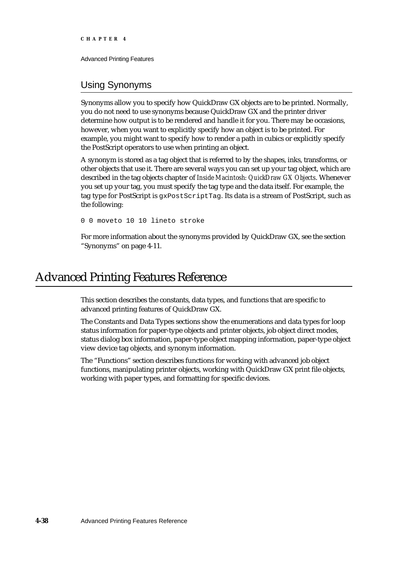# Using Synonyms

Synonyms allow you to specify how QuickDraw GX objects are to be printed. Normally, you do not need to use synonyms because QuickDraw GX and the printer driver determine how output is to be rendered and handle it for you. There may be occasions, however, when you want to explicitly specify how an object is to be printed. For example, you might want to specify how to render a path in cubics or explicitly specify the PostScript operators to use when printing an object.

A synonym is stored as a tag object that is referred to by the shapes, inks, transforms, or other objects that use it. There are several ways you can set up your tag object, which are described in the tag objects chapter of *Inside Macintosh: QuickDraw GX Objects*. Whenever you set up your tag, you must specify the tag type and the data itself. For example, the tag type for PostScript is gxPostScriptTag. Its data is a stream of PostScript, such as the following:

0 0 moveto 10 10 lineto stroke

For more information about the synonyms provided by QuickDraw GX, see the section "Synonyms" on page 4-11.

# Advanced Printing Features Reference

This section describes the constants, data types, and functions that are specific to advanced printing features of QuickDraw GX.

The Constants and Data Types sections show the enumerations and data types for loop status information for paper-type objects and printer objects, job object direct modes, status dialog box information, paper-type object mapping information, paper-type object view device tag objects, and synonym information.

The "Functions" section describes functions for working with advanced job object functions, manipulating printer objects, working with QuickDraw GX print file objects, working with paper types, and formatting for specific devices.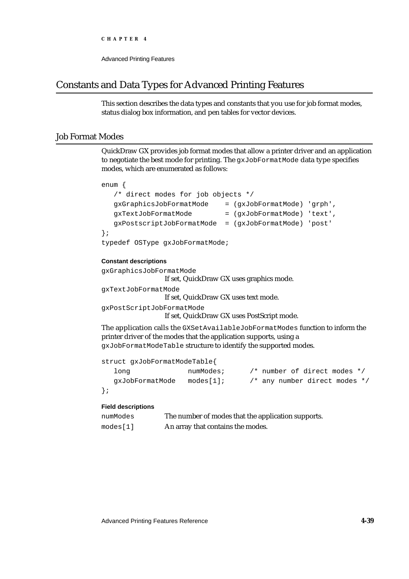```
CHAPTER 4
```
# Constants and Data Types for Advanced Printing Features

This section describes the data types and constants that you use for job format modes, status dialog box information, and pen tables for vector devices.

## Job Format Modes

QuickDraw GX provides job format modes that allow a printer driver and an application to negotiate the best mode for printing. The gxJobFormatMode data type specifies modes, which are enumerated as follows:

```
enum {
  /* direct modes for job objects */
  gxGraphicsJobFormatMode = (gxJobFormatMode) 'grph',
  gxTextJobFormatMode = (gxJobFormatMode) 'text',
  gxPostscriptJobFormatMode = (gxJobFormatMode) 'post'
};
typedef OSType gxJobFormatMode;
```
## **Constant descriptions**

```
gxGraphicsJobFormatMode
                 If set, QuickDraw GX uses graphics mode.
gxTextJobFormatMode
```
If set, QuickDraw GX uses text mode.

gxPostScriptJobFormatMode

If set, QuickDraw GX uses PostScript mode.

The application calls the GXSetAvailableJobFormatModes function to inform the printer driver of the modes that the application supports, using a gxJobFormatModeTable structure to identify the supported modes.

|        | struct gxJobFormatModeTable{ |           |                               |  |  |
|--------|------------------------------|-----------|-------------------------------|--|--|
| long   |                              | numModes; | /* number of direct modes */  |  |  |
|        | qxJobFormatMode              | modes[1]; | /* any number direct modes */ |  |  |
| $\}$ ; |                              |           |                               |  |  |

## **Field descriptions**

```
numModes The number of modes that the application supports.
modes [1] An array that contains the modes.
```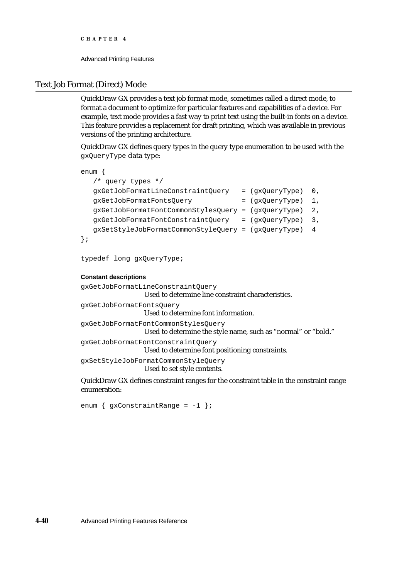## Text Job Format (Direct) Mode

QuickDraw GX provides a text job format mode, sometimes called a direct mode, to format a document to optimize for particular features and capabilities of a device. For example, text mode provides a fast way to print text using the built-in fonts on a device. This feature provides a replacement for draft printing, which was available in previous versions of the printing architecture.

QuickDraw GX defines query types in the query type enumeration to be used with the gxQueryType data type:

```
enum {
  /* query types */
  gxGetJobFormatLineConstraintQuery = (gxQueryType) 0,
  gxGetJobFormatFontsQuery = (gxQueryType) 1,
  gxGetJobFormatFontCommonStylesQuery = (gxQueryType) 2,
  gxGetJobFormatFontConstraintQuery = (gxQueryType) 3,
  gxSetStyleJobFormatCommonStyleQuery = (gxQueryType) 4
```

```
};
```
typedef long gxQueryType;

### **Constant descriptions**

```
gxGetJobFormatLineConstraintQuery
                  Used to determine line constraint characteristics.
gxGetJobFormatFontsQuery
                  Used to determine font information.
gxGetJobFormatFontCommonStylesQuery
                  Used to determine the style name, such as "normal" or "bold."
gxGetJobFormatFontConstraintQuery
                  Used to determine font positioning constraints.
gxSetStyleJobFormatCommonStyleQuery
                  Used to set style contents.
```
QuickDraw GX defines constraint ranges for the constraint table in the constraint range enumeration:

```
enum \{gxConstantRange = -1 \};
```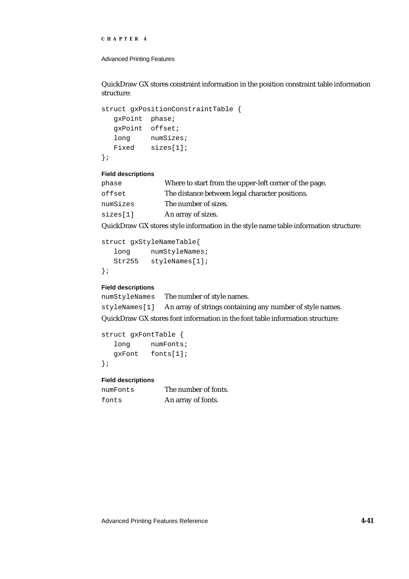```
CHAPTER 4
```
QuickDraw GX stores constraint information in the position constraint table information structure:

```
struct gxPositionConstraintTable {
  gxPoint phase;
  gxPoint offset;
  long numSizes;
  Fixed sizes[1];
};
```
## **Field descriptions**

| phase    | Where to start from the upper-left corner of the page. |
|----------|--------------------------------------------------------|
| offset   | The distance between legal character positions.        |
| numSizes | The number of sizes.                                   |
| sizes[1] | An array of sizes.                                     |

QuickDraw GX stores style information in the style name table information structure:

```
struct gxStyleNameTable{
  long numStyleNames;
  Str255 styleNames[1];
};
```
## **Field descriptions**

numStyleNames The number of style names. styleNames[1] An array of strings containing any number of style names.

QuickDraw GX stores font information in the font table information structure:

```
struct gxFontTable {
  long numFonts;
  gxFont fonts[1];
};
```
**Field descriptions**

| numFonts | The number of fonts. |
|----------|----------------------|
| fonts    | An array of fonts.   |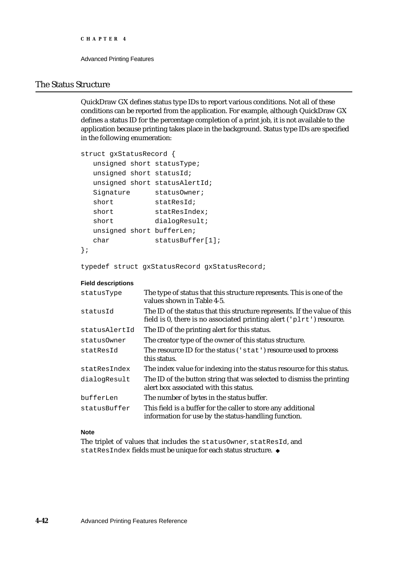```
CHAPTER 4
```
## The Status Structure

QuickDraw GX defines status type IDs to report various conditions. Not all of these conditions can be reported from the application. For example, although QuickDraw GX defines a status ID for the percentage completion of a print job, it is not available to the application because printing takes place in the background. Status type IDs are specified in the following enumeration:

```
struct gxStatusRecord {
  unsigned short statusType;
  unsigned short statusId;
  unsigned short statusAlertId;
  Signature statusOwner;
  short statResId;
  short statResIndex;<br>short dialogResult;
                 dialogResult;
  unsigned short bufferLen;
  char statusBuffer[1];
};
```
typedef struct gxStatusRecord gxStatusRecord;

## **Field descriptions**

| statusType    | The type of status that this structure represents. This is one of the<br>values shown in Table 4-5.                                               |
|---------------|---------------------------------------------------------------------------------------------------------------------------------------------------|
| statusId      | The ID of the status that this structure represents. If the value of this<br>field is 0, there is no associated printing alert ('plrt') resource. |
| statusAlertId | The ID of the printing alert for this status.                                                                                                     |
| status0wner   | The creator type of the owner of this status structure.                                                                                           |
| statResId     | The resource ID for the status ('stat') resource used to process<br>this status.                                                                  |
| statResIndex  | The index value for indexing into the status resource for this status.                                                                            |
| dialogResult  | The ID of the button string that was selected to dismiss the printing<br>alert box associated with this status.                                   |
| bufferLen     | The number of bytes in the status buffer.                                                                                                         |
| statusBuffer  | This field is a buffer for the caller to store any additional<br>information for use by the status-handling function.                             |

## **Note**

The triplet of values that includes the statusOwner, statResId, and statResIndex fields must be unique for each status structure.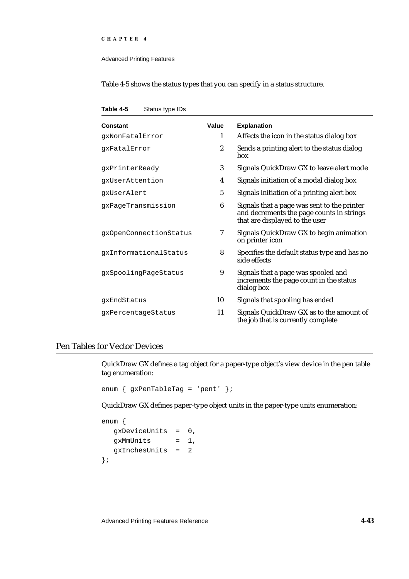#### Advanced Printing Features

Table 4-5 shows the status types that you can specify in a status structure.

**Table 4-5** Status type IDs

| Constant               | Value            | <b>Explanation</b>                                                                                                         |
|------------------------|------------------|----------------------------------------------------------------------------------------------------------------------------|
| qxNonFatalError        | 1                | Affects the icon in the status dialog box                                                                                  |
| qxFatalError           | $\boldsymbol{2}$ | Sends a printing alert to the status dialog<br>box                                                                         |
| gxPrinterReady         | 3                | Signals QuickDraw GX to leave alert mode                                                                                   |
| gxUserAttention        | $\boldsymbol{4}$ | Signals initiation of a modal dialog box                                                                                   |
| qxUserAlert            | $\mathbf 5$      | Signals initiation of a printing alert box                                                                                 |
| gxPageTransmission     | 6                | Signals that a page was sent to the printer<br>and decrements the page counts in strings<br>that are displayed to the user |
| gxOpenConnectionStatus | 7                | Signals QuickDraw GX to begin animation<br>on printer icon                                                                 |
| qxInformationalStatus  | 8                | Specifies the default status type and has no<br>side effects                                                               |
| gxSpoolingPageStatus   | 9                | Signals that a page was spooled and<br>increments the page count in the status<br>dialog box                               |
| gxEndStatus            | 10               | Signals that spooling has ended                                                                                            |
| gxPercentageStatus     | 11               | Signals QuickDraw GX as to the amount of<br>the job that is currently complete                                             |

# Pen Tables for Vector Devices

QuickDraw GX defines a tag object for a paper-type object's view device in the pen table tag enumeration:

```
enum { gxPenTableTag = 'pent' };
```
QuickDraw GX defines paper-type object units in the paper-type units enumeration:

```
enum {
  gxDeviceUnits = 0,
  gxMmUnits = 1,gxInchesUnits = 2
};
```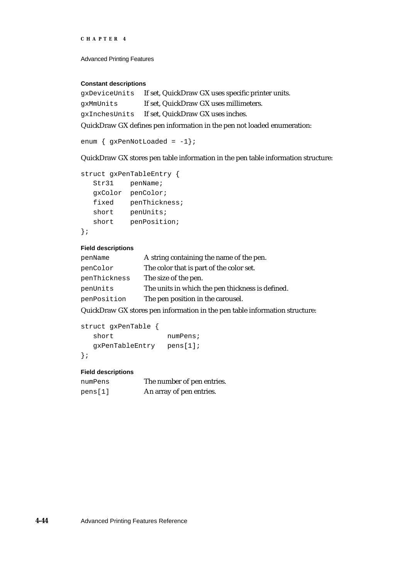```
CHAPTER 4
```
### **Constant descriptions**

gxDeviceUnits If set, QuickDraw GX uses specific printer units. gxMmUnits If set, QuickDraw GX uses millimeters. gxInchesUnits If set, QuickDraw GX uses inches.

QuickDraw GX defines pen information in the pen not loaded enumeration:

```
enum \{ gxPenNotLoader = -1 \};
```
QuickDraw GX stores pen table information in the pen table information structure:

```
struct gxPenTableEntry {
  Str31 penName;
  gxColor penColor;
  fixed penThickness;
  short penUnits;
  short penPosition;
```

```
};
```
## **Field descriptions**

| penName      | A string containing the name of the pen.         |
|--------------|--------------------------------------------------|
| penColor     | The color that is part of the color set.         |
| penThickness | The size of the pen.                             |
| penUnits     | The units in which the pen thickness is defined. |
| penPosition  | The pen position in the carousel.                |

QuickDraw GX stores pen information in the pen table information structure:

```
struct gxPenTable {
  short numPens;
  gxPenTableEntry pens[1];
};
```
## **Field descriptions**

| numPens | The number of pen entries. |
|---------|----------------------------|
| pens[1] | An array of pen entries.   |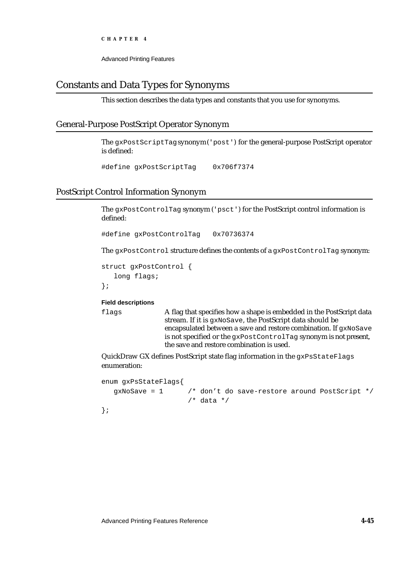Advanced Printing Features

# Constants and Data Types for Synonyms

This section describes the data types and constants that you use for synonyms.

## General-Purpose PostScript Operator Synonym

The gxPostScriptTag synonym ('post') for the general-purpose PostScript operator is defined:

#define gxPostScriptTag 0x706f7374

# PostScript Control Information Synonym

The gxPostControlTag synonym ('psct') for the PostScript control information is defined:

#define gxPostControlTag 0x70736374

The gxPostControl structure defines the contents of a gxPostControlTag synonym:

```
struct gxPostControl {
   long flags;
};
```
#### **Field descriptions**

flags A flag that specifies how a shape is embedded in the PostScript data stream. If it is gxNoSave, the PostScript data should be encapsulated between a save and restore combination. If gxNoSave is not specified or the gxPostControlTag synonym is not present, the save and restore combination is used.

QuickDraw GX defines PostScript state flag information in the gxPsStateFlags enumeration:

```
enum gxPsStateFlags{
  gxNoSave = 1 /* don't do save-restore around PostScript */
                   /* data */};
```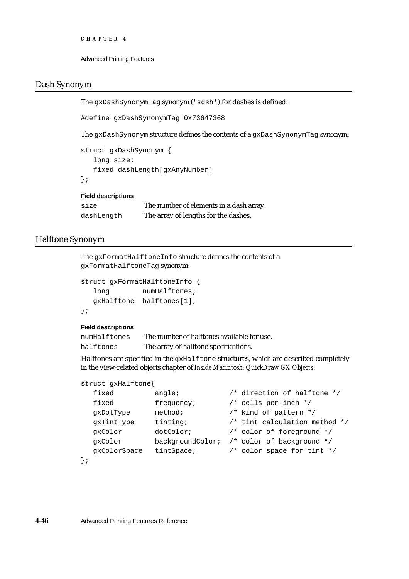```
CHAPTER 4
```
## Dash Synonym

The gxDashSynonymTag synonym ('sdsh') for dashes is defined:

#define gxDashSynonymTag 0x73647368

The gxDashSynonym structure defines the contents of a gxDashSynonymTag synonym:

```
struct gxDashSynonym {
   long size;
   fixed dashLength[gxAnyNumber]
};
```
## **Field descriptions**

| size       | The number of elements in a dash array. |
|------------|-----------------------------------------|
| dashLength | The array of lengths for the dashes.    |

## Halftone Synonym

The gxFormatHalftoneInfo structure defines the contents of a gxFormatHalftoneTag synonym:

```
struct gxFormatHalftoneInfo {
  long numHalftones;
  gxHalftone halftones[1];
};
```
## **Field descriptions**

| numHalftones | The number of halftones available for use. |
|--------------|--------------------------------------------|
| halftones    | The array of halftone specifications.      |

Halftones are specified in the gxHalftone structures, which are described completely in the view-related objects chapter of *Inside Macintosh: QuickDraw GX Objects*:

```
struct gxHalftone{
```

| fixed        | angle:          | /* direction of halftone */                |
|--------------|-----------------|--------------------------------------------|
| fixed        | frequency;      | $/*$ cells per inch $*/$                   |
| qxDotType    | method;         | /* kind of pattern */                      |
| qxTintType   | tinting;        | $/*$ tint calculation method $*/$          |
| gxColor      | dotColor;       | /* color of foreground */                  |
| qxColor      |                 | backgroundColor; /* color of background */ |
| qxColorSpace | $t$ int $Space$ | $/*$ color space for tint $*/$             |
|              |                 |                                            |

```
};
```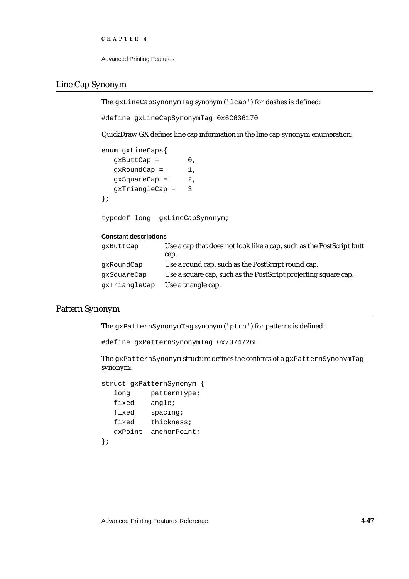```
CHAPTER 4
```
## Line Cap Synonym

The gxLineCapSynonymTag synonym ('lcap') for dashes is defined:

#define gxLineCapSynonymTag 0x6C636170

QuickDraw GX defines line cap information in the line cap synonym enumeration:

enum gxLineCaps{  $gxButtCap = 0,$  $gxRoundCap = 1,$  $gxSquareCap = 2$ , gxTriangleCap = 3 };

typedef long gxLineCapSynonym;

## **Constant descriptions**

| qxButtCap     | Use a cap that does not look like a cap, such as the PostScript butt |
|---------------|----------------------------------------------------------------------|
|               | cap.                                                                 |
| qxRoundCap    | Use a round cap, such as the PostScript round cap.                   |
| qxSquareCap   | Use a square cap, such as the PostScript projecting square cap.      |
| gxTriangleCap | Use a triangle cap.                                                  |

## Pattern Synonym

The gxPatternSynonymTag synonym ('ptrn') for patterns is defined:

```
#define gxPatternSynonymTag 0x7074726E
```
The gxPatternSynonym structure defines the contents of a gxPatternSynonymTag synonym:

```
struct gxPatternSynonym {
  long patternType;
  fixed angle;
  fixed spacing;
  fixed thickness;
  gxPoint anchorPoint;
};
```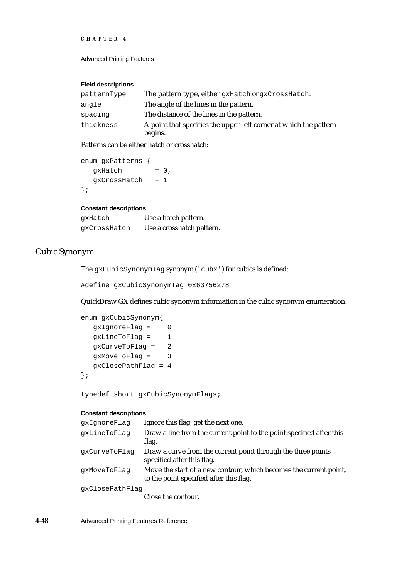```
CHAPTER 4
```
### **Field descriptions**

| patternType | The pattern type, either gxHatch or gxCrossHatch.                            |
|-------------|------------------------------------------------------------------------------|
| angle       | The angle of the lines in the pattern.                                       |
| spacing     | The distance of the lines in the pattern.                                    |
| thickness   | A point that specifies the upper-left corner at which the pattern<br>begins. |

Patterns can be either hatch or crosshatch:

```
enum gxPatterns {
  gxHatch = 0,gxCrossHatch = 1
};
```
#### **Constant descriptions**

| qxHatch      | Use a hatch pattern.      |
|--------------|---------------------------|
| qxCrossHatch | Use a crosshatch pattern. |

## Cubic Synonym

The gxCubicSynonymTag synonym ('cubx') for cubics is defined:

#define gxCubicSynonymTag 0x63756278

QuickDraw GX defines cubic synonym information in the cubic synonym enumeration:

```
enum gxCubicSynonym{
  gxIgnoreFlag = 0
  gxLineToFlag = 1
  gxCurveToFlag = 2
  gxMoveToFlag = 3
  gxClosePathFlag = 4
};
```
typedef short gxCubicSynonymFlags;

## **Constant descriptions**

| qxIqnoreFlaq    | Ignore this flag; get the next one.                                                                          |
|-----------------|--------------------------------------------------------------------------------------------------------------|
| qxLineToFlaq    | Draw a line from the current point to the point specified after this<br>flag.                                |
| qxCurveToFlaq   | Draw a curve from the current point through the three points<br>specified after this flag.                   |
| qxMoveToFlaq    | Move the start of a new contour, which becomes the current point,<br>to the point specified after this flag. |
| qxClosePathFlaq |                                                                                                              |

Close the contour.

**4-48** Advanced Printing Features Reference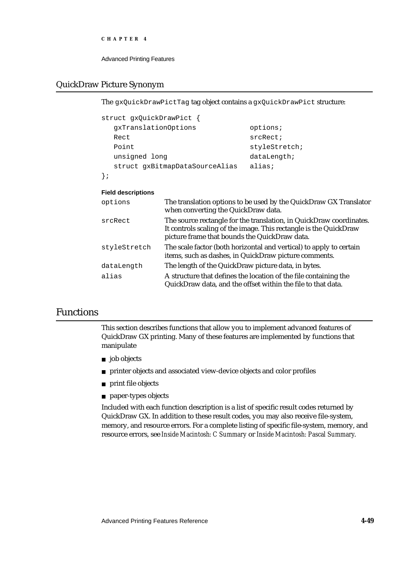Advanced Printing Features

# QuickDraw Picture Synonym

The gxQuickDrawPictTag tag object contains a gxQuickDrawPict structure:

| struct gxQuickDrawPict {       |               |
|--------------------------------|---------------|
| qxTranslationOptions           | options;      |
| Rect                           | srcRect;      |
| Point                          | styleStretch; |
| unsigned long                  | dataLength    |
| struct gxBitmapDataSourceAlias | alias;        |
|                                |               |

## **Field descriptions**

| options      | The translation options to be used by the QuickDraw GX Translator<br>when converting the QuickDraw data.                                                                                  |
|--------------|-------------------------------------------------------------------------------------------------------------------------------------------------------------------------------------------|
| srcRect      | The source rectangle for the translation, in QuickDraw coordinates.<br>It controls scaling of the image. This rectangle is the QuickDraw<br>picture frame that bounds the QuickDraw data. |
| styleStretch | The scale factor (both horizontal and vertical) to apply to certain<br>items, such as dashes, in QuickDraw picture comments.                                                              |
| dataLength   | The length of the QuickDraw picture data, in bytes.                                                                                                                                       |
| alias        | A structure that defines the location of the file containing the<br>QuickDraw data, and the offset within the file to that data.                                                          |

# Functions

This section describes functions that allow you to implement advanced features of QuickDraw GX printing. Many of these features are implemented by functions that manipulate

- n job objects
- printer objects and associated view-device objects and color profiles
- n print file objects
- paper-types objects

Included with each function description is a list of specific result codes returned by QuickDraw GX. In addition to these result codes, you may also receive file-system, memory, and resource errors. For a complete listing of specific file-system, memory, and resource errors, see *Inside Macintosh: C Summary* or *Inside Macintosh: Pascal Summary*.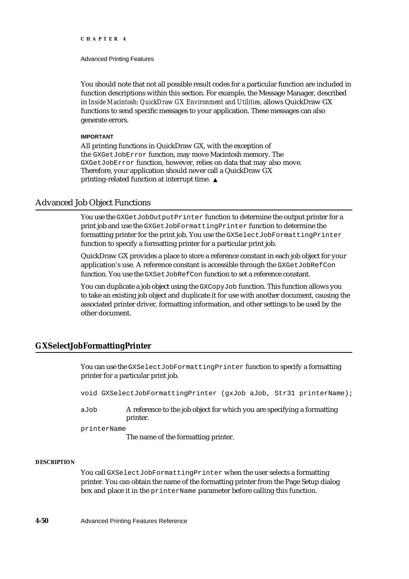Advanced Printing Features

You should note that not all possible result codes for a particular function are included in function descriptions within this section. For example, the Message Manager, described in *Inside Macintosh: QuickDraw GX Environment and Utilities,* allows QuickDraw GX functions to send specific messages to your application. These messages can also generate errors.

#### **IMPORTANT**

All printing functions in QuickDraw GX, with the exception of the GXGetJobError function, may move Macintosh memory. The GXGetJobError function, however, relies on data that may also move. Therefore, your application should never call a QuickDraw GX printing-related function at interrupt time.

## Advanced Job Object Functions

You use the GXGetJobOutputPrinter function to determine the output printer for a print job and use the GXGetJobFormattingPrinter function to determine the formatting printer for the print job. You use the GXSelectJobFormattingPrinter function to specify a formatting printer for a particular print job.

QuickDraw GX provides a place to store a reference constant in each job object for your application's use. A reference constant is accessible through the GXGetJobRefCon function. You use the GXSetJobRefCon function to set a reference constant.

You can duplicate a job object using the GXCopyJob function. This function allows you to take an existing job object and duplicate it for use with another document, causing the associated printer driver, formatting information, and other settings to be used by the other document.

## **GXSelectJobFormattingPrinter**

You can use the GXSelectJobFormattingPrinter function to specify a formatting printer for a particular print job.

void GXSelectJobFormattingPrinter (gxJob aJob, Str31 printerName);

aJob A reference to the job object for which you are specifying a formatting printer.

printerName

The name of the formatting printer.

## **DESCRIPTION**

You call GXSelectJobFormattingPrinter when the user selects a formatting printer. You can obtain the name of the formatting printer from the Page Setup dialog box and place it in the printerName parameter before calling this function.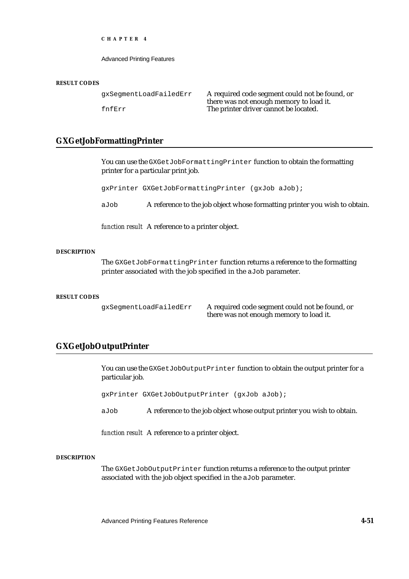Advanced Printing Features

#### **RESULT CODES**

| qxSeqmentLoadFailedErr | A required code segment could not be found, or |
|------------------------|------------------------------------------------|
|                        | there was not enough memory to load it.        |
| fnfErr                 | The printer driver cannot be located.          |

## **GXGetJobFormattingPrinter**

You can use the GXGetJobFormattingPrinter function to obtain the formatting printer for a particular print job.

gxPrinter GXGetJobFormattingPrinter (gxJob aJob);

aJob A reference to the job object whose formatting printer you wish to obtain.

*function result* A reference to a printer object.

## **DESCRIPTION**

The GXGetJobFormattingPrinter function returns a reference to the formatting printer associated with the job specified in the aJob parameter.

### **RESULT CODES**

gxSegmentLoadFailedErr A required code segment could not be found, or there was not enough memory to load it.

## **GXGetJobOutputPrinter**

You can use the GXGetJobOutputPrinter function to obtain the output printer for a particular job.

gxPrinter GXGetJobOutputPrinter (gxJob aJob);

aJob A reference to the job object whose output printer you wish to obtain.

*function result* A reference to a printer object.

#### **DESCRIPTION**

The GXGetJobOutputPrinter function returns a reference to the output printer associated with the job object specified in the aJob parameter.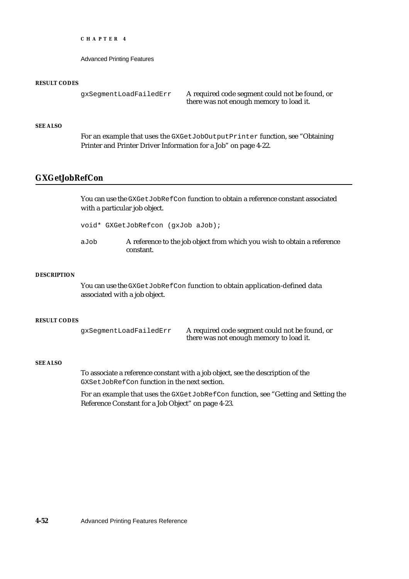Advanced Printing Features

#### **RESULT CODES**

```
gxSegmentLoadFailedErr A required code segment could not be found, or
                              there was not enough memory to load it.
```
## **SEE ALSO**

For an example that uses the GXGetJobOutputPrinter function, see "Obtaining Printer and Printer Driver Information for a Job" on page 4-22.

## **GXGetJobRefCon**

You can use the GXGetJobRefCon function to obtain a reference constant associated with a particular job object.

void\* GXGetJobRefcon (gxJob aJob);

aJob A reference to the job object from which you wish to obtain a reference constant.

## **DESCRIPTION**

You can use the GXGetJobRefCon function to obtain application-defined data associated with a job object.

#### **RESULT CODES**

gxSegmentLoadFailedErr A required code segment could not be found, or there was not enough memory to load it.

#### **SEE ALSO**

To associate a reference constant with a job object, see the description of the GXSetJobRefCon function in the next section.

For an example that uses the GXGetJobRefCon function, see "Getting and Setting the Reference Constant for a Job Object" on page 4-23.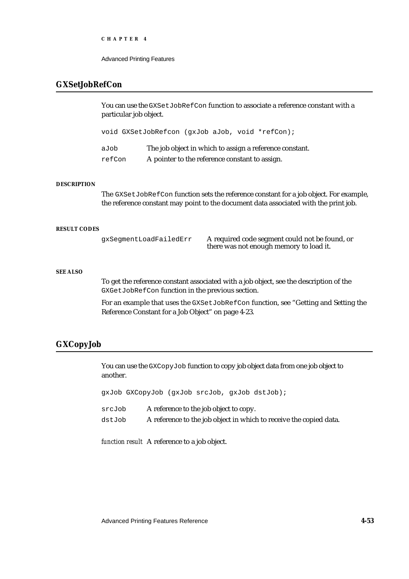Advanced Printing Features

## **GXSetJobRefCon**

You can use the GXSetJobRefCon function to associate a reference constant with a particular job object.

void GXSetJobRefcon (gxJob aJob, void \*refCon);

aJob The job object in which to assign a reference constant. refCon A pointer to the reference constant to assign.

### **DESCRIPTION**

The GXSetJobRefCon function sets the reference constant for a job object. For example, the reference constant may point to the document data associated with the print job.

#### **RESULT CODES**

gxSegmentLoadFailedErr A required code segment could not be found, or there was not enough memory to load it.

#### **SEE ALSO**

To get the reference constant associated with a job object, see the description of the GXGetJobRefCon function in the previous section.

For an example that uses the GXSetJobRefCon function, see "Getting and Setting the Reference Constant for a Job Object" on page 4-23.

## **GXCopyJob**

You can use the GXCopyJob function to copy job object data from one job object to another.

gxJob GXCopyJob (gxJob srcJob, gxJob dstJob);

- srcJob A reference to the job object to copy.
- dstJob A reference to the job object in which to receive the copied data.

*function result* A reference to a job object.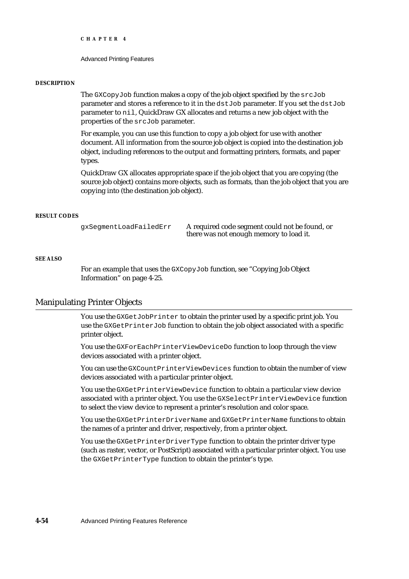```
CHAPTER 4
```
#### **DESCRIPTION**

The GXCopyJob function makes a copy of the job object specified by the srcJob parameter and stores a reference to it in the dstJob parameter. If you set the dstJob parameter to nil, QuickDraw GX allocates and returns a new job object with the properties of the srcJob parameter.

For example, you can use this function to copy a job object for use with another document. All information from the source job object is copied into the destination job object, including references to the output and formatting printers, formats, and paper types.

QuickDraw GX allocates appropriate space if the job object that you are copying (the source job object) contains more objects, such as formats, than the job object that you are copying into (the destination job object).

#### **RESULT CODES**

gxSegmentLoadFailedErr A required code segment could not be found, or there was not enough memory to load it.

#### **SEE ALSO**

For an example that uses the GXCopyJob function, see "Copying Job Object Information" on page 4-25.

## Manipulating Printer Objects

You use the GXGetJobPrinter to obtain the printer used by a specific print job. You use the GXGetPrinterJob function to obtain the job object associated with a specific printer object.

You use the GXForEachPrinterViewDeviceDo function to loop through the view devices associated with a printer object.

You can use the GXCountPrinterViewDevices function to obtain the number of view devices associated with a particular printer object.

You use the GXGetPrinterViewDevice function to obtain a particular view device associated with a printer object. You use the GXSelectPrinterViewDevice function to select the view device to represent a printer's resolution and color space.

You use the GXGetPrinterDriverName and GXGetPrinterName functions to obtain the names of a printer and driver, respectively, from a printer object.

You use the GXGetPrinterDriverType function to obtain the printer driver type (such as raster, vector, or PostScript) associated with a particular printer object. You use the GXGetPrinterType function to obtain the printer's type.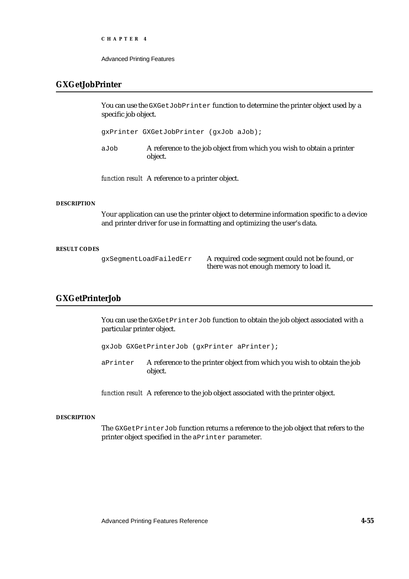Advanced Printing Features

## **GXGetJobPrinter**

You can use the GXGetJobPrinter function to determine the printer object used by a specific job object.

gxPrinter GXGetJobPrinter (gxJob aJob);

aJob A reference to the job object from which you wish to obtain a printer object.

*function result* A reference to a printer object.

#### **DESCRIPTION**

Your application can use the printer object to determine information specific to a device and printer driver for use in formatting and optimizing the user's data.

#### **RESULT CODES**

gxSegmentLoadFailedErr A required code segment could not be found, or there was not enough memory to load it.

# **GXGetPrinterJob**

You can use the GXGetPrinterJob function to obtain the job object associated with a particular printer object.

gxJob GXGetPrinterJob (gxPrinter aPrinter);

aPrinter A reference to the printer object from which you wish to obtain the job object.

*function result* A reference to the job object associated with the printer object.

## **DESCRIPTION**

The GXGetPrinterJob function returns a reference to the job object that refers to the printer object specified in the aPrinter parameter.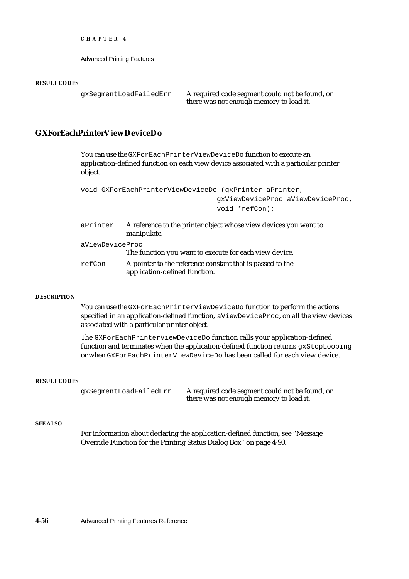Advanced Printing Features

#### **RESULT CODES**

gxSegmentLoadFailedErr A required code segment could not be found, or there was not enough memory to load it.

## **GXForEachPrinterViewDeviceDo**

You can use the GXForEachPrinterViewDeviceDo function to execute an application-defined function on each view device associated with a particular printer object.

```
void GXForEachPrinterViewDeviceDo (gxPrinter aPrinter,
                                 gxViewDeviceProc aViewDeviceProc,
                                 void *refCon);
```

| aPrinter        | A reference to the printer object whose view devices you want to<br>manipulate.            |
|-----------------|--------------------------------------------------------------------------------------------|
| aViewDeviceProc |                                                                                            |
|                 | The function you want to execute for each view device.                                     |
| refCon          | A pointer to the reference constant that is passed to the<br>application-defined function. |

### **DESCRIPTION**

You can use the GXForEachPrinterViewDeviceDo function to perform the actions specified in an application-defined function, aViewDeviceProc, on all the view devices associated with a particular printer object.

The GXForEachPrinterViewDeviceDo function calls your application-defined function and terminates when the application-defined function returns gxStopLooping or when GXForEachPrinterViewDeviceDo has been called for each view device.

#### **RESULT CODES**

gxSegmentLoadFailedErr A required code segment could not be found, or there was not enough memory to load it.

#### **SEE ALSO**

For information about declaring the application-defined function, see "Message Override Function for the Printing Status Dialog Box" on page 4-90.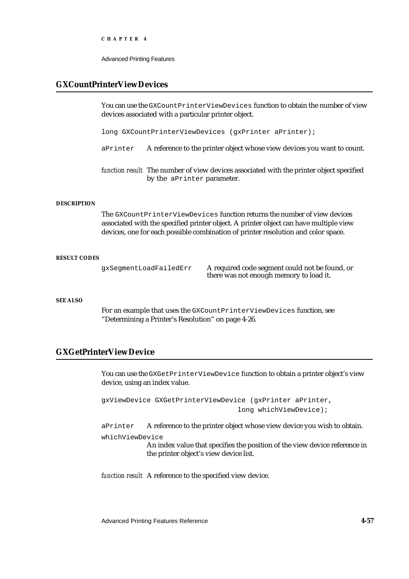Advanced Printing Features

## **GXCountPrinterViewDevices**

You can use the GXCountPrinterViewDevices function to obtain the number of view devices associated with a particular printer object.

long GXCountPrinterViewDevices (gxPrinter aPrinter);

aPrinter A reference to the printer object whose view devices you want to count.

*function result* The number of view devices associated with the printer object specified by the aPrinter parameter.

#### **DESCRIPTION**

The GXCountPrinterViewDevices function returns the number of view devices associated with the specified printer object. A printer object can have multiple view devices, one for each possible combination of printer resolution and color space.

#### **RESULT CODES**

gxSegmentLoadFailedErr A required code segment could not be found, or there was not enough memory to load it.

#### **SEE ALSO**

For an example that uses the GXCountPrinterViewDevices function, see "Determining a Printer's Resolution" on page 4-26.

## **GXGetPrinterViewDevice**

You can use the GXGetPrinterViewDevice function to obtain a printer object's view device, using an index value.

gxViewDevice GXGetPrinterViewDevice (gxPrinter aPrinter, long whichViewDevice);

aPrinter A reference to the printer object whose view device you wish to obtain. whichViewDevice An index value that specifies the position of the view device reference in the printer object's view device list.

*function result* A reference to the specified view device.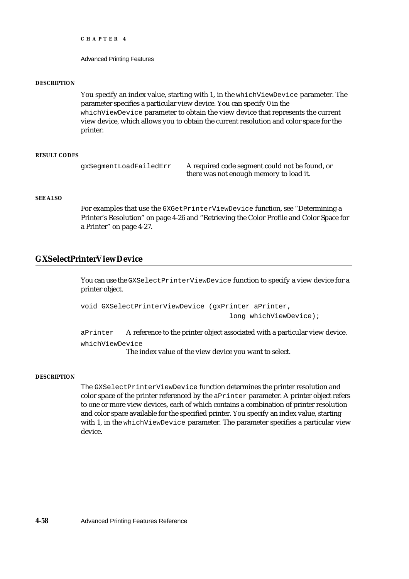Advanced Printing Features

#### **DESCRIPTION**

You specify an index value, starting with 1, in the whichViewDevice parameter. The parameter specifies a particular view device. You can specify 0 in the whichViewDevice parameter to obtain the view device that represents the current view device, which allows you to obtain the current resolution and color space for the printer.

## **RESULT CODES**

gxSegmentLoadFailedErr A required code segment could not be found, or there was not enough memory to load it.

#### **SEE ALSO**

For examples that use the GXGetPrinterViewDevice function, see "Determining a Printer's Resolution" on page 4-26 and "Retrieving the Color Profile and Color Space for a Printer" on page 4-27.

## **GXSelectPrinterViewDevice**

You can use the GXSelectPrinterViewDevice function to specify a view device for a printer object.

```
void GXSelectPrinterViewDevice (gxPrinter aPrinter,
                                    long whichViewDevice);
```
aPrinter A reference to the printer object associated with a particular view device. whichViewDevice

The index value of the view device you want to select.

#### **DESCRIPTION**

The GXSelectPrinterViewDevice function determines the printer resolution and color space of the printer referenced by the aPrinter parameter. A printer object refers to one or more view devices, each of which contains a combination of printer resolution and color space available for the specified printer. You specify an index value, starting with 1, in the whichViewDevice parameter. The parameter specifies a particular view device.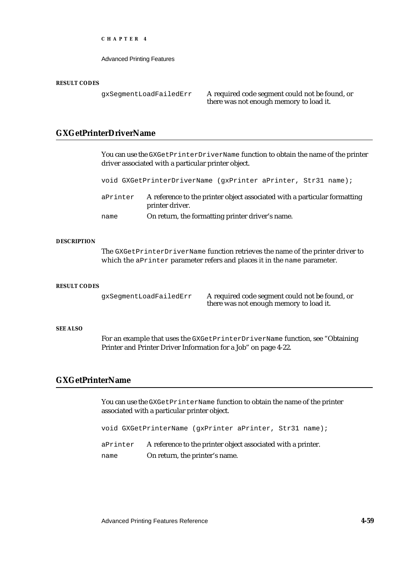Advanced Printing Features

#### **RESULT CODES**

gxSegmentLoadFailedErr A required code segment could not be found, or there was not enough memory to load it.

## **GXGetPrinterDriverName**

You can use the GXGetPrinterDriverName function to obtain the name of the printer driver associated with a particular printer object. void GXGetPrinterDriverName (gxPrinter aPrinter, Str31 name); aPrinter A reference to the printer object associated with a particular formatting printer driver. name On return, the formatting printer driver's name.

#### **DESCRIPTION**

The GXGetPrinterDriverName function retrieves the name of the printer driver to which the aPrinter parameter refers and places it in the name parameter.

#### **RESULT CODES**

gxSegmentLoadFailedErr A required code segment could not be found, or there was not enough memory to load it.

### **SEE ALSO**

For an example that uses the GXGetPrinterDriverName function, see "Obtaining Printer and Printer Driver Information for a Job" on page 4-22.

## **GXGetPrinterName**

You can use the GXGetPrinterName function to obtain the name of the printer associated with a particular printer object.

void GXGetPrinterName (gxPrinter aPrinter, Str31 name);

aPrinter A reference to the printer object associated with a printer. name On return, the printer's name.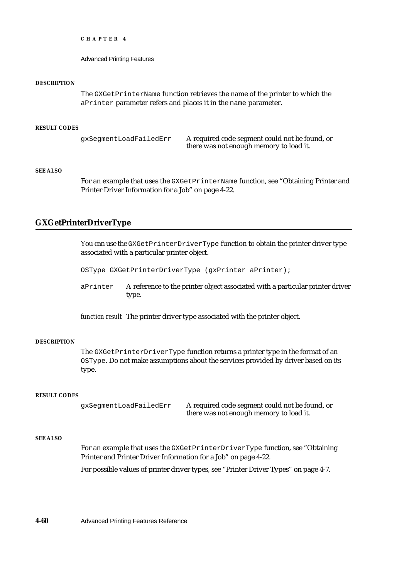Advanced Printing Features

#### **DESCRIPTION**

The GXGetPrinterName function retrieves the name of the printer to which the aPrinter parameter refers and places it in the name parameter.

#### **RESULT CODES**

gxSegmentLoadFailedErr A required code segment could not be found, or there was not enough memory to load it.

## **SEE ALSO**

For an example that uses the GXGetPrinterName function, see "Obtaining Printer and Printer Driver Information for a Job" on page 4-22.

## **GXGetPrinterDriverType**

You can use the GXGetPrinterDriverType function to obtain the printer driver type associated with a particular printer object.

OSType GXGetPrinterDriverType (gxPrinter aPrinter);

aPrinter A reference to the printer object associated with a particular printer driver type.

*function result* The printer driver type associated with the printer object.

### **DESCRIPTION**

The GXGetPrinterDriverType function returns a printer type in the format of an OSType. Do not make assumptions about the services provided by driver based on its type.

#### **RESULT CODES**

gxSegmentLoadFailedErr A required code segment could not be found, or there was not enough memory to load it.

#### **SEE ALSO**

For an example that uses the GXGetPrinterDriverType function, see "Obtaining Printer and Printer Driver Information for a Job" on page 4-22.

For possible values of printer driver types, see "Printer Driver Types" on page 4-7.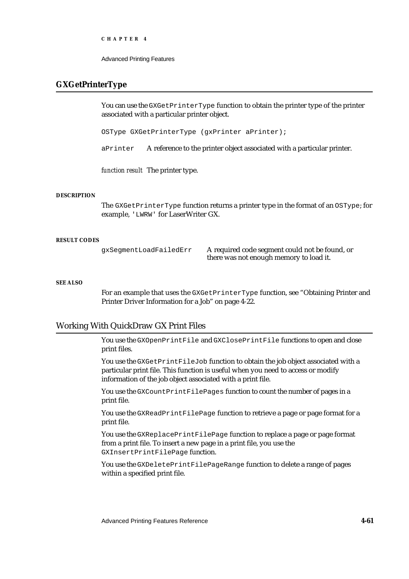Advanced Printing Features

## **GXGetPrinterType**

You can use the GXGetPrinterType function to obtain the printer type of the printer associated with a particular printer object.

OSType GXGetPrinterType (gxPrinter aPrinter);

aPrinter A reference to the printer object associated with a particular printer.

*function result* The printer type.

### **DESCRIPTION**

The GXGetPrinterType function returns a printer type in the format of an OSType; for example, 'LWRW' for LaserWriter GX.

### **RESULT CODES**

gxSegmentLoadFailedErr A required code segment could not be found, or there was not enough memory to load it.

## **SEE ALSO**

For an example that uses the GXGetPrinterType function, see "Obtaining Printer and Printer Driver Information for a Job" on page 4-22.

## Working With QuickDraw GX Print Files

You use the GXOpenPrintFile and GXClosePrintFile functions to open and close print files.

You use the GXGetPrintFileJob function to obtain the job object associated with a particular print file. This function is useful when you need to access or modify information of the job object associated with a print file.

You use the GXCountPrintFilePages function to count the number of pages in a print file.

You use the GXReadPrintFilePage function to retrieve a page or page format for a print file.

You use the GXReplacePrintFilePage function to replace a page or page format from a print file. To insert a new page in a print file, you use the GXInsertPrintFilePage function.

You use the GXDeletePrintFilePageRange function to delete a range of pages within a specified print file.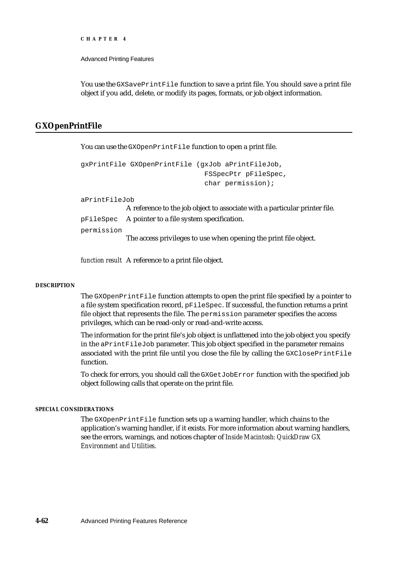Advanced Printing Features

You use the GXSavePrintFile function to save a print file. You should save a print file object if you add, delete, or modify its pages, formats, or job object information.

## **GXOpenPrintFile**

You can use the GXOpenPrintFile function to open a print file.

```
gxPrintFile GXOpenPrintFile (gxJob aPrintFileJob, 
                               FSSpecPtr pFileSpec, 
                               char permission);
```
aPrintFileJob

A reference to the job object to associate with a particular printer file. pFileSpec A pointer to a file system specification. permission The access privileges to use when opening the print file object.

*function result* A reference to a print file object.

## **DESCRIPTION**

The GXOpenPrintFile function attempts to open the print file specified by a pointer to a file system specification record, pFileSpec. If successful, the function returns a print file object that represents the file. The permission parameter specifies the access privileges, which can be read-only or read-and-write access.

The information for the print file's job object is unflattened into the job object you specify in the aPrintFileJob parameter. This job object specified in the parameter remains associated with the print file until you close the file by calling the GXClosePrintFile function.

To check for errors, you should call the GXGetJobError function with the specified job object following calls that operate on the print file.

### **SPECIAL CONSIDERATIONS**

The GXOpenPrintFile function sets up a warning handler, which chains to the application's warning handler, if it exists. For more information about warning handlers, see the errors, warnings, and notices chapter of *Inside Macintosh: QuickDraw GX Environment and Utilities*.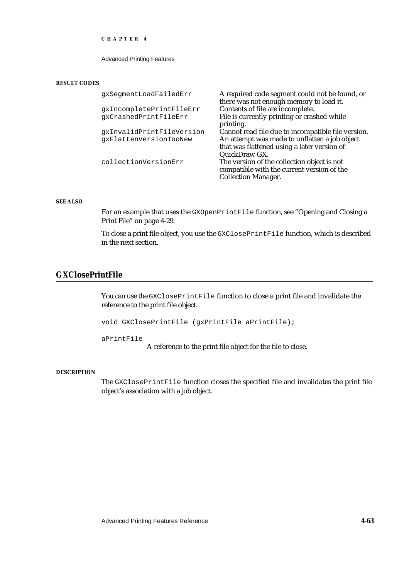Advanced Printing Features

#### **RESULT CODES**

| gxSegmentLoadFailedErr    | A required code segment could not be found, or     |
|---------------------------|----------------------------------------------------|
|                           | there was not enough memory to load it.            |
| qxIncompletePrintFileErr  | Contents of file are incomplete.                   |
| qxCrashedPrintFileErr     | File is currently printing or crashed while        |
|                           | printing.                                          |
| gxInvalidPrintFileVersion | Cannot read file due to incompatible file version. |
| qxFlattenVersionTooNew    | An attempt was made to unflatten a job object      |
|                           | that was flattened using a later version of        |
|                           | QuickDraw GX.                                      |
| collectionVersionErr      | The version of the collection object is not        |
|                           | compatible with the current version of the         |
|                           | <b>Collection Manager.</b>                         |

## **SEE ALSO**

For an example that uses the GXOpenPrintFile function, see "Opening and Closing a Print File" on page 4-29.

To close a print file object, you use the GXClosePrintFile function, which is described in the next section.

# **GXClosePrintFile**

You can use the GXClosePrintFile function to close a print file and invalidate the reference to the print file object.

void GXClosePrintFile (gxPrintFile aPrintFile);

aPrintFile

A reference to the print file object for the file to close.

### **DESCRIPTION**

The GXClosePrintFile function closes the specified file and invalidates the print file object's association with a job object.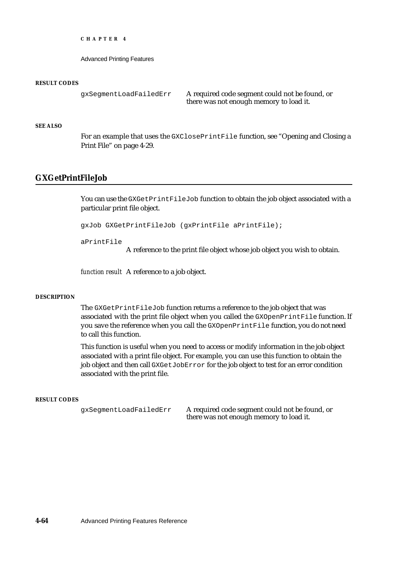Advanced Printing Features

#### **RESULT CODES**

gxSegmentLoadFailedErr A required code segment could not be found, or there was not enough memory to load it.

### **SEE ALSO**

For an example that uses the GXClosePrintFile function, see "Opening and Closing a Print File" on page 4-29.

## **GXGetPrintFileJob**

You can use the GXGetPrintFileJob function to obtain the job object associated with a particular print file object.

gxJob GXGetPrintFileJob (gxPrintFile aPrintFile);

aPrintFile

A reference to the print file object whose job object you wish to obtain.

*function result* A reference to a job object.

### **DESCRIPTION**

The GXGetPrintFileJob function returns a reference to the job object that was associated with the print file object when you called the GXOpenPrintFile function. If you save the reference when you call the GXOpenPrintFile function, you do not need to call this function.

This function is useful when you need to access or modify information in the job object associated with a print file object. For example, you can use this function to obtain the job object and then call GXGetJobError for the job object to test for an error condition associated with the print file.

#### **RESULT CODES**

gxSegmentLoadFailedErr A required code segment could not be found, or there was not enough memory to load it.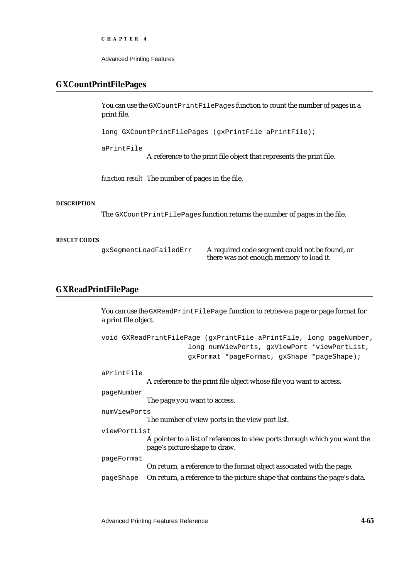Advanced Printing Features

## **GXCountPrintFilePages**

You can use the GXCountPrintFilePages function to count the number of pages in a print file.

long GXCountPrintFilePages (gxPrintFile aPrintFile);

aPrintFile

A reference to the print file object that represents the print file.

*function result* The number of pages in the file.

### **DESCRIPTION**

The GXCountPrintFilePages function returns the number of pages in the file.

#### **RESULT CODES**

gxSegmentLoadFailedErr A required code segment could not be found, or there was not enough memory to load it.

## **GXReadPrintFilePage**

You can use the GXReadPrintFilePage function to retrieve a page or page format for a print file object.

```
void GXReadPrintFilePage (gxPrintFile aPrintFile, long pageNumber,
                         long numViewPorts, gxViewPort *viewPortList, 
                         gxFormat *pageFormat, gxShape *pageShape);
aPrintFile
             A reference to the print file object whose file you want to access.
pageNumber
             The page you want to access.
numViewPorts
             The number of view ports in the view port list.
viewPortList
             A pointer to a list of references to view ports through which you want the 
             page's picture shape to draw.
pageFormat
             On return, a reference to the format object associated with the page.
pageShape On return, a reference to the picture shape that contains the page's data.
```
Advanced Printing Features Reference **4-65**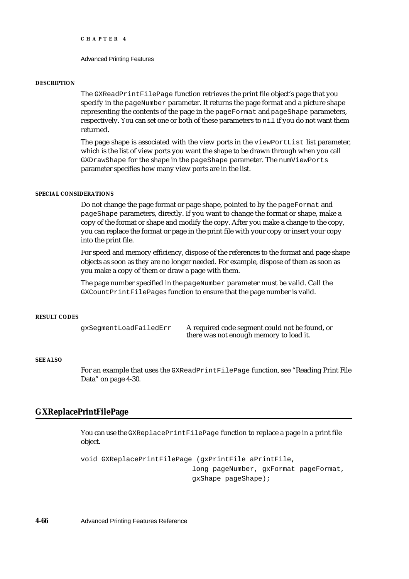Advanced Printing Features

#### **DESCRIPTION**

The GXReadPrintFilePage function retrieves the print file object's page that you specify in the  $p_{\text{a}} q \in \text{Number parameter}$ . It returns the page format and a picture shape representing the contents of the page in the pageFormat and pageShape parameters, respectively. You can set one or both of these parameters to nil if you do not want them returned.

The page shape is associated with the view ports in the viewPortList list parameter, which is the list of view ports you want the shape to be drawn through when you call GXDrawShape for the shape in the pageShape parameter. The numViewPorts parameter specifies how many view ports are in the list.

### **SPECIAL CONSIDERATIONS**

Do not change the page format or page shape, pointed to by the pageFormat and pageShape parameters, directly. If you want to change the format or shape, make a copy of the format or shape and modify the copy. After you make a change to the copy, you can replace the format or page in the print file with your copy or insert your copy into the print file.

For speed and memory efficiency, dispose of the references to the format and page shape objects as soon as they are no longer needed. For example, dispose of them as soon as you make a copy of them or draw a page with them.

The page number specified in the pageNumber parameter must be valid. Call the GXCountPrintFilePages function to ensure that the page number is valid.

#### **RESULT CODES**

gxSegmentLoadFailedErr A required code segment could not be found, or there was not enough memory to load it.

### **SEE ALSO**

For an example that uses the GXReadPrintFilePage function, see "Reading Print File Data" on page 4-30.

## **GXReplacePrintFilePage**

You can use the GXReplacePrintFilePage function to replace a page in a print file object.

```
void GXReplacePrintFilePage (gxPrintFile aPrintFile,
                           long pageNumber, gxFormat pageFormat,
                           gxShape pageShape);
```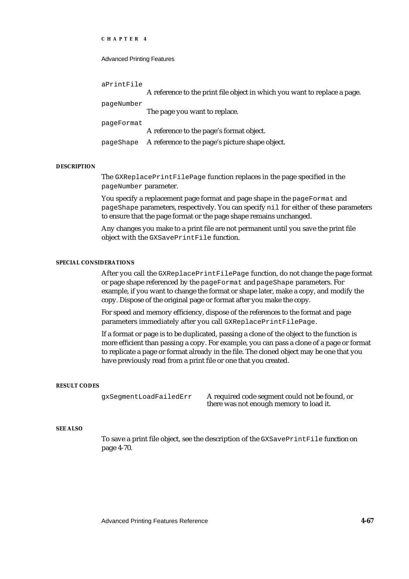#### Advanced Printing Features

| aPrintFile |                                                                           |
|------------|---------------------------------------------------------------------------|
|            | A reference to the print file object in which you want to replace a page. |
| pageNumber |                                                                           |
|            | The page you want to replace.                                             |
| pageFormat |                                                                           |
|            | A reference to the page's format object.                                  |
| pageShape  | A reference to the page's picture shape object.                           |

#### **DESCRIPTION**

The GXReplacePrintFilePage function replaces in the page specified in the pageNumber parameter.

You specify a replacement page format and page shape in the pageFormat and pageShape parameters, respectively. You can specify nil for either of these parameters to ensure that the page format or the page shape remains unchanged.

Any changes you make to a print file are not permanent until you save the print file object with the GXSavePrintFile function.

### **SPECIAL CONSIDERATIONS**

After you call the GXReplacePrintFilePage function, do not change the page format or page shape referenced by the pageFormat and pageShape parameters. For example, if you want to change the format or shape later, make a copy, and modify the copy. Dispose of the original page or format after you make the copy.

For speed and memory efficiency, dispose of the references to the format and page parameters immediately after you call GXReplacePrintFilePage.

If a format or page is to be duplicated, passing a clone of the object to the function is more efficient than passing a copy. For example, you can pass a clone of a page or format to replicate a page or format already in the file. The cloned object may be one that you have previously read from a print file or one that you created.

#### **RESULT CODES**

gxSegmentLoadFailedErr A required code segment could not be found, or there was not enough memory to load it.

#### **SEE ALSO**

To save a print file object, see the description of the GXSavePrintFile function on page 4-70.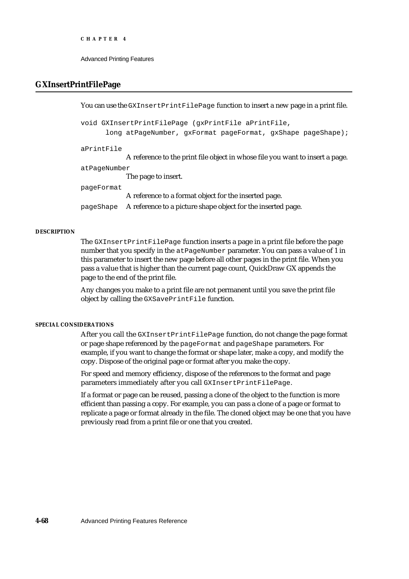```
CHAPTER 4
```
## **GXInsertPrintFilePage**

You can use the GXInsertPrintFilePage function to insert a new page in a print file. void GXInsertPrintFilePage (gxPrintFile aPrintFile, long atPageNumber, gxFormat pageFormat, gxShape pageShape); aPrintFile A reference to the print file object in whose file you want to insert a page. atPageNumber The page to insert. pageFormat A reference to a format object for the inserted page. pageShape A reference to a picture shape object for the inserted page.

### **DESCRIPTION**

The GXInsertPrintFilePage function inserts a page in a print file before the page number that you specify in the  $at$  PageNumber parameter. You can pass a value of 1 in this parameter to insert the new page before all other pages in the print file. When you pass a value that is higher than the current page count, QuickDraw GX appends the page to the end of the print file.

Any changes you make to a print file are not permanent until you save the print file object by calling the GXSavePrintFile function.

## **SPECIAL CONSIDERATIONS**

After you call the GXInsertPrintFilePage function, do not change the page format or page shape referenced by the pageFormat and pageShape parameters. For example, if you want to change the format or shape later, make a copy, and modify the copy. Dispose of the original page or format after you make the copy.

For speed and memory efficiency, dispose of the references to the format and page parameters immediately after you call GXInsertPrintFilePage.

If a format or page can be reused, passing a clone of the object to the function is more efficient than passing a copy. For example, you can pass a clone of a page or format to replicate a page or format already in the file. The cloned object may be one that you have previously read from a print file or one that you created.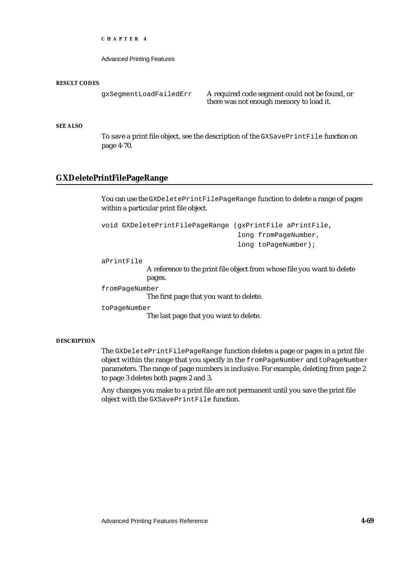Advanced Printing Features

#### **RESULT CODES**

gxSegmentLoadFailedErr A required code segment could not be found, or there was not enough memory to load it.

## **SEE ALSO**

To save a print file object, see the description of the GXSavePrintFile function on page 4-70.

## **GXDeletePrintFilePageRange**

You can use the GXDeletePrintFilePageRange function to delete a range of pages within a particular print file object.

```
void GXDeletePrintFilePageRange (gxPrintFile aPrintFile, 
                                  long fromPageNumber, 
                                  long toPageNumber);
```
## aPrintFile

A reference to the print file object from whose file you want to delete pages.

fromPageNumber

The first page that you want to delete.

toPageNumber

The last page that you want to delete.

#### **DESCRIPTION**

The GXDeletePrintFilePageRange function deletes a page or pages in a print file object within the range that you specify in the fromPageNumber and toPageNumber parameters. The range of page numbers is inclusive. For example, deleting from page 2 to page 3 deletes both pages 2 and 3.

Any changes you make to a print file are not permanent until you save the print file object with the GXSavePrintFile function.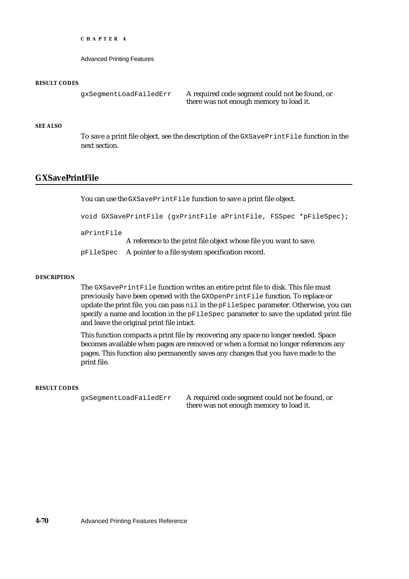Advanced Printing Features

#### **RESULT CODES**

```
gxSegmentLoadFailedErr A required code segment could not be found, or
                              there was not enough memory to load it.
```
### **SEE ALSO**

To save a print file object, see the description of the GXSavePrintFile function in the next section.

## **GXSavePrintFile**

You can use the GXSavePrintFile function to save a print file object.

void GXSavePrintFile (gxPrintFile aPrintFile, FSSpec \*pFileSpec);

aPrintFile

A reference to the print file object whose file you want to save. pFileSpec A pointer to a file system specification record.

#### **DESCRIPTION**

The GXSavePrintFile function writes an entire print file to disk. This file must previously have been opened with the GXOpenPrintFile function. To replace or update the print file, you can pass nil in the pFileSpec parameter. Otherwise, you can specify a name and location in the  $p_{\text{FileSpec}}$  parameter to save the updated print file and leave the original print file intact.

This function compacts a print file by recovering any space no longer needed. Space becomes available when pages are removed or when a format no longer references any pages. This function also permanently saves any changes that you have made to the print file.

#### **RESULT CODES**

gxSegmentLoadFailedErr A required code segment could not be found, or there was not enough memory to load it.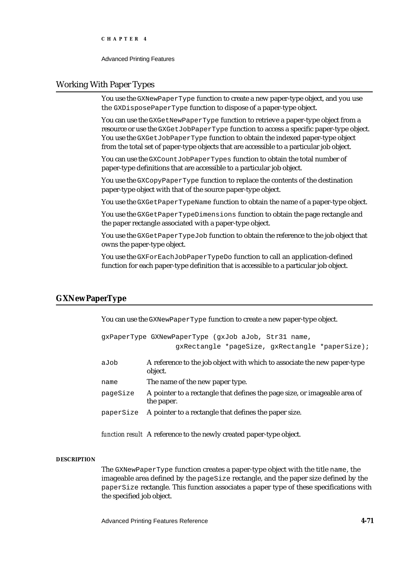Advanced Printing Features

# Working With Paper Types

You use the GXNewPaperType function to create a new paper-type object, and you use the GXDisposePaperType function to dispose of a paper-type object.

You can use the GXGetNewPaperType function to retrieve a paper-type object from a resource or use the GXGetJobPaperType function to access a specific paper-type object. You use the GXGetJobPaperType function to obtain the indexed paper-type object from the total set of paper-type objects that are accessible to a particular job object.

You can use the GXCountJobPaperTypes function to obtain the total number of paper-type definitions that are accessible to a particular job object.

You use the GXCopyPaperType function to replace the contents of the destination paper-type object with that of the source paper-type object.

You use the GXGetPaperTypeName function to obtain the name of a paper-type object.

You use the GXGet Paper TypeDimensions function to obtain the page rectangle and the paper rectangle associated with a paper-type object.

You use the GXGetPaperTypeJob function to obtain the reference to the job object that owns the paper-type object.

You use the GXForEachJobPaperTypeDo function to call an application-defined function for each paper-type definition that is accessible to a particular job object.

# **GXNewPaperType**

You can use the GXNewPaperType function to create a new paper-type object.

```
gxPaperType GXNewPaperType (gxJob aJob, Str31 name, 
                  gxRectangle *pageSize, gxRectangle *paperSize);
```

| aJob     | A reference to the job object with which to associate the new paper-type<br>object. |
|----------|-------------------------------------------------------------------------------------|
| name     | The name of the new paper type.                                                     |
| nageSize | A pointer to a rectangle that defines the page size or imageable area of            |

- pageSize A pointer to a rectangle that defines the page size, or imageable area of the paper.
- paperSize A pointer to a rectangle that defines the paper size.

*function result* A reference to the newly created paper-type object.

#### **DESCRIPTION**

The GXNewPaperType function creates a paper-type object with the title name, the imageable area defined by the pageSize rectangle, and the paper size defined by the paperSize rectangle. This function associates a paper type of these specifications with the specified job object.

Advanced Printing Features Reference **4-71**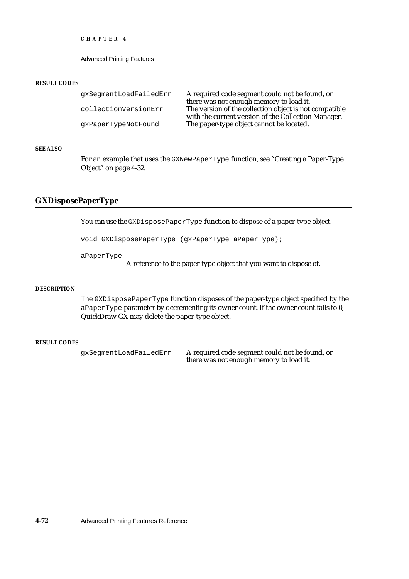```
CHAPTER 4
```
#### **RESULT CODES**

gxSegmentLoadFailedErr A required code segment could not be found, or there was not enough memory to load it. collectionVersionErr The version of the collection object is not compatible with the current version of the Collection Manager. gxPaperTypeNotFound The paper-type object cannot be located.

#### **SEE ALSO**

For an example that uses the GXNewPaperType function, see "Creating a Paper-Type Object" on page 4-32.

## **GXDisposePaperType**

You can use the GXDisposePaperType function to dispose of a paper-type object.

void GXDisposePaperType (gxPaperType aPaperType);

aPaperType

A reference to the paper-type object that you want to dispose of.

#### **DESCRIPTION**

The GXDisposePaperType function disposes of the paper-type object specified by the aPaperType parameter by decrementing its owner count. If the owner count falls to 0, QuickDraw GX may delete the paper-type object.

## **RESULT CODES**

gxSegmentLoadFailedErr A required code segment could not be found, or there was not enough memory to load it.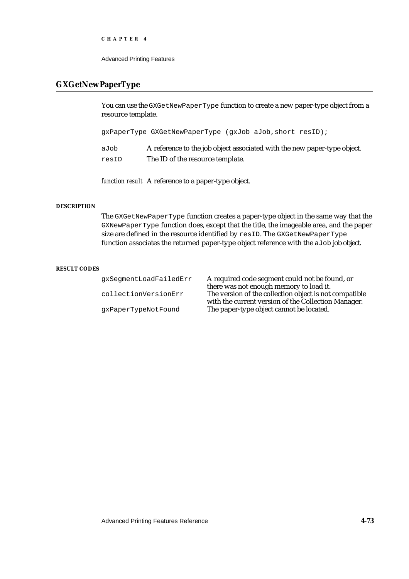Advanced Printing Features

# **GXGetNewPaperType**

You can use the GXGetNewPaperType function to create a new paper-type object from a resource template.

gxPaperType GXGetNewPaperType (gxJob aJob,short resID);

aJob A reference to the job object associated with the new paper-type object. resID The ID of the resource template.

*function result* A reference to a paper-type object.

### **DESCRIPTION**

The GXGetNewPaperType function creates a paper-type object in the same way that the GXNewPaperType function does, except that the title, the imageable area, and the paper size are defined in the resource identified by resID. The GXGetNewPaperType function associates the returned paper-type object reference with the aJob job object.

### **RESULT CODES**

gxSegmentLoadFailedErr A required code segment could not be found, or there was not enough memory to load it. collectionVersionErr The version of the collection object is not compatible with the current version of the Collection Manager. gxPaperTypeNotFound The paper-type object cannot be located.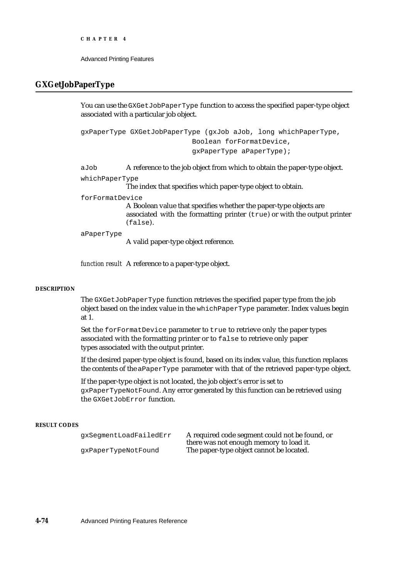## **GXGetJobPaperType**

You can use the GXGetJobPaperType function to access the specified paper-type object associated with a particular job object.

gxPaperType GXGetJobPaperType (gxJob aJob, long whichPaperType, Boolean forFormatDevice, gxPaperType aPaperType);

aJob A reference to the job object from which to obtain the paper-type object.

whichPaperType

The index that specifies which paper-type object to obtain.

forFormatDevice

A Boolean value that specifies whether the paper-type objects are associated with the formatting printer (true) or with the output printer (false).

aPaperType

A valid paper-type object reference.

*function result* A reference to a paper-type object.

### **DESCRIPTION**

The GXGetJobPaperType function retrieves the specified paper type from the job object based on the index value in the whichPaperType parameter. Index values begin at 1.

Set the forFormatDevice parameter to true to retrieve only the paper types associated with the formatting printer or to false to retrieve only paper types associated with the output printer.

If the desired paper-type object is found, based on its index value, this function replaces the contents of the aPaperType parameter with that of the retrieved paper-type object.

If the paper-type object is not located, the job object's error is set to gxPaperTypeNotFound. Any error generated by this function can be retrieved using the GXGetJobError function.

### **RESULT CODES**

gxSegmentLoadFailedErr A required code segment could not be found, or there was not enough memory to load it. gxPaperTypeNotFound The paper-type object cannot be located.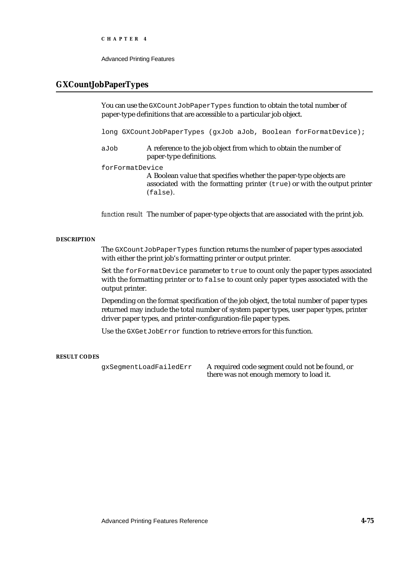Advanced Printing Features

# **GXCountJobPaperTypes**

You can use the GXCountJobPaperTypes function to obtain the total number of paper-type definitions that are accessible to a particular job object.

long GXCountJobPaperTypes (gxJob aJob, Boolean forFormatDevice);

aJob A reference to the job object from which to obtain the number of paper-type definitions.

forFormatDevice

A Boolean value that specifies whether the paper-type objects are associated with the formatting printer (true) or with the output printer (false).

*function result* The number of paper-type objects that are associated with the print job.

#### **DESCRIPTION**

The GXCountJobPaperTypes function returns the number of paper types associated with either the print job's formatting printer or output printer.

Set the forFormatDevice parameter to true to count only the paper types associated with the formatting printer or to false to count only paper types associated with the output printer.

Depending on the format specification of the job object, the total number of paper types returned may include the total number of system paper types, user paper types, printer driver paper types, and printer-configuration-file paper types.

Use the GXGetJobError function to retrieve errors for this function.

## **RESULT CODES**

gxSegmentLoadFailedErr A required code segment could not be found, or there was not enough memory to load it.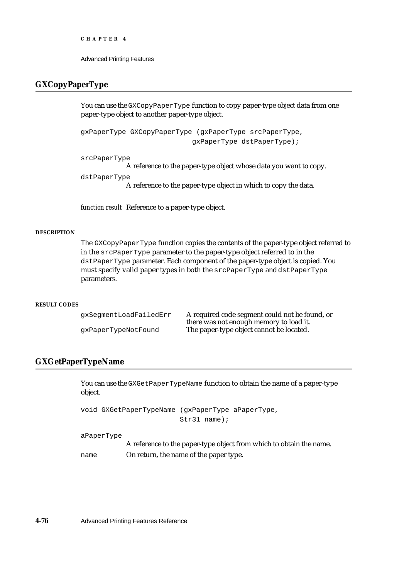```
CHAPTER 4
```
# **GXCopyPaperType**

You can use the GXCopyPaperType function to copy paper-type object data from one paper-type object to another paper-type object.

```
gxPaperType GXCopyPaperType (gxPaperType srcPaperType,
                           gxPaperType dstPaperType);
```
srcPaperType

A reference to the paper-type object whose data you want to copy.

```
dstPaperType
```
A reference to the paper-type object in which to copy the data.

*function result* Reference to a paper-type object.

## **DESCRIPTION**

The GXCopyPaperType function copies the contents of the paper-type object referred to in the srcPaperType parameter to the paper-type object referred to in the dstPaperType parameter. Each component of the paper-type object is copied. You must specify valid paper types in both the srcPaperType and dstPaperType parameters.

#### **RESULT CODES**

gxSegmentLoadFailedErr A required code segment could not be found, or there was not enough memory to load it. gxPaperTypeNotFound The paper-type object cannot be located.

# **GXGetPaperTypeName**

You can use the GXGetPaperTypeName function to obtain the name of a paper-type object.

void GXGetPaperTypeName (gxPaperType aPaperType, Str31 name);

aPaperType

A reference to the paper-type object from which to obtain the name. name On return, the name of the paper type.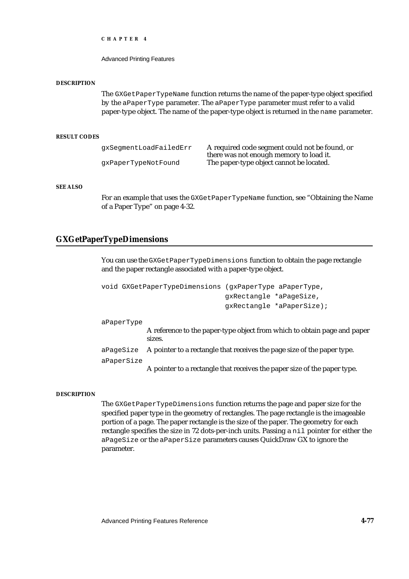Advanced Printing Features

#### **DESCRIPTION**

The GXGetPaperTypeName function returns the name of the paper-type object specified by the aPaperType parameter. The aPaperType parameter must refer to a valid paper-type object. The name of the paper-type object is returned in the name parameter.

#### **RESULT CODES**

| qxSeqmentLoadFailedErr | A required code segment could not be found, or<br>there was not enough memory to load it. |
|------------------------|-------------------------------------------------------------------------------------------|
| qxPaperTypeNotFound    | The paper-type object cannot be located.                                                  |

#### **SEE ALSO**

For an example that uses the GXGetPaperTypeName function, see "Obtaining the Name of a Paper Type" on page 4-32.

## **GXGetPaperTypeDimensions**

You can use the GXGetPaperTypeDimensions function to obtain the page rectangle and the paper rectangle associated with a paper-type object.

```
void GXGetPaperTypeDimensions (gxPaperType aPaperType,
                              gxRectangle *aPageSize,
                              gxRectangle *aPaperSize);
```
aPaperType

A reference to the paper-type object from which to obtain page and paper sizes.

aPageSize A pointer to a rectangle that receives the page size of the paper type.

aPaperSize

A pointer to a rectangle that receives the paper size of the paper type.

#### **DESCRIPTION**

The GXGetPaperTypeDimensions function returns the page and paper size for the specified paper type in the geometry of rectangles. The page rectangle is the imageable portion of a page. The paper rectangle is the size of the paper. The geometry for each rectangle specifies the size in 72 dots-per-inch units. Passing a nil pointer for either the aPageSize or the aPaperSize parameters causes QuickDraw GX to ignore the parameter.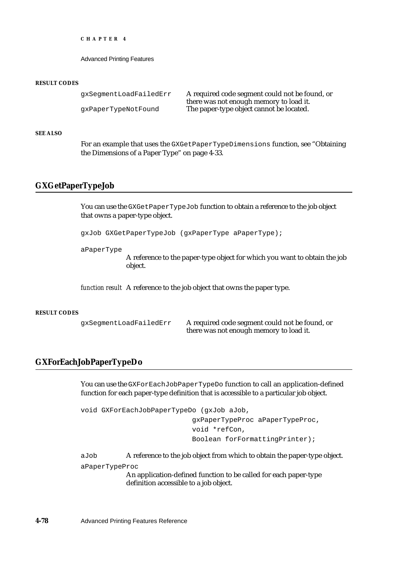```
CHAPTER 4
```
#### **RESULT CODES**

```
gxSegmentLoadFailedErr A required code segment could not be found, or
                             there was not enough memory to load it.
gxPaperTypeNotFound The paper-type object cannot be located.
```
#### **SEE ALSO**

For an example that uses the GXGetPaperTypeDimensions function, see "Obtaining the Dimensions of a Paper Type" on page 4-33.

## **GXGetPaperTypeJob**

You can use the GXGetPaperTypeJob function to obtain a reference to the job object that owns a paper-type object.

gxJob GXGetPaperTypeJob (gxPaperType aPaperType);

aPaperType

A reference to the paper-type object for which you want to obtain the job object.

*function result* A reference to the job object that owns the paper type.

#### **RESULT CODES**

gxSegmentLoadFailedErr A required code segment could not be found, or there was not enough memory to load it.

## **GXForEachJobPaperTypeDo**

You can use the GXForEachJobPaperTypeDo function to call an application-defined function for each paper-type definition that is accessible to a particular job object.

void GXForEachJobPaperTypeDo (gxJob aJob, gxPaperTypeProc aPaperTypeProc, void \*refCon, Boolean forFormattingPrinter);

aJob A reference to the job object from which to obtain the paper-type object.

aPaperTypeProc

An application-defined function to be called for each paper-type definition accessible to a job object.

**4-78** Advanced Printing Features Reference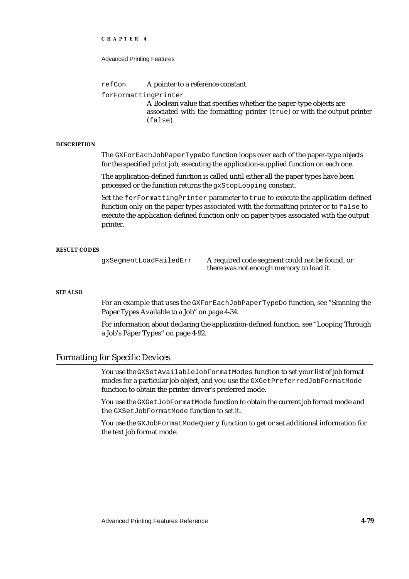#### Advanced Printing Features

refCon A pointer to a reference constant.

forFormattingPrinter

A Boolean value that specifies whether the paper-type objects are associated with the formatting printer (true) or with the output printer (false).

#### **DESCRIPTION**

The GXForEachJobPaperTypeDo function loops over each of the paper-type objects for the specified print job, executing the application-supplied function on each one.

The application-defined function is called until either all the paper types have been processed or the function returns the gxStopLooping constant.

Set the forFormattingPrinter parameter to true to execute the application-defined function only on the paper types associated with the formatting printer or to false to execute the application-defined function only on paper types associated with the output printer.

#### **RESULT CODES**

gxSegmentLoadFailedErr A required code segment could not be found, or there was not enough memory to load it.

#### **SEE ALSO**

For an example that uses the GXForEachJobPaperTypeDo function, see "Scanning the Paper Types Available to a Job" on page 4-34.

For information about declaring the application-defined function, see "Looping Through a Job's Paper Types" on page 4-92.

## Formatting for Specific Devices

You use the GXSetAvailableJobFormatModes function to set your list of job format modes for a particular job object, and you use the GXGetPreferredJobFormatMode function to obtain the printer driver's preferred mode.

You use the GXGetJobFormatMode function to obtain the current job format mode and the GXSetJobFormatMode function to set it.

You use the GXJobFormatModeQuery function to get or set additional information for the text job format mode.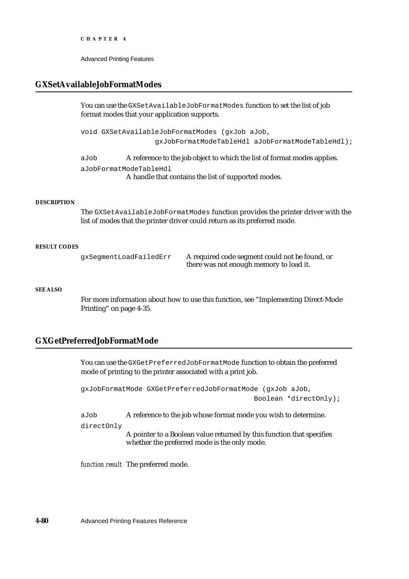Advanced Printing Features

# **GXSetAvailableJobFormatModes**

You can use the GXSetAvailableJobFormatModes function to set the list of job format modes that your application supports.

void GXSetAvailableJobFormatModes (gxJob aJob, gxJobFormatModeTableHdl aJobFormatModeTableHdl);

aJob A reference to the job object to which the list of format modes applies.

aJobFormatModeTableHdl

A handle that contains the list of supported modes.

#### **DESCRIPTION**

The GXSetAvailableJobFormatModes function provides the printer driver with the list of modes that the printer driver could return as its preferred mode.

#### **RESULT CODES**

gxSegmentLoadFailedErr A required code segment could not be found, or there was not enough memory to load it.

## **SEE ALSO**

For more information about how to use this function, see "Implementing Direct-Mode Printing" on page 4-35.

# **GXGetPreferredJobFormatMode**

You can use the GXGetPreferredJobFormatMode function to obtain the preferred mode of printing to the printer associated with a print job.

gxJobFormatMode GXGetPreferredJobFormatMode (gxJob aJob, Boolean \*directOnly);

aJob A reference to the job whose format mode you wish to determine.

directOnly

A pointer to a Boolean value returned by this function that specifies whether the preferred mode is the only mode.

*function result* The preferred mode.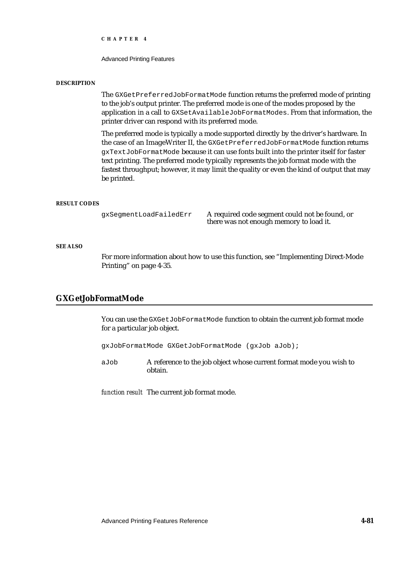Advanced Printing Features

#### **DESCRIPTION**

The GXGetPreferredJobFormatMode function returns the preferred mode of printing to the job's output printer. The preferred mode is one of the modes proposed by the application in a call to GXSetAvailableJobFormatModes. From that information, the printer driver can respond with its preferred mode.

The preferred mode is typically a mode supported directly by the driver's hardware. In the case of an ImageWriter II, the GXGetPreferredJobFormatMode function returns gxTextJobFormatMode because it can use fonts built into the printer itself for faster text printing. The preferred mode typically represents the job format mode with the fastest throughput; however, it may limit the quality or even the kind of output that may be printed.

#### **RESULT CODES**

gxSegmentLoadFailedErr A required code segment could not be found, or there was not enough memory to load it.

## **SEE ALSO**

For more information about how to use this function, see "Implementing Direct-Mode Printing" on page 4-35.

# **GXGetJobFormatMode**

You can use the GXGetJobFormatMode function to obtain the current job format mode for a particular job object.

gxJobFormatMode GXGetJobFormatMode (gxJob aJob);

aJob A reference to the job object whose current format mode you wish to obtain.

*function result* The current job format mode.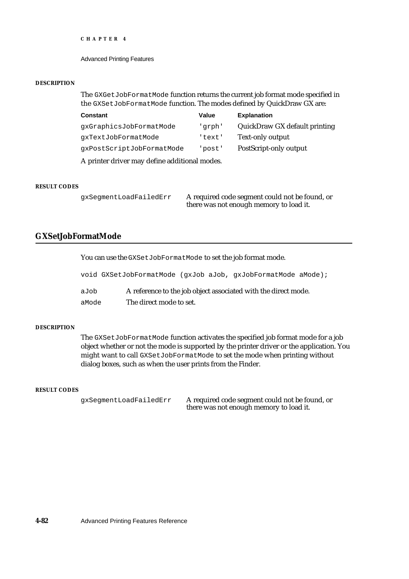Advanced Printing Features

#### **DESCRIPTION**

The GXGetJobFormatMode function returns the current job format mode specified in the GXSetJobFormatMode function. The modes defined by QuickDraw GX are:

| <b>Constant</b>                               | Value  | <b>Explanation</b>            |  |  |
|-----------------------------------------------|--------|-------------------------------|--|--|
| qxGraphicsJobFormatMode                       | 'qrph' | QuickDraw GX default printing |  |  |
| qxTextJobFormatMode                           | 'text' | <b>Text-only output</b>       |  |  |
| qxPostScriptJobFormatMode                     | 'post' | PostScript-only output        |  |  |
| A printer driver may define additional modes. |        |                               |  |  |

## **RESULT CODES**

gxSegmentLoadFailedErr A required code segment could not be found, or there was not enough memory to load it.

# **GXSetJobFormatMode**

You can use the GXSetJobFormatMode to set the job format mode.

|       | void GXSetJobFormatMode (gxJob aJob, gxJobFormatMode aMode);   |
|-------|----------------------------------------------------------------|
| aJob  | A reference to the job object associated with the direct mode. |
| aMode | The direct mode to set.                                        |

#### **DESCRIPTION**

The GXSetJobFormatMode function activates the specified job format mode for a job object whether or not the mode is supported by the printer driver or the application. You might want to call GXSetJobFormatMode to set the mode when printing without dialog boxes, such as when the user prints from the Finder.

#### **RESULT CODES**

gxSegmentLoadFailedErr A required code segment could not be found, or there was not enough memory to load it.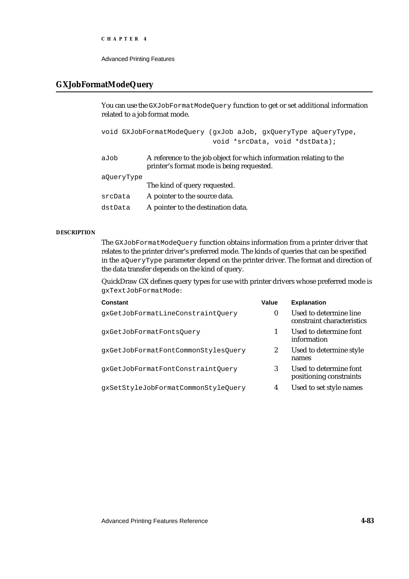Advanced Printing Features

## **GXJobFormatModeQuery**

You can use the GXJobFormatModeQuery function to get or set additional information related to a job format mode.

```
void GXJobFormatModeQuery (gxJob aJob, gxQueryType aQueryType,
                           void *srcData, void *dstData);
```

| aJob       | A reference to the job object for which information relating to the<br>printer's format mode is being requested. |
|------------|------------------------------------------------------------------------------------------------------------------|
| a0ueryType |                                                                                                                  |
|            | The kind of query requested.                                                                                     |
| srcData    | A pointer to the source data.                                                                                    |

dstData A pointer to the destination data.

## **DESCRIPTION**

The GXJobFormatModeQuery function obtains information from a printer driver that relates to the printer driver's preferred mode. The kinds of queries that can be specified in the aQueryType parameter depend on the printer driver. The format and direction of the data transfer depends on the kind of query.

QuickDraw GX defines query types for use with printer drivers whose preferred mode is gxTextJobFormatMode:

| <b>Constant</b>                     | Value  | <b>Explanation</b>                                   |
|-------------------------------------|--------|------------------------------------------------------|
| qxGetJobFormatLineConstraintOuery   | $_{0}$ | Used to determine line<br>constraint characteristics |
| qxGetJobFormatFontsQuery            |        | Used to determine font<br>information                |
| qxGetJobFormatFontCommonStylesQuery | 2      | Used to determine style<br>names                     |
| qxGetJobFormatFontConstraintOuery   | 3      | Used to determine font<br>positioning constraints    |
| qxSetStyleJobFormatCommonStyleQuery | 4      | Used to set style names                              |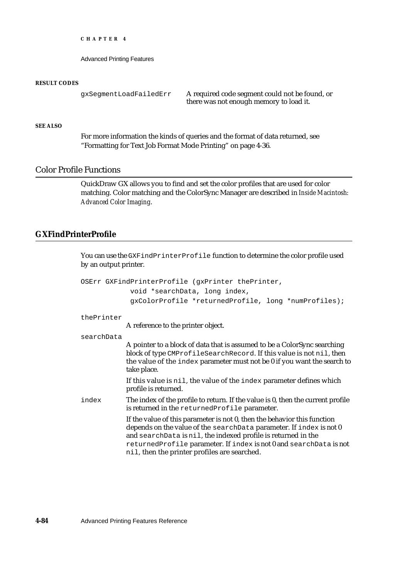Advanced Printing Features

#### **RESULT CODES**

```
gxSegmentLoadFailedErr A required code segment could not be found, or
                              there was not enough memory to load it.
```
## **SEE ALSO**

For more information the kinds of queries and the format of data returned, see "Formatting for Text Job Format Mode Printing" on page 4-36.

# Color Profile Functions

QuickDraw GX allows you to find and set the color profiles that are used for color matching. Color matching and the ColorSync Manager are described in *Inside Macintosh: Advanced Color Imaging*.

# **GXFindPrinterProfile**

You can use the GXFindPrinterProfile function to determine the color profile used by an output printer.

|            | OSErr GXFindPrinterProfile (gxPrinter thePrinter,                                                                                                                                                                                                                                                                                      |
|------------|----------------------------------------------------------------------------------------------------------------------------------------------------------------------------------------------------------------------------------------------------------------------------------------------------------------------------------------|
|            | void *searchData, long index,                                                                                                                                                                                                                                                                                                          |
|            | gxColorProfile *returnedProfile, long *numProfiles);                                                                                                                                                                                                                                                                                   |
| thePrinter |                                                                                                                                                                                                                                                                                                                                        |
|            | A reference to the printer object.                                                                                                                                                                                                                                                                                                     |
| searchData |                                                                                                                                                                                                                                                                                                                                        |
|            | A pointer to a block of data that is assumed to be a ColorSync searching<br>block of type CMProfileSearchRecord. If this value is not nil, then<br>the value of the index parameter must not be 0 if you want the search to<br>take place.                                                                                             |
|            | If this value is nil, the value of the index parameter defines which<br>profile is returned.                                                                                                                                                                                                                                           |
| index      | The index of the profile to return. If the value is 0, then the current profile<br>is returned in the returned Profile parameter.                                                                                                                                                                                                      |
|            | If the value of this parameter is not 0, then the behavior this function<br>depends on the value of the searchData parameter. If index is not 0<br>and searchData is nil, the indexed profile is returned in the<br>returnedProfile parameter. If index is not 0 and searchData is not<br>nil, then the printer profiles are searched. |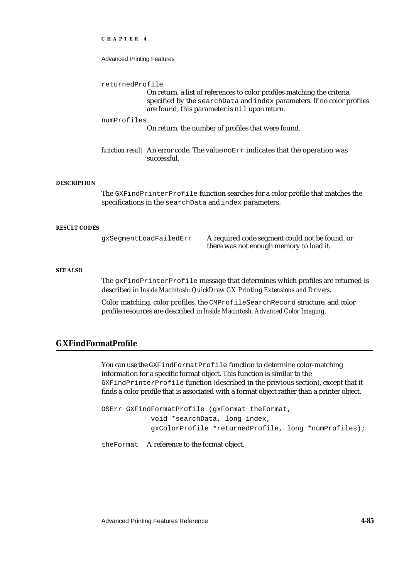#### Advanced Printing Features

returnedProfile

On return, a list of references to color profiles matching the criteria specified by the searchData and index parameters. If no color profiles are found, this parameter is nil upon return.

#### numProfiles

On return, the number of profiles that were found.

*function result* An error code. The value noErr indicates that the operation was successful.

#### **DESCRIPTION**

The GXFindPrinterProfile function searches for a color profile that matches the specifications in the searchData and index parameters.

#### **RESULT CODES**

gxSegmentLoadFailedErr A required code segment could not be found, or there was not enough memory to load it.

#### **SEE ALSO**

The gxFindPrinterProfile message that determines which profiles are returned is described in *Inside Macintosh: QuickDraw GX Printing Extensions and Drivers*.

Color matching, color profiles, the CMProfileSearchRecord structure, and color profile resources are described in *Inside Macintosh: Advanced Color Imaging*.

# **GXFindFormatProfile**

You can use the GXFindFormatProfile function to determine color-matching information for a specific format object. This function is similar to the GXFindPrinterProfile function (described in the previous section), except that it finds a color profile that is associated with a format object rather than a printer object.

OSErr GXFindFormatProfile (gxFormat theFormat, void \*searchData, long index, gxColorProfile \*returnedProfile, long \*numProfiles);

theFormat A reference to the format object.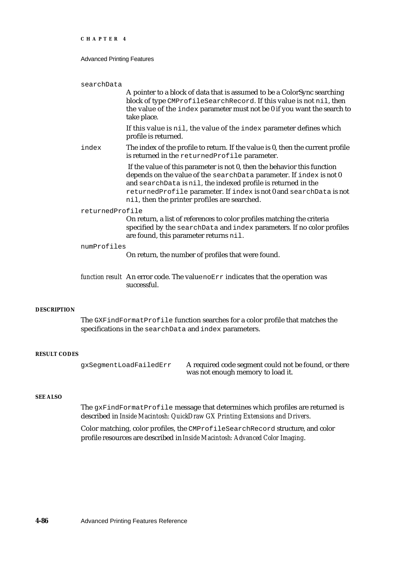#### Advanced Printing Features

| searchData      | A pointer to a block of data that is assumed to be a ColorSync searching<br>block of type CMProfileSearchRecord. If this value is not nil, then<br>the value of the index parameter must not be 0 if you want the search to<br>take place.                                                                                             |
|-----------------|----------------------------------------------------------------------------------------------------------------------------------------------------------------------------------------------------------------------------------------------------------------------------------------------------------------------------------------|
|                 | If this value is nil, the value of the index parameter defines which<br>profile is returned.                                                                                                                                                                                                                                           |
| index           | The index of the profile to return. If the value is 0, then the current profile<br>is returned in the returned Profile parameter.                                                                                                                                                                                                      |
|                 | If the value of this parameter is not 0, then the behavior this function<br>depends on the value of the searchData parameter. If index is not 0<br>and searchData is nil, the indexed profile is returned in the<br>returnedProfile parameter. If index is not 0 and searchData is not<br>nil, then the printer profiles are searched. |
| returnedProfile | On return, a list of references to color profiles matching the criteria<br>specified by the searchData and index parameters. If no color profiles<br>are found, this parameter returns nil.                                                                                                                                            |
| numProfiles     | On return, the number of profiles that were found.                                                                                                                                                                                                                                                                                     |
|                 | function result An error code. The value no Err indicates that the operation was<br>successful.                                                                                                                                                                                                                                        |

#### **DESCRIPTION**

The GXFindFormatProfile function searches for a color profile that matches the specifications in the searchData and index parameters.

## **RESULT CODES**

gxSegmentLoadFailedErr A required code segment could not be found, or there was not enough memory to load it.

## **SEE ALSO**

The gxFindFormatProfile message that determines which profiles are returned is described in *Inside Macintosh: QuickDraw GX Printing Extensions and Drivers*.

Color matching, color profiles, the CMProfileSearchRecord structure, and color profile resources are described in *Inside Macintosh: Advanced Color Imaging*.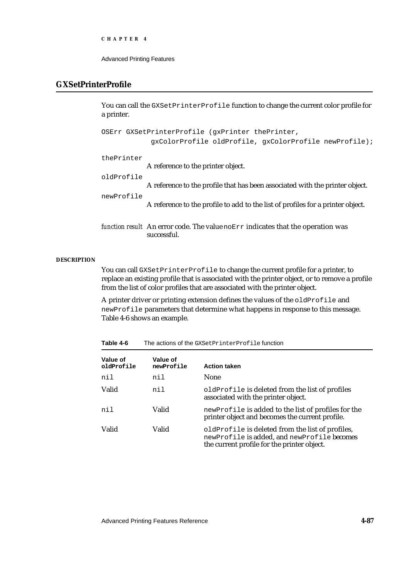```
CHAPTER 4
```
# **GXSetPrinterProfile**

You can call the GXSetPrinterProfile function to change the current color profile for a printer.

```
OSErr GXSetPrinterProfile (gxPrinter thePrinter,
              gxColorProfile oldProfile, gxColorProfile newProfile);
thePrinter
             A reference to the printer object.
oldProfile
             A reference to the profile that has been associated with the printer object.
newProfile
             A reference to the profile to add to the list of profiles for a printer object.
function result An error code. The value noErr indicates that the operation was 
             successful.
```
#### **DESCRIPTION**

You can call GXSetPrinterProfile to change the current profile for a printer, to replace an existing profile that is associated with the printer object, or to remove a profile from the list of color profiles that are associated with the printer object.

A printer driver or printing extension defines the values of the oldProfile and newProfile parameters that determine what happens in response to this message. Table 4-6 shows an example.

| Table 4-6              | The actions of the GXSetPrinterProfile function |                                                                                                                                                |  |  |
|------------------------|-------------------------------------------------|------------------------------------------------------------------------------------------------------------------------------------------------|--|--|
| Value of<br>oldProfile | Value of<br>newProfile                          | <b>Action taken</b>                                                                                                                            |  |  |
| nil                    | nil                                             | <b>None</b>                                                                                                                                    |  |  |
| Valid                  | nil                                             | oldProfile is deleted from the list of profiles<br>associated with the printer object.                                                         |  |  |
| nil                    | Valid                                           | newProfile is added to the list of profiles for the<br>printer object and becomes the current profile.                                         |  |  |
| Valid                  | Valid                                           | oldProfile is deleted from the list of profiles,<br>newProfile is added, and newProfile becomes<br>the current profile for the printer object. |  |  |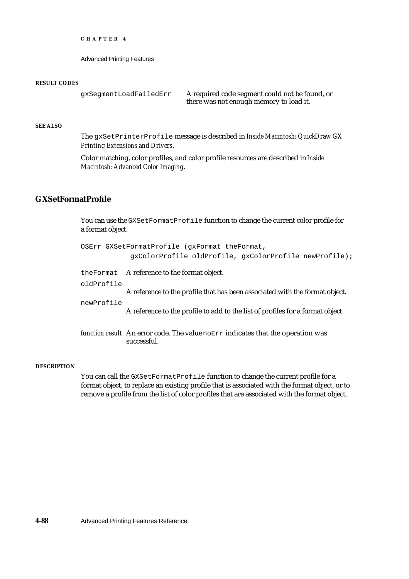Advanced Printing Features

#### **RESULT CODES**

gxSegmentLoadFailedErr A required code segment could not be found, or there was not enough memory to load it.

## **SEE ALSO**

The gxSetPrinterProfile message is described in *Inside Macintosh: QuickDraw GX Printing Extensions and Drivers*.

Color matching, color profiles, and color profile resources are described in *Inside Macintosh: Advanced Color Imaging*.

# **GXSetFormatProfile**

You can use the GXSetFormatProfile function to change the current color profile for a format object.

|            | OSErr GXSetFormatProfile (qxFormat theFormat,                                                    |
|------------|--------------------------------------------------------------------------------------------------|
|            | gxColorProfile oldProfile, gxColorProfile newProfile);                                           |
|            | the Format A reference to the format object.                                                     |
| oldProfile |                                                                                                  |
|            | A reference to the profile that has been associated with the format object.                      |
| newProfile | A reference to the profile to add to the list of profiles for a format object.                   |
|            | function result An error code. The value $nOETr$ indicates that the operation was<br>successful. |

#### **DESCRIPTION**

You can call the GXSetFormatProfile function to change the current profile for a format object, to replace an existing profile that is associated with the format object, or to remove a profile from the list of color profiles that are associated with the format object.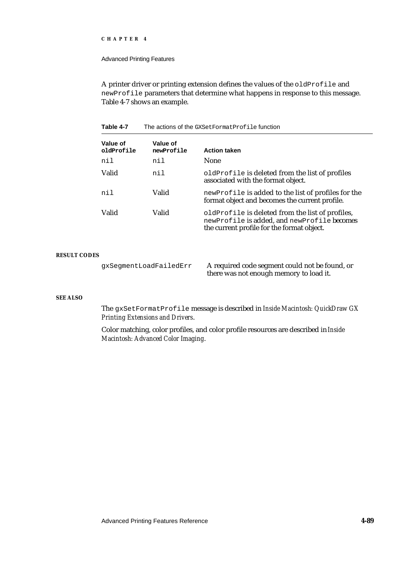#### Advanced Printing Features

A printer driver or printing extension defines the values of the oldProfile and newProfile parameters that determine what happens in response to this message. Table 4-7 shows an example.

#### Table 4-7 The actions of the GXSetFormatProfile function

| Value of<br>oldProfile | Value of<br>newProfile | <b>Action taken</b>                                                                                                                           |
|------------------------|------------------------|-----------------------------------------------------------------------------------------------------------------------------------------------|
| nil                    | nil                    | <b>None</b>                                                                                                                                   |
| Valid                  | nil                    | oldProfile is deleted from the list of profiles<br>associated with the format object.                                                         |
| nil                    | Valid                  | newProfile is added to the list of profiles for the<br>format object and becomes the current profile.                                         |
| Valid                  | Valid                  | oldProfile is deleted from the list of profiles,<br>newProfile is added, and newProfile becomes<br>the current profile for the format object. |

## **RESULT CODES**

gxSegmentLoadFailedErr A required code segment could not be found, or there was not enough memory to load it.

## **SEE ALSO**

The gxSetFormatProfile message is described in *Inside Macintosh: QuickDraw GX Printing Extensions and Drivers*.

Color matching, color profiles, and color profile resources are described in *Inside Macintosh: Advanced Color Imaging*.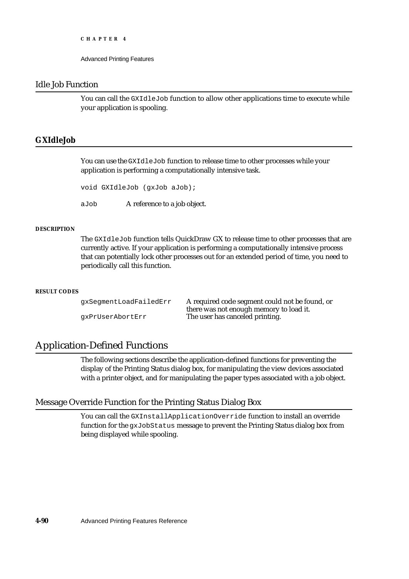Advanced Printing Features

# Idle Job Function

You can call the GXIdleJob function to allow other applications time to execute while your application is spooling.

# **GXIdleJob**

You can use the GXIdleJob function to release time to other processes while your application is performing a computationally intensive task.

```
void GXIdleJob (gxJob aJob);
```
aJob A reference to a job object.

## **DESCRIPTION**

The GXIdleJob function tells QuickDraw GX to release time to other processes that are currently active. If your application is performing a computationally intensive process that can potentially lock other processes out for an extended period of time, you need to periodically call this function.

#### **RESULT CODES**

gxSegmentLoadFailedErr A required code segment could not be found, or there was not enough memory to load it. gxPrUserAbortErr The user has canceled printing.

# Application-Defined Functions

The following sections describe the application-defined functions for preventing the display of the Printing Status dialog box, for manipulating the view devices associated with a printer object, and for manipulating the paper types associated with a job object.

## Message Override Function for the Printing Status Dialog Box

You can call the GXInstallApplicationOverride function to install an override function for the gxJobStatus message to prevent the Printing Status dialog box from being displayed while spooling.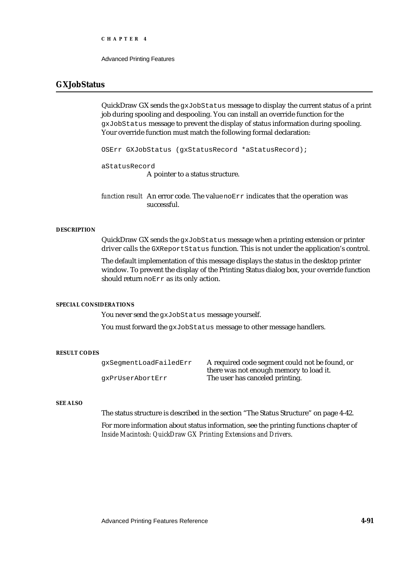Advanced Printing Features

# **GXJobStatus**

QuickDraw GX sends the gxJobStatus message to display the current status of a print job during spooling and despooling. You can install an override function for the gxJobStatus message to prevent the display of status information during spooling. Your override function must match the following formal declaration:

OSErr GXJobStatus (gxStatusRecord \*aStatusRecord);

aStatusRecord

A pointer to a status structure.

*function result* An error code. The value noErr indicates that the operation was successful.

#### **DESCRIPTION**

QuickDraw GX sends the gxJobStatus message when a printing extension or printer driver calls the GXReportStatus function. This is not under the application's control.

The default implementation of this message displays the status in the desktop printer window. To prevent the display of the Printing Status dialog box, your override function should return noErr as its only action.

#### **SPECIAL CONSIDERATIONS**

You never send the gxJobStatus message yourself.

You must forward the gxJobStatus message to other message handlers.

#### **RESULT CODES**

gxSegmentLoadFailedErr A required code segment could not be found, or there was not enough memory to load it. gxPrUserAbortErr The user has canceled printing.

#### **SEE ALSO**

The status structure is described in the section "The Status Structure" on page 4-42.

For more information about status information, see the printing functions chapter of *Inside Macintosh: QuickDraw GX Printing Extensions and Drivers*.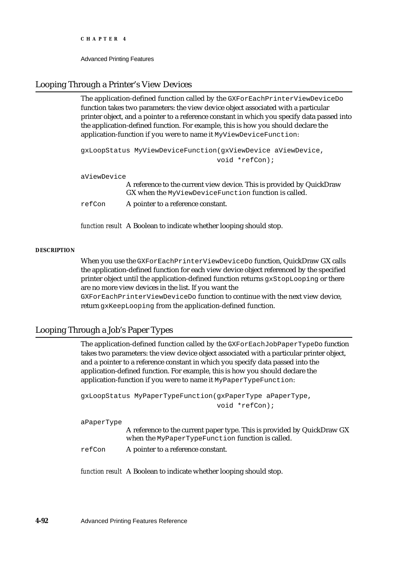```
CHAPTER 4
```
# Looping Through a Printer's View Devices

The application-defined function called by the GXForEachPrinterViewDeviceDo function takes two parameters: the view device object associated with a particular printer object, and a pointer to a reference constant in which you specify data passed into the application-defined function. For example, this is how you should declare the application-function if you were to name it MyViewDeviceFunction:

```
gxLoopStatus MyViewDeviceFunction(gxViewDevice aViewDevice, 
                                  void *refCon);
```
aViewDevice

A reference to the current view device. This is provided by QuickDraw GX when the MyViewDeviceFunction function is called.

refCon A pointer to a reference constant.

*function result* A Boolean to indicate whether looping should stop.

## **DESCRIPTION**

When you use the GXForEachPrinterViewDeviceDo function, QuickDraw GX calls the application-defined function for each view device object referenced by the specified printer object until the application-defined function returns gxStopLooping or there are no more view devices in the list. If you want the

GXForEachPrinterViewDeviceDo function to continue with the next view device, return gxKeepLooping from the application-defined function.

# Looping Through a Job's Paper Types

The application-defined function called by the GXForEachJobPaperTypeDo function takes two parameters: the view device object associated with a particular printer object, and a pointer to a reference constant in which you specify data passed into the application-defined function. For example, this is how you should declare the application-function if you were to name it MyPaperTypeFunction:

```
gxLoopStatus MyPaperTypeFunction(gxPaperType aPaperType, 
                                  void *refCon);
```
aPaperType

A reference to the current paper type. This is provided by QuickDraw GX when the MyPaperTypeFunction function is called.

refCon A pointer to a reference constant.

*function result* A Boolean to indicate whether looping should stop.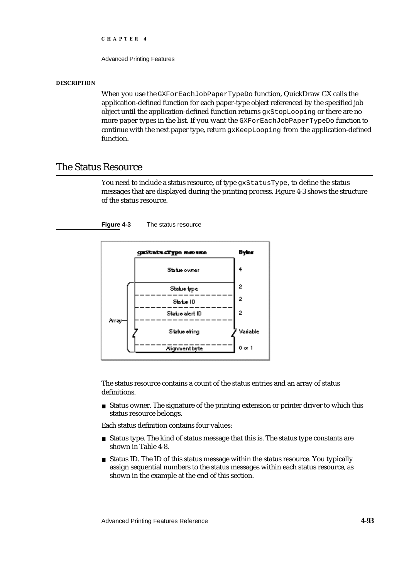Advanced Printing Features

#### **DESCRIPTION**

When you use the GXForEachJobPaperTypeDo function, QuickDraw GX calls the application-defined function for each paper-type object referenced by the specified job object until the application-defined function returns gxStopLooping or there are no more paper types in the list. If you want the GXForEachJobPaperTypeDo function to continue with the next paper type, return gxKeepLooping from the application-defined function.

# The Status Resource

You need to include a status resource, of type gxStatusType, to define the status messages that are displayed during the printing process. Figure 4-3 shows the structure of the status resource.





The status resource contains a count of the status entries and an array of status definitions.

 $n$  Status owner. The signature of the printing extension or printer driver to which this status resource belongs.

Each status definition contains four values:

- n Status type. The kind of status message that this is. The status type constants are shown in Table 4-8.
- n Status ID. The ID of this status message within the status resource. You typically assign sequential numbers to the status messages within each status resource, as shown in the example at the end of this section.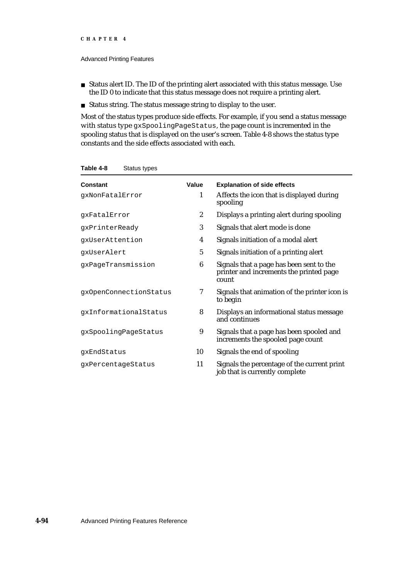- n Status alert ID. The ID of the printing alert associated with this status message. Use the ID 0 to indicate that this status message does not require a printing alert.
- Status string. The status message string to display to the user.

Most of the status types produce side effects. For example, if you send a status message with status type gxSpoolingPageStatus, the page count is incremented in the spooling status that is displayed on the user's screen. Table 4-8 shows the status type constants and the side effects associated with each.

| Constant<br>gxNonFatalError | Value<br>1       | <b>Explanation of side effects</b><br>Affects the icon that is displayed during              |
|-----------------------------|------------------|----------------------------------------------------------------------------------------------|
|                             |                  | spooling                                                                                     |
| qxFatalError                | $\boldsymbol{2}$ | Displays a printing alert during spooling                                                    |
| gxPrinterReady              | 3                | Signals that alert mode is done                                                              |
| qxUserAttention             | 4                | Signals initiation of a modal alert                                                          |
| qxUserAlert                 | 5                | Signals initiation of a printing alert                                                       |
| gxPageTransmission          | 6                | Signals that a page has been sent to the<br>printer and increments the printed page<br>count |
| qxOpenConnectionStatus      | 7                | Signals that animation of the printer icon is<br>to begin                                    |
| qxInformationalStatus       | 8                | Displays an informational status message<br>and continues                                    |
| qxSpoolingPageStatus        | 9                | Signals that a page has been spooled and<br>increments the spooled page count                |
| qxEndStatus                 | 10               | Signals the end of spooling                                                                  |
| gxPercentageStatus          | 11               | Signals the percentage of the current print<br>job that is currently complete                |

**Table 4-8** Status types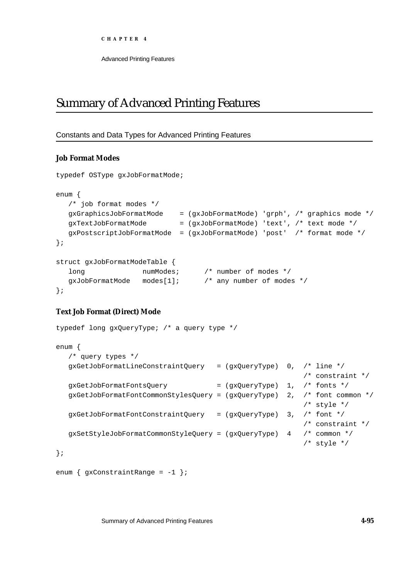# Summary of Advanced Printing Features

# Constants and Data Types for Advanced Printing Features

# **Job Format Modes**

```
typedef OSType gxJobFormatMode;
enum {
  /* job format modes */
  gxGraphicsJobFormatMode = (gxJobFormatMode) 'grph', /* graphics mode */
  qxTextJobFormatMode = (qxJobFormatMode)' text', /* text mode */gxPostscriptJobFormatMode = (gxJobFormatMode) 'post' /* format mode */
};
struct gxJobFormatModeTable {
  long humModes; \frac{1}{2} humber of modes */
  gxJobFormatMode modes[1]; /* any number of modes */
};
```
# **Text Job Format (Direct) Mode**

```
typedef long gxQueryType; /* a query type */
enum {
  /* query types */
  gxGetJobFormatLineConstraintQuery = (gxQueryType) 0, /* line */
                                                         /* constraint */
  gxGetJobFormatFontsQuery = (gxQueryType) 1, /* fonts */
  gxGetJobFormatFontCommonStylesQuery = (gxQueryType) 2, /* font common */
                                                         /* style */
  gxGetJobFormatFontConstraintQuery = (gxQueryType) 3, /* font */
                                                         /* constraint */
  gxSetStyleJobFormatCommonStyleQuery = (gxQueryType) 4 /* common */
                                                         /* style */
};
```

```
enum \{gxConstantRange = -1 \};
```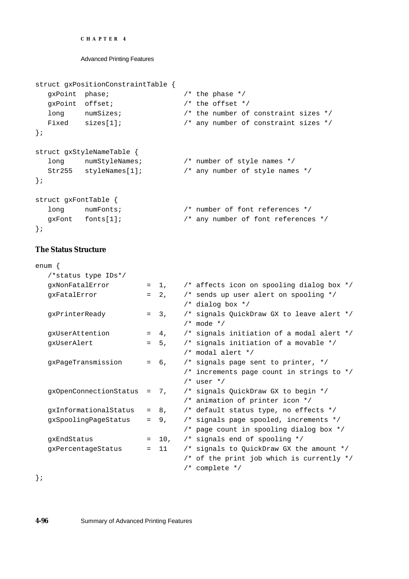```
CHAPTER 4
```

```
struct gxPositionConstraintTable {
  gxPoint phase; /* the phase */
  gxPoint offset; \frac{1}{2} /* the offset */
  long numSizes; \frac{1}{2} he number of constraint sizes */
  Fixed sizes[1]; \frac{1}{2} /* any number of constraint sizes */
};
struct gxStyleNameTable {
  long numStyleNames; /* number of style names */
  Str255 styleNames[1]; /* any number of style names */
};
struct gxFontTable {
  long numFonts; \frac{1}{2} /* number of font references */
  gxFont fonts[1]; /* any number of font references */
};
```
# **The Status Structure**

| enum {                        |     |         |                                           |
|-------------------------------|-----|---------|-------------------------------------------|
| /*status type IDs*/           |     |         |                                           |
| qxNonFatalError               |     | $= 1.$  | /* affects icon on spooling dialog box */ |
| gxFatalError                  |     | $= 2.$  | /* sends up user alert on spooling */     |
|                               |     |         | $/*$ dialog box $*/$                      |
| gxPrinterReady                |     | $= 3.$  | /* signals QuickDraw GX to leave alert */ |
|                               |     |         | $/*$ mode $*/$                            |
| gxUserAttention               |     | $= 4.$  | /* signals initiation of a modal alert */ |
| qxUserAlert                   |     | $= 5.$  | /* signals initiation of a movable */     |
|                               |     |         | $/*$ modal alert $*/$                     |
| gxPageTransmission            |     | $= 6,$  | $/*$ signals page sent to printer, $*/$   |
|                               |     |         | /* increments page count in strings to */ |
|                               |     |         | $/*$ user $*/$                            |
| $gxOpenConnectionStatus = 7,$ |     |         | /* signals QuickDraw GX to begin */       |
|                               |     |         | /* animation of printer icon */           |
| gxInformationalStatus         |     | $= 8,$  | /* default status type, no effects */     |
| gxSpoolingPageStatus          |     | $= 9.$  | /* signals page spooled, increments */    |
|                               |     |         | /* page count in spooling dialog box */   |
| gxEndStatus                   |     | $= 10,$ | /* signals end of spooling */             |
| gxPercentageStatus            | $=$ | 11      | /* signals to QuickDraw GX the amount */  |
|                               |     |         | /* of the print job which is currently */ |
|                               |     |         | $/*$ complete $*/$                        |

};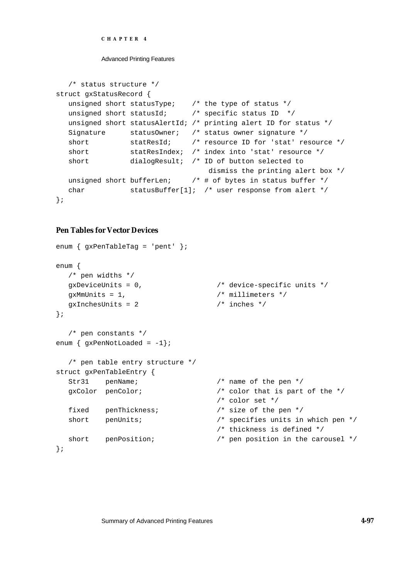```
CHAPTER 4
```

```
/* status structure */
struct gxStatusRecord {
   unsigned short statusType; /* the type of status */
   unsigned short statusId; /* specific status ID */
  unsigned short statusAlertId; /* printing alert ID for status */
  Signature statusOwner; /* status owner signature */
  short statResId; /* resource ID for 'stat' resource */
  short statResIndex; /* index into 'stat' resource */
  short dialogResult; /* ID of button selected to
                                   dismiss the printing alert box */
  unsigned short bufferLen; \overline{\phantom{a}} /* # of bytes in status buffer */
  char statusBuffer[1]; /* user response from alert */
};
```
# **Pen Tables for Vector Devices**

```
enum { gxPenTableTag = 'pent' };
enum {
  /* pen widths */
  gxDeviceUnits = 0, /* device-specific units */
  gxMmUnits = 1, \frac{1}{2} /* millimeters */
  gxInchesUnits = 2 /* inches */
};
  /* pen constants */
enum \{ qxPenNotLoaded = -1};
  /* pen table entry structure */
struct gxPenTableEntry {
  Str31 penName; /* name of the pen */
  gxColor penColor; /* color that is part of the */
                                 /* color set */
  fixed penThickness; /* size of the pen */
  short penUnits; \overline{\phantom{a}} /* specifies units in which pen */
                                /* thickness is defined */
  short penPosition; /* pen position in the carousel */
};
```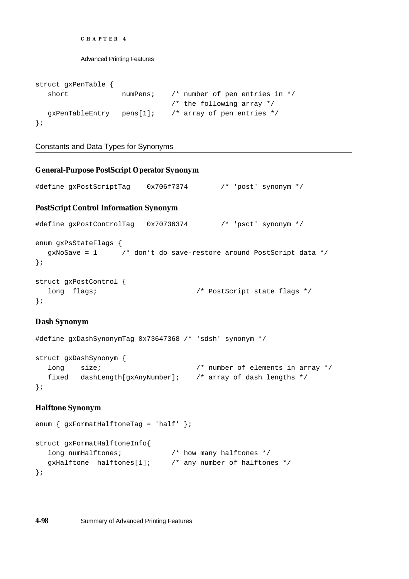```
CHAPTER 4
```

```
struct gxPenTable {
  short numPens; /* number of pen entries in */
                             /* the following array */
  gxPenTableEntry pens[1]; /* array of pen entries */
};
```
# Constants and Data Types for Synonyms

```
General-Purpose PostScript Operator Synonym
#define gxPostScriptTag 0x706f7374 /* 'post' synonym */
PostScript Control Information Synonym
#define gxPostControlTag 0x70736374 /* 'psct' synonym */
enum gxPsStateFlags {
  gxNoSave = 1 /* don't do save-restore around PostScript data */
};
struct gxPostControl {
  long flags; /* PostScript state flags */
};
```
# **Dash Synonym**

```
#define gxDashSynonymTag 0x73647368 /* 'sdsh' synonym */
struct gxDashSynonym {
  long size; \frac{1}{2} /* number of elements in array */
  fixed dashLength[gxAnyNumber]; /* array of dash lengths */
};
```
# **Halftone Synonym**

```
enum { gxFormatHalftoneTag = 'half' };
struct gxFormatHalftoneInfo{
  long numHalftones; \frac{1}{100} /* how many halftones */
  gxHalftone halftones[1]; /* any number of halftones */
};
```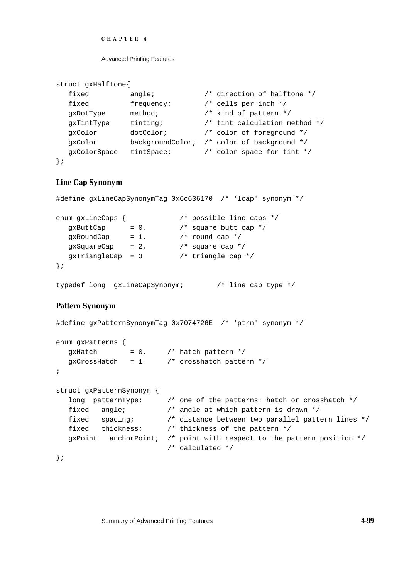#### Advanced Printing Features

```
struct gxHalftone{
  fixed angle; \frac{1}{2} /* direction of halftone */
  fixed frequency; /* cells per inch */
  gxDotType method; /* kind of pattern */
  gxTintType tinting; /* tint calculation method */
  gxColor dotColor; /* color of foreground */
  gxColor backgroundColor; /* color of background */
  gxColorSpace tintSpace; /* color space for tint */
};
```
## **Line Cap Synonym**

```
#define gxLineCapSynonymTag 0x6c636170 /* 'lcap' synonym */
enum gxLineCaps { /* possible line caps */
  qxButtCap = 0, /* square butt cap */
  gxRoundCap = 1, \frac{1}{2} round cap */
  gxSquareCap = 2, \frac{1}{2} /* square cap */
  qxTriangleCap = 3 /* triangle cap */
};
typedef long gxLineCapSynonym; /* line cap type */
```
## **Pattern Synonym**

```
#define gxPatternSynonymTag 0x7074726E /* 'ptrn' synonym */
enum gxPatterns {
  gxHatch = 0, /* hatch pattern */
  gxCrossHatch = 1 / * crosshatch pattern */;
struct gxPatternSynonym {
  long patternType; /* one of the patterns: hatch or crosshatch */
  fixed angle; /* angle at which pattern is drawn */
  fixed spacing; /* distance between two parallel pattern lines */
  fixed thickness; /* thickness of the pattern */
  gxPoint anchorPoint; /* point with respect to the pattern position */
                        /* calculated */
};
```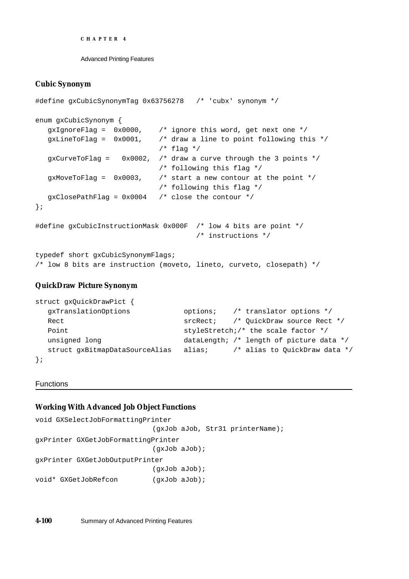Advanced Printing Features

## **Cubic Synonym**

```
#define gxCubicSynonymTag 0x63756278 /* 'cubx' synonym */
enum gxCubicSynonym {
  gxIgnoreFlag = 0x0000, /* ignore this word, get next one */
  gxLineToFlag = 0x0001, /* draw a line to point following this */
                             /* flag */gxCurveToFlag = 0x0002, /* draw a curve through the 3 points */
                             /* following this flag */
  qxMoveToFlaq = 0x0003, /* start a new contour at the point */
                             /* following this flag */
  gxClosePathFlag = 0x0004 /* close the contour */
};
#define gxCubicInstructionMask 0x000F /* low 4 bits are point */
                                      /* instructions */
typedef short gxCubicSynonymFlags;
/* low 8 bits are instruction (moveto, lineto, curveto, closepath) */
```
# **QuickDraw Picture Synonym**

```
struct gxQuickDrawPict {
  gxTranslationOptions options; /* translator options */
  Rect srcRect; \frac{1}{2} /* QuickDraw source Rect */
  Point \qquad \qquad styleStretch;/* the scale factor */
  unsigned long dataLength; /* length of picture data */
  struct gxBitmapDataSourceAlias alias; \qquad /* alias to QuickDraw data */
};
```
## Functions

## **Working With Advanced Job Object Functions**

```
void GXSelectJobFormattingPrinter 
                            (gxJob aJob, Str31 printerName);
gxPrinter GXGetJobFormattingPrinter 
                            (gxJob aJob);
gxPrinter GXGetJobOutputPrinter
                           (gxJob aJob);
void* GXGetJobRefcon (qxJob aJob);
```
**4-100** Summary of Advanced Printing Features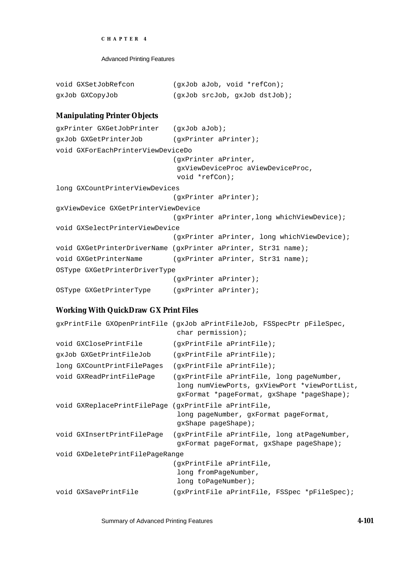```
CHAPTER 4
```

| void GXSetJobRefcon | $(\alpha x \text{Job } a \text{Job}$ , void *refCon); |                                |
|---------------------|-------------------------------------------------------|--------------------------------|
| dx10p GXC0py10p     |                                                       | (qxJob srcJob, qxJob distJob); |

# **Manipulating Printer Objects**

```
gxPrinter GXGetJobPrinter (gxJob aJob);
gxJob GXGetPrinterJob (gxPrinter aPrinter);
void GXForEachPrinterViewDeviceDo 
                            (gxPrinter aPrinter, 
                             gxViewDeviceProc aViewDeviceProc,
                             void *refCon);
long GXCountPrinterViewDevices 
                            (gxPrinter aPrinter);
gxViewDevice GXGetPrinterViewDevice 
                            (gxPrinter aPrinter,long whichViewDevice);
void GXSelectPrinterViewDevice 
                            (gxPrinter aPrinter, long whichViewDevice);
void GXGetPrinterDriverName (gxPrinter aPrinter, Str31 name);
void GXGetPrinterName (gxPrinter aPrinter, Str31 name);
OSType GXGetPrinterDriverType 
                            (gxPrinter aPrinter);
OSType GXGetPrinterType (gxPrinter aPrinter);
```
# **Working With QuickDraw GX Print Files**

```
gxPrintFile GXOpenPrintFile (gxJob aPrintFileJob, FSSpecPtr pFileSpec, 
                             char permission);
void GXClosePrintFile (qxPrintFile aPrintFile);
gxJob GXGetPrintFileJob (gxPrintFile aPrintFile);
long GXCountPrintFilePages (gxPrintFile aPrintFile);
void GXReadPrintFilePage (gxPrintFile aPrintFile, long pageNumber,
                             long numViewPorts, gxViewPort *viewPortList, 
                             gxFormat *pageFormat, gxShape *pageShape);
void GXReplacePrintFilePage (gxPrintFile aPrintFile, 
                             long pageNumber, gxFormat pageFormat,
                             gxShape pageShape);
void GXInsertPrintFilePage (gxPrintFile aPrintFile, long atPageNumber,
                             gxFormat pageFormat, gxShape pageShape);
void GXDeletePrintFilePageRange 
                            (gxPrintFile aPrintFile, 
                             long fromPageNumber, 
                             long toPageNumber);
void GXSavePrintFile (gxPrintFile aPrintFile, FSSpec *pFileSpec);
```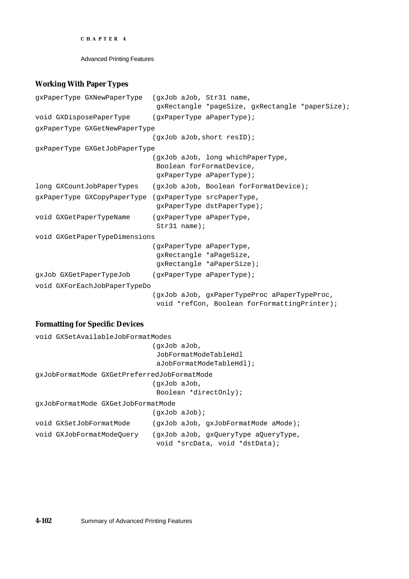Advanced Printing Features

# **Working With Paper Types**

| gxPaperType GXNewPaperType (gxJob aJob, Str31 name,    | gxRectangle *pageSize, gxRectangle *paperSize);                                              |
|--------------------------------------------------------|----------------------------------------------------------------------------------------------|
| void GXDisposePaperType                                | (gxPaperType aPaperType);                                                                    |
| qxPaperType GXGetNewPaperType                          |                                                                                              |
|                                                        | (qxJob aJob, short result)                                                                   |
| gxPaperType GXGetJobPaperType                          |                                                                                              |
|                                                        | (qxJob aJob, long whichPaperType,<br>Boolean forFormatDevice,<br>gxPaperType aPaperType);    |
| long GXCountJobPaperTypes                              | (qxJob aJob, Boolean forFormatDevice);                                                       |
| gxPaperType GXCopyPaperType (gxPaperType srcPaperType, | gxPaperType dstPaperType);                                                                   |
| void GXGetPaperTypeName                                | (gxPaperType aPaperType,<br>$Str31$ name);                                                   |
| void GXGetPaperTypeDimensions                          |                                                                                              |
|                                                        | (gxPaperType aPaperType,<br>gxRectangle *aPageSize,<br>gxRectangle *aPaperSize);             |
| gxJob GXGetPaperTypeJob (gxPaperType aPaperType);      |                                                                                              |
| void GXForEachJobPaperTypeDo                           |                                                                                              |
|                                                        | (gxJob aJob, gxPaperTypeProc aPaperTypeProc,<br>void *refCon, Boolean forFormattingPrinter); |

# **Formatting for Specific Devices**

```
void GXSetAvailableJobFormatModes 
                            (gxJob aJob,
                             JobFormatModeTableHdl 
                             aJobFormatModeTableHdl);
gxJobFormatMode GXGetPreferredJobFormatMode 
                            (gxJob aJob,
                             Boolean *directOnly);
gxJobFormatMode GXGetJobFormatMode 
                            (gxJob aJob);
void GXSetJobFormatMode (gxJob aJob, gxJobFormatMode aMode);
void GXJobFormatModeQuery (gxJob aJob, gxQueryType aQueryType,
                             void *srcData, void *dstData);
```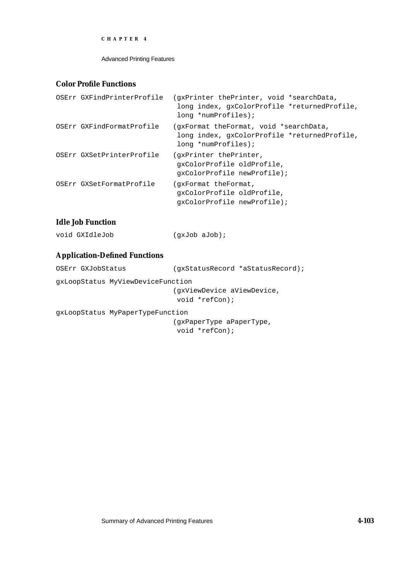Advanced Printing Features

# **Color Profile Functions**

| OSErr GXFindPrinterProfile | (gxPrinter thePrinter, void *searchData,<br>long index, gxColorProfile *returnedProfile,<br>long *numProfiles); |
|----------------------------|-----------------------------------------------------------------------------------------------------------------|
| OSErr GXFindFormatProfile  | gxFormat theFormat, void *searchData,<br>long index, gxColorProfile *returnedProfile,<br>long *numProfiles);    |
| OSErr GXSetPrinterProfile  | (gxPrinter thePrinter,<br>qxColorProfile oldProfile,<br>qxColorProfile newProfile);                             |
| OSErr GXSetFormatProfile   | (qxFormat theFormat,<br>qxColorProfile oldProfile,<br>qxColorProfile newProfile);                               |

# **Idle Job Function**

| void GXIdleJob<br>$(qxJob$ aJob); |
|-----------------------------------|
|-----------------------------------|

# **Application-Defined Functions**

| OSErr GXJobStatus | (qxStatusRecord *aStatusRecord); |
|-------------------|----------------------------------|
|                   |                                  |

gxLoopStatus MyViewDeviceFunction

(gxViewDevice aViewDevice,

void \*refCon);

gxLoopStatus MyPaperTypeFunction

(gxPaperType aPaperType, void \*refCon);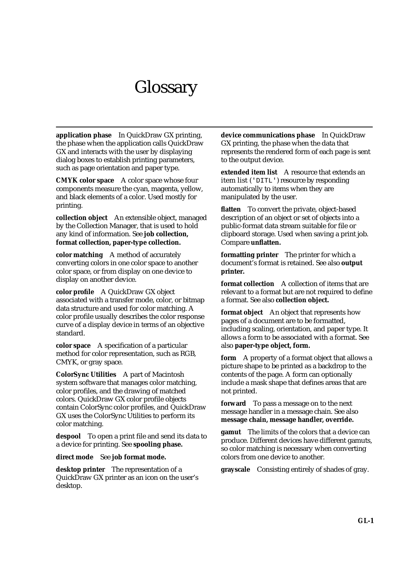# **Glossary**

**application phase** In QuickDraw GX printing, the phase when the application calls QuickDraw GX and interacts with the user by displaying dialog boxes to establish printing parameters, such as page orientation and paper type.

**CMYK color space** A color space whose four components measure the cyan, magenta, yellow, and black elements of a color. Used mostly for printing.

**collection object** An extensible object, managed by the Collection Manager, that is used to hold any kind of information. See **job collection, format collection, paper-type collection.**

**color matching** A method of accurately converting colors in one color space to another color space, or from display on one device to display on another device.

**color profile** A QuickDraw GX object associated with a transfer mode, color, or bitmap data structure and used for color matching. A color profile usually describes the color response curve of a display device in terms of an objective standard.

**color space** A specification of a particular method for color representation, such as RGB, CMYK, or gray space.

**ColorSync Utilities** A part of Macintosh system software that manages color matching, color profiles, and the drawing of matched colors. QuickDraw GX color profile objects contain ColorSync color profiles, and QuickDraw GX uses the ColorSync Utilities to perform its color matching.

**despool** To open a print file and send its data to a device for printing. See **spooling phase.**

## **direct mode** See **job format mode.**

**desktop printer** The representation of a QuickDraw GX printer as an icon on the user's desktop.

**device communications phase** In QuickDraw GX printing, the phase when the data that represents the rendered form of each page is sent to the output device.

**extended item list** A resource that extends an item list ('DITL') resource by responding automatically to items when they are manipulated by the user.

**flatten** To convert the private, object-based description of an object or set of objects into a public-format data stream suitable for file or clipboard storage. Used when saving a print job. Compare **unflatten.**

**formatting printer** The printer for which a document's format is retained. See also **output printer.**

**format collection** A collection of items that are relevant to a format but are not required to define a format. See also **collection object.**

**format object** An object that represents how pages of a document are to be formatted, including scaling, orientation, and paper type. It allows a form to be associated with a format. See also **paper-type object, form.**

**form** A property of a format object that allows a picture shape to be printed as a backdrop to the contents of the page. A form can optionally include a mask shape that defines areas that are not printed.

**forward** To pass a message on to the next message handler in a message chain. See also **message chain, message handler, override.**

**gamut** The limits of the colors that a device can produce. Different devices have different gamuts, so color matching is necessary when converting colors from one device to another.

**grayscale** Consisting entirely of shades of gray.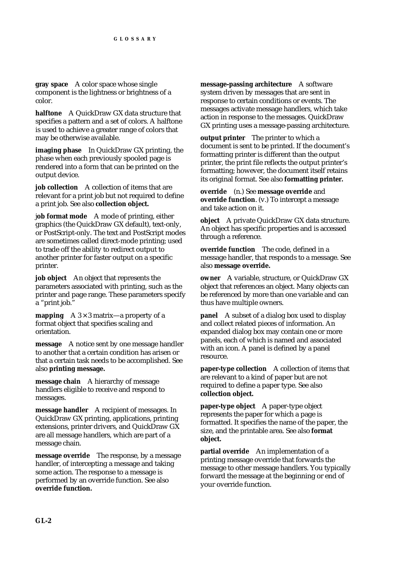**gray space** A color space whose single component is the lightness or brightness of a color.

**halftone** A QuickDraw GX data structure that specifies a pattern and a set of colors. A halftone is used to achieve a greater range of colors that may be otherwise available.

**imaging phase** In QuickDraw GX printing, the phase when each previously spooled page is rendered into a form that can be printed on the output device.

**job collection** A collection of items that are relevant for a print job but not required to define a print job. See also **collection object.**

j**ob format mode** A mode of printing, either graphics (the QuickDraw GX default), text-only, or PostScript-only. The text and PostScript modes are sometimes called direct-mode printing; used to trade off the ability to redirect output to another printer for faster output on a specific printer.

**job object** An object that represents the parameters associated with printing, such as the printer and page range. These parameters specify a "print job."

**mapping**  $A \cdot 3 \times 3$  matrix—a property of a format object that specifies scaling and orientation.

**message** A notice sent by one message handler to another that a certain condition has arisen or that a certain task needs to be accomplished. See also **printing message.**

**message chain** A hierarchy of message handlers eligible to receive and respond to messages.

**message handler** A recipient of messages. In QuickDraw GX printing, applications, printing extensions, printer drivers, and QuickDraw GX are all message handlers, which are part of a message chain.

**message override** The response, by a message handler, of intercepting a message and taking some action. The response to a message is performed by an override function. See also **override function.**

**message-passing architecture** A software system driven by messages that are sent in response to certain conditions or events. The messages activate message handlers, which take action in response to the messages. QuickDraw GX printing uses a message-passing architecture.

**output printer** The printer to which a document is sent to be printed. If the document's formatting printer is different than the output printer, the print file reflects the output printer's formatting; however, the document itself retains its original format. See also **formatting printer.**

**override** (n.) See **message override** and **override function**. (v.) To intercept a message and take action on it.

**object** A private QuickDraw GX data structure. An object has specific properties and is accessed through a reference.

**override function** The code, defined in a message handler, that responds to a message. See also **message override.**

**owner** A variable, structure, or QuickDraw GX object that references an object. Many objects can be referenced by more than one variable and can thus have multiple owners.

**panel** A subset of a dialog box used to display and collect related pieces of information. An expanded dialog box may contain one or more panels, each of which is named and associated with an icon. A panel is defined by a panel resource.

**paper-type collection** A collection of items that are relevant to a kind of paper but are not required to define a paper type. See also **collection object.**

**paper-type object** A paper-type object represents the paper for which a page is formatted. It specifies the name of the paper, the size, and the printable area. See also **format object.**

**partial override** An implementation of a printing message override that forwards the message to other message handlers. You typically forward the message at the beginning or end of your override function.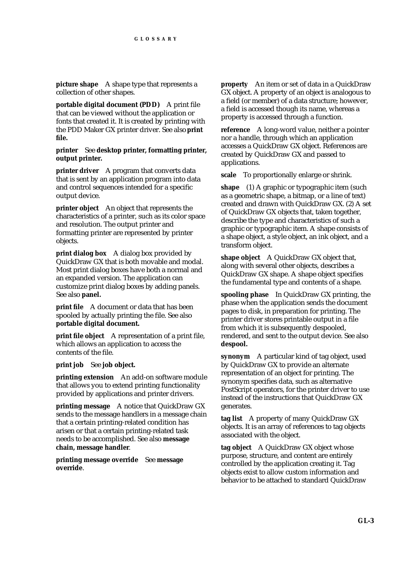**picture shape** A shape type that represents a collection of other shapes.

**portable digital document (PDD)** A print file that can be viewed without the application or fonts that created it. It is created by printing with the PDD Maker GX printer driver. See also **print file.**

**printer** See **desktop printer, formatting printer, output printer.**

**printer driver** A program that converts data that is sent by an application program into data and control sequences intended for a specific output device.

**printer object** An object that represents the characteristics of a printer, such as its color space and resolution. The output printer and formatting printer are represented by printer objects.

**print dialog box** A dialog box provided by QuickDraw GX that is both movable and modal. Most print dialog boxes have both a normal and an expanded version. The application can customize print dialog boxes by adding panels. See also **panel.**

**print file** A document or data that has been spooled by actually printing the file. See also **portable digital document.**

**print file object** A representation of a print file, which allows an application to access the contents of the file.

**print job** See **job object.**

**printing extension** An add-on software module that allows you to extend printing functionality provided by applications and printer drivers.

**printing message** A notice that QuickDraw GX sends to the message handlers in a message chain that a certain printing-related condition has arisen or that a certain printing-related task needs to be accomplished. See also **message chain, message handler**.

**printing message override** See **message override**.

**property** An item or set of data in a QuickDraw GX object. A property of an object is analogous to a field (or member) of a data structure; however, a field is accessed though its name, whereas a property is accessed through a function.

**reference** A long-word value, neither a pointer nor a handle, through which an application accesses a QuickDraw GX object. References are created by QuickDraw GX and passed to applications.

**scale** To proportionally enlarge or shrink.

**shape** (1) A graphic or typographic item (such as a geometric shape, a bitmap, or a line of text) created and drawn with QuickDraw GX. (2) A set of QuickDraw GX objects that, taken together, describe the type and characteristics of such a graphic or typographic item. A shape consists of a shape object, a style object, an ink object, and a transform object.

**shape object** A QuickDraw GX object that, along with several other objects, describes a QuickDraw GX shape. A shape object specifies the fundamental type and contents of a shape.

**spooling phase** In QuickDraw GX printing, the phase when the application sends the document pages to disk, in preparation for printing. The printer driver stores printable output in a file from which it is subsequently despooled, rendered, and sent to the output device. See also **despool.**

**synonym** A particular kind of tag object, used by QuickDraw GX to provide an alternate representation of an object for printing. The synonym specifies data, such as alternative PostScript operators, for the printer driver to use instead of the instructions that QuickDraw GX generates.

**tag list** A property of many QuickDraw GX objects. It is an array of references to tag objects associated with the object.

**tag object** A QuickDraw GX object whose purpose, structure, and content are entirely controlled by the application creating it. Tag objects exist to allow custom information and behavior to be attached to standard QuickDraw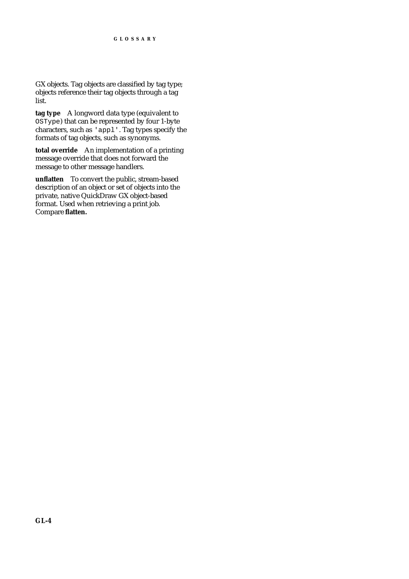GX objects. Tag objects are classified by tag type; objects reference their tag objects through a tag list.

**tag type** A longword data type (equivalent to OSType) that can be represented by four 1-byte characters, such as 'appl'. Tag types specify the formats of tag objects, such as synonyms.

**total override** An implementation of a printing message override that does not forward the message to other message handlers.

**unflatten** To convert the public, stream-based description of an object or set of objects into the private, native QuickDraw GX object-based format. Used when retrieving a print job. Compare **flatten.**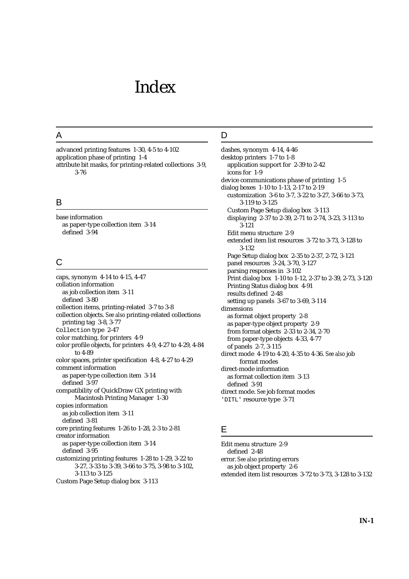# Index

## A

advanced printing features 1-30, 4-5 to 4-102 application phase of printing 1-4 attribute bit masks, for printing-related collections 3-9, 3-76

## B

base information as paper-type collection item 3-14 defined 3-94

# C

caps, synonym 4-14 to 4-15, 4-47 collation information as job collection item 3-11 defined 3-80 collection items, printing-related 3-7 to 3-8 collection objects. *See also* printing-related collections printing tag 3-8, 3-77 Collection type 2-47 color matching, for printers 4-9 color profile objects, for printers 4-9, 4-27 to 4-29, 4-84 to 4-89 color spaces, printer specification 4-8, 4-27 to 4-29 comment information as paper-type collection item 3-14 defined 3-97 compatibility of QuickDraw GX printing with Macintosh Printing Manager 1-30 copies information as job collection item 3-11 defined 3-81 core printing features 1-26 to 1-28, 2-3 to 2-81 creator information as paper-type collection item 3-14 defined 3-95 customizing printing features 1-28 to 1-29, 3-22 to 3-27, 3-33 to 3-39, 3-66 to 3-75, 3-98 to 3-102, 3-113 to 3-125

Custom Page Setup dialog box 3-113

## D

dashes, synonym 4-14, 4-46 desktop printers 1-7 to 1-8 application support for 2-39 to 2-42 icons for 1-9 device communications phase of printing 1-5 dialog boxes 1-10 to 1-13, 2-17 to 2-19 customization 3-6 to 3-7, 3-22 to 3-27, 3-66 to 3-73, 3-119 to 3-125 Custom Page Setup dialog box 3-113 displaying 2-37 to 2-39, 2-71 to 2-74, 3-23, 3-113 to 3-121 Edit menu structure 2-9 extended item list resources 3-72 to 3-73, 3-128 to 3-132 Page Setup dialog box 2-35 to 2-37, 2-72, 3-121 panel resources 3-24, 3-70, 3-127 parsing responses in 3-102 Print dialog box 1-10 to 1-12, 2-37 to 2-39, 2-73, 3-120 Printing Status dialog box 4-91 results defined 2-48 setting up panels 3-67 to 3-69, 3-114 dimensions as format object property 2-8 as paper-type object property 2-9 from format objects 2-33 to 2-34, 2-70 from paper-type objects 4-33, 4-77 of panels 2-7, 3-115 direct mode 4-19 to 4-20, 4-35 to 4-36. *See also* job format modes direct-mode information as format collection item 3-13 defined 3-91 direct mode. *See* job format modes 'DITL' resource type 3-71

## E

Edit menu structure 2-9 defined 2-48 error. *See also* printing errors as job object property 2-6 extended item list resources 3-72 to 3-73, 3-128 to 3-132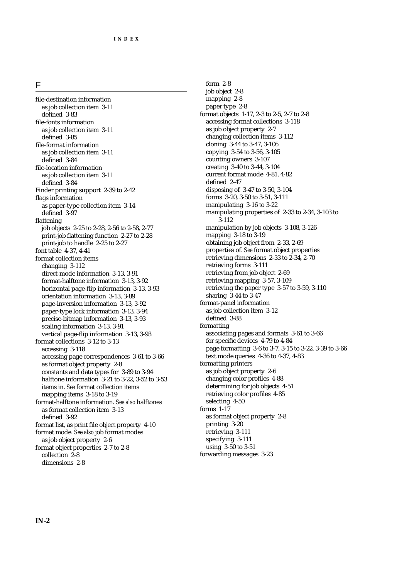| ۰ |  |  |
|---|--|--|
|   |  |  |
|   |  |  |
|   |  |  |

file-destination information as job collection item 3-11 defined 3-83 file-fonts information as job collection item 3-11 defined 3-85 file-format information as job collection item 3-11 defined 3-84 file-location information as job collection item 3-11 defined 3-84 Finder printing support 2-39 to 2-42 flags information as paper-type collection item 3-14 defined 3-97 flattening job objects 2-25 to 2-28, 2-56 to 2-58, 2-77 print-job flattening function 2-27 to 2-28 print-job to handle 2-25 to 2-27 font table 4-37, 4-41 format collection items changing 3-112 direct-mode information 3-13, 3-91 format-halftone information 3-13, 3-92 horizontal page-flip information 3-13, 3-93 orientation information 3-13, 3-89 page-inversion information 3-13, 3-92 paper-type lock information 3-13, 3-94 precise-bitmap information 3-13, 3-93 scaling information 3-13, 3-91 vertical page-flip information 3-13, 3-93 format collections 3-12 to 3-13 accessing 3-118 accessing page correspondences 3-61 to 3-66 as format object property 2-8 constants and data types for 3-89 to 3-94 halftone information 3-21 to 3-22, 3-52 to 3-53 items in. *See* format collection items mapping items 3-18 to 3-19 format-halftone information. *See also* halftones as format collection item 3-13 defined 3-92 format list, as print file object property 4-10 format mode. *See also* job format modes as job object property 2-6 format object properties 2-7 to 2-8 collection 2-8 dimensions 2-8

form 2-8 job object 2-8 mapping 2-8 paper type 2-8 format objects 1-17, 2-3 to 2-5, 2-7 to 2-8 accessing format collections 3-118 as job object property 2-7 changing collection items 3-112 cloning 3-44 to 3-47, 3-106 copying 3-54 to 3-56, 3-105 counting owners 3-107 creating 3-40 to 3-44, 3-104 current format mode 4-81, 4-82 defined 2-47 disposing of 3-47 to 3-50, 3-104 forms 3-20, 3-50 to 3-51, 3-111 manipulating 3-16 to 3-22 manipulating properties of 2-33 to 2-34, 3-103 to 3-112 manipulation by job objects 3-108, 3-126 mapping 3-18 to 3-19 obtaining job object from 2-33, 2-69 properties of. *See* format object properties retrieving dimensions 2-33 to 2-34, 2-70 retrieving forms 3-111 retrieving from job object 2-69 retrieving mapping 3-57, 3-109 retrieving the paper type 3-57 to 3-59, 3-110 sharing 3-44 to 3-47 format-panel information as job collection item 3-12 defined 3-88 formatting associating pages and formats 3-61 to 3-66 for specific devices 4-79 to 4-84 page formatting 3-6 to 3-7, 3-15 to 3-22, 3-39 to 3-66 text mode queries 4-36 to 4-37, 4-83 formatting printers as job object property 2-6 changing color profiles 4-88 determining for job objects 4-51 retrieving color profiles 4-85 selecting 4-50 forms 1-17 as format object property 2-8 printing 3-20 retrieving 3-111 specifying 3-111 using 3-50 to 3-51 forwarding messages 3-23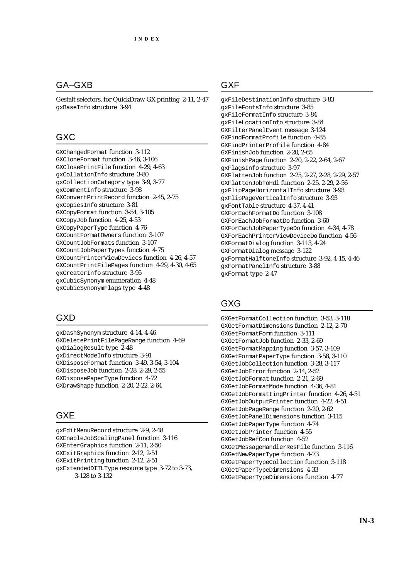### GA–GXB

Gestalt selectors, for QuickDraw GX printing 2-11, 2-47 gxBaseInfo structure 3-94

### GXC

GXChangedFormat function 3-112 GXCloneFormat function 3-46, 3-106 GXClosePrintFile function 4-29, 4-63 gxCollationInfo structure 3-80 gxCollectionCategory type 3-9, 3-77 gxCommentInfo structure 3-98 GXConvertPrintRecord function 2-45, 2-75 gxCopiesInfo structure 3-81 GXCopyFormat function 3-54, 3-105 GXCopyJob function 4-25, 4-53 GXCopyPaperType function 4-76 GXCountFormatOwners function 3-107 GXCountJobFormats function 3-107 GXCountJobPaperTypes function 4-75 GXCountPrinterViewDevices function 4-26, 4-57 GXCountPrintFilePages function 4-29, 4-30, 4-65 gxCreatorInfo structure 3-95 gxCubicSynonym enumeration 4-48 gxCubicSynonymFlags type 4-48

### GXD

gxDashSynonym structure 4-14, 4-46 GXDeletePrintFilePageRange function 4-69 gxDialogResult type 2-48 gxDirectModeInfo structure 3-91 GXDisposeFormat function 3-49, 3-54, 3-104 GXDisposeJob function 2-28, 2-29, 2-55 GXDisposePaperType function 4-72 GXDrawShape function 2-20, 2-22, 2-64

### GXE

gxEditMenuRecord structure 2-9, 2-48 GXEnableJobScalingPanel function 3-116 GXEnterGraphics function 2-11, 2-50 GXExitGraphics function 2-12, 2-51 GXExitPrinting function 2-12, 2-51 gxExtendedDITLType resource type 3-72 to 3-73, 3-128 to 3-132

### GXF

gxFileDestinationInfo structure 3-83 gxFileFontsInfo structure 3-85 gxFileFormatInfo structure 3-84 gxFileLocationInfo structure 3-84 GXFilterPanelEvent message 3-124 GXFindFormatProfile function 4-85 GXFindPrinterProfile function 4-84 GXFinishJob function 2-20, 2-65 GXFinishPage function 2-20, 2-22, 2-64, 2-67 gxFlagsInfo structure 3-97 GXFlattenJob function 2-25, 2-27, 2-28, 2-29, 2-57 GXFlattenJobToHdl function 2-25, 2-29, 2-56 gxFlipPageHorizontalInfo structure 3-93 gxFlipPageVerticalInfo structure 3-93 gxFontTable structure 4-37, 4-41 GXForEachFormatDo function 3-108 GXForEachJobFormatDo function 3-60 GXForEachJobPaperTypeDo function 4-34, 4-78 GXForEachPrinterViewDeviceDo function 4-56 GXFormatDialog function 3-113, 4-24 GXFormatDialog message 3-122 gxFormatHalftoneInfo structure 3-92, 4-15, 4-46 gxFormatPanelInfo structure 3-88 gxFormat type 2-47

### GXG

GXGetFormatCollection function 3-53, 3-118 GXGetFormatDimensions function 2-12, 2-70 GXGetFormatForm function 3-111 GXGetFormatJob function 2-33, 2-69 GXGetFormatMapping function 3-57, 3-109 GXGetFormatPaperType function 3-58, 3-110 GXGetJobCollection function 3-28, 3-117 GXGetJobError function 2-14, 2-52 GXGetJobFormat function 2-21, 2-69 GXGetJobFormatMode function 4-36, 4-81 GXGetJobFormattingPrinter function 4-26, 4-51 GXGetJobOutputPrinter function 4-22, 4-51 GXGetJobPageRange function 2-20, 2-62 GXGetJobPanelDimensions function 3-115 GXGetJobPaperType function 4-74 GXGetJobPrinter function 4-55 GXGetJobRefCon function 4-52 GXGetMessageHandlerResFile function 3-116 GXGetNewPaperType function 4-73 GXGetPaperTypeCollection function 3-118 GXGetPaperTypeDimensions 4-33 GXGetPaperTypeDimensions function 4-77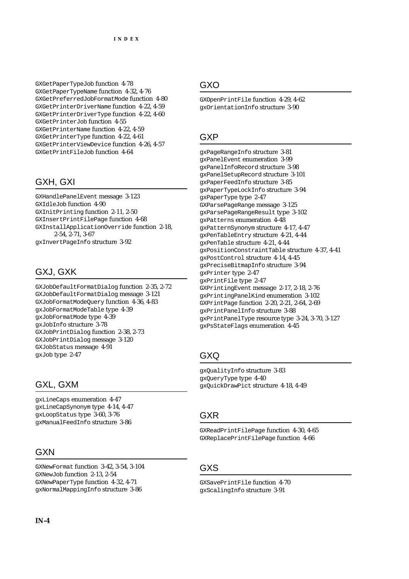GXGetPaperTypeJob function 4-78 GXGetPaperTypeName function 4-32, 4-76 GXGetPreferredJobFormatMode function 4-80 GXGetPrinterDriverName function 4-22, 4-59 GXGetPrinterDriverType function 4-22, 4-60 GXGetPrinterJob function 4-55 GXGetPrinterName function 4-22, 4-59 GXGetPrinterType function 4-22, 4-61 GXGetPrinterViewDevice function 4-26, 4-57 GXGetPrintFileJob function 4-64

## GXH, GXI

GXHandlePanelEvent message 3-123 GXIdleJob function 4-90 GXInitPrinting function 2-11, 2-50 GXInsertPrintFilePage function 4-68 GXInstallApplicationOverride function 2-18, 2-54, 2-71, 3-67 gxInvertPageInfo structure 3-92

# GXJ, GXK

GXJobDefaultFormatDialog function 2-35, 2-72 GXJobDefaultFormatDialog message 3-121 GXJobFormatModeQuery function 4-36, 4-83 gxJobFormatModeTable type 4-39 gxJobFormatMode type 4-39 gxJobInfo structure 3-78 GXJobPrintDialog function 2-38, 2-73 GXJobPrintDialog message 3-120 GXJobStatus message 4-91 gxJob type 2-47

## GXL, GXM

gxLineCaps enumeration 4-47 gxLineCapSynonym type 4-14, 4-47 gxLoopStatus type 3-60, 3-76 gxManualFeedInfo structure 3-86

### **GXN**

GXNewFormat function 3-42, 3-54, 3-104 GXNewJob function 2-13, 2-54 GXNewPaperType function 4-32, 4-71 gxNormalMappingInfo structure 3-86

## GXO

GXOpenPrintFile function 4-29, 4-62 gxOrientationInfo structure 3-90

## GXP

gxPageRangeInfo structure 3-81 gxPanelEvent enumeration 3-99 gxPanelInfoRecord structure 3-98 gxPanelSetupRecord structure 3-101 gxPaperFeedInfo structure 3-85 gxPaperTypeLockInfo structure 3-94 gxPaperType type 2-47 GXParsePageRange message 3-125 gxParsePageRangeResult type 3-102 gxPatterns enumeration 4-48 gxPatternSynonym structure 4-17, 4-47 gxPenTableEntry structure 4-21, 4-44 gxPenTable structure 4-21, 4-44 gxPositionConstraintTable structure 4-37, 4-41 gxPostControl structure 4-14, 4-45 gxPreciseBitmapInfo structure 3-94 gxPrinter type 2-47 gxPrintFile type 2-47 GXPrintingEvent message 2-17, 2-18, 2-76 gxPrintingPanelKind enumeration 3-102 GXPrintPage function 2-20, 2-21, 2-64, 2-69 gxPrintPanelInfo structure 3-88 gxPrintPanelType resource type 3-24, 3-70, 3-127 gxPsStateFlags enumeration 4-45

## GXQ

gxQualityInfo structure 3-83 gxQueryType type 4-40 gxQuickDrawPict structure 4-18, 4-49

### GXR

GXReadPrintFilePage function 4-30, 4-65 GXReplacePrintFilePage function 4-66

## GXS

GXSavePrintFile function 4-70 gxScalingInfo structure 3-91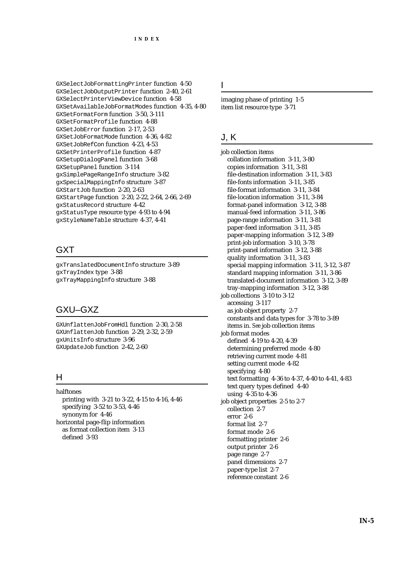GXSelectJobFormattingPrinter function 4-50 GXSelectJobOutputPrinter function 2-40, 2-61 GXSelectPrinterViewDevice function 4-58 GXSetAvailableJobFormatModes function 4-35, 4-80 GXSetFormatForm function 3-50, 3-111 GXSetFormatProfile function 4-88 GXSetJobError function 2-17, 2-53 GXSetJobFormatMode function 4-36, 4-82 GXSetJobRefCon function 4-23, 4-53 GXSetPrinterProfile function 4-87 GXSetupDialogPanel function 3-68 GXSetupPanel function 3-114 gxSimplePageRangeInfo structure 3-82 gxSpecialMappingInfo structure 3-87 GXStartJob function 2-20, 2-63 GXStartPage function 2-20, 2-22, 2-64, 2-66, 2-69 gxStatusRecord structure 4-42 gxStatusType resource type 4-93 to 4-94 gxStyleNameTable structure 4-37, 4-41

### **GXT**

gxTranslatedDocumentInfo structure 3-89 gxTrayIndex type 3-88 gxTrayMappingInfo structure 3-88

### GXU–GXZ

GXUnflattenJobFromHdl function 2-30, 2-58 GXUnflattenJob function 2-29, 2-32, 2-59 gxUnitsInfo structure 3-96 GXUpdateJob function 2-42, 2-60

#### H

halftones printing with 3-21 to 3-22, 4-15 to 4-16, 4-46 specifying 3-52 to 3-53, 4-46 synonym for 4-46 horizontal page-flip information as format collection item 3-13 defined 3-93

I

imaging phase of printing 1-5 item list resource type 3-71

### J, K

job collection items collation information 3-11, 3-80 copies information 3-11, 3-81 file-destination information 3-11, 3-83 file-fonts information 3-11, 3-85 file-format information 3-11, 3-84 file-location information 3-11, 3-84 format-panel information 3-12, 3-88 manual-feed information 3-11, 3-86 page-range information 3-11, 3-81 paper-feed information 3-11, 3-85 paper-mapping information 3-12, 3-89 print-job information 3-10, 3-78 print-panel information 3-12, 3-88 quality information 3-11, 3-83 special mapping information 3-11, 3-12, 3-87 standard mapping information 3-11, 3-86 translated-document information 3-12, 3-89 tray-mapping information 3-12, 3-88 job collections 3-10 to 3-12 accessing 3-117 as job object property 2-7 constants and data types for 3-78 to 3-89 items in. *See* job collection items job format modes defined 4-19 to 4-20, 4-39 determining preferred mode 4-80 retrieving current mode 4-81 setting current mode 4-82 specifying 4-80 text formatting 4-36 to 4-37, 4-40 to 4-41, 4-83 text query types defined 4-40 using 4-35 to 4-36 job object properties 2-5 to 2-7 collection 2-7 error 2-6 format list 2-7 format mode 2-6 formatting printer 2-6 output printer 2-6 page range 2-7 panel dimensions 2-7 paper-type list 2-7 reference constant 2-6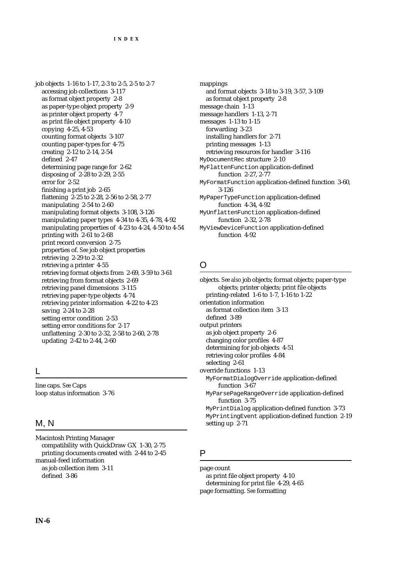job objects 1-16 to 1-17, 2-3 to 2-5, 2-5 to 2-7 accessing job collections 3-117 as format object property 2-8 as paper-type object property 2-9 as printer object property 4-7 as print file object property 4-10 copying 4-25, 4-53 counting format objects 3-107 counting paper-types for 4-75 creating 2-12 to 2-14, 2-54 defined 2-47 determining page range for 2-62 disposing of 2-28 to 2-29, 2-55 error for 2-52 finishing a print job 2-65 flattening 2-25 to 2-28, 2-56 to 2-58, 2-77 manipulating 2-54 to 2-60 manipulating format objects 3-108, 3-126 manipulating paper types 4-34 to 4-35, 4-78, 4-92 manipulating properties of 4-23 to 4-24, 4-50 to 4-54 printing with 2-61 to 2-68 print record conversion 2-75 properties of. *See* job object properties retrieving 2-29 to 2-32 retrieving a printer 4-55 retrieving format objects from 2-69, 3-59 to 3-61 retrieving from format objects 2-69 retrieving panel dimensions 3-115 retrieving paper-type objects 4-74 retrieving printer information 4-22 to 4-23 saving 2-24 to 2-28 setting error condition 2-53 setting error conditions for 2-17 unflattening 2-30 to 2-32, 2-58 to 2-60, 2-78 updating 2-42 to 2-44, 2-60

L

line caps. *See* Caps loop status information 3-76

### M, N

Macintosh Printing Manager compatibility with QuickDraw GX 1-30, 2-75 printing documents created with 2-44 to 2-45 manual-feed information as job collection item 3-11 defined 3-86

mappings and format objects 3-18 to 3-19, 3-57, 3-109 as format object property 2-8 message chain 1-13 message handlers 1-13, 2-71 messages 1-13 to 1-15 forwarding 3-23 installing handlers for 2-71 printing messages 1-13 retrieving resources for handler 3-116 MyDocumentRec structure 2-10 MyFlattenFunction application-defined function 2-27, 2-77 MyFormatFunction application-defined function 3-60, 3-126 MyPaperTypeFunction application-defined function 4-34, 4-92 MyUnflattenFunction application-defined function 2-32, 2-78 MyViewDeviceFunction application-defined

#### $\Omega$

function 4-92

objects. *See also* job objects; format objects; paper-type objects; printer objects; print file objects printing-related 1-6 to 1-7, 1-16 to 1-22 orientation information as format collection item 3-13 defined 3-89 output printers as job object property 2-6 changing color profiles 4-87 determining for job objects 4-51 retrieving color profiles 4-84 selecting 2-61 override functions 1-13 MyFormatDialogOverride application-defined function 3-67 MyParsePageRangeOverride application-defined function 3-75 MyPrintDialog application-defined function 3-73 MyPrintingEvent application-defined function 2-19 setting up 2-71

### P

page count

as print file object property 4-10 determining for print file 4-29, 4-65 page formatting. *See* formatting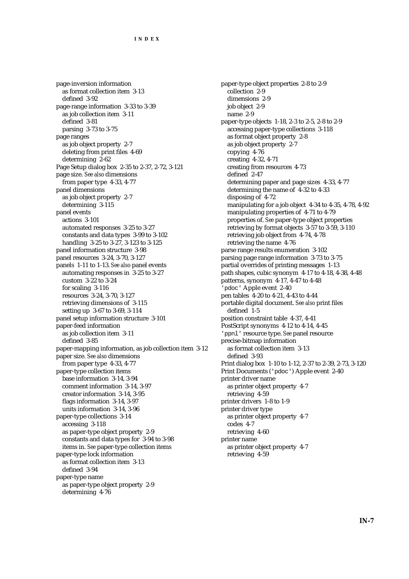page-inversion information as format collection item 3-13 defined 3-92 page-range information 3-33 to 3-39 as job collection item 3-11 defined 3-81 parsing 3-73 to 3-75 page ranges as job object property 2-7 deleting from print files 4-69 determining 2-62 Page Setup dialog box 2-35 to 2-37, 2-72, 3-121 page size. *See also* dimensions from paper type 4-33, 4-77 panel dimensions as job object property 2-7 determining 3-115 panel events actions 3-101 automated responses 3-25 to 3-27 constants and data types 3-99 to 3-102 handling 3-25 to 3-27, 3-123 to 3-125 panel information structure 3-98 panel resources 3-24, 3-70, 3-127 panels 1-11 to 1-13. *See also* panel events automating responses in 3-25 to 3-27 custom 3-22 to 3-24 for scaling 3-116 resources 3-24, 3-70, 3-127 retrieving dimensions of 3-115 setting up 3-67 to 3-69, 3-114 panel setup information structure 3-101 paper-feed information as job collection item 3-11 defined 3-85 paper-mapping information, as job collection item 3-12 paper size. *See also* dimensions from paper type 4-33, 4-77 paper-type collection items base information 3-14, 3-94 comment information 3-14, 3-97 creator information 3-14, 3-95 flags information 3-14, 3-97 units information 3-14, 3-96 paper-type collections 3-14 accessing 3-118 as paper-type object property 2-9 constants and data types for 3-94 to 3-98 items in. *See* paper-type collection items paper-type lock information as format collection item 3-13 defined 3-94 paper-type name as paper-type object property 2-9 determining 4-76

paper-type object properties 2-8 to 2-9 collection 2-9 dimensions 2-9 job object 2-9 name 2-9 paper-type objects 1-18, 2-3 to 2-5, 2-8 to 2-9 accessing paper-type collections 3-118 as format object property 2-8 as job object property 2-7 copying 4-76 creating 4-32, 4-71 creating from resources 4-73 defined 2-47 determining paper and page sizes 4-33, 4-77 determining the name of 4-32 to 4-33 disposing of 4-72 manipulating for a job object 4-34 to 4-35, 4-78, 4-92 manipulating properties of 4-71 to 4-79 properties of. *See* paper-type object properties retrieving by format objects 3-57 to 3-59, 3-110 retrieving job object from 4-74, 4-78 retrieving the name 4-76 parse range results enumeration 3-102 parsing page range information 3-73 to 3-75 partial overrides of printing messages 1-13 path shapes, cubic synonym 4-17 to 4-18, 4-38, 4-48 patterns, synonym 4-17, 4-47 to 4-48 'pdoc' Apple event 2-40 pen tables 4-20 to 4-21, 4-43 to 4-44 portable digital document. *See also* print files defined 1-5 position constraint table 4-37, 4-41 PostScript synonyms 4-12 to 4-14, 4-45 'ppnl' resource type. *See* panel resource precise-bitmap information as format collection item 3-13 defined 3-93 Print dialog box 1-10 to 1-12, 2-37 to 2-39, 2-73, 3-120 Print Documents ('pdoc') Apple event 2-40 printer driver name as printer object property 4-7 retrieving 4-59 printer drivers 1-8 to 1-9 printer driver type as printer object property 4-7 codes 4-7 retrieving 4-60 printer name as printer object property 4-7 retrieving 4-59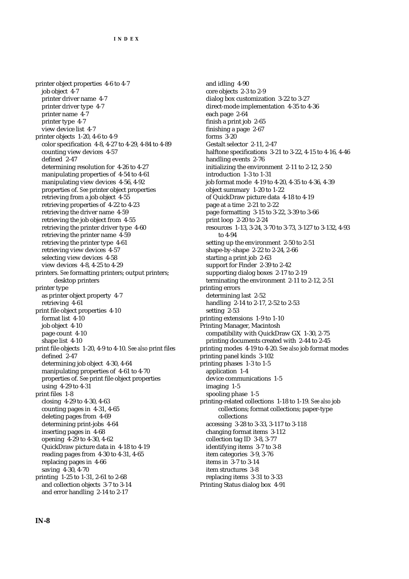printer object properties 4-6 to 4-7 job object 4-7 printer driver name 4-7 printer driver type 4-7 printer name 4-7 printer type 4-7 view device list 4-7 printer objects 1-20, 4-6 to 4-9 color specification 4-8, 4-27 to 4-29, 4-84 to 4-89 counting view devices 4-57 defined 2-47 determining resolution for 4-26 to 4-27 manipulating properties of 4-54 to 4-61 manipulating view devices 4-56, 4-92 properties of. *See* printer object properties retrieving from a job object 4-55 retrieving properties of 4-22 to 4-23 retrieving the driver name 4-59 retrieving the job object from 4-55 retrieving the printer driver type 4-60 retrieving the printer name 4-59 retrieving the printer type 4-61 retrieving view devices 4-57 selecting view devices 4-58 view devices 4-8, 4-25 to 4-29 printers. *See* formatting printers; output printers; desktop printers printer type as printer object property 4-7 retrieving 4-61 print file object properties 4-10 format list 4-10 job object 4-10 page count 4-10 shape list 4-10 print file objects 1-20, 4-9 to 4-10. *See also* print files defined 2-47 determining job object 4-30, 4-64 manipulating properties of 4-61 to 4-70 properties of. *See* print file object properties using 4-29 to 4-31 print files 1-8 closing 4-29 to 4-30, 4-63 counting pages in 4-31, 4-65 deleting pages from 4-69 determining print-jobs 4-64 inserting pages in 4-68 opening 4-29 to 4-30, 4-62 QuickDraw picture data in 4-18 to 4-19 reading pages from 4-30 to 4-31, 4-65 replacing pages in 4-66 saving 4-30, 4-70 printing 1-25 to 1-31, 2-61 to 2-68 and collection objects 3-7 to 3-14 and error handling 2-14 to 2-17

and idling 4-90 core objects 2-3 to 2-9 dialog box customization 3-22 to 3-27 direct-mode implementation 4-35 to 4-36 each page 2-64 finish a print job 2-65 finishing a page 2-67 forms 3-20 Gestalt selector 2-11, 2-47 halftone specifications 3-21 to 3-22, 4-15 to 4-16, 4-46 handling events 2-76 initializing the environment 2-11 to 2-12, 2-50 introduction 1-3 to 1-31 job format mode 4-19 to 4-20, 4-35 to 4-36, 4-39 object summary 1-20 to 1-22 of QuickDraw picture data 4-18 to 4-19 page at a time 2-21 to 2-22 page formatting 3-15 to 3-22, 3-39 to 3-66 print loop 2-20 to 2-24 resources 1-13, 3-24, 3-70 to 3-73, 3-127 to 3-132, 4-93 to 4-94 setting up the environment 2-50 to 2-51 shape-by-shape 2-22 to 2-24, 2-66 starting a print job 2-63 support for Finder 2-39 to 2-42 supporting dialog boxes 2-17 to 2-19 terminating the environment 2-11 to 2-12, 2-51 printing errors determining last 2-52 handling 2-14 to 2-17, 2-52 to 2-53 setting 2-53 printing extensions 1-9 to 1-10 Printing Manager, Macintosh compatibility with QuickDraw GX 1-30, 2-75 printing documents created with 2-44 to 2-45 printing modes 4-19 to 4-20. *See also* job format modes printing panel kinds 3-102 printing phases 1-3 to 1-5 application 1-4 device communications 1-5 imaging 1-5 spooling phase 1-5 printing-related collections 1-18 to 1-19. *See also* job collections; format collections; paper-type collections accessing 3-28 to 3-33, 3-117 to 3-118 changing format items 3-112 collection tag ID 3-8, 3-77 identifying items 3-7 to 3-8 item categories 3-9, 3-76 items in 3-7 to 3-14 item structures 3-8 replacing items 3-31 to 3-33 Printing Status dialog box 4-91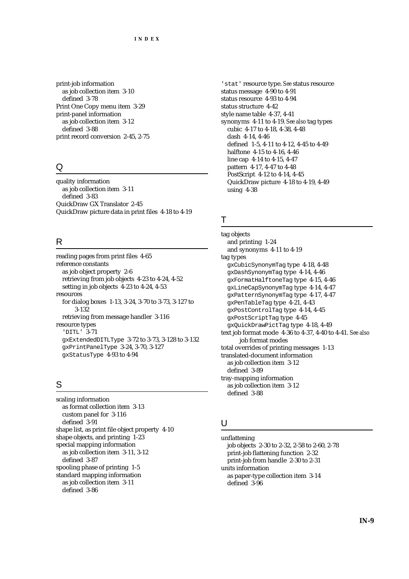print-job information as job collection item 3-10 defined 3-78 Print One Copy menu item 3-29 print-panel information as job collection item 3-12 defined 3-88 print record conversion 2-45, 2-75

### Q

quality information as job collection item 3-11 defined 3-83 QuickDraw GX Translator 2-45 QuickDraw picture data in print files 4-18 to 4-19

#### R

reading pages from print files 4-65 reference constants as job object property 2-6 retrieving from job objects 4-23 to 4-24, 4-52 setting in job objects 4-23 to 4-24, 4-53 resources for dialog boxes 1-13, 3-24, 3-70 to 3-73, 3-127 to 3-132 retrieving from message handler 3-116 resource types 'DITL' 3-71 gxExtendedDITLType 3-72 to 3-73, 3-128 to 3-132 gxPrintPanelType 3-24, 3-70, 3-127 gxStatusType 4-93 to 4-94

#### S

scaling information as format collection item 3-13 custom panel for 3-116 defined 3-91 shape list, as print file object property 4-10 shape objects, and printing 1-23 special mapping information as job collection item 3-11, 3-12 defined 3-87 spooling phase of printing 1-5 standard mapping information as job collection item 3-11 defined 3-86

'stat' resource type. *See* status resource status message 4-90 to 4-91 status resource 4-93 to 4-94 status structure 4-42 style name table 4-37, 4-41 synonyms 4-11 to 4-19. *See also* tag types cubic 4-17 to 4-18, 4-38, 4-48 dash 4-14, 4-46 defined 1-5, 4-11 to 4-12, 4-45 to 4-49 halftone 4-15 to 4-16, 4-46 line cap 4-14 to 4-15, 4-47 pattern 4-17, 4-47 to 4-48 PostScript 4-12 to 4-14, 4-45 QuickDraw picture 4-18 to 4-19, 4-49 using 4-38

#### T

tag objects and printing 1-24 and synonyms 4-11 to 4-19 tag types gxCubicSynonymTag type 4-18, 4-48 gxDashSynonymTag type 4-14, 4-46 gxFormatHalftoneTag type 4-15, 4-46 gxLineCapSynonymTag type 4-14, 4-47 gxPatternSynonymTag type 4-17, 4-47 gxPenTableTag type 4-21, 4-43 gxPostControlTag type 4-14, 4-45 gxPostScriptTag type 4-45 gxQuickDrawPictTag type 4-18, 4-49 text job format mode 4-36 to 4-37, 4-40 to 4-41. *See also* job format modes total overrides of printing messages 1-13 translated-document information as job collection item 3-12 defined 3-89 tray-mapping information as job collection item 3-12 defined 3-88

### U

unflattening job objects 2-30 to 2-32, 2-58 to 2-60, 2-78 print-job flattening function 2-32 print-job from handle 2-30 to 2-31 units information as paper-type collection item 3-14 defined 3-96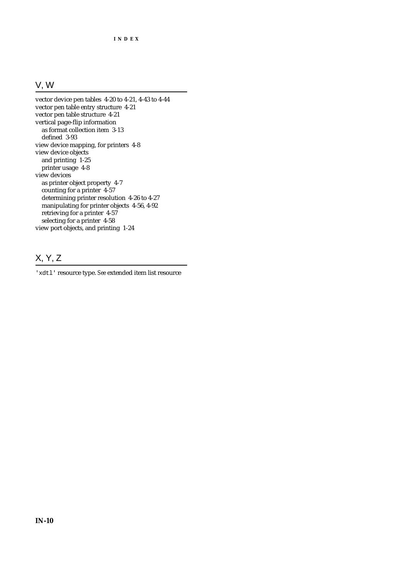# V, W

vector device pen tables 4-20 to 4-21, 4-43 to 4-44 vector pen table entry structure 4-21 vector pen table structure 4-21 vertical page-flip information as format collection item 3-13 defined 3-93 view device mapping, for printers 4-8 view device objects and printing 1-25 printer usage 4-8 view devices as printer object property 4-7 counting for a printer 4-57 determining printer resolution 4-26 to 4-27 manipulating for printer objects 4-56, 4-92 retrieving for a printer 4-57 selecting for a printer 4-58 view port objects, and printing 1-24

# X, Y, Z

'xdtl' resource type. *See* extended item list resource